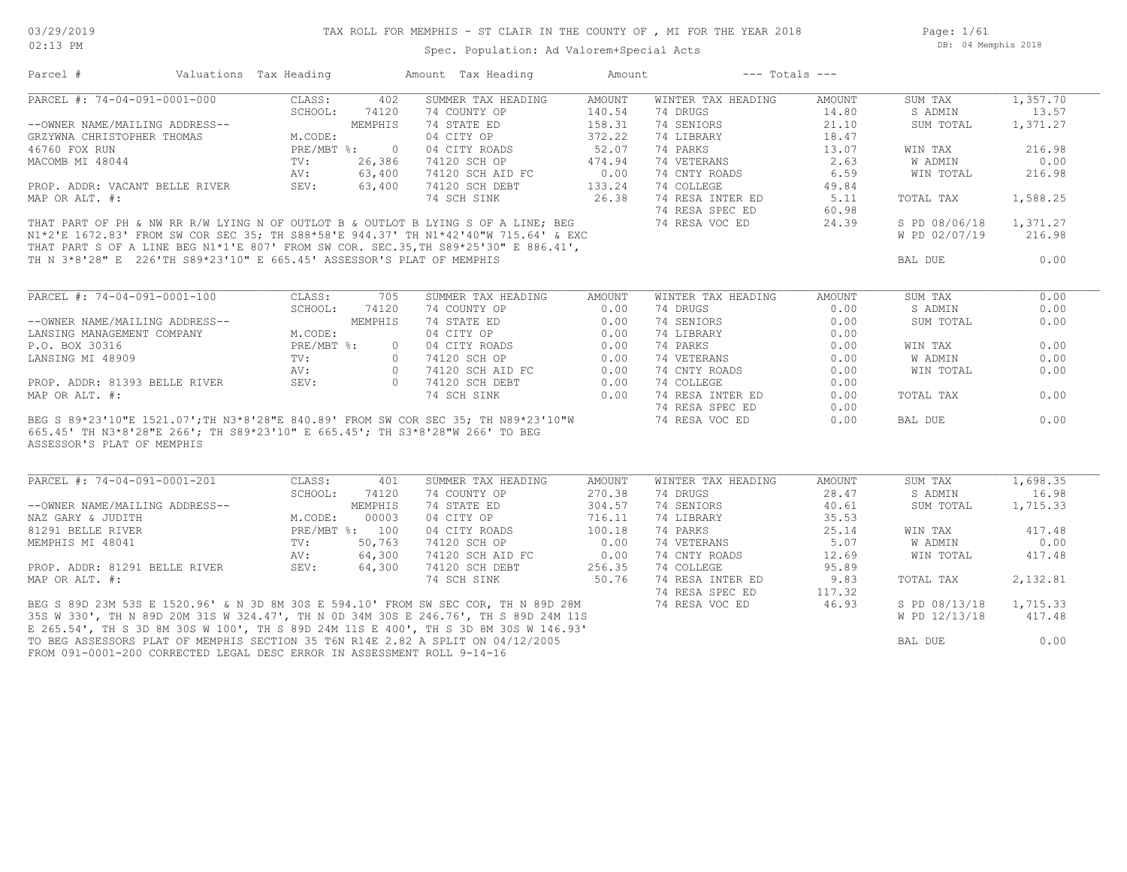Page: 1/61 DB: 04 Memphis 2018

| Parcel #                                                                                                                                                                                                                       | Valuations Tax Heading                                                  |         |       | Amount Tax Heading                                                                                                                                                                                                                                                                                                                                                                                                                                            | Amount | $---$ Totals $---$                |        |               |          |
|--------------------------------------------------------------------------------------------------------------------------------------------------------------------------------------------------------------------------------|-------------------------------------------------------------------------|---------|-------|---------------------------------------------------------------------------------------------------------------------------------------------------------------------------------------------------------------------------------------------------------------------------------------------------------------------------------------------------------------------------------------------------------------------------------------------------------------|--------|-----------------------------------|--------|---------------|----------|
| PARCEL #: 74-04-091-0001-000                                                                                                                                                                                                   |                                                                         | CLASS:  | 402   | SUMMER TAX HEADING                                                                                                                                                                                                                                                                                                                                                                                                                                            | AMOUNT | WINTER TAX HEADING                | AMOUNT | SUM TAX       | 1,357.70 |
|                                                                                                                                                                                                                                |                                                                         | SCHOOL: | 74120 | 74 COUNTY OP                                                                                                                                                                                                                                                                                                                                                                                                                                                  | 140.54 | 74 DRUGS                          | 14.80  | S ADMIN       | 13.57    |
| --OWNER NAME/MAILING ADDRESS--<br>GRZYWNA CHRISTOPHER THOMAS<br>46760 FOX RUN<br>MACOMB MI 48044<br>PROP. ADDR: VACANT BELLE RIVER<br>MAP OP ALT *. 63,400<br>MAP OP ALT *. 63,400<br>MAP OP ALT *. 63,400                     |                                                                         |         |       | 74 STATE ED                                                                                                                                                                                                                                                                                                                                                                                                                                                   | 158.31 | 74 SENIORS                        | 21.10  | SUM TOTAL     | 1,371.27 |
|                                                                                                                                                                                                                                |                                                                         |         |       | 04 CITY OP                                                                                                                                                                                                                                                                                                                                                                                                                                                    | 372.22 | 74 LIBRARY                        | 18.47  |               |          |
|                                                                                                                                                                                                                                |                                                                         |         |       | 04 CITY ROADS                                                                                                                                                                                                                                                                                                                                                                                                                                                 | 52.07  | 74 PARKS                          | 13.07  | WIN TAX       | 216.98   |
|                                                                                                                                                                                                                                |                                                                         |         |       | 74120 SCH OP                                                                                                                                                                                                                                                                                                                                                                                                                                                  | 474.94 | 74 VETERANS                       | 2.63   | W ADMIN       | 0.00     |
|                                                                                                                                                                                                                                |                                                                         |         |       | 74120 SCH AID FC 0.00                                                                                                                                                                                                                                                                                                                                                                                                                                         |        | 74 CNTY ROADS                     | 6.59   | WIN TOTAL     | 216.98   |
|                                                                                                                                                                                                                                |                                                                         |         |       | 74120 SCH DEBT                                                                                                                                                                                                                                                                                                                                                                                                                                                | 133.24 | 74 COLLEGE                        | 49.84  |               |          |
| MAP OR ALT. #:                                                                                                                                                                                                                 |                                                                         |         |       | 74 SCH SINK                                                                                                                                                                                                                                                                                                                                                                                                                                                   | 26.38  | 74 RESA INTER ED 5.11             |        | TOTAL TAX     | 1,588.25 |
|                                                                                                                                                                                                                                |                                                                         |         |       |                                                                                                                                                                                                                                                                                                                                                                                                                                                               |        |                                   |        |               |          |
|                                                                                                                                                                                                                                |                                                                         |         |       | THAT PART OF PH & NW RR R/W LYING N OF OUTLOT B & OUTLOT B LYING S OF A LINE; BEG 41 24 RESA SPEC ED 60.98<br>N1*2'E 1672 83' EPOM SW COD SEG 35. THE OOSTERLY ON STUTT WAS CONSIDERED AS A LINE; BEG 41 24 RESA VOC ED 24.39<br>THAT PART OF PH & NW RR R/W LYING N OF OUTLOT B & OUTLOT B LYING S OF A LINE, ELSO MARKET OF PH & NW RR R/W LYING N OF OUTLOT B & OUTLOT B LYING S OF A LINE, EXC MARKET S OF A LINE BEG N1*1'E 807' FROM SW COR. SEC.35, TH |        |                                   |        | S PD 08/06/18 | 1,371.27 |
|                                                                                                                                                                                                                                |                                                                         |         |       |                                                                                                                                                                                                                                                                                                                                                                                                                                                               |        |                                   |        | W PD 02/07/19 | 216.98   |
|                                                                                                                                                                                                                                |                                                                         |         |       |                                                                                                                                                                                                                                                                                                                                                                                                                                                               |        |                                   |        |               |          |
|                                                                                                                                                                                                                                |                                                                         |         |       |                                                                                                                                                                                                                                                                                                                                                                                                                                                               |        |                                   |        | BAL DUE       | 0.00     |
|                                                                                                                                                                                                                                |                                                                         |         |       |                                                                                                                                                                                                                                                                                                                                                                                                                                                               |        |                                   |        |               |          |
|                                                                                                                                                                                                                                |                                                                         |         |       |                                                                                                                                                                                                                                                                                                                                                                                                                                                               |        |                                   |        |               |          |
| PARCEL #: 74-04-091-0001-100                                                                                                                                                                                                   |                                                                         | CLASS:  | 705   | SUMMER TAX HEADING                                                                                                                                                                                                                                                                                                                                                                                                                                            | AMOUNT | WINTER TAX HEADING                | AMOUNT | SUM TAX       | 0.00     |
|                                                                                                                                                                                                                                |                                                                         | SCHOOL: | 74120 |                                                                                                                                                                                                                                                                                                                                                                                                                                                               |        | 74 DRUGS                          | 0.00   | S ADMIN       | 0.00     |
|                                                                                                                                                                                                                                |                                                                         |         |       | 74 COUNTY OP 0.00<br>74 STATE ED 0.00<br>04 CITY OP 0.00<br>--OWNER NAME/MAILING ADDRESS--<br>LANSING MANAGEMENT COMPANY MEMPHIS 74 STATE ED 0.00<br>P.O. BOX 30316 PRE/MBT %: 0 04 CITY ROADS 0.00<br>LANSING MI 48909 TV: 0 74120 SCH OP 0.00<br>PROP. ADDR: 81393 BELLE RIVER SEV: 0 74120 SCH                                                                                                                                                             |        | 74 SENIORS                        | 0.00   | SUM TOTAL     | 0.00     |
|                                                                                                                                                                                                                                |                                                                         |         |       |                                                                                                                                                                                                                                                                                                                                                                                                                                                               |        | 74 LIBRARY                        | 0.00   |               |          |
|                                                                                                                                                                                                                                |                                                                         |         |       |                                                                                                                                                                                                                                                                                                                                                                                                                                                               |        | 74 PARKS                          | 0.00   | WIN TAX       | 0.00     |
|                                                                                                                                                                                                                                |                                                                         |         |       |                                                                                                                                                                                                                                                                                                                                                                                                                                                               |        | 74 VETERANS                       | 0.00   | W ADMIN       | 0.00     |
|                                                                                                                                                                                                                                |                                                                         |         |       |                                                                                                                                                                                                                                                                                                                                                                                                                                                               |        | 74 CNTY ROADS                     | 0.00   | WIN TOTAL     | 0.00     |
|                                                                                                                                                                                                                                |                                                                         |         |       |                                                                                                                                                                                                                                                                                                                                                                                                                                                               |        | 74 COLLEGE                        | 0.00   |               |          |
|                                                                                                                                                                                                                                |                                                                         |         |       |                                                                                                                                                                                                                                                                                                                                                                                                                                                               |        | 74 RESA INTER ED                  | 0.00   | TOTAL TAX     | 0.00     |
|                                                                                                                                                                                                                                |                                                                         |         |       |                                                                                                                                                                                                                                                                                                                                                                                                                                                               |        | 74 RESA SPEC ED                   | 0.00   |               |          |
|                                                                                                                                                                                                                                |                                                                         |         |       | BEG S 89*23'10"E 1521.07'; TH N3*8'28"E 840.89' FROM SW COR SEC 35; TH N89*23'10"W                                                                                                                                                                                                                                                                                                                                                                            |        | 74 RESA SPEC ED<br>74 RESA VOC ED | 0.00   | BAL DUE       | 0.00     |
| ASSESSOR'S PLAT OF MEMPHIS                                                                                                                                                                                                     |                                                                         |         |       | 665.45' TH N3*8'28"E 266'; TH S89*23'10" E 665.45'; TH S3*8'28"W 266' TO BEG                                                                                                                                                                                                                                                                                                                                                                                  |        |                                   |        |               |          |
| PARCEL #: 74-04-091-0001-201                                                                                                                                                                                                   |                                                                         | CLASS:  | 401   | SUMMER TAX HEADING                                                                                                                                                                                                                                                                                                                                                                                                                                            | AMOUNT | WINTER TAX HEADING                | AMOUNT | SUM TAX       | 1,698.35 |
| --OWNER NAME/MAILING ADDRESS--<br>NAZ GARY & JUDITH M.CODE: 00003<br>81291 BELLE RIVER PRE/MBT %: 100<br>MEMPHIS MI 48041 TV: 50,763<br>PROP. ADDR: 81291 BELLE RIVER SEV: 64,300<br>PROP. ADDR: 81291 BELLE RIVER SEV: 64,300 |                                                                         | SCHOOL: | 74120 | 74 COUNTY OP                                                                                                                                                                                                                                                                                                                                                                                                                                                  | 270.38 | 74 DRUGS                          | 28.47  | S ADMIN       | 16.98    |
|                                                                                                                                                                                                                                |                                                                         |         |       | 74 STATE ED                                                                                                                                                                                                                                                                                                                                                                                                                                                   | 304.57 | 74 SENIORS                        | 40.61  | SUM TOTAL     | 1,715.33 |
|                                                                                                                                                                                                                                |                                                                         |         |       | 04 CITY OP                                                                                                                                                                                                                                                                                                                                                                                                                                                    | 716.11 | 74 LIBRARY                        | 35.53  |               |          |
|                                                                                                                                                                                                                                |                                                                         |         |       | 04 CITY ROADS                                                                                                                                                                                                                                                                                                                                                                                                                                                 | 100.18 | 74 PARKS                          | 25.14  | WIN TAX       | 417.48   |
|                                                                                                                                                                                                                                |                                                                         |         |       | 74120 SCH OP 0.00<br>74120 SCH AID FC 0.00                                                                                                                                                                                                                                                                                                                                                                                                                    |        | 74 VETERANS                       | 5.07   | W ADMIN       | 0.00     |
|                                                                                                                                                                                                                                |                                                                         |         |       |                                                                                                                                                                                                                                                                                                                                                                                                                                                               |        | 74 CNTY ROADS                     | 12.69  | WIN TOTAL     | 417.48   |
|                                                                                                                                                                                                                                |                                                                         |         |       | 74120 SCH DEBT 256.35                                                                                                                                                                                                                                                                                                                                                                                                                                         |        | 74 COLLEGE                        | 95.89  |               |          |
| MAP OR ALT. #:                                                                                                                                                                                                                 |                                                                         |         |       | 74 SCH SINK                                                                                                                                                                                                                                                                                                                                                                                                                                                   | 50.76  | 74 RESA INTER ED                  | 9.83   | TOTAL TAX     | 2,132.81 |
|                                                                                                                                                                                                                                |                                                                         |         |       |                                                                                                                                                                                                                                                                                                                                                                                                                                                               |        | 74 RESA SPEC ED                   | 117.32 |               |          |
|                                                                                                                                                                                                                                |                                                                         |         |       | BEG S 89D 23M 53S E 1520.96' & N 3D 8M 30S E 594.10' FROM SW SEC COR, TH N 89D 28M 74 RESA VOC ED 46.93<br>35S W 330', TH N 89D 20M 31S W 324.47', TH N 0D 34M 30S E 246.76', TH S 89D 24M 11S                                                                                                                                                                                                                                                                |        |                                   |        | S PD 08/13/18 | 1,715.33 |
|                                                                                                                                                                                                                                |                                                                         |         |       |                                                                                                                                                                                                                                                                                                                                                                                                                                                               |        |                                   |        | W PD 12/13/18 | 417.48   |
|                                                                                                                                                                                                                                |                                                                         |         |       | E 265.54', TH S 3D 8M 30S W 100', TH S 89D 24M 11S E 400', TH S 3D 8M 30S W 146.93'                                                                                                                                                                                                                                                                                                                                                                           |        |                                   |        |               |          |
|                                                                                                                                                                                                                                |                                                                         |         |       | TO BEG ASSESSORS PLAT OF MEMPHIS SECTION 35 T6N R14E 2.82 A SPLIT ON 04/12/2005                                                                                                                                                                                                                                                                                                                                                                               |        |                                   |        | BAL DUE       | 0.00     |
|                                                                                                                                                                                                                                | FROM 091-0001-200 CORRECTED LEGAL DESC ERROR IN ASSESSMENT ROLL 9-14-16 |         |       |                                                                                                                                                                                                                                                                                                                                                                                                                                                               |        |                                   |        |               |          |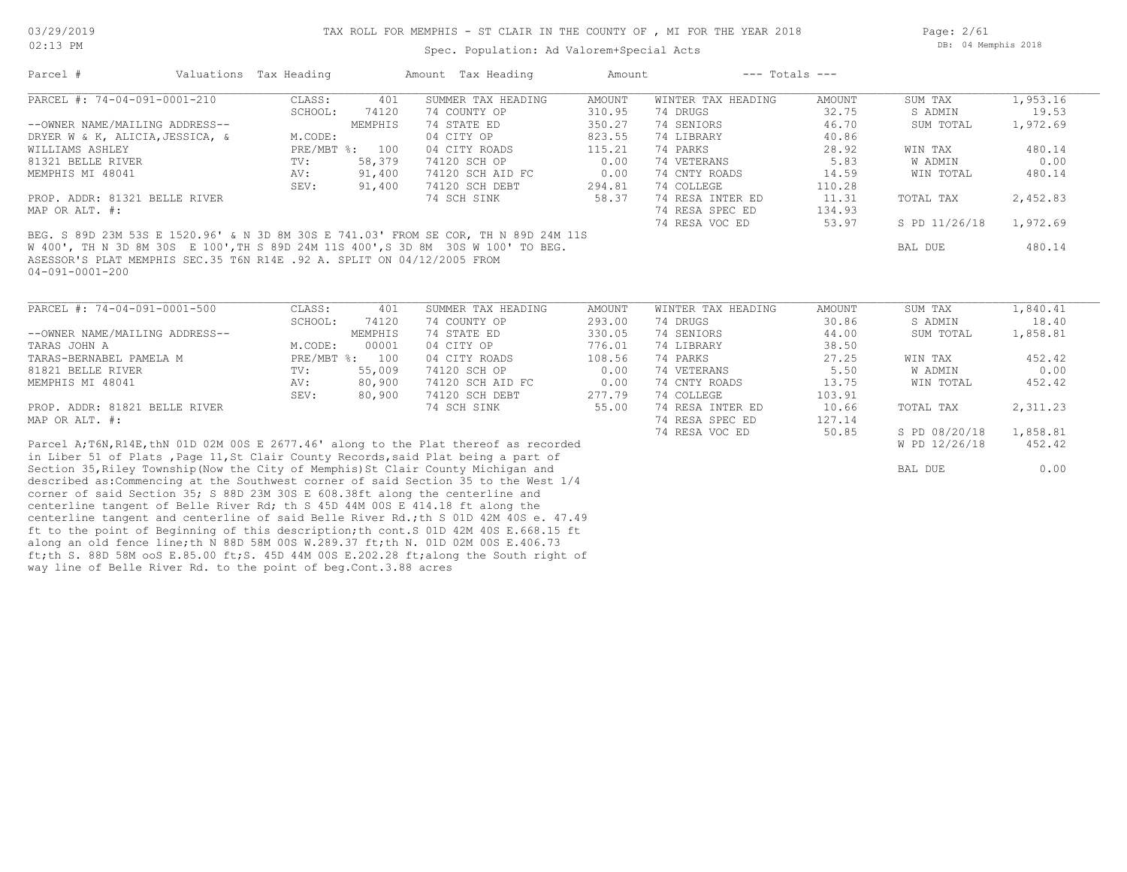Spec. Population: Ad Valorem+Special Acts

| Parcel #                                                                            | Valuations Tax Heading |                | Amount Tax Heading | Amount        | $---$ Totals $---$ |        |               |          |
|-------------------------------------------------------------------------------------|------------------------|----------------|--------------------|---------------|--------------------|--------|---------------|----------|
| PARCEL #: 74-04-091-0001-210                                                        | CLASS:                 | 401            | SUMMER TAX HEADING | <b>AMOUNT</b> | WINTER TAX HEADING | AMOUNT | SUM TAX       | 1,953.16 |
|                                                                                     | SCHOOL:                | 74120          | 74 COUNTY OP       | 310.95        | 74 DRUGS           | 32.75  | S ADMIN       | 19.53    |
| --OWNER NAME/MAILING ADDRESS--                                                      |                        | MEMPHIS        | 74 STATE ED        | 350.27        | 74 SENIORS         | 46.70  | SUM TOTAL     | 1,972.69 |
| DRYER W & K, ALICIA, JESSICA, &                                                     | M.CODE:                |                | 04 CITY OP         | 823.55        | 74 LIBRARY         | 40.86  |               |          |
| WILLIAMS ASHLEY                                                                     |                        | PRE/MBT %: 100 | 04 CITY ROADS      | 115.21        | 74 PARKS           | 28.92  | WIN TAX       | 480.14   |
| 81321 BELLE RIVER                                                                   | $\texttt{TV}$ :        | 58,379         | 74120 SCH OP       | 0.00          | 74 VETERANS        | 5.83   | W ADMIN       | 0.00     |
| MEMPHIS MI 48041                                                                    | AV:                    | 91,400         | 74120 SCH AID FC   | 0.00          | 74 CNTY ROADS      | 14.59  | WIN TOTAL     | 480.14   |
|                                                                                     | SEV:                   | 91,400         | 74120 SCH DEBT     | 294.81        | 74 COLLEGE         | 110.28 |               |          |
| PROP. ADDR: 81321 BELLE RIVER                                                       |                        |                | 74 SCH SINK        | 58.37         | 74 RESA INTER ED   | 11.31  | TOTAL TAX     | 2,452.83 |
| MAP OR ALT. #:                                                                      |                        |                |                    |               | 74 RESA SPEC ED    | 134.93 |               |          |
|                                                                                     |                        |                |                    |               | 74 RESA VOC ED     | 53.97  | S PD 11/26/18 | 1,972.69 |
| BEG. S 89D 23M 53S E 1520.96' & N 3D 8M 30S E 741.03' FROM SE COR, TH N 89D 24M 11S |                        |                |                    |               |                    |        |               |          |
| W 400', TH N 3D 8M 30S E 100', TH S 89D 24M 11S 400', S 3D 8M 30S W 100' TO BEG.    |                        |                |                    |               |                    |        | BAL DUE       | 480.14   |
| ASESSOR'S PLAT MEMPHIS SEC.35 T6N R14E .92 A. SPLIT ON 04/12/2005 FROM              |                        |                |                    |               |                    |        |               |          |
| $04 - 091 - 0001 - 200$                                                             |                        |                |                    |               |                    |        |               |          |
|                                                                                     |                        |                |                    |               |                    |        |               |          |
| PARCEL #: 74-04-091-0001-500                                                        | CLASS:                 | 401            | SUMMER TAX HEADING | AMOUNT        | WINTER TAX HEADING | AMOUNT | SUM TAX       | 1,840.41 |
|                                                                                     | SCHOOL:                | 74120          | 74 COUNTY OP       | 293.00        | 74 DRUGS           | 30.86  | S ADMIN       | 18.40    |
| --OWNER NAME/MAILING ADDRESS--                                                      |                        | MEMPHIS        | 74 STATE ED        | 330.05        | 74 SENIORS         | 44.00  | SUM TOTAL     | 1,858.81 |
| TARAS JOHN A                                                                        | M.CODE:                | 00001          | 04 CITY OP         | 776.01        | 74 LIBRARY         | 38.50  |               |          |
| TARAS-BERNABEL PAMELA M                                                             | PRE/MBT %: 100         |                | 04 CITY ROADS      | 108.56        | 74 PARKS           | 27.25  | WIN TAX       | 452.42   |
| 81821 BELLE RIVER                                                                   | $\text{TV}$ :          | 55,009         | 74120 SCH OP       | 0.00          | 74 VETERANS        | 5.50   | W ADMIN       | 0.00     |
| MEMPHIS MI 48041                                                                    | AV:                    | 80,900         | 74120 SCH AID FC   | 0.00          | 74 CNTY ROADS      | 13.75  | WIN TOTAL     | 452.42   |
|                                                                                     | SEV:                   | 80,900         | 74120 SCH DEBT     | 277.79        | 74 COLLEGE         | 103.91 |               |          |
|                                                                                     |                        |                |                    |               |                    |        |               |          |

MAP OR ALT. #: 74 RESA SPEC ED 127.14 PROP. ADDR: 81821 BELLE RIVER 74 SCH SINK 55.00 74 RESA INTER ED 10.66 TOTAL TAX 2,311.23

way line of Belle River Rd. to the point of beg.Cont.3.88 acres ft;th S. 88D 58M ooS E.85.00 ft;S. 45D 44M 00S E.202.28 ft;along the South right of along an old fence line;th N 88D 58M 00S W.289.37 ft;th N. 01D 02M 00S E.406.73 ft to the point of Beginning of this description;th cont.S 01D 42M 40S E.668.15 ft centerline tangent and centerline of said Belle River Rd.;th S 01D 42M 40S e. 47.49 centerline tangent of Belle River Rd; th S 45D 44M 00S E 414.18 ft along the corner of said Section 35; S 88D 23M 30S E 608.38ft along the centerline and described as:Commencing at the Southwest corner of said Section 35 to the West 1/4 Section 35, Riley Township(Now the City of Memphis)St Clair County Michigan and BAL DUE 6.00 in Liber 51 of Plats ,Page 11,St Clair County Records,said Plat being a part of Parcel A;T6N,R14E,thN 01D 02M 00S E 2677.46' along to the Plat thereof as recorded W PD 12/26/18 452.42

74 RESA VOC ED 50.85 S PD 08/20/18 1,858.81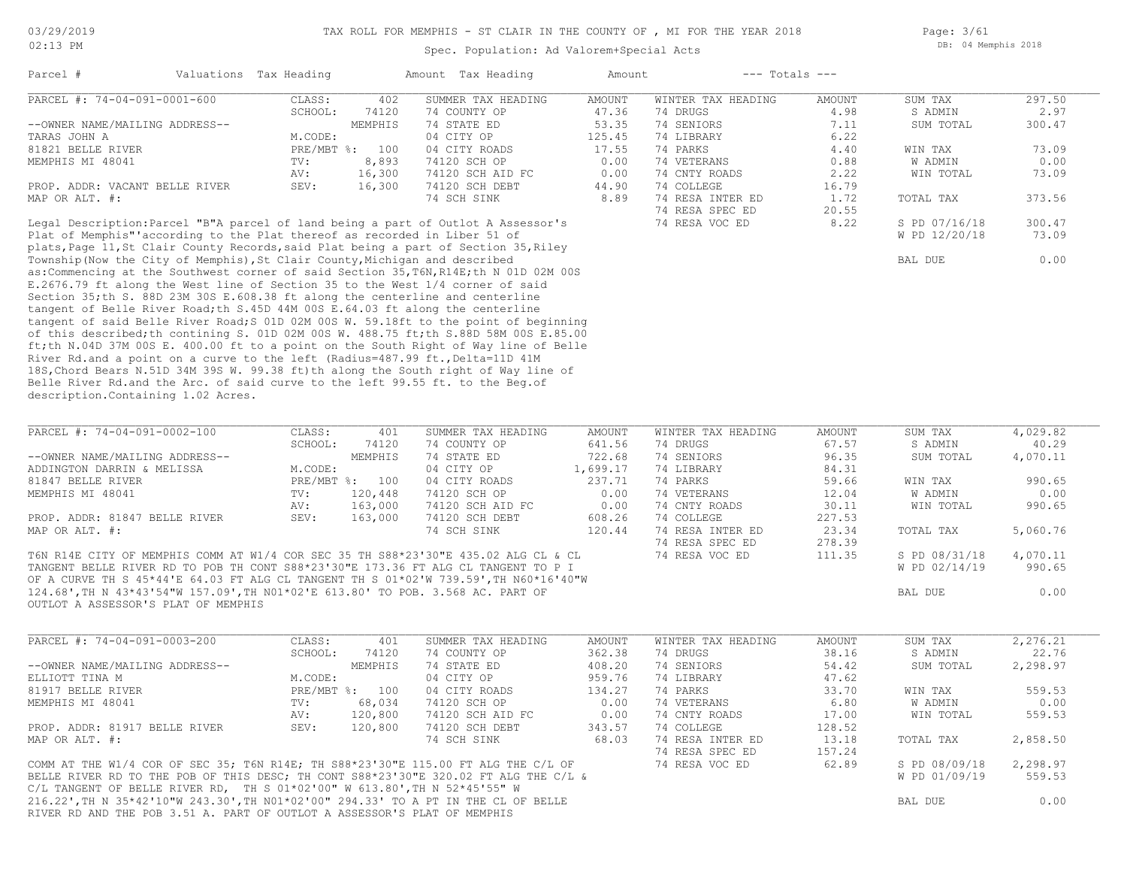Spec. Population: Ad Valorem+Special Acts

Page: 3/61 DB: 04 Memphis 2018

|                                                                                                                                                                                                                                                                 | Valuations Tax Heading |                | Amount Tax Heading        | Amount           | $---$ Totals $---$       |                |               |          |
|-----------------------------------------------------------------------------------------------------------------------------------------------------------------------------------------------------------------------------------------------------------------|------------------------|----------------|---------------------------|------------------|--------------------------|----------------|---------------|----------|
| PARCEL #: 74-04-091-0001-600                                                                                                                                                                                                                                    | CLASS:                 | 402            | SUMMER TAX HEADING        | <b>AMOUNT</b>    | WINTER TAX HEADING       | <b>AMOUNT</b>  | SUM TAX       | 297.50   |
|                                                                                                                                                                                                                                                                 | SCHOOL:                | 74120          | 74 COUNTY OP              | 47.36            | 74 DRUGS                 | 4.98           | S ADMIN       | 2.97     |
| --OWNER NAME/MAILING ADDRESS--                                                                                                                                                                                                                                  |                        | MEMPHIS        | 74 STATE ED               | 53.35            | 74 SENIORS               | 7.11           | SUM TOTAL     | 300.47   |
| TARAS JOHN A                                                                                                                                                                                                                                                    | M.CODE:                |                | 04 CITY OP                | 125.45           | 74 LIBRARY               | 6.22           |               |          |
| 81821 BELLE RIVER                                                                                                                                                                                                                                               |                        | PRE/MBT %: 100 | 04 CITY ROADS             | 17.55            | 74 PARKS                 | 4.40           | WIN TAX       | 73.09    |
| MEMPHIS MI 48041                                                                                                                                                                                                                                                | TV:                    | 8,893          | 74120 SCH OP              | 0.00             | 74 VETERANS              | 0.88           | W ADMIN       | 0.00     |
|                                                                                                                                                                                                                                                                 | AV:                    | 16,300         | 74120 SCH AID FC          | 0.00             | 74 CNTY ROADS            | 2.22           | WIN TOTAL     | 73.09    |
| PROP. ADDR: VACANT BELLE RIVER                                                                                                                                                                                                                                  | SEV:                   | 16,300         | 74120 SCH DEBT            | 44.90            | 74 COLLEGE               | 16.79          |               |          |
| MAP OR ALT. #:                                                                                                                                                                                                                                                  |                        |                | 74 SCH SINK               | 8.89             | 74 RESA INTER ED         | 1.72           | TOTAL TAX     | 373.56   |
|                                                                                                                                                                                                                                                                 |                        |                |                           |                  | 74 RESA SPEC ED          | 20.55          |               |          |
| Legal Description: Parcel "B"A parcel of land being a part of Outlot A Assessor's                                                                                                                                                                               |                        |                |                           |                  | 74 RESA VOC ED           | 8.22           | S PD 07/16/18 | 300.47   |
| Plat of Memphis" according to the Plat thereof as recorded in Liber 51 of                                                                                                                                                                                       |                        |                |                           |                  |                          |                | W PD 12/20/18 | 73.09    |
| plats, Page 11, St Clair County Records, said Plat being a part of Section 35, Riley                                                                                                                                                                            |                        |                |                           |                  |                          |                |               |          |
| Township (Now the City of Memphis), St Clair County, Michigan and described                                                                                                                                                                                     |                        |                |                           |                  |                          |                | BAL DUE       | 0.00     |
| as: Commencing at the Southwest corner of said Section 35, T6N, R14E; th N 01D 02M 00S                                                                                                                                                                          |                        |                |                           |                  |                          |                |               |          |
| E.2676.79 ft along the West line of Section 35 to the West 1/4 corner of said                                                                                                                                                                                   |                        |                |                           |                  |                          |                |               |          |
| Section 35; th S. 88D 23M 30S E.608.38 ft along the centerline and centerline                                                                                                                                                                                   |                        |                |                           |                  |                          |                |               |          |
| tangent of Belle River Road; th S.45D 44M 00S E.64.03 ft along the centerline                                                                                                                                                                                   |                        |                |                           |                  |                          |                |               |          |
| tangent of said Belle River Road; S 01D 02M 00S W. 59.18ft to the point of beginning                                                                                                                                                                            |                        |                |                           |                  |                          |                |               |          |
| of this described; th contining S. 01D 02M 00S W. 488.75 ft; th S.88D 58M 00S E.85.00                                                                                                                                                                           |                        |                |                           |                  |                          |                |               |          |
| ft;th N.04D 37M 00S E. 400.00 ft to a point on the South Right of Way line of Belle                                                                                                                                                                             |                        |                |                           |                  |                          |                |               |          |
| River Rd.and a point on a curve to the left (Radius=487.99 ft., Delta=11D 41M                                                                                                                                                                                   |                        |                |                           |                  |                          |                |               |          |
| 18S, Chord Bears N.51D 34M 39S W. 99.38 ft) th along the South right of Way line of                                                                                                                                                                             |                        |                |                           |                  |                          |                |               |          |
|                                                                                                                                                                                                                                                                 |                        |                |                           |                  |                          |                |               |          |
|                                                                                                                                                                                                                                                                 |                        |                |                           |                  |                          |                |               |          |
|                                                                                                                                                                                                                                                                 |                        |                |                           |                  |                          |                |               |          |
|                                                                                                                                                                                                                                                                 |                        |                |                           |                  |                          |                |               |          |
|                                                                                                                                                                                                                                                                 |                        |                |                           |                  |                          |                |               |          |
| Belle River Rd.and the Arc. of said curve to the left 99.55 ft. to the Beg.of<br>description. Containing 1.02 Acres.<br>PARCEL #: 74-04-091-0002-100                                                                                                            | CLASS:                 | 401            | SUMMER TAX HEADING        | AMOUNT           | WINTER TAX HEADING       | AMOUNT         | SUM TAX       | 4,029.82 |
|                                                                                                                                                                                                                                                                 | SCHOOL:                | 74120          | 74 COUNTY OP              | 641.56           | 74 DRUGS                 | 67.57          | S ADMIN       | 40.29    |
| --OWNER NAME/MAILING ADDRESS--                                                                                                                                                                                                                                  |                        | MEMPHIS        | 74 STATE ED               | 722.68           | 74 SENIORS               | 96.35          | SUM TOTAL     | 4,070.11 |
| ADDINGTON DARRIN & MELISSA                                                                                                                                                                                                                                      | M.CODE:                |                | 04 CITY OP                | 1,699.17         | 74 LIBRARY               | 84.31          |               |          |
| 81847 BELLE RIVER                                                                                                                                                                                                                                               |                        | PRE/MBT %: 100 | 04 CITY ROADS             | 237.71           | 74 PARKS                 | 59.66          | WIN TAX       | 990.65   |
|                                                                                                                                                                                                                                                                 |                        |                |                           |                  |                          |                |               |          |
| MEMPHIS MI 48041                                                                                                                                                                                                                                                | TV:                    | 120,448        | 74120 SCH OP              | 0.00             | 74 VETERANS              | 12.04          | W ADMIN       | 0.00     |
|                                                                                                                                                                                                                                                                 | AV:                    | 163,000        | 74120 SCH AID FC          | 0.00             | 74 CNTY ROADS            | 30.11          | WIN TOTAL     | 990.65   |
| PROP. ADDR: 81847 BELLE RIVER                                                                                                                                                                                                                                   | SEV:                   | 163,000        | 74120 SCH DEBT            | 608.26           | 74 COLLEGE               | 227.53         |               |          |
| MAP OR ALT. #:                                                                                                                                                                                                                                                  |                        |                | 74 SCH SINK               | 120.44           | 74 RESA INTER ED         | 23.34          | TOTAL TAX     | 5,060.76 |
|                                                                                                                                                                                                                                                                 |                        |                |                           |                  | 74 RESA SPEC ED          | 278.39         |               |          |
|                                                                                                                                                                                                                                                                 |                        |                |                           |                  | 74 RESA VOC ED           | 111.35         | S PD 08/31/18 | 4,070.11 |
|                                                                                                                                                                                                                                                                 |                        |                |                           |                  |                          |                | W PD 02/14/19 | 990.65   |
| T6N R14E CITY OF MEMPHIS COMM AT W1/4 COR SEC 35 TH S88*23'30"E 435.02 ALG CL & CL<br>TANGENT BELLE RIVER RD TO POB TH CONT S88*23'30"E 173.36 FT ALG CL TANGENT TO P I<br>OF A CURVE TH S 45*44'E 64.03 FT ALG CL TANGENT TH S 01*02'W 739.59', TH N60*16'40"W |                        |                |                           |                  |                          |                |               |          |
| 124.68',TH N 43*43'54"W 157.09',TH NO1*02'E 613.80' TO POB. 3.568 AC. PART OF                                                                                                                                                                                   |                        |                |                           |                  |                          |                | BAL DUE       | 0.00     |
| OUTLOT A ASSESSOR'S PLAT OF MEMPHIS                                                                                                                                                                                                                             |                        |                |                           |                  |                          |                |               |          |
|                                                                                                                                                                                                                                                                 |                        |                |                           |                  |                          |                |               |          |
|                                                                                                                                                                                                                                                                 |                        |                |                           |                  |                          |                |               |          |
| PARCEL #: 74-04-091-0003-200                                                                                                                                                                                                                                    | CLASS:                 | 401            | SUMMER TAX HEADING        | AMOUNT           | WINTER TAX HEADING       | AMOUNT         | SUM TAX       | 2,276.21 |
|                                                                                                                                                                                                                                                                 | SCHOOL:                | 74120          | 74 COUNTY OP              | 362.38           | 74 DRUGS                 | 38.16          | S ADMIN       | 22.76    |
| --OWNER NAME/MAILING ADDRESS--<br>ELLIOTT TINA M                                                                                                                                                                                                                | M.CODE:                | MEMPHIS        | 74 STATE ED<br>04 CITY OP | 408.20<br>959.76 | 74 SENIORS<br>74 LIBRARY | 54.42<br>47.62 | SUM TOTAL     | 2,298.97 |

| ELLIOTT TINA M                                                                      | M.CODE:    |         | 04 CITY OP       | 959.76 | 74 LIBRARY       | 47.62  |               |          |
|-------------------------------------------------------------------------------------|------------|---------|------------------|--------|------------------|--------|---------------|----------|
| 81917 BELLE RIVER                                                                   | PRE/MBT %: | 100     | 04 CITY ROADS    | 134.27 | 74 PARKS         | 33.70  | WIN TAX       | 559.53   |
| MEMPHIS MI 48041                                                                    | TV:        | 68,034  | 74120 SCH OP     | 0.00   | 74 VETERANS      | 6.80   | W ADMIN       | 0.00     |
|                                                                                     | AV:        | 120,800 | 74120 SCH AID FC | 0.00   | 74 CNTY ROADS    | 17.00  | WIN TOTAL     | 559.53   |
| PROP. ADDR: 81917 BELLE RIVER                                                       | SEV:       | 120,800 | 74120 SCH DEBT   | 343.57 | 74 COLLEGE       | 128.52 |               |          |
| MAP OR ALT. #:                                                                      |            |         | 74 SCH SINK      | 68.03  | 74 RESA INTER ED | 13.18  | TOTAL TAX     | 2,858.50 |
|                                                                                     |            |         |                  |        | 74 RESA SPEC ED  | 157.24 |               |          |
| COMM AT THE W1/4 COR OF SEC 35; T6N R14E; TH S88*23'30"E 115.00 FT ALG THE C/L OF   |            |         |                  |        | 74 RESA VOC ED   | 62.89  | S PD 08/09/18 | 2,298.97 |
| BELLE RIVER RD TO THE POB OF THIS DESC; TH CONT S88*23'30"E 320.02 FT ALG THE C/L & |            |         |                  |        |                  |        | W PD 01/09/19 | 559.53   |
| C/L TANGENT OF BELLE RIVER RD, TH S $01*02'00''$ W $613.80'$ , TH N $52*45'55''$ W  |            |         |                  |        |                  |        |               |          |
| 216.22', TH N 35*42'10"W 243.30', TH NO1*02'00" 294.33' TO A PT IN THE CL OF BELLE  |            |         |                  |        |                  |        | BAL DUE       | 0.00     |
| RIVER RD AND THE POB 3.51 A. PART OF OUTLOT A ASSESSOR'S PLAT OF MEMPHIS            |            |         |                  |        |                  |        |               |          |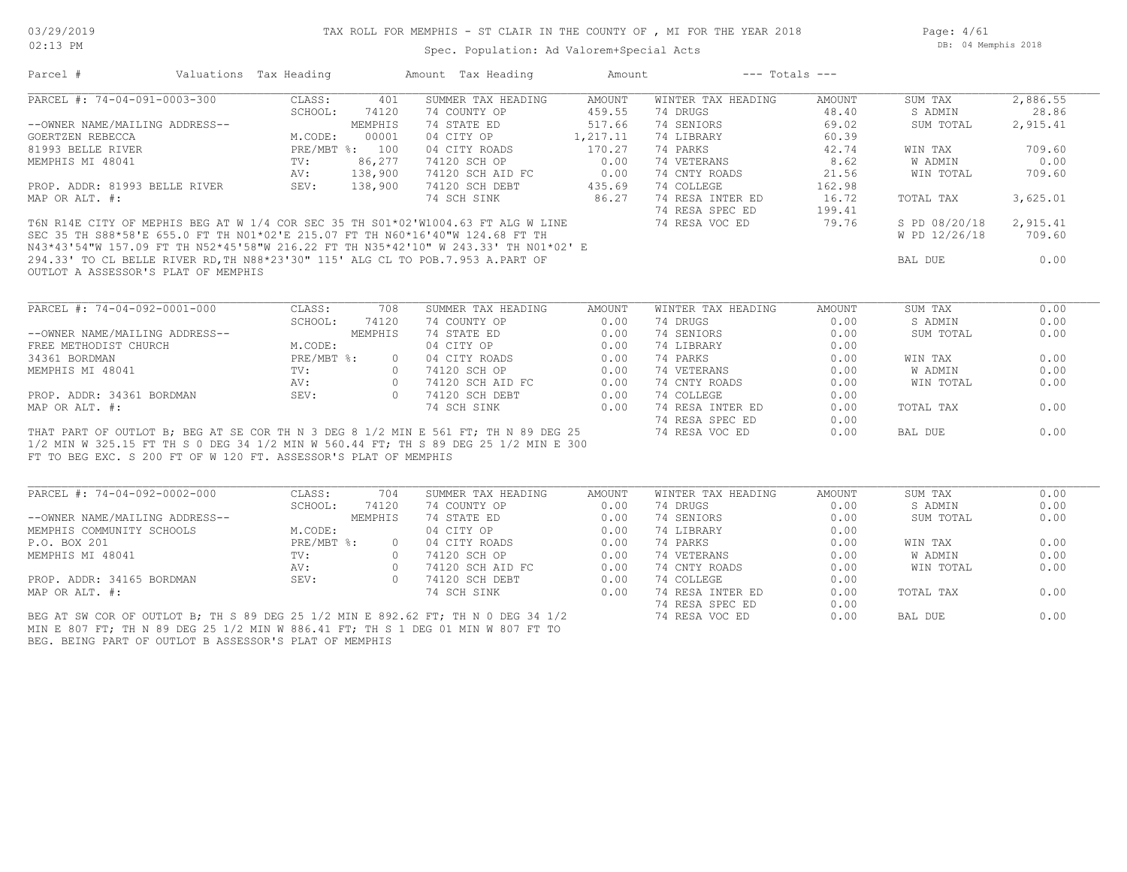Page: 4/61 DB: 04 Memphis 2018

|                                                                                                                                                        |                                                   |               | Parcel # Valuations Tax Heading Mount Tax Heading                                                                                                                                                                                                                    |           | Amount --- Totals ---                                                                                                                                                                                                                                                                                        |        |                        |          |
|--------------------------------------------------------------------------------------------------------------------------------------------------------|---------------------------------------------------|---------------|----------------------------------------------------------------------------------------------------------------------------------------------------------------------------------------------------------------------------------------------------------------------|-----------|--------------------------------------------------------------------------------------------------------------------------------------------------------------------------------------------------------------------------------------------------------------------------------------------------------------|--------|------------------------|----------|
| PARCEL #: 74-04-091-0003-300                                                                                                                           | CLASS:                                            | 401           | SUMMER TAX HEADING                                                                                                                                                                                                                                                   | AMOUNT    | WINTER TAX HEADING                                                                                                                                                                                                                                                                                           | AMOUNT | SUM TAX                | 2,886.55 |
|                                                                                                                                                        |                                                   | SCHOOL: 74120 | 74 COUNTY OP                                                                                                                                                                                                                                                         | 459.55    | 74 DRUGS                                                                                                                                                                                                                                                                                                     | 48.40  | S ADMIN                | 28.86    |
| --OWNER NAME/MAILING ADDRESS--                                                                                                                         |                                                   | MEMPHIS       | 74 STATE ED                                                                                                                                                                                                                                                          | 517.66    | 74 SENIORS                                                                                                                                                                                                                                                                                                   | 69.02  | SUM TOTAL              | 2,915.41 |
| GOERTZEN REBECCA                                                                                                                                       |                                                   | M.CODE: 00001 | 04 CITY OP                                                                                                                                                                                                                                                           | 1, 217.11 | 74 LIBRARY                                                                                                                                                                                                                                                                                                   | 60.39  |                        |          |
| 81993 BELLE RIVER                                                                                                                                      | PRE/MBT %: 100<br>$F_{\text{NL}}$ .<br>TV:<br>AV: |               | 04 CITY ROADS                                                                                                                                                                                                                                                        | 170.27    | 74 PARKS                                                                                                                                                                                                                                                                                                     | 42.74  | WIN TAX                | 709.60   |
| MEMPHIS MI 48041                                                                                                                                       |                                                   | 86,277        | 74 CITE KOADS<br>74120 SCH OP 0.00<br>74120 SCH AID FC 0.00<br>74120 SCH DEBT 435.69<br>74 SCH SINK 86.27                                                                                                                                                            |           | 74 VETERANS                                                                                                                                                                                                                                                                                                  | 8.62   | W ADMIN                | 0.00     |
|                                                                                                                                                        | AV: 138,900                                       |               |                                                                                                                                                                                                                                                                      |           | 74 CNTY ROADS                                                                                                                                                                                                                                                                                                | 21.56  | WIN TOTAL              | 709.60   |
| PROP. ADDR: 81993 BELLE RIVER                                                                                                                          | SEV: 138,900                                      |               |                                                                                                                                                                                                                                                                      |           |                                                                                                                                                                                                                                                                                                              |        |                        |          |
| MAP OR ALT. #:                                                                                                                                         |                                                   |               |                                                                                                                                                                                                                                                                      |           |                                                                                                                                                                                                                                                                                                              |        | TOTAL TAX              | 3,625.01 |
|                                                                                                                                                        |                                                   |               |                                                                                                                                                                                                                                                                      |           |                                                                                                                                                                                                                                                                                                              |        |                        |          |
|                                                                                                                                                        |                                                   |               | T6N R14E CITY OF MEPHIS BEG AT W 1/4 COR SEC 35 TH S01*02'W1004.63 FT ALG W LINE                                                                                                                                                                                     |           | 74 COLLEGE 162.98<br>74 RESA INTER ED 16.72<br>74 RESA SPEC ED 199.41<br>74 RESA VOC ED 79.76                                                                                                                                                                                                                |        | S PD 08/20/18 2,915.41 |          |
|                                                                                                                                                        |                                                   |               | SEC 35 TH S88*58'E 655.0 FT TH NO1*02'E 215.07 FT TH N60*16'40"W 124.68 FT TH                                                                                                                                                                                        |           |                                                                                                                                                                                                                                                                                                              |        | W PD 12/26/18          | 709.60   |
|                                                                                                                                                        |                                                   |               | N43*43'54"W 157.09 FT TH N52*45'58"W 216.22 FT TH N35*42'10" W 243.33' TH N01*02' E                                                                                                                                                                                  |           |                                                                                                                                                                                                                                                                                                              |        |                        |          |
| 294.33' TO CL BELLE RIVER RD, TH N88*23'30" 115' ALG CL TO POB. 7.953 A. PART OF                                                                       |                                                   |               |                                                                                                                                                                                                                                                                      |           |                                                                                                                                                                                                                                                                                                              |        | BAL DUE                | 0.00     |
| OUTLOT A ASSESSOR'S PLAT OF MEMPHIS                                                                                                                    |                                                   |               |                                                                                                                                                                                                                                                                      |           |                                                                                                                                                                                                                                                                                                              |        |                        |          |
|                                                                                                                                                        |                                                   |               |                                                                                                                                                                                                                                                                      |           |                                                                                                                                                                                                                                                                                                              |        |                        |          |
|                                                                                                                                                        |                                                   |               |                                                                                                                                                                                                                                                                      |           |                                                                                                                                                                                                                                                                                                              |        |                        |          |
| PARCEL #: 74-04-092-0001-000                                                                                                                           | CLASS:                                            | 708           | SUMMER TAX HEADING<br>CLASS:<br>SCHOOL: 74120 74 COUNTY UF<br>M.CODE: MEMPHIS 74 STATE ED<br>M.CODE: 04 CITY OP 0.00 7<br>PRE/MBT %: 0 04 CITY ROADS 0.00 7<br>TV: 0 74120 SCH OP 0.00<br>AV: 0 74120 SCH AID FC 0.00<br>SEV: 0 74120 SCH DEBT 0.00<br>74 SCH SINK 0 | AMOUNT    | WINTER TAX HEADING                                                                                                                                                                                                                                                                                           | AMOUNT | SUM TAX                | 0.00     |
|                                                                                                                                                        |                                                   |               |                                                                                                                                                                                                                                                                      |           | 74 DRUGS                                                                                                                                                                                                                                                                                                     | 0.00   | S ADMIN                | 0.00     |
| --OWNER NAME/MAILING ADDRESS--                                                                                                                         |                                                   |               |                                                                                                                                                                                                                                                                      |           | 74 SENIORS                                                                                                                                                                                                                                                                                                   | 0.00   | SUM TOTAL              | 0.00     |
| FREE METHODIST CHURCH                                                                                                                                  |                                                   |               |                                                                                                                                                                                                                                                                      |           | 74 LIBRARY                                                                                                                                                                                                                                                                                                   | 0.00   |                        |          |
| 34361 BORDMAN                                                                                                                                          |                                                   |               |                                                                                                                                                                                                                                                                      |           | 74 PARKS                                                                                                                                                                                                                                                                                                     | 0.00   | WIN TAX                | 0.00     |
| MEMPHIS MI 48041                                                                                                                                       |                                                   |               |                                                                                                                                                                                                                                                                      |           |                                                                                                                                                                                                                                                                                                              |        | W ADMIN                | 0.00     |
|                                                                                                                                                        |                                                   |               |                                                                                                                                                                                                                                                                      |           |                                                                                                                                                                                                                                                                                                              |        | WIN TOTAL              | 0.00     |
| PROP. ADDR: 34361 BORDMAN SEV:                                                                                                                         |                                                   |               |                                                                                                                                                                                                                                                                      |           | $\begin{tabular}{lllllllllllll} 74 \text{ PARKS} & 0.00 \\ 74 \text{ VETERANS} & 0.00 \\ 74 \text{ CNTY ROADS} & 0.00 \\ 74 \text{ COLLEGE} & 0.00 \\ 74 \text{ RESA INTER ED} & 0.00 \\ 74 \text{ RESA SPEC ED} & 0.00 \\ 74 \text{ RESA SPEC ED} & 0.00 \\ 74 \text{ RESA VOC ED} & 0.00 \\ \end{tabular}$ |        |                        |          |
| MAP OR ALT. #:                                                                                                                                         |                                                   |               |                                                                                                                                                                                                                                                                      |           |                                                                                                                                                                                                                                                                                                              |        | TOTAL TAX              | 0.00     |
|                                                                                                                                                        |                                                   |               |                                                                                                                                                                                                                                                                      |           |                                                                                                                                                                                                                                                                                                              |        |                        |          |
|                                                                                                                                                        |                                                   |               | THAT PART OF OUTLOT B; BEG AT SE COR TH N 3 DEG 8 1/2 MIN E 561 FT; TH N 89 DEG 25                                                                                                                                                                                   |           |                                                                                                                                                                                                                                                                                                              |        | BAL DUE                | 0.00     |
|                                                                                                                                                        |                                                   |               |                                                                                                                                                                                                                                                                      |           |                                                                                                                                                                                                                                                                                                              |        |                        |          |
|                                                                                                                                                        |                                                   |               |                                                                                                                                                                                                                                                                      |           |                                                                                                                                                                                                                                                                                                              |        |                        |          |
|                                                                                                                                                        |                                                   |               |                                                                                                                                                                                                                                                                      |           |                                                                                                                                                                                                                                                                                                              |        |                        |          |
|                                                                                                                                                        |                                                   |               |                                                                                                                                                                                                                                                                      |           |                                                                                                                                                                                                                                                                                                              |        |                        |          |
| 1/2 MIN W 325.15 FT TH S 0 DEG 34 1/2 MIN W 560.44 FT; TH S 89 DEG 25 1/2 MIN E 300<br>FT TO BEG EXC. S 200 FT OF W 120 FT. ASSESSOR'S PLAT OF MEMPHIS |                                                   |               |                                                                                                                                                                                                                                                                      |           |                                                                                                                                                                                                                                                                                                              |        |                        |          |
| PARCEL #: 74-04-092-0002-000                                                                                                                           | CLASS:                                            | 704           | SUMMER TAX HEADING                                                                                                                                                                                                                                                   | AMOUNT    | WINTER TAX HEADING                                                                                                                                                                                                                                                                                           | AMOUNT | SUM TAX                | 0.00     |
|                                                                                                                                                        |                                                   | SCHOOL: 74120 | 74 COUNTY OP                                                                                                                                                                                                                                                         | 0.00      | 74 DRUGS                                                                                                                                                                                                                                                                                                     | 0.00   | S ADMIN                | 0.00     |
|                                                                                                                                                        |                                                   | MEMPHIS       | 74 STATE ED                                                                                                                                                                                                                                                          | 0.00      | 74 SENIORS                                                                                                                                                                                                                                                                                                   | 0.00   | SUM TOTAL              | 0.00     |
|                                                                                                                                                        |                                                   |               | 74 STATE ED<br>04 CITY OP                                                                                                                                                                                                                                            | 0.00      | 74 LIBRARY                                                                                                                                                                                                                                                                                                   | 0.00   |                        |          |
|                                                                                                                                                        |                                                   |               |                                                                                                                                                                                                                                                                      |           |                                                                                                                                                                                                                                                                                                              |        | WIN TAX                | 0.00     |
|                                                                                                                                                        |                                                   |               |                                                                                                                                                                                                                                                                      |           |                                                                                                                                                                                                                                                                                                              |        | W ADMIN                | 0.00     |
|                                                                                                                                                        |                                                   |               |                                                                                                                                                                                                                                                                      |           |                                                                                                                                                                                                                                                                                                              |        | WIN TOTAL              | 0.00     |
|                                                                                                                                                        |                                                   |               | P.O. BOX 201<br>MEMPHIS MI 48041<br>PROP. ADDR: 34165 BORDMAN<br>PROP. ADDR: 34165 BORDMAN<br>PROP. ADDR: 34165 BORDMAN<br>SEV:<br>2009<br>PROP. ADDR: 34165 BORDMAN<br>SEV:<br>2009<br>20120 SCH DERT<br>2009<br>20120 SCH AID FC<br>2000<br>20120 SCH A            |           |                                                                                                                                                                                                                                                                                                              |        |                        |          |
| MAP OR ALT. #:                                                                                                                                         |                                                   |               |                                                                                                                                                                                                                                                                      |           |                                                                                                                                                                                                                                                                                                              | 0.00   | TOTAL TAX              | 0.00     |
|                                                                                                                                                        |                                                   |               |                                                                                                                                                                                                                                                                      |           |                                                                                                                                                                                                                                                                                                              |        |                        |          |
|                                                                                                                                                        |                                                   |               | BEG AT SW COR OF OUTLOT B; TH S 89 DEG 25 1/2 MIN E 892.62 FT; TH N 0 DEG 34 1/2                                                                                                                                                                                     |           |                                                                                                                                                                                                                                                                                                              |        | $0.00$ BAL DUE         | 0.00     |
|                                                                                                                                                        |                                                   |               | MIN E 807 FT; TH N 89 DEG 25 1/2 MIN W 886.41 FT; TH S 1 DEG 01 MIN W 807 FT TO                                                                                                                                                                                      |           |                                                                                                                                                                                                                                                                                                              |        |                        |          |
|                                                                                                                                                        |                                                   |               |                                                                                                                                                                                                                                                                      |           | 14 PARKS<br>14 PARKS<br>20 000<br>20 000 74 VETERANS<br>20 000 74 CNTY ROADS<br>20 000 74 COLLEGE<br>20 000 74 COLLEGE<br>20 000 74 COLLEGE<br>20 000 74 COLLEGE<br>20 000 74 COLLEGE<br>20 000 74 RESA INTER ED<br>20 000 74 RESA INTER ED<br>20 000                                                        |        |                        |          |
|                                                                                                                                                        |                                                   |               |                                                                                                                                                                                                                                                                      |           |                                                                                                                                                                                                                                                                                                              |        |                        |          |
| BEG. BEING PART OF OUTLOT B ASSESSOR'S PLAT OF MEMPHIS                                                                                                 |                                                   |               |                                                                                                                                                                                                                                                                      |           |                                                                                                                                                                                                                                                                                                              |        |                        |          |
| --OWNER NAME/MAILING ADDRESS--<br>MEMPHIS COMMUNITY SCHOOLS M.CODE:                                                                                    |                                                   |               |                                                                                                                                                                                                                                                                      |           |                                                                                                                                                                                                                                                                                                              |        |                        |          |
|                                                                                                                                                        |                                                   |               |                                                                                                                                                                                                                                                                      |           |                                                                                                                                                                                                                                                                                                              |        |                        |          |
|                                                                                                                                                        |                                                   |               |                                                                                                                                                                                                                                                                      |           |                                                                                                                                                                                                                                                                                                              |        |                        |          |
|                                                                                                                                                        |                                                   |               |                                                                                                                                                                                                                                                                      |           |                                                                                                                                                                                                                                                                                                              |        |                        |          |
|                                                                                                                                                        |                                                   |               |                                                                                                                                                                                                                                                                      |           |                                                                                                                                                                                                                                                                                                              |        |                        |          |
|                                                                                                                                                        |                                                   |               |                                                                                                                                                                                                                                                                      |           |                                                                                                                                                                                                                                                                                                              |        |                        |          |
|                                                                                                                                                        |                                                   |               |                                                                                                                                                                                                                                                                      |           |                                                                                                                                                                                                                                                                                                              |        |                        |          |
|                                                                                                                                                        |                                                   |               |                                                                                                                                                                                                                                                                      |           |                                                                                                                                                                                                                                                                                                              |        |                        |          |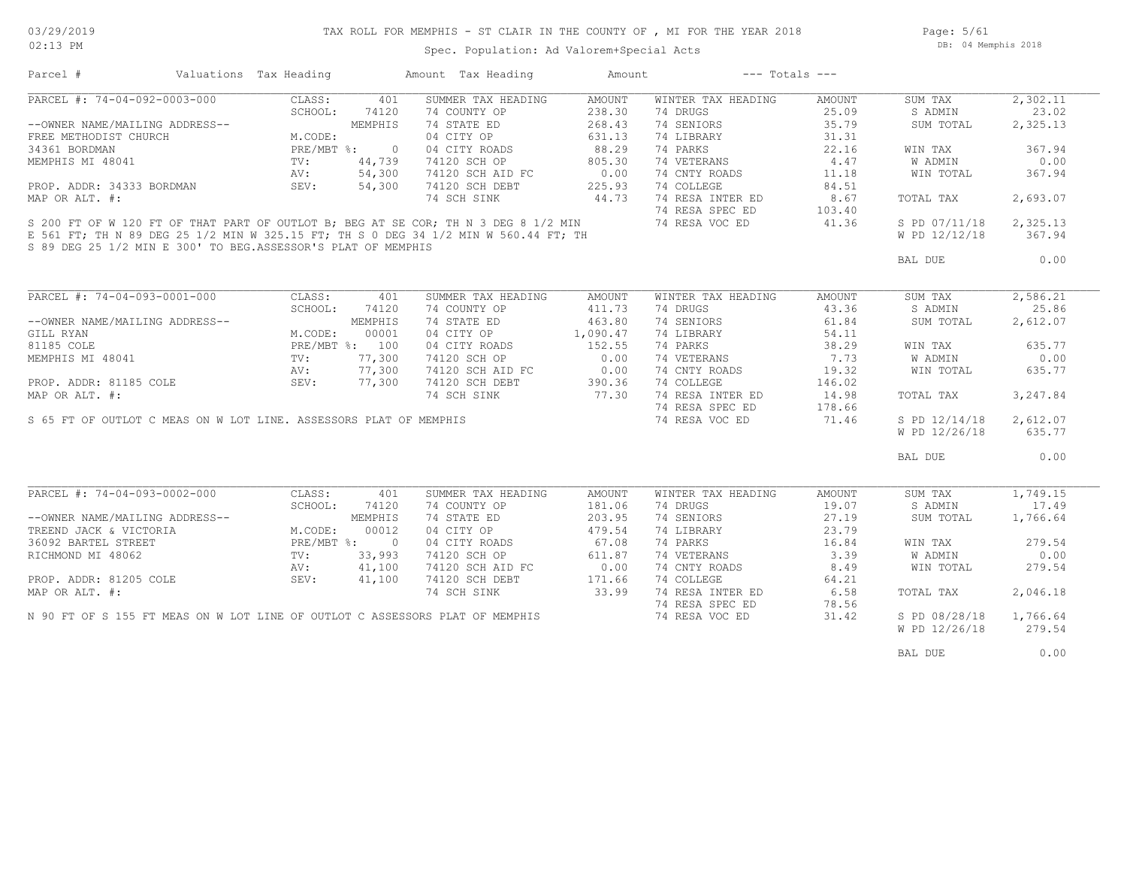Page: 5/61 DB: 04 Memphis 2018

| Parcel #                                                                                                                                 | Valuations Tax Heading                                                                                                 |         | Amount Tax Heading                           | Amount   | $---$ Totals $---$ |        |               |          |
|------------------------------------------------------------------------------------------------------------------------------------------|------------------------------------------------------------------------------------------------------------------------|---------|----------------------------------------------|----------|--------------------|--------|---------------|----------|
| PARCEL #: 74-04-092-0003-000                                                                                                             | CLASS:                                                                                                                 | 401     | SUMMER TAX HEADING                           | AMOUNT   | WINTER TAX HEADING | AMOUNT | SUM TAX       | 2,302.11 |
|                                                                                                                                          | SCHOOL:                                                                                                                | 74120   | 74 COUNTY OP                                 | 238.30   | 74 DRUGS           | 25.09  | S ADMIN       | 23.02    |
| --OWNER NAME/MAILING ADDRESS--                                                                                                           | ING ADDRESS--<br>URCH M.CODE:<br>MEMPHIS<br>M.CODE:<br>PRE/MBT %: 0<br>TV: 44,739<br>AV: 54,300<br>BORDMAN SEV: 54,300 |         | 74 STATE ED                                  | 268.43   | 74 SENIORS         | 35.79  | SUM TOTAL     | 2,325.13 |
| FREE METHODIST CHURCH                                                                                                                    |                                                                                                                        |         | 04 CITY OP                                   | 631.13   | 74 LIBRARY         | 31.31  |               |          |
| 34361 BORDMAN                                                                                                                            |                                                                                                                        |         |                                              | 88.29    | 74 PARKS           | 22.16  | WIN TAX       | 367.94   |
| MEMPHIS MI 48041                                                                                                                         |                                                                                                                        |         | 04 CITY ROADS<br>74120 SCH OP                | 805.30   | 74 VETERANS        | 4.47   | W ADMIN       | 0.00     |
|                                                                                                                                          |                                                                                                                        |         | 74120 SCH AID FC                             | 0.00     | 74 CNTY ROADS      | 11.18  | WIN TOTAL     | 367.94   |
| PROP. ADDR: 34333 BORDMAN                                                                                                                |                                                                                                                        |         | 74120 SCH DEBT                               | 225.93   | 74 COLLEGE         | 84.51  |               |          |
| MAP OR ALT. #:                                                                                                                           |                                                                                                                        |         | 74 SCH SINK                                  | 44.73    | 74 RESA INTER ED   | 8.67   | TOTAL TAX     | 2,693.07 |
|                                                                                                                                          |                                                                                                                        |         |                                              |          | 74 RESA SPEC ED    | 103.40 |               |          |
| S 200 FT OF W 120 FT OF THAT PART OF OUTLOT B; BEG AT SE COR; TH N 3 DEG 8 1/2 MIN                                                       |                                                                                                                        |         |                                              |          | 74 RESA VOC ED     | 41.36  | S PD 07/11/18 | 2,325.13 |
| E 561 FT; TH N 89 DEG 25 1/2 MIN W 325.15 FT; TH S 0 DEG 34 1/2 MIN W 560.44 FT; TH                                                      |                                                                                                                        |         |                                              |          |                    |        | W PD 12/12/18 | 367.94   |
| S 89 DEG 25 1/2 MIN E 300' TO BEG. ASSESSOR'S PLAT OF MEMPHIS                                                                            |                                                                                                                        |         |                                              |          |                    |        |               |          |
|                                                                                                                                          |                                                                                                                        |         |                                              |          |                    |        | BAL DUE       | 0.00     |
|                                                                                                                                          |                                                                                                                        |         |                                              |          |                    |        |               |          |
|                                                                                                                                          |                                                                                                                        |         |                                              |          |                    |        |               |          |
| PARCEL #: 74-04-093-0001-000                                                                                                             | CLASS:                                                                                                                 | 401     | SUMMER TAX HEADING                           | AMOUNT   | WINTER TAX HEADING | AMOUNT | SUM TAX       | 2,586.21 |
|                                                                                                                                          | SCHOOL:                                                                                                                | 74120   | 74 COUNTY OP                                 | 411.73   | 74 DRUGS           | 43.36  | S ADMIN       | 25.86    |
| --OWNER NAME/MAILING ADDRESS--                                                                                                           |                                                                                                                        | MEMPHIS | 74 STATE ED                                  | 463.80   | 74 SENIORS         | 61.84  | SUM TOTAL     | 2,612.07 |
| GILL RYAN                                                                                                                                | M.CODE:                                                                                                                | 00001   | 04 CITY OP                                   | 1,090.47 | 74 LIBRARY         | 54.11  |               |          |
|                                                                                                                                          |                                                                                                                        |         | 04 CITY ROADS                                | 152.55   | 74 PARKS           | 38.29  | WIN TAX       | 635.77   |
|                                                                                                                                          |                                                                                                                        |         | 74120 SCH OP                                 | 0.00     | 74 VETERANS        | 7.73   | W ADMIN       | 0.00     |
| 81185 COLE<br>MEMPHIS MI 48041<br>MEMPHIS MI 48041<br>PROP. ADDR: 81185 COLE<br>PROP. ADDR: 81185 COLE<br>SEV: 77,300                    |                                                                                                                        |         |                                              |          | 74 CNTY ROADS      | 19.32  | WIN TOTAL     | 635.77   |
|                                                                                                                                          |                                                                                                                        |         | $74120$ SCH AID FC $74120$ SCH DEBT $390.36$ |          | 74 COLLEGE         | 146.02 |               |          |
| MAP OR ALT. #:                                                                                                                           |                                                                                                                        |         | 74 SCH SINK 77.30                            |          | 74 RESA INTER ED   | 14.98  | TOTAL TAX     | 3,247.84 |
|                                                                                                                                          |                                                                                                                        |         |                                              |          | 74 RESA SPEC ED    | 178.66 |               |          |
| S 65 FT OF OUTLOT C MEAS ON W LOT LINE. ASSESSORS PLAT OF MEMPHIS                                                                        |                                                                                                                        |         |                                              |          |                    |        |               | 2,612.07 |
|                                                                                                                                          |                                                                                                                        |         |                                              |          | 74 RESA VOC ED     | 71.46  | S PD 12/14/18 |          |
|                                                                                                                                          |                                                                                                                        |         |                                              |          |                    |        | W PD 12/26/18 | 635.77   |
|                                                                                                                                          |                                                                                                                        |         |                                              |          |                    |        | BAL DUE       | 0.00     |
|                                                                                                                                          |                                                                                                                        |         |                                              |          |                    |        |               |          |
| PARCEL #: 74-04-093-0002-000                                                                                                             | CLASS:                                                                                                                 | 401     | SUMMER TAX HEADING                           | AMOUNT   | WINTER TAX HEADING | AMOUNT | SUM TAX       | 1,749.15 |
|                                                                                                                                          | SCHOOL:                                                                                                                | 74120   | 74 COUNTY OP                                 | 181.06   | 74 DRUGS           | 19.07  | S ADMIN       | 17.49    |
|                                                                                                                                          |                                                                                                                        |         | 74 STATE ED                                  | 203.95   | 74 SENIORS         | 27.19  | SUM TOTAL     | 1,766.64 |
|                                                                                                                                          |                                                                                                                        |         | 04 CITY OP                                   | 479.54   | 74 LIBRARY         | 23.79  |               |          |
|                                                                                                                                          |                                                                                                                        |         | 04 CITY ROADS                                | 67.08    | 74 PARKS           | 16.84  | WIN TAX       | 279.54   |
|                                                                                                                                          |                                                                                                                        |         | 74120 SCH OP                                 | 611.87   | 74 VETERANS        | 3.39   | W ADMIN       | 0.00     |
| WWWER NAME/MAILING ADDRESS--<br>TREEND JACK & VICTORIA M.CODE: 00012<br>36092 BARTEL STREET PRE/MBT %: 0<br>RICHMOND MI 48062 TV: 33,993 |                                                                                                                        |         | 74120 SCH AID FC                             | 0.00     | 74 CNTY ROADS      | 8.49   | WIN TOTAL     | 279.54   |
| PROP. ADDR: 81205 COLE                                                                                                                   | SEV:                                                                                                                   | 41,100  | 74120 SCH DEBT                               | 171.66   | 74 COLLEGE         | 64.21  |               |          |
| MAP OR ALT. #:                                                                                                                           |                                                                                                                        |         | 74 SCH SINK                                  | 33.99    | 74 RESA INTER ED   | 6.58   | TOTAL TAX     | 2,046.18 |
|                                                                                                                                          |                                                                                                                        |         |                                              |          | 74 RESA SPEC ED    | 78.56  |               |          |
| N 90 FT OF S 155 FT MEAS ON W LOT LINE OF OUTLOT C ASSESSORS PLAT OF MEMPHIS                                                             |                                                                                                                        |         |                                              |          | 74 RESA VOC ED     | 31.42  | S PD 08/28/18 | 1,766.64 |
|                                                                                                                                          |                                                                                                                        |         |                                              |          |                    |        | W PD 12/26/18 | 279.54   |
|                                                                                                                                          |                                                                                                                        |         |                                              |          |                    |        |               |          |
|                                                                                                                                          |                                                                                                                        |         |                                              |          |                    |        | BAL DUE       | 0.00     |
|                                                                                                                                          |                                                                                                                        |         |                                              |          |                    |        |               |          |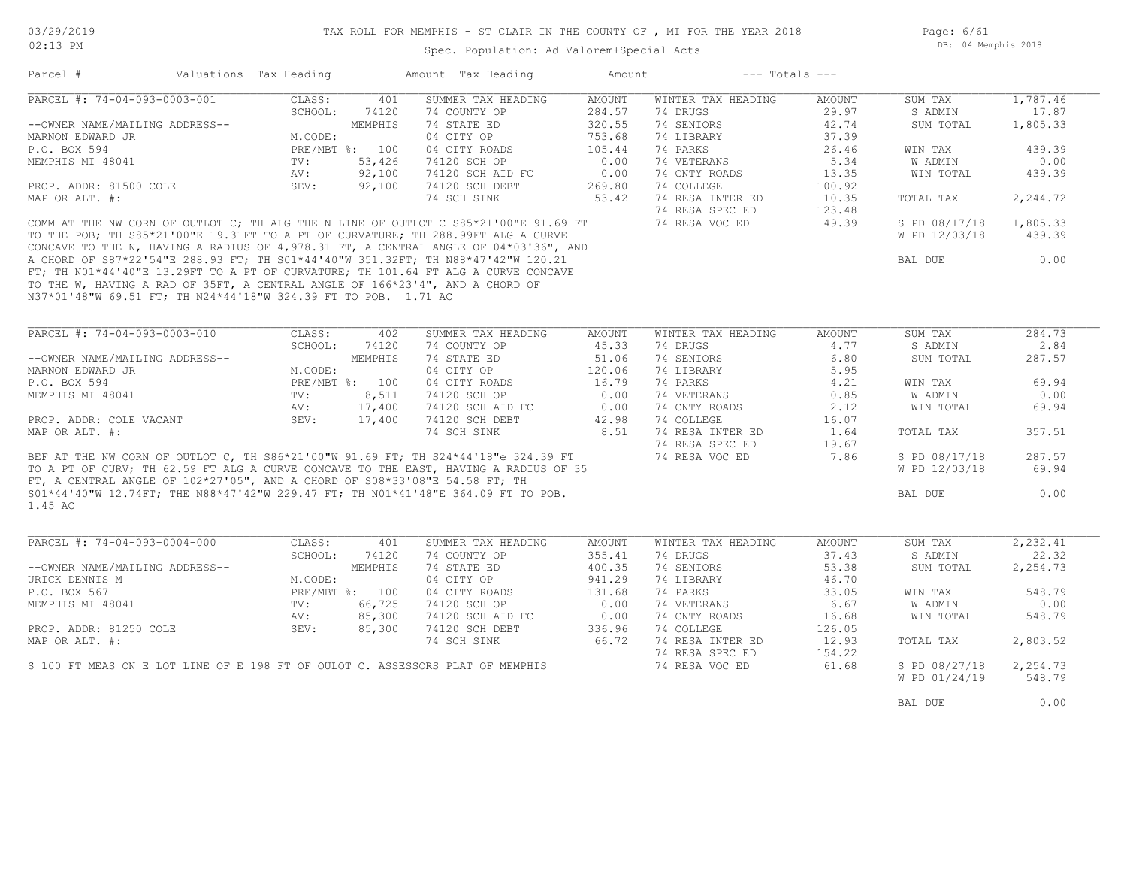Page: 6/61 DB: 04 Memphis 2018

| Parcel #<br>Valuations Tax Heading<br>Amount Tax Heading and Amount<br>--- Totals ---<br>PARCEL #: 74-04-093-0003-001<br>SUMMER TAX HEADING<br>AMOUNT<br>WINTER TAX HEADING<br>CLASS:<br>401<br>AMOUNT<br>SUM TAX<br>74 COUNTY OP<br>284.57<br>74 DRUGS<br>29.97<br>SCHOOL:<br>74120<br>S ADMIN<br>74 SENIORS<br>MEMPHIS<br>74 STATE ED<br>320.55<br>42.74<br>SUM TOTAL<br>--OWNER NAME/MAILING ADDRESS--<br>04 CITY OP<br>753.68<br>74 LIBRARY<br>37.39<br>MARNON EDWARD JR<br>M.CODE:<br>P.O. BOX 594<br>PRE/MBT %: 100<br>04 CITY ROADS<br>105.44<br>74 PARKS<br>26.46<br>WIN TAX<br>MEMPHIS MI 48041<br>TV:<br>53,426<br>74120 SCH OP<br>0.00<br>74 VETERANS<br>5.34<br><b>W ADMIN</b><br>AV:<br>92,100<br>74120 SCH AID FC<br>0.00<br>74 CNTY ROADS<br>WIN TOTAL<br>13.35<br>PROP. ADDR: 81500 COLE<br>SEV:<br>92,100<br>74120 SCH DEBT<br>269.80<br>74 COLLEGE<br>100.92<br>74 RESA INTER ED<br>MAP OR ALT. #:<br>53.42<br>10.35<br>74 SCH SINK<br>TOTAL TAX<br>74 RESA SPEC ED<br>123.48<br>74 RESA VOC ED<br>COMM AT THE NW CORN OF OUTLOT C; TH ALG THE N LINE OF OUTLOT C S85*21'00"E 91.69 FT<br>49.39<br>S PD 08/17/18<br>TO THE POB; TH S85*21'00"E 19.31FT TO A PT OF CURVATURE; TH 288.99FT ALG A CURVE<br>W PD 12/03/18<br>CONCAVE TO THE N, HAVING A RADIUS OF 4,978.31 FT, A CENTRAL ANGLE OF 04*03'36", AND<br>A CHORD OF S87*22'54"E 288.93 FT; TH S01*44'40"W 351.32FT; TH N88*47'42"W 120.21<br>FT; TH N01*44'40"E 13.29FT TO A PT OF CURVATURE; TH 101.<br>BAL DUE<br>TO THE W, HAVING A RAD OF 35FT, A CENTRAL ANGLE OF 166*23'4", AND A CHORD OF<br>N37*01'48"W 69.51 FT; TH N24*44'18"W 324.39 FT TO POB. 1.71 AC<br>PARCEL #: 74-04-093-0003-010<br>SUMMER TAX HEADING<br>WINTER TAX HEADING<br>CLASS:<br>402<br>AMOUNT<br>AMOUNT<br>SUM TAX<br>74 COUNTY OP<br>SCHOOL:<br>74120<br>45.33<br>74 DRUGS<br>4.77<br>S ADMIN<br>74 STATE ED<br>51.06<br>74 SENIORS<br>6.80<br>--OWNER NAME/MAILING ADDRESS--<br>MEMPHIS<br>SUM TOTAL<br>04 CITY OP<br>120.06<br>74 LIBRARY<br>5.95<br>MARNON EDWARD JR<br>M.CODE:<br>P.O. BOX 594<br>PRE/MBT %: 100<br>04 CITY ROADS<br>16.79<br>74 PARKS<br>4.21<br>WIN TAX<br>MEMPHIS MI 48041<br>TV:<br>8,511 74120 SCH OP<br>0.00<br>74 VETERANS<br>W ADMIN<br>0.85<br>AV:<br>17,400<br>74120 SCH AID FC<br>74120 SCH AID FC<br>0.00<br>74 CNTY ROADS<br>2.12<br>WIN TOTAL<br>69.94<br>SEV:<br>PROP. ADDR: COLE VACANT<br>17,400<br>74120 SCH DEBT<br>42.98<br>74 COLLEGE<br>16.07<br>8.51<br>74 RESA INTER ED<br>MAP OR ALT. #:<br>1.64<br>357.51<br>74 SCH SINK<br>TOTAL TAX<br>74 RESA SPEC ED<br>19.67<br>BEF AT THE NW CORN OF OUTLOT C, TH S86*21'00"W 91.69 FT; TH S24*44'18"e 324.39 FT<br>287.57<br>74 RESA VOC ED<br>7.86<br>S PD 08/17/18<br>TO A PT OF CURV; TH 62.59 FT ALG A CURVE CONCAVE TO THE EAST, HAVING A RADIUS OF 35<br>W PD 12/03/18<br>FT, A CENTRAL ANGLE OF $102*27'05''$ , AND A CHORD OF $508*33'08''E$ 54.58 FT; TH<br>S01*44'40"W 12.74FT; THE N88*47'42"W 229.47 FT; TH N01*41'48"E 364.09 FT TO POB.<br>0.00<br>BAL DUE<br>1.45 AC<br>PARCEL #: $74-04-093-0004-000$<br>2, 232.41<br>CLASS:<br>401<br>SUMMER TAX HEADING<br>WINTER TAX HEADING<br>AMOUNT<br>SUM TAX<br>AMOUNT<br>SCHOOL:<br>74120<br>74 COUNTY OP<br>355.41<br>74 DRUGS<br>37.43<br>S ADMIN<br>22.32<br>MEMPHIS<br>74 STATE ED<br>74 SENIORS<br>--OWNER NAME/MAILING ADDRESS--<br>400.35<br>53.38<br>SUM TOTAL<br>2,254.73<br>04 CITY OP<br>941.29<br>74 LIBRARY<br>46.70<br>URICK DENNIS M<br>M.CODE:<br>74 PARKS<br>P.O. BOX 567<br>PRE/MBT %: 100<br>04 CITY ROADS<br>131.68<br>33.05<br>WIN TAX<br>548.79<br>74 VETERANS<br>MEMPHIS MI 48041<br>TV:<br>66,725<br>74120 SCH OP<br>0.00<br>6.67<br>W ADMIN<br>0.00<br>85,300<br>74 CNTY ROADS<br>AV:<br>74120 SCH AID FC<br>0.00<br>16.68<br>WIN TOTAL<br>548.79<br>PROP. ADDR: 81250 COLE<br>SEV:<br>85,300<br>336.96<br>74 COLLEGE<br>74120 SCH DEBT<br>126.05<br>66.72<br>74 RESA INTER ED<br>MAP OR ALT. #:<br>74 SCH SINK<br>12.93<br>2,803.52<br>TOTAL TAX<br>74 RESA SPEC ED<br>154.22<br>S 100 FT MEAS ON E LOT LINE OF E 198 FT OF OULOT C. ASSESSORS PLAT OF MEMPHIS<br>74 RESA VOC ED<br>61.68<br>S PD 08/27/18<br>2,254.73<br>548.79<br>W PD 01/24/19<br>0.00<br>BAL DUE |  |  |  |  |                    |
|----------------------------------------------------------------------------------------------------------------------------------------------------------------------------------------------------------------------------------------------------------------------------------------------------------------------------------------------------------------------------------------------------------------------------------------------------------------------------------------------------------------------------------------------------------------------------------------------------------------------------------------------------------------------------------------------------------------------------------------------------------------------------------------------------------------------------------------------------------------------------------------------------------------------------------------------------------------------------------------------------------------------------------------------------------------------------------------------------------------------------------------------------------------------------------------------------------------------------------------------------------------------------------------------------------------------------------------------------------------------------------------------------------------------------------------------------------------------------------------------------------------------------------------------------------------------------------------------------------------------------------------------------------------------------------------------------------------------------------------------------------------------------------------------------------------------------------------------------------------------------------------------------------------------------------------------------------------------------------------------------------------------------------------------------------------------------------------------------------------------------------------------------------------------------------------------------------------------------------------------------------------------------------------------------------------------------------------------------------------------------------------------------------------------------------------------------------------------------------------------------------------------------------------------------------------------------------------------------------------------------------------------------------------------------------------------------------------------------------------------------------------------------------------------------------------------------------------------------------------------------------------------------------------------------------------------------------------------------------------------------------------------------------------------------------------------------------------------------------------------------------------------------------------------------------------------------------------------------------------------------------------------------------------------------------------------------------------------------------------------------------------------------------------------------------------------------------------------------------------------------------------------------------------------------------------------------------------------------------------------------------------------------------------------------------------------------------------------------------------------------------------------------------------------------------------------------------------------------------------------------------------------------------------------------------------------------------------------------------------------------------------------------------------------------------------------------------------------------------------------------------------------------------------------------------------------------|--|--|--|--|--------------------|
|                                                                                                                                                                                                                                                                                                                                                                                                                                                                                                                                                                                                                                                                                                                                                                                                                                                                                                                                                                                                                                                                                                                                                                                                                                                                                                                                                                                                                                                                                                                                                                                                                                                                                                                                                                                                                                                                                                                                                                                                                                                                                                                                                                                                                                                                                                                                                                                                                                                                                                                                                                                                                                                                                                                                                                                                                                                                                                                                                                                                                                                                                                                                                                                                                                                                                                                                                                                                                                                                                                                                                                                                                                                                                                                                                                                                                                                                                                                                                                                                                                                                                                                                                                                                    |  |  |  |  |                    |
|                                                                                                                                                                                                                                                                                                                                                                                                                                                                                                                                                                                                                                                                                                                                                                                                                                                                                                                                                                                                                                                                                                                                                                                                                                                                                                                                                                                                                                                                                                                                                                                                                                                                                                                                                                                                                                                                                                                                                                                                                                                                                                                                                                                                                                                                                                                                                                                                                                                                                                                                                                                                                                                                                                                                                                                                                                                                                                                                                                                                                                                                                                                                                                                                                                                                                                                                                                                                                                                                                                                                                                                                                                                                                                                                                                                                                                                                                                                                                                                                                                                                                                                                                                                                    |  |  |  |  | 1,787.46           |
|                                                                                                                                                                                                                                                                                                                                                                                                                                                                                                                                                                                                                                                                                                                                                                                                                                                                                                                                                                                                                                                                                                                                                                                                                                                                                                                                                                                                                                                                                                                                                                                                                                                                                                                                                                                                                                                                                                                                                                                                                                                                                                                                                                                                                                                                                                                                                                                                                                                                                                                                                                                                                                                                                                                                                                                                                                                                                                                                                                                                                                                                                                                                                                                                                                                                                                                                                                                                                                                                                                                                                                                                                                                                                                                                                                                                                                                                                                                                                                                                                                                                                                                                                                                                    |  |  |  |  | 17.87              |
|                                                                                                                                                                                                                                                                                                                                                                                                                                                                                                                                                                                                                                                                                                                                                                                                                                                                                                                                                                                                                                                                                                                                                                                                                                                                                                                                                                                                                                                                                                                                                                                                                                                                                                                                                                                                                                                                                                                                                                                                                                                                                                                                                                                                                                                                                                                                                                                                                                                                                                                                                                                                                                                                                                                                                                                                                                                                                                                                                                                                                                                                                                                                                                                                                                                                                                                                                                                                                                                                                                                                                                                                                                                                                                                                                                                                                                                                                                                                                                                                                                                                                                                                                                                                    |  |  |  |  | 1,805.33           |
|                                                                                                                                                                                                                                                                                                                                                                                                                                                                                                                                                                                                                                                                                                                                                                                                                                                                                                                                                                                                                                                                                                                                                                                                                                                                                                                                                                                                                                                                                                                                                                                                                                                                                                                                                                                                                                                                                                                                                                                                                                                                                                                                                                                                                                                                                                                                                                                                                                                                                                                                                                                                                                                                                                                                                                                                                                                                                                                                                                                                                                                                                                                                                                                                                                                                                                                                                                                                                                                                                                                                                                                                                                                                                                                                                                                                                                                                                                                                                                                                                                                                                                                                                                                                    |  |  |  |  |                    |
|                                                                                                                                                                                                                                                                                                                                                                                                                                                                                                                                                                                                                                                                                                                                                                                                                                                                                                                                                                                                                                                                                                                                                                                                                                                                                                                                                                                                                                                                                                                                                                                                                                                                                                                                                                                                                                                                                                                                                                                                                                                                                                                                                                                                                                                                                                                                                                                                                                                                                                                                                                                                                                                                                                                                                                                                                                                                                                                                                                                                                                                                                                                                                                                                                                                                                                                                                                                                                                                                                                                                                                                                                                                                                                                                                                                                                                                                                                                                                                                                                                                                                                                                                                                                    |  |  |  |  | 439.39             |
|                                                                                                                                                                                                                                                                                                                                                                                                                                                                                                                                                                                                                                                                                                                                                                                                                                                                                                                                                                                                                                                                                                                                                                                                                                                                                                                                                                                                                                                                                                                                                                                                                                                                                                                                                                                                                                                                                                                                                                                                                                                                                                                                                                                                                                                                                                                                                                                                                                                                                                                                                                                                                                                                                                                                                                                                                                                                                                                                                                                                                                                                                                                                                                                                                                                                                                                                                                                                                                                                                                                                                                                                                                                                                                                                                                                                                                                                                                                                                                                                                                                                                                                                                                                                    |  |  |  |  | 0.00               |
|                                                                                                                                                                                                                                                                                                                                                                                                                                                                                                                                                                                                                                                                                                                                                                                                                                                                                                                                                                                                                                                                                                                                                                                                                                                                                                                                                                                                                                                                                                                                                                                                                                                                                                                                                                                                                                                                                                                                                                                                                                                                                                                                                                                                                                                                                                                                                                                                                                                                                                                                                                                                                                                                                                                                                                                                                                                                                                                                                                                                                                                                                                                                                                                                                                                                                                                                                                                                                                                                                                                                                                                                                                                                                                                                                                                                                                                                                                                                                                                                                                                                                                                                                                                                    |  |  |  |  | 439.39             |
|                                                                                                                                                                                                                                                                                                                                                                                                                                                                                                                                                                                                                                                                                                                                                                                                                                                                                                                                                                                                                                                                                                                                                                                                                                                                                                                                                                                                                                                                                                                                                                                                                                                                                                                                                                                                                                                                                                                                                                                                                                                                                                                                                                                                                                                                                                                                                                                                                                                                                                                                                                                                                                                                                                                                                                                                                                                                                                                                                                                                                                                                                                                                                                                                                                                                                                                                                                                                                                                                                                                                                                                                                                                                                                                                                                                                                                                                                                                                                                                                                                                                                                                                                                                                    |  |  |  |  |                    |
|                                                                                                                                                                                                                                                                                                                                                                                                                                                                                                                                                                                                                                                                                                                                                                                                                                                                                                                                                                                                                                                                                                                                                                                                                                                                                                                                                                                                                                                                                                                                                                                                                                                                                                                                                                                                                                                                                                                                                                                                                                                                                                                                                                                                                                                                                                                                                                                                                                                                                                                                                                                                                                                                                                                                                                                                                                                                                                                                                                                                                                                                                                                                                                                                                                                                                                                                                                                                                                                                                                                                                                                                                                                                                                                                                                                                                                                                                                                                                                                                                                                                                                                                                                                                    |  |  |  |  | 2,244.72           |
|                                                                                                                                                                                                                                                                                                                                                                                                                                                                                                                                                                                                                                                                                                                                                                                                                                                                                                                                                                                                                                                                                                                                                                                                                                                                                                                                                                                                                                                                                                                                                                                                                                                                                                                                                                                                                                                                                                                                                                                                                                                                                                                                                                                                                                                                                                                                                                                                                                                                                                                                                                                                                                                                                                                                                                                                                                                                                                                                                                                                                                                                                                                                                                                                                                                                                                                                                                                                                                                                                                                                                                                                                                                                                                                                                                                                                                                                                                                                                                                                                                                                                                                                                                                                    |  |  |  |  |                    |
|                                                                                                                                                                                                                                                                                                                                                                                                                                                                                                                                                                                                                                                                                                                                                                                                                                                                                                                                                                                                                                                                                                                                                                                                                                                                                                                                                                                                                                                                                                                                                                                                                                                                                                                                                                                                                                                                                                                                                                                                                                                                                                                                                                                                                                                                                                                                                                                                                                                                                                                                                                                                                                                                                                                                                                                                                                                                                                                                                                                                                                                                                                                                                                                                                                                                                                                                                                                                                                                                                                                                                                                                                                                                                                                                                                                                                                                                                                                                                                                                                                                                                                                                                                                                    |  |  |  |  | 1,805.33<br>439.39 |
|                                                                                                                                                                                                                                                                                                                                                                                                                                                                                                                                                                                                                                                                                                                                                                                                                                                                                                                                                                                                                                                                                                                                                                                                                                                                                                                                                                                                                                                                                                                                                                                                                                                                                                                                                                                                                                                                                                                                                                                                                                                                                                                                                                                                                                                                                                                                                                                                                                                                                                                                                                                                                                                                                                                                                                                                                                                                                                                                                                                                                                                                                                                                                                                                                                                                                                                                                                                                                                                                                                                                                                                                                                                                                                                                                                                                                                                                                                                                                                                                                                                                                                                                                                                                    |  |  |  |  |                    |
|                                                                                                                                                                                                                                                                                                                                                                                                                                                                                                                                                                                                                                                                                                                                                                                                                                                                                                                                                                                                                                                                                                                                                                                                                                                                                                                                                                                                                                                                                                                                                                                                                                                                                                                                                                                                                                                                                                                                                                                                                                                                                                                                                                                                                                                                                                                                                                                                                                                                                                                                                                                                                                                                                                                                                                                                                                                                                                                                                                                                                                                                                                                                                                                                                                                                                                                                                                                                                                                                                                                                                                                                                                                                                                                                                                                                                                                                                                                                                                                                                                                                                                                                                                                                    |  |  |  |  | 0.00               |
|                                                                                                                                                                                                                                                                                                                                                                                                                                                                                                                                                                                                                                                                                                                                                                                                                                                                                                                                                                                                                                                                                                                                                                                                                                                                                                                                                                                                                                                                                                                                                                                                                                                                                                                                                                                                                                                                                                                                                                                                                                                                                                                                                                                                                                                                                                                                                                                                                                                                                                                                                                                                                                                                                                                                                                                                                                                                                                                                                                                                                                                                                                                                                                                                                                                                                                                                                                                                                                                                                                                                                                                                                                                                                                                                                                                                                                                                                                                                                                                                                                                                                                                                                                                                    |  |  |  |  |                    |
|                                                                                                                                                                                                                                                                                                                                                                                                                                                                                                                                                                                                                                                                                                                                                                                                                                                                                                                                                                                                                                                                                                                                                                                                                                                                                                                                                                                                                                                                                                                                                                                                                                                                                                                                                                                                                                                                                                                                                                                                                                                                                                                                                                                                                                                                                                                                                                                                                                                                                                                                                                                                                                                                                                                                                                                                                                                                                                                                                                                                                                                                                                                                                                                                                                                                                                                                                                                                                                                                                                                                                                                                                                                                                                                                                                                                                                                                                                                                                                                                                                                                                                                                                                                                    |  |  |  |  |                    |
|                                                                                                                                                                                                                                                                                                                                                                                                                                                                                                                                                                                                                                                                                                                                                                                                                                                                                                                                                                                                                                                                                                                                                                                                                                                                                                                                                                                                                                                                                                                                                                                                                                                                                                                                                                                                                                                                                                                                                                                                                                                                                                                                                                                                                                                                                                                                                                                                                                                                                                                                                                                                                                                                                                                                                                                                                                                                                                                                                                                                                                                                                                                                                                                                                                                                                                                                                                                                                                                                                                                                                                                                                                                                                                                                                                                                                                                                                                                                                                                                                                                                                                                                                                                                    |  |  |  |  |                    |
|                                                                                                                                                                                                                                                                                                                                                                                                                                                                                                                                                                                                                                                                                                                                                                                                                                                                                                                                                                                                                                                                                                                                                                                                                                                                                                                                                                                                                                                                                                                                                                                                                                                                                                                                                                                                                                                                                                                                                                                                                                                                                                                                                                                                                                                                                                                                                                                                                                                                                                                                                                                                                                                                                                                                                                                                                                                                                                                                                                                                                                                                                                                                                                                                                                                                                                                                                                                                                                                                                                                                                                                                                                                                                                                                                                                                                                                                                                                                                                                                                                                                                                                                                                                                    |  |  |  |  |                    |
|                                                                                                                                                                                                                                                                                                                                                                                                                                                                                                                                                                                                                                                                                                                                                                                                                                                                                                                                                                                                                                                                                                                                                                                                                                                                                                                                                                                                                                                                                                                                                                                                                                                                                                                                                                                                                                                                                                                                                                                                                                                                                                                                                                                                                                                                                                                                                                                                                                                                                                                                                                                                                                                                                                                                                                                                                                                                                                                                                                                                                                                                                                                                                                                                                                                                                                                                                                                                                                                                                                                                                                                                                                                                                                                                                                                                                                                                                                                                                                                                                                                                                                                                                                                                    |  |  |  |  | 284.73             |
|                                                                                                                                                                                                                                                                                                                                                                                                                                                                                                                                                                                                                                                                                                                                                                                                                                                                                                                                                                                                                                                                                                                                                                                                                                                                                                                                                                                                                                                                                                                                                                                                                                                                                                                                                                                                                                                                                                                                                                                                                                                                                                                                                                                                                                                                                                                                                                                                                                                                                                                                                                                                                                                                                                                                                                                                                                                                                                                                                                                                                                                                                                                                                                                                                                                                                                                                                                                                                                                                                                                                                                                                                                                                                                                                                                                                                                                                                                                                                                                                                                                                                                                                                                                                    |  |  |  |  | 2.84               |
|                                                                                                                                                                                                                                                                                                                                                                                                                                                                                                                                                                                                                                                                                                                                                                                                                                                                                                                                                                                                                                                                                                                                                                                                                                                                                                                                                                                                                                                                                                                                                                                                                                                                                                                                                                                                                                                                                                                                                                                                                                                                                                                                                                                                                                                                                                                                                                                                                                                                                                                                                                                                                                                                                                                                                                                                                                                                                                                                                                                                                                                                                                                                                                                                                                                                                                                                                                                                                                                                                                                                                                                                                                                                                                                                                                                                                                                                                                                                                                                                                                                                                                                                                                                                    |  |  |  |  | 287.57             |
|                                                                                                                                                                                                                                                                                                                                                                                                                                                                                                                                                                                                                                                                                                                                                                                                                                                                                                                                                                                                                                                                                                                                                                                                                                                                                                                                                                                                                                                                                                                                                                                                                                                                                                                                                                                                                                                                                                                                                                                                                                                                                                                                                                                                                                                                                                                                                                                                                                                                                                                                                                                                                                                                                                                                                                                                                                                                                                                                                                                                                                                                                                                                                                                                                                                                                                                                                                                                                                                                                                                                                                                                                                                                                                                                                                                                                                                                                                                                                                                                                                                                                                                                                                                                    |  |  |  |  |                    |
|                                                                                                                                                                                                                                                                                                                                                                                                                                                                                                                                                                                                                                                                                                                                                                                                                                                                                                                                                                                                                                                                                                                                                                                                                                                                                                                                                                                                                                                                                                                                                                                                                                                                                                                                                                                                                                                                                                                                                                                                                                                                                                                                                                                                                                                                                                                                                                                                                                                                                                                                                                                                                                                                                                                                                                                                                                                                                                                                                                                                                                                                                                                                                                                                                                                                                                                                                                                                                                                                                                                                                                                                                                                                                                                                                                                                                                                                                                                                                                                                                                                                                                                                                                                                    |  |  |  |  | 69.94              |
|                                                                                                                                                                                                                                                                                                                                                                                                                                                                                                                                                                                                                                                                                                                                                                                                                                                                                                                                                                                                                                                                                                                                                                                                                                                                                                                                                                                                                                                                                                                                                                                                                                                                                                                                                                                                                                                                                                                                                                                                                                                                                                                                                                                                                                                                                                                                                                                                                                                                                                                                                                                                                                                                                                                                                                                                                                                                                                                                                                                                                                                                                                                                                                                                                                                                                                                                                                                                                                                                                                                                                                                                                                                                                                                                                                                                                                                                                                                                                                                                                                                                                                                                                                                                    |  |  |  |  | 0.00               |
|                                                                                                                                                                                                                                                                                                                                                                                                                                                                                                                                                                                                                                                                                                                                                                                                                                                                                                                                                                                                                                                                                                                                                                                                                                                                                                                                                                                                                                                                                                                                                                                                                                                                                                                                                                                                                                                                                                                                                                                                                                                                                                                                                                                                                                                                                                                                                                                                                                                                                                                                                                                                                                                                                                                                                                                                                                                                                                                                                                                                                                                                                                                                                                                                                                                                                                                                                                                                                                                                                                                                                                                                                                                                                                                                                                                                                                                                                                                                                                                                                                                                                                                                                                                                    |  |  |  |  |                    |
|                                                                                                                                                                                                                                                                                                                                                                                                                                                                                                                                                                                                                                                                                                                                                                                                                                                                                                                                                                                                                                                                                                                                                                                                                                                                                                                                                                                                                                                                                                                                                                                                                                                                                                                                                                                                                                                                                                                                                                                                                                                                                                                                                                                                                                                                                                                                                                                                                                                                                                                                                                                                                                                                                                                                                                                                                                                                                                                                                                                                                                                                                                                                                                                                                                                                                                                                                                                                                                                                                                                                                                                                                                                                                                                                                                                                                                                                                                                                                                                                                                                                                                                                                                                                    |  |  |  |  |                    |
|                                                                                                                                                                                                                                                                                                                                                                                                                                                                                                                                                                                                                                                                                                                                                                                                                                                                                                                                                                                                                                                                                                                                                                                                                                                                                                                                                                                                                                                                                                                                                                                                                                                                                                                                                                                                                                                                                                                                                                                                                                                                                                                                                                                                                                                                                                                                                                                                                                                                                                                                                                                                                                                                                                                                                                                                                                                                                                                                                                                                                                                                                                                                                                                                                                                                                                                                                                                                                                                                                                                                                                                                                                                                                                                                                                                                                                                                                                                                                                                                                                                                                                                                                                                                    |  |  |  |  |                    |
|                                                                                                                                                                                                                                                                                                                                                                                                                                                                                                                                                                                                                                                                                                                                                                                                                                                                                                                                                                                                                                                                                                                                                                                                                                                                                                                                                                                                                                                                                                                                                                                                                                                                                                                                                                                                                                                                                                                                                                                                                                                                                                                                                                                                                                                                                                                                                                                                                                                                                                                                                                                                                                                                                                                                                                                                                                                                                                                                                                                                                                                                                                                                                                                                                                                                                                                                                                                                                                                                                                                                                                                                                                                                                                                                                                                                                                                                                                                                                                                                                                                                                                                                                                                                    |  |  |  |  |                    |
|                                                                                                                                                                                                                                                                                                                                                                                                                                                                                                                                                                                                                                                                                                                                                                                                                                                                                                                                                                                                                                                                                                                                                                                                                                                                                                                                                                                                                                                                                                                                                                                                                                                                                                                                                                                                                                                                                                                                                                                                                                                                                                                                                                                                                                                                                                                                                                                                                                                                                                                                                                                                                                                                                                                                                                                                                                                                                                                                                                                                                                                                                                                                                                                                                                                                                                                                                                                                                                                                                                                                                                                                                                                                                                                                                                                                                                                                                                                                                                                                                                                                                                                                                                                                    |  |  |  |  |                    |
|                                                                                                                                                                                                                                                                                                                                                                                                                                                                                                                                                                                                                                                                                                                                                                                                                                                                                                                                                                                                                                                                                                                                                                                                                                                                                                                                                                                                                                                                                                                                                                                                                                                                                                                                                                                                                                                                                                                                                                                                                                                                                                                                                                                                                                                                                                                                                                                                                                                                                                                                                                                                                                                                                                                                                                                                                                                                                                                                                                                                                                                                                                                                                                                                                                                                                                                                                                                                                                                                                                                                                                                                                                                                                                                                                                                                                                                                                                                                                                                                                                                                                                                                                                                                    |  |  |  |  | 69.94              |
|                                                                                                                                                                                                                                                                                                                                                                                                                                                                                                                                                                                                                                                                                                                                                                                                                                                                                                                                                                                                                                                                                                                                                                                                                                                                                                                                                                                                                                                                                                                                                                                                                                                                                                                                                                                                                                                                                                                                                                                                                                                                                                                                                                                                                                                                                                                                                                                                                                                                                                                                                                                                                                                                                                                                                                                                                                                                                                                                                                                                                                                                                                                                                                                                                                                                                                                                                                                                                                                                                                                                                                                                                                                                                                                                                                                                                                                                                                                                                                                                                                                                                                                                                                                                    |  |  |  |  |                    |
|                                                                                                                                                                                                                                                                                                                                                                                                                                                                                                                                                                                                                                                                                                                                                                                                                                                                                                                                                                                                                                                                                                                                                                                                                                                                                                                                                                                                                                                                                                                                                                                                                                                                                                                                                                                                                                                                                                                                                                                                                                                                                                                                                                                                                                                                                                                                                                                                                                                                                                                                                                                                                                                                                                                                                                                                                                                                                                                                                                                                                                                                                                                                                                                                                                                                                                                                                                                                                                                                                                                                                                                                                                                                                                                                                                                                                                                                                                                                                                                                                                                                                                                                                                                                    |  |  |  |  |                    |
|                                                                                                                                                                                                                                                                                                                                                                                                                                                                                                                                                                                                                                                                                                                                                                                                                                                                                                                                                                                                                                                                                                                                                                                                                                                                                                                                                                                                                                                                                                                                                                                                                                                                                                                                                                                                                                                                                                                                                                                                                                                                                                                                                                                                                                                                                                                                                                                                                                                                                                                                                                                                                                                                                                                                                                                                                                                                                                                                                                                                                                                                                                                                                                                                                                                                                                                                                                                                                                                                                                                                                                                                                                                                                                                                                                                                                                                                                                                                                                                                                                                                                                                                                                                                    |  |  |  |  |                    |
|                                                                                                                                                                                                                                                                                                                                                                                                                                                                                                                                                                                                                                                                                                                                                                                                                                                                                                                                                                                                                                                                                                                                                                                                                                                                                                                                                                                                                                                                                                                                                                                                                                                                                                                                                                                                                                                                                                                                                                                                                                                                                                                                                                                                                                                                                                                                                                                                                                                                                                                                                                                                                                                                                                                                                                                                                                                                                                                                                                                                                                                                                                                                                                                                                                                                                                                                                                                                                                                                                                                                                                                                                                                                                                                                                                                                                                                                                                                                                                                                                                                                                                                                                                                                    |  |  |  |  |                    |
|                                                                                                                                                                                                                                                                                                                                                                                                                                                                                                                                                                                                                                                                                                                                                                                                                                                                                                                                                                                                                                                                                                                                                                                                                                                                                                                                                                                                                                                                                                                                                                                                                                                                                                                                                                                                                                                                                                                                                                                                                                                                                                                                                                                                                                                                                                                                                                                                                                                                                                                                                                                                                                                                                                                                                                                                                                                                                                                                                                                                                                                                                                                                                                                                                                                                                                                                                                                                                                                                                                                                                                                                                                                                                                                                                                                                                                                                                                                                                                                                                                                                                                                                                                                                    |  |  |  |  |                    |
|                                                                                                                                                                                                                                                                                                                                                                                                                                                                                                                                                                                                                                                                                                                                                                                                                                                                                                                                                                                                                                                                                                                                                                                                                                                                                                                                                                                                                                                                                                                                                                                                                                                                                                                                                                                                                                                                                                                                                                                                                                                                                                                                                                                                                                                                                                                                                                                                                                                                                                                                                                                                                                                                                                                                                                                                                                                                                                                                                                                                                                                                                                                                                                                                                                                                                                                                                                                                                                                                                                                                                                                                                                                                                                                                                                                                                                                                                                                                                                                                                                                                                                                                                                                                    |  |  |  |  |                    |
|                                                                                                                                                                                                                                                                                                                                                                                                                                                                                                                                                                                                                                                                                                                                                                                                                                                                                                                                                                                                                                                                                                                                                                                                                                                                                                                                                                                                                                                                                                                                                                                                                                                                                                                                                                                                                                                                                                                                                                                                                                                                                                                                                                                                                                                                                                                                                                                                                                                                                                                                                                                                                                                                                                                                                                                                                                                                                                                                                                                                                                                                                                                                                                                                                                                                                                                                                                                                                                                                                                                                                                                                                                                                                                                                                                                                                                                                                                                                                                                                                                                                                                                                                                                                    |  |  |  |  |                    |
|                                                                                                                                                                                                                                                                                                                                                                                                                                                                                                                                                                                                                                                                                                                                                                                                                                                                                                                                                                                                                                                                                                                                                                                                                                                                                                                                                                                                                                                                                                                                                                                                                                                                                                                                                                                                                                                                                                                                                                                                                                                                                                                                                                                                                                                                                                                                                                                                                                                                                                                                                                                                                                                                                                                                                                                                                                                                                                                                                                                                                                                                                                                                                                                                                                                                                                                                                                                                                                                                                                                                                                                                                                                                                                                                                                                                                                                                                                                                                                                                                                                                                                                                                                                                    |  |  |  |  |                    |
|                                                                                                                                                                                                                                                                                                                                                                                                                                                                                                                                                                                                                                                                                                                                                                                                                                                                                                                                                                                                                                                                                                                                                                                                                                                                                                                                                                                                                                                                                                                                                                                                                                                                                                                                                                                                                                                                                                                                                                                                                                                                                                                                                                                                                                                                                                                                                                                                                                                                                                                                                                                                                                                                                                                                                                                                                                                                                                                                                                                                                                                                                                                                                                                                                                                                                                                                                                                                                                                                                                                                                                                                                                                                                                                                                                                                                                                                                                                                                                                                                                                                                                                                                                                                    |  |  |  |  |                    |
|                                                                                                                                                                                                                                                                                                                                                                                                                                                                                                                                                                                                                                                                                                                                                                                                                                                                                                                                                                                                                                                                                                                                                                                                                                                                                                                                                                                                                                                                                                                                                                                                                                                                                                                                                                                                                                                                                                                                                                                                                                                                                                                                                                                                                                                                                                                                                                                                                                                                                                                                                                                                                                                                                                                                                                                                                                                                                                                                                                                                                                                                                                                                                                                                                                                                                                                                                                                                                                                                                                                                                                                                                                                                                                                                                                                                                                                                                                                                                                                                                                                                                                                                                                                                    |  |  |  |  |                    |
|                                                                                                                                                                                                                                                                                                                                                                                                                                                                                                                                                                                                                                                                                                                                                                                                                                                                                                                                                                                                                                                                                                                                                                                                                                                                                                                                                                                                                                                                                                                                                                                                                                                                                                                                                                                                                                                                                                                                                                                                                                                                                                                                                                                                                                                                                                                                                                                                                                                                                                                                                                                                                                                                                                                                                                                                                                                                                                                                                                                                                                                                                                                                                                                                                                                                                                                                                                                                                                                                                                                                                                                                                                                                                                                                                                                                                                                                                                                                                                                                                                                                                                                                                                                                    |  |  |  |  |                    |
|                                                                                                                                                                                                                                                                                                                                                                                                                                                                                                                                                                                                                                                                                                                                                                                                                                                                                                                                                                                                                                                                                                                                                                                                                                                                                                                                                                                                                                                                                                                                                                                                                                                                                                                                                                                                                                                                                                                                                                                                                                                                                                                                                                                                                                                                                                                                                                                                                                                                                                                                                                                                                                                                                                                                                                                                                                                                                                                                                                                                                                                                                                                                                                                                                                                                                                                                                                                                                                                                                                                                                                                                                                                                                                                                                                                                                                                                                                                                                                                                                                                                                                                                                                                                    |  |  |  |  |                    |
|                                                                                                                                                                                                                                                                                                                                                                                                                                                                                                                                                                                                                                                                                                                                                                                                                                                                                                                                                                                                                                                                                                                                                                                                                                                                                                                                                                                                                                                                                                                                                                                                                                                                                                                                                                                                                                                                                                                                                                                                                                                                                                                                                                                                                                                                                                                                                                                                                                                                                                                                                                                                                                                                                                                                                                                                                                                                                                                                                                                                                                                                                                                                                                                                                                                                                                                                                                                                                                                                                                                                                                                                                                                                                                                                                                                                                                                                                                                                                                                                                                                                                                                                                                                                    |  |  |  |  |                    |
|                                                                                                                                                                                                                                                                                                                                                                                                                                                                                                                                                                                                                                                                                                                                                                                                                                                                                                                                                                                                                                                                                                                                                                                                                                                                                                                                                                                                                                                                                                                                                                                                                                                                                                                                                                                                                                                                                                                                                                                                                                                                                                                                                                                                                                                                                                                                                                                                                                                                                                                                                                                                                                                                                                                                                                                                                                                                                                                                                                                                                                                                                                                                                                                                                                                                                                                                                                                                                                                                                                                                                                                                                                                                                                                                                                                                                                                                                                                                                                                                                                                                                                                                                                                                    |  |  |  |  |                    |
|                                                                                                                                                                                                                                                                                                                                                                                                                                                                                                                                                                                                                                                                                                                                                                                                                                                                                                                                                                                                                                                                                                                                                                                                                                                                                                                                                                                                                                                                                                                                                                                                                                                                                                                                                                                                                                                                                                                                                                                                                                                                                                                                                                                                                                                                                                                                                                                                                                                                                                                                                                                                                                                                                                                                                                                                                                                                                                                                                                                                                                                                                                                                                                                                                                                                                                                                                                                                                                                                                                                                                                                                                                                                                                                                                                                                                                                                                                                                                                                                                                                                                                                                                                                                    |  |  |  |  |                    |
|                                                                                                                                                                                                                                                                                                                                                                                                                                                                                                                                                                                                                                                                                                                                                                                                                                                                                                                                                                                                                                                                                                                                                                                                                                                                                                                                                                                                                                                                                                                                                                                                                                                                                                                                                                                                                                                                                                                                                                                                                                                                                                                                                                                                                                                                                                                                                                                                                                                                                                                                                                                                                                                                                                                                                                                                                                                                                                                                                                                                                                                                                                                                                                                                                                                                                                                                                                                                                                                                                                                                                                                                                                                                                                                                                                                                                                                                                                                                                                                                                                                                                                                                                                                                    |  |  |  |  |                    |
|                                                                                                                                                                                                                                                                                                                                                                                                                                                                                                                                                                                                                                                                                                                                                                                                                                                                                                                                                                                                                                                                                                                                                                                                                                                                                                                                                                                                                                                                                                                                                                                                                                                                                                                                                                                                                                                                                                                                                                                                                                                                                                                                                                                                                                                                                                                                                                                                                                                                                                                                                                                                                                                                                                                                                                                                                                                                                                                                                                                                                                                                                                                                                                                                                                                                                                                                                                                                                                                                                                                                                                                                                                                                                                                                                                                                                                                                                                                                                                                                                                                                                                                                                                                                    |  |  |  |  |                    |
|                                                                                                                                                                                                                                                                                                                                                                                                                                                                                                                                                                                                                                                                                                                                                                                                                                                                                                                                                                                                                                                                                                                                                                                                                                                                                                                                                                                                                                                                                                                                                                                                                                                                                                                                                                                                                                                                                                                                                                                                                                                                                                                                                                                                                                                                                                                                                                                                                                                                                                                                                                                                                                                                                                                                                                                                                                                                                                                                                                                                                                                                                                                                                                                                                                                                                                                                                                                                                                                                                                                                                                                                                                                                                                                                                                                                                                                                                                                                                                                                                                                                                                                                                                                                    |  |  |  |  |                    |
|                                                                                                                                                                                                                                                                                                                                                                                                                                                                                                                                                                                                                                                                                                                                                                                                                                                                                                                                                                                                                                                                                                                                                                                                                                                                                                                                                                                                                                                                                                                                                                                                                                                                                                                                                                                                                                                                                                                                                                                                                                                                                                                                                                                                                                                                                                                                                                                                                                                                                                                                                                                                                                                                                                                                                                                                                                                                                                                                                                                                                                                                                                                                                                                                                                                                                                                                                                                                                                                                                                                                                                                                                                                                                                                                                                                                                                                                                                                                                                                                                                                                                                                                                                                                    |  |  |  |  |                    |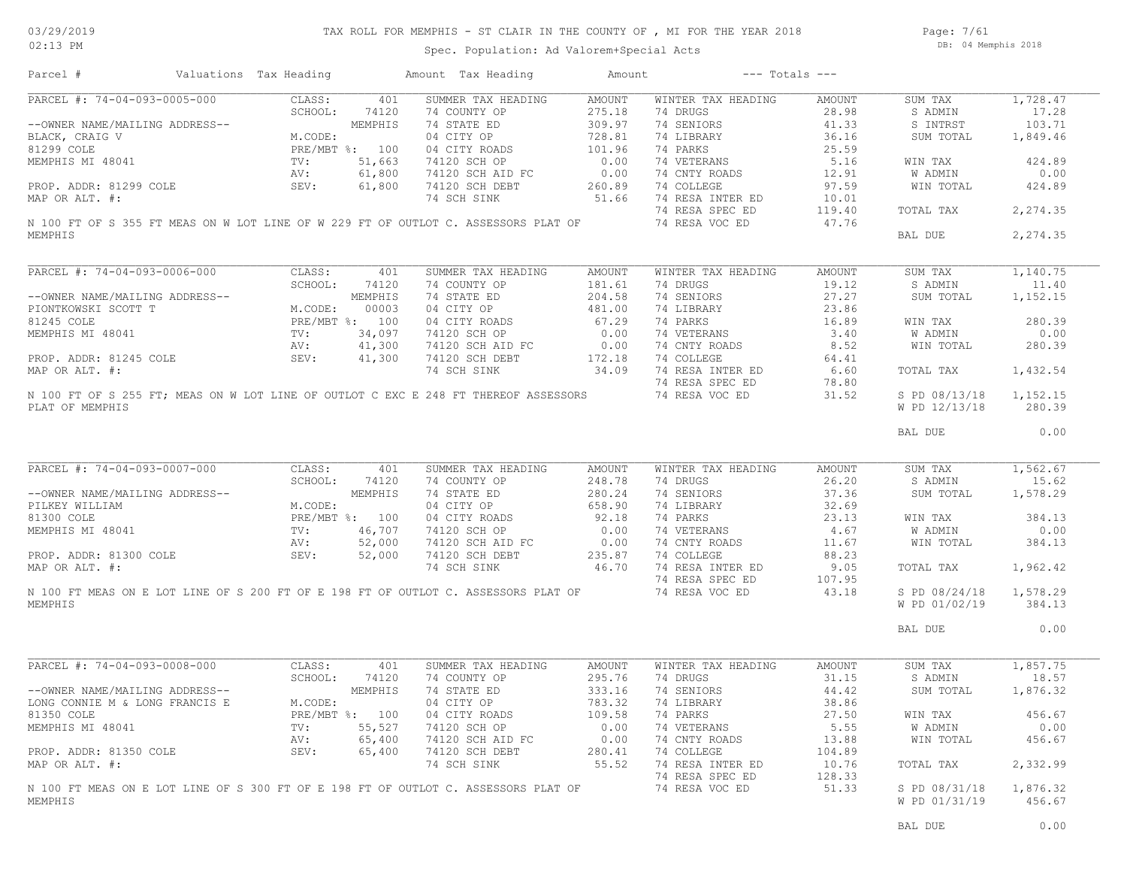Page: 7/61 DB: 04 Memphis 2018

| Parcel #                       | Valuations Tax Heading |                | Amount Tax Heading                                                                  | Amount |                    | $---$ Totals $---$ |                                |                    |
|--------------------------------|------------------------|----------------|-------------------------------------------------------------------------------------|--------|--------------------|--------------------|--------------------------------|--------------------|
| PARCEL #: 74-04-093-0005-000   | CLASS:                 | 401            | SUMMER TAX HEADING                                                                  | AMOUNT | WINTER TAX HEADING | AMOUNT             | SUM TAX                        | 1,728.47           |
|                                | SCHOOL:                | 74120          | 74 COUNTY OP                                                                        | 275.18 | 74 DRUGS           | 28.98              | S ADMIN                        | 17.28              |
| --OWNER NAME/MAILING ADDRESS-- |                        | MEMPHIS        | 74 STATE ED                                                                         | 309.97 | 74 SENIORS         | 41.33              | S INTRST                       | 103.71             |
| BLACK, CRAIG V                 | M.CODE:                |                | 04 CITY OP                                                                          | 728.81 | 74 LIBRARY         | 36.16              | SUM TOTAL                      | 1,849.46           |
| 81299 COLE                     |                        | PRE/MBT %: 100 | 04 CITY ROADS                                                                       | 101.96 | 74 PARKS           | 25.59              |                                |                    |
| MEMPHIS MI 48041               | $\texttt{TV}$ :        | 51,663         | 74120 SCH OP                                                                        | 0.00   | 74 VETERANS        | 5.16               | WIN TAX                        | 424.89             |
|                                |                        |                |                                                                                     |        |                    |                    |                                |                    |
|                                | AV:                    | 61,800         | 74120 SCH AID FC                                                                    | 0.00   | 74 CNTY ROADS      | 12.91              | W ADMIN                        | 0.00               |
| PROP. ADDR: 81299 COLE         | SEV:                   | 61,800         | 74120 SCH DEBT                                                                      | 260.89 | 74 COLLEGE         | 97.59              | WIN TOTAL                      | 424.89             |
| MAP OR ALT. #:                 |                        |                | 74 SCH SINK                                                                         | 51.66  | 74 RESA INTER ED   | 10.01              |                                |                    |
|                                |                        |                |                                                                                     |        | 74 RESA SPEC ED    | 119.40             | TOTAL TAX                      | 2,274.35           |
|                                |                        |                | N 100 FT OF S 355 FT MEAS ON W LOT LINE OF W 229 FT OF OUTLOT C. ASSESSORS PLAT OF  |        | 74 RESA VOC ED     | 47.76              |                                |                    |
| MEMPHIS                        |                        |                |                                                                                     |        |                    |                    | BAL DUE                        | 2,274.35           |
|                                |                        |                |                                                                                     |        |                    |                    |                                |                    |
| PARCEL #: 74-04-093-0006-000   | CLASS:                 | 401            | SUMMER TAX HEADING                                                                  | AMOUNT | WINTER TAX HEADING | AMOUNT             | SUM TAX                        | 1,140.75           |
|                                | SCHOOL:                | 74120          | 74 COUNTY OP                                                                        | 181.61 | 74 DRUGS           | 19.12              | S ADMIN                        | 11.40              |
| --OWNER NAME/MAILING ADDRESS-- |                        | MEMPHIS        | 74 STATE ED                                                                         | 204.58 | 74 SENIORS         | 27.27              | SUM TOTAL                      | 1,152.15           |
| PIONTKOWSKI SCOTT T            | M.CODE:                | 00003          | 04 CITY OP                                                                          | 481.00 | 74 LIBRARY         | 23.86              |                                |                    |
| 81245 COLE                     |                        | PRE/MBT %: 100 | 04 CITY ROADS                                                                       | 67.29  | 74 PARKS           | 16.89              | WIN TAX                        | 280.39             |
| MEMPHIS MI 48041               | $\texttt{TV}$ :        | 34,097         | 74120 SCH OP                                                                        | 0.00   | 74 VETERANS        | 3.40               | W ADMIN                        | 0.00               |
|                                | AV:                    | 41,300         | 74120 SCH AID FC                                                                    | 0.00   | 74 CNTY ROADS      | 8.52               | WIN TOTAL                      | 280.39             |
| PROP. ADDR: 81245 COLE         | SEV:                   | 41,300         | 74120 SCH DEBT                                                                      | 172.18 | 74 COLLEGE         | 64.41              |                                |                    |
|                                |                        |                |                                                                                     | 34.09  |                    |                    |                                |                    |
| MAP OR ALT. #:                 |                        |                | 74 SCH SINK                                                                         |        | 74 RESA INTER ED   | 6.60               | TOTAL TAX                      | 1,432.54           |
|                                |                        |                |                                                                                     |        | 74 RESA SPEC ED    | 78.80              |                                |                    |
| PLAT OF MEMPHIS                |                        |                | N 100 FT OF S 255 FT; MEAS ON W LOT LINE OF OUTLOT C EXC E 248 FT THEREOF ASSESSORS |        | 74 RESA VOC ED     | 31.52              | S PD 08/13/18<br>W PD 12/13/18 | 1,152.15<br>280.39 |
|                                |                        |                |                                                                                     |        |                    |                    |                                | 0.00               |
|                                |                        |                |                                                                                     |        |                    |                    | BAL DUE                        |                    |
| PARCEL #: 74-04-093-0007-000   | CLASS:                 | 401            | SUMMER TAX HEADING                                                                  | AMOUNT | WINTER TAX HEADING | AMOUNT             | SUM TAX                        | 1,562.67           |
|                                | SCHOOL:                | 74120          | 74 COUNTY OP                                                                        | 248.78 | 74 DRUGS           | 26.20              | S ADMIN                        | 15.62              |
| --OWNER NAME/MAILING ADDRESS-- |                        | MEMPHIS        | 74 STATE ED                                                                         | 280.24 | 74 SENIORS         | 37.36              | SUM TOTAL                      | 1,578.29           |
| PILKEY WILLIAM                 | M.CODE:                |                | 04 CITY OP                                                                          | 658.90 | 74 LIBRARY         | 32.69              |                                |                    |
|                                |                        |                |                                                                                     |        |                    |                    |                                |                    |
| 81300 COLE                     |                        | PRE/MBT %: 100 | 04 CITY ROADS                                                                       | 92.18  | 74 PARKS           | 23.13              | WIN TAX                        | 384.13             |
| MEMPHIS MI 48041               | $TV$ :                 | 46,707         | 74120 SCH OP                                                                        | 0.00   | 74 VETERANS        | 4.67               | W ADMIN                        | 0.00               |
|                                | AV:                    | 52,000         | 74120 SCH AID FC                                                                    | 0.00   | 74 CNTY ROADS      | 11.67              | WIN TOTAL                      | 384.13             |
| PROP. ADDR: 81300 COLE         | SEV:                   | 52,000         | 74120 SCH DEBT                                                                      | 235.87 | 74 COLLEGE         | 88.23              |                                |                    |
| MAP OR ALT. #:                 |                        |                | 74 SCH SINK                                                                         | 46.70  | 74 RESA INTER ED   | 9.05               | TOTAL TAX                      | 1,962.42           |
|                                |                        |                |                                                                                     |        | 74 RESA SPEC ED    | 107.95             |                                |                    |
|                                |                        |                | N 100 FT MEAS ON E LOT LINE OF S 200 FT OF E 198 FT OF OUTLOT C. ASSESSORS PLAT OF  |        | 74 RESA VOC ED     | 43.18              | S PD 08/24/18                  | 1,578.29           |
| MEMPHIS                        |                        |                |                                                                                     |        |                    |                    | W PD 01/02/19                  | 384.13             |
|                                |                        |                |                                                                                     |        |                    |                    | BAL DUE                        | 0.00               |
|                                |                        |                |                                                                                     |        |                    |                    |                                |                    |
| PARCEL #: 74-04-093-0008-000   | CLASS:                 | 401            | SUMMER TAX HEADING                                                                  | AMOUNT | WINTER TAX HEADING | AMOUNT             | SUM TAX                        | 1,857.75           |
|                                | SCHOOL:                | 74120          | 74 COUNTY OP                                                                        | 295.76 | 74 DRUGS           | 31.15              | S ADMIN                        | 18.57              |
| --OWNER NAME/MAILING ADDRESS-- |                        | MEMPHIS        | 74 STATE ED                                                                         | 333.16 | 74 SENIORS         | 44.42              | SUM TOTAL                      | 1,876.32           |
| LONG CONNIE M & LONG FRANCIS E | M.CODE:                |                | 04 CITY OP                                                                          | 783.32 | 74 LIBRARY         | 38.86              |                                |                    |
| 81350 COLE                     |                        | PRE/MBT %: 100 | 04 CITY ROADS                                                                       | 109.58 | 74 PARKS           | 27.50              | WIN TAX                        | 456.67             |
| MEMPHIS MI 48041               | TV:                    | 55,527         | 74120 SCH OP                                                                        | 0.00   | 74 VETERANS        | 5.55               | W ADMIN                        | 0.00               |
|                                | AV:                    | 65,400         | 74120 SCH AID FC                                                                    | 0.00   | 74 CNTY ROADS      | 13.88              | WIN TOTAL                      | 456.67             |
|                                |                        |                |                                                                                     |        |                    |                    |                                |                    |
| PROP. ADDR: 81350 COLE         | SEV:                   | 65,400         | 74120 SCH DEBT                                                                      | 280.41 | 74 COLLEGE         | 104.89             |                                |                    |
| MAP OR ALT. #:                 |                        |                | 74 SCH SINK                                                                         | 55.52  | 74 RESA INTER ED   | 10.76              | TOTAL TAX                      | 2,332.99           |
|                                |                        |                |                                                                                     |        | 74 RESA SPEC ED    | 128.33             |                                |                    |
|                                |                        |                | N 100 FT MEAS ON E LOT LINE OF S 300 FT OF E 198 FT OF OUTLOT C. ASSESSORS PLAT OF  |        | 74 RESA VOC ED     | 51.33              | S PD 08/31/18                  | 1,876.32           |
| MEMPHIS                        |                        |                |                                                                                     |        |                    |                    | W PD 01/31/19                  | 456.67             |
|                                |                        |                |                                                                                     |        |                    |                    |                                |                    |
|                                |                        |                |                                                                                     |        |                    |                    | BAL DUE                        | 0.00               |
|                                |                        |                |                                                                                     |        |                    |                    |                                |                    |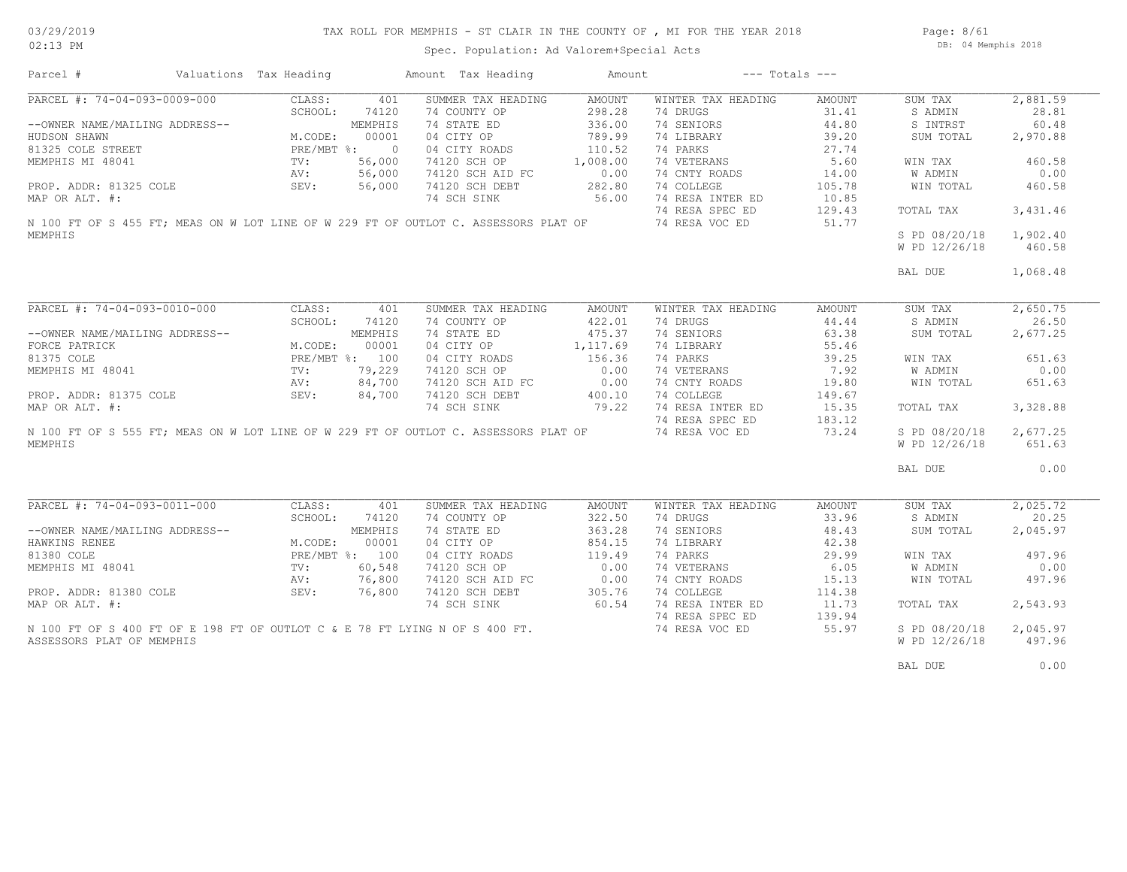Page: 8/61 DB: 04 Memphis 2018

| Parcel #                       | Valuations Tax Heading                                                                    |              | Amount Tax Heading                                                                                       | Amount   |                    | $---$ Totals $---$ |               |          |
|--------------------------------|-------------------------------------------------------------------------------------------|--------------|----------------------------------------------------------------------------------------------------------|----------|--------------------|--------------------|---------------|----------|
| PARCEL #: 74-04-093-0009-000   | CLASS:                                                                                    | 401          | SUMMER TAX HEADING                                                                                       | AMOUNT   | WINTER TAX HEADING | AMOUNT             | SUM TAX       | 2,881.59 |
|                                | SCHOOL:                                                                                   | 74120        | 74 COUNTY OP                                                                                             | 298.28   | 74 DRUGS           | 31.41              | S ADMIN       | 28.81    |
| --OWNER NAME/MAILING ADDRESS-- |                                                                                           | MEMPHIS      | 74 STATE ED                                                                                              | 336.00   | 74 SENIORS         | 44.80              | S INTRST      | 60.48    |
| HUDSON SHAWN                   | M.CODE:                                                                                   | 00001        | 04 CITY OP                                                                                               | 789.99   | 74 LIBRARY         | 39.20              | SUM TOTAL     | 2,970.88 |
| 81325 COLE STREET              |                                                                                           | PRE/MBT %: 0 | 04 CITY ROADS                                                                                            | 110.52   | 74 PARKS           | 27.74              |               |          |
| MEMPHIS MI 48041               | TV:                                                                                       | 56,000       | 74120 SCH OP                                                                                             | 1,008.00 | 74 VETERANS        | 5.60               | WIN TAX       | 460.58   |
|                                | AV:                                                                                       | 56,000       | 74120 SCH AID FC                                                                                         | 0.00     | 74 CNTY ROADS      | 14.00              | W ADMIN       | 0.00     |
|                                | SEV:                                                                                      | 56,000       | 74120 SCH DEBT                                                                                           | 282.80   | 74 COLLEGE         | 105.78             |               |          |
| PROP. ADDR: 81325 COLE         |                                                                                           |              |                                                                                                          |          |                    |                    | WIN TOTAL     | 460.58   |
| MAP OR ALT. #:                 |                                                                                           |              | 74 SCH SINK                                                                                              | 56.00    | 74 RESA INTER ED   | 10.85              |               |          |
|                                |                                                                                           |              |                                                                                                          |          | 74 RESA SPEC ED    | 129.43             | TOTAL TAX     | 3,431.46 |
|                                |                                                                                           |              | N 100 FT OF S 455 FT; MEAS ON W LOT LINE OF W 229 FT OF OUTLOT C. ASSESSORS PLAT OF                      |          | 74 RESA VOC ED     | 51.77              |               |          |
| MEMPHIS                        |                                                                                           |              |                                                                                                          |          |                    |                    | S PD 08/20/18 | 1,902.40 |
|                                |                                                                                           |              |                                                                                                          |          |                    |                    | W PD 12/26/18 | 460.58   |
|                                |                                                                                           |              |                                                                                                          |          |                    |                    |               |          |
|                                |                                                                                           |              |                                                                                                          |          |                    |                    | BAL DUE       | 1,068.48 |
|                                |                                                                                           |              |                                                                                                          |          |                    |                    |               |          |
| PARCEL #: 74-04-093-0010-000   | CLASS:                                                                                    | 401          | SUMMER TAX HEADING                                                                                       | AMOUNT   | WINTER TAX HEADING | AMOUNT             | SUM TAX       | 2,650.75 |
|                                | SCHOOL:                                                                                   | 74120        | 74 COUNTY OP                                                                                             | 422.01   | 74 DRUGS           | 44.44              | S ADMIN       | 26.50    |
|                                | NG ADDRESS--<br>M.CODE: 00001<br>PRE/MBT %: 100<br>TV: 79,229<br>AV: 84,700<br>AV: 84,700 |              | 74 STATE ED                                                                                              | 475.37   | 74 SENIORS         | 63.38              |               | 2,677.25 |
| --OWNER NAME/MAILING ADDRESS-- |                                                                                           |              |                                                                                                          |          |                    |                    | SUM TOTAL     |          |
| FORCE PATRICK                  |                                                                                           |              | 04 CITY OP                                                                                               | 1,117.69 | 74 LIBRARY         | 55.46              |               |          |
| 81375 COLE                     |                                                                                           |              | 04 CITY ROADS                                                                                            | 156.36   | 74 PARKS           | 39.25              | WIN TAX       | 651.63   |
| MEMPHIS MI 48041               |                                                                                           |              | 74120 SCH OP                                                                                             | 0.00     | 74 VETERANS        | 7.92               | W ADMIN       | 0.00     |
|                                |                                                                                           |              | 74120 SCH AID FC                                                                                         | 0.00     | 74 CNTY ROADS      | 19.80              | WIN TOTAL     | 651.63   |
| PROP. ADDR: 81375 COLE SEV:    |                                                                                           |              | 74120 SCH DEBT                                                                                           | 400.10   | 74 COLLEGE         | 149.67             |               |          |
| MAP OR ALT. #:                 |                                                                                           |              | 74 SCH SINK                                                                                              | 79.22    | 74 RESA INTER ED   | 15.35              | TOTAL TAX     | 3,328.88 |
|                                |                                                                                           |              |                                                                                                          |          | 74 RESA SPEC ED    | 183.12             |               |          |
|                                |                                                                                           |              | N 100 FT OF S 555 FT; MEAS ON W LOT LINE OF W 229 FT OF OUTLOT C. ASSESSORS PLAT OF                      |          | 74 RESA VOC ED     | 73.24              | S PD 08/20/18 | 2,677.25 |
| MEMPHIS                        |                                                                                           |              |                                                                                                          |          |                    |                    | W PD 12/26/18 | 651.63   |
|                                |                                                                                           |              |                                                                                                          |          |                    |                    |               |          |
|                                |                                                                                           |              |                                                                                                          |          |                    |                    | BAL DUE       | 0.00     |
|                                |                                                                                           |              |                                                                                                          |          |                    |                    |               |          |
| PARCEL #: 74-04-093-0011-000   | CLASS:                                                                                    | 401          | SUMMER TAX HEADING                                                                                       | AMOUNT   | WINTER TAX HEADING | AMOUNT             | SUM TAX       | 2,025.72 |
|                                | SCHOOL:                                                                                   | 74120        | 74 COUNTY OP                                                                                             | 322.50   | 74 DRUGS           | 33.96              | S ADMIN       | 20.25    |
| --OWNER NAME/MAILING ADDRESS-- |                                                                                           | MEMPHIS      | 74 STATE ED                                                                                              | 363.28   | 74 SENIORS         | 48.43              | SUM TOTAL     | 2,045.97 |
| HAWKINS RENEE                  | M.CODE:                                                                                   | 00001        | 04 CITY OP                                                                                               | 854.15   | 74 LIBRARY         | 42.38              |               |          |
|                                |                                                                                           |              |                                                                                                          |          |                    |                    |               |          |
| 81380 COLE                     | PRE/MBT %: 100<br>TV: 60,548<br>AV: 76,800                                                |              | 04 CITY ROADS                                                                                            | 119.49   | 74 PARKS           | 29.99              | WIN TAX       | 497.96   |
| MEMPHIS MI 48041               |                                                                                           |              | 74120 SCH OP                                                                                             | 0.00     | 74 VETERANS        | 6.05               | W ADMIN       | 0.00     |
|                                |                                                                                           |              | 74120 SCH AID FC                                                                                         | 0.00     | 74 CNTY ROADS      | 15.13              | WIN TOTAL     | 497.96   |
| PROP. ADDR: 81380 COLE         | SEV:                                                                                      | 76,800       | 74120 SCH DEBT                                                                                           | 305.76   | 74 COLLEGE         | 114.38             |               |          |
| MAP OR ALT. #:                 |                                                                                           |              | 74 SCH SINK                                                                                              | 60.54    | 74 RESA INTER ED   | 11.73              | TOTAL TAX     | 2,543.93 |
|                                |                                                                                           |              | N 100 FT OF S 400 FT OF E 198 FT OF OUTLOT C & E 78 FT LYING N OF S 400 FT.<br>ASSESSORS PLAT OF MEMPHIS |          | 74 RESA SPEC ED    | 139.94             |               |          |
|                                |                                                                                           |              |                                                                                                          |          | 74 RESA VOC ED     | 55.97              | S PD 08/20/18 | 2,045.97 |
| ASSESSORS PLAT OF MEMPHIS      |                                                                                           |              |                                                                                                          |          |                    |                    | W PD 12/26/18 | 497.96   |
|                                |                                                                                           |              |                                                                                                          |          |                    |                    |               |          |
|                                |                                                                                           |              |                                                                                                          |          |                    |                    | BAL DUE       | 0.00     |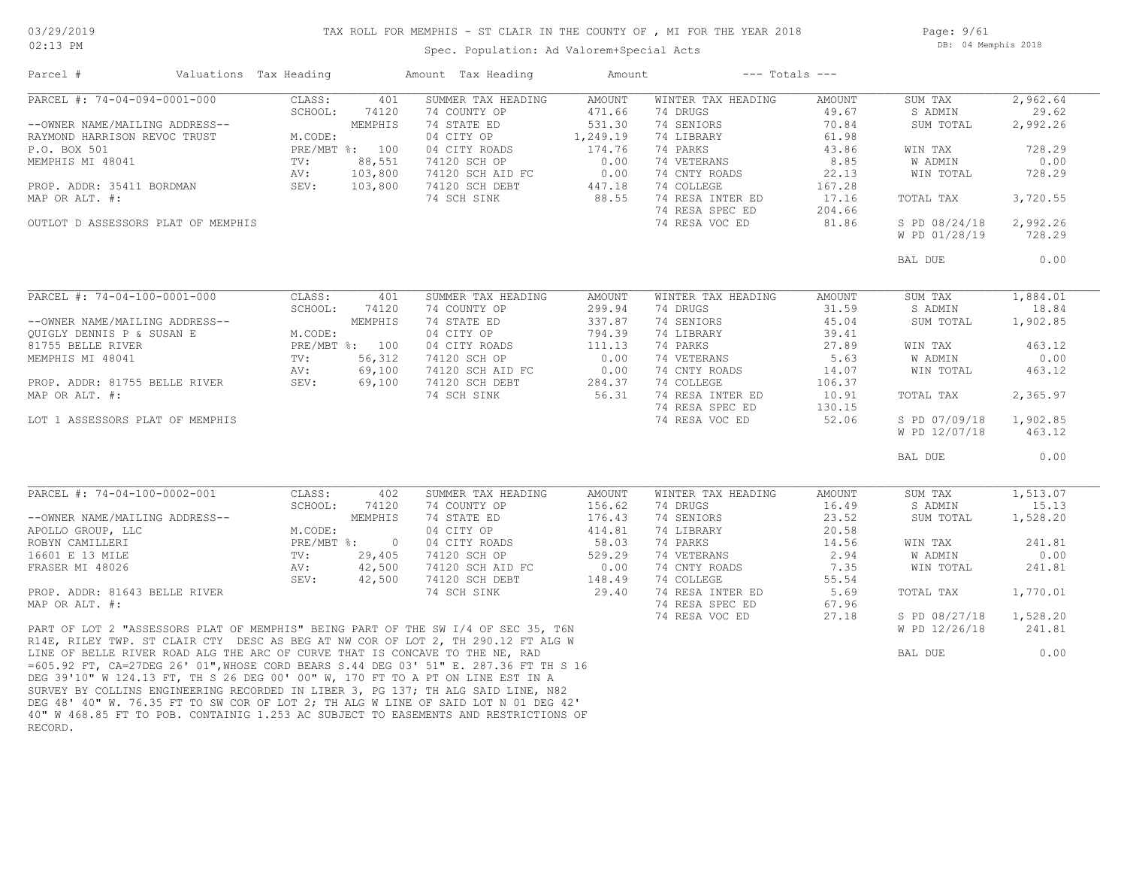## TAX ROLL FOR MEMPHIS - ST CLAIR IN THE COUNTY OF , MI FOR THE YEAR 2018

Page: 9/61 DB: 04 Memphis 2018

| Parcel #                           | Valuations Tax Heading |                 |                | Amount Tax Heading                                                                                                                                                                                                                                                                                                                                                                                                               | Amount        |                    | $---$ Totals $---$ |               |          |
|------------------------------------|------------------------|-----------------|----------------|----------------------------------------------------------------------------------------------------------------------------------------------------------------------------------------------------------------------------------------------------------------------------------------------------------------------------------------------------------------------------------------------------------------------------------|---------------|--------------------|--------------------|---------------|----------|
| PARCEL #: 74-04-094-0001-000       |                        | CLASS:          | 401            | SUMMER TAX HEADING                                                                                                                                                                                                                                                                                                                                                                                                               | <b>AMOUNT</b> | WINTER TAX HEADING | AMOUNT             | SUM TAX       | 2,962.64 |
|                                    |                        | SCHOOL:         | 74120          | 74 COUNTY OP                                                                                                                                                                                                                                                                                                                                                                                                                     | 471.66        | 74 DRUGS           | 49.67              | S ADMIN       | 29.62    |
| --OWNER NAME/MAILING ADDRESS--     |                        |                 | MEMPHIS        | 74 STATE ED                                                                                                                                                                                                                                                                                                                                                                                                                      | 531.30        | 74 SENIORS         | 70.84              | SUM TOTAL     | 2,992.26 |
| RAYMOND HARRISON REVOC TRUST       |                        | M.CODE:         |                | 04 CITY OP                                                                                                                                                                                                                                                                                                                                                                                                                       | 1,249.19      | 74 LIBRARY         | 61.98              |               |          |
| P.O. BOX 501                       |                        |                 | PRE/MBT %: 100 | 04 CITY ROADS                                                                                                                                                                                                                                                                                                                                                                                                                    | 174.76        | 74 PARKS           | 43.86              | WIN TAX       | 728.29   |
| MEMPHIS MI 48041                   |                        | TV:             | 88,551         | 74120 SCH OP                                                                                                                                                                                                                                                                                                                                                                                                                     | 0.00          | 74 VETERANS        | 8.85               | W ADMIN       | 0.00     |
|                                    |                        | AV:             | 103,800        | 74120 SCH AID FC                                                                                                                                                                                                                                                                                                                                                                                                                 | 0.00          | 74 CNTY ROADS      | 22.13              | WIN TOTAL     | 728.29   |
| PROP. ADDR: 35411 BORDMAN          |                        | SEV:            | 103,800        | 74120 SCH DEBT                                                                                                                                                                                                                                                                                                                                                                                                                   | 447.18        | 74 COLLEGE         | 167.28             |               |          |
| MAP OR ALT. #:                     |                        |                 |                | 74 SCH SINK                                                                                                                                                                                                                                                                                                                                                                                                                      | 88.55         | 74 RESA INTER ED   | 17.16              | TOTAL TAX     | 3,720.55 |
|                                    |                        |                 |                |                                                                                                                                                                                                                                                                                                                                                                                                                                  |               | 74 RESA SPEC ED    | 204.66             |               |          |
| OUTLOT D ASSESSORS PLAT OF MEMPHIS |                        |                 |                |                                                                                                                                                                                                                                                                                                                                                                                                                                  |               | 74 RESA VOC ED     | 81.86              | S PD 08/24/18 | 2,992.26 |
|                                    |                        |                 |                |                                                                                                                                                                                                                                                                                                                                                                                                                                  |               |                    |                    | W PD 01/28/19 | 728.29   |
|                                    |                        |                 |                |                                                                                                                                                                                                                                                                                                                                                                                                                                  |               |                    |                    | BAL DUE       | 0.00     |
|                                    |                        |                 |                |                                                                                                                                                                                                                                                                                                                                                                                                                                  |               |                    |                    |               |          |
| PARCEL #: 74-04-100-0001-000       |                        | CLASS:          | 401            | SUMMER TAX HEADING                                                                                                                                                                                                                                                                                                                                                                                                               | AMOUNT        | WINTER TAX HEADING | AMOUNT             | SUM TAX       | 1,884.01 |
|                                    |                        | SCHOOL:         | 74120          | 74 COUNTY OP                                                                                                                                                                                                                                                                                                                                                                                                                     | 299.94        | 74 DRUGS           | 31.59              | S ADMIN       | 18.84    |
| --OWNER NAME/MAILING ADDRESS--     |                        |                 | MEMPHIS        | 74 STATE ED                                                                                                                                                                                                                                                                                                                                                                                                                      | 337.87        | 74 SENIORS         | 45.04              | SUM TOTAL     | 1,902.85 |
| QUIGLY DENNIS P & SUSAN E          |                        | M.CODE:         |                | 04 CITY OP                                                                                                                                                                                                                                                                                                                                                                                                                       | 794.39        | 74 LIBRARY         | 39.41              |               |          |
| 81755 BELLE RIVER                  |                        |                 | PRE/MBT %: 100 | 04 CITY ROADS                                                                                                                                                                                                                                                                                                                                                                                                                    | 111.13        | 74 PARKS           | 27.89              | WIN TAX       | 463.12   |
| MEMPHIS MI 48041                   |                        | TV:             | 56,312         | 74120 SCH OP                                                                                                                                                                                                                                                                                                                                                                                                                     | 0.00          | 74 VETERANS        | 5.63               | W ADMIN       | 0.00     |
|                                    |                        | AV:             | 69,100         | 74120 SCH AID FC                                                                                                                                                                                                                                                                                                                                                                                                                 | 0.00          | 74 CNTY ROADS      | 14.07              | WIN TOTAL     | 463.12   |
| PROP. ADDR: 81755 BELLE RIVER      |                        | SEV:            | 69,100         | 74120 SCH DEBT                                                                                                                                                                                                                                                                                                                                                                                                                   | 284.37        | 74 COLLEGE         | 106.37             |               |          |
| MAP OR ALT. #:                     |                        |                 |                | 74 SCH SINK                                                                                                                                                                                                                                                                                                                                                                                                                      | 56.31         | 74 RESA INTER ED   | 10.91              | TOTAL TAX     | 2,365.97 |
|                                    |                        |                 |                |                                                                                                                                                                                                                                                                                                                                                                                                                                  |               | 74 RESA SPEC ED    | 130.15             |               |          |
| LOT 1 ASSESSORS PLAT OF MEMPHIS    |                        |                 |                |                                                                                                                                                                                                                                                                                                                                                                                                                                  |               | 74 RESA VOC ED     | 52.06              | S PD 07/09/18 | 1,902.85 |
|                                    |                        |                 |                |                                                                                                                                                                                                                                                                                                                                                                                                                                  |               |                    |                    | W PD 12/07/18 | 463.12   |
|                                    |                        |                 |                |                                                                                                                                                                                                                                                                                                                                                                                                                                  |               |                    |                    | BAL DUE       | 0.00     |
|                                    |                        |                 |                |                                                                                                                                                                                                                                                                                                                                                                                                                                  |               |                    |                    |               |          |
| PARCEL #: 74-04-100-0002-001       |                        | CLASS:          | 402            | SUMMER TAX HEADING                                                                                                                                                                                                                                                                                                                                                                                                               | <b>AMOUNT</b> | WINTER TAX HEADING | AMOUNT             | SUM TAX       | 1,513.07 |
|                                    |                        | SCHOOL:         | 74120          | 74 COUNTY OP                                                                                                                                                                                                                                                                                                                                                                                                                     | 156.62        | 74 DRUGS           | 16.49              | S ADMIN       | 15.13    |
| --OWNER NAME/MAILING ADDRESS--     |                        |                 | MEMPHIS        | 74 STATE ED                                                                                                                                                                                                                                                                                                                                                                                                                      | 176.43        | 74 SENIORS         | 23.52              | SUM TOTAL     | 1,528.20 |
| APOLLO GROUP, LLC                  |                        | M.CODE:         |                | 04 CITY OP                                                                                                                                                                                                                                                                                                                                                                                                                       | 414.81        | 74 LIBRARY         | 20.58              |               |          |
| ROBYN CAMILLERI                    |                        | $PRE/MBT$ %:    | $\overline{0}$ | 04 CITY ROADS                                                                                                                                                                                                                                                                                                                                                                                                                    | 58.03         | 74 PARKS           | 14.56              | WIN TAX       | 241.81   |
| 16601 E 13 MILE                    |                        | $\texttt{TV}$ : | 29,405         | 74120 SCH OP                                                                                                                                                                                                                                                                                                                                                                                                                     | 529.29        | 74 VETERANS        | 2.94               | W ADMIN       | 0.00     |
| FRASER MI 48026                    |                        | AV:             | 42,500         | 74120 SCH AID FC                                                                                                                                                                                                                                                                                                                                                                                                                 | 0.00          | 74 CNTY ROADS      | 7.35               | WIN TOTAL     | 241.81   |
|                                    |                        | SEV:            | 42,500         | 74120 SCH DEBT                                                                                                                                                                                                                                                                                                                                                                                                                   | 148.49        | 74 COLLEGE         | 55.54              |               |          |
| PROP. ADDR: 81643 BELLE RIVER      |                        |                 |                | 74 SCH SINK                                                                                                                                                                                                                                                                                                                                                                                                                      | 29.40         | 74 RESA INTER ED   | 5.69               | TOTAL TAX     | 1,770.01 |
| MAP OR ALT. #:                     |                        |                 |                |                                                                                                                                                                                                                                                                                                                                                                                                                                  |               | 74 RESA SPEC ED    | 67.96              |               |          |
|                                    |                        |                 |                |                                                                                                                                                                                                                                                                                                                                                                                                                                  |               | 74 RESA VOC ED     | 27.18              | S PD 08/27/18 | 1,528.20 |
|                                    |                        |                 |                | PART OF LOT 2 "ASSESSORS PLAT OF MEMPHIS" BEING PART OF THE SW I/4 OF SEC 35, T6N                                                                                                                                                                                                                                                                                                                                                |               |                    |                    | W PD 12/26/18 | 241.81   |
|                                    |                        |                 |                | R14E, RILEY TWP. ST CLAIR CTY DESC AS BEG AT NW COR OF LOT 2, TH 290.12 FT ALG W                                                                                                                                                                                                                                                                                                                                                 |               |                    |                    |               |          |
|                                    |                        |                 |                | LINE OF BELLE RIVER ROAD ALG THE ARC OF CURVE THAT IS CONCAVE TO THE NE, RAD<br>=605.92 FT, CA=27DEG 26' 01", WHOSE CORD BEARS S.44 DEG 03' 51" E. 287.36 FT TH S 16<br>DEG 39'10" W 124.13 FT, TH S 26 DEG 00' 00" W, 170 FT TO A PT ON LINE EST IN A<br>SURVEY BY COLLINS ENGINEERING RECORDED IN LIBER 3, PG 137; TH ALG SAID LINE, N82<br>DEG 48' 40" W. 76.35 FT TO SW COR OF LOT 2; TH ALG W LINE OF SAID LOT N 01 DEG 42' |               |                    |                    | BAL DUE       | 0.00     |
| RECORD.                            |                        |                 |                | 40" W 468.85 FT TO POB. CONTAINIG 1.253 AC SUBJECT TO EASEMENTS AND RESTRICTIONS OF                                                                                                                                                                                                                                                                                                                                              |               |                    |                    |               |          |
|                                    |                        |                 |                |                                                                                                                                                                                                                                                                                                                                                                                                                                  |               |                    |                    |               |          |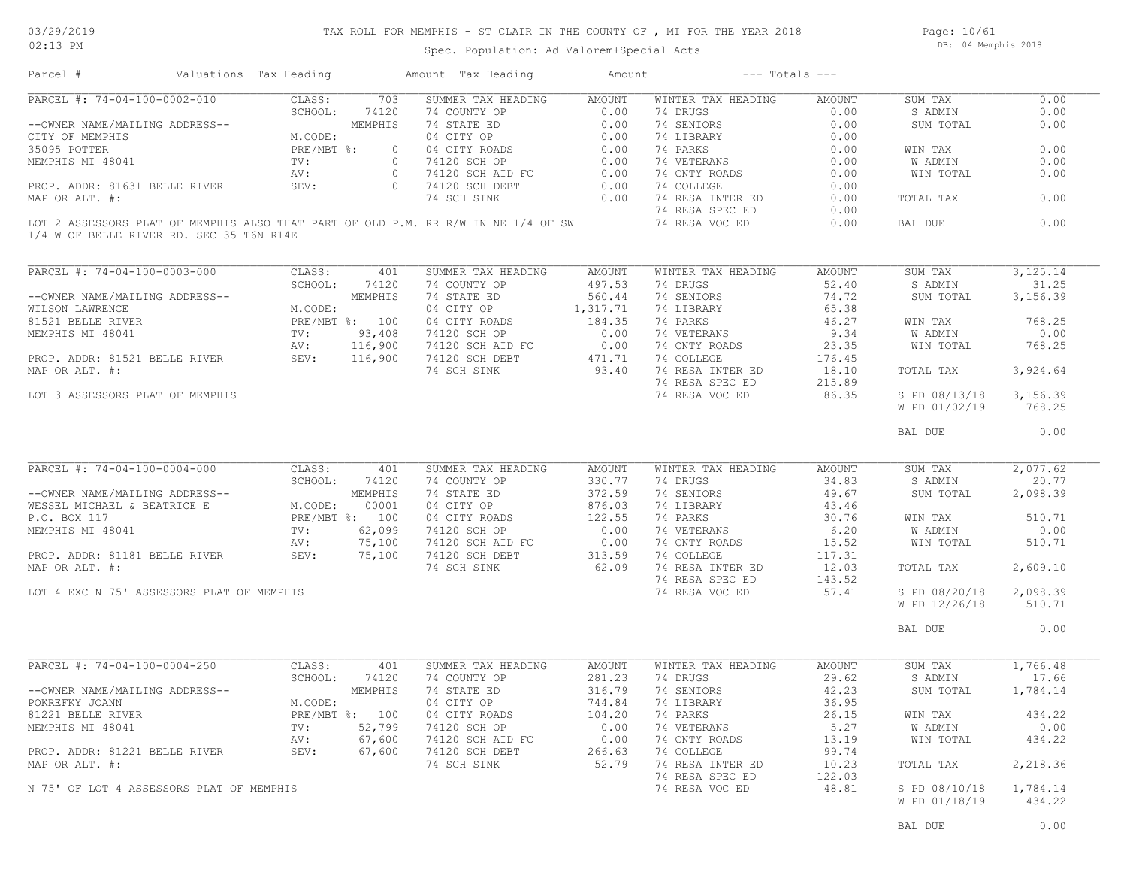Page: 10/61 DB: 04 Memphis 2018

| Parcel #                                  | Valuations Tax Heading |                 |                | Amount Tax Heading                                                                | Amount         |                    | $---$ Totals $---$ |               |            |
|-------------------------------------------|------------------------|-----------------|----------------|-----------------------------------------------------------------------------------|----------------|--------------------|--------------------|---------------|------------|
| PARCEL #: 74-04-100-0002-010              |                        | CLASS:          | 703            | SUMMER TAX HEADING                                                                | AMOUNT         | WINTER TAX HEADING | AMOUNT             | SUM TAX       | 0.00       |
|                                           |                        | SCHOOL:         | 74120          | 74 COUNTY OP                                                                      | 0.00           | 74 DRUGS           | 0.00               | S ADMIN       | 0.00       |
| --OWNER NAME/MAILING ADDRESS--            |                        |                 | MEMPHIS        | 74 STATE ED                                                                       | 0.00           | 74 SENIORS         | 0.00               | SUM TOTAL     | 0.00       |
| CITY OF MEMPHIS                           |                        | M.CODE:         |                | 04 CITY OP                                                                        | 0.00           | 74 LIBRARY         | 0.00               |               |            |
| 35095 POTTER                              |                        | PRE/MBT %:      | $\circ$        | 04 CITY ROADS                                                                     | 0.00           | 74 PARKS           | 0.00               | WIN TAX       | 0.00       |
|                                           |                        |                 | $\circ$        |                                                                                   |                |                    |                    |               |            |
| MEMPHIS MI 48041                          |                        | TV:             |                | 74120 SCH OP                                                                      | 0.00           | 74 VETERANS        | 0.00               | W ADMIN       | 0.00       |
|                                           |                        | AV:             | $\overline{0}$ | 74120 SCH AID FC                                                                  | $0.00$<br>0.00 | 74 CNTY ROADS      | 0.00               | WIN TOTAL     | 0.00       |
| PROP. ADDR: 81631 BELLE RIVER             |                        | SEV:            | $\overline{0}$ | 74120 SCH DEBT                                                                    |                | 74 COLLEGE         | 0.00               |               |            |
| MAP OR ALT. #:                            |                        |                 |                | 74 SCH SINK                                                                       | 0.00           | 74 RESA INTER ED   | 0.00               | TOTAL TAX     | 0.00       |
|                                           |                        |                 |                |                                                                                   |                | 74 RESA SPEC ED    | 0.00               |               |            |
| 1/4 W OF BELLE RIVER RD. SEC 35 T6N R14E  |                        |                 |                | LOT 2 ASSESSORS PLAT OF MEMPHIS ALSO THAT PART OF OLD P.M. RR R/W IN NE 1/4 OF SW |                | 74 RESA VOC ED     | 0.00               | BAL DUE       | 0.00       |
|                                           |                        |                 |                |                                                                                   |                |                    |                    |               |            |
| PARCEL #: 74-04-100-0003-000              |                        | CLASS:          | 401            | SUMMER TAX HEADING                                                                | AMOUNT         | WINTER TAX HEADING | AMOUNT             | SUM TAX       | 3, 125. 14 |
|                                           |                        | SCHOOL:         | 74120          | 74 COUNTY OP                                                                      | 497.53         | 74 DRUGS           | 52.40              | S ADMIN       | 31.25      |
| --OWNER NAME/MAILING ADDRESS--            |                        |                 | MEMPHIS        | 74 STATE ED                                                                       | 560.44         | 74 SENIORS         | 74.72              | SUM TOTAL     | 3,156.39   |
| WILSON LAWRENCE                           |                        | M.CODE:         |                | 04 CITY OP                                                                        | 1,317.71       | 74 LIBRARY         | 65.38              |               |            |
| 81521 BELLE RIVER                         |                        | PRE/MBT %: 100  |                | 04 CITY ROADS                                                                     | 184.35         | 74 PARKS           | 46.27              | WIN TAX       | 768.25     |
|                                           |                        | TV:             | 93,408         | 74120 SCH OP                                                                      | 0.00           | 74 VETERANS        | 9.34               | W ADMIN       | 0.00       |
| MEMPHIS MI 48041                          |                        |                 |                |                                                                                   |                |                    |                    |               |            |
|                                           |                        | AV:             | 116,900        | 74120 SCH AID FC                                                                  | 0.00           | 74 CNTY ROADS      | 23.35              | WIN TOTAL     | 768.25     |
| PROP. ADDR: 81521 BELLE RIVER             |                        | SEV:<br>116,900 |                | 74120 SCH DEBT                                                                    | 471.71         | 74 COLLEGE         | 176.45             |               |            |
| MAP OR ALT. #:                            |                        |                 |                | 74 SCH SINK                                                                       | 93.40          | 74 RESA INTER ED   | 18.10              | TOTAL TAX     | 3,924.64   |
|                                           |                        |                 |                |                                                                                   |                | 74 RESA SPEC ED    | 215.89             |               |            |
| LOT 3 ASSESSORS PLAT OF MEMPHIS           |                        |                 |                |                                                                                   |                | 74 RESA VOC ED     | 86.35              | S PD 08/13/18 | 3,156.39   |
|                                           |                        |                 |                |                                                                                   |                |                    |                    | W PD 01/02/19 | 768.25     |
|                                           |                        |                 |                |                                                                                   |                |                    |                    | BAL DUE       | 0.00       |
| PARCEL #: 74-04-100-0004-000              |                        | CLASS:          | 401            | SUMMER TAX HEADING                                                                | AMOUNT         | WINTER TAX HEADING | AMOUNT             | SUM TAX       | 2,077.62   |
|                                           |                        | SCHOOL:         | 74120          | 74 COUNTY OP                                                                      | 330.77         | 74 DRUGS           | 34.83              | S ADMIN       | 20.77      |
| --OWNER NAME/MAILING ADDRESS--            |                        |                 | MEMPHIS        | 74 STATE ED                                                                       | 372.59         | 74 SENIORS         | 49.67              | SUM TOTAL     | 2,098.39   |
| WESSEL MICHAEL & BEATRICE E               |                        | M.CODE:         | 00001          | 04 CITY OP                                                                        | 876.03         | 74 LIBRARY         | 43.46              |               |            |
| P.O. BOX 117                              |                        | PRE/MBT %: 100  |                | 04 CITY ROADS                                                                     | 122.55         | 74 PARKS           | 30.76              | WIN TAX       | 510.71     |
|                                           |                        |                 |                |                                                                                   |                |                    |                    |               |            |
| MEMPHIS MI 48041                          |                        | TV:             | 62,099         | 74120 SCH OP                                                                      | 0.00           | 74 VETERANS        | 6.20               | W ADMIN       | 0.00       |
|                                           |                        | AV:             | 75,100         | 74120 SCH AID FC                                                                  | 0.00           | 74 CNTY ROADS      | 15.52              | WIN TOTAL     | 510.71     |
| PROP. ADDR: 81181 BELLE RIVER             |                        | SEV:            | 75,100         | 74120 SCH DEBT                                                                    | 313.59         | 74 COLLEGE         | 117.31             |               |            |
| MAP OR ALT. #:                            |                        |                 |                | 74 SCH SINK                                                                       | 62.09          | 74 RESA INTER ED   | 12.03              | TOTAL TAX     | 2,609.10   |
|                                           |                        |                 |                |                                                                                   |                | 74 RESA SPEC ED    | 143.52             |               |            |
| LOT 4 EXC N 75' ASSESSORS PLAT OF MEMPHIS |                        |                 |                |                                                                                   |                | 74 RESA VOC ED     | 57.41              | S PD 08/20/18 | 2,098.39   |
|                                           |                        |                 |                |                                                                                   |                |                    |                    | W PD 12/26/18 | 510.71     |
|                                           |                        |                 |                |                                                                                   |                |                    |                    |               |            |
|                                           |                        |                 |                |                                                                                   |                |                    |                    | BAL DUE       | 0.00       |
| PARCEL #: 74-04-100-0004-250              |                        | CLASS:          | 401            | SUMMER TAX HEADING                                                                | <b>AMOUNT</b>  | WINTER TAX HEADING | AMOUNT             | SUM TAX       | 1,766.48   |
|                                           |                        | SCHOOL:         | 74120          | 74 COUNTY OP                                                                      | 281.23         | 74 DRUGS           | 29.62              | S ADMIN       | 17.66      |
| --OWNER NAME/MAILING ADDRESS--            |                        |                 | MEMPHIS        | 74 STATE ED                                                                       | 316.79         | 74 SENIORS         | 42.23              | SUM TOTAL     | 1,784.14   |
| POKREFKY JOANN                            |                        | M.CODE:         |                | 04 CITY OP                                                                        | 744.84         | 74 LIBRARY         | 36.95              |               |            |
|                                           |                        |                 |                |                                                                                   |                |                    |                    |               |            |
| 81221 BELLE RIVER                         |                        | PRE/MBT %: 100  |                | 04 CITY ROADS                                                                     | 104.20         | 74 PARKS           | 26.15              | WIN TAX       | 434.22     |
| MEMPHIS MI 48041                          |                        | TV:             | 52,799         | 74120 SCH OP                                                                      | 0.00           | 74 VETERANS        | 5.27               | W ADMIN       | 0.00       |
|                                           |                        | AV:             | 67,600         | 74120 SCH AID FC                                                                  | 0.00           | 74 CNTY ROADS      | 13.19              | WIN TOTAL     | 434.22     |
| PROP. ADDR: 81221 BELLE RIVER             |                        | SEV:            | 67,600         | 74120 SCH DEBT                                                                    | 266.63         | 74 COLLEGE         | 99.74              |               |            |
| MAP OR ALT. #:                            |                        |                 |                | 74 SCH SINK                                                                       | 52.79          | 74 RESA INTER ED   | 10.23              | TOTAL TAX     | 2,218.36   |
|                                           |                        |                 |                |                                                                                   |                | 74 RESA SPEC ED    | 122.03             |               |            |
| N 75' OF LOT 4 ASSESSORS PLAT OF MEMPHIS  |                        |                 |                |                                                                                   |                | 74 RESA VOC ED     | 48.81              | S PD 08/10/18 | 1,784.14   |
|                                           |                        |                 |                |                                                                                   |                |                    |                    |               |            |
|                                           |                        |                 |                |                                                                                   |                |                    |                    | W PD 01/18/19 | 434.22     |
|                                           |                        |                 |                |                                                                                   |                |                    |                    |               |            |
|                                           |                        |                 |                |                                                                                   |                |                    |                    | BAL DUE       | 0.00       |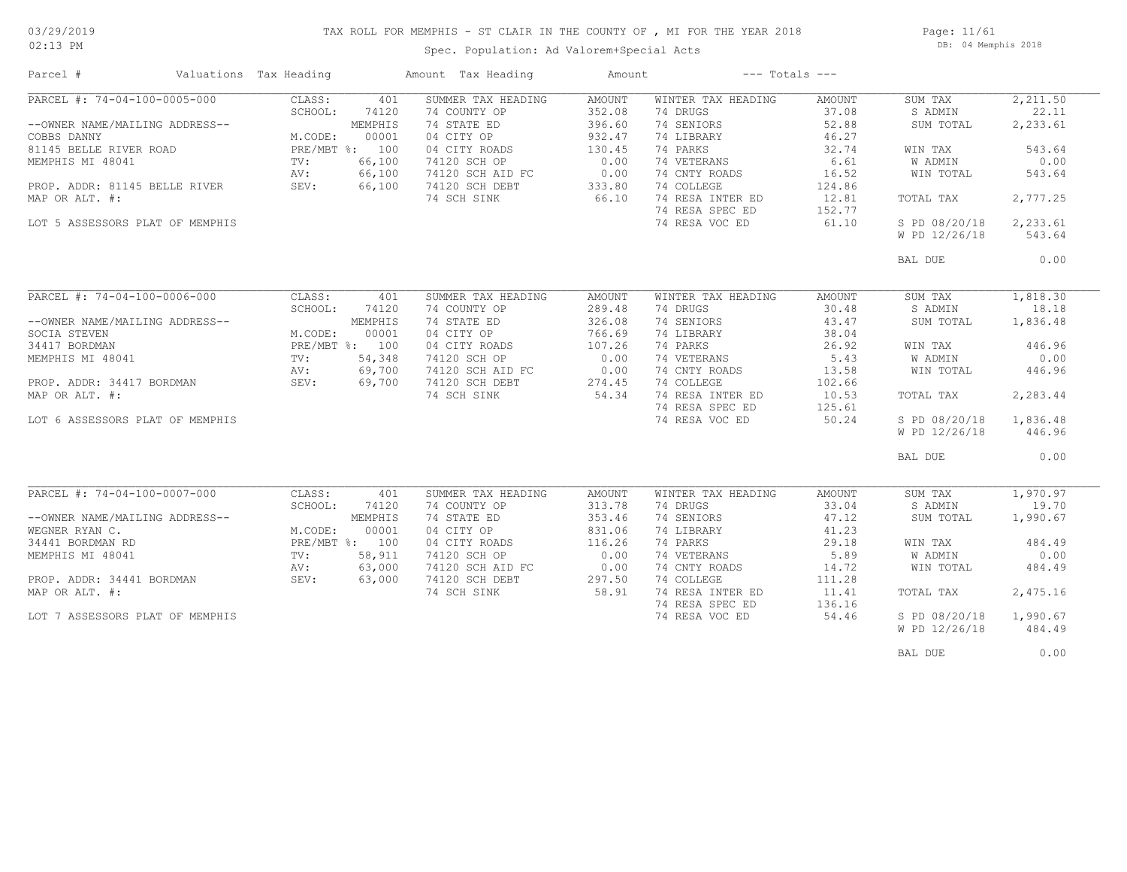#### TAX ROLL FOR MEMPHIS - ST CLAIR IN THE COUNTY OF , MI FOR THE YEAR 2018

02:13 PM

### Spec. Population: Ad Valorem+Special Acts

Page: 11/61 DB: 04 Memphis 2018

| PARCEL #: 74-04-100-0005-000<br>CLASS:<br>401<br>SUMMER TAX HEADING<br>AMOUNT<br>WINTER TAX HEADING<br>AMOUNT<br>SUM TAX<br>74 COUNTY OP<br>352.08<br>74 DRUGS<br>37.08<br>S ADMIN<br>SCHOOL:<br>74120<br>74 SENIORS<br>52.88<br>--OWNER NAME/MAILING ADDRESS--<br>MEMPHIS<br>74 STATE ED<br>396.60<br>SUM TOTAL<br>M.CODE:<br>00001<br>04 CITY OP<br>932.47<br>46.27<br>74 LIBRARY<br>81145 BELLE RIVER ROAD<br>PRE/MBT %: 100<br>04 CITY ROADS<br>130.45<br>74 PARKS<br>32.74<br>WIN TAX<br>66,100<br>0.00<br>74 VETERANS<br>6.61<br>TV:<br>74120 SCH OP<br>W ADMIN<br>66,100<br>0.00<br>74 CNTY ROADS<br>AV:<br>74120 SCH AID FC<br>16.52<br>WIN TOTAL<br>74 COLLEGE<br>124.86<br>PROP. ADDR: 81145 BELLE RIVER<br>SEV:<br>66,100<br>74120 SCH DEBT<br>333.80<br>74 RESA INTER ED<br>74 SCH SINK<br>66.10<br>12.81<br>TOTAL TAX<br>74 RESA SPEC ED<br>152.77<br>LOT 5 ASSESSORS PLAT OF MEMPHIS<br>74 RESA VOC ED<br>61.10<br>S PD 08/20/18<br>W PD 12/26/18<br>BAL DUE<br>PARCEL #: 74-04-100-0006-000<br>CLASS:<br>SUMMER TAX HEADING<br>WINTER TAX HEADING<br>401<br><b>AMOUNT</b><br><b>AMOUNT</b><br>SUM TAX<br>SCHOOL:<br>74120<br>74 COUNTY OP<br>289.48<br>74 DRUGS<br>30.48<br>S ADMIN<br>326.08<br>74 SENIORS<br>--OWNER NAME/MAILING ADDRESS--<br>MEMPHIS<br>74 STATE ED<br>43.47<br>SUM TOTAL<br>00001<br>04 CITY OP<br>766.69<br>74 LIBRARY<br>38.04<br>M.CODE:<br>74 PARKS<br>PRE/MBT %: 100<br>04 CITY ROADS<br>107.26<br>26.92<br>WIN TAX<br>74 VETERANS<br>54,348<br>74120 SCH OP<br>0.00<br>5.43<br>W ADMIN<br>TV:<br>0.00<br>74 CNTY ROADS<br>69,700<br>74120 SCH AID FC<br>13.58<br>WIN TOTAL<br>AV:<br>74 COLLEGE<br>69,700<br>74120 SCH DEBT<br>274.45<br>102.66<br>PROP. ADDR: 34417 BORDMAN<br>SEV:<br>54.34<br>74 RESA INTER ED<br>74 SCH SINK<br>10.53<br>TOTAL TAX<br>74 RESA SPEC ED<br>125.61<br>74 RESA VOC ED<br>50.24<br>S PD 08/20/18<br>LOT 6 ASSESSORS PLAT OF MEMPHIS<br>W PD 12/26/18<br>BAL DUE<br>PARCEL #: 74-04-100-0007-000<br>CLASS:<br>SUMMER TAX HEADING<br>WINTER TAX HEADING<br>AMOUNT<br>SUM TAX<br>401<br>AMOUNT<br>74120<br>74 COUNTY OP<br>313.78<br>74 DRUGS<br>33.04<br>S ADMIN<br>SCHOOL:<br>353.46<br>74 SENIORS<br>--OWNER NAME/MAILING ADDRESS--<br>MEMPHIS<br>74 STATE ED<br>47.12<br>SUM TOTAL<br>M.CODE:<br>00001<br>04 CITY OP<br>831.06<br>41.23<br>74 LIBRARY<br>PRE/MBT %: 100<br>116.26<br>74 PARKS<br>04 CITY ROADS<br>29.18<br>WIN TAX<br>0.00<br>74 VETERANS<br>TV:<br>58,911<br>74120 SCH OP<br>5.89<br><b>W ADMIN</b><br>63,000<br>0.00<br>74 CNTY ROADS<br>AV:<br>74120 SCH AID FC<br>14.72<br>WIN TOTAL<br>PROP. ADDR: 34441 BORDMAN<br>SEV:<br>63,000<br>74120 SCH DEBT<br>297.50<br>74 COLLEGE<br>111.28<br>58.91<br>74 RESA INTER ED<br>74 SCH SINK<br>11.41<br>TOTAL TAX<br>74 RESA SPEC ED<br>136.16<br>74 RESA VOC ED<br>54.46<br>S PD 08/20/18<br>LOT 7 ASSESSORS PLAT OF MEMPHIS<br>W PD 12/26/18 | Parcel #                                               | Valuations Tax Heading | Amount Tax Heading | Amount | $---$ Totals $---$ |                                                                                   |
|--------------------------------------------------------------------------------------------------------------------------------------------------------------------------------------------------------------------------------------------------------------------------------------------------------------------------------------------------------------------------------------------------------------------------------------------------------------------------------------------------------------------------------------------------------------------------------------------------------------------------------------------------------------------------------------------------------------------------------------------------------------------------------------------------------------------------------------------------------------------------------------------------------------------------------------------------------------------------------------------------------------------------------------------------------------------------------------------------------------------------------------------------------------------------------------------------------------------------------------------------------------------------------------------------------------------------------------------------------------------------------------------------------------------------------------------------------------------------------------------------------------------------------------------------------------------------------------------------------------------------------------------------------------------------------------------------------------------------------------------------------------------------------------------------------------------------------------------------------------------------------------------------------------------------------------------------------------------------------------------------------------------------------------------------------------------------------------------------------------------------------------------------------------------------------------------------------------------------------------------------------------------------------------------------------------------------------------------------------------------------------------------------------------------------------------------------------------------------------------------------------------------------------------------------------------------------------------------------------------------------------------------------------------------------------------------------------------------------------------------------------------------------------------------------------------------------------------------------------------------------------------|--------------------------------------------------------|------------------------|--------------------|--------|--------------------|-----------------------------------------------------------------------------------|
|                                                                                                                                                                                                                                                                                                                                                                                                                                                                                                                                                                                                                                                                                                                                                                                                                                                                                                                                                                                                                                                                                                                                                                                                                                                                                                                                                                                                                                                                                                                                                                                                                                                                                                                                                                                                                                                                                                                                                                                                                                                                                                                                                                                                                                                                                                                                                                                                                                                                                                                                                                                                                                                                                                                                                                                                                                                                                      | COBBS DANNY<br>MEMPHIS MI 48041<br>MAP OR ALT. #:      |                        |                    |        |                    | 2,211.50<br>22.11<br>2,233.61<br>543.64<br>0.00<br>543.64<br>2,777.25<br>2,233.61 |
|                                                                                                                                                                                                                                                                                                                                                                                                                                                                                                                                                                                                                                                                                                                                                                                                                                                                                                                                                                                                                                                                                                                                                                                                                                                                                                                                                                                                                                                                                                                                                                                                                                                                                                                                                                                                                                                                                                                                                                                                                                                                                                                                                                                                                                                                                                                                                                                                                                                                                                                                                                                                                                                                                                                                                                                                                                                                                      |                                                        |                        |                    |        |                    | 543.64<br>0.00                                                                    |
|                                                                                                                                                                                                                                                                                                                                                                                                                                                                                                                                                                                                                                                                                                                                                                                                                                                                                                                                                                                                                                                                                                                                                                                                                                                                                                                                                                                                                                                                                                                                                                                                                                                                                                                                                                                                                                                                                                                                                                                                                                                                                                                                                                                                                                                                                                                                                                                                                                                                                                                                                                                                                                                                                                                                                                                                                                                                                      |                                                        |                        |                    |        |                    |                                                                                   |
|                                                                                                                                                                                                                                                                                                                                                                                                                                                                                                                                                                                                                                                                                                                                                                                                                                                                                                                                                                                                                                                                                                                                                                                                                                                                                                                                                                                                                                                                                                                                                                                                                                                                                                                                                                                                                                                                                                                                                                                                                                                                                                                                                                                                                                                                                                                                                                                                                                                                                                                                                                                                                                                                                                                                                                                                                                                                                      | SOCIA STEVEN<br>34417 BORDMAN<br>MEMPHIS MI 48041      |                        |                    |        |                    | 1,818.30<br>18.18<br>1,836.48<br>446.96<br>0.00<br>446.96                         |
|                                                                                                                                                                                                                                                                                                                                                                                                                                                                                                                                                                                                                                                                                                                                                                                                                                                                                                                                                                                                                                                                                                                                                                                                                                                                                                                                                                                                                                                                                                                                                                                                                                                                                                                                                                                                                                                                                                                                                                                                                                                                                                                                                                                                                                                                                                                                                                                                                                                                                                                                                                                                                                                                                                                                                                                                                                                                                      | MAP OR ALT. #:                                         |                        |                    |        |                    | 2,283.44<br>1,836.48<br>446.96                                                    |
|                                                                                                                                                                                                                                                                                                                                                                                                                                                                                                                                                                                                                                                                                                                                                                                                                                                                                                                                                                                                                                                                                                                                                                                                                                                                                                                                                                                                                                                                                                                                                                                                                                                                                                                                                                                                                                                                                                                                                                                                                                                                                                                                                                                                                                                                                                                                                                                                                                                                                                                                                                                                                                                                                                                                                                                                                                                                                      |                                                        |                        |                    |        |                    | 0.00                                                                              |
|                                                                                                                                                                                                                                                                                                                                                                                                                                                                                                                                                                                                                                                                                                                                                                                                                                                                                                                                                                                                                                                                                                                                                                                                                                                                                                                                                                                                                                                                                                                                                                                                                                                                                                                                                                                                                                                                                                                                                                                                                                                                                                                                                                                                                                                                                                                                                                                                                                                                                                                                                                                                                                                                                                                                                                                                                                                                                      | WEGNER RYAN C.<br>34441 BORDMAN RD<br>MEMPHIS MI 48041 |                        |                    |        |                    | 1,970.97<br>19.70<br>1,990.67<br>484.49<br>0.00<br>484.49                         |
|                                                                                                                                                                                                                                                                                                                                                                                                                                                                                                                                                                                                                                                                                                                                                                                                                                                                                                                                                                                                                                                                                                                                                                                                                                                                                                                                                                                                                                                                                                                                                                                                                                                                                                                                                                                                                                                                                                                                                                                                                                                                                                                                                                                                                                                                                                                                                                                                                                                                                                                                                                                                                                                                                                                                                                                                                                                                                      | MAP OR ALT. #:                                         |                        |                    |        |                    | 2,475.16                                                                          |
|                                                                                                                                                                                                                                                                                                                                                                                                                                                                                                                                                                                                                                                                                                                                                                                                                                                                                                                                                                                                                                                                                                                                                                                                                                                                                                                                                                                                                                                                                                                                                                                                                                                                                                                                                                                                                                                                                                                                                                                                                                                                                                                                                                                                                                                                                                                                                                                                                                                                                                                                                                                                                                                                                                                                                                                                                                                                                      |                                                        |                        |                    |        |                    | 1,990.67<br>484.49                                                                |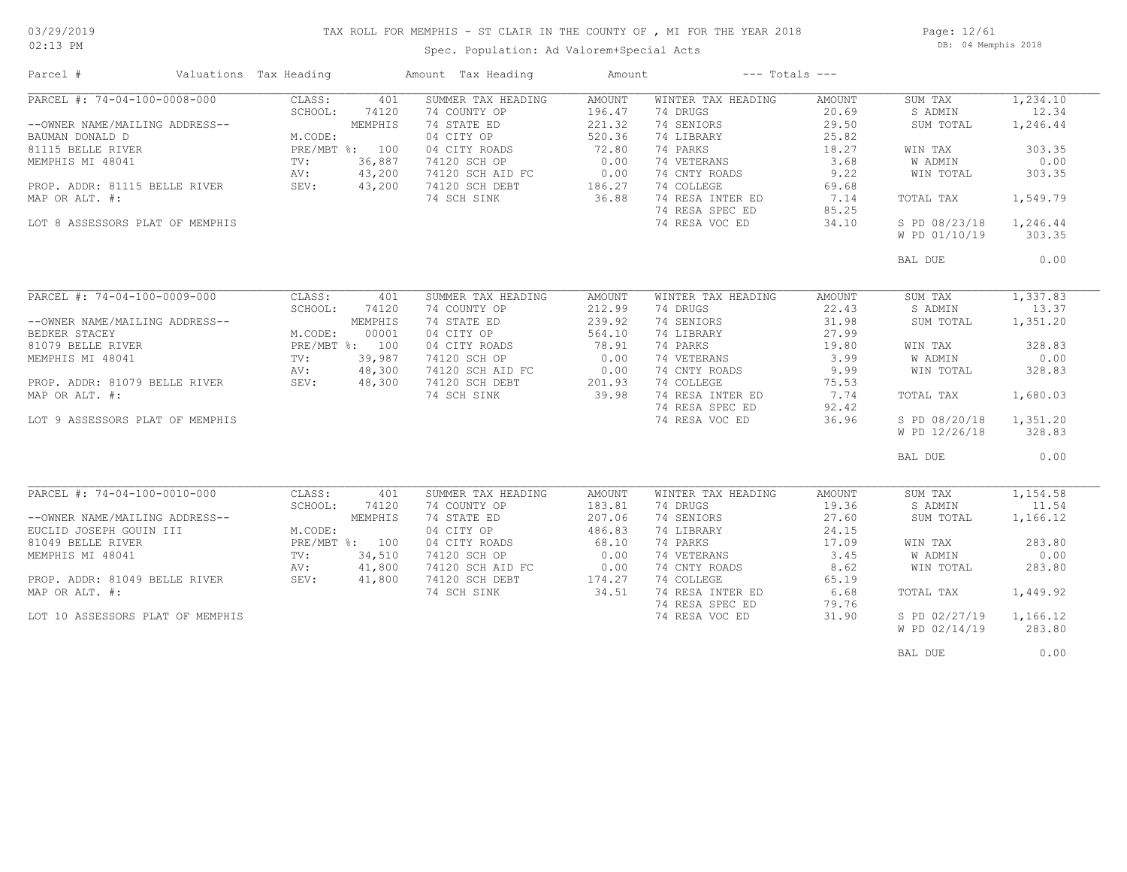### TAX ROLL FOR MEMPHIS - ST CLAIR IN THE COUNTY OF , MI FOR THE YEAR 2018

02:13 PM

### Spec. Population: Ad Valorem+Special Acts

Page: 12/61 DB: 04 Memphis 2018

| Parcel #                         | Valuations Tax Heading |                | Amount Tax Heading | Amount | $---$ Totals $---$ |        |               |          |
|----------------------------------|------------------------|----------------|--------------------|--------|--------------------|--------|---------------|----------|
| PARCEL #: 74-04-100-0008-000     | CLASS:                 | 401            | SUMMER TAX HEADING | AMOUNT | WINTER TAX HEADING | AMOUNT | SUM TAX       | 1,234.10 |
|                                  | SCHOOL:                | 74120          | 74 COUNTY OP       | 196.47 | 74 DRUGS           | 20.69  | S ADMIN       | 12.34    |
| --OWNER NAME/MAILING ADDRESS--   |                        | MEMPHIS        | 74 STATE ED        | 221.32 | 74 SENIORS         | 29.50  | SUM TOTAL     | 1,246.44 |
| BAUMAN DONALD D                  | M.CODE:                |                | 04 CITY OP         | 520.36 | 74 LIBRARY         | 25.82  |               |          |
| 81115 BELLE RIVER                |                        | PRE/MBT %: 100 | 04 CITY ROADS      | 72.80  | 74 PARKS           | 18.27  | WIN TAX       | 303.35   |
| MEMPHIS MI 48041                 | TV:                    | 36,887         | 74120 SCH OP       | 0.00   | 74 VETERANS        | 3.68   | W ADMIN       | 0.00     |
|                                  | AV:                    | 43,200         | 74120 SCH AID FC   | 0.00   | 74 CNTY ROADS      | 9.22   | WIN TOTAL     | 303.35   |
| PROP. ADDR: 81115 BELLE RIVER    | SEV:                   | 43,200         | 74120 SCH DEBT     | 186.27 | 74 COLLEGE         | 69.68  |               |          |
| MAP OR ALT. #:                   |                        |                | 74 SCH SINK        | 36.88  | 74 RESA INTER ED   | 7.14   | TOTAL TAX     | 1,549.79 |
|                                  |                        |                |                    |        |                    |        |               |          |
|                                  |                        |                |                    |        | 74 RESA SPEC ED    | 85.25  |               |          |
| LOT 8 ASSESSORS PLAT OF MEMPHIS  |                        |                |                    |        | 74 RESA VOC ED     | 34.10  | S PD 08/23/18 | 1,246.44 |
|                                  |                        |                |                    |        |                    |        | W PD 01/10/19 | 303.35   |
|                                  |                        |                |                    |        |                    |        | BAL DUE       | 0.00     |
|                                  |                        |                |                    |        |                    |        |               |          |
| PARCEL #: 74-04-100-0009-000     | CLASS:                 | 401            | SUMMER TAX HEADING | AMOUNT | WINTER TAX HEADING | AMOUNT | SUM TAX       | 1,337.83 |
|                                  | SCHOOL:                | 74120          | 74 COUNTY OP       | 212.99 | 74 DRUGS           | 22.43  | S ADMIN       | 13.37    |
| --OWNER NAME/MAILING ADDRESS--   |                        | MEMPHIS        | 74 STATE ED        | 239.92 | 74 SENIORS         | 31.98  | SUM TOTAL     | 1,351.20 |
| BEDKER STACEY                    | M.CODE:                | 00001          | 04 CITY OP         | 564.10 | 74 LIBRARY         | 27.99  |               |          |
| 81079 BELLE RIVER                |                        | PRE/MBT %: 100 | 04 CITY ROADS      | 78.91  | 74 PARKS           | 19.80  | WIN TAX       | 328.83   |
| MEMPHIS MI 48041                 | TV:                    | 39,987         | 74120 SCH OP       | 0.00   | 74 VETERANS        | 3.99   | W ADMIN       | 0.00     |
|                                  | AV:                    | 48,300         | 74120 SCH AID FC   | 0.00   | 74 CNTY ROADS      | 9.99   | WIN TOTAL     | 328.83   |
| PROP. ADDR: 81079 BELLE RIVER    | SEV:                   | 48,300         | 74120 SCH DEBT     | 201.93 | 74 COLLEGE         | 75.53  |               |          |
| MAP OR ALT. #:                   |                        |                | 74 SCH SINK        | 39.98  | 74 RESA INTER ED   | 7.74   | TOTAL TAX     | 1,680.03 |
|                                  |                        |                |                    |        | 74 RESA SPEC ED    | 92.42  |               |          |
| LOT 9 ASSESSORS PLAT OF MEMPHIS  |                        |                |                    |        | 74 RESA VOC ED     | 36.96  | S PD 08/20/18 | 1,351.20 |
|                                  |                        |                |                    |        |                    |        | W PD 12/26/18 | 328.83   |
|                                  |                        |                |                    |        |                    |        |               |          |
|                                  |                        |                |                    |        |                    |        | BAL DUE       | 0.00     |
|                                  |                        |                |                    |        |                    |        |               |          |
| PARCEL #: 74-04-100-0010-000     | CLASS:                 | 401            | SUMMER TAX HEADING | AMOUNT | WINTER TAX HEADING | AMOUNT | SUM TAX       | 1,154.58 |
|                                  | SCHOOL:                | 74120          | 74 COUNTY OP       | 183.81 | 74 DRUGS           | 19.36  | S ADMIN       | 11.54    |
| --OWNER NAME/MAILING ADDRESS--   |                        | MEMPHIS        | 74 STATE ED        | 207.06 | 74 SENIORS         | 27.60  | SUM TOTAL     | 1,166.12 |
| EUCLID JOSEPH GOUIN III          | M.CODE:                |                | 04 CITY OP         | 486.83 | 74 LIBRARY         | 24.15  |               |          |
| 81049 BELLE RIVER                |                        | PRE/MBT %: 100 | 04 CITY ROADS      | 68.10  | 74 PARKS           | 17.09  | WIN TAX       | 283.80   |
| MEMPHIS MI 48041                 | TV:                    | 34,510         | 74120 SCH OP       | 0.00   | 74 VETERANS        | 3.45   | W ADMIN       | 0.00     |
|                                  | AV:                    | 41,800         | 74120 SCH AID FC   | 0.00   | 74 CNTY ROADS      | 8.62   | WIN TOTAL     | 283.80   |
| PROP. ADDR: 81049 BELLE RIVER    | SEV:                   | 41,800         | 74120 SCH DEBT     | 174.27 | 74 COLLEGE         | 65.19  |               |          |
| MAP OR ALT. #:                   |                        |                | 74 SCH SINK        | 34.51  | 74 RESA INTER ED   | 6.68   | TOTAL TAX     | 1,449.92 |
|                                  |                        |                |                    |        | 74 RESA SPEC ED    | 79.76  |               |          |
|                                  |                        |                |                    |        | 74 RESA VOC ED     | 31.90  | S PD 02/27/19 | 1,166.12 |
| LOT 10 ASSESSORS PLAT OF MEMPHIS |                        |                |                    |        |                    |        |               | 283.80   |
|                                  |                        |                |                    |        |                    |        | W PD 02/14/19 |          |
|                                  |                        |                |                    |        |                    |        | BAL DUE       | 0.00     |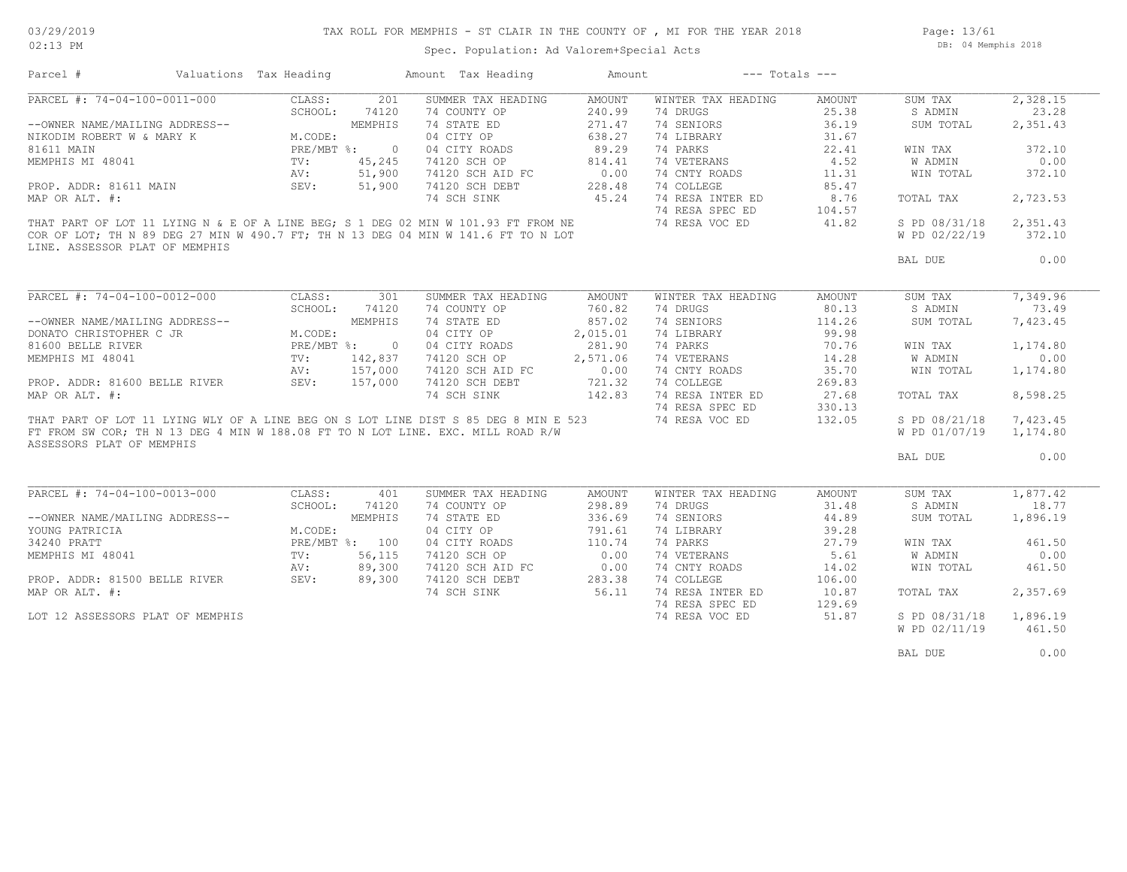Page: 13/61 DB: 04 Memphis 2018

| Parcel #                                                                            | Valuations Tax Heading             |                | Amount Tax Heading                                                              | Amount   |                    | $---$ Totals $---$ |               |          |
|-------------------------------------------------------------------------------------|------------------------------------|----------------|---------------------------------------------------------------------------------|----------|--------------------|--------------------|---------------|----------|
| PARCEL #: 74-04-100-0011-000                                                        | CLASS:                             | 201            | SUMMER TAX HEADING                                                              | AMOUNT   | WINTER TAX HEADING | AMOUNT             | SUM TAX       | 2,328.15 |
|                                                                                     | SCHOOL:                            | 74120          | 74 COUNTY OP                                                                    | 240.99   | 74 DRUGS           | 25.38              | S ADMIN       | 23.28    |
| --OWNER NAME/MAILING ADDRESS--                                                      |                                    | MEMPHIS        | 74 STATE ED                                                                     | 271.47   | 74 SENIORS         | 36.19              | SUM TOTAL     | 2,351.43 |
| NIKODIM ROBERT W & MARY K                                                           | PRE/1.<br>TV:<br>AV: 51<br>SEV: 51 |                | 04 CITY OP                                                                      | 638.27   | 74 LIBRARY         | 31.67              |               |          |
| 81611 MAIN                                                                          | PRE/MBT %: 0                       |                | 04 CITY ROADS                                                                   | 89.29    | 74 PARKS           | 22.41              | WIN TAX       | 372.10   |
| MEMPHIS MI 48041                                                                    |                                    | 45,245         | 74120 SCH OP                                                                    | 814.41   | 74 VETERANS        | 4.52               | W ADMIN       | 0.00     |
|                                                                                     |                                    | 51,900         | 74120 SCH AID FC                                                                | 0.00     | 74 CNTY ROADS      | 11.31              | WIN TOTAL     | 372.10   |
| PROP. ADDR: 81611 MAIN                                                              |                                    | 51,900         | 74120 SCH DEBT                                                                  | 228.48   | 74 COLLEGE         | 85.47              |               |          |
| MAP OR ALT. #:                                                                      |                                    |                | 74 SCH SINK                                                                     | 45.24    | 74 RESA INTER ED   | 8.76               | TOTAL TAX     | 2,723.53 |
|                                                                                     |                                    |                |                                                                                 |          | 74 RESA SPEC ED    | 104.57             |               |          |
| THAT PART OF LOT 11 LYING N & E OF A LINE BEG; S 1 DEG 02 MIN W 101.93 FT FROM NE   |                                    |                |                                                                                 |          | 74 RESA VOC ED     | 41.82              | S PD 08/31/18 | 2,351.43 |
| COR OF LOT; TH N 89 DEG 27 MIN W 490.7 FT; TH N 13 DEG 04 MIN W 141.6 FT TO N LOT   |                                    |                |                                                                                 |          |                    |                    | W PD 02/22/19 | 372.10   |
| LINE. ASSESSOR PLAT OF MEMPHIS                                                      |                                    |                |                                                                                 |          |                    |                    |               |          |
|                                                                                     |                                    |                |                                                                                 |          |                    |                    |               | 0.00     |
|                                                                                     |                                    |                |                                                                                 |          |                    |                    | BAL DUE       |          |
|                                                                                     |                                    |                |                                                                                 |          |                    |                    |               |          |
| PARCEL #: 74-04-100-0012-000                                                        |                                    | CLASS: 301     | SUMMER TAX HEADING                                                              | AMOUNT   | WINTER TAX HEADING | AMOUNT             | SUM TAX       | 7,349.96 |
|                                                                                     |                                    | SCHOOL: 74120  | 74 COUNTY OP                                                                    | 760.82   | 74 DRUGS           | 80.13              | S ADMIN       | 73.49    |
| --OWNER NAME/MAILING ADDRESS--                                                      |                                    | MEMPHIS        | 74 STATE ED                                                                     | 857.02   | 74 SENIORS         | 114.26             | SUM TOTAL     | 7,423.45 |
| DONATO CHRISTOPHER C JR                                                             | M.CODE:                            |                | 04 CITY OP                                                                      | 2,015.01 | 74 LIBRARY         | 99.98              |               |          |
| 81600 BELLE RIVER                                                                   |                                    |                | 04 CITY ROADS                                                                   | 281.90   | 74 PARKS           | 70.76              | WIN TAX       | 1,174.80 |
| MEMPHIS MI 48041                                                                    | PRE/MBT %: 0<br>TV: 142,837        |                | 74120 SCH OP                                                                    | 2,571.06 | 74 VETERANS        | 14.28              | W ADMIN       | 0.00     |
|                                                                                     | AV: 157,000                        |                |                                                                                 |          | 74 CNTY ROADS      | 35.70              | WIN TOTAL     | 1,174.80 |
| PROP. ADDR: 81600 BELLE RIVER SEV: 157,000                                          |                                    |                | 74120 SCH AID FC 0.00<br>74120 SCH DEBT 721.32                                  |          | 74 COLLEGE         | 269.83             |               |          |
| MAP OR ALT. #:                                                                      |                                    |                | 74 SCH SINK                                                                     | 142.83   | 74 RESA INTER ED   | 27.68              | TOTAL TAX     | 8,598.25 |
|                                                                                     |                                    |                |                                                                                 |          | 74 RESA SPEC ED    | 330.13             |               |          |
| THAT PART OF LOT 11 LYING WLY OF A LINE BEG ON S LOT LINE DIST S 85 DEG 8 MIN E 523 |                                    |                |                                                                                 |          | 74 RESA VOC ED     | 132.05             | S PD 08/21/18 | 7,423.45 |
|                                                                                     |                                    |                | FT FROM SW COR; TH N 13 DEG 4 MIN W 188.08 FT TO N LOT LINE. EXC. MILL ROAD R/W |          |                    |                    | W PD 01/07/19 | 1,174.80 |
| ASSESSORS PLAT OF MEMPHIS                                                           |                                    |                |                                                                                 |          |                    |                    |               |          |
|                                                                                     |                                    |                |                                                                                 |          |                    |                    | BAL DUE       | 0.00     |
|                                                                                     |                                    |                |                                                                                 |          |                    |                    |               |          |
|                                                                                     |                                    |                |                                                                                 |          |                    |                    |               |          |
| PARCEL #: 74-04-100-0013-000                                                        | CLASS:                             | 401            | SUMMER TAX HEADING                                                              | AMOUNT   | WINTER TAX HEADING | AMOUNT             | SUM TAX       | 1,877.42 |
|                                                                                     | SCHOOL:                            | 74120          | 74 COUNTY OP                                                                    | 298.89   | 74 DRUGS           | 31.48              | S ADMIN       | 18.77    |
| --OWNER NAME/MAILING ADDRESS--                                                      |                                    | MEMPHIS        | 74 STATE ED                                                                     | 336.69   | 74 SENIORS         | 44.89              | SUM TOTAL     | 1,896.19 |
| YOUNG PATRICIA                                                                      | M.CODE:                            |                | 04 CITY OP                                                                      | 791.61   | 74 LIBRARY         | 39.28              |               |          |
| 34240 PRATT                                                                         |                                    | PRE/MBT %: 100 | 04 CITY ROADS                                                                   | 110.74   | 74 PARKS           | 27.79              | WIN TAX       | 461.50   |
| MEMPHIS MI 48041                                                                    | TV:                                | 56,115         | 74120 SCH OP                                                                    | 0.00     | 74 VETERANS        | 5.61               | W ADMIN       | 0.00     |
|                                                                                     | AV:                                | 89,300         | 74120 SCH AID FC                                                                | 0.00     | 74 CNTY ROADS      | 14.02              | WIN TOTAL     | 461.50   |
| PROP. ADDR: 81500 BELLE RIVER                                                       |                                    | SEV: 89,300    | 74120 SCH DEBT                                                                  | 283.38   | 74 COLLEGE         | 106.00             |               |          |
| MAP OR ALT. #:                                                                      |                                    |                | 74 SCH SINK                                                                     | 56.11    | 74 RESA INTER ED   | 10.87              | TOTAL TAX     | 2,357.69 |
|                                                                                     |                                    |                |                                                                                 |          | 74 RESA SPEC ED    | 129.69             |               |          |
| LOT 12 ASSESSORS PLAT OF MEMPHIS                                                    |                                    |                |                                                                                 |          | 74 RESA VOC ED     | 51.87              | S PD 08/31/18 | 1,896.19 |
|                                                                                     |                                    |                |                                                                                 |          |                    |                    | W PD 02/11/19 | 461.50   |
|                                                                                     |                                    |                |                                                                                 |          |                    |                    |               |          |
|                                                                                     |                                    |                |                                                                                 |          |                    |                    | BAL DUE       | 0.00     |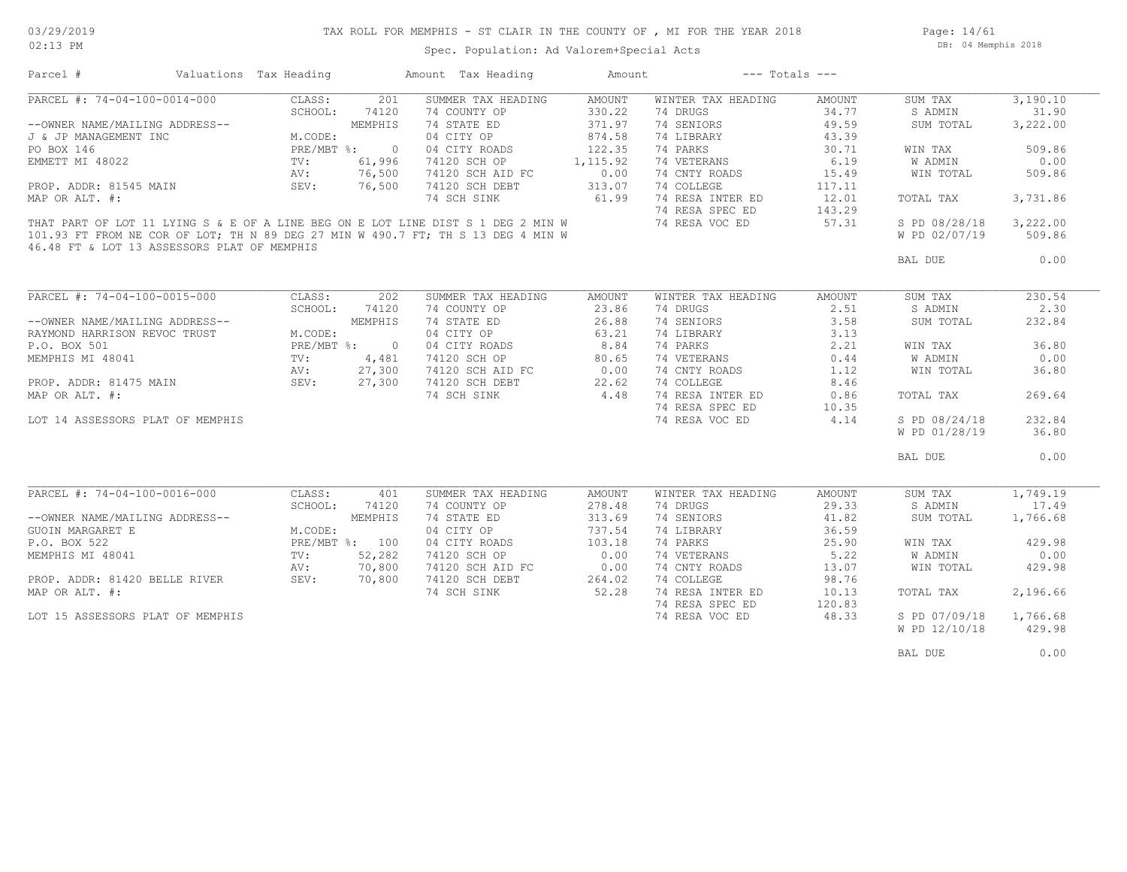## TAX ROLL FOR MEMPHIS - ST CLAIR IN THE COUNTY OF , MI FOR THE YEAR 2018

Page: 14/61 DB: 04 Memphis 2018

| Parcel #                                                                                                                        | Valuations Tax Heading |                | Amount Tax Heading | Amount    |                    | $---$ Totals $---$ |               |          |
|---------------------------------------------------------------------------------------------------------------------------------|------------------------|----------------|--------------------|-----------|--------------------|--------------------|---------------|----------|
| PARCEL #: 74-04-100-0014-000                                                                                                    | CLASS:                 | 201            | SUMMER TAX HEADING | AMOUNT    | WINTER TAX HEADING | AMOUNT             | SUM TAX       | 3,190.10 |
|                                                                                                                                 | SCHOOL:                | 74120          | 74 COUNTY OP       | 330.22    | 74 DRUGS           | 34.77              | S ADMIN       | 31.90    |
| --OWNER NAME/MAILING ADDRESS--                                                                                                  |                        | MEMPHIS        | 74 STATE ED        | 371.97    | 74 SENIORS         | 49.59              | SUM TOTAL     | 3,222.00 |
| J & JP MANAGEMENT INC                                                                                                           | M.CODE:                |                | 04 CITY OP         | 874.58    | 74 LIBRARY         | 43.39              |               |          |
| PO BOX 146                                                                                                                      |                        | PRE/MBT %: 0   | 04 CITY ROADS      | 122.35    | 74 PARKS           | 30.71              | WIN TAX       | 509.86   |
| EMMETT MI 48022                                                                                                                 | TV:                    | 61,996         | 74120 SCH OP       | 1, 115.92 | 74 VETERANS        | 6.19               | W ADMIN       | 0.00     |
|                                                                                                                                 | AV:                    | 76,500         | 74120 SCH AID FC   | 0.00      | 74 CNTY ROADS      | 15.49              | WIN TOTAL     | 509.86   |
| PROP. ADDR: 81545 MAIN                                                                                                          | SEV:                   | 76,500         | 74120 SCH DEBT     | 313.07    | 74 COLLEGE         | 117.11             |               |          |
| MAP OR ALT. #:                                                                                                                  |                        |                | 74 SCH SINK        | 61.99     | 74 RESA INTER ED   | 12.01              | TOTAL TAX     | 3,731.86 |
|                                                                                                                                 |                        |                |                    |           | 74 RESA SPEC ED    | 143.29             |               |          |
|                                                                                                                                 |                        |                |                    |           |                    |                    |               |          |
| THAT PART OF LOT 11 LYING S & E OF A LINE BEG ON E LOT LINE DIST S 1 DEG 2 MIN W                                                |                        |                |                    |           | 74 RESA VOC ED     | 57.31              | S PD 08/28/18 | 3,222.00 |
| 101.93 FT FROM NE COR OF LOT; TH N 89 DEG 27 MIN W 490.7 FT; TH S 13 DEG 4 MIN W<br>46.48 FT & LOT 13 ASSESSORS PLAT OF MEMPHIS |                        |                |                    |           |                    |                    | W PD 02/07/19 | 509.86   |
|                                                                                                                                 |                        |                |                    |           |                    |                    | BAL DUE       | 0.00     |
|                                                                                                                                 |                        |                |                    |           |                    |                    |               |          |
| PARCEL #: 74-04-100-0015-000                                                                                                    | CLASS:                 | 202            | SUMMER TAX HEADING | AMOUNT    | WINTER TAX HEADING | AMOUNT             | SUM TAX       | 230.54   |
|                                                                                                                                 | SCHOOL:                | 74120          | 74 COUNTY OP       | 23.86     | 74 DRUGS           | 2.51               | S ADMIN       | 2.30     |
| --OWNER NAME/MAILING ADDRESS--                                                                                                  |                        | MEMPHIS        | 74 STATE ED        | 26.88     | 74 SENIORS         | 3.58               | SUM TOTAL     | 232.84   |
| RAYMOND HARRISON REVOC TRUST                                                                                                    | M.CODE:                |                | 04 CITY OP         | 63.21     | 74 LIBRARY         | 3.13               |               |          |
| P.O. BOX 501                                                                                                                    |                        | PRE/MBT %: 0   | 04 CITY ROADS      | 8.84      | 74 PARKS           | 2.21               | WIN TAX       | 36.80    |
| MEMPHIS MI 48041                                                                                                                | TV:                    | 4,481          | 74120 SCH OP       | 80.65     | 74 VETERANS        | 0.44               | W ADMIN       | 0.00     |
|                                                                                                                                 | AV:                    | 27,300         | 74120 SCH AID FC   | 0.00      | 74 CNTY ROADS      | 1.12               | WIN TOTAL     | 36.80    |
|                                                                                                                                 |                        |                |                    |           |                    |                    |               |          |
| PROP. ADDR: 81475 MAIN                                                                                                          | SEV:                   | 27,300         | 74120 SCH DEBT     | 22.62     | 74 COLLEGE         | 8.46               |               |          |
| MAP OR ALT. #:                                                                                                                  |                        |                | 74 SCH SINK        | 4.48      | 74 RESA INTER ED   | 0.86               | TOTAL TAX     | 269.64   |
|                                                                                                                                 |                        |                |                    |           | 74 RESA SPEC ED    | 10.35              |               |          |
| LOT 14 ASSESSORS PLAT OF MEMPHIS                                                                                                |                        |                |                    |           | 74 RESA VOC ED     | 4.14               | S PD 08/24/18 | 232.84   |
|                                                                                                                                 |                        |                |                    |           |                    |                    | W PD 01/28/19 | 36.80    |
|                                                                                                                                 |                        |                |                    |           |                    |                    | BAL DUE       | 0.00     |
|                                                                                                                                 |                        |                |                    |           |                    |                    |               |          |
| PARCEL #: 74-04-100-0016-000                                                                                                    | CLASS:                 | 401            | SUMMER TAX HEADING | AMOUNT    | WINTER TAX HEADING | AMOUNT             | SUM TAX       | 1,749.19 |
|                                                                                                                                 | SCHOOL:                | 74120          | 74 COUNTY OP       | 278.48    | 74 DRUGS           | 29.33              | S ADMIN       | 17.49    |
| --OWNER NAME/MAILING ADDRESS--                                                                                                  |                        | MEMPHIS        | 74 STATE ED        | 313.69    | 74 SENIORS         | 41.82              | SUM TOTAL     | 1,766.68 |
| <b>GUOIN MARGARET E</b>                                                                                                         | M.CODE:                |                | 04 CITY OP         | 737.54    | 74 LIBRARY         | 36.59              |               |          |
| P.O. BOX 522                                                                                                                    |                        | PRE/MBT %: 100 | 04 CITY ROADS      | 103.18    | 74 PARKS           | 25.90              | WIN TAX       | 429.98   |
| MEMPHIS MI 48041                                                                                                                | TV:                    | 52,282         | 74120 SCH OP       | 0.00      | 74 VETERANS        | 5.22               | W ADMIN       | 0.00     |
|                                                                                                                                 | AV:                    | 70,800         | 74120 SCH AID FC   | 0.00      | 74 CNTY ROADS      | 13.07              | WIN TOTAL     | 429.98   |
| PROP. ADDR: 81420 BELLE RIVER                                                                                                   | SEV:                   | 70,800         | 74120 SCH DEBT     | 264.02    | 74 COLLEGE         | 98.76              |               |          |
| MAP OR ALT. #:                                                                                                                  |                        |                | 74 SCH SINK        | 52.28     | 74 RESA INTER ED   | 10.13              | TOTAL TAX     | 2,196.66 |
|                                                                                                                                 |                        |                |                    |           | 74 RESA SPEC ED    | 120.83             |               |          |
| LOT 15 ASSESSORS PLAT OF MEMPHIS                                                                                                |                        |                |                    |           | 74 RESA VOC ED     | 48.33              | S PD 07/09/18 | 1,766.68 |
|                                                                                                                                 |                        |                |                    |           |                    |                    | W PD 12/10/18 | 429.98   |
|                                                                                                                                 |                        |                |                    |           |                    |                    |               |          |
|                                                                                                                                 |                        |                |                    |           |                    |                    | BAL DUE       | 0.00     |
|                                                                                                                                 |                        |                |                    |           |                    |                    |               |          |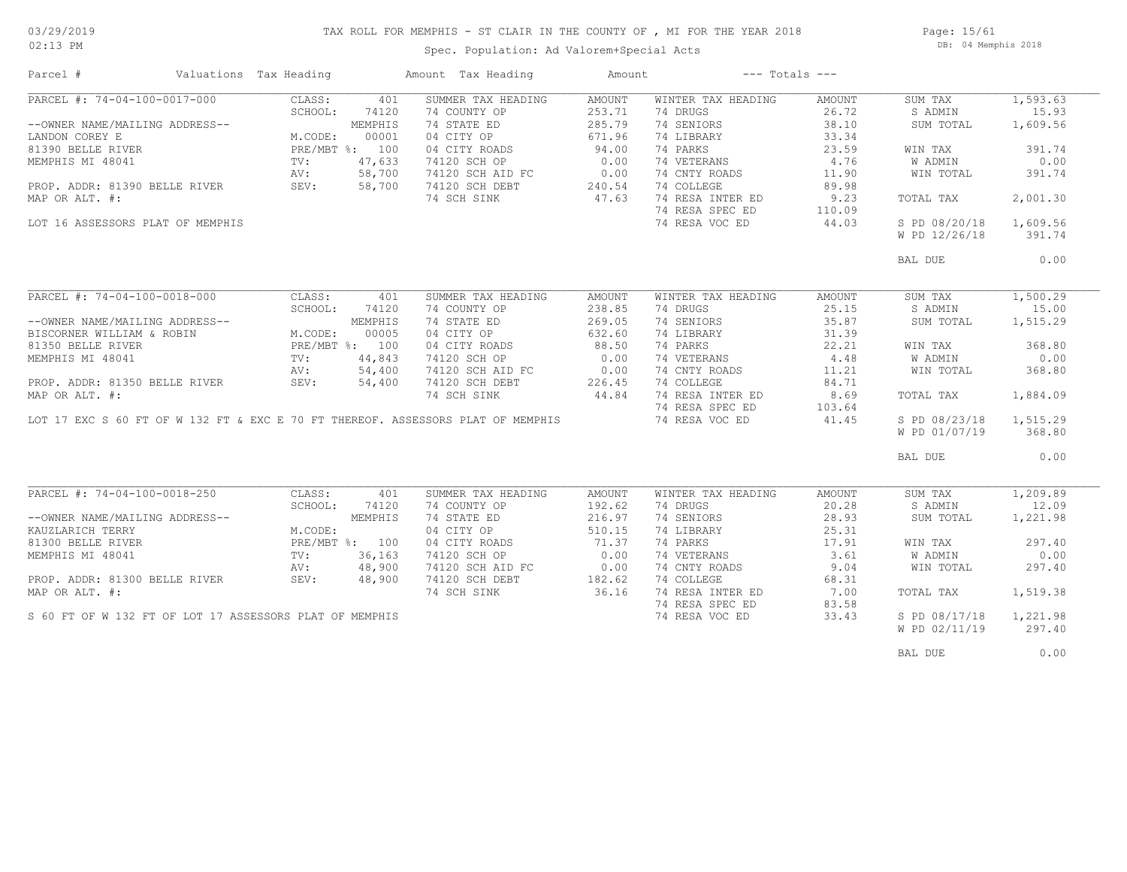### TAX ROLL FOR MEMPHIS - ST CLAIR IN THE COUNTY OF , MI FOR THE YEAR 2018

02:13 PM

### Spec. Population: Ad Valorem+Special Acts

Page: 15/61 DB: 04 Memphis 2018

| Parcel #                                                | Valuations Tax Heading |                | Amount Tax Heading                                                              | Amount             |                    | $---$ Totals $---$ |               |          |
|---------------------------------------------------------|------------------------|----------------|---------------------------------------------------------------------------------|--------------------|--------------------|--------------------|---------------|----------|
| PARCEL #: 74-04-100-0017-000                            | CLASS:                 | 401            | SUMMER TAX HEADING                                                              | AMOUNT             | WINTER TAX HEADING | AMOUNT             | SUM TAX       | 1,593.63 |
|                                                         | SCHOOL:                | 74120          | 74 COUNTY OP                                                                    | 253.71             | 74 DRUGS           | 26.72              | S ADMIN       | 15.93    |
| --OWNER NAME/MAILING ADDRESS--                          |                        | MEMPHIS        | 74 STATE ED                                                                     | 285.79             | 74 SENIORS         | 38.10              | SUM TOTAL     | 1,609.56 |
| LANDON COREY E                                          | M.CODE:                | 00001          | 04 CITY OP                                                                      | 671.96             | 74 LIBRARY         | 33.34              |               |          |
| 81390 BELLE RIVER                                       | PRE/MBT %: 100         |                | 04 CITY ROADS                                                                   | 94.00              | 74 PARKS           | 23.59              | WIN TAX       | 391.74   |
| MEMPHIS MI 48041                                        | TV:                    | 47,633         | 74120 SCH OP                                                                    | 0.00               | 74 VETERANS        | 4.76               | W ADMIN       | 0.00     |
|                                                         | AV:                    | 58,700         | 74120 SCH AID FC                                                                | 0.00               | 74 CNTY ROADS      | 11.90              | WIN TOTAL     | 391.74   |
| PROP. ADDR: 81390 BELLE RIVER                           | SEV:                   | 58,700         | 74120 SCH DEBT                                                                  | 240.54             | 74 COLLEGE         | 89.98              |               |          |
| MAP OR ALT. #:                                          |                        |                | 74 SCH SINK                                                                     | 47.63              | 74 RESA INTER ED   | 9.23               | TOTAL TAX     | 2,001.30 |
|                                                         |                        |                |                                                                                 |                    | 74 RESA SPEC ED    | 110.09             |               |          |
| LOT 16 ASSESSORS PLAT OF MEMPHIS                        |                        |                |                                                                                 |                    | 74 RESA VOC ED     | 44.03              | S PD 08/20/18 | 1,609.56 |
|                                                         |                        |                |                                                                                 |                    |                    |                    | W PD 12/26/18 | 391.74   |
|                                                         |                        |                |                                                                                 |                    |                    |                    |               |          |
|                                                         |                        |                |                                                                                 |                    |                    |                    | BAL DUE       | 0.00     |
|                                                         |                        |                |                                                                                 |                    |                    |                    |               |          |
| PARCEL #: 74-04-100-0018-000                            | CLASS:                 | 401            | SUMMER TAX HEADING                                                              | AMOUNT             | WINTER TAX HEADING | AMOUNT             | SUM TAX       | 1,500.29 |
|                                                         | SCHOOL:                | 74120          | 74 COUNTY OP                                                                    | 238.85             | 74 DRUGS           | 25.15              | S ADMIN       | 15.00    |
| --OWNER NAME/MAILING ADDRESS--                          |                        | MEMPHIS        | 74 STATE ED                                                                     | 269.05             | 74 SENIORS         | 35.87              | SUM TOTAL     | 1,515.29 |
| BISCORNER WILLIAM & ROBIN                               | M.CODE:                | 00005          | 04 CITY OP                                                                      | 632.60             | 74 LIBRARY         | 31.39              |               |          |
| 81350 BELLE RIVER                                       |                        | PRE/MBT %: 100 | 04 CITY ROADS                                                                   | 88.50              | 74 PARKS           | 22.21              | WIN TAX       | 368.80   |
| MEMPHIS MI 48041                                        | TV:                    | 44,843         | 74120 SCH OP                                                                    | 0.00               | 74 VETERANS        | 4.48               | W ADMIN       | 0.00     |
|                                                         | AV:                    | 54,400         | 74120 SCH AID FC                                                                |                    | 74 CNTY ROADS      | 11.21              | WIN TOTAL     | 368.80   |
| PROP. ADDR: 81350 BELLE RIVER                           | SEV:                   | 54,400         | 74120 SCH DEBT                                                                  | $0.00$<br>$226.45$ | 74 COLLEGE         | 84.71              |               |          |
| MAP OR ALT. #:                                          |                        |                | 74 SCH SINK                                                                     | 44.84              | 74 RESA INTER ED   | 8.69               | TOTAL TAX     | 1,884.09 |
|                                                         |                        |                |                                                                                 |                    | 74 RESA SPEC ED    | 103.64             |               |          |
|                                                         |                        |                | LOT 17 EXC S 60 FT OF W 132 FT & EXC E 70 FT THEREOF. ASSESSORS PLAT OF MEMPHIS |                    | 74 RESA VOC ED     | 41.45              | S PD 08/23/18 | 1,515.29 |
|                                                         |                        |                |                                                                                 |                    |                    |                    | W PD 01/07/19 | 368.80   |
|                                                         |                        |                |                                                                                 |                    |                    |                    |               |          |
|                                                         |                        |                |                                                                                 |                    |                    |                    | BAL DUE       | 0.00     |
|                                                         |                        |                |                                                                                 |                    |                    |                    |               |          |
| PARCEL #: 74-04-100-0018-250                            | CLASS:                 | 401            | SUMMER TAX HEADING                                                              | AMOUNT             | WINTER TAX HEADING | AMOUNT             | SUM TAX       | 1,209.89 |
|                                                         | SCHOOL:                | 74120          | 74 COUNTY OP                                                                    | 192.62             | 74 DRUGS           | 20.28              | S ADMIN       | 12.09    |
| --OWNER NAME/MAILING ADDRESS--                          |                        | MEMPHIS        | 74 STATE ED                                                                     | 216.97             | 74 SENIORS         | 28.93              | SUM TOTAL     | 1,221.98 |
| KAUZLARICH TERRY                                        | M.CODE:                |                | 04 CITY OP                                                                      | 510.15             | 74 LIBRARY         | 25.31              |               |          |
| 81300 BELLE RIVER                                       |                        | PRE/MBT %: 100 | 04 CITY ROADS                                                                   | 71.37              | 74 PARKS           | 17.91              | WIN TAX       | 297.40   |
| MEMPHIS MI 48041                                        | TV:                    | 36,163         | 74120 SCH OP                                                                    | 0.00               | 74 VETERANS        | 3.61               | W ADMIN       | 0.00     |
|                                                         | AV:                    | 48,900         | 74120 SCH AID FC                                                                | 0.00               | 74 CNTY ROADS      | 9.04               | WIN TOTAL     | 297.40   |
| PROP. ADDR: 81300 BELLE RIVER                           | SEV:                   | 48,900         | 74120 SCH DEBT                                                                  | 182.62             | 74 COLLEGE         | 68.31              |               |          |
| MAP OR ALT. #:                                          |                        |                | 74 SCH SINK                                                                     | 36.16              | 74 RESA INTER ED   | 7.00               | TOTAL TAX     | 1,519.38 |
|                                                         |                        |                |                                                                                 |                    | 74 RESA SPEC ED    | 83.58              |               |          |
| S 60 FT OF W 132 FT OF LOT 17 ASSESSORS PLAT OF MEMPHIS |                        |                |                                                                                 |                    | 74 RESA VOC ED     | 33.43              | S PD 08/17/18 | 1,221.98 |
|                                                         |                        |                |                                                                                 |                    |                    |                    | W PD 02/11/19 | 297.40   |
|                                                         |                        |                |                                                                                 |                    |                    |                    |               | 0.00     |
|                                                         |                        |                |                                                                                 |                    |                    |                    | BAL DUE       |          |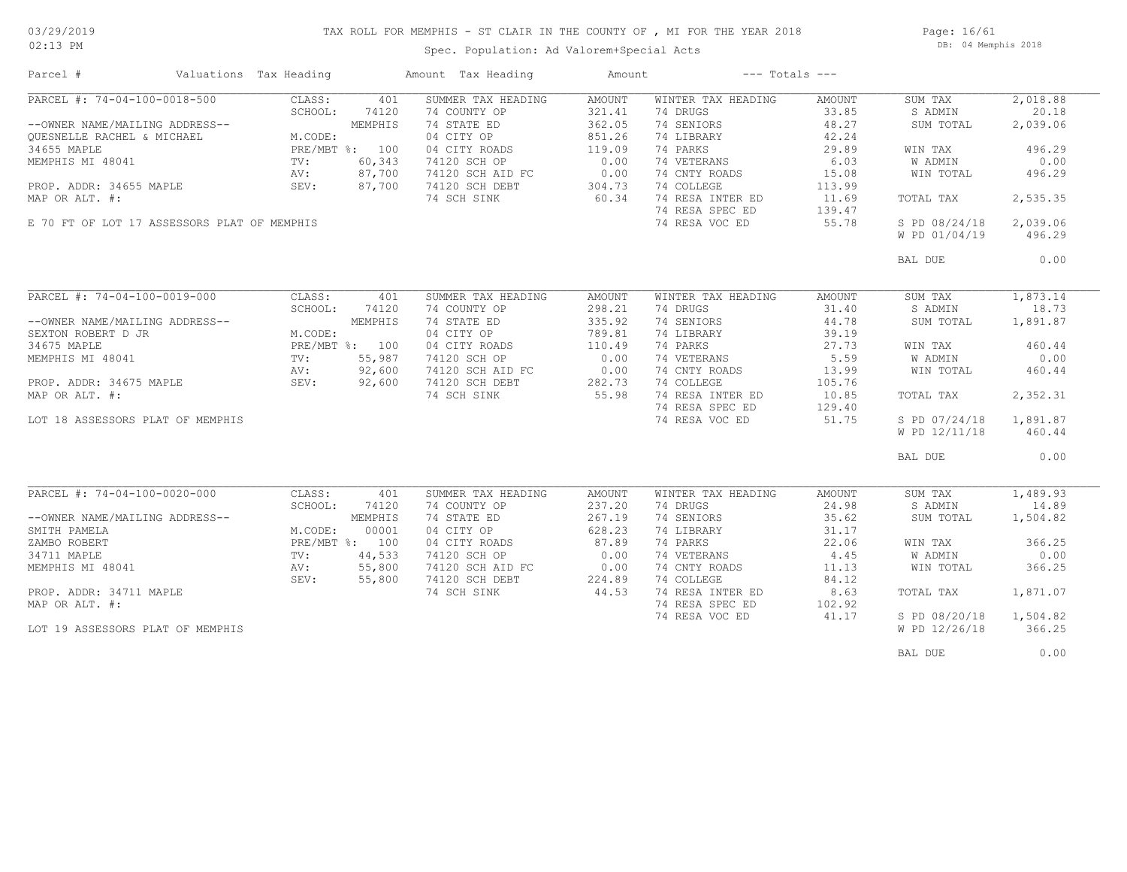### TAX ROLL FOR MEMPHIS - ST CLAIR IN THE COUNTY OF , MI FOR THE YEAR 2018

Spec. Population: Ad Valorem+Special Acts

Page: 16/61 DB: 04 Memphis 2018

| Parcel #                                        | Valuations Tax Heading                   |         | Amount Tax Heading | Amount        |                    | $---$ Totals $---$ |                |          |
|-------------------------------------------------|------------------------------------------|---------|--------------------|---------------|--------------------|--------------------|----------------|----------|
| $\overline{\text{PARCH}}$ #: 74-04-100-0018-500 | CLASS:                                   | 401     | SUMMER TAX HEADING | AMOUNT        | WINTER TAX HEADING | AMOUNT             | SUM TAX        | 2,018.88 |
|                                                 | SCHOOL:                                  | 74120   | 74 COUNTY OP       | 321.41        | 74 DRUGS           | 33.85              | S ADMIN        | 20.18    |
| --OWNER NAME/MAILING ADDRESS--                  |                                          | MEMPHIS | 74 STATE ED        | 362.05        | 74 SENIORS         | 48.27              | SUM TOTAL      | 2,039.06 |
| OUESNELLE RACHEL & MICHAEL                      | M.CODE:                                  |         | 04 CITY OP         | 851.26        | 74 LIBRARY         | 42.24              |                |          |
| 34655 MAPLE                                     | PRE/MBT %: 100                           |         | 04 CITY ROADS      | 119.09        | 74 PARKS           | 29.89              | WIN TAX        | 496.29   |
| MEMPHIS MI 48041                                | $\frac{F_{11}}{TV}$ :<br>$\frac{TV}{AV}$ | 60,343  | 74120 SCH OP       | 0.00          | 74 VETERANS        | 6.03               | <b>W ADMIN</b> | 0.00     |
|                                                 | AV:                                      | 87,700  | 74120 SCH AID FC   | 0.00          | 74 CNTY ROADS      | 15.08              | WIN TOTAL      | 496.29   |
| PROP. ADDR: 34655 MAPLE                         |                                          |         | 74120 SCH DEBT     |               | 74 COLLEGE         | 113.99             |                |          |
|                                                 | SEV:                                     | 87,700  |                    | 304.73        |                    |                    |                |          |
| MAP OR ALT. #:                                  |                                          |         | 74 SCH SINK        | 60.34         | 74 RESA INTER ED   | 11.69              | TOTAL TAX      | 2,535.35 |
|                                                 |                                          |         |                    |               | 74 RESA SPEC ED    | 139.47             |                |          |
| E 70 FT OF LOT 17 ASSESSORS PLAT OF MEMPHIS     |                                          |         |                    |               | 74 RESA VOC ED     | 55.78              | S PD 08/24/18  | 2,039.06 |
|                                                 |                                          |         |                    |               |                    |                    | W PD 01/04/19  | 496.29   |
|                                                 |                                          |         |                    |               |                    |                    | BAL DUE        | 0.00     |
|                                                 |                                          |         |                    |               |                    |                    |                |          |
| PARCEL #: 74-04-100-0019-000                    | CLASS:                                   | 401     | SUMMER TAX HEADING | <b>AMOUNT</b> | WINTER TAX HEADING | AMOUNT             | SUM TAX        | 1,873.14 |
|                                                 | SCHOOL:                                  | 74120   | 74 COUNTY OP       | 298.21        | 74 DRUGS           | 31.40              | S ADMIN        | 18.73    |
| --OWNER NAME/MAILING ADDRESS--                  |                                          | MEMPHIS | 74 STATE ED        | 335.92        | 74 SENIORS         | 44.78              | SUM TOTAL      | 1,891.87 |
| SEXTON ROBERT D JR                              | M.CODE:                                  |         | 04 CITY OP         | 789.81        | 74 LIBRARY         | 39.19              |                |          |
| 34675 MAPLE                                     | PRE/MBT %: 100                           |         | 04 CITY ROADS      | 110.49        | 74 PARKS           | 27.73              | WIN TAX        | 460.44   |
| MEMPHIS MI 48041                                | TV:                                      | 55,987  | 74120 SCH OP       | 0.00          | 74 VETERANS        | 5.59               | W ADMIN        | 0.00     |
|                                                 | AV:                                      | 92,600  | 74120 SCH AID FC   |               | 74 CNTY ROADS      | 13.99              | WIN TOTAL      | 460.44   |
|                                                 | SEV:                                     | 92,600  |                    | 282.73        | 74 COLLEGE         |                    |                |          |
| PROP. ADDR: 34675 MAPLE                         |                                          |         | 74120 SCH DEBT     |               |                    | 105.76             |                |          |
| MAP OR ALT. #:                                  |                                          |         | 74 SCH SINK        | 55.98         | 74 RESA INTER ED   | 10.85              | TOTAL TAX      | 2,352.31 |
|                                                 |                                          |         |                    |               | 74 RESA SPEC ED    | 129.40             |                |          |
| LOT 18 ASSESSORS PLAT OF MEMPHIS                |                                          |         |                    |               | 74 RESA VOC ED     | 51.75              | S PD 07/24/18  | 1,891.87 |
|                                                 |                                          |         |                    |               |                    |                    | W PD 12/11/18  | 460.44   |
|                                                 |                                          |         |                    |               |                    |                    | BAL DUE        | 0.00     |
|                                                 |                                          |         |                    |               |                    |                    |                |          |
| PARCEL #: 74-04-100-0020-000                    | CLASS:                                   | 401     | SUMMER TAX HEADING | <b>AMOUNT</b> | WINTER TAX HEADING | AMOUNT             | SUM TAX        | 1,489.93 |
|                                                 | SCHOOL:                                  | 74120   | 74 COUNTY OP       | 237.20        | 74 DRUGS           | 24.98              | S ADMIN        | 14.89    |
| --OWNER NAME/MAILING ADDRESS--                  |                                          | MEMPHIS | 74 STATE ED        | 267.19        | 74 SENIORS         | 35.62              | SUM TOTAL      | 1,504.82 |
| SMITH PAMELA                                    |                                          | 00001   | 04 CITY OP         | 628.23        |                    | 31.17              |                |          |
|                                                 | M.CODE:                                  |         |                    |               | 74 LIBRARY         |                    |                |          |
| ZAMBO ROBERT                                    | PRE/MBT %: 100                           |         | 04 CITY ROADS      | 87.89         | 74 PARKS           | 22.06              | WIN TAX        | 366.25   |
| 34711 MAPLE                                     | TV:                                      | 44,533  | 74120 SCH OP       | 0.00          | 74 VETERANS        | 4.45               | W ADMIN        | 0.00     |
| MEMPHIS MI 48041                                | AV:                                      | 55,800  | 74120 SCH AID FC   | 0.00          | 74 CNTY ROADS      | 11.13              | WIN TOTAL      | 366.25   |
|                                                 | SEV:                                     | 55,800  | 74120 SCH DEBT     | 224.89        | 74 COLLEGE         | 84.12              |                |          |
| PROP. ADDR: 34711 MAPLE                         |                                          |         | 74 SCH SINK        | 44.53         | 74 RESA INTER ED   | 8.63               | TOTAL TAX      | 1,871.07 |
| MAP OR ALT. #:                                  |                                          |         |                    |               | 74 RESA SPEC ED    | 102.92             |                |          |
|                                                 |                                          |         |                    |               | 74 RESA VOC ED     | 41.17              | S PD 08/20/18  | 1,504.82 |
| LOT 19 ASSESSORS PLAT OF MEMPHIS                |                                          |         |                    |               |                    |                    | W PD 12/26/18  | 366.25   |
|                                                 |                                          |         |                    |               |                    |                    | BAL DUE        | 0.00     |
|                                                 |                                          |         |                    |               |                    |                    |                |          |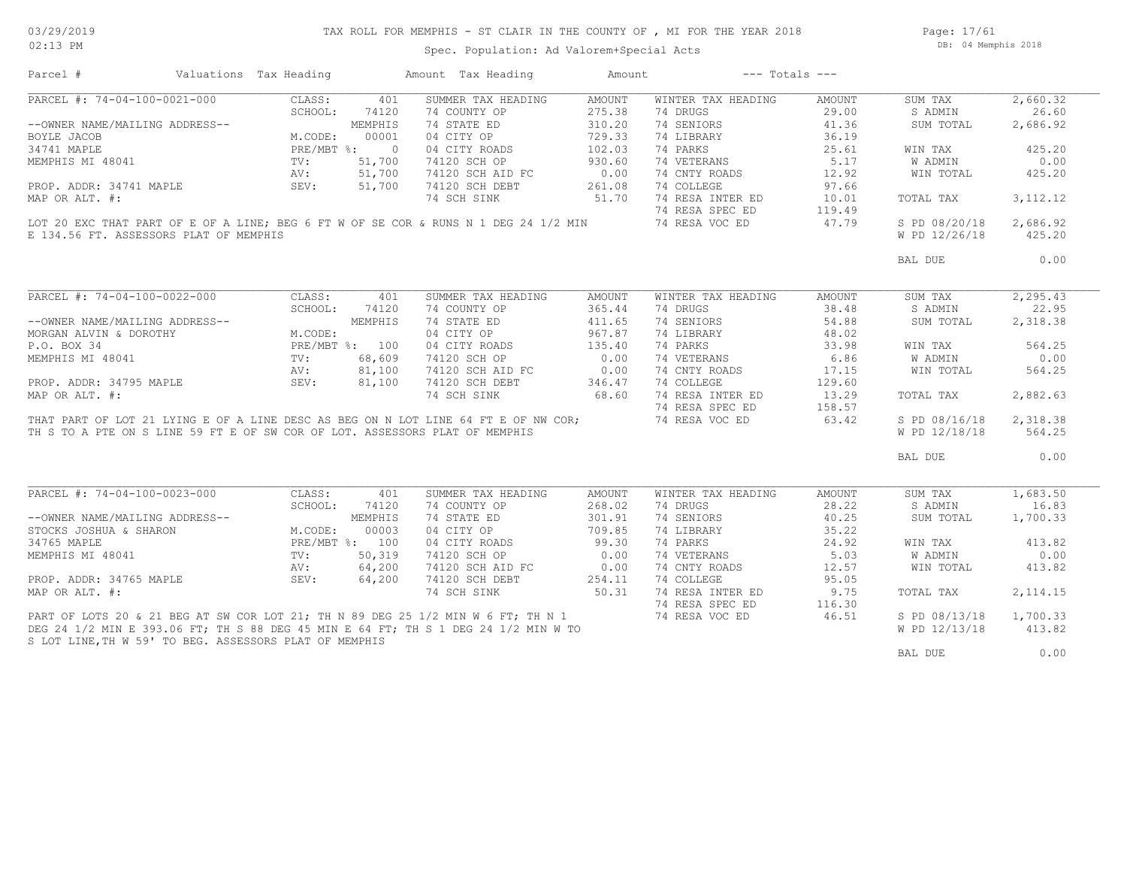Page: 17/61 DB: 04 Memphis 2018

|                                                        | Valuations Tax Heading |                | Amount Tax Heading                                                                  | Amount | $---$ Totals $---$ |        |                |           |
|--------------------------------------------------------|------------------------|----------------|-------------------------------------------------------------------------------------|--------|--------------------|--------|----------------|-----------|
| PARCEL #: 74-04-100-0021-000                           | CLASS:                 | 401            | SUMMER TAX HEADING                                                                  | AMOUNT | WINTER TAX HEADING | AMOUNT | SUM TAX        | 2,660.32  |
|                                                        | SCHOOL:                | 74120          | 74 COUNTY OP                                                                        | 275.38 | 74 DRUGS           | 29.00  | S ADMIN        | 26.60     |
| --OWNER NAME/MAILING ADDRESS--                         |                        | MEMPHIS        | 74 STATE ED                                                                         | 310.20 | 74 SENIORS         | 41.36  | SUM TOTAL      | 2,686.92  |
| BOYLE JACOB                                            | M.CODE:                | 00001          | 04 CITY OP                                                                          | 729.33 | 74 LIBRARY         | 36.19  |                |           |
| 34741 MAPLE                                            | PRE/MBT %:             | $\cap$         | 04 CITY ROADS                                                                       | 102.03 | 74 PARKS           | 25.61  | WIN TAX        | 425.20    |
| MEMPHIS MI 48041                                       | $\text{TV}$ :          | 51,700         | 74120 SCH OP                                                                        | 930.60 | 74 VETERANS        | 5.17   | W ADMIN        | 0.00      |
|                                                        | AV:                    | 51,700         | 74120 SCH AID FC                                                                    | 0.00   | 74 CNTY ROADS      | 12.92  | WIN TOTAL      | 425.20    |
| PROP. ADDR: 34741 MAPLE                                | SEV:                   | 51,700         | 74120 SCH DEBT                                                                      | 261.08 | 74 COLLEGE         | 97.66  |                |           |
| MAP OR ALT. #:                                         |                        |                | 74 SCH SINK                                                                         | 51.70  | 74 RESA INTER ED   | 10.01  | TOTAL TAX      | 3, 112.12 |
|                                                        |                        |                |                                                                                     |        | 74 RESA SPEC ED    | 119.49 |                |           |
|                                                        |                        |                | LOT 20 EXC THAT PART OF E OF A LINE; BEG 6 FT W OF SE COR & RUNS N 1 DEG 24 1/2 MIN |        | 74 RESA VOC ED     | 47.79  | S PD 08/20/18  | 2,686.92  |
| E 134.56 FT. ASSESSORS PLAT OF MEMPHIS                 |                        |                |                                                                                     |        |                    |        | W PD 12/26/18  | 425.20    |
|                                                        |                        |                |                                                                                     |        |                    |        | BAL DUE        | 0.00      |
|                                                        |                        |                |                                                                                     |        |                    |        |                |           |
| PARCEL #: 74-04-100-0022-000                           | CLASS:                 | 401            | SUMMER TAX HEADING                                                                  | AMOUNT | WINTER TAX HEADING | AMOUNT | SUM TAX        | 2, 295.43 |
|                                                        | SCHOOL:                | 74120          | 74 COUNTY OP                                                                        | 365.44 | 74 DRUGS           | 38.48  | S ADMIN        | 22.95     |
| --OWNER NAME/MAILING ADDRESS--                         |                        | MEMPHIS        | 74 STATE ED                                                                         | 411.65 | 74 SENIORS         | 54.88  | SUM TOTAL      | 2,318.38  |
| MORGAN ALVIN & DOROTHY                                 | M.CODE:                |                | 04 CITY OP                                                                          | 967.87 | 74 LIBRARY         | 48.02  |                |           |
| P.O. BOX 34                                            |                        | PRE/MBT %: 100 |                                                                                     | 135.40 | 74 PARKS           | 33.98  |                | 564.25    |
|                                                        | TV:                    |                | 04 CITY ROADS                                                                       |        |                    |        | WIN TAX        |           |
|                                                        |                        | 68,609         | 74120 SCH OP                                                                        | 0.00   | 74 VETERANS        | 6.86   | <b>W ADMIN</b> | 0.00      |
| MEMPHIS MI 48041                                       |                        |                |                                                                                     |        |                    |        |                |           |
|                                                        | AV:                    | 81,100         | 74120 SCH AID FC                                                                    | 0.00   | 74 CNTY ROADS      | 17.15  | WIN TOTAL      | 564.25    |
| PROP. ADDR: 34795 MAPLE                                | SEV:                   | 81,100         | 74120 SCH DEBT                                                                      | 346.47 | 74 COLLEGE         | 129.60 |                |           |
| MAP OR ALT. #:                                         |                        |                | 74 SCH SINK                                                                         | 68.60  | 74 RESA INTER ED   | 13.29  | TOTAL TAX      | 2,882.63  |
|                                                        |                        |                |                                                                                     |        | 74 RESA SPEC ED    | 158.57 |                |           |
|                                                        |                        |                | THAT PART OF LOT 21 LYING E OF A LINE DESC AS BEG ON N LOT LINE 64 FT E OF NW COR;  |        | 74 RESA VOC ED     | 63.42  | S PD 08/16/18  | 2,318.38  |
|                                                        |                        |                | TH S TO A PTE ON S LINE 59 FT E OF SW COR OF LOT. ASSESSORS PLAT OF MEMPHIS         |        |                    |        | W PD 12/18/18  | 564.25    |
|                                                        |                        |                |                                                                                     |        |                    |        | BAL DUE        | 0.00      |
|                                                        |                        |                |                                                                                     |        |                    |        |                |           |
| PARCEL #: 74-04-100-0023-000                           | CLASS:                 | 401            | SUMMER TAX HEADING                                                                  | AMOUNT | WINTER TAX HEADING | AMOUNT | SUM TAX        | 1,683.50  |
|                                                        | SCHOOL:                | 74120          | 74 COUNTY OP                                                                        | 268.02 | 74 DRUGS           | 28.22  | S ADMIN        | 16.83     |
| --OWNER NAME/MAILING ADDRESS--                         |                        | MEMPHIS        | 74 STATE ED                                                                         | 301.91 | 74 SENIORS         | 40.25  | SUM TOTAL      | 1,700.33  |
| STOCKS JOSHUA & SHARON                                 | M.CODE:                | 00003          | 04 CITY OP                                                                          | 709.85 | 74 LIBRARY         | 35.22  |                |           |
| 34765 MAPLE                                            |                        | PRE/MBT %: 100 | 04 CITY ROADS                                                                       | 99.30  | 74 PARKS           | 24.92  | WIN TAX        | 413.82    |
| MEMPHIS MI 48041                                       | TV:                    | 50,319         | 74120 SCH OP                                                                        | 0.00   | 74 VETERANS        | 5.03   | W ADMIN        | 0.00      |
|                                                        |                        |                |                                                                                     |        |                    |        |                |           |
|                                                        | AV:                    | 64,200         | 74120 SCH AID FC                                                                    | 0.00   | 74 CNTY ROADS      | 12.57  | WIN TOTAL      | 413.82    |
| PROP. ADDR: 34765 MAPLE                                | SEV:                   | 64,200         | 74120 SCH DEBT                                                                      | 254.11 | 74 COLLEGE         | 95.05  |                |           |
| MAP OR ALT. #:                                         |                        |                | 74 SCH SINK                                                                         | 50.31  | 74 RESA INTER ED   | 9.75   | TOTAL TAX      | 2, 114.15 |
|                                                        |                        |                |                                                                                     |        | 74 RESA SPEC ED    | 116.30 |                |           |
|                                                        |                        |                | PART OF LOTS 20 & 21 BEG AT SW COR LOT 21; TH N 89 DEG 25 1/2 MIN W 6 FT; TH N 1    |        | 74 RESA VOC ED     | 46.51  | S PD 08/13/18  | 1,700.33  |
| S LOT LINE, TH W 59' TO BEG. ASSESSORS PLAT OF MEMPHIS |                        |                | DEG 24 1/2 MIN E 393.06 FT; TH S 88 DEG 45 MIN E 64 FT; TH S 1 DEG 24 1/2 MIN W TO  |        |                    |        | W PD 12/13/18  | 413.82    |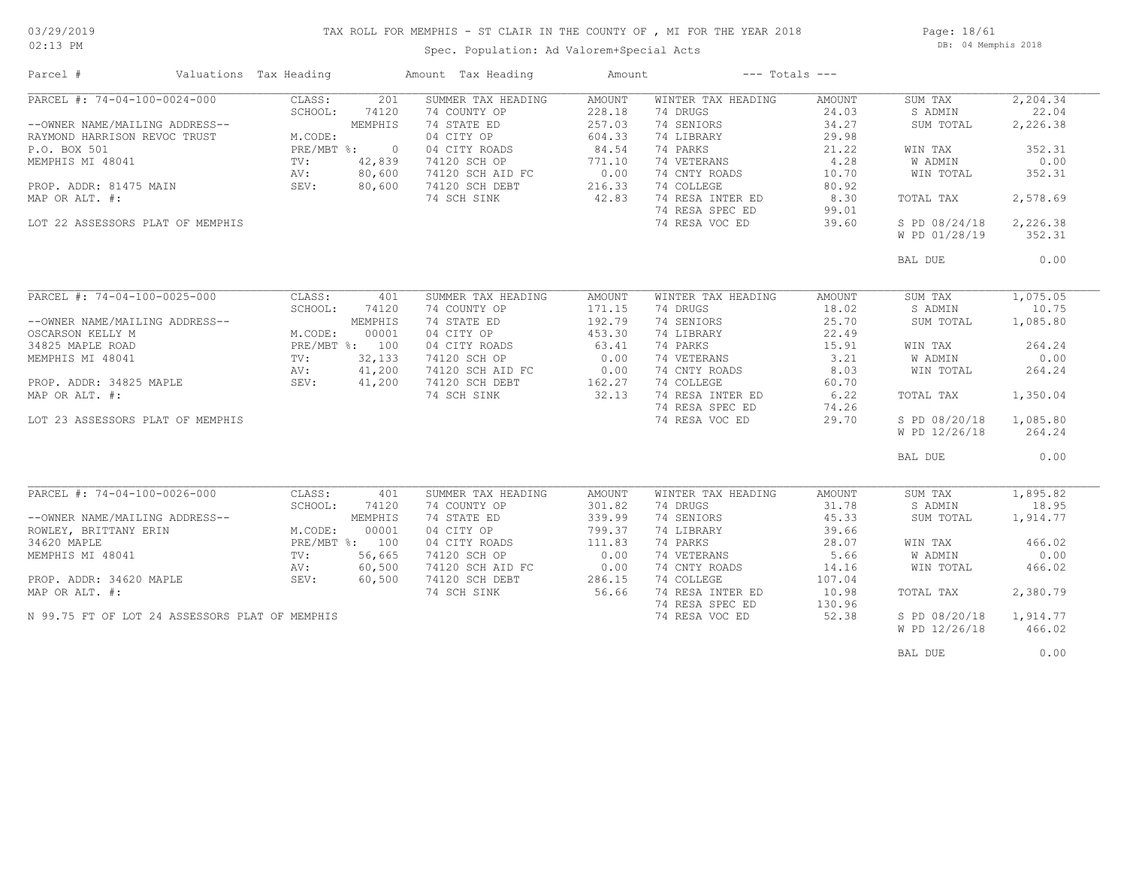### TAX ROLL FOR MEMPHIS - ST CLAIR IN THE COUNTY OF , MI FOR THE YEAR 2018

Spec. Population: Ad Valorem+Special Acts

Page: 18/61 DB: 04 Memphis 2018

| PARCEL #: 74-04-100-0024-000<br>201<br>SUMMER TAX HEADING<br>AMOUNT<br>WINTER TAX HEADING<br>SUM TAX<br>CLASS:<br>AMOUNT<br>SCHOOL:<br>74120<br>74 COUNTY OP<br>228.18<br>74 DRUGS<br>24.03<br>S ADMIN<br>22.04<br>257.03<br>74 SENIORS<br>34.27<br>MEMPHIS<br>74 STATE ED<br>SUM TOTAL<br>2,226.38<br>--OWNER NAME/MAILING ADDRESS--<br>604.33<br>M.CODE:<br>04 CITY OP<br>74 LIBRARY<br>29.98<br>RAYMOND HARRISON REVOC TRUST<br>P.O. BOX 501<br>PRE/MBT %:<br>04 CITY ROADS<br>84.54<br>74 PARKS<br>21.22<br>352.31<br>$\overline{0}$<br>WIN TAX<br>74 VETERANS<br>4.28<br>MEMPHIS MI 48041<br>42,839<br>74120 SCH OP<br>771.10<br><b>W ADMIN</b><br>0.00<br>TV:<br>0.00<br>80,600<br>74 CNTY ROADS<br>352.31<br>AV:<br>74120 SCH AID FC<br>10.70<br>WIN TOTAL<br>PROP. ADDR: 81475 MAIN<br>80,600<br>74120 SCH DEBT<br>216.33<br>74 COLLEGE<br>SEV:<br>80.92<br>42.83<br>74 RESA INTER ED<br>MAP OR ALT. #:<br>8.30<br>2,578.69<br>74 SCH SINK<br>TOTAL TAX<br>74 RESA SPEC ED<br>99.01<br>LOT 22 ASSESSORS PLAT OF MEMPHIS<br>74 RESA VOC ED<br>S PD 08/24/18<br>2,226.38<br>39.60<br>W PD 01/28/19<br>352.31<br>0.00<br>BAL DUE<br>PARCEL #: 74-04-100-0025-000<br>1,075.05<br>CLASS:<br>SUMMER TAX HEADING<br>WINTER TAX HEADING<br>401<br>AMOUNT<br>AMOUNT<br>SUM TAX<br>74 DRUGS<br>18.02<br>10.75<br>SCHOOL:<br>74120<br>74 COUNTY OP<br>171.15<br>S ADMIN<br>74 SENIORS<br>--OWNER NAME/MAILING ADDRESS--<br>MEMPHIS<br>74 STATE ED<br>192.79<br>25.70<br>SUM TOTAL<br>1,085.80<br>04 CITY OP<br>453.30<br>22.49<br>OSCARSON KELLY M<br>M.CODE:<br>00001<br>74 LIBRARY<br>PRE/MBT %: 100<br>04 CITY ROADS<br>63.41<br>74 PARKS<br>15.91<br>264.24<br>34825 MAPLE ROAD<br>WIN TAX<br>0.00<br>74 VETERANS<br>3.21<br>0.00<br>MEMPHIS MI 48041<br>32,133<br>74120 SCH OP<br>W ADMIN<br>TV:<br>AV:<br>41,200<br>74120 SCH AID FC<br>$0.00$<br>162.27<br>74 CNTY ROADS<br>8.03<br>WIN TOTAL<br>264.24<br>41,200<br>162.27<br>74 COLLEGE<br>PROP. ADDR: 34825 MAPLE<br>SEV:<br>74120 SCH DEBT<br>60.70<br>32.13<br>74 RESA INTER ED<br>MAP OR ALT. #:<br>74 SCH SINK<br>6.22<br>1,350.04<br>TOTAL TAX<br>74 RESA SPEC ED<br>74.26<br>1,085.80<br>74 RESA VOC ED<br>29.70<br>S PD 08/20/18<br>LOT 23 ASSESSORS PLAT OF MEMPHIS<br>W PD 12/26/18<br>264.24<br>0.00<br>BAL DUE<br>$\overline{\text{PARCH}}$ #: 74-04-100-0026-000<br>SUMMER TAX HEADING<br>WINTER TAX HEADING<br>1,895.82<br>CLASS:<br>401<br><b>AMOUNT</b><br>AMOUNT<br>SUM TAX<br>SCHOOL:<br>74120<br>74 COUNTY OP<br>301.82<br>74 DRUGS<br>31.78<br>S ADMIN<br>18.95<br>339.99<br>74 SENIORS<br>45.33<br>MEMPHIS<br>74 STATE ED<br>1,914.77<br>--OWNER NAME/MAILING ADDRESS--<br>SUM TOTAL<br>00001<br>74 LIBRARY<br>ROWLEY, BRITTANY ERIN<br>M.CODE:<br>04 CITY OP<br>799.37<br>39.66<br>111.83<br>PRE/MBT %: 100<br>04 CITY ROADS<br>74 PARKS<br>28.07<br>466.02<br>WIN TAX<br>0.00<br>74 VETERANS<br>5.66<br>0.00<br>MEMPHIS MI 48041<br>TV:<br>56,665<br>74120 SCH OP<br>W ADMIN<br>60,500<br>74 CNTY ROADS<br>74120 SCH AID FC<br>0.00<br>14.16<br>WIN TOTAL<br>466.02<br>AV:<br>286.15<br>60,500<br>74120 SCH DEBT<br>74 COLLEGE<br>107.04<br>PROP. ADDR: 34620 MAPLE<br>SEV:<br>MAP OR ALT. #:<br>56.66<br>74 RESA INTER ED<br>74 SCH SINK<br>10.98<br>TOTAL TAX<br>2,380.79<br>74 RESA SPEC ED<br>130.96<br>1,914.77<br>N 99.75 FT OF LOT 24 ASSESSORS PLAT OF MEMPHIS<br>74 RESA VOC ED<br>52.38<br>S PD 08/20/18<br>W PD 12/26/18<br>466.02 | Parcel #    | Valuations Tax Heading | Amount Tax Heading | Amount | $---$ Totals $---$ |  |          |
|----------------------------------------------------------------------------------------------------------------------------------------------------------------------------------------------------------------------------------------------------------------------------------------------------------------------------------------------------------------------------------------------------------------------------------------------------------------------------------------------------------------------------------------------------------------------------------------------------------------------------------------------------------------------------------------------------------------------------------------------------------------------------------------------------------------------------------------------------------------------------------------------------------------------------------------------------------------------------------------------------------------------------------------------------------------------------------------------------------------------------------------------------------------------------------------------------------------------------------------------------------------------------------------------------------------------------------------------------------------------------------------------------------------------------------------------------------------------------------------------------------------------------------------------------------------------------------------------------------------------------------------------------------------------------------------------------------------------------------------------------------------------------------------------------------------------------------------------------------------------------------------------------------------------------------------------------------------------------------------------------------------------------------------------------------------------------------------------------------------------------------------------------------------------------------------------------------------------------------------------------------------------------------------------------------------------------------------------------------------------------------------------------------------------------------------------------------------------------------------------------------------------------------------------------------------------------------------------------------------------------------------------------------------------------------------------------------------------------------------------------------------------------------------------------------------------------------------------------------------------------------------------------------------------------------------------------------------------------------------------------------------------------------------------------------------------------------------------------------------------------------------------------------------------------------------------------------------------------------------------------------------------------------------------------------------------------------------------------------------------------------------------------------------------------|-------------|------------------------|--------------------|--------|--------------------|--|----------|
|                                                                                                                                                                                                                                                                                                                                                                                                                                                                                                                                                                                                                                                                                                                                                                                                                                                                                                                                                                                                                                                                                                                                                                                                                                                                                                                                                                                                                                                                                                                                                                                                                                                                                                                                                                                                                                                                                                                                                                                                                                                                                                                                                                                                                                                                                                                                                                                                                                                                                                                                                                                                                                                                                                                                                                                                                                                                                                                                                                                                                                                                                                                                                                                                                                                                                                                                                                                                                            |             |                        |                    |        |                    |  | 2,204.34 |
|                                                                                                                                                                                                                                                                                                                                                                                                                                                                                                                                                                                                                                                                                                                                                                                                                                                                                                                                                                                                                                                                                                                                                                                                                                                                                                                                                                                                                                                                                                                                                                                                                                                                                                                                                                                                                                                                                                                                                                                                                                                                                                                                                                                                                                                                                                                                                                                                                                                                                                                                                                                                                                                                                                                                                                                                                                                                                                                                                                                                                                                                                                                                                                                                                                                                                                                                                                                                                            |             |                        |                    |        |                    |  |          |
|                                                                                                                                                                                                                                                                                                                                                                                                                                                                                                                                                                                                                                                                                                                                                                                                                                                                                                                                                                                                                                                                                                                                                                                                                                                                                                                                                                                                                                                                                                                                                                                                                                                                                                                                                                                                                                                                                                                                                                                                                                                                                                                                                                                                                                                                                                                                                                                                                                                                                                                                                                                                                                                                                                                                                                                                                                                                                                                                                                                                                                                                                                                                                                                                                                                                                                                                                                                                                            |             |                        |                    |        |                    |  |          |
|                                                                                                                                                                                                                                                                                                                                                                                                                                                                                                                                                                                                                                                                                                                                                                                                                                                                                                                                                                                                                                                                                                                                                                                                                                                                                                                                                                                                                                                                                                                                                                                                                                                                                                                                                                                                                                                                                                                                                                                                                                                                                                                                                                                                                                                                                                                                                                                                                                                                                                                                                                                                                                                                                                                                                                                                                                                                                                                                                                                                                                                                                                                                                                                                                                                                                                                                                                                                                            |             |                        |                    |        |                    |  |          |
|                                                                                                                                                                                                                                                                                                                                                                                                                                                                                                                                                                                                                                                                                                                                                                                                                                                                                                                                                                                                                                                                                                                                                                                                                                                                                                                                                                                                                                                                                                                                                                                                                                                                                                                                                                                                                                                                                                                                                                                                                                                                                                                                                                                                                                                                                                                                                                                                                                                                                                                                                                                                                                                                                                                                                                                                                                                                                                                                                                                                                                                                                                                                                                                                                                                                                                                                                                                                                            |             |                        |                    |        |                    |  |          |
|                                                                                                                                                                                                                                                                                                                                                                                                                                                                                                                                                                                                                                                                                                                                                                                                                                                                                                                                                                                                                                                                                                                                                                                                                                                                                                                                                                                                                                                                                                                                                                                                                                                                                                                                                                                                                                                                                                                                                                                                                                                                                                                                                                                                                                                                                                                                                                                                                                                                                                                                                                                                                                                                                                                                                                                                                                                                                                                                                                                                                                                                                                                                                                                                                                                                                                                                                                                                                            |             |                        |                    |        |                    |  |          |
|                                                                                                                                                                                                                                                                                                                                                                                                                                                                                                                                                                                                                                                                                                                                                                                                                                                                                                                                                                                                                                                                                                                                                                                                                                                                                                                                                                                                                                                                                                                                                                                                                                                                                                                                                                                                                                                                                                                                                                                                                                                                                                                                                                                                                                                                                                                                                                                                                                                                                                                                                                                                                                                                                                                                                                                                                                                                                                                                                                                                                                                                                                                                                                                                                                                                                                                                                                                                                            |             |                        |                    |        |                    |  |          |
|                                                                                                                                                                                                                                                                                                                                                                                                                                                                                                                                                                                                                                                                                                                                                                                                                                                                                                                                                                                                                                                                                                                                                                                                                                                                                                                                                                                                                                                                                                                                                                                                                                                                                                                                                                                                                                                                                                                                                                                                                                                                                                                                                                                                                                                                                                                                                                                                                                                                                                                                                                                                                                                                                                                                                                                                                                                                                                                                                                                                                                                                                                                                                                                                                                                                                                                                                                                                                            |             |                        |                    |        |                    |  |          |
|                                                                                                                                                                                                                                                                                                                                                                                                                                                                                                                                                                                                                                                                                                                                                                                                                                                                                                                                                                                                                                                                                                                                                                                                                                                                                                                                                                                                                                                                                                                                                                                                                                                                                                                                                                                                                                                                                                                                                                                                                                                                                                                                                                                                                                                                                                                                                                                                                                                                                                                                                                                                                                                                                                                                                                                                                                                                                                                                                                                                                                                                                                                                                                                                                                                                                                                                                                                                                            |             |                        |                    |        |                    |  |          |
|                                                                                                                                                                                                                                                                                                                                                                                                                                                                                                                                                                                                                                                                                                                                                                                                                                                                                                                                                                                                                                                                                                                                                                                                                                                                                                                                                                                                                                                                                                                                                                                                                                                                                                                                                                                                                                                                                                                                                                                                                                                                                                                                                                                                                                                                                                                                                                                                                                                                                                                                                                                                                                                                                                                                                                                                                                                                                                                                                                                                                                                                                                                                                                                                                                                                                                                                                                                                                            |             |                        |                    |        |                    |  |          |
|                                                                                                                                                                                                                                                                                                                                                                                                                                                                                                                                                                                                                                                                                                                                                                                                                                                                                                                                                                                                                                                                                                                                                                                                                                                                                                                                                                                                                                                                                                                                                                                                                                                                                                                                                                                                                                                                                                                                                                                                                                                                                                                                                                                                                                                                                                                                                                                                                                                                                                                                                                                                                                                                                                                                                                                                                                                                                                                                                                                                                                                                                                                                                                                                                                                                                                                                                                                                                            |             |                        |                    |        |                    |  |          |
|                                                                                                                                                                                                                                                                                                                                                                                                                                                                                                                                                                                                                                                                                                                                                                                                                                                                                                                                                                                                                                                                                                                                                                                                                                                                                                                                                                                                                                                                                                                                                                                                                                                                                                                                                                                                                                                                                                                                                                                                                                                                                                                                                                                                                                                                                                                                                                                                                                                                                                                                                                                                                                                                                                                                                                                                                                                                                                                                                                                                                                                                                                                                                                                                                                                                                                                                                                                                                            |             |                        |                    |        |                    |  |          |
|                                                                                                                                                                                                                                                                                                                                                                                                                                                                                                                                                                                                                                                                                                                                                                                                                                                                                                                                                                                                                                                                                                                                                                                                                                                                                                                                                                                                                                                                                                                                                                                                                                                                                                                                                                                                                                                                                                                                                                                                                                                                                                                                                                                                                                                                                                                                                                                                                                                                                                                                                                                                                                                                                                                                                                                                                                                                                                                                                                                                                                                                                                                                                                                                                                                                                                                                                                                                                            |             |                        |                    |        |                    |  |          |
|                                                                                                                                                                                                                                                                                                                                                                                                                                                                                                                                                                                                                                                                                                                                                                                                                                                                                                                                                                                                                                                                                                                                                                                                                                                                                                                                                                                                                                                                                                                                                                                                                                                                                                                                                                                                                                                                                                                                                                                                                                                                                                                                                                                                                                                                                                                                                                                                                                                                                                                                                                                                                                                                                                                                                                                                                                                                                                                                                                                                                                                                                                                                                                                                                                                                                                                                                                                                                            |             |                        |                    |        |                    |  |          |
|                                                                                                                                                                                                                                                                                                                                                                                                                                                                                                                                                                                                                                                                                                                                                                                                                                                                                                                                                                                                                                                                                                                                                                                                                                                                                                                                                                                                                                                                                                                                                                                                                                                                                                                                                                                                                                                                                                                                                                                                                                                                                                                                                                                                                                                                                                                                                                                                                                                                                                                                                                                                                                                                                                                                                                                                                                                                                                                                                                                                                                                                                                                                                                                                                                                                                                                                                                                                                            |             |                        |                    |        |                    |  |          |
|                                                                                                                                                                                                                                                                                                                                                                                                                                                                                                                                                                                                                                                                                                                                                                                                                                                                                                                                                                                                                                                                                                                                                                                                                                                                                                                                                                                                                                                                                                                                                                                                                                                                                                                                                                                                                                                                                                                                                                                                                                                                                                                                                                                                                                                                                                                                                                                                                                                                                                                                                                                                                                                                                                                                                                                                                                                                                                                                                                                                                                                                                                                                                                                                                                                                                                                                                                                                                            |             |                        |                    |        |                    |  |          |
|                                                                                                                                                                                                                                                                                                                                                                                                                                                                                                                                                                                                                                                                                                                                                                                                                                                                                                                                                                                                                                                                                                                                                                                                                                                                                                                                                                                                                                                                                                                                                                                                                                                                                                                                                                                                                                                                                                                                                                                                                                                                                                                                                                                                                                                                                                                                                                                                                                                                                                                                                                                                                                                                                                                                                                                                                                                                                                                                                                                                                                                                                                                                                                                                                                                                                                                                                                                                                            |             |                        |                    |        |                    |  |          |
|                                                                                                                                                                                                                                                                                                                                                                                                                                                                                                                                                                                                                                                                                                                                                                                                                                                                                                                                                                                                                                                                                                                                                                                                                                                                                                                                                                                                                                                                                                                                                                                                                                                                                                                                                                                                                                                                                                                                                                                                                                                                                                                                                                                                                                                                                                                                                                                                                                                                                                                                                                                                                                                                                                                                                                                                                                                                                                                                                                                                                                                                                                                                                                                                                                                                                                                                                                                                                            |             |                        |                    |        |                    |  |          |
|                                                                                                                                                                                                                                                                                                                                                                                                                                                                                                                                                                                                                                                                                                                                                                                                                                                                                                                                                                                                                                                                                                                                                                                                                                                                                                                                                                                                                                                                                                                                                                                                                                                                                                                                                                                                                                                                                                                                                                                                                                                                                                                                                                                                                                                                                                                                                                                                                                                                                                                                                                                                                                                                                                                                                                                                                                                                                                                                                                                                                                                                                                                                                                                                                                                                                                                                                                                                                            |             |                        |                    |        |                    |  |          |
|                                                                                                                                                                                                                                                                                                                                                                                                                                                                                                                                                                                                                                                                                                                                                                                                                                                                                                                                                                                                                                                                                                                                                                                                                                                                                                                                                                                                                                                                                                                                                                                                                                                                                                                                                                                                                                                                                                                                                                                                                                                                                                                                                                                                                                                                                                                                                                                                                                                                                                                                                                                                                                                                                                                                                                                                                                                                                                                                                                                                                                                                                                                                                                                                                                                                                                                                                                                                                            |             |                        |                    |        |                    |  |          |
|                                                                                                                                                                                                                                                                                                                                                                                                                                                                                                                                                                                                                                                                                                                                                                                                                                                                                                                                                                                                                                                                                                                                                                                                                                                                                                                                                                                                                                                                                                                                                                                                                                                                                                                                                                                                                                                                                                                                                                                                                                                                                                                                                                                                                                                                                                                                                                                                                                                                                                                                                                                                                                                                                                                                                                                                                                                                                                                                                                                                                                                                                                                                                                                                                                                                                                                                                                                                                            |             |                        |                    |        |                    |  |          |
|                                                                                                                                                                                                                                                                                                                                                                                                                                                                                                                                                                                                                                                                                                                                                                                                                                                                                                                                                                                                                                                                                                                                                                                                                                                                                                                                                                                                                                                                                                                                                                                                                                                                                                                                                                                                                                                                                                                                                                                                                                                                                                                                                                                                                                                                                                                                                                                                                                                                                                                                                                                                                                                                                                                                                                                                                                                                                                                                                                                                                                                                                                                                                                                                                                                                                                                                                                                                                            |             |                        |                    |        |                    |  |          |
|                                                                                                                                                                                                                                                                                                                                                                                                                                                                                                                                                                                                                                                                                                                                                                                                                                                                                                                                                                                                                                                                                                                                                                                                                                                                                                                                                                                                                                                                                                                                                                                                                                                                                                                                                                                                                                                                                                                                                                                                                                                                                                                                                                                                                                                                                                                                                                                                                                                                                                                                                                                                                                                                                                                                                                                                                                                                                                                                                                                                                                                                                                                                                                                                                                                                                                                                                                                                                            |             |                        |                    |        |                    |  |          |
|                                                                                                                                                                                                                                                                                                                                                                                                                                                                                                                                                                                                                                                                                                                                                                                                                                                                                                                                                                                                                                                                                                                                                                                                                                                                                                                                                                                                                                                                                                                                                                                                                                                                                                                                                                                                                                                                                                                                                                                                                                                                                                                                                                                                                                                                                                                                                                                                                                                                                                                                                                                                                                                                                                                                                                                                                                                                                                                                                                                                                                                                                                                                                                                                                                                                                                                                                                                                                            |             |                        |                    |        |                    |  |          |
|                                                                                                                                                                                                                                                                                                                                                                                                                                                                                                                                                                                                                                                                                                                                                                                                                                                                                                                                                                                                                                                                                                                                                                                                                                                                                                                                                                                                                                                                                                                                                                                                                                                                                                                                                                                                                                                                                                                                                                                                                                                                                                                                                                                                                                                                                                                                                                                                                                                                                                                                                                                                                                                                                                                                                                                                                                                                                                                                                                                                                                                                                                                                                                                                                                                                                                                                                                                                                            |             |                        |                    |        |                    |  |          |
|                                                                                                                                                                                                                                                                                                                                                                                                                                                                                                                                                                                                                                                                                                                                                                                                                                                                                                                                                                                                                                                                                                                                                                                                                                                                                                                                                                                                                                                                                                                                                                                                                                                                                                                                                                                                                                                                                                                                                                                                                                                                                                                                                                                                                                                                                                                                                                                                                                                                                                                                                                                                                                                                                                                                                                                                                                                                                                                                                                                                                                                                                                                                                                                                                                                                                                                                                                                                                            |             |                        |                    |        |                    |  |          |
|                                                                                                                                                                                                                                                                                                                                                                                                                                                                                                                                                                                                                                                                                                                                                                                                                                                                                                                                                                                                                                                                                                                                                                                                                                                                                                                                                                                                                                                                                                                                                                                                                                                                                                                                                                                                                                                                                                                                                                                                                                                                                                                                                                                                                                                                                                                                                                                                                                                                                                                                                                                                                                                                                                                                                                                                                                                                                                                                                                                                                                                                                                                                                                                                                                                                                                                                                                                                                            |             |                        |                    |        |                    |  |          |
|                                                                                                                                                                                                                                                                                                                                                                                                                                                                                                                                                                                                                                                                                                                                                                                                                                                                                                                                                                                                                                                                                                                                                                                                                                                                                                                                                                                                                                                                                                                                                                                                                                                                                                                                                                                                                                                                                                                                                                                                                                                                                                                                                                                                                                                                                                                                                                                                                                                                                                                                                                                                                                                                                                                                                                                                                                                                                                                                                                                                                                                                                                                                                                                                                                                                                                                                                                                                                            |             |                        |                    |        |                    |  |          |
|                                                                                                                                                                                                                                                                                                                                                                                                                                                                                                                                                                                                                                                                                                                                                                                                                                                                                                                                                                                                                                                                                                                                                                                                                                                                                                                                                                                                                                                                                                                                                                                                                                                                                                                                                                                                                                                                                                                                                                                                                                                                                                                                                                                                                                                                                                                                                                                                                                                                                                                                                                                                                                                                                                                                                                                                                                                                                                                                                                                                                                                                                                                                                                                                                                                                                                                                                                                                                            |             |                        |                    |        |                    |  |          |
|                                                                                                                                                                                                                                                                                                                                                                                                                                                                                                                                                                                                                                                                                                                                                                                                                                                                                                                                                                                                                                                                                                                                                                                                                                                                                                                                                                                                                                                                                                                                                                                                                                                                                                                                                                                                                                                                                                                                                                                                                                                                                                                                                                                                                                                                                                                                                                                                                                                                                                                                                                                                                                                                                                                                                                                                                                                                                                                                                                                                                                                                                                                                                                                                                                                                                                                                                                                                                            |             |                        |                    |        |                    |  |          |
|                                                                                                                                                                                                                                                                                                                                                                                                                                                                                                                                                                                                                                                                                                                                                                                                                                                                                                                                                                                                                                                                                                                                                                                                                                                                                                                                                                                                                                                                                                                                                                                                                                                                                                                                                                                                                                                                                                                                                                                                                                                                                                                                                                                                                                                                                                                                                                                                                                                                                                                                                                                                                                                                                                                                                                                                                                                                                                                                                                                                                                                                                                                                                                                                                                                                                                                                                                                                                            |             |                        |                    |        |                    |  |          |
|                                                                                                                                                                                                                                                                                                                                                                                                                                                                                                                                                                                                                                                                                                                                                                                                                                                                                                                                                                                                                                                                                                                                                                                                                                                                                                                                                                                                                                                                                                                                                                                                                                                                                                                                                                                                                                                                                                                                                                                                                                                                                                                                                                                                                                                                                                                                                                                                                                                                                                                                                                                                                                                                                                                                                                                                                                                                                                                                                                                                                                                                                                                                                                                                                                                                                                                                                                                                                            |             |                        |                    |        |                    |  |          |
|                                                                                                                                                                                                                                                                                                                                                                                                                                                                                                                                                                                                                                                                                                                                                                                                                                                                                                                                                                                                                                                                                                                                                                                                                                                                                                                                                                                                                                                                                                                                                                                                                                                                                                                                                                                                                                                                                                                                                                                                                                                                                                                                                                                                                                                                                                                                                                                                                                                                                                                                                                                                                                                                                                                                                                                                                                                                                                                                                                                                                                                                                                                                                                                                                                                                                                                                                                                                                            |             |                        |                    |        |                    |  |          |
|                                                                                                                                                                                                                                                                                                                                                                                                                                                                                                                                                                                                                                                                                                                                                                                                                                                                                                                                                                                                                                                                                                                                                                                                                                                                                                                                                                                                                                                                                                                                                                                                                                                                                                                                                                                                                                                                                                                                                                                                                                                                                                                                                                                                                                                                                                                                                                                                                                                                                                                                                                                                                                                                                                                                                                                                                                                                                                                                                                                                                                                                                                                                                                                                                                                                                                                                                                                                                            |             |                        |                    |        |                    |  |          |
|                                                                                                                                                                                                                                                                                                                                                                                                                                                                                                                                                                                                                                                                                                                                                                                                                                                                                                                                                                                                                                                                                                                                                                                                                                                                                                                                                                                                                                                                                                                                                                                                                                                                                                                                                                                                                                                                                                                                                                                                                                                                                                                                                                                                                                                                                                                                                                                                                                                                                                                                                                                                                                                                                                                                                                                                                                                                                                                                                                                                                                                                                                                                                                                                                                                                                                                                                                                                                            |             |                        |                    |        |                    |  |          |
|                                                                                                                                                                                                                                                                                                                                                                                                                                                                                                                                                                                                                                                                                                                                                                                                                                                                                                                                                                                                                                                                                                                                                                                                                                                                                                                                                                                                                                                                                                                                                                                                                                                                                                                                                                                                                                                                                                                                                                                                                                                                                                                                                                                                                                                                                                                                                                                                                                                                                                                                                                                                                                                                                                                                                                                                                                                                                                                                                                                                                                                                                                                                                                                                                                                                                                                                                                                                                            | 34620 MAPLE |                        |                    |        |                    |  |          |
|                                                                                                                                                                                                                                                                                                                                                                                                                                                                                                                                                                                                                                                                                                                                                                                                                                                                                                                                                                                                                                                                                                                                                                                                                                                                                                                                                                                                                                                                                                                                                                                                                                                                                                                                                                                                                                                                                                                                                                                                                                                                                                                                                                                                                                                                                                                                                                                                                                                                                                                                                                                                                                                                                                                                                                                                                                                                                                                                                                                                                                                                                                                                                                                                                                                                                                                                                                                                                            |             |                        |                    |        |                    |  |          |
|                                                                                                                                                                                                                                                                                                                                                                                                                                                                                                                                                                                                                                                                                                                                                                                                                                                                                                                                                                                                                                                                                                                                                                                                                                                                                                                                                                                                                                                                                                                                                                                                                                                                                                                                                                                                                                                                                                                                                                                                                                                                                                                                                                                                                                                                                                                                                                                                                                                                                                                                                                                                                                                                                                                                                                                                                                                                                                                                                                                                                                                                                                                                                                                                                                                                                                                                                                                                                            |             |                        |                    |        |                    |  |          |
|                                                                                                                                                                                                                                                                                                                                                                                                                                                                                                                                                                                                                                                                                                                                                                                                                                                                                                                                                                                                                                                                                                                                                                                                                                                                                                                                                                                                                                                                                                                                                                                                                                                                                                                                                                                                                                                                                                                                                                                                                                                                                                                                                                                                                                                                                                                                                                                                                                                                                                                                                                                                                                                                                                                                                                                                                                                                                                                                                                                                                                                                                                                                                                                                                                                                                                                                                                                                                            |             |                        |                    |        |                    |  |          |
|                                                                                                                                                                                                                                                                                                                                                                                                                                                                                                                                                                                                                                                                                                                                                                                                                                                                                                                                                                                                                                                                                                                                                                                                                                                                                                                                                                                                                                                                                                                                                                                                                                                                                                                                                                                                                                                                                                                                                                                                                                                                                                                                                                                                                                                                                                                                                                                                                                                                                                                                                                                                                                                                                                                                                                                                                                                                                                                                                                                                                                                                                                                                                                                                                                                                                                                                                                                                                            |             |                        |                    |        |                    |  |          |
|                                                                                                                                                                                                                                                                                                                                                                                                                                                                                                                                                                                                                                                                                                                                                                                                                                                                                                                                                                                                                                                                                                                                                                                                                                                                                                                                                                                                                                                                                                                                                                                                                                                                                                                                                                                                                                                                                                                                                                                                                                                                                                                                                                                                                                                                                                                                                                                                                                                                                                                                                                                                                                                                                                                                                                                                                                                                                                                                                                                                                                                                                                                                                                                                                                                                                                                                                                                                                            |             |                        |                    |        |                    |  |          |
|                                                                                                                                                                                                                                                                                                                                                                                                                                                                                                                                                                                                                                                                                                                                                                                                                                                                                                                                                                                                                                                                                                                                                                                                                                                                                                                                                                                                                                                                                                                                                                                                                                                                                                                                                                                                                                                                                                                                                                                                                                                                                                                                                                                                                                                                                                                                                                                                                                                                                                                                                                                                                                                                                                                                                                                                                                                                                                                                                                                                                                                                                                                                                                                                                                                                                                                                                                                                                            |             |                        |                    |        |                    |  |          |
|                                                                                                                                                                                                                                                                                                                                                                                                                                                                                                                                                                                                                                                                                                                                                                                                                                                                                                                                                                                                                                                                                                                                                                                                                                                                                                                                                                                                                                                                                                                                                                                                                                                                                                                                                                                                                                                                                                                                                                                                                                                                                                                                                                                                                                                                                                                                                                                                                                                                                                                                                                                                                                                                                                                                                                                                                                                                                                                                                                                                                                                                                                                                                                                                                                                                                                                                                                                                                            |             |                        |                    |        |                    |  |          |
|                                                                                                                                                                                                                                                                                                                                                                                                                                                                                                                                                                                                                                                                                                                                                                                                                                                                                                                                                                                                                                                                                                                                                                                                                                                                                                                                                                                                                                                                                                                                                                                                                                                                                                                                                                                                                                                                                                                                                                                                                                                                                                                                                                                                                                                                                                                                                                                                                                                                                                                                                                                                                                                                                                                                                                                                                                                                                                                                                                                                                                                                                                                                                                                                                                                                                                                                                                                                                            |             |                        |                    |        |                    |  |          |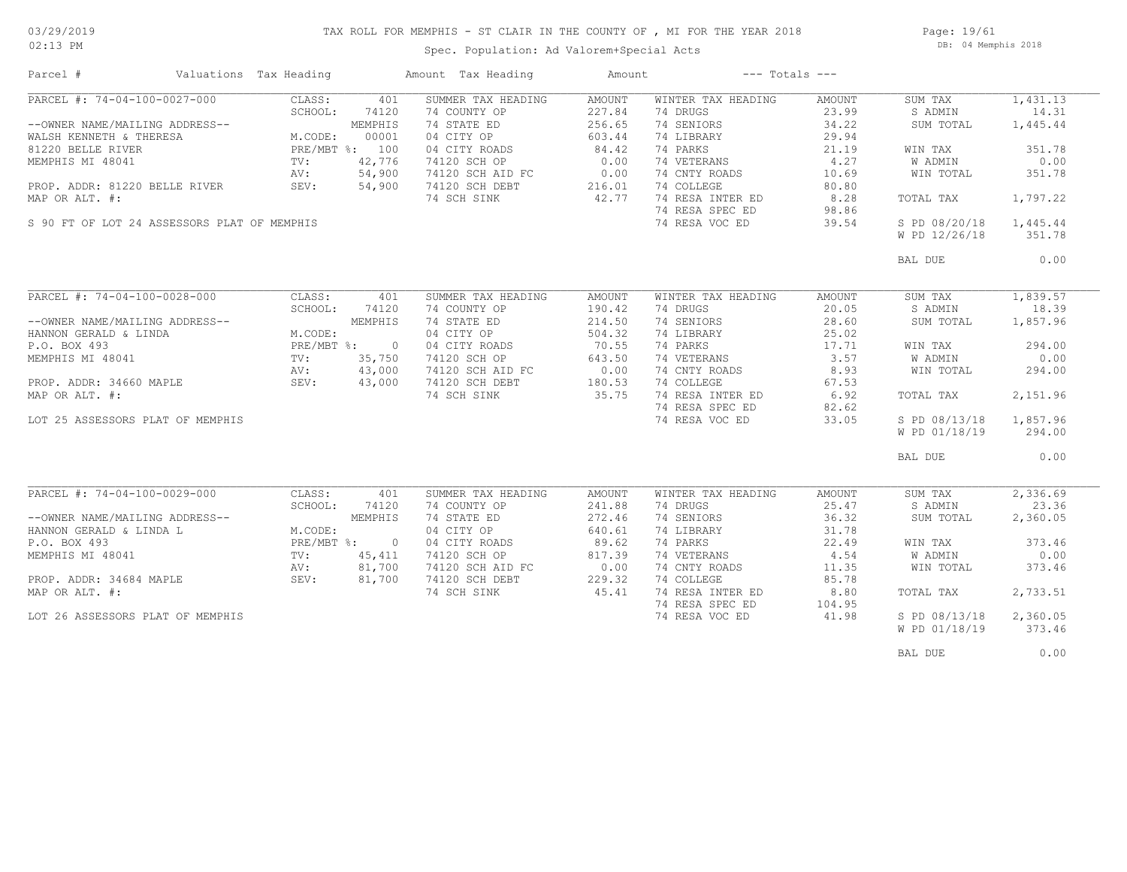### TAX ROLL FOR MEMPHIS - ST CLAIR IN THE COUNTY OF , MI FOR THE YEAR 2018

02:13 PM

### Spec. Population: Ad Valorem+Special Acts

Page: 19/61 DB: 04 Memphis 2018

| Parcel #                                                                                                                                                                                                                             | Valuations Tax Heading                                               |                                                                         | Amount Tax Heading                                                                                                                                    | Amount                                                                             | $---$ Totals $---$                                                                                                                                                            |                                                                                                 |                                                                                                                              |                                                                                                     |
|--------------------------------------------------------------------------------------------------------------------------------------------------------------------------------------------------------------------------------------|----------------------------------------------------------------------|-------------------------------------------------------------------------|-------------------------------------------------------------------------------------------------------------------------------------------------------|------------------------------------------------------------------------------------|-------------------------------------------------------------------------------------------------------------------------------------------------------------------------------|-------------------------------------------------------------------------------------------------|------------------------------------------------------------------------------------------------------------------------------|-----------------------------------------------------------------------------------------------------|
| PARCEL #: 74-04-100-0027-000<br>--OWNER NAME/MAILING ADDRESS--<br>WALSH KENNETH & THERESA<br>81220 BELLE RIVER<br>MEMPHIS MI 48041<br>PROP. ADDR: 81220 BELLE RIVER<br>MAP OR ALT. #:<br>S 90 FT OF LOT 24 ASSESSORS PLAT OF MEMPHIS | CLASS:<br>SCHOOL:<br>M.CODE:<br>PRE/MBT %: 100<br>TV:<br>AV:<br>SEV: | 401<br>74120<br>MEMPHIS<br>00001<br>42,776<br>54,900<br>54,900          | SUMMER TAX HEADING<br>74 COUNTY OP<br>74 STATE ED<br>04 CITY OP<br>04 CITY ROADS<br>74120 SCH OP<br>74120 SCH AID FC<br>74120 SCH DEBT<br>74 SCH SINK | AMOUNT<br>227.84<br>256.65<br>603.44<br>84.42<br>0.00<br>0.00<br>216.01<br>42.77   | WINTER TAX HEADING<br>74 DRUGS<br>74 SENIORS<br>74 LIBRARY<br>74 PARKS<br>74 VETERANS<br>74 CNTY ROADS<br>74 COLLEGE<br>74 RESA INTER ED<br>74 RESA SPEC ED<br>74 RESA VOC ED | AMOUNT<br>23.99<br>34.22<br>29.94<br>21.19<br>4.27<br>10.69<br>80.80<br>8.28<br>98.86<br>39.54  | SUM TAX<br>S ADMIN<br>SUM TOTAL<br>WIN TAX<br><b>W ADMIN</b><br>WIN TOTAL<br>TOTAL TAX<br>S PD 08/20/18<br>W PD 12/26/18     | 1,431.13<br>14.31<br>1,445.44<br>351.78<br>0.00<br>351.78<br>1,797.22<br>1,445.44<br>351.78         |
|                                                                                                                                                                                                                                      |                                                                      |                                                                         |                                                                                                                                                       |                                                                                    |                                                                                                                                                                               |                                                                                                 | BAL DUE                                                                                                                      | 0.00                                                                                                |
| PARCEL #: 74-04-100-0028-000<br>--OWNER NAME/MAILING ADDRESS--<br>HANNON GERALD & LINDA<br>P.O. BOX 493<br>MEMPHIS MI 48041<br>PROP. ADDR: 34660 MAPLE<br>MAP OR ALT. #:<br>LOT 25 ASSESSORS PLAT OF MEMPHIS                         | CLASS:<br>SCHOOL:<br>M.CODE:<br>TV:<br>AV:<br>SEV:                   | 401<br>74120<br>MEMPHIS<br>PRE/MBT %: 0<br>35,750<br>43,000<br>43,000   | SUMMER TAX HEADING<br>74 COUNTY OP<br>74 STATE ED<br>04 CITY OP<br>04 CITY ROADS<br>74120 SCH OP<br>74120 SCH AID FC<br>74120 SCH DEBT<br>74 SCH SINK | AMOUNT<br>190.42<br>214.50<br>504.32<br>70.55<br>643.50<br>0.00<br>180.53<br>35.75 | WINTER TAX HEADING<br>74 DRUGS<br>74 SENIORS<br>74 LIBRARY<br>74 PARKS<br>74 VETERANS<br>74 CNTY ROADS<br>74 COLLEGE<br>74 RESA INTER ED<br>74 RESA SPEC ED<br>74 RESA VOC ED | AMOUNT<br>20.05<br>28.60<br>25.02<br>17.71<br>3.57<br>8.93<br>67.53<br>6.92<br>82.62<br>33.05   | SUM TAX<br>S ADMIN<br>SUM TOTAL<br>WIN TAX<br>W ADMIN<br>WIN TOTAL<br>TOTAL TAX<br>S PD 08/13/18<br>W PD 01/18/19<br>BAL DUE | 1,839.57<br>18.39<br>1,857.96<br>294.00<br>0.00<br>294.00<br>2,151.96<br>1,857.96<br>294.00<br>0.00 |
| PARCEL #: 74-04-100-0029-000<br>--OWNER NAME/MAILING ADDRESS--<br>HANNON GERALD & LINDA L<br>P.O. BOX 493<br>MEMPHIS MI 48041<br>PROP. ADDR: 34684 MAPLE<br>MAP OR ALT. #:<br>LOT 26 ASSESSORS PLAT OF MEMPHIS                       | CLASS:<br>SCHOOL:<br>M.CODE:<br>$PRE/MBT$ %:<br>TV:<br>AV:<br>SEV:   | 401<br>74120<br>MEMPHIS<br>$\overline{0}$<br>45,411<br>81,700<br>81,700 | SUMMER TAX HEADING<br>74 COUNTY OP<br>74 STATE ED<br>04 CITY OP<br>04 CITY ROADS<br>74120 SCH OP<br>74120 SCH AID FC<br>74120 SCH DEBT<br>74 SCH SINK | AMOUNT<br>241.88<br>272.46<br>640.61<br>89.62<br>817.39<br>0.00<br>229.32<br>45.41 | WINTER TAX HEADING<br>74 DRUGS<br>74 SENIORS<br>74 LIBRARY<br>74 PARKS<br>74 VETERANS<br>74 CNTY ROADS<br>74 COLLEGE<br>74 RESA INTER ED<br>74 RESA SPEC ED<br>74 RESA VOC ED | AMOUNT<br>25.47<br>36.32<br>31.78<br>22.49<br>4.54<br>11.35<br>85.78<br>8.80<br>104.95<br>41.98 | SUM TAX<br>S ADMIN<br>SUM TOTAL<br>WIN TAX<br><b>W ADMIN</b><br>WIN TOTAL<br>TOTAL TAX<br>S PD 08/13/18<br>W PD 01/18/19     | 2,336.69<br>23.36<br>2,360.05<br>373.46<br>0.00<br>373.46<br>2,733.51<br>2,360.05<br>373.46         |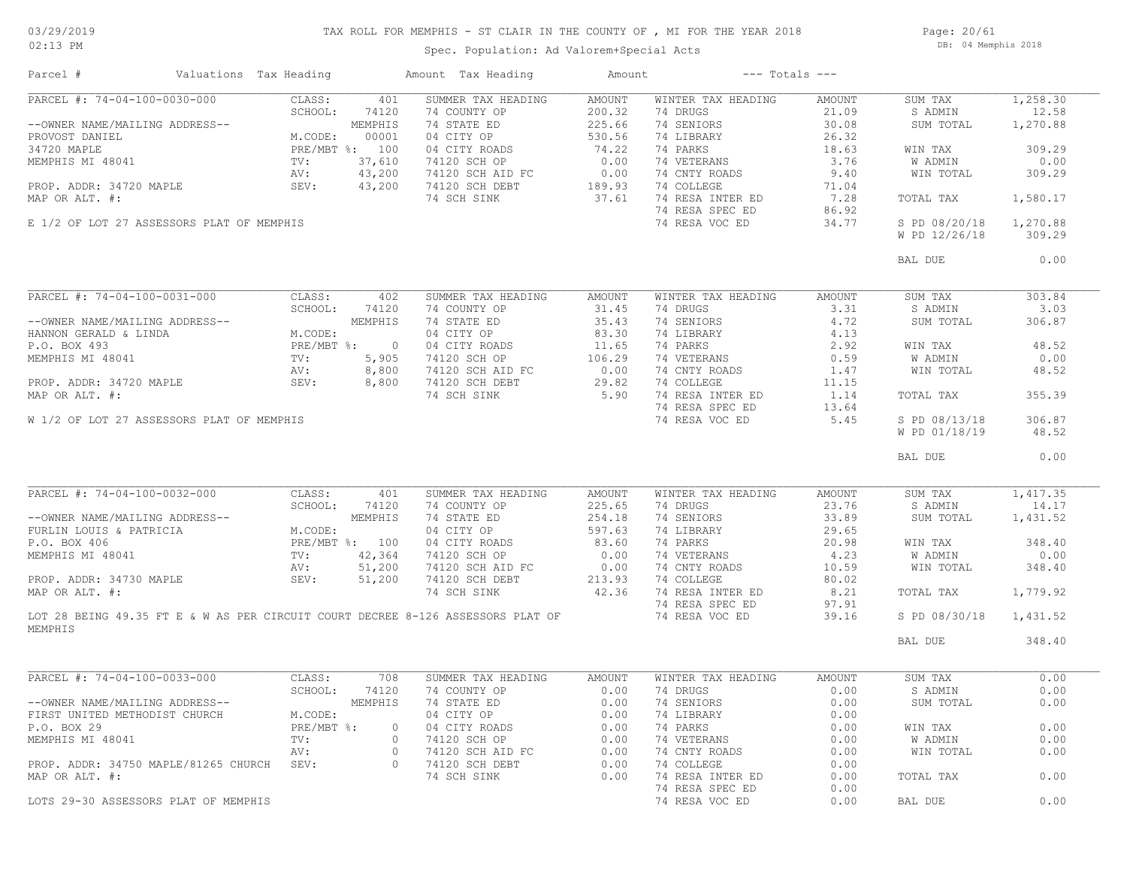## TAX ROLL FOR MEMPHIS - ST CLAIR IN THE COUNTY OF , MI FOR THE YEAR 2018

02:13 PM

### Spec. Population: Ad Valorem+Special Acts

Page: 20/61 DB: 04 Memphis 2018

| Valuations Tax Heading<br>Parcel #                                      |                                               |              | Amount Tax Heading                                                                                        | Amount        | $---$ Totals $---$ |        |               |          |
|-------------------------------------------------------------------------|-----------------------------------------------|--------------|-----------------------------------------------------------------------------------------------------------|---------------|--------------------|--------|---------------|----------|
| PARCEL #: 74-04-100-0030-000                                            | CLASS:                                        | 401          | SUMMER TAX HEADING                                                                                        | <b>AMOUNT</b> | WINTER TAX HEADING | AMOUNT | SUM TAX       | 1,258.30 |
|                                                                         | SCHOOL:                                       | 74120        | 74 COUNTY OP                                                                                              | 200.32        | 74 DRUGS           | 21.09  | S ADMIN       | 12.58    |
| --OWNER NAME/MAILING ADDRESS--                                          |                                               | MEMPHIS      | 74 STATE ED                                                                                               | 225.66        | 74 SENIORS         | 30.08  | SUM TOTAL     | 1,270.88 |
| PROVOST DANIEL                                                          | M.CODE: 00001<br>PRE/MBT %: 100<br>TV: 37,610 |              |                                                                                                           |               | 74 LIBRARY         | 26.32  |               |          |
| 34720 MAPLE                                                             |                                               |              |                                                                                                           |               | 74 PARKS           | 18.63  | WIN TAX       | 309.29   |
| MEMPHIS MI 48041                                                        |                                               |              | 04 CITY OP 530.56<br>04 CITY ROADS 74.22<br>74120 SCH OP 0.00                                             |               | 74 VETERANS        | 3.76   | W ADMIN       | 0.00     |
|                                                                         | AV:                                           | 43,200       |                                                                                                           |               | 74 CNTY ROADS      | 9.40   | WIN TOTAL     | 309.29   |
| PROP. ADDR: 34720 MAPLE SEV:                                            |                                               |              | 74120 SCH AID FC 0.00<br>74120 SCH DEBT 189.93                                                            |               | 74 COLLEGE         |        |               |          |
|                                                                         |                                               | 43,200       |                                                                                                           |               |                    | 71.04  |               |          |
| MAP OR ALT. #:                                                          |                                               |              | 74 SCH SINK                                                                                               | 37.61         | 74 RESA INTER ED   | 7.28   | TOTAL TAX     | 1,580.17 |
|                                                                         |                                               |              |                                                                                                           |               | 74 RESA SPEC ED    | 86.92  |               |          |
| E 1/2 OF LOT 27 ASSESSORS PLAT OF MEMPHIS                               |                                               |              |                                                                                                           |               | 74 RESA VOC ED     | 34.77  | S PD 08/20/18 | 1,270.88 |
|                                                                         |                                               |              |                                                                                                           |               |                    |        | W PD 12/26/18 | 309.29   |
|                                                                         |                                               |              |                                                                                                           |               |                    |        |               |          |
|                                                                         |                                               |              |                                                                                                           |               |                    |        | BAL DUE       | 0.00     |
|                                                                         |                                               |              |                                                                                                           |               |                    |        |               |          |
| PARCEL #: 74-04-100-0031-000                                            | CLASS:                                        | 402          | SUMMER TAX HEADING                                                                                        | AMOUNT        | WINTER TAX HEADING | AMOUNT | SUM TAX       | 303.84   |
|                                                                         | SCHOOL:                                       | 74120        | 74 COUNTY OP                                                                                              | 31.45         | 74 DRUGS           | 3.31   | S ADMIN       | 3.03     |
| --OWNER NAME/MAILING ADDRESS--<br>HANNON GERALD & LINDA<br>P.O. BOX 493 |                                               | MEMPHIS      | 74 STATE ED                                                                                               | 35.43         | 74 SENIORS         | 4.72   | SUM TOTAL     | 306.87   |
|                                                                         | M.CODE:                                       |              | 04 CITY OP                                                                                                | 83.30         | 74 LIBRARY         | 4.13   |               |          |
|                                                                         |                                               | PRE/MBT %: 0 |                                                                                                           |               | 74 PARKS           | 2.92   | WIN TAX       | 48.52    |
| MEMPHIS MI 48041                                                        | $TV$ :                                        | 5,905        |                                                                                                           |               | 74 VETERANS        | 0.59   | W ADMIN       | 0.00     |
|                                                                         |                                               | 8,800        |                                                                                                           |               | 74 CNTY ROADS      | 1.47   | WIN TOTAL     | 48.52    |
| PROP. ADDR: 34720 MAPLE SEV:                                            | AV:<br>SEV:                                   | 8,800        | 04 CITY ROADS<br>74120 SCH OP 106.29<br>74120 SCH AID FC 0.00<br>74120 SCH DEBT 29.82<br>74 SCH SINK 5.90 |               | 74 COLLEGE         | 11.15  |               |          |
| MAP OR ALT. #:                                                          |                                               |              |                                                                                                           |               | 74 RESA INTER ED   | 1.14   | TOTAL TAX     | 355.39   |
|                                                                         |                                               |              |                                                                                                           |               | 74 RESA SPEC ED    | 13.64  |               |          |
| W 1/2 OF LOT 27 ASSESSORS PLAT OF MEMPHIS                               |                                               |              |                                                                                                           |               | 74 RESA VOC ED     | 5.45   | S PD 08/13/18 | 306.87   |
|                                                                         |                                               |              |                                                                                                           |               |                    |        |               | 48.52    |
|                                                                         |                                               |              |                                                                                                           |               |                    |        | W PD 01/18/19 |          |
|                                                                         |                                               |              |                                                                                                           |               |                    |        |               | 0.00     |
|                                                                         |                                               |              |                                                                                                           |               |                    |        | BAL DUE       |          |
|                                                                         |                                               |              |                                                                                                           |               |                    |        |               |          |
|                                                                         |                                               |              | SUMMER TAX HEADING                                                                                        | AMOUNT        | WINTER TAX HEADING | AMOUNT | SUM TAX       | 1,417.35 |
|                                                                         |                                               |              | 74 COUNTY OP                                                                                              | 225.65        | 74 DRUGS           | 23.76  | S ADMIN       | 14.17    |
|                                                                         |                                               |              | 74 STATE ED                                                                                               | 254.18        | 74 SENIORS         | 33.89  | SUM TOTAL     | 1,431.52 |
|                                                                         |                                               |              | 04 CITY OP                                                                                                | 597.63        | 74 LIBRARY         | 29.65  |               |          |
|                                                                         |                                               |              | 04 CITY ROADS                                                                                             | 83.60         | 74 PARKS           | 20.98  | WIN TAX       | 348.40   |
|                                                                         |                                               |              | 74120 SCH OP                                                                                              | 0.00          | 74 VETERANS        | 4.23   | W ADMIN       | 0.00     |
|                                                                         |                                               |              | 74120 SCH AID FC                                                                                          | 0.00          | 74 CNTY ROADS      | 10.59  | WIN TOTAL     | 348.40   |
|                                                                         |                                               |              | 74120 SCH DEBT                                                                                            | 213.93        | 74 COLLEGE         | 80.02  |               |          |
| MAP OR ALT. #:                                                          |                                               |              | 74 SCH SINK                                                                                               | 42.36         | 74 RESA INTER ED   | 8.21   | TOTAL TAX     | 1,779.92 |
|                                                                         |                                               |              |                                                                                                           |               |                    |        |               |          |
|                                                                         |                                               |              |                                                                                                           |               | 74 RESA SPEC ED    | 97.91  |               |          |
|                                                                         |                                               |              | LOT 28 BEING 49.35 FT E & W AS PER CIRCUIT COURT DECREE 8-126 ASSESSORS PLAT OF                           |               | 74 RESA VOC ED     | 39.16  | S PD 08/30/18 | 1,431.52 |
| MEMPHIS                                                                 |                                               |              |                                                                                                           |               |                    |        |               |          |
|                                                                         |                                               |              |                                                                                                           |               |                    |        | BAL DUE       | 348.40   |
|                                                                         |                                               |              |                                                                                                           |               |                    |        |               |          |
| PARCEL #: 74-04-100-0033-000                                            | CLASS:                                        | 708          | SUMMER TAX HEADING                                                                                        | AMOUNT        | WINTER TAX HEADING | AMOUNT | SUM TAX       | 0.00     |
|                                                                         | SCHOOL:                                       | 74120        | 74 COUNTY OP                                                                                              | 0.00          | 74 DRUGS           | 0.00   | S ADMIN       | 0.00     |
| --OWNER NAME/MAILING ADDRESS--                                          |                                               |              | MEMPHIS 74 STATE ED                                                                                       |               | 0.00 74 SENIORS    | 0.00   | SUM TOTAL     | 0.00     |
| FIRST UNITED METHODIST CHURCH                                           | M.CODE:                                       |              | 04 CITY OP                                                                                                | 0.00          | 74 LIBRARY         | 0.00   |               |          |
| P.O. BOX 29                                                             | PRE/MBT %:                                    |              | 0 04 CITY ROADS                                                                                           | 0.00          | 74 PARKS           | 0.00   | WIN TAX       | 0.00     |
| MEMPHIS MI 48041                                                        | $\text{TV}$ :                                 | $\circ$      | 74120 SCH OP                                                                                              | 0.00          | 74 VETERANS        | 0.00   | W ADMIN       | 0.00     |
|                                                                         | AV:                                           | $\circ$      | 74120 SCH AID FC                                                                                          | 0.00          | 74 CNTY ROADS      | 0.00   | WIN TOTAL     | 0.00     |
| PROP. ADDR: 34750 MAPLE/81265 CHURCH SEV:                               |                                               | $\circ$      | 74120 SCH DEBT                                                                                            | 0.00          | 74 COLLEGE         | 0.00   |               |          |
| MAP OR ALT. #:                                                          |                                               |              | 74 SCH SINK                                                                                               | 0.00          | 74 RESA INTER ED   | 0.00   | TOTAL TAX     | 0.00     |
|                                                                         |                                               |              |                                                                                                           |               | 74 RESA SPEC ED    | 0.00   |               |          |
| LOTS 29-30 ASSESSORS PLAT OF MEMPHIS                                    |                                               |              |                                                                                                           |               | 74 RESA VOC ED     | 0.00   | BAL DUE       | 0.00     |
|                                                                         |                                               |              |                                                                                                           |               |                    |        |               |          |
|                                                                         |                                               |              |                                                                                                           |               |                    |        |               |          |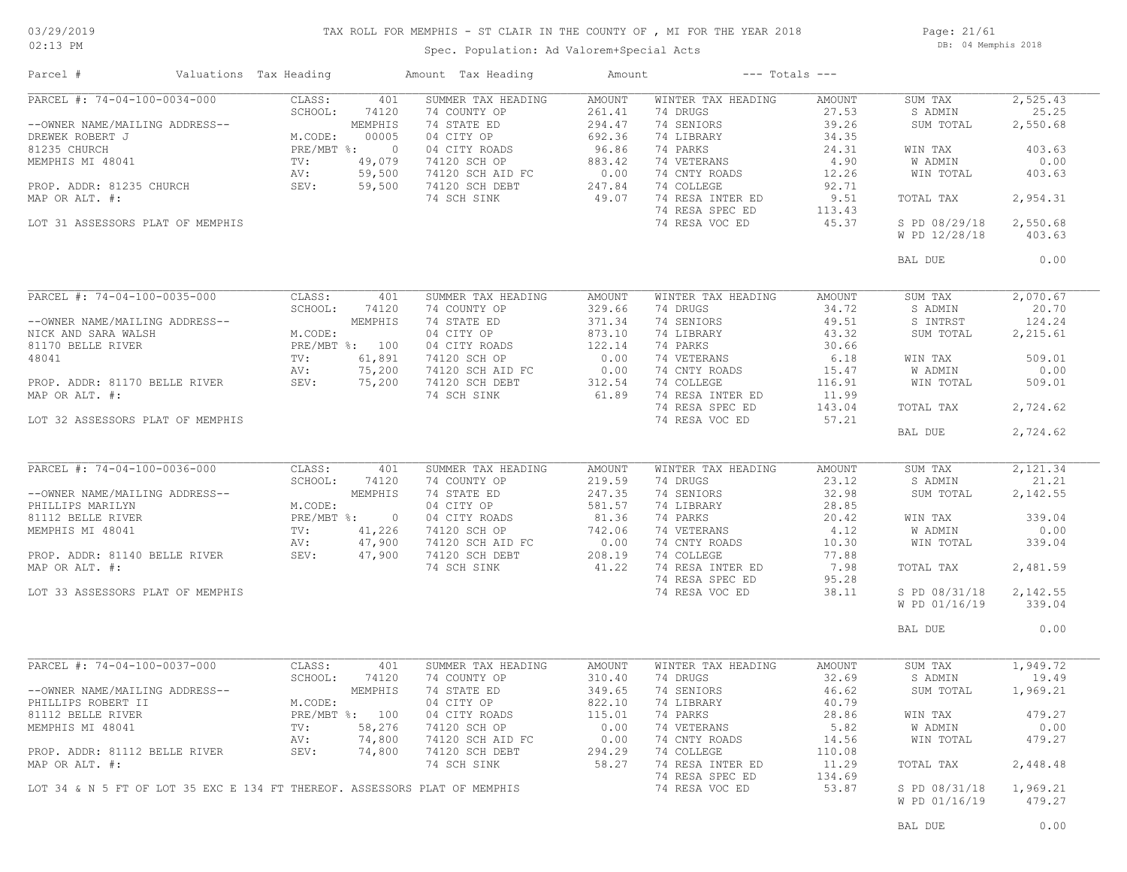### TAX ROLL FOR MEMPHIS - ST CLAIR IN THE COUNTY OF , MI FOR THE YEAR 2018

02:13 PM

### Spec. Population: Ad Valorem+Special Acts

Page: 21/61 DB: 04 Memphis 2018

| Parcel #                                                                  | Valuations Tax Heading |                |         | Amount Tax Heading                                                                                                                                                                                                                                                        | Amount         |                                                                                                                                                  | $---$ Totals $---$ |                    |                |
|---------------------------------------------------------------------------|------------------------|----------------|---------|---------------------------------------------------------------------------------------------------------------------------------------------------------------------------------------------------------------------------------------------------------------------------|----------------|--------------------------------------------------------------------------------------------------------------------------------------------------|--------------------|--------------------|----------------|
| PARCEL #: 74-04-100-0034-000                                              |                        | CLASS:         | 401     | SUMMER TAX HEADING                                                                                                                                                                                                                                                        | AMOUNT         | WINTER TAX HEADING                                                                                                                               | AMOUNT             | SUM TAX            | 2,525.43       |
|                                                                           |                        | SCHOOL:        | 74120   | 74 COUNTY OP<br>--OWNER NAME/MAILING ADDRESS--<br>DREWEK ROBERT J<br>81235 CHURCH<br>MEMPHIS 14 STATE ED<br>81235 CHURCH<br>MEMPHIS 14 STATE ED<br>MEMPHIS 14 STATE ED<br>96.86<br>PRE/MBT %: 00005 04 CITY OP<br>96.86<br>96.86<br>96.86<br>96.86<br>96.86<br>TV: 49,079 | 261.41         | 74 DRUGS                                                                                                                                         | 27.53              | S ADMIN            | 25.25          |
|                                                                           |                        |                |         |                                                                                                                                                                                                                                                                           |                | 74 SENIORS                                                                                                                                       | 39.26              | SUM TOTAL          | 2,550.68       |
|                                                                           |                        |                |         |                                                                                                                                                                                                                                                                           |                | 74 LIBRARY                                                                                                                                       | 34.35              |                    |                |
|                                                                           |                        |                |         |                                                                                                                                                                                                                                                                           |                | 74 VETERANS<br>74 ONT : 74                                                                                                                       | 24.31<br>4.90      | WIN TAX<br>W ADMIN | 403.63<br>0.00 |
|                                                                           |                        |                |         |                                                                                                                                                                                                                                                                           |                | 74 CNTY ROADS                                                                                                                                    | 12.26              | WIN TOTAL          | 403.63         |
|                                                                           |                        |                |         |                                                                                                                                                                                                                                                                           |                | 74 COLLEGE                                                                                                                                       | 92.71              |                    |                |
|                                                                           |                        |                |         |                                                                                                                                                                                                                                                                           |                | 74 RESA INTER ED                                                                                                                                 | 9.51               | TOTAL TAX          | 2,954.31       |
|                                                                           |                        |                |         |                                                                                                                                                                                                                                                                           |                | 74 RESA SPEC ED                                                                                                                                  | 113.43             |                    |                |
| LOT 31 ASSESSORS PLAT OF MEMPHIS                                          |                        |                |         |                                                                                                                                                                                                                                                                           |                | 74 RESA VOC ED                                                                                                                                   | 45.37              | S PD 08/29/18      | 2,550.68       |
|                                                                           |                        |                |         |                                                                                                                                                                                                                                                                           |                |                                                                                                                                                  |                    | W PD 12/28/18      | 403.63         |
|                                                                           |                        |                |         |                                                                                                                                                                                                                                                                           |                |                                                                                                                                                  |                    |                    |                |
|                                                                           |                        |                |         |                                                                                                                                                                                                                                                                           |                |                                                                                                                                                  |                    | BAL DUE            | 0.00           |
| PARCEL #: 74-04-100-0035-000                                              |                        | CLASS:         | 401     | SUMMER TAX HEADING                                                                                                                                                                                                                                                        | AMOUNT         | WINTER TAX HEADING                                                                                                                               | AMOUNT             | SUM TAX            | 2,070.67       |
|                                                                           |                        |                |         |                                                                                                                                                                                                                                                                           |                | 74 DRUGS                                                                                                                                         | 34.72              | S ADMIN            | 20.70          |
|                                                                           |                        |                |         | 9 PARCEL #: 74-04-100-0035-000<br>--OWNER NAME/MAILING ADDRESS--<br>NICK AND SARA WALSH<br>NICK AND SARA WALSH<br>NICK AND SARA WALSH<br>MICODE: 74120<br>MEMPHIS 74 STATE ED<br>271.34<br>MEMPHIS 74 STATE ED<br>271.34<br>MICK AND SARA WALSH<br>                       |                | 74 SENIORS                                                                                                                                       | 49.51              | S INTRST           | 124.24         |
|                                                                           |                        |                |         |                                                                                                                                                                                                                                                                           |                | 74 LIBRARY                                                                                                                                       | 43.32              | SUM TOTAL          | 2,215.61       |
|                                                                           |                        |                |         |                                                                                                                                                                                                                                                                           |                | 74 PARKS                                                                                                                                         | 30.66              |                    |                |
|                                                                           |                        |                |         |                                                                                                                                                                                                                                                                           |                | 74 VETERANS                                                                                                                                      | 6.18               | WIN TAX            | 509.01         |
|                                                                           |                        |                |         |                                                                                                                                                                                                                                                                           |                | 74 CNTY ROADS                                                                                                                                    | 15.47              | W ADMIN            | 0.00           |
|                                                                           |                        |                |         |                                                                                                                                                                                                                                                                           |                | 74 COLLEGE                                                                                                                                       | 116.91             | WIN TOTAL          | 509.01         |
|                                                                           |                        |                |         |                                                                                                                                                                                                                                                                           |                | 74 RESA INTER ED                                                                                                                                 | 11.99              |                    |                |
|                                                                           |                        |                |         |                                                                                                                                                                                                                                                                           |                | 74 RESA SPEC ED                                                                                                                                  | 143.04             | TOTAL TAX          | 2,724.62       |
| LOT 32 ASSESSORS PLAT OF MEMPHIS                                          |                        |                |         |                                                                                                                                                                                                                                                                           |                | 74 RESA VOC ED                                                                                                                                   | 57.21              |                    |                |
|                                                                           |                        |                |         |                                                                                                                                                                                                                                                                           |                |                                                                                                                                                  |                    | BAL DUE            | 2,724.62       |
|                                                                           |                        |                |         |                                                                                                                                                                                                                                                                           |                |                                                                                                                                                  |                    |                    |                |
| PARCEL #: 74-04-100-0036-000                                              |                        | CLASS:         | 401     | SUMMER TAX HEADING                                                                                                                                                                                                                                                        | AMOUNT         | WINTER TAX HEADING                                                                                                                               | AMOUNT             | SUM TAX            | 2,121.34       |
|                                                                           |                        | SCHOOL:        | 74120   | 74 COUNTY OP                                                                                                                                                                                                                                                              | 219.59         | 74 DRUGS                                                                                                                                         | 23.12              | S ADMIN            | 21.21          |
|                                                                           |                        |                |         |                                                                                                                                                                                                                                                                           |                | 74 SENIORS                                                                                                                                       | 32.98              | SUM TOTAL          | 2,142.55       |
|                                                                           |                        |                |         |                                                                                                                                                                                                                                                                           |                | 74 LIBRARY                                                                                                                                       | 28.85              |                    |                |
|                                                                           |                        |                |         |                                                                                                                                                                                                                                                                           |                | 74 PARKS                                                                                                                                         | 20.42              | WIN TAX            | 339.04         |
|                                                                           |                        |                |         |                                                                                                                                                                                                                                                                           |                |                                                                                                                                                  |                    | W ADMIN            | 0.00           |
|                                                                           |                        |                |         |                                                                                                                                                                                                                                                                           |                |                                                                                                                                                  |                    | WIN TOTAL          | 339.04         |
|                                                                           |                        |                |         | --OWNER NAME/MAILING ADDRESS--<br>PHILLIPS MARILYN (ADDRESS--<br>247.35<br>PHILLIPS MARILYN MCODE:<br>247.35<br>247.35<br>MEMPHIS 74 STATE ED<br>247.35<br>247.35<br>247.35<br>247.35<br>247.35<br>247.35<br>247.35<br>247.35<br>MCODE:<br>PRE/MBT %:<br>247.90<br>       |                | 74 PARKS<br>74 VETERANS<br>74 CNIY ROADS<br>74 COLLEGE<br>74 RESA INTER ED<br>74 RESA INTER ED<br>74 RESA SPEC ED 95.28<br>74 RESA SPEC ED 95.28 |                    |                    |                |
|                                                                           |                        |                |         |                                                                                                                                                                                                                                                                           |                |                                                                                                                                                  |                    | TOTAL TAX          | 2,481.59       |
|                                                                           |                        |                |         |                                                                                                                                                                                                                                                                           |                |                                                                                                                                                  |                    |                    |                |
| LOT 33 ASSESSORS PLAT OF MEMPHIS                                          |                        |                |         |                                                                                                                                                                                                                                                                           |                | 74 RESA VOC ED                                                                                                                                   | 38.11              | S PD 08/31/18      | 2,142.55       |
|                                                                           |                        |                |         |                                                                                                                                                                                                                                                                           |                |                                                                                                                                                  |                    | W PD 01/16/19      | 339.04         |
|                                                                           |                        |                |         |                                                                                                                                                                                                                                                                           |                |                                                                                                                                                  |                    | BAL DUE            | 0.00           |
|                                                                           |                        |                |         |                                                                                                                                                                                                                                                                           |                |                                                                                                                                                  |                    |                    |                |
|                                                                           |                        |                | 401     | SUMMER TAX HEADING                                                                                                                                                                                                                                                        | AMOUNT         | WINTER TAX HEADING                                                                                                                               | AMOUNT             | SUM TAX            | 1,949.72       |
|                                                                           |                        |                | 74120   | 74 COUNTY OP                                                                                                                                                                                                                                                              | 310.40         | 74 DRUGS                                                                                                                                         | 32.69              | S ADMIN            | 19.49          |
|                                                                           |                        |                | MEMPHIS | 74 STATE ED                                                                                                                                                                                                                                                               | 349.65         | 74 SENIORS                                                                                                                                       | 46.62              | SUM TOTAL          | 1,969.21       |
|                                                                           |                        |                |         | 04 CITY OP                                                                                                                                                                                                                                                                | 822.10         | 74 LIBRARY                                                                                                                                       | 40.79              |                    |                |
|                                                                           |                        | PRE/MBT %: 100 |         | 04 CITY ROADS                                                                                                                                                                                                                                                             | $0.00$<br>0.00 | 74 PARKS                                                                                                                                         | 28.86              | WIN TAX            | 479.27         |
|                                                                           |                        |                | 58,276  | 74120 SCH OP                                                                                                                                                                                                                                                              |                | 74 VETERANS                                                                                                                                      | 5.82               | W ADMIN            | 0.00           |
|                                                                           |                        |                | 74,800  | 74120 SCH AID FC                                                                                                                                                                                                                                                          |                | 74 CNTY ROADS                                                                                                                                    | 14.56              | WIN TOTAL          | 479.27         |
|                                                                           |                        |                | 74,800  | 74120 SCH DEBT                                                                                                                                                                                                                                                            | 294.29         | 74 COLLEGE                                                                                                                                       | 110.08             |                    | 2,448.48       |
| MAP OR ALT. #:                                                            |                        |                |         | 74 SCH SINK                                                                                                                                                                                                                                                               | 58.27          | 74 RESA INTER ED<br>74 RESA SPEC ED                                                                                                              | 11.29<br>134.69    | TOTAL TAX          |                |
| LOT 34 & N 5 FT OF LOT 35 EXC E 134 FT THEREOF. ASSESSORS PLAT OF MEMPHIS |                        |                |         |                                                                                                                                                                                                                                                                           |                | 74 RESA VOC ED                                                                                                                                   | 53.87              | S PD 08/31/18      | 1,969.21       |
|                                                                           |                        |                |         |                                                                                                                                                                                                                                                                           |                |                                                                                                                                                  |                    | W PD 01/16/19      | 479.27         |
|                                                                           |                        |                |         |                                                                                                                                                                                                                                                                           |                |                                                                                                                                                  |                    |                    |                |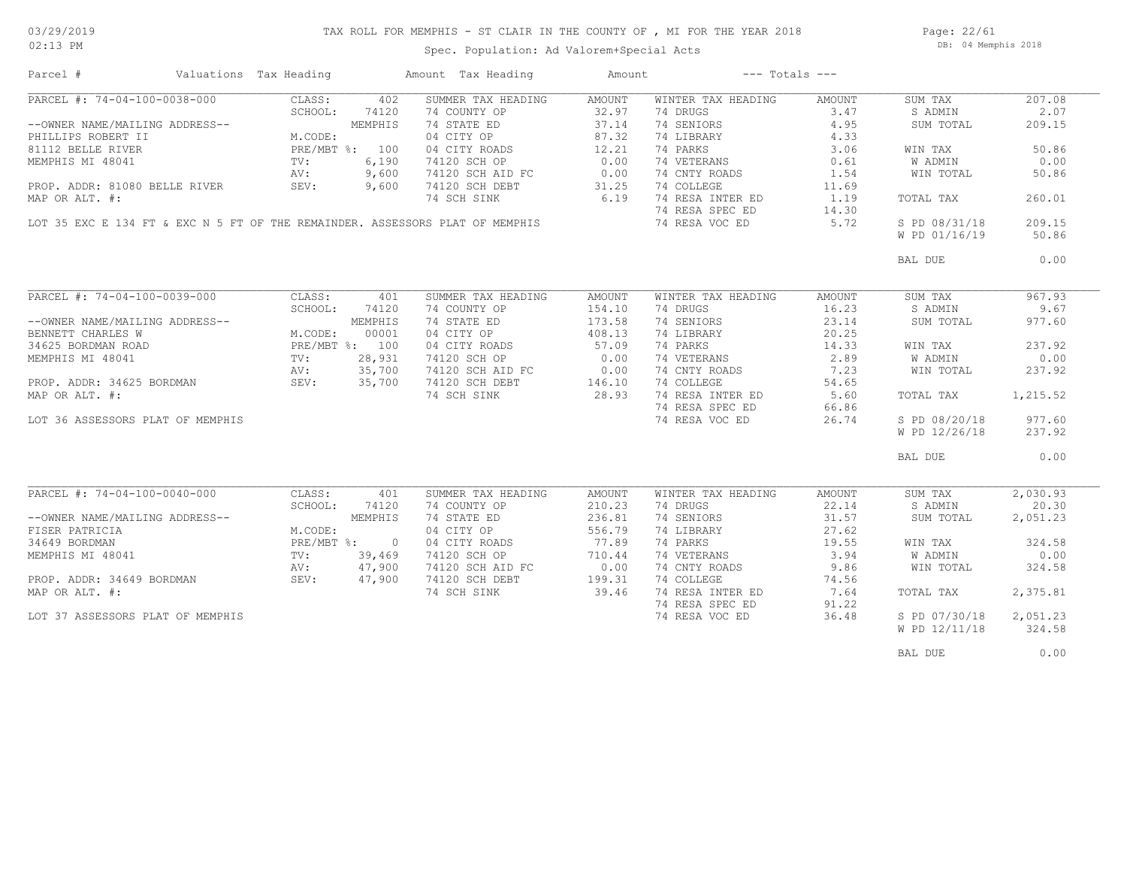### TAX ROLL FOR MEMPHIS - ST CLAIR IN THE COUNTY OF , MI FOR THE YEAR 2018

02:13 PM

### Spec. Population: Ad Valorem+Special Acts

Page: 22/61 DB: 04 Memphis 2018

| Parcel #                                                                     | Valuations Tax Heading |         | Amount Tax Heading                             | Amount |                    | $---$ Totals $---$ |                |          |
|------------------------------------------------------------------------------|------------------------|---------|------------------------------------------------|--------|--------------------|--------------------|----------------|----------|
| PARCEL #: 74-04-100-0038-000                                                 | CLASS:                 | 402     | SUMMER TAX HEADING                             | AMOUNT | WINTER TAX HEADING | AMOUNT             | SUM TAX        | 207.08   |
|                                                                              | SCHOOL:                | 74120   | 74 COUNTY OP                                   | 32.97  | 74 DRUGS           | 3.47               | S ADMIN        | 2.07     |
| --OWNER NAME/MAILING ADDRESS--                                               |                        | MEMPHIS | 74 STATE ED                                    | 37.14  | 74 SENIORS         | 4.95               | SUM TOTAL      | 209.15   |
| PHILLIPS ROBERT II                                                           | M.CODE:                |         | 04 CITY OP                                     | 87.32  | 74 LIBRARY         | 4.33               |                |          |
| 81112 BELLE RIVER                                                            | PRE/MBT %: 100         |         | 04 CITY ROADS                                  | 12.21  | 74 PARKS           | 3.06               | WIN TAX        | 50.86    |
| MEMPHIS MI 48041                                                             | $\text{TV}$ :          | 6,190   | 74120 SCH OP                                   | 0.00   | 74 VETERANS        | 0.61               | W ADMIN        | 0.00     |
|                                                                              |                        |         |                                                |        |                    |                    |                |          |
|                                                                              | AV:                    | 9,600   | 74120 SCH AID FC<br>74120 SCH DEBT             | 0.00   | 74 CNTY ROADS      | 1.54               | WIN TOTAL      | 50.86    |
| PROP. ADDR: 81080 BELLE RIVER                                                | SEV:                   | 9,600   |                                                | 31.25  | 74 COLLEGE         | 11.69              |                |          |
| MAP OR ALT. #:                                                               |                        |         | 74 SCH SINK                                    | 6.19   | 74 RESA INTER ED   | 1.19               | TOTAL TAX      | 260.01   |
|                                                                              |                        |         |                                                |        | 74 RESA SPEC ED    | 14.30              |                |          |
| LOT 35 EXC E 134 FT & EXC N 5 FT OF THE REMAINDER. ASSESSORS PLAT OF MEMPHIS |                        |         |                                                |        | 74 RESA VOC ED     | 5.72               | S PD 08/31/18  | 209.15   |
|                                                                              |                        |         |                                                |        |                    |                    | W PD 01/16/19  | 50.86    |
|                                                                              |                        |         |                                                |        |                    |                    | BAL DUE        | 0.00     |
|                                                                              |                        |         |                                                |        |                    |                    |                |          |
| PARCEL #: 74-04-100-0039-000                                                 | CLASS:                 | 401     | SUMMER TAX HEADING                             | AMOUNT | WINTER TAX HEADING | AMOUNT             | SUM TAX        | 967.93   |
|                                                                              | SCHOOL:                | 74120   | 74 COUNTY OP                                   | 154.10 | 74 DRUGS           | 16.23              | S ADMIN        | 9.67     |
| --OWNER NAME/MAILING ADDRESS--                                               |                        | MEMPHIS | 74 STATE ED                                    | 173.58 | 74 SENIORS         | 23.14              | SUM TOTAL      | 977.60   |
| BENNETT CHARLES W                                                            | M.CODE:                | 00001   | 04 CITY OP                                     | 408.13 | 74 LIBRARY         | 20.25              |                |          |
| 34625 BORDMAN ROAD                                                           | PRE/MBT %: 100         |         | 04 CITY ROADS                                  | 57.09  | 74 PARKS           | 14.33              | WIN TAX        | 237.92   |
| MEMPHIS MI 48041                                                             | TV:                    | 28,931  | 74120 SCH OP                                   | 0.00   | 74 VETERANS        | 2.89               | <b>W ADMIN</b> | 0.00     |
|                                                                              | AV:                    | 35,700  |                                                |        | 74 CNTY ROADS      | 7.23               | WIN TOTAL      | 237.92   |
| PROP. ADDR: 34625 BORDMAN SEV: 35,700                                        |                        |         | 74120 SCH AID FC 0.00<br>74120 SCH DEBT 146.10 |        | 74 COLLEGE         | 54.65              |                |          |
| MAP OR ALT. #:                                                               |                        |         | 74 SCH SINK 28.93                              |        | 74 RESA INTER ED   | 5.60               | TOTAL TAX      | 1,215.52 |
|                                                                              |                        |         |                                                |        |                    |                    |                |          |
|                                                                              |                        |         |                                                |        | 74 RESA SPEC ED    | 66.86              |                |          |
| LOT 36 ASSESSORS PLAT OF MEMPHIS                                             |                        |         |                                                |        | 74 RESA VOC ED     | 26.74              | S PD 08/20/18  | 977.60   |
|                                                                              |                        |         |                                                |        |                    |                    | W PD 12/26/18  | 237.92   |
|                                                                              |                        |         |                                                |        |                    |                    | BAL DUE        | 0.00     |
|                                                                              |                        |         |                                                |        |                    |                    |                |          |
| PARCEL #: 74-04-100-0040-000                                                 | CLASS:                 | 401     | SUMMER TAX HEADING                             | AMOUNT | WINTER TAX HEADING | AMOUNT             | SUM TAX        | 2,030.93 |
|                                                                              | SCHOOL:                | 74120   | 74 COUNTY OP                                   | 210.23 | 74 DRUGS           | 22.14              | S ADMIN        | 20.30    |
| --OWNER NAME/MAILING ADDRESS--                                               |                        | MEMPHIS | 74 STATE ED                                    | 236.81 | 74 SENIORS         | 31.57              | SUM TOTAL      | 2,051.23 |
| FISER PATRICIA                                                               | M.CODE:                |         | 04 CITY OP                                     | 556.79 | 74 LIBRARY         | 27.62              |                |          |
| 34649 BORDMAN                                                                | PRE/MBT %: 0           |         | 04 CITY ROADS                                  | 77.89  | 74 PARKS           | 19.55              | WIN TAX        | 324.58   |
| MEMPHIS MI 48041                                                             | $\text{TV}$ :          | 39,469  | 74120 SCH OP                                   | 710.44 | 74 VETERANS        | 3.94               | W ADMIN        | 0.00     |
|                                                                              | AV:                    | 47,900  | 74120 SCH AID FC                               | 0.00   | 74 CNTY ROADS      | 9.86               | WIN TOTAL      | 324.58   |
| PROP. ADDR: 34649 BORDMAN                                                    | SEV: 47,900            |         | 74120 SCH DEBT                                 | 199.31 | 74 COLLEGE         | 74.56              |                |          |
|                                                                              |                        |         |                                                |        |                    |                    |                |          |
| MAP OR ALT. #:                                                               |                        |         | 74 SCH SINK                                    | 39.46  | 74 RESA INTER ED   | 7.64               | TOTAL TAX      | 2,375.81 |
|                                                                              |                        |         |                                                |        | 74 RESA SPEC ED    | 91.22              |                |          |
| LOT 37 ASSESSORS PLAT OF MEMPHIS                                             |                        |         |                                                |        | 74 RESA VOC ED     | 36.48              | S PD 07/30/18  | 2,051.23 |
|                                                                              |                        |         |                                                |        |                    |                    | W PD 12/11/18  | 324.58   |
|                                                                              |                        |         |                                                |        |                    |                    | BAL DUE        | 0.00     |
|                                                                              |                        |         |                                                |        |                    |                    |                |          |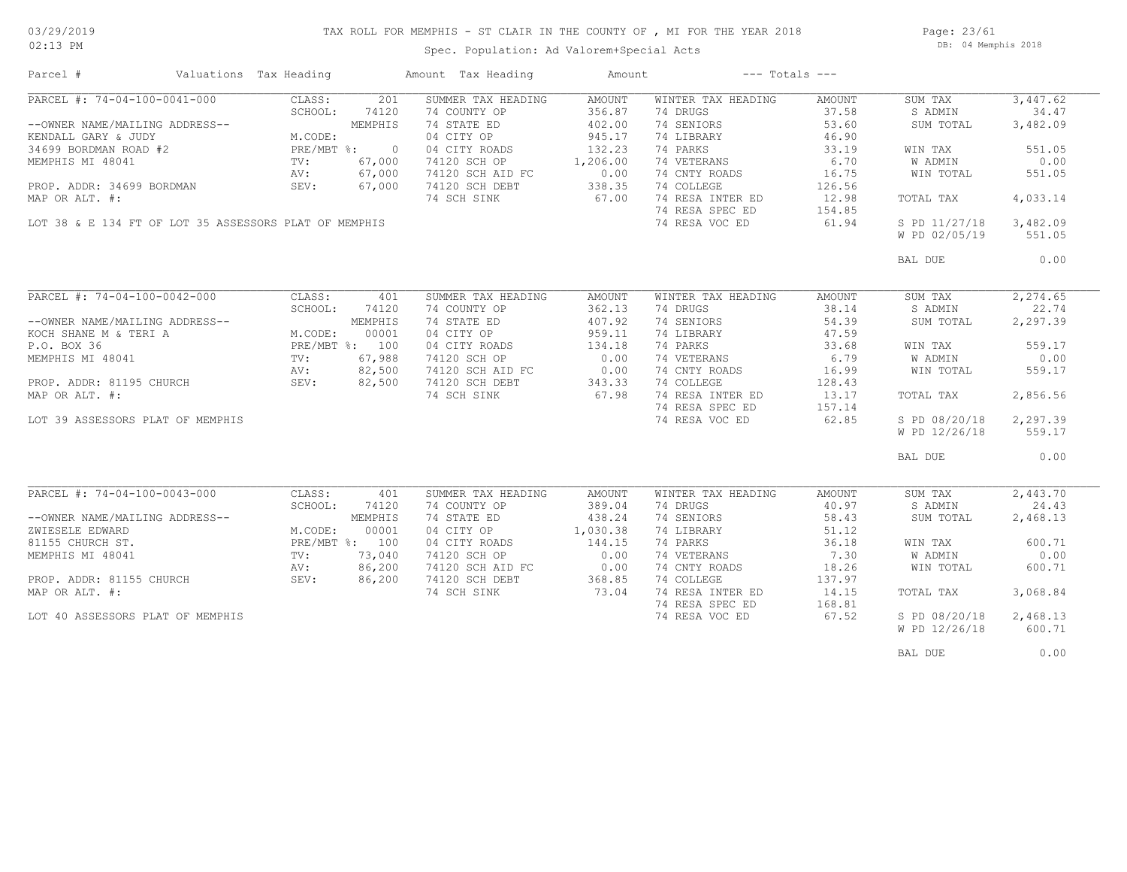## TAX ROLL FOR MEMPHIS - ST CLAIR IN THE COUNTY OF , MI FOR THE YEAR 2018

02:13 PM

### Spec. Population: Ad Valorem+Special Acts

Page: 23/61 DB: 04 Memphis 2018

| Parcel #                                                                                                                                                                                                                                  | Valuations Tax Heading |         | Amount Tax Heading                             | Amount             |                    | $---$ Totals $---$ |               |           |
|-------------------------------------------------------------------------------------------------------------------------------------------------------------------------------------------------------------------------------------------|------------------------|---------|------------------------------------------------|--------------------|--------------------|--------------------|---------------|-----------|
| PARCEL #: 74-04-100-0041-000                                                                                                                                                                                                              |                        | 201     | SUMMER TAX HEADING                             | AMOUNT             | WINTER TAX HEADING | AMOUNT             | SUM TAX       | 3,447.62  |
|                                                                                                                                                                                                                                           |                        |         | 74 COUNTY OP                                   | 356.87             | 74 DRUGS           | 37.58              | S ADMIN       | 34.47     |
|                                                                                                                                                                                                                                           |                        |         | 74 STATE ED                                    | 402.00             | 74 SENIORS         | 53.60              | SUM TOTAL     | 3,482.09  |
|                                                                                                                                                                                                                                           |                        |         | 04 CITY OP                                     | 945.17             | 74 LIBRARY         | 46.90              |               |           |
|                                                                                                                                                                                                                                           |                        |         | 04 CITY ROADS                                  | 132.23             | 74 PARKS           | 33.19              | WIN TAX       | 551.05    |
|                                                                                                                                                                                                                                           |                        |         | 74120 SCH OP                                   | 1,206.00           | 74 VETERANS        | 6.70               | W ADMIN       | 0.00      |
|                                                                                                                                                                                                                                           |                        |         | 74120 SCH AID FC                               |                    | 74 CNTY ROADS      | 16.75              | WIN TOTAL     | 551.05    |
|                                                                                                                                                                                                                                           |                        |         | 74120 SCH DEBT                                 | $0.00$<br>338.35   | 74 COLLEGE         | 126.56             |               |           |
| MAP OR ALT. #:                                                                                                                                                                                                                            |                        |         | 74 SCH SINK                                    | 67.00              | 74 RESA INTER ED   | 12.98              | TOTAL TAX     | 4,033.14  |
|                                                                                                                                                                                                                                           |                        |         |                                                |                    | 74 RESA SPEC ED    | 154.85             |               |           |
| LOT 38 & E 134 FT OF LOT 35 ASSESSORS PLAT OF MEMPHIS                                                                                                                                                                                     |                        |         |                                                |                    |                    |                    | S PD 11/27/18 |           |
|                                                                                                                                                                                                                                           |                        |         |                                                |                    | 74 RESA VOC ED     | 61.94              |               | 3,482.09  |
|                                                                                                                                                                                                                                           |                        |         |                                                |                    |                    |                    | W PD 02/05/19 | 551.05    |
|                                                                                                                                                                                                                                           |                        |         |                                                |                    |                    |                    | BAL DUE       | 0.00      |
|                                                                                                                                                                                                                                           |                        |         |                                                |                    |                    |                    |               |           |
| PARCEL #: 74-04-100-0042-000<br>ARCEL #: 74-04-100<br>--OWNER NAME/MAILING ADDRESS--<br>KOCH SHANE M & TERI A<br>ARCEL #: 74-04-100<br>KOCH SHANE M & TERI A<br>M.CODE: 00001<br>PRE/MBT %: 100<br>TV: 67,988<br>AV: 82,500<br>AV: 82,500 | CLASS:                 |         | SUMMER TAX HEADING                             | AMOUNT             | WINTER TAX HEADING | AMOUNT             | SUM TAX       | 2, 274.65 |
|                                                                                                                                                                                                                                           |                        |         | 74 COUNTY OP                                   | 362.13             | 74 DRUGS           | 38.14              | S ADMIN       | 22.74     |
|                                                                                                                                                                                                                                           |                        |         | 74 STATE ED                                    | 407.92             | 74 SENIORS         | 54.39              | SUM TOTAL     | 2,297.39  |
|                                                                                                                                                                                                                                           |                        |         | 04 CITY OP                                     | 959.11             | 74 LIBRARY         | 47.59              |               |           |
|                                                                                                                                                                                                                                           |                        |         | 04 CITY ROADS                                  | 134.18             | 74 PARKS           | 33.68              | WIN TAX       | 559.17    |
|                                                                                                                                                                                                                                           |                        |         | 74120 SCH OP                                   | 0.00               | 74 VETERANS        | 6.79               | W ADMIN       | 0.00      |
| MEMPHIS MI 48041 TV: 67,988<br>PROP. ADDR: 81195 CHURCH AND SEV: 82,500<br>PROP. ADDR: 81195 CHURCH SEV: 82,500                                                                                                                           |                        |         |                                                |                    |                    |                    |               |           |
|                                                                                                                                                                                                                                           |                        |         | 74120 SCH AID FC 0.00<br>74120 SCH DEBT 343.33 |                    | 74 CNTY ROADS      | 16.99              | WIN TOTAL     | 559.17    |
|                                                                                                                                                                                                                                           |                        |         |                                                |                    | 74 COLLEGE         | 128.43             |               |           |
| MAP OR ALT. #:                                                                                                                                                                                                                            |                        |         | 74 SCH SINK                                    | 67.98              | 74 RESA INTER ED   | 13.17              | TOTAL TAX     | 2,856.56  |
|                                                                                                                                                                                                                                           |                        |         |                                                |                    | 74 RESA SPEC ED    | 157.14             |               |           |
| LOT 39 ASSESSORS PLAT OF MEMPHIS                                                                                                                                                                                                          |                        |         |                                                |                    | 74 RESA VOC ED     | 62.85              | S PD 08/20/18 | 2,297.39  |
|                                                                                                                                                                                                                                           |                        |         |                                                |                    |                    |                    | W PD 12/26/18 | 559.17    |
|                                                                                                                                                                                                                                           |                        |         |                                                |                    |                    |                    | BAL DUE       | 0.00      |
|                                                                                                                                                                                                                                           |                        |         |                                                |                    |                    |                    |               |           |
| PARCEL #: 74-04-100-0043-000                                                                                                                                                                                                              | CLASS:                 | 401     | SUMMER TAX HEADING                             | AMOUNT             | WINTER TAX HEADING | AMOUNT             | SUM TAX       | 2,443.70  |
|                                                                                                                                                                                                                                           | SCHOOL:                | 74120   | 74 COUNTY OP                                   | 389.04             | 74 DRUGS           | 40.97              | S ADMIN       | 24.43     |
| --OWNER NAME/MAILING ADDRESS--                                                                                                                                                                                                            |                        | MEMPHIS | 74 STATE ED                                    | 438.24             | 74 SENIORS         | 58.43              | SUM TOTAL     | 2,468.13  |
| ZWIESELE EDWARD                                                                                                                                                                                                                           | M.CODE:                | 00001   | 04 CITY OP                                     | 1,030.38           | 74 LIBRARY         | 51.12              |               |           |
| 81155 CHURCH ST.                                                                                                                                                                                                                          | PRE/MBT %: 100         |         | 04 CITY ROADS                                  | 144.15             | 74 PARKS           | 36.18              | WIN TAX       | 600.71    |
| MEMPHIS MI 48041                                                                                                                                                                                                                          | TV:                    | 73,040  | 74120 SCH OP                                   | 0.00               | 74 VETERANS        | 7.30               | W ADMIN       | 0.00      |
|                                                                                                                                                                                                                                           |                        |         |                                                |                    |                    |                    |               |           |
|                                                                                                                                                                                                                                           | AV:                    | 86,200  | 74120 SCH AID FC                               |                    | 74 CNTY ROADS      | 18.26              | WIN TOTAL     | 600.71    |
| PROP. ADDR: 81155 CHURCH                                                                                                                                                                                                                  | SEV:                   | 86,200  | 74120 SCH DEBT                                 | $\frac{0.00}{250}$ | 74 COLLEGE         | 137.97             |               |           |
| MAP OR ALT. #:                                                                                                                                                                                                                            |                        |         | 74 SCH SINK                                    | 73.04              | 74 RESA INTER ED   | 14.15              | TOTAL TAX     | 3,068.84  |
|                                                                                                                                                                                                                                           |                        |         |                                                |                    | 74 RESA SPEC ED    | 168.81             |               |           |
| LOT 40 ASSESSORS PLAT OF MEMPHIS                                                                                                                                                                                                          |                        |         |                                                |                    | 74 RESA VOC ED     | 67.52              | S PD 08/20/18 | 2,468.13  |
|                                                                                                                                                                                                                                           |                        |         |                                                |                    |                    |                    | W PD 12/26/18 | 600.71    |
|                                                                                                                                                                                                                                           |                        |         |                                                |                    |                    |                    | BAL DUE       | 0.00      |
|                                                                                                                                                                                                                                           |                        |         |                                                |                    |                    |                    |               |           |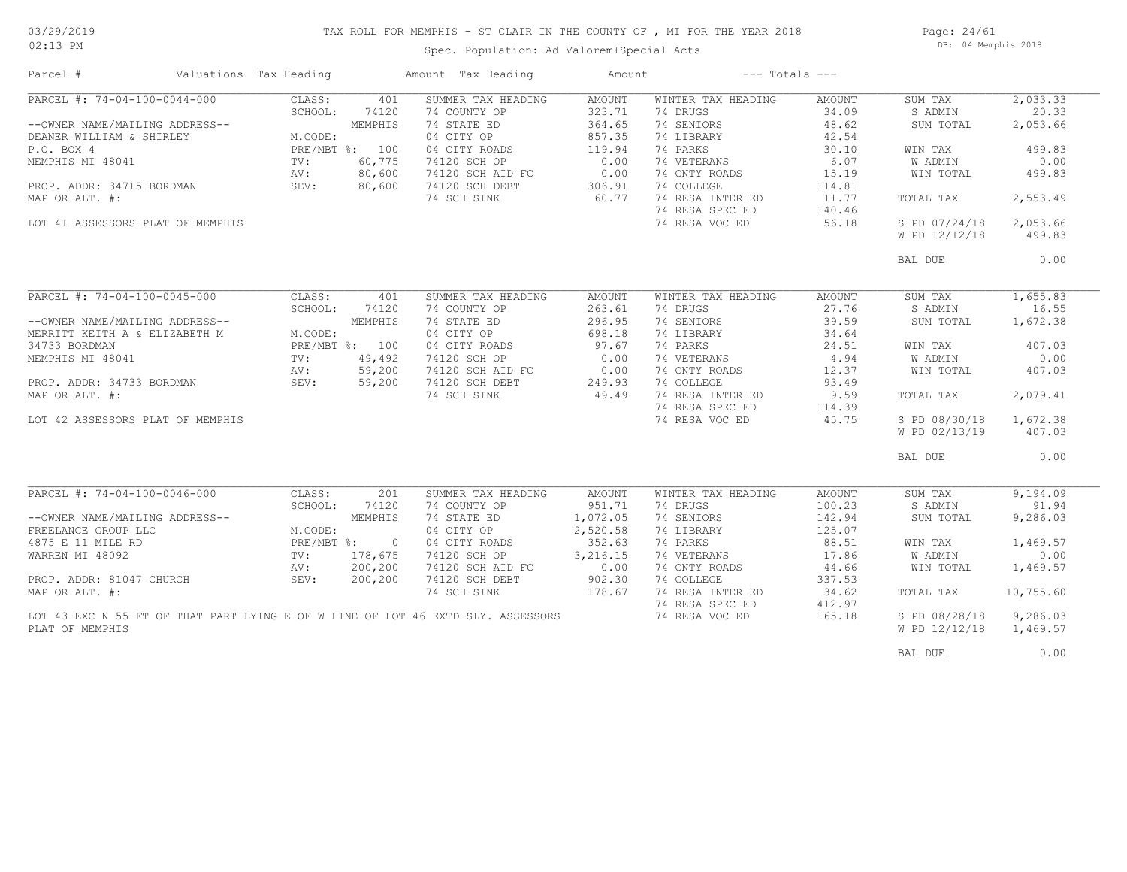### TAX ROLL FOR MEMPHIS - ST CLAIR IN THE COUNTY OF , MI FOR THE YEAR 2018

02:13 PM

### Spec. Population: Ad Valorem+Special Acts

Page: 24/61 DB: 04 Memphis 2018

| Parcel #                                                                               | Valuations Tax Heading                                                                                                                                                                                                                                                                                       |         | Amount Tax Heading                                                  | Amount   |                    | $---$ Totals $---$ |               |           |
|----------------------------------------------------------------------------------------|--------------------------------------------------------------------------------------------------------------------------------------------------------------------------------------------------------------------------------------------------------------------------------------------------------------|---------|---------------------------------------------------------------------|----------|--------------------|--------------------|---------------|-----------|
| PARCEL #: 74-04-100-0044-000                                                           | CLASS:                                                                                                                                                                                                                                                                                                       | 401     | SUMMER TAX HEADING                                                  | AMOUNT   | WINTER TAX HEADING | AMOUNT             | SUM TAX       | 2,033.33  |
|                                                                                        | SCHOOL:                                                                                                                                                                                                                                                                                                      | 74120   | 74 COUNTY OP                                                        | 323.71   | 74 DRUGS           | 34.09              | S ADMIN       | 20.33     |
| --OWNER NAME/MAILING ADDRESS--                                                         | $\begin{tabular}{ll} $\scriptstyle \text{S} \texttt{S} \texttt{--}$ & $\texttt{M}, \texttt{CODE}:$ \\ $\scriptstyle \texttt{PRE/MBT} $ & \texttt{\$ :}$ & $100$ \\ $\scriptstyle \texttt{TV}:$ & $60,77$ \\ $\scriptstyle \texttt{AV}:$ & $80,66$ \\ $\scriptstyle \texttt{SEV}:$ & $80,6$ \\ \end{tabular}$ |         | 74 STATE ED                                                         | 364.65   | 74 SENIORS         | 48.62              | SUM TOTAL     | 2,053.66  |
| DEANER WILLIAM & SHIRLEY                                                               |                                                                                                                                                                                                                                                                                                              |         | 04 CITY OP                                                          | 857.35   | 74 LIBRARY         | 42.54              |               |           |
| P.O. BOX 4                                                                             |                                                                                                                                                                                                                                                                                                              |         | 04 CITY ROADS                                                       | 119.94   | 74 PARKS           | 30.10              | WIN TAX       | 499.83    |
| MEMPHIS MI 48041                                                                       |                                                                                                                                                                                                                                                                                                              |         | 74120 SCH OP                                                        | 0.00     | 74 VETERANS        | 6.07               | W ADMIN       | 0.00      |
|                                                                                        |                                                                                                                                                                                                                                                                                                              |         |                                                                     |          | 74 CNTY ROADS      | 15.19              | WIN TOTAL     | 499.83    |
| PROP. ADDR: 34715 BORDMAN                                                              |                                                                                                                                                                                                                                                                                                              |         | 74120 SCH AID FC 0.00<br>74120 SCH DEBT 306.91<br>74 SCH SINK 60.77 | 306.91   | 74 COLLEGE         | 114.81             |               |           |
| MAP OR ALT. #:                                                                         |                                                                                                                                                                                                                                                                                                              |         | 74 SCH SINK                                                         | 60.77    | 74 RESA INTER ED   | 11.77              | TOTAL TAX     | 2,553.49  |
|                                                                                        |                                                                                                                                                                                                                                                                                                              |         |                                                                     |          | 74 RESA SPEC ED    | 140.46             |               |           |
| LOT 41 ASSESSORS PLAT OF MEMPHIS                                                       |                                                                                                                                                                                                                                                                                                              |         |                                                                     |          | 74 RESA VOC ED     | 56.18              | S PD 07/24/18 | 2,053.66  |
|                                                                                        |                                                                                                                                                                                                                                                                                                              |         |                                                                     |          |                    |                    |               |           |
|                                                                                        |                                                                                                                                                                                                                                                                                                              |         |                                                                     |          |                    |                    | W PD 12/12/18 | 499.83    |
|                                                                                        |                                                                                                                                                                                                                                                                                                              |         |                                                                     |          |                    |                    | BAL DUE       | 0.00      |
|                                                                                        |                                                                                                                                                                                                                                                                                                              |         |                                                                     |          |                    |                    |               |           |
|                                                                                        |                                                                                                                                                                                                                                                                                                              |         |                                                                     |          |                    |                    |               |           |
| PARCEL #: 74-04-100-0045-000                                                           | CLASS:                                                                                                                                                                                                                                                                                                       | 401     | SUMMER TAX HEADING                                                  | AMOUNT   | WINTER TAX HEADING | AMOUNT             | SUM TAX       | 1,655.83  |
|                                                                                        | SCHOOL:                                                                                                                                                                                                                                                                                                      | 74120   | 74 COUNTY OP                                                        | 263.61   | 74 DRUGS           | 27.76              | S ADMIN       | 16.55     |
| --OWNER NAME/MAILING ADDRESS--                                                         |                                                                                                                                                                                                                                                                                                              | MEMPHIS | 74 STATE ED                                                         | 296.95   | 74 SENIORS         | 39.59              | SUM TOTAL     | 1,672.38  |
| MERRITT KEITH A & ELIZABETH M                                                          | M.CODE:                                                                                                                                                                                                                                                                                                      |         | 04 CITY OP                                                          | 698.18   | 74 LIBRARY         | 34.64              |               |           |
|                                                                                        |                                                                                                                                                                                                                                                                                                              |         | 04 CITY ROADS                                                       | 97.67    | 74 PARKS           | 24.51              | WIN TAX       | 407.03    |
| PRE/MBT %: 100<br>PROP. ADDR: 34733 BORDMAN<br>MAP OR ALT. #: 59,200<br>MAP OR ALT. #: |                                                                                                                                                                                                                                                                                                              |         | 74120 SCH OP                                                        | 0.00     | 74 VETERANS        | 4.94               | W ADMIN       | 0.00      |
|                                                                                        |                                                                                                                                                                                                                                                                                                              |         |                                                                     |          | 74 CNTY ROADS      |                    |               |           |
|                                                                                        |                                                                                                                                                                                                                                                                                                              |         | 14120 SCH AID FC<br>14120 SCH AID FC<br>14120 SCH DEBT<br>149.49    |          |                    | 12.37              | WIN TOTAL     | 407.03    |
|                                                                                        |                                                                                                                                                                                                                                                                                                              |         |                                                                     |          | 74 COLLEGE         | 93.49              |               |           |
|                                                                                        |                                                                                                                                                                                                                                                                                                              |         |                                                                     |          | 74 RESA INTER ED   | 9.59               | TOTAL TAX     | 2,079.41  |
|                                                                                        |                                                                                                                                                                                                                                                                                                              |         |                                                                     |          | 74 RESA SPEC ED    | 114.39             |               |           |
| LOT 42 ASSESSORS PLAT OF MEMPHIS                                                       |                                                                                                                                                                                                                                                                                                              |         |                                                                     |          | 74 RESA VOC ED     | 45.75              | S PD 08/30/18 | 1,672.38  |
|                                                                                        |                                                                                                                                                                                                                                                                                                              |         |                                                                     |          |                    |                    | W PD 02/13/19 | 407.03    |
|                                                                                        |                                                                                                                                                                                                                                                                                                              |         |                                                                     |          |                    |                    | BAL DUE       | 0.00      |
|                                                                                        |                                                                                                                                                                                                                                                                                                              |         |                                                                     |          |                    |                    |               |           |
|                                                                                        |                                                                                                                                                                                                                                                                                                              |         |                                                                     |          |                    |                    |               |           |
| PARCEL #: 74-04-100-0046-000                                                           | CLASS:                                                                                                                                                                                                                                                                                                       | 201     | SUMMER TAX HEADING                                                  | AMOUNT   | WINTER TAX HEADING | AMOUNT             | SUM TAX       | 9,194.09  |
|                                                                                        |                                                                                                                                                                                                                                                                                                              |         | 74 COUNTY OP                                                        | 951.71   | 74 DRUGS           | 100.23             | S ADMIN       | 91.94     |
| --OWNER NAME/MAILING ADDRESS--                                                         |                                                                                                                                                                                                                                                                                                              |         | 74 STATE ED                                                         | 1,072.05 | 74 SENIORS         | 142.94             | SUM TOTAL     | 9,286.03  |
| FREELANCE GROUP LLC                                                                    |                                                                                                                                                                                                                                                                                                              |         | 04 CITY OP                                                          | 2,520.58 | 74 LIBRARY         | 125.07             |               |           |
| 4875 E 11 MILE RD                                                                      |                                                                                                                                                                                                                                                                                                              |         | 04 CITY ROADS                                                       | 352.63   | 74 PARKS           | 88.51              | WIN TAX       | 1,469.57  |
| WARREN MI 48092                                                                        |                                                                                                                                                                                                                                                                                                              |         | 74120 SCH OP                                                        | 3,216.15 | 74 VETERANS        | 17.86              | W ADMIN       | 0.00      |
|                                                                                        |                                                                                                                                                                                                                                                                                                              |         | 74120 SCH AID FC                                                    | 0.00     | 74 CNTY ROADS      | 44.66              | WIN TOTAL     | 1,469.57  |
| PROP. ADDR: 81047 CHURCH                                                               | DRESS--<br>M.CODE:<br>PRE/MBT %:<br>TV: 178,675<br>AV: 200,20<br>SEV:                                                                                                                                                                                                                                        | 200,200 | 74120 SCH DEBT                                                      | 902.30   | 74 COLLEGE         | 337.53             |               |           |
| MAP OR ALT. #:                                                                         |                                                                                                                                                                                                                                                                                                              |         | 74 SCH SINK                                                         | 178.67   | 74 RESA INTER ED   | 34.62              | TOTAL TAX     | 10,755.60 |
|                                                                                        |                                                                                                                                                                                                                                                                                                              |         |                                                                     |          | 74 RESA SPEC ED    | 412.97             |               |           |
| LOT 43 EXC N 55 FT OF THAT PART LYING E OF W LINE OF LOT 46 EXTD SLY. ASSESSORS        |                                                                                                                                                                                                                                                                                                              |         |                                                                     |          | 74 RESA VOC ED     | 165.18             | S PD 08/28/18 | 9,286.03  |
| PLAT OF MEMPHIS                                                                        |                                                                                                                                                                                                                                                                                                              |         |                                                                     |          |                    |                    | W PD 12/12/18 | 1,469.57  |
|                                                                                        |                                                                                                                                                                                                                                                                                                              |         |                                                                     |          |                    |                    |               |           |
|                                                                                        |                                                                                                                                                                                                                                                                                                              |         |                                                                     |          |                    |                    | BAL DUE       | 0.00      |
|                                                                                        |                                                                                                                                                                                                                                                                                                              |         |                                                                     |          |                    |                    |               |           |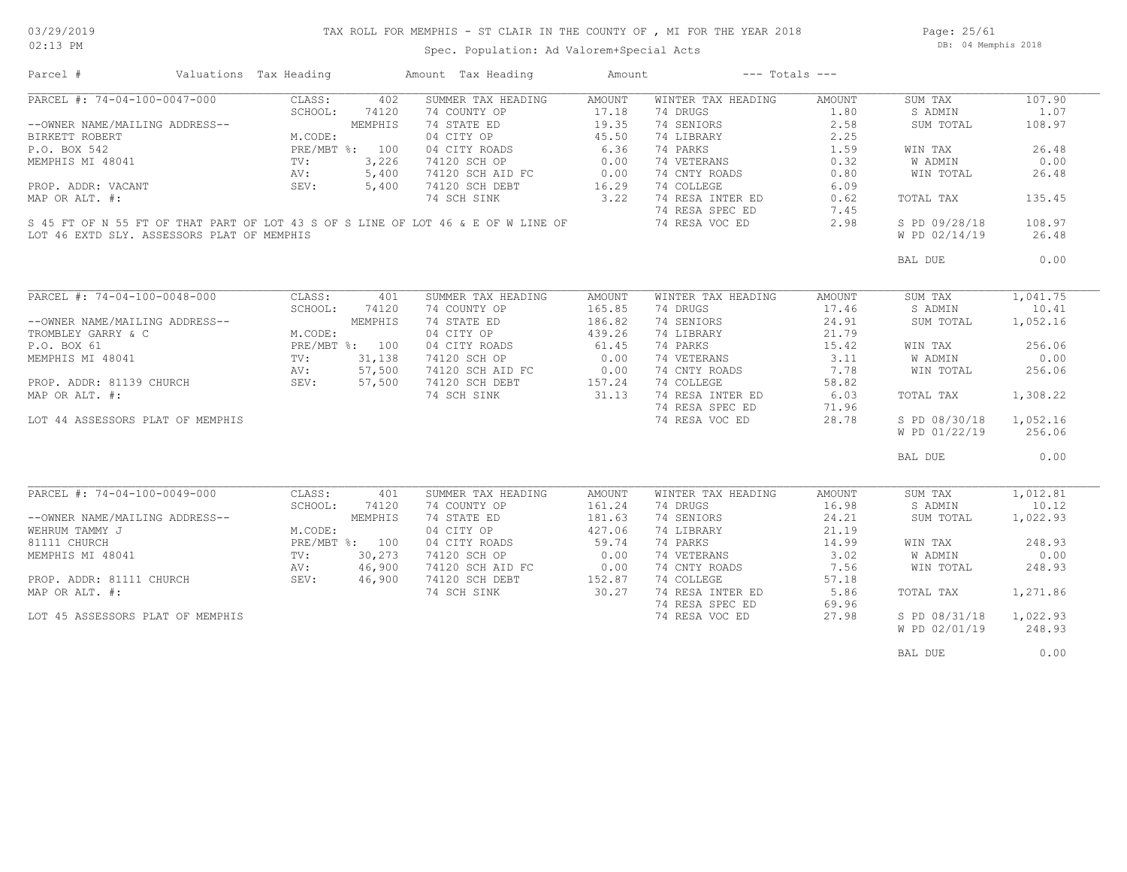Page: 25/61 DB: 04 Memphis 2018

| PARCEL #: 74-04-100-0047-000<br>CLASS:<br>402<br>SUMMER TAX HEADING<br>WINTER TAX HEADING<br>SUM TAX<br>AMOUNT<br>AMOUNT<br>SCHOOL:<br>74120<br>74 COUNTY OP<br>17.18<br>74 DRUGS<br>1.80<br>S ADMIN<br>74 SENIORS<br>2.58<br>--OWNER NAME/MAILING ADDRESS--<br>MEMPHIS<br>74 STATE ED<br>19.35<br>SUM TOTAL<br>BIRKETT ROBERT<br>04 CITY OP<br>45.50<br>74 LIBRARY<br>2.25<br>M.CODE:<br>6.36<br>74 PARKS<br>P.O. BOX 542<br>PRE/MBT %: 100<br>04 CITY ROADS<br>1.59<br>WIN TAX<br>74 VETERANS<br>MEMPHIS MI 48041<br>3,226<br>74120 SCH OP<br>0.00<br>0.32<br>W ADMIN<br>TV:<br>0.00<br>74 CNTY ROADS<br>0.80<br>AV:<br>5,400<br>74120 SCH AID FC<br>WIN TOTAL<br>SEV:<br>74120 SCH DEBT<br>16.29<br>74 COLLEGE<br>6.09<br>PROP. ADDR: VACANT<br>5,400<br>3.22<br>74 RESA INTER ED<br>MAP OR ALT. #:<br>74 SCH SINK<br>0.62<br>TOTAL TAX<br>74 RESA SPEC ED<br>7.45<br>S 45 FT OF N 55 FT OF THAT PART OF LOT 43 S OF S LINE OF LOT 46 & E OF W LINE OF<br>74 RESA VOC ED<br>2.98<br>S PD 09/28/18<br>W PD 02/14/19<br>LOT 46 EXTD SLY. ASSESSORS PLAT OF MEMPHIS<br>BAL DUE<br>PARCEL #: 74-04-100-0048-000<br>CLASS:<br>401<br>SUMMER TAX HEADING<br>WINTER TAX HEADING<br>AMOUNT<br>AMOUNT<br>SUM TAX<br>SCHOOL:<br>165.85<br>74 DRUGS<br>74120<br>74 COUNTY OP<br>17.46<br>S ADMIN<br>74 SENIORS<br>--OWNER NAME/MAILING ADDRESS--<br>MEMPHIS<br>74 STATE ED<br>186.82<br>24.91<br>SUM TOTAL<br>M.CODE:<br>04 CITY OP<br>439.26<br>74 LIBRARY<br>21.79<br>TROMBLEY GARRY & C<br>61.45<br>P.O. BOX 61<br>PRE/MBT %: 100<br>04 CITY ROADS<br>74 PARKS<br>15.42<br>WIN TAX<br>31,138<br>74120 SCH OP<br>0.00<br>74 VETERANS<br>3.11<br>MEMPHIS MI 48041<br>TV:<br>W ADMIN<br>0.00<br>AV:<br>57,500<br>74120 SCH AID FC<br>74 CNTY ROADS<br>7.78<br>WIN TOTAL<br>157.24<br>74 COLLEGE<br>PROP. ADDR: 81139 CHURCH<br>SEV:<br>57,500<br>74120 SCH DEBT<br>58.82<br>74 RESA INTER ED<br>MAP OR ALT. #:<br>74 SCH SINK<br>31.13<br>6.03<br>TOTAL TAX<br>74 RESA SPEC ED<br>71.96<br>74 RESA VOC ED<br>28.78<br>S PD 08/30/18<br>LOT 44 ASSESSORS PLAT OF MEMPHIS<br>W PD 01/22/19<br>BAL DUE<br>PARCEL #: 74-04-100-0049-000<br>CLASS:<br>SUMMER TAX HEADING<br>AMOUNT<br>WINTER TAX HEADING<br>AMOUNT<br>SUM TAX<br>401<br>74 COUNTY OP<br>74 DRUGS<br>16.98<br>SCHOOL:<br>74120<br>161.24<br>S ADMIN<br>--OWNER NAME/MAILING ADDRESS--<br>MEMPHIS<br>74 STATE ED<br>181.63<br>74 SENIORS<br>24.21<br>SUM TOTAL<br>04 CITY OP<br>427.06<br>21.19<br>WEHRUM TAMMY J<br>M.CODE:<br>74 LIBRARY<br>59.74<br>81111 CHURCH<br>PRE/MBT %: 100<br>04 CITY ROADS<br>74 PARKS<br>14.99<br>WIN TAX<br>0.00<br>74 VETERANS<br>3.02<br>W ADMIN<br>MEMPHIS MI 48041<br>TV:<br>30,273<br>74120 SCH OP<br>46,900<br>74120 SCH AID FC<br>0.00<br>74 CNTY ROADS<br>7.56<br>AV:<br>WIN TOTAL<br>74 COLLEGE<br>PROP. ADDR: 81111 CHURCH<br>SEV:<br>46,900<br>74120 SCH DEBT<br>152.87<br>57.18<br>74 SCH SINK<br>30.27<br>74 RESA INTER ED<br>5.86<br>MAP OR ALT. #:<br>TOTAL TAX<br>74 RESA SPEC ED<br>69.96<br>74 RESA VOC ED<br>LOT 45 ASSESSORS PLAT OF MEMPHIS<br>27.98<br>S PD 08/31/18<br>W PD 02/01/19<br>BAL DUE | Parcel # | Valuations Tax Heading | Amount Tax Heading | Amount | $---$ Totals $---$ |          |
|-------------------------------------------------------------------------------------------------------------------------------------------------------------------------------------------------------------------------------------------------------------------------------------------------------------------------------------------------------------------------------------------------------------------------------------------------------------------------------------------------------------------------------------------------------------------------------------------------------------------------------------------------------------------------------------------------------------------------------------------------------------------------------------------------------------------------------------------------------------------------------------------------------------------------------------------------------------------------------------------------------------------------------------------------------------------------------------------------------------------------------------------------------------------------------------------------------------------------------------------------------------------------------------------------------------------------------------------------------------------------------------------------------------------------------------------------------------------------------------------------------------------------------------------------------------------------------------------------------------------------------------------------------------------------------------------------------------------------------------------------------------------------------------------------------------------------------------------------------------------------------------------------------------------------------------------------------------------------------------------------------------------------------------------------------------------------------------------------------------------------------------------------------------------------------------------------------------------------------------------------------------------------------------------------------------------------------------------------------------------------------------------------------------------------------------------------------------------------------------------------------------------------------------------------------------------------------------------------------------------------------------------------------------------------------------------------------------------------------------------------------------------------------------------------------------------------------------------------------------------------------------------------------------------------------------------------------------------------------------------------------------------------------------------------------------------------------------------------------|----------|------------------------|--------------------|--------|--------------------|----------|
|                                                                                                                                                                                                                                                                                                                                                                                                                                                                                                                                                                                                                                                                                                                                                                                                                                                                                                                                                                                                                                                                                                                                                                                                                                                                                                                                                                                                                                                                                                                                                                                                                                                                                                                                                                                                                                                                                                                                                                                                                                                                                                                                                                                                                                                                                                                                                                                                                                                                                                                                                                                                                                                                                                                                                                                                                                                                                                                                                                                                                                                                                                       |          |                        |                    |        |                    | 107.90   |
|                                                                                                                                                                                                                                                                                                                                                                                                                                                                                                                                                                                                                                                                                                                                                                                                                                                                                                                                                                                                                                                                                                                                                                                                                                                                                                                                                                                                                                                                                                                                                                                                                                                                                                                                                                                                                                                                                                                                                                                                                                                                                                                                                                                                                                                                                                                                                                                                                                                                                                                                                                                                                                                                                                                                                                                                                                                                                                                                                                                                                                                                                                       |          |                        |                    |        |                    | 1.07     |
|                                                                                                                                                                                                                                                                                                                                                                                                                                                                                                                                                                                                                                                                                                                                                                                                                                                                                                                                                                                                                                                                                                                                                                                                                                                                                                                                                                                                                                                                                                                                                                                                                                                                                                                                                                                                                                                                                                                                                                                                                                                                                                                                                                                                                                                                                                                                                                                                                                                                                                                                                                                                                                                                                                                                                                                                                                                                                                                                                                                                                                                                                                       |          |                        |                    |        |                    | 108.97   |
|                                                                                                                                                                                                                                                                                                                                                                                                                                                                                                                                                                                                                                                                                                                                                                                                                                                                                                                                                                                                                                                                                                                                                                                                                                                                                                                                                                                                                                                                                                                                                                                                                                                                                                                                                                                                                                                                                                                                                                                                                                                                                                                                                                                                                                                                                                                                                                                                                                                                                                                                                                                                                                                                                                                                                                                                                                                                                                                                                                                                                                                                                                       |          |                        |                    |        |                    |          |
|                                                                                                                                                                                                                                                                                                                                                                                                                                                                                                                                                                                                                                                                                                                                                                                                                                                                                                                                                                                                                                                                                                                                                                                                                                                                                                                                                                                                                                                                                                                                                                                                                                                                                                                                                                                                                                                                                                                                                                                                                                                                                                                                                                                                                                                                                                                                                                                                                                                                                                                                                                                                                                                                                                                                                                                                                                                                                                                                                                                                                                                                                                       |          |                        |                    |        |                    | 26.48    |
|                                                                                                                                                                                                                                                                                                                                                                                                                                                                                                                                                                                                                                                                                                                                                                                                                                                                                                                                                                                                                                                                                                                                                                                                                                                                                                                                                                                                                                                                                                                                                                                                                                                                                                                                                                                                                                                                                                                                                                                                                                                                                                                                                                                                                                                                                                                                                                                                                                                                                                                                                                                                                                                                                                                                                                                                                                                                                                                                                                                                                                                                                                       |          |                        |                    |        |                    | 0.00     |
|                                                                                                                                                                                                                                                                                                                                                                                                                                                                                                                                                                                                                                                                                                                                                                                                                                                                                                                                                                                                                                                                                                                                                                                                                                                                                                                                                                                                                                                                                                                                                                                                                                                                                                                                                                                                                                                                                                                                                                                                                                                                                                                                                                                                                                                                                                                                                                                                                                                                                                                                                                                                                                                                                                                                                                                                                                                                                                                                                                                                                                                                                                       |          |                        |                    |        |                    | 26.48    |
|                                                                                                                                                                                                                                                                                                                                                                                                                                                                                                                                                                                                                                                                                                                                                                                                                                                                                                                                                                                                                                                                                                                                                                                                                                                                                                                                                                                                                                                                                                                                                                                                                                                                                                                                                                                                                                                                                                                                                                                                                                                                                                                                                                                                                                                                                                                                                                                                                                                                                                                                                                                                                                                                                                                                                                                                                                                                                                                                                                                                                                                                                                       |          |                        |                    |        |                    |          |
|                                                                                                                                                                                                                                                                                                                                                                                                                                                                                                                                                                                                                                                                                                                                                                                                                                                                                                                                                                                                                                                                                                                                                                                                                                                                                                                                                                                                                                                                                                                                                                                                                                                                                                                                                                                                                                                                                                                                                                                                                                                                                                                                                                                                                                                                                                                                                                                                                                                                                                                                                                                                                                                                                                                                                                                                                                                                                                                                                                                                                                                                                                       |          |                        |                    |        |                    | 135.45   |
|                                                                                                                                                                                                                                                                                                                                                                                                                                                                                                                                                                                                                                                                                                                                                                                                                                                                                                                                                                                                                                                                                                                                                                                                                                                                                                                                                                                                                                                                                                                                                                                                                                                                                                                                                                                                                                                                                                                                                                                                                                                                                                                                                                                                                                                                                                                                                                                                                                                                                                                                                                                                                                                                                                                                                                                                                                                                                                                                                                                                                                                                                                       |          |                        |                    |        |                    |          |
|                                                                                                                                                                                                                                                                                                                                                                                                                                                                                                                                                                                                                                                                                                                                                                                                                                                                                                                                                                                                                                                                                                                                                                                                                                                                                                                                                                                                                                                                                                                                                                                                                                                                                                                                                                                                                                                                                                                                                                                                                                                                                                                                                                                                                                                                                                                                                                                                                                                                                                                                                                                                                                                                                                                                                                                                                                                                                                                                                                                                                                                                                                       |          |                        |                    |        |                    |          |
|                                                                                                                                                                                                                                                                                                                                                                                                                                                                                                                                                                                                                                                                                                                                                                                                                                                                                                                                                                                                                                                                                                                                                                                                                                                                                                                                                                                                                                                                                                                                                                                                                                                                                                                                                                                                                                                                                                                                                                                                                                                                                                                                                                                                                                                                                                                                                                                                                                                                                                                                                                                                                                                                                                                                                                                                                                                                                                                                                                                                                                                                                                       |          |                        |                    |        |                    | 108.97   |
|                                                                                                                                                                                                                                                                                                                                                                                                                                                                                                                                                                                                                                                                                                                                                                                                                                                                                                                                                                                                                                                                                                                                                                                                                                                                                                                                                                                                                                                                                                                                                                                                                                                                                                                                                                                                                                                                                                                                                                                                                                                                                                                                                                                                                                                                                                                                                                                                                                                                                                                                                                                                                                                                                                                                                                                                                                                                                                                                                                                                                                                                                                       |          |                        |                    |        |                    | 26.48    |
|                                                                                                                                                                                                                                                                                                                                                                                                                                                                                                                                                                                                                                                                                                                                                                                                                                                                                                                                                                                                                                                                                                                                                                                                                                                                                                                                                                                                                                                                                                                                                                                                                                                                                                                                                                                                                                                                                                                                                                                                                                                                                                                                                                                                                                                                                                                                                                                                                                                                                                                                                                                                                                                                                                                                                                                                                                                                                                                                                                                                                                                                                                       |          |                        |                    |        |                    | 0.00     |
|                                                                                                                                                                                                                                                                                                                                                                                                                                                                                                                                                                                                                                                                                                                                                                                                                                                                                                                                                                                                                                                                                                                                                                                                                                                                                                                                                                                                                                                                                                                                                                                                                                                                                                                                                                                                                                                                                                                                                                                                                                                                                                                                                                                                                                                                                                                                                                                                                                                                                                                                                                                                                                                                                                                                                                                                                                                                                                                                                                                                                                                                                                       |          |                        |                    |        |                    |          |
|                                                                                                                                                                                                                                                                                                                                                                                                                                                                                                                                                                                                                                                                                                                                                                                                                                                                                                                                                                                                                                                                                                                                                                                                                                                                                                                                                                                                                                                                                                                                                                                                                                                                                                                                                                                                                                                                                                                                                                                                                                                                                                                                                                                                                                                                                                                                                                                                                                                                                                                                                                                                                                                                                                                                                                                                                                                                                                                                                                                                                                                                                                       |          |                        |                    |        |                    | 1,041.75 |
|                                                                                                                                                                                                                                                                                                                                                                                                                                                                                                                                                                                                                                                                                                                                                                                                                                                                                                                                                                                                                                                                                                                                                                                                                                                                                                                                                                                                                                                                                                                                                                                                                                                                                                                                                                                                                                                                                                                                                                                                                                                                                                                                                                                                                                                                                                                                                                                                                                                                                                                                                                                                                                                                                                                                                                                                                                                                                                                                                                                                                                                                                                       |          |                        |                    |        |                    | 10.41    |
|                                                                                                                                                                                                                                                                                                                                                                                                                                                                                                                                                                                                                                                                                                                                                                                                                                                                                                                                                                                                                                                                                                                                                                                                                                                                                                                                                                                                                                                                                                                                                                                                                                                                                                                                                                                                                                                                                                                                                                                                                                                                                                                                                                                                                                                                                                                                                                                                                                                                                                                                                                                                                                                                                                                                                                                                                                                                                                                                                                                                                                                                                                       |          |                        |                    |        |                    | 1,052.16 |
|                                                                                                                                                                                                                                                                                                                                                                                                                                                                                                                                                                                                                                                                                                                                                                                                                                                                                                                                                                                                                                                                                                                                                                                                                                                                                                                                                                                                                                                                                                                                                                                                                                                                                                                                                                                                                                                                                                                                                                                                                                                                                                                                                                                                                                                                                                                                                                                                                                                                                                                                                                                                                                                                                                                                                                                                                                                                                                                                                                                                                                                                                                       |          |                        |                    |        |                    |          |
|                                                                                                                                                                                                                                                                                                                                                                                                                                                                                                                                                                                                                                                                                                                                                                                                                                                                                                                                                                                                                                                                                                                                                                                                                                                                                                                                                                                                                                                                                                                                                                                                                                                                                                                                                                                                                                                                                                                                                                                                                                                                                                                                                                                                                                                                                                                                                                                                                                                                                                                                                                                                                                                                                                                                                                                                                                                                                                                                                                                                                                                                                                       |          |                        |                    |        |                    | 256.06   |
|                                                                                                                                                                                                                                                                                                                                                                                                                                                                                                                                                                                                                                                                                                                                                                                                                                                                                                                                                                                                                                                                                                                                                                                                                                                                                                                                                                                                                                                                                                                                                                                                                                                                                                                                                                                                                                                                                                                                                                                                                                                                                                                                                                                                                                                                                                                                                                                                                                                                                                                                                                                                                                                                                                                                                                                                                                                                                                                                                                                                                                                                                                       |          |                        |                    |        |                    | 0.00     |
|                                                                                                                                                                                                                                                                                                                                                                                                                                                                                                                                                                                                                                                                                                                                                                                                                                                                                                                                                                                                                                                                                                                                                                                                                                                                                                                                                                                                                                                                                                                                                                                                                                                                                                                                                                                                                                                                                                                                                                                                                                                                                                                                                                                                                                                                                                                                                                                                                                                                                                                                                                                                                                                                                                                                                                                                                                                                                                                                                                                                                                                                                                       |          |                        |                    |        |                    | 256.06   |
|                                                                                                                                                                                                                                                                                                                                                                                                                                                                                                                                                                                                                                                                                                                                                                                                                                                                                                                                                                                                                                                                                                                                                                                                                                                                                                                                                                                                                                                                                                                                                                                                                                                                                                                                                                                                                                                                                                                                                                                                                                                                                                                                                                                                                                                                                                                                                                                                                                                                                                                                                                                                                                                                                                                                                                                                                                                                                                                                                                                                                                                                                                       |          |                        |                    |        |                    |          |
|                                                                                                                                                                                                                                                                                                                                                                                                                                                                                                                                                                                                                                                                                                                                                                                                                                                                                                                                                                                                                                                                                                                                                                                                                                                                                                                                                                                                                                                                                                                                                                                                                                                                                                                                                                                                                                                                                                                                                                                                                                                                                                                                                                                                                                                                                                                                                                                                                                                                                                                                                                                                                                                                                                                                                                                                                                                                                                                                                                                                                                                                                                       |          |                        |                    |        |                    |          |
|                                                                                                                                                                                                                                                                                                                                                                                                                                                                                                                                                                                                                                                                                                                                                                                                                                                                                                                                                                                                                                                                                                                                                                                                                                                                                                                                                                                                                                                                                                                                                                                                                                                                                                                                                                                                                                                                                                                                                                                                                                                                                                                                                                                                                                                                                                                                                                                                                                                                                                                                                                                                                                                                                                                                                                                                                                                                                                                                                                                                                                                                                                       |          |                        |                    |        |                    | 1,308.22 |
|                                                                                                                                                                                                                                                                                                                                                                                                                                                                                                                                                                                                                                                                                                                                                                                                                                                                                                                                                                                                                                                                                                                                                                                                                                                                                                                                                                                                                                                                                                                                                                                                                                                                                                                                                                                                                                                                                                                                                                                                                                                                                                                                                                                                                                                                                                                                                                                                                                                                                                                                                                                                                                                                                                                                                                                                                                                                                                                                                                                                                                                                                                       |          |                        |                    |        |                    |          |
|                                                                                                                                                                                                                                                                                                                                                                                                                                                                                                                                                                                                                                                                                                                                                                                                                                                                                                                                                                                                                                                                                                                                                                                                                                                                                                                                                                                                                                                                                                                                                                                                                                                                                                                                                                                                                                                                                                                                                                                                                                                                                                                                                                                                                                                                                                                                                                                                                                                                                                                                                                                                                                                                                                                                                                                                                                                                                                                                                                                                                                                                                                       |          |                        |                    |        |                    | 1,052.16 |
|                                                                                                                                                                                                                                                                                                                                                                                                                                                                                                                                                                                                                                                                                                                                                                                                                                                                                                                                                                                                                                                                                                                                                                                                                                                                                                                                                                                                                                                                                                                                                                                                                                                                                                                                                                                                                                                                                                                                                                                                                                                                                                                                                                                                                                                                                                                                                                                                                                                                                                                                                                                                                                                                                                                                                                                                                                                                                                                                                                                                                                                                                                       |          |                        |                    |        |                    | 256.06   |
|                                                                                                                                                                                                                                                                                                                                                                                                                                                                                                                                                                                                                                                                                                                                                                                                                                                                                                                                                                                                                                                                                                                                                                                                                                                                                                                                                                                                                                                                                                                                                                                                                                                                                                                                                                                                                                                                                                                                                                                                                                                                                                                                                                                                                                                                                                                                                                                                                                                                                                                                                                                                                                                                                                                                                                                                                                                                                                                                                                                                                                                                                                       |          |                        |                    |        |                    | 0.00     |
|                                                                                                                                                                                                                                                                                                                                                                                                                                                                                                                                                                                                                                                                                                                                                                                                                                                                                                                                                                                                                                                                                                                                                                                                                                                                                                                                                                                                                                                                                                                                                                                                                                                                                                                                                                                                                                                                                                                                                                                                                                                                                                                                                                                                                                                                                                                                                                                                                                                                                                                                                                                                                                                                                                                                                                                                                                                                                                                                                                                                                                                                                                       |          |                        |                    |        |                    |          |
|                                                                                                                                                                                                                                                                                                                                                                                                                                                                                                                                                                                                                                                                                                                                                                                                                                                                                                                                                                                                                                                                                                                                                                                                                                                                                                                                                                                                                                                                                                                                                                                                                                                                                                                                                                                                                                                                                                                                                                                                                                                                                                                                                                                                                                                                                                                                                                                                                                                                                                                                                                                                                                                                                                                                                                                                                                                                                                                                                                                                                                                                                                       |          |                        |                    |        |                    | 1,012.81 |
|                                                                                                                                                                                                                                                                                                                                                                                                                                                                                                                                                                                                                                                                                                                                                                                                                                                                                                                                                                                                                                                                                                                                                                                                                                                                                                                                                                                                                                                                                                                                                                                                                                                                                                                                                                                                                                                                                                                                                                                                                                                                                                                                                                                                                                                                                                                                                                                                                                                                                                                                                                                                                                                                                                                                                                                                                                                                                                                                                                                                                                                                                                       |          |                        |                    |        |                    | 10.12    |
|                                                                                                                                                                                                                                                                                                                                                                                                                                                                                                                                                                                                                                                                                                                                                                                                                                                                                                                                                                                                                                                                                                                                                                                                                                                                                                                                                                                                                                                                                                                                                                                                                                                                                                                                                                                                                                                                                                                                                                                                                                                                                                                                                                                                                                                                                                                                                                                                                                                                                                                                                                                                                                                                                                                                                                                                                                                                                                                                                                                                                                                                                                       |          |                        |                    |        |                    | 1,022.93 |
|                                                                                                                                                                                                                                                                                                                                                                                                                                                                                                                                                                                                                                                                                                                                                                                                                                                                                                                                                                                                                                                                                                                                                                                                                                                                                                                                                                                                                                                                                                                                                                                                                                                                                                                                                                                                                                                                                                                                                                                                                                                                                                                                                                                                                                                                                                                                                                                                                                                                                                                                                                                                                                                                                                                                                                                                                                                                                                                                                                                                                                                                                                       |          |                        |                    |        |                    |          |
|                                                                                                                                                                                                                                                                                                                                                                                                                                                                                                                                                                                                                                                                                                                                                                                                                                                                                                                                                                                                                                                                                                                                                                                                                                                                                                                                                                                                                                                                                                                                                                                                                                                                                                                                                                                                                                                                                                                                                                                                                                                                                                                                                                                                                                                                                                                                                                                                                                                                                                                                                                                                                                                                                                                                                                                                                                                                                                                                                                                                                                                                                                       |          |                        |                    |        |                    | 248.93   |
|                                                                                                                                                                                                                                                                                                                                                                                                                                                                                                                                                                                                                                                                                                                                                                                                                                                                                                                                                                                                                                                                                                                                                                                                                                                                                                                                                                                                                                                                                                                                                                                                                                                                                                                                                                                                                                                                                                                                                                                                                                                                                                                                                                                                                                                                                                                                                                                                                                                                                                                                                                                                                                                                                                                                                                                                                                                                                                                                                                                                                                                                                                       |          |                        |                    |        |                    | 0.00     |
|                                                                                                                                                                                                                                                                                                                                                                                                                                                                                                                                                                                                                                                                                                                                                                                                                                                                                                                                                                                                                                                                                                                                                                                                                                                                                                                                                                                                                                                                                                                                                                                                                                                                                                                                                                                                                                                                                                                                                                                                                                                                                                                                                                                                                                                                                                                                                                                                                                                                                                                                                                                                                                                                                                                                                                                                                                                                                                                                                                                                                                                                                                       |          |                        |                    |        |                    | 248.93   |
|                                                                                                                                                                                                                                                                                                                                                                                                                                                                                                                                                                                                                                                                                                                                                                                                                                                                                                                                                                                                                                                                                                                                                                                                                                                                                                                                                                                                                                                                                                                                                                                                                                                                                                                                                                                                                                                                                                                                                                                                                                                                                                                                                                                                                                                                                                                                                                                                                                                                                                                                                                                                                                                                                                                                                                                                                                                                                                                                                                                                                                                                                                       |          |                        |                    |        |                    |          |
|                                                                                                                                                                                                                                                                                                                                                                                                                                                                                                                                                                                                                                                                                                                                                                                                                                                                                                                                                                                                                                                                                                                                                                                                                                                                                                                                                                                                                                                                                                                                                                                                                                                                                                                                                                                                                                                                                                                                                                                                                                                                                                                                                                                                                                                                                                                                                                                                                                                                                                                                                                                                                                                                                                                                                                                                                                                                                                                                                                                                                                                                                                       |          |                        |                    |        |                    | 1,271.86 |
|                                                                                                                                                                                                                                                                                                                                                                                                                                                                                                                                                                                                                                                                                                                                                                                                                                                                                                                                                                                                                                                                                                                                                                                                                                                                                                                                                                                                                                                                                                                                                                                                                                                                                                                                                                                                                                                                                                                                                                                                                                                                                                                                                                                                                                                                                                                                                                                                                                                                                                                                                                                                                                                                                                                                                                                                                                                                                                                                                                                                                                                                                                       |          |                        |                    |        |                    |          |
|                                                                                                                                                                                                                                                                                                                                                                                                                                                                                                                                                                                                                                                                                                                                                                                                                                                                                                                                                                                                                                                                                                                                                                                                                                                                                                                                                                                                                                                                                                                                                                                                                                                                                                                                                                                                                                                                                                                                                                                                                                                                                                                                                                                                                                                                                                                                                                                                                                                                                                                                                                                                                                                                                                                                                                                                                                                                                                                                                                                                                                                                                                       |          |                        |                    |        |                    |          |
|                                                                                                                                                                                                                                                                                                                                                                                                                                                                                                                                                                                                                                                                                                                                                                                                                                                                                                                                                                                                                                                                                                                                                                                                                                                                                                                                                                                                                                                                                                                                                                                                                                                                                                                                                                                                                                                                                                                                                                                                                                                                                                                                                                                                                                                                                                                                                                                                                                                                                                                                                                                                                                                                                                                                                                                                                                                                                                                                                                                                                                                                                                       |          |                        |                    |        |                    | 1,022.93 |
|                                                                                                                                                                                                                                                                                                                                                                                                                                                                                                                                                                                                                                                                                                                                                                                                                                                                                                                                                                                                                                                                                                                                                                                                                                                                                                                                                                                                                                                                                                                                                                                                                                                                                                                                                                                                                                                                                                                                                                                                                                                                                                                                                                                                                                                                                                                                                                                                                                                                                                                                                                                                                                                                                                                                                                                                                                                                                                                                                                                                                                                                                                       |          |                        |                    |        |                    | 248.93   |
|                                                                                                                                                                                                                                                                                                                                                                                                                                                                                                                                                                                                                                                                                                                                                                                                                                                                                                                                                                                                                                                                                                                                                                                                                                                                                                                                                                                                                                                                                                                                                                                                                                                                                                                                                                                                                                                                                                                                                                                                                                                                                                                                                                                                                                                                                                                                                                                                                                                                                                                                                                                                                                                                                                                                                                                                                                                                                                                                                                                                                                                                                                       |          |                        |                    |        |                    | 0.00     |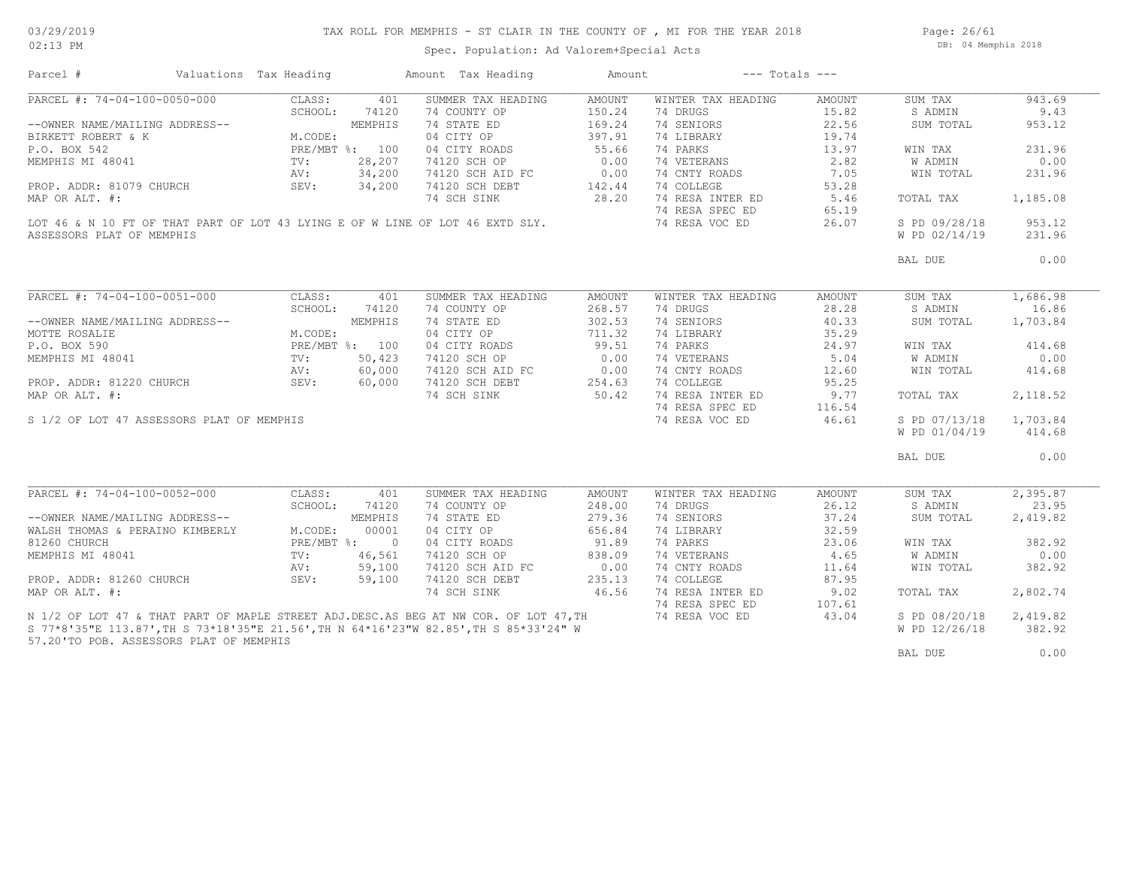Page: 26/61 DB: 04 Memphis 2018

| Parcel #                                                                               | Valuations Tax Heading                                                   |              | Amount Tax Heading                                                                  | Amount |                    | $---$ Totals $---$ |               |          |
|----------------------------------------------------------------------------------------|--------------------------------------------------------------------------|--------------|-------------------------------------------------------------------------------------|--------|--------------------|--------------------|---------------|----------|
| PARCEL #: 74-04-100-0050-000                                                           | CLASS:                                                                   | 401          | SUMMER TAX HEADING                                                                  | AMOUNT | WINTER TAX HEADING | AMOUNT             | SUM TAX       | 943.69   |
|                                                                                        | SCHOOL:                                                                  | 74120        | 74 COUNTY OP                                                                        | 150.24 | 74 DRUGS           | 15.82              | S ADMIN       | 9.43     |
| --OWNER NAME/MAILING ADDRESS--                                                         | ING ADDRESS--<br>K M.CODE:<br>PRE/MBT %: 100<br>TV: 28,207<br>AV: 34,200 |              | 74 STATE ED                                                                         | 169.24 | 74 SENIORS         | 22.56              | SUM TOTAL     | 953.12   |
| BIRKETT ROBERT & K                                                                     |                                                                          |              | 04 CITY OP                                                                          | 397.91 | 74 LIBRARY         | 19.74              |               |          |
| P.O. BOX 542                                                                           |                                                                          |              | 04 CITY ROADS                                                                       | 55.66  | 74 PARKS           | 13.97              | WIN TAX       | 231.96   |
| MEMPHIS MI 48041                                                                       |                                                                          |              | 74120 SCH OP                                                                        | 0.00   | 74 VETERANS        | 2.82               | W ADMIN       | 0.00     |
|                                                                                        |                                                                          |              |                                                                                     |        | 74 CNTY ROADS      | 7.05               | WIN TOTAL     | 231.96   |
| PROP. ADDR: 81079 CHURCH                                                               | SEV:                                                                     | 34,200       | 74120 SCH AID FC 0.00<br>74120 SCH DEBT 142.44                                      |        | 74 COLLEGE         | 53.28              |               |          |
| MAP OR ALT. #:                                                                         |                                                                          |              | 74 SCH SINK                                                                         | 28.20  | 74 RESA INTER ED   | 5.46               | TOTAL TAX     | 1,185.08 |
|                                                                                        |                                                                          |              |                                                                                     |        | 74 RESA SPEC ED    | 65.19              |               |          |
| LOT 46 & N 10 FT OF THAT PART OF LOT 43 LYING E OF W LINE OF LOT 46 EXTD SLY.          |                                                                          |              |                                                                                     |        | 74 RESA VOC ED     | 26.07              | S PD 09/28/18 | 953.12   |
| ASSESSORS PLAT OF MEMPHIS                                                              |                                                                          |              |                                                                                     |        |                    |                    | W PD 02/14/19 | 231.96   |
|                                                                                        |                                                                          |              |                                                                                     |        |                    |                    |               |          |
|                                                                                        |                                                                          |              |                                                                                     |        |                    |                    | BAL DUE       | 0.00     |
|                                                                                        |                                                                          |              |                                                                                     |        |                    |                    |               |          |
| PARCEL #: $74-04-100-0051-000$                                                         | CLASS:                                                                   | 401          | SUMMER TAX HEADING                                                                  | AMOUNT | WINTER TAX HEADING | AMOUNT             | SUM TAX       | 1,686.98 |
|                                                                                        | SCHOOL:                                                                  | 74120        | 74 COUNTY OP                                                                        | 268.57 | 74 DRUGS           | 28.28              | S ADMIN       | 16.86    |
| --OWNER NAME/MAILING ADDRESS--                                                         |                                                                          | MEMPHIS      | 74 STATE ED                                                                         | 302.53 | 74 SENIORS         | 40.33              | SUM TOTAL     | 1,703.84 |
| MOTTE ROSALIE                                                                          | M.CODE:                                                                  |              | 04 CITY OP                                                                          | 711.32 | 74 LIBRARY         | 35.29              |               |          |
| P.O. BOX 590                                                                           | PRE/MBT %: 100<br>TV: 50,423<br>AV: 60,000<br>SEV: 60,000                |              | 04 CITY ROADS                                                                       | 99.51  | 74 PARKS           | 24.97              | WIN TAX       | 414.68   |
| MEMPHIS MI 48041                                                                       |                                                                          |              | 74120 SCH OP                                                                        | 0.00   | 74 VETERANS        | 5.04               | W ADMIN       | 0.00     |
|                                                                                        |                                                                          |              | 74120 SCH OP<br>74120 SCH AID FC 0.00<br>74120 SCH DEBT 254.63<br>74 SCH SINK 50.42 |        | 74 CNTY ROADS      | 12.60              | WIN TOTAL     | 414.68   |
| PROP. ADDR: 81220 CHURCH                                                               |                                                                          |              |                                                                                     |        | 74 COLLEGE         | 95.25              |               |          |
| MAP OR ALT. #:                                                                         |                                                                          |              |                                                                                     |        | 74 RESA INTER ED   |                    | TOTAL TAX     | 2,118.52 |
|                                                                                        |                                                                          |              |                                                                                     |        |                    | 9.77               |               |          |
|                                                                                        |                                                                          |              |                                                                                     |        | 74 RESA SPEC ED    | 116.54             |               |          |
| S 1/2 OF LOT 47 ASSESSORS PLAT OF MEMPHIS                                              |                                                                          |              |                                                                                     |        | 74 RESA VOC ED     | 46.61              | S PD 07/13/18 | 1,703.84 |
|                                                                                        |                                                                          |              |                                                                                     |        |                    |                    | W PD 01/04/19 | 414.68   |
|                                                                                        |                                                                          |              |                                                                                     |        |                    |                    | BAL DUE       | 0.00     |
|                                                                                        |                                                                          |              |                                                                                     |        |                    |                    |               |          |
| PARCEL #: 74-04-100-0052-000                                                           | CLASS:                                                                   | 401          | SUMMER TAX HEADING                                                                  | AMOUNT | WINTER TAX HEADING | AMOUNT             | SUM TAX       | 2,395.87 |
|                                                                                        | SCHOOL:                                                                  | 74120        | 74 COUNTY OP                                                                        | 248.00 | 74 DRUGS           | 26.12              | S ADMIN       | 23.95    |
| --OWNER NAME/MAILING ADDRESS--                                                         |                                                                          | MEMPHIS      | 74 STATE ED                                                                         | 279.36 | 74 SENIORS         | 37.24              | SUM TOTAL     | 2,419.82 |
| WALSH THOMAS & PERAINO KIMBERLY                                                        | M.CODE:                                                                  | 00001        | 04 CITY OP                                                                          | 656.84 | 74 LIBRARY         | 32.59              |               |          |
| 81260 CHURCH                                                                           |                                                                          | PRE/MBT %: 0 | 04 CITY ROADS                                                                       | 91.89  | 74 PARKS           | 23.06              | WIN TAX       | 382.92   |
| MEMPHIS MI 48041                                                                       | TV:                                                                      | 46,561       |                                                                                     |        | 74 VETERANS        | 4.65               | W ADMIN       | 0.00     |
|                                                                                        | AV:                                                                      | 59,100       | 74120 SCH OP 538.09<br>74120 SCH OP 638.09<br>74120 SCH DEBT 235.13                 |        | 74 CNTY ROADS      | 11.64              | WIN TOTAL     | 382.92   |
| PROP. ADDR: 81260 CHURCH                                                               | SEV:                                                                     | 59,100       |                                                                                     |        | 74 COLLEGE         | 87.95              |               |          |
| MAP OR ALT. #:                                                                         |                                                                          |              | 74 SCH SINK                                                                         | 46.56  | 74 RESA INTER ED   | 9.02               | TOTAL TAX     | 2,802.74 |
|                                                                                        |                                                                          |              |                                                                                     |        | 74 RESA SPEC ED    | 107.61             |               |          |
| N 1/2 OF LOT 47 & THAT PART OF MAPLE STREET ADJ. DESC. AS BEG AT NW COR. OF LOT 47, TH |                                                                          |              |                                                                                     |        | 74 RESA VOC ED     | 43.04              | S PD 08/20/18 | 2,419.82 |
| S 77*8'35"E 113.87', TH S 73*18'35"E 21.56', TH N 64*16'23"W 82.85', TH S 85*33'24" W  |                                                                          |              |                                                                                     |        |                    |                    | W PD 12/26/18 | 382.92   |
| 57.20'TO POB. ASSESSORS PLAT OF MEMPHIS                                                |                                                                          |              |                                                                                     |        |                    |                    |               |          |
|                                                                                        |                                                                          |              |                                                                                     |        |                    |                    | BAL DUE       | 0.00     |
|                                                                                        |                                                                          |              |                                                                                     |        |                    |                    |               |          |
|                                                                                        |                                                                          |              |                                                                                     |        |                    |                    |               |          |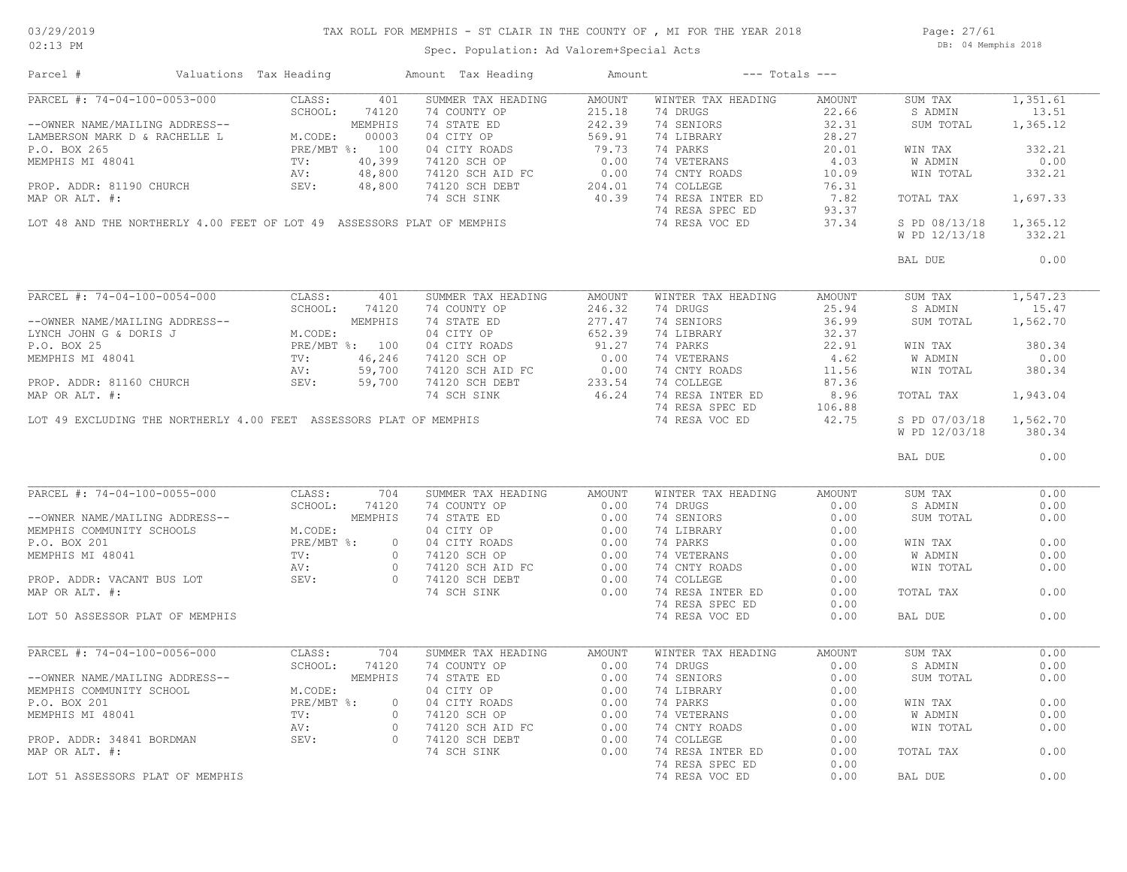## TAX ROLL FOR MEMPHIS - ST CLAIR IN THE COUNTY OF , MI FOR THE YEAR 2018

Spec. Population: Ad Valorem+Special Acts

Page: 27/61 DB: 04 Memphis 2018

| Parcel #                         | Valuations Tax Heading |                  | Amount Tax Heading                                                                                                                                                                                                                                                                                                                                                                              | Amount |                                                                                                                                                                                              | $---$ Totals $---$    |                        |          |
|----------------------------------|------------------------|------------------|-------------------------------------------------------------------------------------------------------------------------------------------------------------------------------------------------------------------------------------------------------------------------------------------------------------------------------------------------------------------------------------------------|--------|----------------------------------------------------------------------------------------------------------------------------------------------------------------------------------------------|-----------------------|------------------------|----------|
| PARCEL #: 74-04-100-0053-000     | CLASS:                 | 401              | SUMMER TAX HEADING<br>9 PARCEL #: 74-04-100-0053-000<br>--OWNER NAME/MAILING ADDRESS--<br>--OWNER NAME/MAILING ADDRESS--<br>--OWNER NAME/MAILING ADDRESS--<br>--OWNER NAME/MAILING ADDRESS--<br>--OWNER NAME/MAILING ADDRESS--<br>--OWNER NAME/MAILING ADDRESS                                                                                                                                  | AMOUNT | WINTER TAX HEADING                                                                                                                                                                           | AMOUNT                | SUM TAX                | 1,351.61 |
|                                  |                        |                  |                                                                                                                                                                                                                                                                                                                                                                                                 |        | 74 DRUGS                                                                                                                                                                                     | $\frac{22.66}{32.31}$ | S ADMIN                | 13.51    |
|                                  |                        |                  |                                                                                                                                                                                                                                                                                                                                                                                                 |        | 74 SENIORS                                                                                                                                                                                   |                       | SUM TOTAL              | 1,365.12 |
|                                  |                        |                  |                                                                                                                                                                                                                                                                                                                                                                                                 |        | 14 SENIORS<br>74 LIBRARY<br>74 PARKS<br>74 VETERANS<br>74 CNTY ROADS<br>74 COLLEGE<br>74 COLLEGE<br>76.31<br>74 RESA SPEC ED<br>76.31<br>74 RESA SPEC ED<br>93.37<br>74 RESA VOC ED<br>37.34 |                       |                        |          |
|                                  |                        |                  |                                                                                                                                                                                                                                                                                                                                                                                                 |        |                                                                                                                                                                                              |                       | WIN TAX                | 332.21   |
|                                  |                        |                  |                                                                                                                                                                                                                                                                                                                                                                                                 |        |                                                                                                                                                                                              |                       | W ADMIN                | 0.00     |
|                                  |                        |                  |                                                                                                                                                                                                                                                                                                                                                                                                 |        |                                                                                                                                                                                              |                       | WIN TOTAL              | 332.21   |
|                                  |                        |                  |                                                                                                                                                                                                                                                                                                                                                                                                 |        |                                                                                                                                                                                              |                       |                        |          |
|                                  |                        |                  |                                                                                                                                                                                                                                                                                                                                                                                                 |        |                                                                                                                                                                                              |                       | TOTAL TAX              | 1,697.33 |
|                                  |                        |                  | LOT 48 AND THE NORTHERLY 4.00 FEET OF LOT 49 ASSESSORS PLAT OF MEMPHIS                                                                                                                                                                                                                                                                                                                          |        |                                                                                                                                                                                              |                       |                        |          |
|                                  |                        |                  |                                                                                                                                                                                                                                                                                                                                                                                                 |        |                                                                                                                                                                                              |                       | S PD 08/13/18 1,365.12 |          |
|                                  |                        |                  |                                                                                                                                                                                                                                                                                                                                                                                                 |        |                                                                                                                                                                                              |                       | W PD 12/13/18          | 332.21   |
|                                  |                        |                  |                                                                                                                                                                                                                                                                                                                                                                                                 |        |                                                                                                                                                                                              |                       | BAL DUE                | 0.00     |
|                                  |                        |                  | $\begin{tabular}{l c c c c c c} \hline \texttt{PRACTs} & + & 74-04-100-0054-000 & \texttt{CLASS:} & 401 & \texttt{SUMMER TAX HEADING} & \texttt{Am} & \texttt{Mm} & \texttt{Am} & \texttt{Mm} & \texttt{Mm} & \texttt{Mm} & \texttt{Mm} & \texttt{Mm} & \texttt{Mm} & \texttt{Mm} & \texttt{Mm} & \texttt{Mm} & \texttt{Mm} & \texttt{Mm} & \texttt{Mm} & \texttt{Mm} & \texttt{Mm} & \texttt{$ |        |                                                                                                                                                                                              |                       |                        |          |
|                                  |                        |                  |                                                                                                                                                                                                                                                                                                                                                                                                 |        |                                                                                                                                                                                              |                       | SUM TAX                | 1,547.23 |
|                                  |                        |                  |                                                                                                                                                                                                                                                                                                                                                                                                 |        |                                                                                                                                                                                              |                       | S ADMIN                | 15.47    |
|                                  |                        |                  |                                                                                                                                                                                                                                                                                                                                                                                                 |        |                                                                                                                                                                                              |                       | SUM TOTAL              | 1,562.70 |
|                                  |                        |                  |                                                                                                                                                                                                                                                                                                                                                                                                 |        |                                                                                                                                                                                              |                       |                        |          |
|                                  |                        |                  |                                                                                                                                                                                                                                                                                                                                                                                                 |        |                                                                                                                                                                                              |                       | WIN TAX                | 380.34   |
|                                  |                        |                  |                                                                                                                                                                                                                                                                                                                                                                                                 |        |                                                                                                                                                                                              |                       | W ADMIN<br>WIN TOTAL   | 0.00     |
|                                  |                        |                  |                                                                                                                                                                                                                                                                                                                                                                                                 |        |                                                                                                                                                                                              |                       |                        | 380.34   |
|                                  |                        |                  |                                                                                                                                                                                                                                                                                                                                                                                                 |        |                                                                                                                                                                                              |                       |                        |          |
|                                  |                        |                  |                                                                                                                                                                                                                                                                                                                                                                                                 |        |                                                                                                                                                                                              |                       | TOTAL TAX              | 1,943.04 |
|                                  |                        |                  |                                                                                                                                                                                                                                                                                                                                                                                                 |        |                                                                                                                                                                                              |                       |                        |          |
|                                  |                        |                  | LOT 49 EXCLUDING THE NORTHERLY 4.00 FEET ASSESSORS PLAT OF MEMPHIS                                                                                                                                                                                                                                                                                                                              |        | 74 RESA VOC ED                                                                                                                                                                               | 42.75                 | S PD 07/03/18 1,562.70 |          |
|                                  |                        |                  |                                                                                                                                                                                                                                                                                                                                                                                                 |        |                                                                                                                                                                                              |                       | W PD 12/03/18          | 380.34   |
|                                  |                        |                  |                                                                                                                                                                                                                                                                                                                                                                                                 |        |                                                                                                                                                                                              |                       | BAL DUE                | 0.00     |
| PARCEL #: 74-04-100-0055-000     | CLASS:                 | $\overline{704}$ | SUMMER TAX HEADING                                                                                                                                                                                                                                                                                                                                                                              | AMOUNT | WINTER TAX HEADING                                                                                                                                                                           | AMOUNT                | SUM TAX                | 0.00     |
|                                  |                        |                  | PARCEL #: 74-04-100-0055-000<br>-OWNER NAME/MAILING ADDRESS--<br>MEMPHIS COMMUNITY SCHOOLS<br>MEMPHIS COMMUNITY SCHOOLS<br>P.O. BOX 201<br>MEMPHIS MI 48041<br>MEMPHIS MI 48041<br>PROP. ADDR: VACANT BUS LOT<br>PROP. ADDR: VACANT BUS LOT<br>                                                                                                                                                 |        | 74 DRUGS 0.00                                                                                                                                                                                |                       | S ADMIN                | 0.00     |
|                                  |                        |                  |                                                                                                                                                                                                                                                                                                                                                                                                 |        |                                                                                                                                                                                              |                       | SUM TOTAL              | 0.00     |
|                                  |                        |                  |                                                                                                                                                                                                                                                                                                                                                                                                 |        |                                                                                                                                                                                              |                       |                        |          |
|                                  |                        |                  |                                                                                                                                                                                                                                                                                                                                                                                                 |        |                                                                                                                                                                                              |                       |                        | 0.00     |
|                                  |                        |                  |                                                                                                                                                                                                                                                                                                                                                                                                 |        |                                                                                                                                                                                              |                       | WIN TAX                |          |
|                                  |                        |                  |                                                                                                                                                                                                                                                                                                                                                                                                 |        |                                                                                                                                                                                              |                       | W ADMIN                | 0.00     |
|                                  |                        |                  |                                                                                                                                                                                                                                                                                                                                                                                                 |        |                                                                                                                                                                                              |                       | WIN TOTAL              | 0.00     |
|                                  |                        |                  |                                                                                                                                                                                                                                                                                                                                                                                                 |        |                                                                                                                                                                                              |                       |                        |          |
|                                  |                        |                  |                                                                                                                                                                                                                                                                                                                                                                                                 |        |                                                                                                                                                                                              |                       | TOTAL TAX              | 0.00     |
|                                  |                        |                  |                                                                                                                                                                                                                                                                                                                                                                                                 |        | 74 RESA SPEC ED                                                                                                                                                                              | 0.00                  |                        |          |
| LOT 50 ASSESSOR PLAT OF MEMPHIS  |                        |                  |                                                                                                                                                                                                                                                                                                                                                                                                 |        | 74 RESA VOC ED                                                                                                                                                                               | 0.00                  | BAL DUE                | 0.00     |
| PARCEL #: 74-04-100-0056-000     | CLASS:                 | 704              | SUMMER TAX HEADING                                                                                                                                                                                                                                                                                                                                                                              | AMOUNT | WINTER TAX HEADING                                                                                                                                                                           | AMOUNT                | SUM TAX                | 0.00     |
|                                  |                        |                  | PARCEL #: 74-04-100-0036-000<br>-OWNER NAME/MAILING ADDRESS--<br>MEMPHIS COMMUNITY SCHOOL MEMPHIS 74 SUMPLER ED<br>MEMPHIS COMMUNITY SCHOOL MEMPHIS 74 STATE ED<br>P.O. BOX 201<br>MEMPHIS MI 48041<br>MEMPHIS MI 48041<br>TV: 0 74120 SCHO                                                                                                                                                     |        | 74 DRUGS                                                                                                                                                                                     | 0.00                  | S ADMIN                | 0.00     |
|                                  |                        |                  |                                                                                                                                                                                                                                                                                                                                                                                                 |        | 74 SENIORS                                                                                                                                                                                   | 0.00                  | SUM TOTAL              | 0.00     |
|                                  |                        |                  |                                                                                                                                                                                                                                                                                                                                                                                                 |        | 74 SENIORS<br>74 DIBRAY<br>74 VETERANS<br>74 COLLEGE<br>74 RESA INTER ED<br>74 RESA INTER ED                                                                                                 | 0.00                  |                        |          |
|                                  |                        |                  |                                                                                                                                                                                                                                                                                                                                                                                                 |        |                                                                                                                                                                                              |                       |                        | 0.00     |
|                                  |                        |                  |                                                                                                                                                                                                                                                                                                                                                                                                 |        |                                                                                                                                                                                              | 0.00                  | WIN TAX                |          |
|                                  |                        |                  |                                                                                                                                                                                                                                                                                                                                                                                                 |        |                                                                                                                                                                                              | 0.00                  | W ADMIN                | 0.00     |
|                                  |                        |                  |                                                                                                                                                                                                                                                                                                                                                                                                 |        |                                                                                                                                                                                              | 0.00                  | WIN TOTAL              | 0.00     |
|                                  |                        |                  |                                                                                                                                                                                                                                                                                                                                                                                                 |        |                                                                                                                                                                                              | 0.00                  |                        |          |
|                                  |                        |                  |                                                                                                                                                                                                                                                                                                                                                                                                 |        |                                                                                                                                                                                              | 0.00                  | TOTAL TAX              | 0.00     |
|                                  |                        |                  |                                                                                                                                                                                                                                                                                                                                                                                                 |        | 74 RESA SPEC ED                                                                                                                                                                              | 0.00                  |                        |          |
| LOT 51 ASSESSORS PLAT OF MEMPHIS |                        |                  |                                                                                                                                                                                                                                                                                                                                                                                                 |        | 74 RESA VOC ED                                                                                                                                                                               | 0.00                  | BAL DUE                | 0.00     |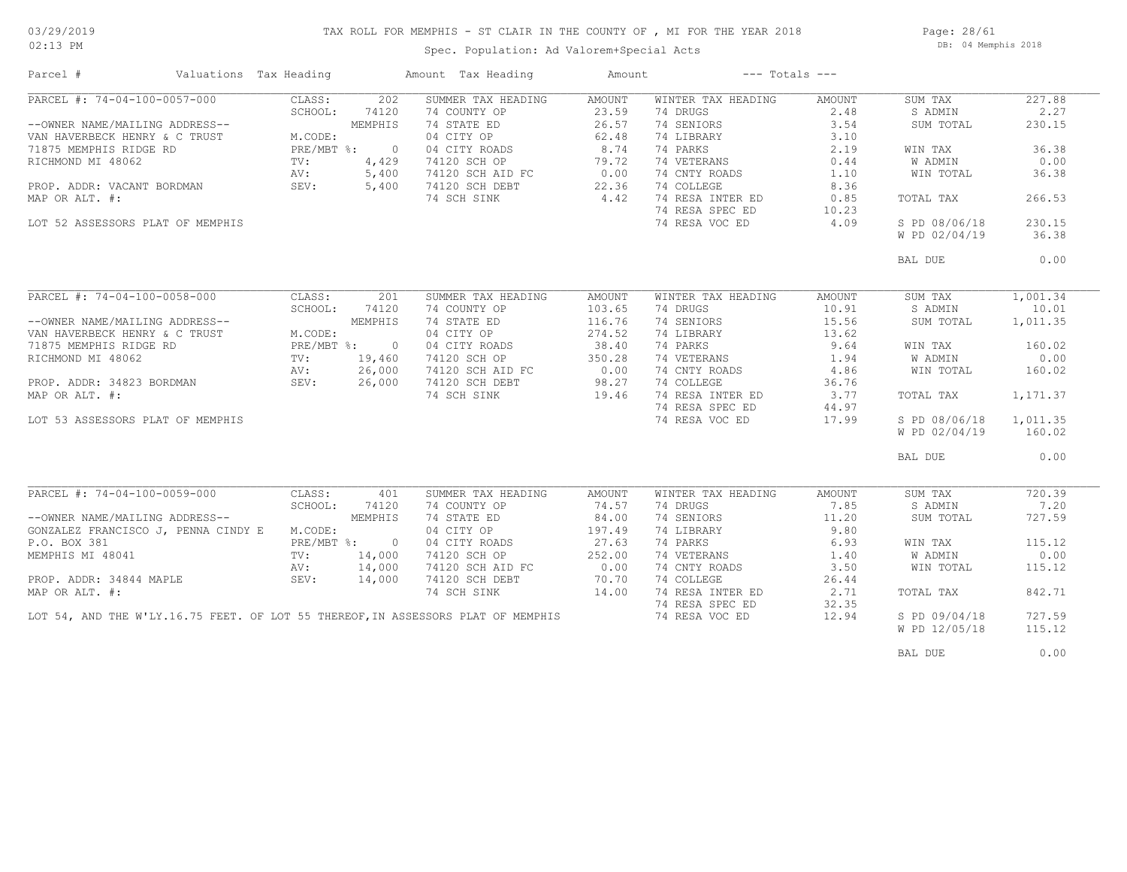### TAX ROLL FOR MEMPHIS - ST CLAIR IN THE COUNTY OF , MI FOR THE YEAR 2018

02:13 PM

### Spec. Population: Ad Valorem+Special Acts

Page: 28/61 DB: 04 Memphis 2018

| Parcel #                                                                         | Valuations Tax Heading |              | Amount Tax Heading                 | Amount                                                                 | $---$ Totals $---$ |        |                |          |
|----------------------------------------------------------------------------------|------------------------|--------------|------------------------------------|------------------------------------------------------------------------|--------------------|--------|----------------|----------|
| PARCEL #: 74-04-100-0057-000                                                     | CLASS:                 | 202          | SUMMER TAX HEADING                 | AMOUNT                                                                 | WINTER TAX HEADING | AMOUNT | SUM TAX        | 227.88   |
|                                                                                  | SCHOOL:                | 74120        | 74 COUNTY OP                       | 23.59                                                                  | 74 DRUGS           | 2.48   | S ADMIN        | 2.27     |
| --OWNER NAME/MAILING ADDRESS--                                                   |                        | MEMPHIS      | 74 STATE ED                        | 26.57                                                                  | 74 SENIORS         | 3.54   | SUM TOTAL      | 230.15   |
| VAN HAVERBECK HENRY & C TRUST                                                    | M.CODE:                |              | 04 CITY OP                         | 62.48                                                                  | 74 LIBRARY         | 3.10   |                |          |
| 71875 MEMPHIS RIDGE RD                                                           |                        | PRE/MBT %: 0 |                                    | 8.74                                                                   | 74 PARKS           | 2.19   | WIN TAX        | 36.38    |
| RICHMOND MI 48062                                                                | TV:                    | 4,429        | 04 CITY ROADS<br>74120 SCH OP      | 79.72                                                                  | 74 VETERANS        | 0.44   | <b>W ADMIN</b> | 0.00     |
|                                                                                  |                        |              |                                    |                                                                        |                    |        |                |          |
|                                                                                  | AV:                    | 5,400        | 74120 SCH AID FC<br>74120 SCH DEBT | 0.00                                                                   | 74 CNTY ROADS      | 1.10   | WIN TOTAL      | 36.38    |
| PROP. ADDR: VACANT BORDMAN                                                       | SEV:                   | 5,400        |                                    | 22.36                                                                  | 74 COLLEGE         | 8.36   |                |          |
| MAP OR ALT. #:                                                                   |                        |              | 74 SCH SINK                        | 4.42                                                                   | 74 RESA INTER ED   | 0.85   | TOTAL TAX      | 266.53   |
|                                                                                  |                        |              |                                    |                                                                        | 74 RESA SPEC ED    | 10.23  |                |          |
| LOT 52 ASSESSORS PLAT OF MEMPHIS                                                 |                        |              |                                    |                                                                        | 74 RESA VOC ED     | 4.09   | S PD 08/06/18  | 230.15   |
|                                                                                  |                        |              |                                    |                                                                        |                    |        | W PD 02/04/19  | 36.38    |
|                                                                                  |                        |              |                                    |                                                                        |                    |        | BAL DUE        | 0.00     |
|                                                                                  |                        |              |                                    |                                                                        |                    |        |                |          |
| PARCEL #: 74-04-100-0058-000                                                     | CLASS:                 | 201          | SUMMER TAX HEADING                 | AMOUNT                                                                 | WINTER TAX HEADING | AMOUNT | SUM TAX        | 1,001.34 |
|                                                                                  | SCHOOL:                | 74120        | 74 COUNTY OP                       | 103.65                                                                 | 74 DRUGS           | 10.91  | S ADMIN        | 10.01    |
| --OWNER NAME/MAILING ADDRESS--                                                   |                        | MEMPHIS      | 74 STATE ED                        | 116.76                                                                 | 74 SENIORS         | 15.56  | SUM TOTAL      | 1,011.35 |
| VAN HAVERBECK HENRY & C TRUST                                                    | M.CODE:                |              | 04 CITY OP                         | 274.52                                                                 | 74 LIBRARY         | 13.62  |                |          |
| 71875 MEMPHIS RIDGE RD                                                           |                        | PRE/MBT %: 0 | 04 CITY ROADS                      | 38.40                                                                  | 74 PARKS           | 9.64   | WIN TAX        | 160.02   |
| RICHMOND MI 48062                                                                | TV:                    | 19,460       | 74120 SCH OP                       | 350.28                                                                 | 74 VETERANS        | 1.94   | W ADMIN        | 0.00     |
|                                                                                  | AV:                    | 26,000       | 74120 SCH AID FC                   |                                                                        | 74 CNTY ROADS      | 4.86   | WIN TOTAL      | 160.02   |
| PROP. ADDR: 34823 BORDMAN SEV: 26,000                                            |                        |              | 74120 SCH DEBT                     | $\begin{bmatrix} 28 & 20 & 28 \\ 0 & 0 & 0 \\ 0 & 0 & 0 \end{bmatrix}$ | 74 COLLEGE         | 36.76  |                |          |
|                                                                                  |                        |              |                                    |                                                                        |                    |        |                |          |
| MAP OR ALT. #:                                                                   |                        |              | 74 SCH SINK                        | 19.46                                                                  | 74 RESA INTER ED   | 3.77   | TOTAL TAX      | 1,171.37 |
|                                                                                  |                        |              |                                    |                                                                        | 74 RESA SPEC ED    | 44.97  |                |          |
| LOT 53 ASSESSORS PLAT OF MEMPHIS                                                 |                        |              |                                    |                                                                        | 74 RESA VOC ED     | 17.99  | S PD 08/06/18  | 1,011.35 |
|                                                                                  |                        |              |                                    |                                                                        |                    |        | W PD 02/04/19  | 160.02   |
|                                                                                  |                        |              |                                    |                                                                        |                    |        | BAL DUE        | 0.00     |
|                                                                                  |                        |              |                                    |                                                                        |                    |        |                |          |
| PARCEL #: 74-04-100-0059-000                                                     | CLASS:                 | 401          | SUMMER TAX HEADING                 | AMOUNT                                                                 | WINTER TAX HEADING | AMOUNT | SUM TAX        | 720.39   |
|                                                                                  | SCHOOL:                | 74120        | 74 COUNTY OP                       | 74.57                                                                  | 74 DRUGS           | 7.85   | S ADMIN        | 7.20     |
| --OWNER NAME/MAILING ADDRESS--                                                   |                        | MEMPHIS      | 74 STATE ED                        | 84.00                                                                  | 74 SENIORS         | 11.20  | SUM TOTAL      | 727.59   |
| GONZALEZ FRANCISCO J, PENNA CINDY E M.CODE:                                      |                        |              | 04 CITY OP                         | 197.49                                                                 | 74 LIBRARY         | 9.80   |                |          |
| P.O. BOX 381                                                                     |                        | PRE/MBT %: 0 | 04 CITY ROADS                      | 27.63                                                                  | 74 PARKS           | 6.93   | WIN TAX        | 115.12   |
| MEMPHIS MI 48041                                                                 | $\text{TV}$ :          | 14,000       | 74120 SCH OP                       | 252.00                                                                 | 74 VETERANS        | 1.40   | W ADMIN        | 0.00     |
|                                                                                  | AV:                    | 14,000       | 74120 SCH AID FC                   | 0.00                                                                   | 74 CNTY ROADS      | 3.50   | WIN TOTAL      | 115.12   |
| PROP. ADDR: 34844 MAPLE                                                          | SEV:                   | 14,000       | 74120 SCH DEBT                     | 70.70                                                                  | 74 COLLEGE         | 26.44  |                |          |
| MAP OR ALT. #:                                                                   |                        |              | 74 SCH SINK                        | 14.00                                                                  | 74 RESA INTER ED   | 2.71   | TOTAL TAX      | 842.71   |
|                                                                                  |                        |              |                                    |                                                                        | 74 RESA SPEC ED    | 32.35  |                |          |
| LOT 54, AND THE W'LY.16.75 FEET. OF LOT 55 THEREOF, IN ASSESSORS PLAT OF MEMPHIS |                        |              |                                    |                                                                        |                    |        |                | 727.59   |
|                                                                                  |                        |              |                                    |                                                                        | 74 RESA VOC ED     | 12.94  | S PD 09/04/18  |          |
|                                                                                  |                        |              |                                    |                                                                        |                    |        | W PD 12/05/18  | 115.12   |
|                                                                                  |                        |              |                                    |                                                                        |                    |        | BAL DUE        | 0.00     |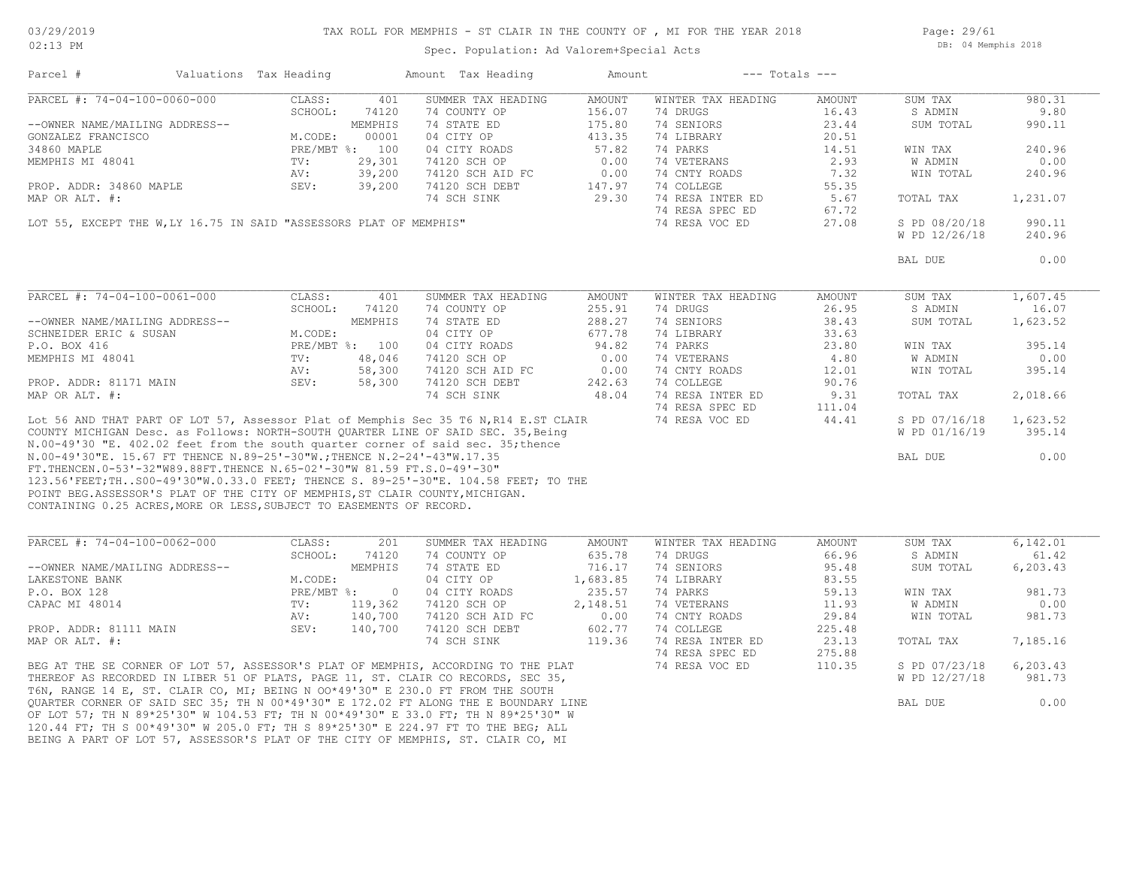Page: 29/61 DB: 04 Memphis 2018

Spec. Population: Ad Valorem+Special Acts

| Parcel #                                                                             | Valuations Tax Heading |                | Amount Tax Heading | Amount        |                    | $---$ Totals $---$ |                |          |
|--------------------------------------------------------------------------------------|------------------------|----------------|--------------------|---------------|--------------------|--------------------|----------------|----------|
| PARCEL #: 74-04-100-0060-000                                                         | CLASS:                 | 401            | SUMMER TAX HEADING | AMOUNT        | WINTER TAX HEADING | AMOUNT             | SUM TAX        | 980.31   |
|                                                                                      | SCHOOL:                | 74120          | 74 COUNTY OP       | 156.07        | 74 DRUGS           | 16.43              | S ADMIN        | 9.80     |
| --OWNER NAME/MAILING ADDRESS--                                                       |                        | MEMPHIS        | 74 STATE ED        | 175.80        | 74 SENIORS         | 23.44              | SUM TOTAL      | 990.11   |
| GONZALEZ FRANCISCO                                                                   | M.CODE:                | 00001          | 04 CITY OP         | 413.35        | 74 LIBRARY         | 20.51              |                |          |
| 34860 MAPLE                                                                          |                        | PRE/MBT %: 100 | 04 CITY ROADS      | 57.82         | 74 PARKS           | 14.51              | WIN TAX        | 240.96   |
| MEMPHIS MI 48041                                                                     | TV:                    | 29,301         | 74120 SCH OP       | 0.00          | 74 VETERANS        | 2.93               | W ADMIN        | 0.00     |
|                                                                                      | AV:                    | 39,200         | 74120 SCH AID FC   | 0.00          | 74 CNTY ROADS      | 7.32               | WIN TOTAL      | 240.96   |
| PROP. ADDR: 34860 MAPLE                                                              | SEV:                   | 39,200         | 74120 SCH DEBT     | 147.97        | 74 COLLEGE         | 55.35              |                |          |
| MAP OR ALT. #:                                                                       |                        |                | 74 SCH SINK        | 29.30         | 74 RESA INTER ED   | 5.67               | TOTAL TAX      | 1,231.07 |
|                                                                                      |                        |                |                    |               | 74 RESA SPEC ED    | 67.72              |                |          |
| LOT 55, EXCEPT THE W, LY 16.75 IN SAID "ASSESSORS PLAT OF MEMPHIS"                   |                        |                |                    |               | 74 RESA VOC ED     | 27.08              | S PD 08/20/18  | 990.11   |
|                                                                                      |                        |                |                    |               |                    |                    | W PD 12/26/18  | 240.96   |
|                                                                                      |                        |                |                    |               |                    |                    | BAL DUE        | 0.00     |
|                                                                                      |                        |                |                    |               |                    |                    |                |          |
| PARCEL #: 74-04-100-0061-000                                                         | CLASS:                 | 401            | SUMMER TAX HEADING | AMOUNT        | WINTER TAX HEADING | AMOUNT             | SUM TAX        | 1,607.45 |
|                                                                                      | SCHOOL:                | 74120          | 74 COUNTY OP       | 255.91        | 74 DRUGS           | 26.95              | S ADMIN        | 16.07    |
| --OWNER NAME/MAILING ADDRESS--                                                       |                        | MEMPHIS        | 74 STATE ED        | 288.27        | 74 SENIORS         | 38.43              | SUM TOTAL      | 1,623.52 |
|                                                                                      |                        |                |                    |               |                    |                    |                |          |
| SCHNEIDER ERIC & SUSAN                                                               | M.CODE:                |                | 04 CITY OP         | 677.78        | 74 LIBRARY         | 33.63              |                |          |
| P.O. BOX 416                                                                         |                        | PRE/MBT %: 100 | 04 CITY ROADS      | 94.82         | 74 PARKS           | 23.80              | WIN TAX        | 395.14   |
| MEMPHIS MI 48041                                                                     | TV:                    | 48,046         | 74120 SCH OP       | 0.00          | 74 VETERANS        | 4.80               | W ADMIN        | 0.00     |
|                                                                                      | AV:                    | 58,300         | 74120 SCH AID FC   | 0.00          | 74 CNTY ROADS      | 12.01              | WIN TOTAL      | 395.14   |
| PROP. ADDR: 81171 MAIN                                                               | SEV:                   | 58,300         | 74120 SCH DEBT     | 242.63        | 74 COLLEGE         | 90.76              |                |          |
| MAP OR ALT. #:                                                                       |                        |                | 74 SCH SINK        | 48.04         | 74 RESA INTER ED   | 9.31               | TOTAL TAX      | 2,018.66 |
|                                                                                      |                        |                |                    |               | 74 RESA SPEC ED    | 111.04             |                |          |
| Lot 56 AND THAT PART OF LOT 57, Assessor Plat of Memphis Sec 35 T6 N, R14 E.ST CLAIR |                        |                |                    |               | 74 RESA VOC ED     | 44.41              | S PD 07/16/18  | 1,623.52 |
| COUNTY MICHIGAN Desc. as Follows: NORTH-SOUTH QUARTER LINE OF SAID SEC. 35, Being    |                        |                |                    |               |                    |                    | W PD 01/16/19  | 395.14   |
| N.00-49'30 "E. 402.02 feet from the south quarter corner of said sec. 35; thence     |                        |                |                    |               |                    |                    |                |          |
| N.00-49'30"E. 15.67 FT THENCE N.89-25'-30"W.; THENCE N.2-24'-43"W.17.35              |                        |                |                    |               |                    |                    | BAL DUE        | 0.00     |
| FT. THENCEN. 0-53'-32"W89.88FT. THENCE N. 65-02'-30"W 81.59 FT. S. 0-49'-30"         |                        |                |                    |               |                    |                    |                |          |
| 123.56'FEET; THS00-49'30"W.0.33.0 FEET; THENCE S. 89-25'-30"E. 104.58 FEET; TO THE   |                        |                |                    |               |                    |                    |                |          |
| POINT BEG.ASSESSOR'S PLAT OF THE CITY OF MEMPHIS, ST CLAIR COUNTY, MICHIGAN.         |                        |                |                    |               |                    |                    |                |          |
| CONTAINING 0.25 ACRES, MORE OR LESS, SUBJECT TO EASEMENTS OF RECORD.                 |                        |                |                    |               |                    |                    |                |          |
|                                                                                      |                        |                |                    |               |                    |                    |                |          |
| PARCEL #: 74-04-100-0062-000                                                         | CLASS:                 | 201            | SUMMER TAX HEADING | <b>AMOUNT</b> | WINTER TAX HEADING | <b>AMOUNT</b>      | SUM TAX        | 6,142.01 |
|                                                                                      | SCHOOL:                | 74120          | 74 COUNTY OP       | 635.78        | 74 DRUGS           | 66.96              | S ADMIN        | 61.42    |
| --OWNER NAME/MAILING ADDRESS--                                                       |                        | MEMPHIS        | 74 STATE ED        | 716.17        | 74 SENIORS         | 95.48              | SUM TOTAL      | 6,203.43 |
| LAKESTONE BANK                                                                       | M.CODE:                |                | 04 CITY OP         | 1,683.85      | 74 LIBRARY         | 83.55              |                |          |
| P.O. BOX 128                                                                         | PRE/MBT %:             | $\overline{0}$ | 04 CITY ROADS      | 235.57        | 74 PARKS           | 59.13              | WIN TAX        | 981.73   |
| CAPAC MI 48014                                                                       | TV:                    | 119,362        | 74120 SCH OP       | 2,148.51      | 74 VETERANS        | 11.93              | <b>W ADMIN</b> | 0.00     |
|                                                                                      | AV:                    | 140,700        | 74120 SCH AID FC   | 0.00          | 74 CNTY ROADS      | 29.84              | WIN TOTAL      | 981.73   |
| PROP. ADDR: 81111 MAIN                                                               | SEV:                   | 140,700        | 74120 SCH DEBT     | 602.77        | 74 COLLEGE         | 225.48             |                |          |
| MAP OR ALT. #:                                                                       |                        |                | 74 SCH SINK        | 119.36        | 74 RESA INTER ED   | 23.13              | TOTAL TAX      | 7,185.16 |
|                                                                                      |                        |                |                    |               | 74 RESA SPEC ED    | 275.88             |                |          |
| BEG AT THE SE CORNER OF LOT 57, ASSESSOR'S PLAT OF MEMPHIS, ACCORDING TO THE PLAT    |                        |                |                    |               | 74 RESA VOC ED     | 110.35             | S PD 07/23/18  | 6,203.43 |
| THEREOF AS RECORDED IN LIBER 51 OF PLATS, PAGE 11, ST. CLAIR CO RECORDS, SEC 35,     |                        |                |                    |               |                    |                    | W PD 12/27/18  | 981.73   |
| T6N, RANGE 14 E, ST. CLAIR CO, MI; BEING N 00*49'30" E 230.0 FT FROM THE SOUTH       |                        |                |                    |               |                    |                    |                |          |
| QUARTER CORNER OF SAID SEC 35; TH N 00*49'30" E 172.02 FT ALONG THE E BOUNDARY LINE  |                        |                |                    |               |                    |                    |                | 0.00     |
|                                                                                      |                        |                |                    |               |                    |                    | BAL DUE        |          |
| OF LOT 57; TH N 89*25'30" W 104.53 FT; TH N 00*49'30" E 33.0 FT; TH N 89*25'30" W    |                        |                |                    |               |                    |                    |                |          |

BEING A PART OF LOT 57, ASSESSOR'S PLAT OF THE CITY OF MEMPHIS, ST. CLAIR CO, MI 120.44 FT; TH S 00\*49'30" W 205.0 FT; TH S 89\*25'30" E 224.97 FT TO THE BEG; ALL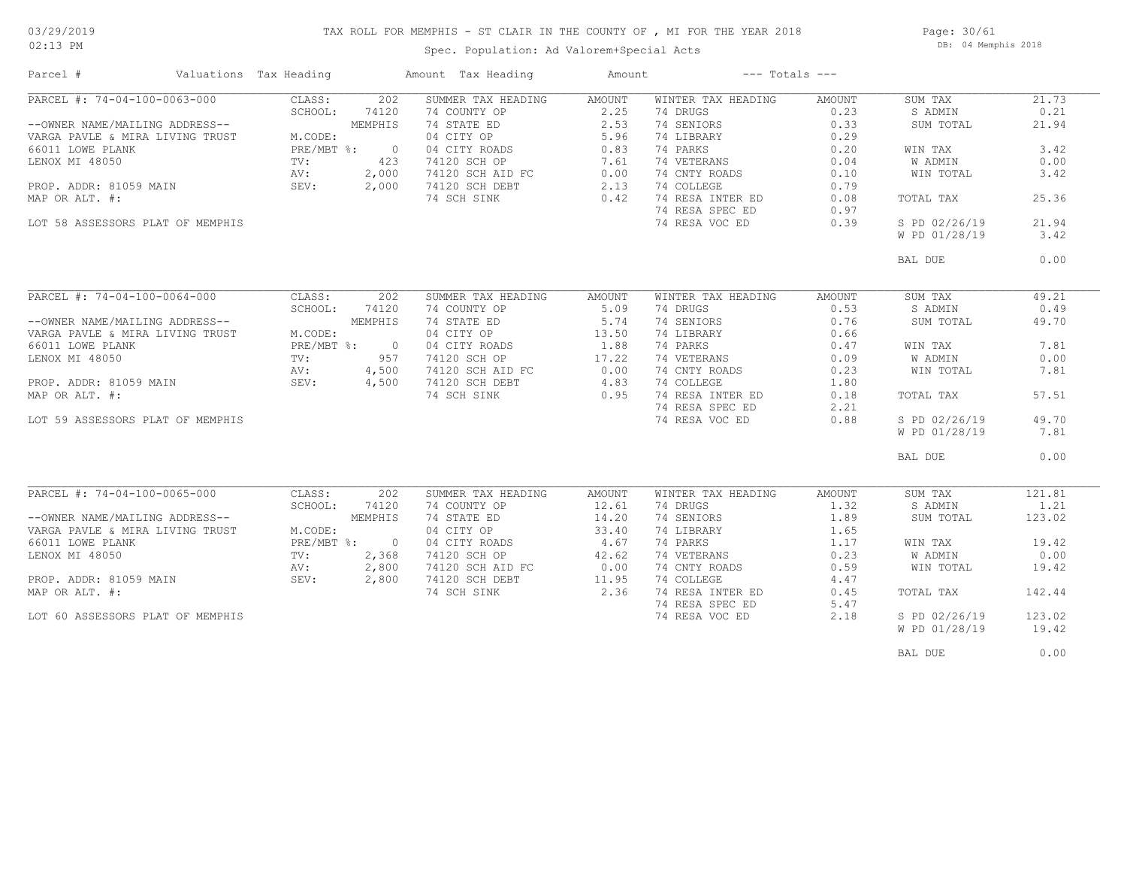### TAX ROLL FOR MEMPHIS - ST CLAIR IN THE COUNTY OF , MI FOR THE YEAR 2018

Page: 30/61 DB: 04 Memphis 2018

| Parcel #                                                                                                                                                                                                                | Valuations Tax Heading |                                                                                                                                          | Amount Tax Heading                                                                                                                                    | Amount                                                                      | $---$ Totals $---$                                                                                                                                                            |                                                                                        |                                                                                                                                     |                                                                                  |
|-------------------------------------------------------------------------------------------------------------------------------------------------------------------------------------------------------------------------|------------------------|------------------------------------------------------------------------------------------------------------------------------------------|-------------------------------------------------------------------------------------------------------------------------------------------------------|-----------------------------------------------------------------------------|-------------------------------------------------------------------------------------------------------------------------------------------------------------------------------|----------------------------------------------------------------------------------------|-------------------------------------------------------------------------------------------------------------------------------------|----------------------------------------------------------------------------------|
| PARCEL #: 74-04-100-0063-000<br>--OWNER NAME/MAILING ADDRESS--<br>VARGA PAVLE & MIRA LIVING TRUST<br>66011 LOWE PLANK<br>LENOX MI 48050<br>PROP. ADDR: 81059 MAIN<br>MAP OR ALT. #:<br>LOT 58 ASSESSORS PLAT OF MEMPHIS |                        | CLASS:<br>202<br>SCHOOL:<br>74120<br>MEMPHIS<br>M.CODE:<br>PRE/MBT %:<br>$\overline{0}$<br>423<br>TV:<br>AV:<br>2,000<br>SEV:<br>2,000   | SUMMER TAX HEADING<br>74 COUNTY OP<br>74 STATE ED<br>04 CITY OP<br>04 CITY ROADS<br>74120 SCH OP<br>74120 SCH AID FC<br>74120 SCH DEBT<br>74 SCH SINK | AMOUNT<br>2.25<br>2.53<br>5.96<br>0.83<br>7.61<br>0.00<br>2.13<br>0.42      | WINTER TAX HEADING<br>74 DRUGS<br>74 SENIORS<br>74 LIBRARY<br>74 PARKS<br>74 VETERANS<br>74 CNTY ROADS<br>74 COLLEGE<br>74 RESA INTER ED<br>74 RESA SPEC ED<br>74 RESA VOC ED | AMOUNT<br>0.23<br>0.33<br>0.29<br>0.20<br>0.04<br>0.10<br>0.79<br>0.08<br>0.97<br>0.39 | SUM TAX<br>S ADMIN<br>SUM TOTAL<br>WIN TAX<br><b>W ADMIN</b><br>WIN TOTAL<br>TOTAL TAX<br>S PD 02/26/19<br>W PD 01/28/19            | 21.73<br>0.21<br>21.94<br>3.42<br>0.00<br>3.42<br>25.36<br>21.94<br>3.42         |
|                                                                                                                                                                                                                         |                        |                                                                                                                                          |                                                                                                                                                       |                                                                             |                                                                                                                                                                               |                                                                                        | BAL DUE                                                                                                                             | 0.00                                                                             |
| PARCEL #: 74-04-100-0064-000<br>--OWNER NAME/MAILING ADDRESS--<br>VARGA PAVLE & MIRA LIVING TRUST<br>66011 LOWE PLANK<br>LENOX MI 48050<br>PROP. ADDR: 81059 MAIN<br>MAP OR ALT. #:<br>LOT 59 ASSESSORS PLAT OF MEMPHIS |                        | CLASS:<br>202<br>SCHOOL:<br>74120<br>MEMPHIS<br>M.CODE:<br>PRE/MBT %:<br>$\bigcirc$<br>957<br>TV:<br>AV:<br>4,500<br>SEV:<br>4,500       | SUMMER TAX HEADING<br>74 COUNTY OP<br>74 STATE ED<br>04 CITY OP<br>04 CITY ROADS<br>74120 SCH OP<br>74120 SCH AID FC<br>74120 SCH DEBT<br>74 SCH SINK | AMOUNT<br>5.09<br>5.74<br>13.50<br>1.88<br>17.22<br>0.00<br>4.83<br>0.95    | WINTER TAX HEADING<br>74 DRUGS<br>74 SENIORS<br>74 LIBRARY<br>74 PARKS<br>74 VETERANS<br>74 CNTY ROADS<br>74 COLLEGE<br>74 RESA INTER ED<br>74 RESA SPEC ED<br>74 RESA VOC ED | AMOUNT<br>0.53<br>0.76<br>0.66<br>0.47<br>0.09<br>0.23<br>1.80<br>0.18<br>2.21<br>0.88 | SUM TAX<br>S ADMIN<br>SUM TOTAL<br>WIN TAX<br><b>W ADMIN</b><br>WIN TOTAL<br>TOTAL TAX<br>S PD 02/26/19<br>W PD 01/28/19<br>BAL DUE | 49.21<br>0.49<br>49.70<br>7.81<br>0.00<br>7.81<br>57.51<br>49.70<br>7.81<br>0.00 |
| PARCEL #: 74-04-100-0065-000<br>--OWNER NAME/MAILING ADDRESS--<br>VARGA PAVLE & MIRA LIVING TRUST<br>66011 LOWE PLANK<br>LENOX MI 48050<br>PROP. ADDR: 81059 MAIN<br>MAP OR ALT. #:<br>LOT 60 ASSESSORS PLAT OF MEMPHIS |                        | CLASS:<br>202<br>SCHOOL:<br>74120<br>MEMPHIS<br>M.CODE:<br>PRE/MBT %:<br>$\overline{0}$<br>TV:<br>2,368<br>AV:<br>2,800<br>SEV:<br>2,800 | SUMMER TAX HEADING<br>74 COUNTY OP<br>74 STATE ED<br>04 CITY OP<br>04 CITY ROADS<br>74120 SCH OP<br>74120 SCH AID FC<br>74120 SCH DEBT<br>74 SCH SINK | AMOUNT<br>12.61<br>14.20<br>33.40<br>4.67<br>42.62<br>0.00<br>11.95<br>2.36 | WINTER TAX HEADING<br>74 DRUGS<br>74 SENIORS<br>74 LIBRARY<br>74 PARKS<br>74 VETERANS<br>74 CNTY ROADS<br>74 COLLEGE<br>74 RESA INTER ED<br>74 RESA SPEC ED<br>74 RESA VOC ED | AMOUNT<br>1.32<br>1.89<br>1.65<br>1.17<br>0.23<br>0.59<br>4.47<br>0.45<br>5.47<br>2.18 | SUM TAX<br>S ADMIN<br>SUM TOTAL<br>WIN TAX<br>W ADMIN<br>WIN TOTAL<br>TOTAL TAX<br>S PD 02/26/19<br>W PD 01/28/19                   | 121.81<br>1.21<br>123.02<br>19.42<br>0.00<br>19.42<br>142.44<br>123.02<br>19.42  |
|                                                                                                                                                                                                                         |                        |                                                                                                                                          |                                                                                                                                                       |                                                                             |                                                                                                                                                                               |                                                                                        | BAL DUE                                                                                                                             | 0.00                                                                             |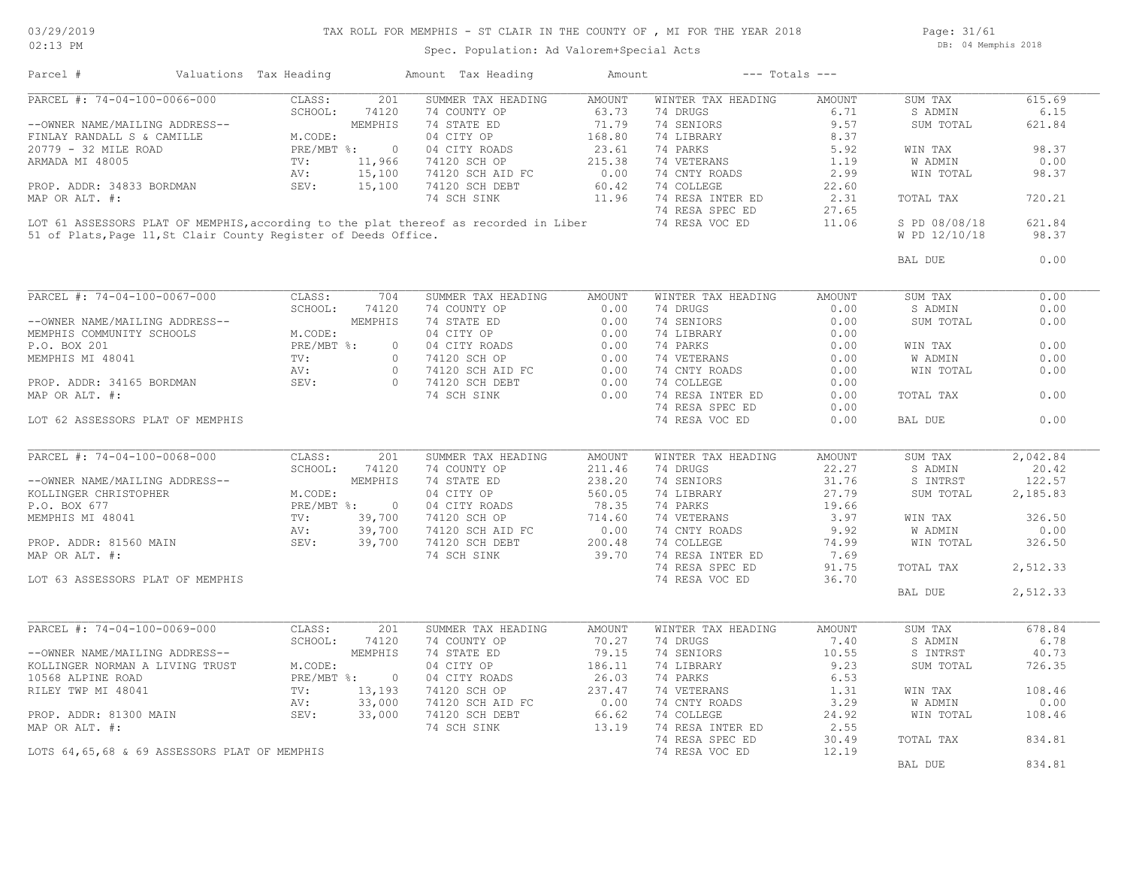## TAX ROLL FOR MEMPHIS - ST CLAIR IN THE COUNTY OF , MI FOR THE YEAR 2018

Page: 31/61 DB: 04 Memphis 2018

| Parcel #                         | Valuations Tax Heading                       |                                                                 | Amount Tax Heading                                                                   | Amount                       | $---$ Totals $---$ |        |                |          |
|----------------------------------|----------------------------------------------|-----------------------------------------------------------------|--------------------------------------------------------------------------------------|------------------------------|--------------------|--------|----------------|----------|
| PARCEL #: 74-04-100-0066-000     |                                              | CLASS:<br>201                                                   | SUMMER TAX HEADING                                                                   | AMOUNT                       | WINTER TAX HEADING | AMOUNT | SUM TAX        | 615.69   |
|                                  |                                              | SCHOOL:<br>74120                                                | 74 COUNTY OP                                                                         | 63.73                        | 74 DRUGS           | 6.71   | S ADMIN        | 6.15     |
| --OWNER NAME/MAILING ADDRESS--   |                                              | MEMPHIS                                                         | 74 STATE ED                                                                          | 71.79                        | 74 SENIORS         | 9.57   | SUM TOTAL      | 621.84   |
| FINLAY RANDALL S & CAMILLE       |                                              | M.CODE:                                                         | 04 CITY OP                                                                           | 168.80                       | 74 LIBRARY         | 8.37   |                |          |
| 20779 - 32 MILE ROAD             |                                              | PRE/MBT %:<br>$\overline{0}$                                    | 04 CITY ROADS                                                                        | 23.61<br>$rac{215.5}{60.42}$ | 74 PARKS           | 5.92   | WIN TAX        | 98.37    |
| ARMADA MI 48005                  |                                              | TV:<br>11,966                                                   | 74120 SCH OP                                                                         |                              | 74 VETERANS        | 1.19   | W ADMIN        | 0.00     |
|                                  |                                              | 15,100<br>AV:                                                   | 74120 SCH AID FC                                                                     |                              | 74 CNTY ROADS      | 2.99   | WIN TOTAL      | 98.37    |
| PROP. ADDR: 34833 BORDMAN        |                                              | SEV:<br>15,100                                                  | 74120 SCH DEBT                                                                       |                              | 74 COLLEGE         | 22.60  |                |          |
| MAP OR ALT. #:                   |                                              |                                                                 | 74 SCH SINK                                                                          | 11.96                        | 74 RESA INTER ED   | 2.31   | TOTAL TAX      | 720.21   |
|                                  |                                              |                                                                 |                                                                                      |                              | 74 RESA SPEC ED    | 27.65  |                |          |
|                                  |                                              |                                                                 | LOT 61 ASSESSORS PLAT OF MEMPHIS, according to the plat thereof as recorded in Liber |                              | 74 RESA VOC ED     | 11.06  | S PD 08/08/18  | 621.84   |
|                                  |                                              | 51 of Plats, Page 11, St Clair County Register of Deeds Office. |                                                                                      |                              |                    |        | W PD 12/10/18  | 98.37    |
|                                  |                                              |                                                                 |                                                                                      |                              |                    |        |                |          |
|                                  |                                              |                                                                 |                                                                                      |                              |                    |        | BAL DUE        | 0.00     |
| PARCEL #: 74-04-100-0067-000     |                                              | CLASS:<br>704                                                   | SUMMER TAX HEADING                                                                   | <b>AMOUNT</b>                | WINTER TAX HEADING | AMOUNT | SUM TAX        | 0.00     |
|                                  |                                              | SCHOOL:                                                         | 74 COUNTY OP                                                                         |                              | 74 DRUGS           |        | S ADMIN        | 0.00     |
|                                  |                                              | 74120                                                           |                                                                                      | 0.00                         |                    | 0.00   |                |          |
| --OWNER NAME/MAILING ADDRESS--   |                                              | MEMPHIS                                                         | 74 STATE ED                                                                          | 0.00                         | 74 SENIORS         | 0.00   | SUM TOTAL      | 0.00     |
| MEMPHIS COMMUNITY SCHOOLS        |                                              | M.CODE:                                                         | 04 CITY OP                                                                           | 0.00                         | 74 LIBRARY         | 0.00   |                |          |
| P.O. BOX 201                     |                                              | PRE/MBT %:                                                      | $\circ$<br>0.00<br>04 CITY ROADS<br>74120 SCH OP 0.00<br>74120 SCH AID FC 0.00       |                              | 74 PARKS           | 0.00   | WIN TAX        | 0.00     |
| MEMPHIS MI 48041                 |                                              | TV:                                                             | $\circ$                                                                              |                              | 74 VETERANS        | 0.00   | <b>W ADMIN</b> | 0.00     |
|                                  |                                              | AV:                                                             | $\overline{0}$                                                                       |                              | 74 CNTY ROADS      | 0.00   | WIN TOTAL      | 0.00     |
| PROP. ADDR: 34165 BORDMAN        |                                              | SEV:                                                            | $\overline{0}$<br>74120 SCH DEBT                                                     | 0.00                         | 74 COLLEGE         | 0.00   |                |          |
| MAP OR ALT. #:                   |                                              |                                                                 | 74 SCH SINK                                                                          | 0.00                         | 74 RESA INTER ED   | 0.00   | TOTAL TAX      | 0.00     |
|                                  |                                              |                                                                 |                                                                                      |                              | 74 RESA SPEC ED    | 0.00   |                |          |
| LOT 62 ASSESSORS PLAT OF MEMPHIS |                                              |                                                                 |                                                                                      |                              | 74 RESA VOC ED     | 0.00   | BAL DUE        | 0.00     |
|                                  |                                              |                                                                 |                                                                                      |                              |                    |        |                |          |
|                                  |                                              |                                                                 |                                                                                      |                              |                    |        |                |          |
| PARCEL #: 74-04-100-0068-000     |                                              | CLASS:<br>201                                                   | SUMMER TAX HEADING                                                                   | AMOUNT                       | WINTER TAX HEADING | AMOUNT | SUM TAX        | 2,042.84 |
|                                  |                                              | SCHOOL:<br>74120                                                | 74 COUNTY OP                                                                         | 211.46                       | 74 DRUGS           | 22.27  | S ADMIN        | 20.42    |
| --OWNER NAME/MAILING ADDRESS--   |                                              | MEMPHIS                                                         | 74 STATE ED                                                                          | 238.20                       | 74 SENIORS         | 31.76  | S INTRST       | 122.57   |
| KOLLINGER CHRISTOPHER            |                                              | M.CODE:                                                         | 04 CITY OP                                                                           | 560.05                       | 74 LIBRARY         | 27.79  | SUM TOTAL      | 2,185.83 |
| P.O. BOX 677                     |                                              | PRE/MBT %: 0                                                    | 04 CITY ROADS                                                                        | 78.35                        | 74 PARKS           | 19.66  |                |          |
| MEMPHIS MI 48041                 |                                              | 39,700<br>$\texttt{TV}$ :                                       | 74120 SCH OP                                                                         | 714.60                       | 74 VETERANS        | 3.97   | WIN TAX        | 326.50   |
|                                  |                                              | 39,700<br>AV:                                                   | 74120 SCH AID FC                                                                     | 0.00                         | 74 CNTY ROADS      | 9.92   | W ADMIN        | 0.00     |
| PROP. ADDR: 81560 MAIN           |                                              | SEV:<br>39,700                                                  | 74120 SCH DEBT                                                                       | 200.48                       | 74 COLLEGE         | 74.99  | WIN TOTAL      | 326.50   |
| MAP OR ALT. #:                   |                                              |                                                                 | 74 SCH SINK                                                                          | 39.70                        | 74 RESA INTER ED   | 7.69   |                |          |
|                                  |                                              |                                                                 |                                                                                      |                              | 74 RESA SPEC ED    | 91.75  | TOTAL TAX      | 2,512.33 |
| LOT 63 ASSESSORS PLAT OF MEMPHIS |                                              |                                                                 |                                                                                      |                              | 74 RESA VOC ED     | 36.70  |                |          |
|                                  |                                              |                                                                 |                                                                                      |                              |                    |        | BAL DUE        | 2,512.33 |
|                                  |                                              |                                                                 |                                                                                      |                              |                    |        |                |          |
| PARCEL #: 74-04-100-0069-000     |                                              | CLASS:<br>201                                                   | SUMMER TAX HEADING                                                                   | AMOUNT                       | WINTER TAX HEADING | AMOUNT | SUM TAX        | 678.84   |
|                                  |                                              | SCHOOL:<br>74120                                                | 74 COUNTY OP                                                                         | 70.27                        | 74 DRUGS           | 7.40   | S ADMIN        | 6.78     |
| --OWNER NAME/MAILING ADDRESS--   |                                              | MEMPHIS                                                         | 74 STATE ED                                                                          | 79.15                        | 74 SENIORS         | 10.55  | S INTRST       | 40.73    |
| KOLLINGER NORMAN A LIVING TRUST  |                                              | M.CODE:                                                         | 04 CITY OP                                                                           | 186.11                       | 74 LIBRARY         | 9.23   | SUM TOTAL      | 726.35   |
|                                  |                                              |                                                                 |                                                                                      |                              |                    |        |                |          |
| 10568 ALPINE ROAD                |                                              | $PRE/MBT$ %:<br>$\overline{0}$                                  | 04 CITY ROADS                                                                        | 26.03                        | 74 PARKS           | 6.53   |                |          |
| RILEY TWP MI 48041               |                                              | 13,193<br>TV:                                                   | 74120 SCH OP                                                                         | 237.47                       | 74 VETERANS        | 1.31   | WIN TAX        | 108.46   |
|                                  |                                              | 33,000<br>AV:                                                   | 74120 SCH AID FC                                                                     | 0.00                         | 74 CNTY ROADS      | 3.29   | W ADMIN        | 0.00     |
| PROP. ADDR: 81300 MAIN           |                                              | SEV:<br>33,000                                                  | 74120 SCH DEBT                                                                       | 66.62                        | 74 COLLEGE         | 24.92  | WIN TOTAL      | 108.46   |
| MAP OR ALT. #:                   |                                              |                                                                 | 74 SCH SINK                                                                          | 13.19                        | 74 RESA INTER ED   | 2.55   |                |          |
|                                  |                                              |                                                                 |                                                                                      |                              | 74 RESA SPEC ED    | 30.49  | TOTAL TAX      | 834.81   |
|                                  | LOTS 64,65,68 & 69 ASSESSORS PLAT OF MEMPHIS |                                                                 |                                                                                      |                              | 74 RESA VOC ED     | 12.19  |                |          |
|                                  |                                              |                                                                 |                                                                                      |                              |                    |        | BAL DUE        | 834.81   |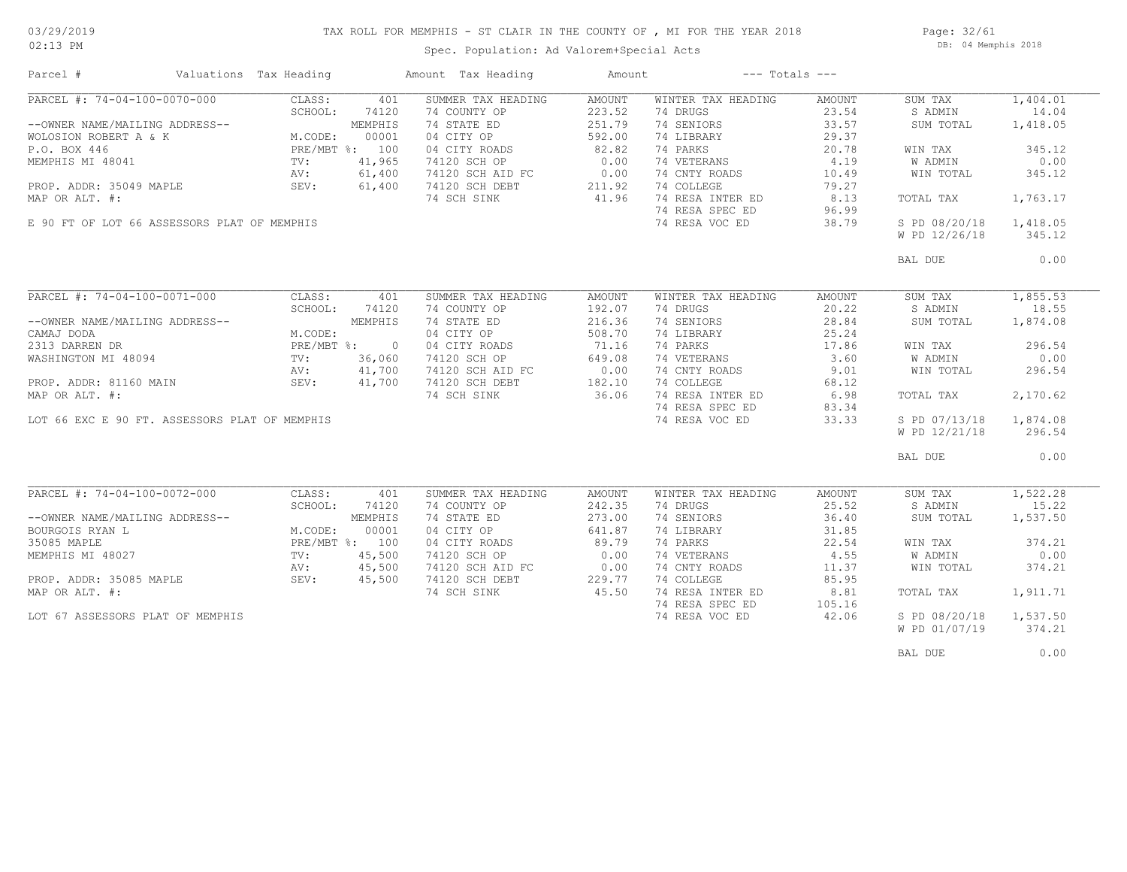### TAX ROLL FOR MEMPHIS - ST CLAIR IN THE COUNTY OF , MI FOR THE YEAR 2018

02:13 PM

### Spec. Population: Ad Valorem+Special Acts

Page: 32/61 DB: 04 Memphis 2018

| Parcel #                                      | Valuations Tax Heading |                | Amount Tax Heading | Amount        | $---$ Totals $---$ |        |                |          |
|-----------------------------------------------|------------------------|----------------|--------------------|---------------|--------------------|--------|----------------|----------|
| PARCEL #: 74-04-100-0070-000                  | CLASS:                 | 401            | SUMMER TAX HEADING | AMOUNT        | WINTER TAX HEADING | AMOUNT | SUM TAX        | 1,404.01 |
|                                               | SCHOOL:                | 74120          | 74 COUNTY OP       | 223.52        | 74 DRUGS           | 23.54  | S ADMIN        | 14.04    |
| --OWNER NAME/MAILING ADDRESS--                |                        | MEMPHIS        | 74 STATE ED        | 251.79        | 74 SENIORS         | 33.57  | SUM TOTAL      | 1,418.05 |
| WOLOSION ROBERT A & K                         | M.CODE:                | 00001          | 04 CITY OP         | 592.00        | 74 LIBRARY         | 29.37  |                |          |
| P.O. BOX 446                                  | PRE/MBT %: 100         |                | 04 CITY ROADS      | 82.82         | 74 PARKS           | 20.78  | WIN TAX        | 345.12   |
| MEMPHIS MI 48041                              | TV:                    | 41,965         | 74120 SCH OP       | 0.00          | 74 VETERANS        | 4.19   | W ADMIN        | 0.00     |
|                                               | AV:                    | 61,400         | 74120 SCH AID FC   | 0.00          | 74 CNTY ROADS      | 10.49  | WIN TOTAL      | 345.12   |
| PROP. ADDR: 35049 MAPLE                       | SEV:                   | 61,400         | 74120 SCH DEBT     | 211.92        | 74 COLLEGE         | 79.27  |                |          |
| MAP OR ALT. #:                                |                        |                | 74 SCH SINK        | 41.96         | 74 RESA INTER ED   | 8.13   | TOTAL TAX      | 1,763.17 |
|                                               |                        |                |                    |               | 74 RESA SPEC ED    | 96.99  |                |          |
| E 90 FT OF LOT 66 ASSESSORS PLAT OF MEMPHIS   |                        |                |                    |               | 74 RESA VOC ED     | 38.79  | S PD 08/20/18  | 1,418.05 |
|                                               |                        |                |                    |               |                    |        |                |          |
|                                               |                        |                |                    |               |                    |        | W PD 12/26/18  | 345.12   |
|                                               |                        |                |                    |               |                    |        | BAL DUE        | 0.00     |
|                                               |                        |                |                    |               |                    |        |                |          |
| PARCEL #: $74-04-100-0071-000$                | CLASS:                 | 401            | SUMMER TAX HEADING | <b>AMOUNT</b> | WINTER TAX HEADING | AMOUNT | SUM TAX        | 1,855.53 |
|                                               | SCHOOL:                | 74120          | 74 COUNTY OP       | 192.07        | 74 DRUGS           | 20.22  | S ADMIN        | 18.55    |
| --OWNER NAME/MAILING ADDRESS--                |                        | MEMPHIS        | 74 STATE ED        | 216.36        | 74 SENIORS         | 28.84  | SUM TOTAL      | 1,874.08 |
| CAMAJ DODA                                    |                        |                | 04 CITY OP         | 508.70        | 74 LIBRARY         | 25.24  |                |          |
|                                               | M.CODE:                |                |                    |               |                    |        |                |          |
| 2313 DARREN DR                                | PRE/MBT %:             | $\overline{0}$ | 04 CITY ROADS      | 71.16         | 74 PARKS           | 17.86  | WIN TAX        | 296.54   |
| WASHINGTON MI 48094                           | TV:                    | 36,060         | 74120 SCH OP       | 649.08        | 74 VETERANS        | 3.60   | W ADMIN        | 0.00     |
|                                               | AV:                    | 41,700         | 74120 SCH AID FC   | 0.00          | 74 CNTY ROADS      | 9.01   | WIN TOTAL      | 296.54   |
| PROP. ADDR: 81160 MAIN                        | SEV:                   | 41,700         | 74120 SCH DEBT     | 182.10        | 74 COLLEGE         | 68.12  |                |          |
| MAP OR ALT. #:                                |                        |                | 74 SCH SINK        | 36.06         | 74 RESA INTER ED   | 6.98   | TOTAL TAX      | 2,170.62 |
|                                               |                        |                |                    |               | 74 RESA SPEC ED    | 83.34  |                |          |
| LOT 66 EXC E 90 FT. ASSESSORS PLAT OF MEMPHIS |                        |                |                    |               | 74 RESA VOC ED     | 33.33  | S PD 07/13/18  | 1,874.08 |
|                                               |                        |                |                    |               |                    |        | W PD 12/21/18  | 296.54   |
|                                               |                        |                |                    |               |                    |        |                |          |
|                                               |                        |                |                    |               |                    |        | BAL DUE        | 0.00     |
|                                               |                        |                |                    |               |                    |        |                |          |
| PARCEL #: 74-04-100-0072-000                  | CLASS:                 | 401            | SUMMER TAX HEADING | <b>AMOUNT</b> | WINTER TAX HEADING | AMOUNT | SUM TAX        | 1,522.28 |
|                                               | SCHOOL:                | 74120          | 74 COUNTY OP       | 242.35        | 74 DRUGS           | 25.52  | S ADMIN        | 15.22    |
| --OWNER NAME/MAILING ADDRESS--                |                        | MEMPHIS        | 74 STATE ED        | 273.00        | 74 SENIORS         | 36.40  | SUM TOTAL      | 1,537.50 |
| BOURGOIS RYAN L                               | M.CODE:                | 00001          | 04 CITY OP         | 641.87        | 74 LIBRARY         | 31.85  |                |          |
| 35085 MAPLE                                   | PRE/MBT %: 100         |                | 04 CITY ROADS      | 89.79         | 74 PARKS           | 22.54  | WIN TAX        | 374.21   |
| MEMPHIS MI 48027                              | $\text{TV}$ :          | 45,500         | 74120 SCH OP       | 0.00          | 74 VETERANS        | 4.55   | <b>W ADMIN</b> | 0.00     |
|                                               | AV:                    | 45,500         | 74120 SCH AID FC   | 0.00          | 74 CNTY ROADS      | 11.37  | WIN TOTAL      | 374.21   |
| PROP. ADDR: 35085 MAPLE                       | SEV:                   | 45,500         | 74120 SCH DEBT     | 229.77        | 74 COLLEGE         | 85.95  |                |          |
| MAP OR ALT. #:                                |                        |                | 74 SCH SINK        | 45.50         | 74 RESA INTER ED   | 8.81   | TOTAL TAX      | 1,911.71 |
|                                               |                        |                |                    |               | 74 RESA SPEC ED    | 105.16 |                |          |
| LOT 67 ASSESSORS PLAT OF MEMPHIS              |                        |                |                    |               | 74 RESA VOC ED     | 42.06  | S PD 08/20/18  | 1,537.50 |
|                                               |                        |                |                    |               |                    |        | W PD 01/07/19  | 374.21   |
|                                               |                        |                |                    |               |                    |        |                |          |
|                                               |                        |                |                    |               |                    |        |                |          |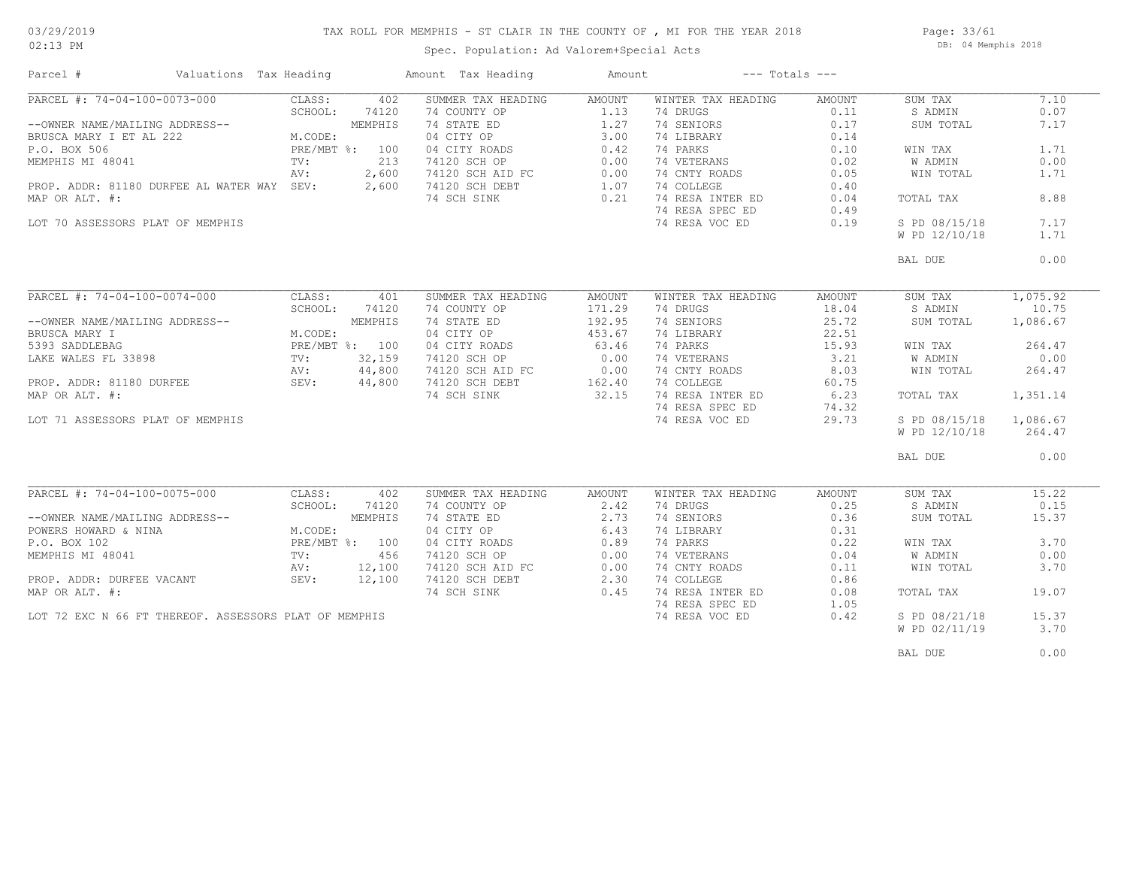## TAX ROLL FOR MEMPHIS - ST CLAIR IN THE COUNTY OF , MI FOR THE YEAR 2018

02:13 PM

### Spec. Population: Ad Valorem+Special Acts

Page: 33/61 DB: 04 Memphis 2018

| Parcel #                                                                                                                                                                            | Valuations Tax Heading                                                                                                         |                                                                                                                            | Amount Tax Heading                                                                                                                                                     | Amount                                                                                  | $---$ Totals $---$                                                                                                                                                            |                                                                                               |                                                                                                                              |                                                                                                     |
|-------------------------------------------------------------------------------------------------------------------------------------------------------------------------------------|--------------------------------------------------------------------------------------------------------------------------------|----------------------------------------------------------------------------------------------------------------------------|------------------------------------------------------------------------------------------------------------------------------------------------------------------------|-----------------------------------------------------------------------------------------|-------------------------------------------------------------------------------------------------------------------------------------------------------------------------------|-----------------------------------------------------------------------------------------------|------------------------------------------------------------------------------------------------------------------------------|-----------------------------------------------------------------------------------------------------|
| PARCEL #: 74-04-100-0073-000<br>--OWNER NAME/MAILING ADDRESS--<br>BRUSCA MARY I ET AL 222<br>P.O. BOX 506<br>MEMPHIS MI 48041<br>MAP OR ALT. #:<br>LOT 70 ASSESSORS PLAT OF MEMPHIS | PROP. ADDR: 81180 DURFEE AL WATER WAY SEV:                                                                                     | CLASS:<br>402<br>SCHOOL:<br>74120<br>MEMPHIS<br>M.CODE:<br>PRE/MBT %: 100<br>213<br>$\text{TV}$ :<br>2,600<br>AV:<br>2,600 | SUMMER TAX HEADING<br>74 COUNTY OP<br>74 STATE ED<br>04 CITY OP<br>04 CITY ROADS<br>74120 SCH OP<br>74120 SCH OP<br>74120 SCH AID FC<br>74120 SCH DEBT<br>74 SCH SINK  | AMOUNT<br>1.13<br>1.27<br>3.00<br>0.42<br>0.00<br>0.00<br>1.07<br>0.21                  | WINTER TAX HEADING<br>74 DRUGS<br>74 SENIORS<br>74 LIBRARY<br>74 PARKS<br>74 VETERANS<br>74 CNTY ROADS<br>74 COLLEGE<br>74 RESA INTER ED<br>74 RESA SPEC ED<br>74 RESA VOC ED | AMOUNT<br>0.11<br>0.17<br>0.14<br>0.10<br>0.02<br>0.05<br>0.40<br>0.04<br>0.49<br>0.19        | SUM TAX<br>S ADMIN<br>SUM TOTAL<br>WIN TAX<br>W ADMIN<br>WIN TOTAL<br>TOTAL TAX<br>S PD 08/15/18<br>W PD 12/10/18            | 7.10<br>0.07<br>7.17<br>1.71<br>0.00<br>1.71<br>8.88<br>7.17<br>1.71                                |
|                                                                                                                                                                                     |                                                                                                                                |                                                                                                                            |                                                                                                                                                                        |                                                                                         |                                                                                                                                                                               |                                                                                               | BAL DUE                                                                                                                      | 0.00                                                                                                |
| PARCEL #: 74-04-100-0074-000<br>--OWNER NAME/MAILING ADDRESS--<br>BRUSCA MARY I<br>5393 SADDLEBAG<br>MAP OR ALT. #:<br>LOT 71 ASSESSORS PLAT OF MEMPHIS                             | LAKE WALES FL 33898<br>PROP. ADDR: 81180 DURFEE (1999) SAPPLE (1999) AV: 44,800<br>PROP. ADDR: 81180 DURFEE (1999) SEV: 44,800 | CLASS:<br>401<br>SCHOOL:<br>74120<br>MEMPHIS<br>M.CODE:<br>PRE/MBT %: 100                                                  | SUMMER TAX HEADING<br>74 COUNTY OP<br>74 STATE ED<br>04 CITY OP<br>04 CITY ROADS<br>74120 SCH OP<br>74120 SCH AID FC<br>74120 SCH DEBT<br>74 SCH SINK                  | <b>AMOUNT</b><br>171.29<br>192.95<br>453.67<br>63.46<br>0.00<br>0.00<br>162.40<br>32.15 | WINTER TAX HEADING<br>74 DRUGS<br>74 SENIORS<br>74 LIBRARY<br>74 PARKS<br>74 VETERANS<br>74 CNTY ROADS<br>74 COLLEGE<br>74 RESA INTER ED<br>74 RESA SPEC ED<br>74 RESA VOC ED | AMOUNT<br>18.04<br>25.72<br>22.51<br>15.93<br>3.21<br>8.03<br>60.75<br>6.23<br>74.32<br>29.73 | SUM TAX<br>S ADMIN<br>SUM TOTAL<br>WIN TAX<br>W ADMIN<br>WIN TOTAL<br>TOTAL TAX<br>S PD 08/15/18<br>W PD 12/10/18<br>BAL DUE | 1,075.92<br>10.75<br>1,086.67<br>264.47<br>0.00<br>264.47<br>1,351.14<br>1,086.67<br>264.47<br>0.00 |
| PARCEL #: 74-04-100-0075-000<br>--OWNER NAME/MAILING ADDRESS--<br>POWERS HOWARD & NINA<br>P.O. BOX 102<br>MEMPHIS MI 48041<br>MAP OR ALT. #:                                        | PROP. ADDR: DURFEE VACANT SEV:<br>LOT 72 EXC N 66 FT THEREOF. ASSESSORS PLAT OF MEMPHIS                                        | CLASS:<br>402<br>SCHOOL:<br>74120<br>MEMPHIS<br>M.CODE:<br>PRE/MBT %: 100<br>TV:<br>456<br>AV:<br>12,100<br>12,100         | SUMMER TAX HEADING<br>74 COUNTY OP<br>74 STATE ED<br>04 CITY OP<br>04 CITY ROADS<br>74120 SCH OP<br>74120 SCH AID FC<br>74120 SCH DEBT<br>74.0011 SINIK<br>74 SCH SINK | AMOUNT<br>2.42<br>2.73<br>6.43<br>0.89<br>0.00<br>0.00<br>2.30<br>0.45                  | WINTER TAX HEADING<br>74 DRUGS<br>74 SENIORS<br>74 LIBRARY<br>74 PARKS<br>74 VETERANS<br>74 CNTY ROADS<br>74 COLLEGE<br>74 RESA INTER ED<br>74 RESA SPEC ED<br>74 RESA VOC ED | AMOUNT<br>0.25<br>0.36<br>0.31<br>0.22<br>0.04<br>0.11<br>0.86<br>0.08<br>1.05<br>0.42        | SUM TAX<br>S ADMIN<br>SUM TOTAL<br>WIN TAX<br>W ADMIN<br>WIN TOTAL<br>TOTAL TAX<br>S PD 08/21/18<br>W PD 02/11/19            | 15.22<br>0.15<br>15.37<br>3.70<br>0.00<br>3.70<br>19.07<br>15.37<br>3.70                            |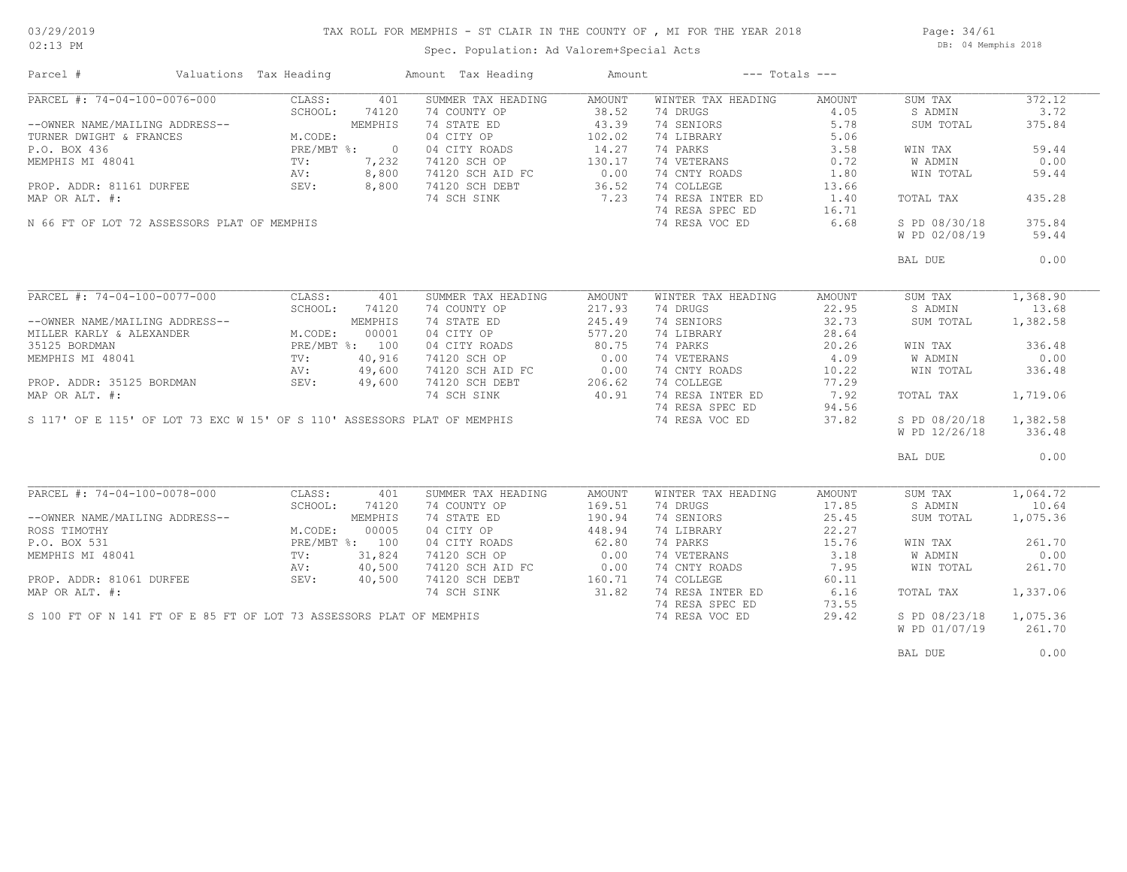### TAX ROLL FOR MEMPHIS - ST CLAIR IN THE COUNTY OF , MI FOR THE YEAR 2018

02:13 PM

### Spec. Population: Ad Valorem+Special Acts

Page: 34/61 DB: 04 Memphis 2018

| Parcel #                                                      | Valuations Tax Heading |         | Amount Tax Heading                                                       | Amount |                    | $---$ Totals $---$ |               |          |
|---------------------------------------------------------------|------------------------|---------|--------------------------------------------------------------------------|--------|--------------------|--------------------|---------------|----------|
| PARCEL #: 74-04-100-0076-000                                  | CLASS:                 | 401     | SUMMER TAX HEADING                                                       | AMOUNT | WINTER TAX HEADING | AMOUNT             | SUM TAX       | 372.12   |
|                                                               | SCHOOL:                | 74120   | 74 COUNTY OP                                                             | 38.52  | 74 DRUGS           | 4.05               | S ADMIN       | 3.72     |
| --OWNER NAME/MAILING ADDRESS--                                |                        | MEMPHIS | 74 STATE ED                                                              | 43.39  | 74 SENIORS         | 5.78               | SUM TOTAL     | 375.84   |
| TURNER DWIGHT & FRANCES                                       | M.CODE:                |         | 04 CITY OP                                                               | 102.02 | 74 LIBRARY         | 5.06               |               |          |
| P.O. BOX 436                                                  | PRE/MBT %: 0           |         | 04 CITY ROADS                                                            | 14.27  | 74 PARKS           | 3.58               | WIN TAX       | 59.44    |
| MEMPHIS MI 48041                                              | PRE/M<br>TV:           | 7,232   | 74120 SCH OP                                                             | 130.17 | 74 VETERANS        | 0.72               | W ADMIN       | 0.00     |
|                                                               | AV:                    | 8,800   |                                                                          |        | 74 CNTY ROADS      | 1.80               | WIN TOTAL     | 59.44    |
| PROP. ADDR: 81161 DURFEE                                      | SEV:                   | 8,800   | 74120 SCH AID FC 0.00<br>74120 SCH DEBT 36.52<br>74120 SCH DEBT          | 36.52  | 74 COLLEGE         | 13.66              |               |          |
| MAP OR ALT. #:                                                |                        |         | 74 SCH SINK                                                              | 7.23   | 74 RESA INTER ED   | 1.40               | TOTAL TAX     | 435.28   |
|                                                               |                        |         |                                                                          |        | 74 RESA SPEC ED    | 16.71              |               |          |
|                                                               |                        |         |                                                                          |        |                    |                    |               | 375.84   |
| N 66 FT OF LOT 72 ASSESSORS PLAT OF MEMPHIS                   |                        |         |                                                                          |        | 74 RESA VOC ED     | 6.68               | S PD 08/30/18 |          |
|                                                               |                        |         |                                                                          |        |                    |                    | W PD 02/08/19 | 59.44    |
|                                                               |                        |         |                                                                          |        |                    |                    | BAL DUE       | 0.00     |
|                                                               |                        |         |                                                                          |        |                    |                    |               |          |
| PARCEL #: 74-04-100-0077-000                                  | CLASS:                 | 401     | SUMMER TAX HEADING                                                       | AMOUNT | WINTER TAX HEADING | AMOUNT             | SUM TAX       | 1,368.90 |
|                                                               | SCHOOL:                | 74120   | 74 COUNTY OP                                                             | 217.93 | 74 DRUGS           | 22.95              | S ADMIN       | 13.68    |
| --OWNER NAME/MAILING ADDRESS--                                |                        | MEMPHIS | 74 STATE ED                                                              | 245.49 | 74 SENIORS         | 32.73              | SUM TOTAL     | 1,382.58 |
| MILLER KARLY & ALEXANDER                                      | M.CODE:                | 00001   | 04 CITY OP                                                               | 577.20 | 74 LIBRARY         | 28.64              |               |          |
| 35125 BORDMAN                                                 | PRE/MBT %: 100         |         | 04 CITY ROADS                                                            | 80.75  | 74 PARKS           | 20.26              | WIN TAX       | 336.48   |
| MEMPHIS MI 48041                                              | TV:                    | 40,916  | 74120 SCH OP                                                             | 0.00   | 74 VETERANS        | 4.09               | W ADMIN       | 0.00     |
| PROP. ADDR: 35125 BORDMAN AV: 49,600<br>MAP OR ALT. #: 49,600 |                        |         |                                                                          |        | 74 CNTY ROADS      | 10.22              | WIN TOTAL     | 336.48   |
|                                                               |                        |         | 74120 SCH AID FC 0.00<br>74120 SCH DEBT 206.62                           |        | 74 COLLEGE         | 77.29              |               |          |
|                                                               |                        |         | 74 SCH SINK                                                              | 40.91  | 74 RESA INTER ED   | 7.92               | TOTAL TAX     | 1,719.06 |
|                                                               |                        |         |                                                                          |        | 74 RESA SPEC ED    |                    |               |          |
|                                                               |                        |         | S 117' OF E 115' OF LOT 73 EXC W 15' OF S 110' ASSESSORS PLAT OF MEMPHIS |        |                    | 94.56              |               |          |
|                                                               |                        |         |                                                                          |        | 74 RESA VOC ED     | 37.82              | S PD 08/20/18 | 1,382.58 |
|                                                               |                        |         |                                                                          |        |                    |                    | W PD 12/26/18 | 336.48   |
|                                                               |                        |         |                                                                          |        |                    |                    | BAL DUE       | 0.00     |
|                                                               |                        |         |                                                                          |        |                    |                    |               |          |
| PARCEL #: 74-04-100-0078-000                                  | CLASS:                 | 401     | SUMMER TAX HEADING                                                       | AMOUNT | WINTER TAX HEADING | AMOUNT             | SUM TAX       | 1,064.72 |
|                                                               | SCHOOL:                | 74120   | 74 COUNTY OP                                                             | 169.51 | 74 DRUGS           | 17.85              | S ADMIN       | 10.64    |
| --OWNER NAME/MAILING ADDRESS--                                |                        | MEMPHIS | 74 STATE ED                                                              | 190.94 | 74 SENIORS         | 25.45              | SUM TOTAL     | 1,075.36 |
| ROSS TIMOTHY                                                  | M.CODE:                | 00005   | 04 CITY OP                                                               | 448.94 | 74 LIBRARY         | 22.27              |               |          |
| P.O. BOX 531                                                  | PRE/MBT %: 100         |         | 04 CITY ROADS                                                            | 62.80  | 74 PARKS           | 15.76              | WIN TAX       | 261.70   |
| MEMPHIS MI 48041                                              | $\texttt{TV}$ :        | 31,824  | 74120 SCH OP                                                             | 0.00   | 74 VETERANS        | 3.18               | W ADMIN       | 0.00     |
|                                                               | AV:                    | 40,500  | 74120 SCH AID FC                                                         | 0.00   | 74 CNTY ROADS      | 7.95               | WIN TOTAL     | 261.70   |
| PROP. ADDR: 81061 DURFEE                                      | SEV:                   | 40,500  | 74120 SCH DEBT                                                           | 160.71 | 74 COLLEGE         | 60.11              |               |          |
| MAP OR ALT. #:                                                |                        |         | 74 SCH SINK                                                              | 31.82  | 74 RESA INTER ED   | 6.16               | TOTAL TAX     | 1,337.06 |
|                                                               |                        |         |                                                                          |        | 74 RESA SPEC ED    | 73.55              |               |          |
|                                                               |                        |         | S 100 FT OF N 141 FT OF E 85 FT OF LOT 73 ASSESSORS PLAT OF MEMPHIS      |        | 74 RESA VOC ED     | 29.42              | S PD 08/23/18 | 1,075.36 |
|                                                               |                        |         |                                                                          |        |                    |                    | W PD 01/07/19 | 261.70   |
|                                                               |                        |         |                                                                          |        |                    |                    |               |          |
|                                                               |                        |         |                                                                          |        |                    |                    | BAL DUE       | 0.00     |
|                                                               |                        |         |                                                                          |        |                    |                    |               |          |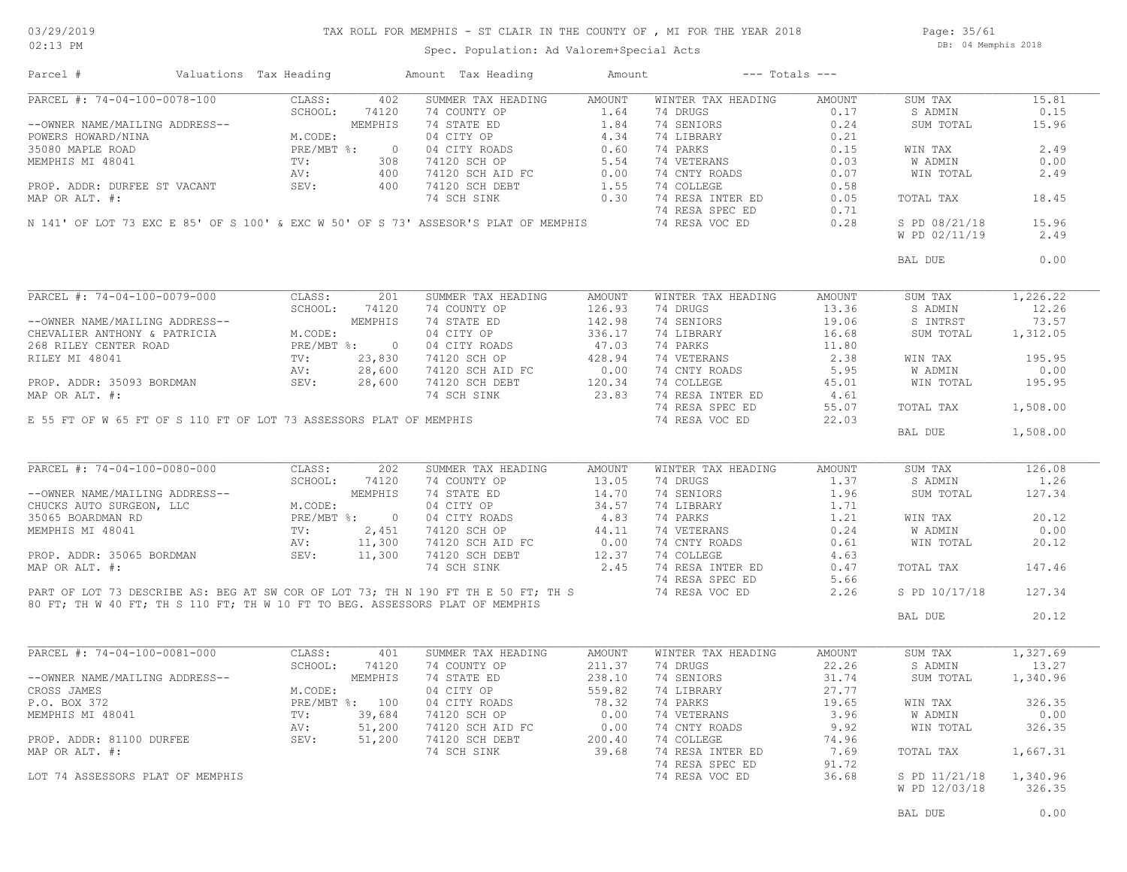### TAX ROLL FOR MEMPHIS - ST CLAIR IN THE COUNTY OF , MI FOR THE YEAR 2018

Page: 35/61 DB: 04 Memphis 2018

Spec. Population: Ad Valorem+Special Acts

|                              |                                  | Valuations Tax Heading |            | Amount Tax Heading                                                                                                                                                                                                                                                                                                                                                                                                                                | Amount | $---$ Totals $---$                                                                                                                                                                                                                                                                                                                                                                                                                |               |                    |          |
|------------------------------|----------------------------------|------------------------|------------|---------------------------------------------------------------------------------------------------------------------------------------------------------------------------------------------------------------------------------------------------------------------------------------------------------------------------------------------------------------------------------------------------------------------------------------------------|--------|-----------------------------------------------------------------------------------------------------------------------------------------------------------------------------------------------------------------------------------------------------------------------------------------------------------------------------------------------------------------------------------------------------------------------------------|---------------|--------------------|----------|
|                              | PARCEL #: 74-04-100-0078-100     | CLASS:                 | 402        | SUMMER TAX HEADING                                                                                                                                                                                                                                                                                                                                                                                                                                | AMOUNT | WINTER TAX HEADING                                                                                                                                                                                                                                                                                                                                                                                                                | <b>AMOUNT</b> | SUM TAX            | 15.81    |
|                              |                                  | SCHOOL:                | 74120      | 74 COUNTY OP                                                                                                                                                                                                                                                                                                                                                                                                                                      | 1.64   | 74 DRUGS                                                                                                                                                                                                                                                                                                                                                                                                                          |               | S ADMIN            | 0.15     |
|                              |                                  |                        |            |                                                                                                                                                                                                                                                                                                                                                                                                                                                   |        | $\begin{array}{c} 0.17 \\ 0.24 \end{array}$                                                                                                                                                                                                                                                                                                                                                                                       |               | SUM TOTAL          | 15.96    |
|                              |                                  |                        |            |                                                                                                                                                                                                                                                                                                                                                                                                                                                   |        |                                                                                                                                                                                                                                                                                                                                                                                                                                   |               |                    |          |
|                              |                                  |                        |            |                                                                                                                                                                                                                                                                                                                                                                                                                                                   |        |                                                                                                                                                                                                                                                                                                                                                                                                                                   |               | WIN TAX            | 2.49     |
|                              |                                  |                        |            |                                                                                                                                                                                                                                                                                                                                                                                                                                                   |        |                                                                                                                                                                                                                                                                                                                                                                                                                                   |               | W ADMIN            | 0.00     |
|                              |                                  |                        |            |                                                                                                                                                                                                                                                                                                                                                                                                                                                   |        |                                                                                                                                                                                                                                                                                                                                                                                                                                   |               | WIN TOTAL          | 2.49     |
|                              |                                  |                        |            |                                                                                                                                                                                                                                                                                                                                                                                                                                                   |        |                                                                                                                                                                                                                                                                                                                                                                                                                                   |               |                    |          |
|                              |                                  |                        |            |                                                                                                                                                                                                                                                                                                                                                                                                                                                   |        |                                                                                                                                                                                                                                                                                                                                                                                                                                   |               | TOTAL TAX          | 18.45    |
|                              |                                  |                        |            |                                                                                                                                                                                                                                                                                                                                                                                                                                                   |        |                                                                                                                                                                                                                                                                                                                                                                                                                                   |               |                    |          |
|                              |                                  |                        |            |                                                                                                                                                                                                                                                                                                                                                                                                                                                   |        | 74 RESA VOC ED 0.28                                                                                                                                                                                                                                                                                                                                                                                                               |               | S PD 08/21/18      | 15.96    |
|                              |                                  |                        |            |                                                                                                                                                                                                                                                                                                                                                                                                                                                   |        |                                                                                                                                                                                                                                                                                                                                                                                                                                   |               | W PD 02/11/19      | 2.49     |
|                              |                                  |                        |            |                                                                                                                                                                                                                                                                                                                                                                                                                                                   |        |                                                                                                                                                                                                                                                                                                                                                                                                                                   |               |                    |          |
|                              |                                  |                        |            |                                                                                                                                                                                                                                                                                                                                                                                                                                                   |        |                                                                                                                                                                                                                                                                                                                                                                                                                                   |               | BAL DUE            | 0.00     |
|                              |                                  |                        |            | $\begin{tabular}{l c c c c c c} \hline \texttt{PARCH} & \texttt{if: } 74-04-100-0079-000 & \texttt{CLASS:} & 201 & \texttt{SUMMER TAX HEADING} & \texttt{AMOUNT} & \texttt{min} & \texttt{min} & \texttt{min} & \texttt{min} & \texttt{min} & \texttt{min} & \texttt{min} & \texttt{min} & \texttt{min} & \texttt{min} & \texttt{min} & \texttt{min} & \texttt{min} & \texttt{min} & \texttt{min} & \texttt{min} & \texttt{min} & \texttt{min} &$ |        |                                                                                                                                                                                                                                                                                                                                                                                                                                   |               |                    |          |
|                              |                                  |                        |            |                                                                                                                                                                                                                                                                                                                                                                                                                                                   |        |                                                                                                                                                                                                                                                                                                                                                                                                                                   |               | SUM TAX            | 1,226.22 |
|                              |                                  |                        |            |                                                                                                                                                                                                                                                                                                                                                                                                                                                   |        |                                                                                                                                                                                                                                                                                                                                                                                                                                   |               | S ADMIN            | 12.26    |
|                              |                                  |                        |            |                                                                                                                                                                                                                                                                                                                                                                                                                                                   |        |                                                                                                                                                                                                                                                                                                                                                                                                                                   |               | S INTRST           | 73.57    |
|                              |                                  |                        |            |                                                                                                                                                                                                                                                                                                                                                                                                                                                   |        |                                                                                                                                                                                                                                                                                                                                                                                                                                   |               | SUM TOTAL          | 1,312.05 |
|                              |                                  |                        |            |                                                                                                                                                                                                                                                                                                                                                                                                                                                   |        |                                                                                                                                                                                                                                                                                                                                                                                                                                   |               |                    |          |
|                              |                                  |                        |            |                                                                                                                                                                                                                                                                                                                                                                                                                                                   |        |                                                                                                                                                                                                                                                                                                                                                                                                                                   |               | WIN TAX            | 195.95   |
|                              |                                  |                        |            |                                                                                                                                                                                                                                                                                                                                                                                                                                                   |        |                                                                                                                                                                                                                                                                                                                                                                                                                                   |               | W ADMIN            | 0.00     |
|                              |                                  |                        |            |                                                                                                                                                                                                                                                                                                                                                                                                                                                   |        |                                                                                                                                                                                                                                                                                                                                                                                                                                   |               | WIN TOTAL          | 195.95   |
|                              |                                  |                        |            |                                                                                                                                                                                                                                                                                                                                                                                                                                                   |        |                                                                                                                                                                                                                                                                                                                                                                                                                                   |               |                    |          |
|                              |                                  |                        |            |                                                                                                                                                                                                                                                                                                                                                                                                                                                   |        |                                                                                                                                                                                                                                                                                                                                                                                                                                   |               | TOTAL TAX          | 1,508.00 |
|                              |                                  |                        |            | E 55 FT OF W 65 FT OF S 110 FT OF LOT 73 ASSESSORS PLAT OF MEMPHIS                                                                                                                                                                                                                                                                                                                                                                                |        |                                                                                                                                                                                                                                                                                                                                                                                                                                   |               |                    |          |
|                              |                                  |                        |            |                                                                                                                                                                                                                                                                                                                                                                                                                                                   |        |                                                                                                                                                                                                                                                                                                                                                                                                                                   |               | BAL DUE            | 1,508.00 |
|                              |                                  |                        |            |                                                                                                                                                                                                                                                                                                                                                                                                                                                   |        |                                                                                                                                                                                                                                                                                                                                                                                                                                   |               |                    |          |
|                              | PARCEL #: 74-04-100-0080-000     |                        | CLASS: 202 | SUMMER TAX HEADING                                                                                                                                                                                                                                                                                                                                                                                                                                | AMOUNT | WINTER TAX HEADING                                                                                                                                                                                                                                                                                                                                                                                                                | AMOUNT        | SUM TAX            | 126.08   |
|                              |                                  |                        |            |                                                                                                                                                                                                                                                                                                                                                                                                                                                   |        |                                                                                                                                                                                                                                                                                                                                                                                                                                   |               | S ADMIN            | 1.26     |
|                              |                                  |                        |            |                                                                                                                                                                                                                                                                                                                                                                                                                                                   |        |                                                                                                                                                                                                                                                                                                                                                                                                                                   |               | SUM TOTAL          | 127.34   |
|                              |                                  |                        |            |                                                                                                                                                                                                                                                                                                                                                                                                                                                   |        |                                                                                                                                                                                                                                                                                                                                                                                                                                   |               |                    |          |
|                              |                                  |                        |            |                                                                                                                                                                                                                                                                                                                                                                                                                                                   |        |                                                                                                                                                                                                                                                                                                                                                                                                                                   |               | WIN TAX            | 20.12    |
|                              |                                  |                        |            |                                                                                                                                                                                                                                                                                                                                                                                                                                                   |        |                                                                                                                                                                                                                                                                                                                                                                                                                                   |               |                    |          |
|                              |                                  |                        |            |                                                                                                                                                                                                                                                                                                                                                                                                                                                   |        |                                                                                                                                                                                                                                                                                                                                                                                                                                   |               | <b>W ADMIN</b>     | 0.00     |
|                              |                                  |                        |            |                                                                                                                                                                                                                                                                                                                                                                                                                                                   |        |                                                                                                                                                                                                                                                                                                                                                                                                                                   |               | WIN TOTAL          | 20.12    |
|                              |                                  |                        |            |                                                                                                                                                                                                                                                                                                                                                                                                                                                   |        |                                                                                                                                                                                                                                                                                                                                                                                                                                   |               |                    |          |
|                              |                                  |                        |            |                                                                                                                                                                                                                                                                                                                                                                                                                                                   |        |                                                                                                                                                                                                                                                                                                                                                                                                                                   |               |                    |          |
|                              |                                  |                        |            |                                                                                                                                                                                                                                                                                                                                                                                                                                                   |        |                                                                                                                                                                                                                                                                                                                                                                                                                                   |               | TOTAL TAX          | 147.46   |
|                              |                                  |                        |            |                                                                                                                                                                                                                                                                                                                                                                                                                                                   |        |                                                                                                                                                                                                                                                                                                                                                                                                                                   |               | S PD 10/17/18      | 127.34   |
|                              |                                  |                        |            | PARCEL #: 74-04-100-0080-000 CLASS: 202 SUMMER TAX HEADING AMOUNTY OF WINTER TAX HEADING AMOUNT<br>--OWNER NAME/MAILING ADDRESS--<br>CHUCKS AUTO SURGEON, LLC M.CODE: 04 CITY OP 34.57 74 LIBRARY 1.71<br>CHUCKS ADRESS -- MEMPHIS<br>80 FT; TH W 40 FT; TH S 110 FT; TH W 10 FT TO BEG. ASSESSORS PLAT OF MEMPHIS                                                                                                                                |        |                                                                                                                                                                                                                                                                                                                                                                                                                                   |               | BAL DUE            | 20.12    |
|                              |                                  |                        |            |                                                                                                                                                                                                                                                                                                                                                                                                                                                   |        |                                                                                                                                                                                                                                                                                                                                                                                                                                   |               |                    |          |
|                              |                                  | CLASS:                 | 401        | SUMMER TAX HEADING                                                                                                                                                                                                                                                                                                                                                                                                                                | AMOUNT | WINTER TAX HEADING                                                                                                                                                                                                                                                                                                                                                                                                                | AMOUNT        | SUM TAX            | 1,327.69 |
|                              |                                  |                        |            |                                                                                                                                                                                                                                                                                                                                                                                                                                                   |        | 74 DRUGS 22.26                                                                                                                                                                                                                                                                                                                                                                                                                    |               | S ADMIN            | 13.27    |
|                              |                                  |                        |            |                                                                                                                                                                                                                                                                                                                                                                                                                                                   |        | 74 SENIORS                                                                                                                                                                                                                                                                                                                                                                                                                        | 31.74         | SUM TOTAL 1,340.96 |          |
|                              |                                  |                        |            |                                                                                                                                                                                                                                                                                                                                                                                                                                                   |        |                                                                                                                                                                                                                                                                                                                                                                                                                                   |               |                    |          |
|                              |                                  |                        |            |                                                                                                                                                                                                                                                                                                                                                                                                                                                   |        |                                                                                                                                                                                                                                                                                                                                                                                                                                   |               |                    |          |
|                              |                                  |                        |            |                                                                                                                                                                                                                                                                                                                                                                                                                                                   |        |                                                                                                                                                                                                                                                                                                                                                                                                                                   |               |                    |          |
|                              |                                  |                        |            |                                                                                                                                                                                                                                                                                                                                                                                                                                                   |        |                                                                                                                                                                                                                                                                                                                                                                                                                                   |               |                    |          |
|                              |                                  |                        |            |                                                                                                                                                                                                                                                                                                                                                                                                                                                   |        |                                                                                                                                                                                                                                                                                                                                                                                                                                   |               |                    |          |
|                              |                                  |                        |            |                                                                                                                                                                                                                                                                                                                                                                                                                                                   |        |                                                                                                                                                                                                                                                                                                                                                                                                                                   |               |                    |          |
|                              |                                  |                        |            |                                                                                                                                                                                                                                                                                                                                                                                                                                                   |        |                                                                                                                                                                                                                                                                                                                                                                                                                                   |               |                    |          |
| PARCEL #: 74-04-100-0081-000 |                                  |                        |            | 9 PARCEL #: 74-04-100-0081-000<br>--OWNER NAME/MAILING ADDRESS--<br>--OWNER NAME/MAILING ADDRESS--<br>CROSS JAMES<br>P.O. BOX 372<br>MEMPHIS MI 48041<br>PROP. ADDR: 81100 DURFEE<br>PROP. ADDR: 81100 DURFEE<br>MEMPHIS MI SUNNER<br>238.10<br>                                                                                                                                                                                                  |        |                                                                                                                                                                                                                                                                                                                                                                                                                                   |               |                    |          |
|                              | LOT 74 ASSESSORS PLAT OF MEMPHIS |                        |            |                                                                                                                                                                                                                                                                                                                                                                                                                                                   |        | $\begin{tabular}{lllllllllllllllllllll} \begin{tabular}{l l l l l} \multicolumn{2}{c}{\textbf{74} & \textbf{SENING} & \textbf{31.74}} & \textbf{SUM TOTAL} & \textbf{1,340.96} \\ \multicolumn{2}{c}{\textbf{74} & \textbf{PARRY} & \textbf{27.77}} & \textbf{19.65} & \textbf{WIN TAX} & \textbf{326.35} \\ \multicolumn{2}{c}{\textbf{74} & \textbf{PARKS} & \textbf{3.96}} & \textbf{W} & \textbf{ADMIN} & \textbf{0.00} \\ \$ |               | W PD 12/03/18      | 326.35   |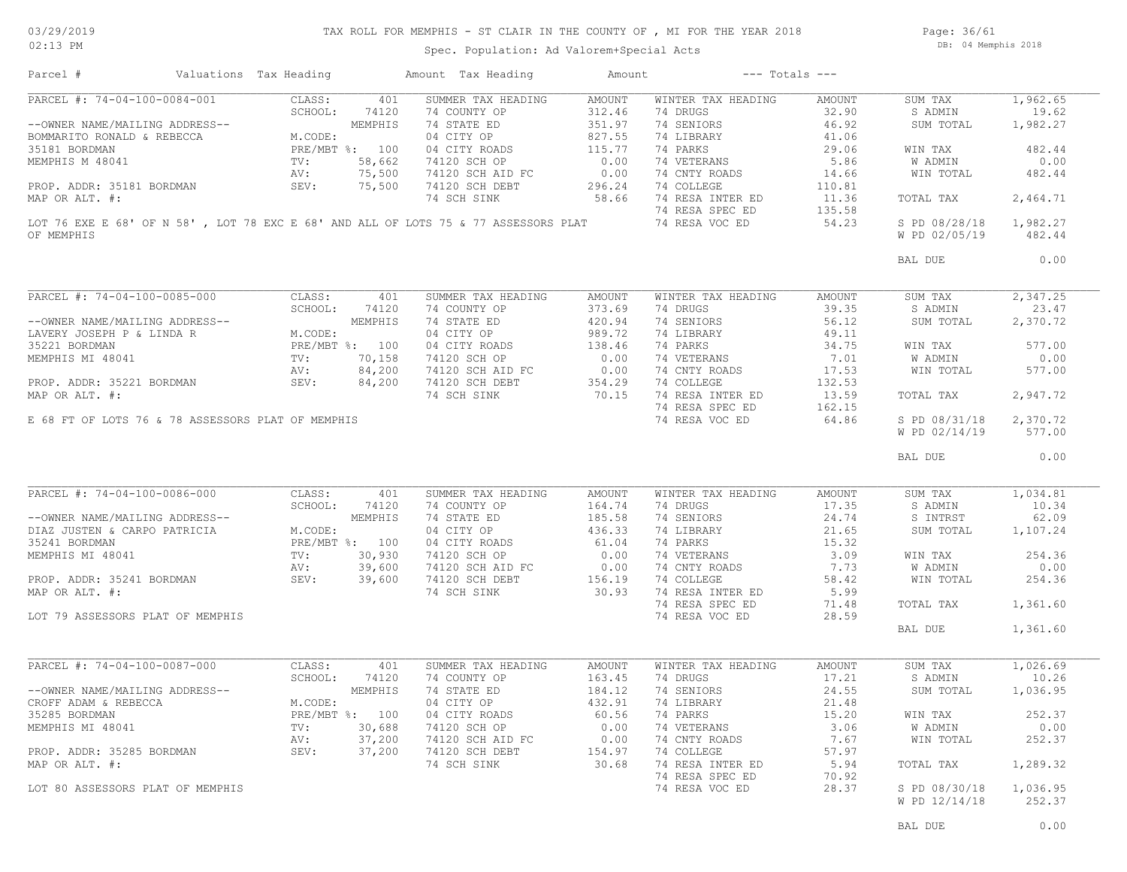### TAX ROLL FOR MEMPHIS - ST CLAIR IN THE COUNTY OF , MI FOR THE YEAR 2018

Spec. Population: Ad Valorem+Special Acts

Page: 36/61 DB: 04 Memphis 2018

| PARCEL #: 74-04-100-0084-001<br>CLASS:<br>SUMMER TAX HEADING<br>AMOUNT<br>WINTER TAX HEADING<br>1,962.65<br>401<br>AMOUNT<br>SUM TAX<br>SCHOOL:<br>74120<br>74 COUNTY OP<br>312.46<br>74 DRUGS<br>32.90<br>19.62<br>S ADMIN<br>MEMPHIS<br>74 STATE ED<br>351.97<br>74 SENIORS<br>46.92<br>1,982.27<br>--OWNER NAME/MAILING ADDRESS--<br>SUM TOTAL<br>BOMMARITO RONALD & REBECCA<br>M.CODE:<br>04 CITY OP<br>827.55<br>74 LIBRARY<br>41.06<br>PRE/MBT %: 100<br>115.77<br>74 PARKS<br>35181 BORDMAN<br>04 CITY ROADS<br>29.06<br>WIN TAX<br>482.44<br>$\frac{TV}{AV}$<br>0.00<br>74 VETERANS<br>5.86<br>0.00<br>MEMPHIS M 48041<br>58,662<br>74120 SCH OP<br>W ADMIN<br>75,500<br>74120 SCH AID FC<br>0.00<br>74 CNTY ROADS<br>482.44<br>14.66<br>WIN TOTAL<br>PROP. ADDR: 35181 BORDMAN SEV:<br>75,500<br>296.24<br>74 COLLEGE<br>74120 SCH DEBT<br>110.81<br>58.66<br>74 RESA INTER ED<br>2,464.71<br>MAP OR ALT. #:<br>74 SCH SINK<br>11.36<br>TOTAL TAX<br>74 RESA SPEC ED<br>135.58<br>LOT 76 EXE E 68' OF N 58' , LOT 78 EXC E 68' AND ALL OF LOTS 75 & 77 ASSESSORS PLAT<br>74 RESA VOC ED<br>54.23<br>S PD 08/28/18<br>1,982.27<br>OF MEMPHIS<br>W PD 02/05/19<br>482.44<br>0.00<br>BAL DUE<br>PARCEL #: 74-04-100-0085-000<br>CLASS:<br>401<br>SUMMER TAX HEADING<br>AMOUNT<br>WINTER TAX HEADING<br>2,347.25<br>AMOUNT<br>SUM TAX<br>373.69<br>39.35<br>23.47<br>SCHOOL:<br>74120<br>74 COUNTY OP<br>74 DRUGS<br>S ADMIN<br>MEMPHIS<br>74 STATE ED<br>420.94<br>74 SENIORS<br>56.12<br>2,370.72<br>--OWNER NAME/MAILING ADDRESS--<br>SUM TOTAL<br>LAVERY JOSEPH P & LINDA R<br>989.72<br>M.CODE:<br>04 CITY OP<br>74 LIBRARY<br>49.11<br>PRE/MBT %: 100<br>04 CITY ROADS<br>138.46<br>74 PARKS<br>34.75<br>577.00<br>35221 BORDMAN<br>WIN TAX<br>0.00<br>74 VETERANS<br>MEMPHIS MI 48041<br>TV:<br>70,158<br>74120 SCH OP<br>7.01<br>W ADMIN<br>0.00<br>84,200<br>0.00<br>74120 SCH AID FC<br>74 CNTY ROADS<br>17.53<br>WIN TOTAL<br>577.00<br>AV:<br>SEV:<br>354.29<br>74 COLLEGE<br>132.53<br>PROP. ADDR: 35221 BORDMAN<br>84,200<br>74120 SCH DEBT<br>70.15<br>74 RESA INTER ED<br>13.59<br>2,947.72<br>MAP OR ALT. #:<br>74 SCH SINK<br>TOTAL TAX<br>74 RESA SPEC ED<br>162.15<br>74 RESA VOC ED<br>64.86<br>E 68 FT OF LOTS 76 & 78 ASSESSORS PLAT OF MEMPHIS<br>S PD 08/31/18<br>2,370.72<br>W PD 02/14/19<br>577.00<br>0.00<br>BAL DUE<br>PARCEL #: 74-04-100-0086-000<br>CLASS:<br>SUMMER TAX HEADING<br>WINTER TAX HEADING<br>1,034.81<br>401<br>AMOUNT<br>AMOUNT<br>SUM TAX<br>SCHOOL:<br>74120<br>74 COUNTY OP<br>164.74<br>74 DRUGS<br>17.35<br>S ADMIN<br>10.34<br>74 STATE ED<br>185.58<br>74 SENIORS<br>24.74<br>S INTRST<br>62.09<br>--OWNER NAME/MAILING ADDRESS--<br>MEMPHIS<br>436.33<br>04 CITY OP<br>74 LIBRARY<br>21.65<br>DIAZ JUSTEN & CARPO PATRICIA<br>M.CODE:<br>SUM TOTAL<br>1,107.24<br>PRE/MBT %: 100<br>61.04<br>74 PARKS<br>15.32<br>35241 BORDMAN<br>04 CITY ROADS<br>74 VETERANS<br>3.09<br>254.36<br>MEMPHIS MI 48041<br>$\texttt{TV}$ :<br>30,930<br>WIN TAX<br>39,600<br>7.73<br>0.00<br>74 CNTY ROADS<br>W ADMIN<br>AV:<br>PROP. ADDR: 35241 BORDMAN SEV: 39,600<br>74 COLLEGE<br>254.36<br>58.42<br>WIN TOTAL<br>74 RESA INTER ED<br>5.99<br>MAP OR ALT. #:<br>74 RESA SPEC ED<br>71.48<br>TOTAL TAX<br>1,361.60<br>28.59<br>74 RESA VOC ED<br>LOT 79 ASSESSORS PLAT OF MEMPHIS<br>BAL DUE<br>1,361.60<br>PARCEL #: 74-04-100-0087-000<br>1,026.69<br>CLASS:<br>401<br>SUMMER TAX HEADING<br>AMOUNT<br>WINTER TAX HEADING<br>AMOUNT<br>SUM TAX<br>SCHOOL:<br>74120<br>74 COUNTY OP<br>163.45<br>74 DRUGS<br>17.21<br>S ADMIN<br>10.26<br>MEMPHIS<br>184.12<br>74 SENIORS<br>24.55<br>1,036.95<br>--OWNER NAME/MAILING ADDRESS--<br>74 STATE ED<br>SUM TOTAL<br>432.91<br>M.CODE:<br>04 CITY OP<br>74 LIBRARY<br>21.48<br>CROFF ADAM & REBECCA<br>252.37<br>35285 BORDMAN<br>PRE/MBT %: 100<br>04 CITY ROADS<br>60.56<br>74 PARKS<br>15.20<br>WIN TAX<br>30,688<br>0.00<br>3.06<br>0.00<br>MEMPHIS MI 48041<br>TV:<br>74120 SCH OP<br>74 VETERANS<br>W ADMIN<br>37,200<br>7.67<br>252.37<br>74120 SCH AID FC<br>0.00<br>74 CNTY ROADS<br>AV:<br>WIN TOTAL<br>PROP. ADDR: 35285 BORDMAN<br>SEV:<br>37,200<br>74120 SCH DEBT<br>74 COLLEGE<br>57.97<br>154.97<br>74 SCH SINK<br>30.68<br>74 RESA INTER ED<br>5.94<br>1,289.32<br>MAP OR ALT. #:<br>TOTAL TAX<br>74 RESA SPEC ED<br>70.92<br>74 RESA VOC ED<br>LOT 80 ASSESSORS PLAT OF MEMPHIS<br>28.37<br>S PD 08/30/18<br>1,036.95<br>W PD 12/14/18<br>252.37 | Parcel # | Valuations Tax Heading | Amount Tax Heading | Amount | $---$ Totals $---$ |  |
|--------------------------------------------------------------------------------------------------------------------------------------------------------------------------------------------------------------------------------------------------------------------------------------------------------------------------------------------------------------------------------------------------------------------------------------------------------------------------------------------------------------------------------------------------------------------------------------------------------------------------------------------------------------------------------------------------------------------------------------------------------------------------------------------------------------------------------------------------------------------------------------------------------------------------------------------------------------------------------------------------------------------------------------------------------------------------------------------------------------------------------------------------------------------------------------------------------------------------------------------------------------------------------------------------------------------------------------------------------------------------------------------------------------------------------------------------------------------------------------------------------------------------------------------------------------------------------------------------------------------------------------------------------------------------------------------------------------------------------------------------------------------------------------------------------------------------------------------------------------------------------------------------------------------------------------------------------------------------------------------------------------------------------------------------------------------------------------------------------------------------------------------------------------------------------------------------------------------------------------------------------------------------------------------------------------------------------------------------------------------------------------------------------------------------------------------------------------------------------------------------------------------------------------------------------------------------------------------------------------------------------------------------------------------------------------------------------------------------------------------------------------------------------------------------------------------------------------------------------------------------------------------------------------------------------------------------------------------------------------------------------------------------------------------------------------------------------------------------------------------------------------------------------------------------------------------------------------------------------------------------------------------------------------------------------------------------------------------------------------------------------------------------------------------------------------------------------------------------------------------------------------------------------------------------------------------------------------------------------------------------------------------------------------------------------------------------------------------------------------------------------------------------------------------------------------------------------------------------------------------------------------------------------------------------------------------------------------------------------------------------------------------------------------------------------------------------------------------------------------------------------------------------------------------------------------------------------------------------------------------------------------------------------------------------------------------------------------------------------------------------------------------------------------------------------------------------------------|----------|------------------------|--------------------|--------|--------------------|--|
|                                                                                                                                                                                                                                                                                                                                                                                                                                                                                                                                                                                                                                                                                                                                                                                                                                                                                                                                                                                                                                                                                                                                                                                                                                                                                                                                                                                                                                                                                                                                                                                                                                                                                                                                                                                                                                                                                                                                                                                                                                                                                                                                                                                                                                                                                                                                                                                                                                                                                                                                                                                                                                                                                                                                                                                                                                                                                                                                                                                                                                                                                                                                                                                                                                                                                                                                                                                                                                                                                                                                                                                                                                                                                                                                                                                                                                                                                                                                                                                                                                                                                                                                                                                                                                                                                                                                                                                                                                                              |          |                        |                    |        |                    |  |
|                                                                                                                                                                                                                                                                                                                                                                                                                                                                                                                                                                                                                                                                                                                                                                                                                                                                                                                                                                                                                                                                                                                                                                                                                                                                                                                                                                                                                                                                                                                                                                                                                                                                                                                                                                                                                                                                                                                                                                                                                                                                                                                                                                                                                                                                                                                                                                                                                                                                                                                                                                                                                                                                                                                                                                                                                                                                                                                                                                                                                                                                                                                                                                                                                                                                                                                                                                                                                                                                                                                                                                                                                                                                                                                                                                                                                                                                                                                                                                                                                                                                                                                                                                                                                                                                                                                                                                                                                                                              |          |                        |                    |        |                    |  |
|                                                                                                                                                                                                                                                                                                                                                                                                                                                                                                                                                                                                                                                                                                                                                                                                                                                                                                                                                                                                                                                                                                                                                                                                                                                                                                                                                                                                                                                                                                                                                                                                                                                                                                                                                                                                                                                                                                                                                                                                                                                                                                                                                                                                                                                                                                                                                                                                                                                                                                                                                                                                                                                                                                                                                                                                                                                                                                                                                                                                                                                                                                                                                                                                                                                                                                                                                                                                                                                                                                                                                                                                                                                                                                                                                                                                                                                                                                                                                                                                                                                                                                                                                                                                                                                                                                                                                                                                                                                              |          |                        |                    |        |                    |  |
|                                                                                                                                                                                                                                                                                                                                                                                                                                                                                                                                                                                                                                                                                                                                                                                                                                                                                                                                                                                                                                                                                                                                                                                                                                                                                                                                                                                                                                                                                                                                                                                                                                                                                                                                                                                                                                                                                                                                                                                                                                                                                                                                                                                                                                                                                                                                                                                                                                                                                                                                                                                                                                                                                                                                                                                                                                                                                                                                                                                                                                                                                                                                                                                                                                                                                                                                                                                                                                                                                                                                                                                                                                                                                                                                                                                                                                                                                                                                                                                                                                                                                                                                                                                                                                                                                                                                                                                                                                                              |          |                        |                    |        |                    |  |
|                                                                                                                                                                                                                                                                                                                                                                                                                                                                                                                                                                                                                                                                                                                                                                                                                                                                                                                                                                                                                                                                                                                                                                                                                                                                                                                                                                                                                                                                                                                                                                                                                                                                                                                                                                                                                                                                                                                                                                                                                                                                                                                                                                                                                                                                                                                                                                                                                                                                                                                                                                                                                                                                                                                                                                                                                                                                                                                                                                                                                                                                                                                                                                                                                                                                                                                                                                                                                                                                                                                                                                                                                                                                                                                                                                                                                                                                                                                                                                                                                                                                                                                                                                                                                                                                                                                                                                                                                                                              |          |                        |                    |        |                    |  |
|                                                                                                                                                                                                                                                                                                                                                                                                                                                                                                                                                                                                                                                                                                                                                                                                                                                                                                                                                                                                                                                                                                                                                                                                                                                                                                                                                                                                                                                                                                                                                                                                                                                                                                                                                                                                                                                                                                                                                                                                                                                                                                                                                                                                                                                                                                                                                                                                                                                                                                                                                                                                                                                                                                                                                                                                                                                                                                                                                                                                                                                                                                                                                                                                                                                                                                                                                                                                                                                                                                                                                                                                                                                                                                                                                                                                                                                                                                                                                                                                                                                                                                                                                                                                                                                                                                                                                                                                                                                              |          |                        |                    |        |                    |  |
|                                                                                                                                                                                                                                                                                                                                                                                                                                                                                                                                                                                                                                                                                                                                                                                                                                                                                                                                                                                                                                                                                                                                                                                                                                                                                                                                                                                                                                                                                                                                                                                                                                                                                                                                                                                                                                                                                                                                                                                                                                                                                                                                                                                                                                                                                                                                                                                                                                                                                                                                                                                                                                                                                                                                                                                                                                                                                                                                                                                                                                                                                                                                                                                                                                                                                                                                                                                                                                                                                                                                                                                                                                                                                                                                                                                                                                                                                                                                                                                                                                                                                                                                                                                                                                                                                                                                                                                                                                                              |          |                        |                    |        |                    |  |
|                                                                                                                                                                                                                                                                                                                                                                                                                                                                                                                                                                                                                                                                                                                                                                                                                                                                                                                                                                                                                                                                                                                                                                                                                                                                                                                                                                                                                                                                                                                                                                                                                                                                                                                                                                                                                                                                                                                                                                                                                                                                                                                                                                                                                                                                                                                                                                                                                                                                                                                                                                                                                                                                                                                                                                                                                                                                                                                                                                                                                                                                                                                                                                                                                                                                                                                                                                                                                                                                                                                                                                                                                                                                                                                                                                                                                                                                                                                                                                                                                                                                                                                                                                                                                                                                                                                                                                                                                                                              |          |                        |                    |        |                    |  |
|                                                                                                                                                                                                                                                                                                                                                                                                                                                                                                                                                                                                                                                                                                                                                                                                                                                                                                                                                                                                                                                                                                                                                                                                                                                                                                                                                                                                                                                                                                                                                                                                                                                                                                                                                                                                                                                                                                                                                                                                                                                                                                                                                                                                                                                                                                                                                                                                                                                                                                                                                                                                                                                                                                                                                                                                                                                                                                                                                                                                                                                                                                                                                                                                                                                                                                                                                                                                                                                                                                                                                                                                                                                                                                                                                                                                                                                                                                                                                                                                                                                                                                                                                                                                                                                                                                                                                                                                                                                              |          |                        |                    |        |                    |  |
|                                                                                                                                                                                                                                                                                                                                                                                                                                                                                                                                                                                                                                                                                                                                                                                                                                                                                                                                                                                                                                                                                                                                                                                                                                                                                                                                                                                                                                                                                                                                                                                                                                                                                                                                                                                                                                                                                                                                                                                                                                                                                                                                                                                                                                                                                                                                                                                                                                                                                                                                                                                                                                                                                                                                                                                                                                                                                                                                                                                                                                                                                                                                                                                                                                                                                                                                                                                                                                                                                                                                                                                                                                                                                                                                                                                                                                                                                                                                                                                                                                                                                                                                                                                                                                                                                                                                                                                                                                                              |          |                        |                    |        |                    |  |
|                                                                                                                                                                                                                                                                                                                                                                                                                                                                                                                                                                                                                                                                                                                                                                                                                                                                                                                                                                                                                                                                                                                                                                                                                                                                                                                                                                                                                                                                                                                                                                                                                                                                                                                                                                                                                                                                                                                                                                                                                                                                                                                                                                                                                                                                                                                                                                                                                                                                                                                                                                                                                                                                                                                                                                                                                                                                                                                                                                                                                                                                                                                                                                                                                                                                                                                                                                                                                                                                                                                                                                                                                                                                                                                                                                                                                                                                                                                                                                                                                                                                                                                                                                                                                                                                                                                                                                                                                                                              |          |                        |                    |        |                    |  |
|                                                                                                                                                                                                                                                                                                                                                                                                                                                                                                                                                                                                                                                                                                                                                                                                                                                                                                                                                                                                                                                                                                                                                                                                                                                                                                                                                                                                                                                                                                                                                                                                                                                                                                                                                                                                                                                                                                                                                                                                                                                                                                                                                                                                                                                                                                                                                                                                                                                                                                                                                                                                                                                                                                                                                                                                                                                                                                                                                                                                                                                                                                                                                                                                                                                                                                                                                                                                                                                                                                                                                                                                                                                                                                                                                                                                                                                                                                                                                                                                                                                                                                                                                                                                                                                                                                                                                                                                                                                              |          |                        |                    |        |                    |  |
|                                                                                                                                                                                                                                                                                                                                                                                                                                                                                                                                                                                                                                                                                                                                                                                                                                                                                                                                                                                                                                                                                                                                                                                                                                                                                                                                                                                                                                                                                                                                                                                                                                                                                                                                                                                                                                                                                                                                                                                                                                                                                                                                                                                                                                                                                                                                                                                                                                                                                                                                                                                                                                                                                                                                                                                                                                                                                                                                                                                                                                                                                                                                                                                                                                                                                                                                                                                                                                                                                                                                                                                                                                                                                                                                                                                                                                                                                                                                                                                                                                                                                                                                                                                                                                                                                                                                                                                                                                                              |          |                        |                    |        |                    |  |
|                                                                                                                                                                                                                                                                                                                                                                                                                                                                                                                                                                                                                                                                                                                                                                                                                                                                                                                                                                                                                                                                                                                                                                                                                                                                                                                                                                                                                                                                                                                                                                                                                                                                                                                                                                                                                                                                                                                                                                                                                                                                                                                                                                                                                                                                                                                                                                                                                                                                                                                                                                                                                                                                                                                                                                                                                                                                                                                                                                                                                                                                                                                                                                                                                                                                                                                                                                                                                                                                                                                                                                                                                                                                                                                                                                                                                                                                                                                                                                                                                                                                                                                                                                                                                                                                                                                                                                                                                                                              |          |                        |                    |        |                    |  |
|                                                                                                                                                                                                                                                                                                                                                                                                                                                                                                                                                                                                                                                                                                                                                                                                                                                                                                                                                                                                                                                                                                                                                                                                                                                                                                                                                                                                                                                                                                                                                                                                                                                                                                                                                                                                                                                                                                                                                                                                                                                                                                                                                                                                                                                                                                                                                                                                                                                                                                                                                                                                                                                                                                                                                                                                                                                                                                                                                                                                                                                                                                                                                                                                                                                                                                                                                                                                                                                                                                                                                                                                                                                                                                                                                                                                                                                                                                                                                                                                                                                                                                                                                                                                                                                                                                                                                                                                                                                              |          |                        |                    |        |                    |  |
|                                                                                                                                                                                                                                                                                                                                                                                                                                                                                                                                                                                                                                                                                                                                                                                                                                                                                                                                                                                                                                                                                                                                                                                                                                                                                                                                                                                                                                                                                                                                                                                                                                                                                                                                                                                                                                                                                                                                                                                                                                                                                                                                                                                                                                                                                                                                                                                                                                                                                                                                                                                                                                                                                                                                                                                                                                                                                                                                                                                                                                                                                                                                                                                                                                                                                                                                                                                                                                                                                                                                                                                                                                                                                                                                                                                                                                                                                                                                                                                                                                                                                                                                                                                                                                                                                                                                                                                                                                                              |          |                        |                    |        |                    |  |
|                                                                                                                                                                                                                                                                                                                                                                                                                                                                                                                                                                                                                                                                                                                                                                                                                                                                                                                                                                                                                                                                                                                                                                                                                                                                                                                                                                                                                                                                                                                                                                                                                                                                                                                                                                                                                                                                                                                                                                                                                                                                                                                                                                                                                                                                                                                                                                                                                                                                                                                                                                                                                                                                                                                                                                                                                                                                                                                                                                                                                                                                                                                                                                                                                                                                                                                                                                                                                                                                                                                                                                                                                                                                                                                                                                                                                                                                                                                                                                                                                                                                                                                                                                                                                                                                                                                                                                                                                                                              |          |                        |                    |        |                    |  |
|                                                                                                                                                                                                                                                                                                                                                                                                                                                                                                                                                                                                                                                                                                                                                                                                                                                                                                                                                                                                                                                                                                                                                                                                                                                                                                                                                                                                                                                                                                                                                                                                                                                                                                                                                                                                                                                                                                                                                                                                                                                                                                                                                                                                                                                                                                                                                                                                                                                                                                                                                                                                                                                                                                                                                                                                                                                                                                                                                                                                                                                                                                                                                                                                                                                                                                                                                                                                                                                                                                                                                                                                                                                                                                                                                                                                                                                                                                                                                                                                                                                                                                                                                                                                                                                                                                                                                                                                                                                              |          |                        |                    |        |                    |  |
|                                                                                                                                                                                                                                                                                                                                                                                                                                                                                                                                                                                                                                                                                                                                                                                                                                                                                                                                                                                                                                                                                                                                                                                                                                                                                                                                                                                                                                                                                                                                                                                                                                                                                                                                                                                                                                                                                                                                                                                                                                                                                                                                                                                                                                                                                                                                                                                                                                                                                                                                                                                                                                                                                                                                                                                                                                                                                                                                                                                                                                                                                                                                                                                                                                                                                                                                                                                                                                                                                                                                                                                                                                                                                                                                                                                                                                                                                                                                                                                                                                                                                                                                                                                                                                                                                                                                                                                                                                                              |          |                        |                    |        |                    |  |
|                                                                                                                                                                                                                                                                                                                                                                                                                                                                                                                                                                                                                                                                                                                                                                                                                                                                                                                                                                                                                                                                                                                                                                                                                                                                                                                                                                                                                                                                                                                                                                                                                                                                                                                                                                                                                                                                                                                                                                                                                                                                                                                                                                                                                                                                                                                                                                                                                                                                                                                                                                                                                                                                                                                                                                                                                                                                                                                                                                                                                                                                                                                                                                                                                                                                                                                                                                                                                                                                                                                                                                                                                                                                                                                                                                                                                                                                                                                                                                                                                                                                                                                                                                                                                                                                                                                                                                                                                                                              |          |                        |                    |        |                    |  |
|                                                                                                                                                                                                                                                                                                                                                                                                                                                                                                                                                                                                                                                                                                                                                                                                                                                                                                                                                                                                                                                                                                                                                                                                                                                                                                                                                                                                                                                                                                                                                                                                                                                                                                                                                                                                                                                                                                                                                                                                                                                                                                                                                                                                                                                                                                                                                                                                                                                                                                                                                                                                                                                                                                                                                                                                                                                                                                                                                                                                                                                                                                                                                                                                                                                                                                                                                                                                                                                                                                                                                                                                                                                                                                                                                                                                                                                                                                                                                                                                                                                                                                                                                                                                                                                                                                                                                                                                                                                              |          |                        |                    |        |                    |  |
|                                                                                                                                                                                                                                                                                                                                                                                                                                                                                                                                                                                                                                                                                                                                                                                                                                                                                                                                                                                                                                                                                                                                                                                                                                                                                                                                                                                                                                                                                                                                                                                                                                                                                                                                                                                                                                                                                                                                                                                                                                                                                                                                                                                                                                                                                                                                                                                                                                                                                                                                                                                                                                                                                                                                                                                                                                                                                                                                                                                                                                                                                                                                                                                                                                                                                                                                                                                                                                                                                                                                                                                                                                                                                                                                                                                                                                                                                                                                                                                                                                                                                                                                                                                                                                                                                                                                                                                                                                                              |          |                        |                    |        |                    |  |
|                                                                                                                                                                                                                                                                                                                                                                                                                                                                                                                                                                                                                                                                                                                                                                                                                                                                                                                                                                                                                                                                                                                                                                                                                                                                                                                                                                                                                                                                                                                                                                                                                                                                                                                                                                                                                                                                                                                                                                                                                                                                                                                                                                                                                                                                                                                                                                                                                                                                                                                                                                                                                                                                                                                                                                                                                                                                                                                                                                                                                                                                                                                                                                                                                                                                                                                                                                                                                                                                                                                                                                                                                                                                                                                                                                                                                                                                                                                                                                                                                                                                                                                                                                                                                                                                                                                                                                                                                                                              |          |                        |                    |        |                    |  |
|                                                                                                                                                                                                                                                                                                                                                                                                                                                                                                                                                                                                                                                                                                                                                                                                                                                                                                                                                                                                                                                                                                                                                                                                                                                                                                                                                                                                                                                                                                                                                                                                                                                                                                                                                                                                                                                                                                                                                                                                                                                                                                                                                                                                                                                                                                                                                                                                                                                                                                                                                                                                                                                                                                                                                                                                                                                                                                                                                                                                                                                                                                                                                                                                                                                                                                                                                                                                                                                                                                                                                                                                                                                                                                                                                                                                                                                                                                                                                                                                                                                                                                                                                                                                                                                                                                                                                                                                                                                              |          |                        |                    |        |                    |  |
|                                                                                                                                                                                                                                                                                                                                                                                                                                                                                                                                                                                                                                                                                                                                                                                                                                                                                                                                                                                                                                                                                                                                                                                                                                                                                                                                                                                                                                                                                                                                                                                                                                                                                                                                                                                                                                                                                                                                                                                                                                                                                                                                                                                                                                                                                                                                                                                                                                                                                                                                                                                                                                                                                                                                                                                                                                                                                                                                                                                                                                                                                                                                                                                                                                                                                                                                                                                                                                                                                                                                                                                                                                                                                                                                                                                                                                                                                                                                                                                                                                                                                                                                                                                                                                                                                                                                                                                                                                                              |          |                        |                    |        |                    |  |
|                                                                                                                                                                                                                                                                                                                                                                                                                                                                                                                                                                                                                                                                                                                                                                                                                                                                                                                                                                                                                                                                                                                                                                                                                                                                                                                                                                                                                                                                                                                                                                                                                                                                                                                                                                                                                                                                                                                                                                                                                                                                                                                                                                                                                                                                                                                                                                                                                                                                                                                                                                                                                                                                                                                                                                                                                                                                                                                                                                                                                                                                                                                                                                                                                                                                                                                                                                                                                                                                                                                                                                                                                                                                                                                                                                                                                                                                                                                                                                                                                                                                                                                                                                                                                                                                                                                                                                                                                                                              |          |                        |                    |        |                    |  |
|                                                                                                                                                                                                                                                                                                                                                                                                                                                                                                                                                                                                                                                                                                                                                                                                                                                                                                                                                                                                                                                                                                                                                                                                                                                                                                                                                                                                                                                                                                                                                                                                                                                                                                                                                                                                                                                                                                                                                                                                                                                                                                                                                                                                                                                                                                                                                                                                                                                                                                                                                                                                                                                                                                                                                                                                                                                                                                                                                                                                                                                                                                                                                                                                                                                                                                                                                                                                                                                                                                                                                                                                                                                                                                                                                                                                                                                                                                                                                                                                                                                                                                                                                                                                                                                                                                                                                                                                                                                              |          |                        |                    |        |                    |  |
|                                                                                                                                                                                                                                                                                                                                                                                                                                                                                                                                                                                                                                                                                                                                                                                                                                                                                                                                                                                                                                                                                                                                                                                                                                                                                                                                                                                                                                                                                                                                                                                                                                                                                                                                                                                                                                                                                                                                                                                                                                                                                                                                                                                                                                                                                                                                                                                                                                                                                                                                                                                                                                                                                                                                                                                                                                                                                                                                                                                                                                                                                                                                                                                                                                                                                                                                                                                                                                                                                                                                                                                                                                                                                                                                                                                                                                                                                                                                                                                                                                                                                                                                                                                                                                                                                                                                                                                                                                                              |          |                        |                    |        |                    |  |
|                                                                                                                                                                                                                                                                                                                                                                                                                                                                                                                                                                                                                                                                                                                                                                                                                                                                                                                                                                                                                                                                                                                                                                                                                                                                                                                                                                                                                                                                                                                                                                                                                                                                                                                                                                                                                                                                                                                                                                                                                                                                                                                                                                                                                                                                                                                                                                                                                                                                                                                                                                                                                                                                                                                                                                                                                                                                                                                                                                                                                                                                                                                                                                                                                                                                                                                                                                                                                                                                                                                                                                                                                                                                                                                                                                                                                                                                                                                                                                                                                                                                                                                                                                                                                                                                                                                                                                                                                                                              |          |                        |                    |        |                    |  |
|                                                                                                                                                                                                                                                                                                                                                                                                                                                                                                                                                                                                                                                                                                                                                                                                                                                                                                                                                                                                                                                                                                                                                                                                                                                                                                                                                                                                                                                                                                                                                                                                                                                                                                                                                                                                                                                                                                                                                                                                                                                                                                                                                                                                                                                                                                                                                                                                                                                                                                                                                                                                                                                                                                                                                                                                                                                                                                                                                                                                                                                                                                                                                                                                                                                                                                                                                                                                                                                                                                                                                                                                                                                                                                                                                                                                                                                                                                                                                                                                                                                                                                                                                                                                                                                                                                                                                                                                                                                              |          |                        |                    |        |                    |  |
|                                                                                                                                                                                                                                                                                                                                                                                                                                                                                                                                                                                                                                                                                                                                                                                                                                                                                                                                                                                                                                                                                                                                                                                                                                                                                                                                                                                                                                                                                                                                                                                                                                                                                                                                                                                                                                                                                                                                                                                                                                                                                                                                                                                                                                                                                                                                                                                                                                                                                                                                                                                                                                                                                                                                                                                                                                                                                                                                                                                                                                                                                                                                                                                                                                                                                                                                                                                                                                                                                                                                                                                                                                                                                                                                                                                                                                                                                                                                                                                                                                                                                                                                                                                                                                                                                                                                                                                                                                                              |          |                        |                    |        |                    |  |
|                                                                                                                                                                                                                                                                                                                                                                                                                                                                                                                                                                                                                                                                                                                                                                                                                                                                                                                                                                                                                                                                                                                                                                                                                                                                                                                                                                                                                                                                                                                                                                                                                                                                                                                                                                                                                                                                                                                                                                                                                                                                                                                                                                                                                                                                                                                                                                                                                                                                                                                                                                                                                                                                                                                                                                                                                                                                                                                                                                                                                                                                                                                                                                                                                                                                                                                                                                                                                                                                                                                                                                                                                                                                                                                                                                                                                                                                                                                                                                                                                                                                                                                                                                                                                                                                                                                                                                                                                                                              |          |                        |                    |        |                    |  |
|                                                                                                                                                                                                                                                                                                                                                                                                                                                                                                                                                                                                                                                                                                                                                                                                                                                                                                                                                                                                                                                                                                                                                                                                                                                                                                                                                                                                                                                                                                                                                                                                                                                                                                                                                                                                                                                                                                                                                                                                                                                                                                                                                                                                                                                                                                                                                                                                                                                                                                                                                                                                                                                                                                                                                                                                                                                                                                                                                                                                                                                                                                                                                                                                                                                                                                                                                                                                                                                                                                                                                                                                                                                                                                                                                                                                                                                                                                                                                                                                                                                                                                                                                                                                                                                                                                                                                                                                                                                              |          |                        |                    |        |                    |  |
|                                                                                                                                                                                                                                                                                                                                                                                                                                                                                                                                                                                                                                                                                                                                                                                                                                                                                                                                                                                                                                                                                                                                                                                                                                                                                                                                                                                                                                                                                                                                                                                                                                                                                                                                                                                                                                                                                                                                                                                                                                                                                                                                                                                                                                                                                                                                                                                                                                                                                                                                                                                                                                                                                                                                                                                                                                                                                                                                                                                                                                                                                                                                                                                                                                                                                                                                                                                                                                                                                                                                                                                                                                                                                                                                                                                                                                                                                                                                                                                                                                                                                                                                                                                                                                                                                                                                                                                                                                                              |          |                        |                    |        |                    |  |
|                                                                                                                                                                                                                                                                                                                                                                                                                                                                                                                                                                                                                                                                                                                                                                                                                                                                                                                                                                                                                                                                                                                                                                                                                                                                                                                                                                                                                                                                                                                                                                                                                                                                                                                                                                                                                                                                                                                                                                                                                                                                                                                                                                                                                                                                                                                                                                                                                                                                                                                                                                                                                                                                                                                                                                                                                                                                                                                                                                                                                                                                                                                                                                                                                                                                                                                                                                                                                                                                                                                                                                                                                                                                                                                                                                                                                                                                                                                                                                                                                                                                                                                                                                                                                                                                                                                                                                                                                                                              |          |                        |                    |        |                    |  |
|                                                                                                                                                                                                                                                                                                                                                                                                                                                                                                                                                                                                                                                                                                                                                                                                                                                                                                                                                                                                                                                                                                                                                                                                                                                                                                                                                                                                                                                                                                                                                                                                                                                                                                                                                                                                                                                                                                                                                                                                                                                                                                                                                                                                                                                                                                                                                                                                                                                                                                                                                                                                                                                                                                                                                                                                                                                                                                                                                                                                                                                                                                                                                                                                                                                                                                                                                                                                                                                                                                                                                                                                                                                                                                                                                                                                                                                                                                                                                                                                                                                                                                                                                                                                                                                                                                                                                                                                                                                              |          |                        |                    |        |                    |  |
|                                                                                                                                                                                                                                                                                                                                                                                                                                                                                                                                                                                                                                                                                                                                                                                                                                                                                                                                                                                                                                                                                                                                                                                                                                                                                                                                                                                                                                                                                                                                                                                                                                                                                                                                                                                                                                                                                                                                                                                                                                                                                                                                                                                                                                                                                                                                                                                                                                                                                                                                                                                                                                                                                                                                                                                                                                                                                                                                                                                                                                                                                                                                                                                                                                                                                                                                                                                                                                                                                                                                                                                                                                                                                                                                                                                                                                                                                                                                                                                                                                                                                                                                                                                                                                                                                                                                                                                                                                                              |          |                        |                    |        |                    |  |
|                                                                                                                                                                                                                                                                                                                                                                                                                                                                                                                                                                                                                                                                                                                                                                                                                                                                                                                                                                                                                                                                                                                                                                                                                                                                                                                                                                                                                                                                                                                                                                                                                                                                                                                                                                                                                                                                                                                                                                                                                                                                                                                                                                                                                                                                                                                                                                                                                                                                                                                                                                                                                                                                                                                                                                                                                                                                                                                                                                                                                                                                                                                                                                                                                                                                                                                                                                                                                                                                                                                                                                                                                                                                                                                                                                                                                                                                                                                                                                                                                                                                                                                                                                                                                                                                                                                                                                                                                                                              |          |                        |                    |        |                    |  |
|                                                                                                                                                                                                                                                                                                                                                                                                                                                                                                                                                                                                                                                                                                                                                                                                                                                                                                                                                                                                                                                                                                                                                                                                                                                                                                                                                                                                                                                                                                                                                                                                                                                                                                                                                                                                                                                                                                                                                                                                                                                                                                                                                                                                                                                                                                                                                                                                                                                                                                                                                                                                                                                                                                                                                                                                                                                                                                                                                                                                                                                                                                                                                                                                                                                                                                                                                                                                                                                                                                                                                                                                                                                                                                                                                                                                                                                                                                                                                                                                                                                                                                                                                                                                                                                                                                                                                                                                                                                              |          |                        |                    |        |                    |  |
|                                                                                                                                                                                                                                                                                                                                                                                                                                                                                                                                                                                                                                                                                                                                                                                                                                                                                                                                                                                                                                                                                                                                                                                                                                                                                                                                                                                                                                                                                                                                                                                                                                                                                                                                                                                                                                                                                                                                                                                                                                                                                                                                                                                                                                                                                                                                                                                                                                                                                                                                                                                                                                                                                                                                                                                                                                                                                                                                                                                                                                                                                                                                                                                                                                                                                                                                                                                                                                                                                                                                                                                                                                                                                                                                                                                                                                                                                                                                                                                                                                                                                                                                                                                                                                                                                                                                                                                                                                                              |          |                        |                    |        |                    |  |
|                                                                                                                                                                                                                                                                                                                                                                                                                                                                                                                                                                                                                                                                                                                                                                                                                                                                                                                                                                                                                                                                                                                                                                                                                                                                                                                                                                                                                                                                                                                                                                                                                                                                                                                                                                                                                                                                                                                                                                                                                                                                                                                                                                                                                                                                                                                                                                                                                                                                                                                                                                                                                                                                                                                                                                                                                                                                                                                                                                                                                                                                                                                                                                                                                                                                                                                                                                                                                                                                                                                                                                                                                                                                                                                                                                                                                                                                                                                                                                                                                                                                                                                                                                                                                                                                                                                                                                                                                                                              |          |                        |                    |        |                    |  |
|                                                                                                                                                                                                                                                                                                                                                                                                                                                                                                                                                                                                                                                                                                                                                                                                                                                                                                                                                                                                                                                                                                                                                                                                                                                                                                                                                                                                                                                                                                                                                                                                                                                                                                                                                                                                                                                                                                                                                                                                                                                                                                                                                                                                                                                                                                                                                                                                                                                                                                                                                                                                                                                                                                                                                                                                                                                                                                                                                                                                                                                                                                                                                                                                                                                                                                                                                                                                                                                                                                                                                                                                                                                                                                                                                                                                                                                                                                                                                                                                                                                                                                                                                                                                                                                                                                                                                                                                                                                              |          |                        |                    |        |                    |  |
|                                                                                                                                                                                                                                                                                                                                                                                                                                                                                                                                                                                                                                                                                                                                                                                                                                                                                                                                                                                                                                                                                                                                                                                                                                                                                                                                                                                                                                                                                                                                                                                                                                                                                                                                                                                                                                                                                                                                                                                                                                                                                                                                                                                                                                                                                                                                                                                                                                                                                                                                                                                                                                                                                                                                                                                                                                                                                                                                                                                                                                                                                                                                                                                                                                                                                                                                                                                                                                                                                                                                                                                                                                                                                                                                                                                                                                                                                                                                                                                                                                                                                                                                                                                                                                                                                                                                                                                                                                                              |          |                        |                    |        |                    |  |
|                                                                                                                                                                                                                                                                                                                                                                                                                                                                                                                                                                                                                                                                                                                                                                                                                                                                                                                                                                                                                                                                                                                                                                                                                                                                                                                                                                                                                                                                                                                                                                                                                                                                                                                                                                                                                                                                                                                                                                                                                                                                                                                                                                                                                                                                                                                                                                                                                                                                                                                                                                                                                                                                                                                                                                                                                                                                                                                                                                                                                                                                                                                                                                                                                                                                                                                                                                                                                                                                                                                                                                                                                                                                                                                                                                                                                                                                                                                                                                                                                                                                                                                                                                                                                                                                                                                                                                                                                                                              |          |                        |                    |        |                    |  |
|                                                                                                                                                                                                                                                                                                                                                                                                                                                                                                                                                                                                                                                                                                                                                                                                                                                                                                                                                                                                                                                                                                                                                                                                                                                                                                                                                                                                                                                                                                                                                                                                                                                                                                                                                                                                                                                                                                                                                                                                                                                                                                                                                                                                                                                                                                                                                                                                                                                                                                                                                                                                                                                                                                                                                                                                                                                                                                                                                                                                                                                                                                                                                                                                                                                                                                                                                                                                                                                                                                                                                                                                                                                                                                                                                                                                                                                                                                                                                                                                                                                                                                                                                                                                                                                                                                                                                                                                                                                              |          |                        |                    |        |                    |  |
|                                                                                                                                                                                                                                                                                                                                                                                                                                                                                                                                                                                                                                                                                                                                                                                                                                                                                                                                                                                                                                                                                                                                                                                                                                                                                                                                                                                                                                                                                                                                                                                                                                                                                                                                                                                                                                                                                                                                                                                                                                                                                                                                                                                                                                                                                                                                                                                                                                                                                                                                                                                                                                                                                                                                                                                                                                                                                                                                                                                                                                                                                                                                                                                                                                                                                                                                                                                                                                                                                                                                                                                                                                                                                                                                                                                                                                                                                                                                                                                                                                                                                                                                                                                                                                                                                                                                                                                                                                                              |          |                        |                    |        |                    |  |
|                                                                                                                                                                                                                                                                                                                                                                                                                                                                                                                                                                                                                                                                                                                                                                                                                                                                                                                                                                                                                                                                                                                                                                                                                                                                                                                                                                                                                                                                                                                                                                                                                                                                                                                                                                                                                                                                                                                                                                                                                                                                                                                                                                                                                                                                                                                                                                                                                                                                                                                                                                                                                                                                                                                                                                                                                                                                                                                                                                                                                                                                                                                                                                                                                                                                                                                                                                                                                                                                                                                                                                                                                                                                                                                                                                                                                                                                                                                                                                                                                                                                                                                                                                                                                                                                                                                                                                                                                                                              |          |                        |                    |        |                    |  |
|                                                                                                                                                                                                                                                                                                                                                                                                                                                                                                                                                                                                                                                                                                                                                                                                                                                                                                                                                                                                                                                                                                                                                                                                                                                                                                                                                                                                                                                                                                                                                                                                                                                                                                                                                                                                                                                                                                                                                                                                                                                                                                                                                                                                                                                                                                                                                                                                                                                                                                                                                                                                                                                                                                                                                                                                                                                                                                                                                                                                                                                                                                                                                                                                                                                                                                                                                                                                                                                                                                                                                                                                                                                                                                                                                                                                                                                                                                                                                                                                                                                                                                                                                                                                                                                                                                                                                                                                                                                              |          |                        |                    |        |                    |  |
|                                                                                                                                                                                                                                                                                                                                                                                                                                                                                                                                                                                                                                                                                                                                                                                                                                                                                                                                                                                                                                                                                                                                                                                                                                                                                                                                                                                                                                                                                                                                                                                                                                                                                                                                                                                                                                                                                                                                                                                                                                                                                                                                                                                                                                                                                                                                                                                                                                                                                                                                                                                                                                                                                                                                                                                                                                                                                                                                                                                                                                                                                                                                                                                                                                                                                                                                                                                                                                                                                                                                                                                                                                                                                                                                                                                                                                                                                                                                                                                                                                                                                                                                                                                                                                                                                                                                                                                                                                                              |          |                        |                    |        |                    |  |
|                                                                                                                                                                                                                                                                                                                                                                                                                                                                                                                                                                                                                                                                                                                                                                                                                                                                                                                                                                                                                                                                                                                                                                                                                                                                                                                                                                                                                                                                                                                                                                                                                                                                                                                                                                                                                                                                                                                                                                                                                                                                                                                                                                                                                                                                                                                                                                                                                                                                                                                                                                                                                                                                                                                                                                                                                                                                                                                                                                                                                                                                                                                                                                                                                                                                                                                                                                                                                                                                                                                                                                                                                                                                                                                                                                                                                                                                                                                                                                                                                                                                                                                                                                                                                                                                                                                                                                                                                                                              |          |                        |                    |        |                    |  |
|                                                                                                                                                                                                                                                                                                                                                                                                                                                                                                                                                                                                                                                                                                                                                                                                                                                                                                                                                                                                                                                                                                                                                                                                                                                                                                                                                                                                                                                                                                                                                                                                                                                                                                                                                                                                                                                                                                                                                                                                                                                                                                                                                                                                                                                                                                                                                                                                                                                                                                                                                                                                                                                                                                                                                                                                                                                                                                                                                                                                                                                                                                                                                                                                                                                                                                                                                                                                                                                                                                                                                                                                                                                                                                                                                                                                                                                                                                                                                                                                                                                                                                                                                                                                                                                                                                                                                                                                                                                              |          |                        |                    |        |                    |  |
|                                                                                                                                                                                                                                                                                                                                                                                                                                                                                                                                                                                                                                                                                                                                                                                                                                                                                                                                                                                                                                                                                                                                                                                                                                                                                                                                                                                                                                                                                                                                                                                                                                                                                                                                                                                                                                                                                                                                                                                                                                                                                                                                                                                                                                                                                                                                                                                                                                                                                                                                                                                                                                                                                                                                                                                                                                                                                                                                                                                                                                                                                                                                                                                                                                                                                                                                                                                                                                                                                                                                                                                                                                                                                                                                                                                                                                                                                                                                                                                                                                                                                                                                                                                                                                                                                                                                                                                                                                                              |          |                        |                    |        |                    |  |
|                                                                                                                                                                                                                                                                                                                                                                                                                                                                                                                                                                                                                                                                                                                                                                                                                                                                                                                                                                                                                                                                                                                                                                                                                                                                                                                                                                                                                                                                                                                                                                                                                                                                                                                                                                                                                                                                                                                                                                                                                                                                                                                                                                                                                                                                                                                                                                                                                                                                                                                                                                                                                                                                                                                                                                                                                                                                                                                                                                                                                                                                                                                                                                                                                                                                                                                                                                                                                                                                                                                                                                                                                                                                                                                                                                                                                                                                                                                                                                                                                                                                                                                                                                                                                                                                                                                                                                                                                                                              |          |                        |                    |        |                    |  |
|                                                                                                                                                                                                                                                                                                                                                                                                                                                                                                                                                                                                                                                                                                                                                                                                                                                                                                                                                                                                                                                                                                                                                                                                                                                                                                                                                                                                                                                                                                                                                                                                                                                                                                                                                                                                                                                                                                                                                                                                                                                                                                                                                                                                                                                                                                                                                                                                                                                                                                                                                                                                                                                                                                                                                                                                                                                                                                                                                                                                                                                                                                                                                                                                                                                                                                                                                                                                                                                                                                                                                                                                                                                                                                                                                                                                                                                                                                                                                                                                                                                                                                                                                                                                                                                                                                                                                                                                                                                              |          |                        |                    |        |                    |  |
|                                                                                                                                                                                                                                                                                                                                                                                                                                                                                                                                                                                                                                                                                                                                                                                                                                                                                                                                                                                                                                                                                                                                                                                                                                                                                                                                                                                                                                                                                                                                                                                                                                                                                                                                                                                                                                                                                                                                                                                                                                                                                                                                                                                                                                                                                                                                                                                                                                                                                                                                                                                                                                                                                                                                                                                                                                                                                                                                                                                                                                                                                                                                                                                                                                                                                                                                                                                                                                                                                                                                                                                                                                                                                                                                                                                                                                                                                                                                                                                                                                                                                                                                                                                                                                                                                                                                                                                                                                                              |          |                        |                    |        |                    |  |
|                                                                                                                                                                                                                                                                                                                                                                                                                                                                                                                                                                                                                                                                                                                                                                                                                                                                                                                                                                                                                                                                                                                                                                                                                                                                                                                                                                                                                                                                                                                                                                                                                                                                                                                                                                                                                                                                                                                                                                                                                                                                                                                                                                                                                                                                                                                                                                                                                                                                                                                                                                                                                                                                                                                                                                                                                                                                                                                                                                                                                                                                                                                                                                                                                                                                                                                                                                                                                                                                                                                                                                                                                                                                                                                                                                                                                                                                                                                                                                                                                                                                                                                                                                                                                                                                                                                                                                                                                                                              |          |                        |                    |        |                    |  |
|                                                                                                                                                                                                                                                                                                                                                                                                                                                                                                                                                                                                                                                                                                                                                                                                                                                                                                                                                                                                                                                                                                                                                                                                                                                                                                                                                                                                                                                                                                                                                                                                                                                                                                                                                                                                                                                                                                                                                                                                                                                                                                                                                                                                                                                                                                                                                                                                                                                                                                                                                                                                                                                                                                                                                                                                                                                                                                                                                                                                                                                                                                                                                                                                                                                                                                                                                                                                                                                                                                                                                                                                                                                                                                                                                                                                                                                                                                                                                                                                                                                                                                                                                                                                                                                                                                                                                                                                                                                              |          |                        |                    |        |                    |  |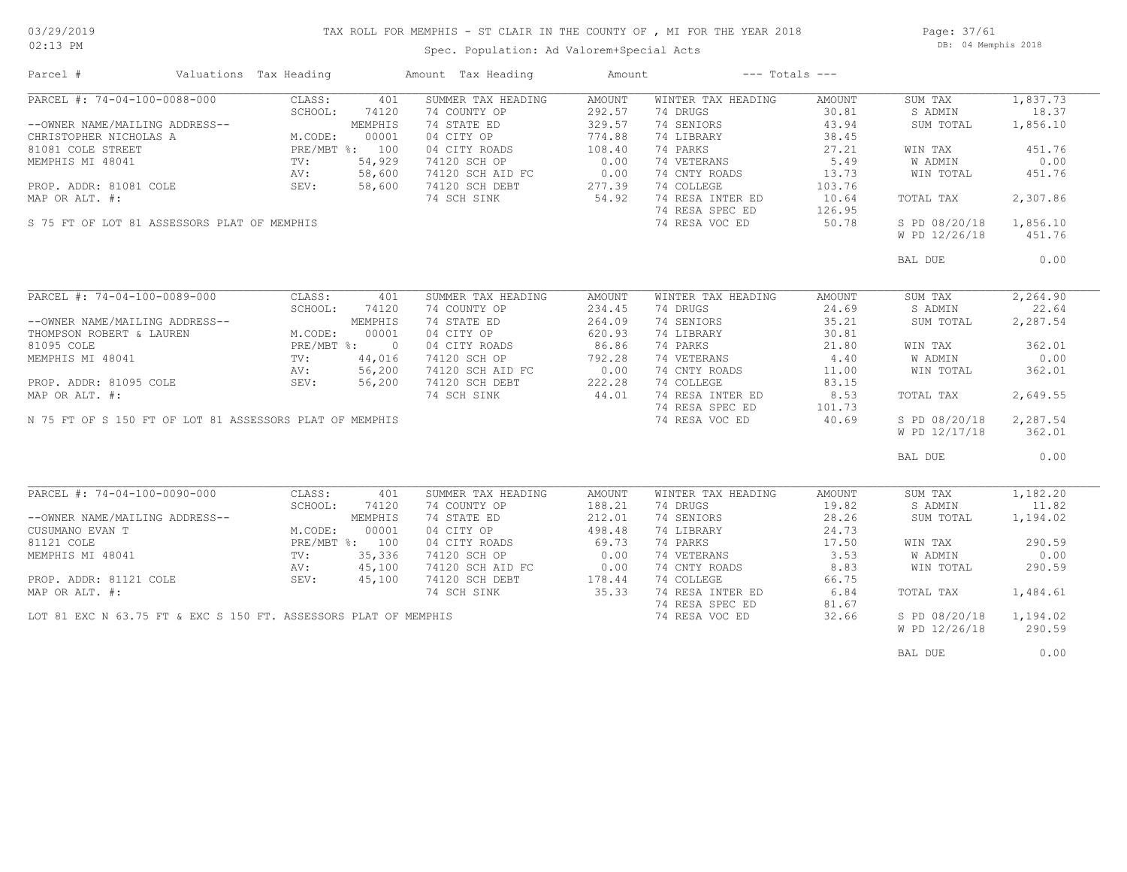#### TAX ROLL FOR MEMPHIS - ST CLAIR IN THE COUNTY OF , MI FOR THE YEAR 2018

02:13 PM

### Spec. Population: Ad Valorem+Special Acts

Page: 37/61 DB: 04 Memphis 2018

| Parcel #                                                | Valuations Tax Heading                                        |         | Amount Tax Heading                                              | Amount                                            | $---$ Totals $---$ |        |               |          |
|---------------------------------------------------------|---------------------------------------------------------------|---------|-----------------------------------------------------------------|---------------------------------------------------|--------------------|--------|---------------|----------|
| PARCEL #: 74-04-100-0088-000                            | CLASS:                                                        | 401     | SUMMER TAX HEADING                                              | AMOUNT                                            | WINTER TAX HEADING | AMOUNT | SUM TAX       | 1,837.73 |
|                                                         | SCHOOL:                                                       | 74120   | 74 COUNTY OP                                                    | 292.57                                            | 74 DRUGS           | 30.81  | S ADMIN       | 18.37    |
| --OWNER NAME/MAILING ADDRESS--                          |                                                               | MEMPHIS | 74 STATE ED                                                     | 329.57                                            | 74 SENIORS         | 43.94  | SUM TOTAL     | 1,856.10 |
| CHRISTOPHER NICHOLAS A                                  | M.CODE:                                                       | 00001   | 04 CITY OP                                                      | 774.88                                            | 74 LIBRARY         | 38.45  |               |          |
| 81081 COLE STREET                                       | $E_{\text{f} \sim}$<br>TV:<br>$\frac{1}{2}$<br>PRE/MBT %: 100 |         | 04 CITY ROADS                                                   | 108.40                                            | 74 PARKS           | 27.21  | WIN TAX       | 451.76   |
| MEMPHIS MI 48041                                        |                                                               | 54,929  | 74120 SCH OP                                                    | 0.00                                              | 74 VETERANS        | 5.49   | W ADMIN       | 0.00     |
|                                                         | AV:                                                           | 58,600  | 74120 SCH AID FC                                                | 0.00                                              | 74 CNTY ROADS      | 13.73  | WIN TOTAL     | 451.76   |
| PROP. ADDR: 81081 COLE                                  | SEV:                                                          | 58,600  | 74120 SCH DEBT                                                  | 277.39                                            | 74 COLLEGE         | 103.76 |               |          |
|                                                         |                                                               |         |                                                                 |                                                   |                    |        |               |          |
| MAP OR ALT. #:                                          |                                                               |         | 74 SCH SINK                                                     | 54.92                                             | 74 RESA INTER ED   | 10.64  | TOTAL TAX     | 2,307.86 |
|                                                         |                                                               |         |                                                                 |                                                   | 74 RESA SPEC ED    | 126.95 |               |          |
| S 75 FT OF LOT 81 ASSESSORS PLAT OF MEMPHIS             |                                                               |         |                                                                 |                                                   | 74 RESA VOC ED     | 50.78  | S PD 08/20/18 | 1,856.10 |
|                                                         |                                                               |         |                                                                 |                                                   |                    |        | W PD 12/26/18 | 451.76   |
|                                                         |                                                               |         |                                                                 |                                                   |                    |        | BAL DUE       | 0.00     |
|                                                         |                                                               |         |                                                                 |                                                   |                    |        |               |          |
| PARCEL #: 74-04-100-0089-000                            | CLASS:                                                        | 401     | SUMMER TAX HEADING                                              | AMOUNT                                            | WINTER TAX HEADING | AMOUNT | SUM TAX       | 2,264.90 |
|                                                         | SCHOOL:                                                       | 74120   | 74 COUNTY OP                                                    | 234.45                                            | 74 DRUGS           | 24.69  | S ADMIN       | 22.64    |
| --OWNER NAME/MAILING ADDRESS--                          |                                                               | MEMPHIS | 74 STATE ED                                                     | 264.09                                            | 74 SENIORS         | 35.21  | SUM TOTAL     | 2,287.54 |
| THOMPSON ROBERT & LAUREN                                | M.CODE:                                                       | 00001   | 04 CITY OP                                                      | 620.93                                            | 74 LIBRARY         | 30.81  |               |          |
| 81095 COLE                                              | PRE/MBT %: 0                                                  |         | 04 CITY ROADS                                                   | 86.86                                             | 74 PARKS           | 21.80  | WIN TAX       | 362.01   |
| MEMPHIS MI 48041                                        | TV:                                                           | 44,016  | 74120 SCH OP                                                    | 792.28                                            | 74 VETERANS        | 4.40   | W ADMIN       | 0.00     |
|                                                         | AV:                                                           | 56,200  | 74120 SCH AID FC                                                |                                                   | 74 CNTY ROADS      | 11.00  | WIN TOTAL     | 362.01   |
| PROP. ADDR: 81095 COLE                                  | SEV:                                                          | 56,200  | 74120 SCH DEBT                                                  | $\begin{array}{c c}\n0.00 \\ 222.28\n\end{array}$ | 74 COLLEGE         | 83.15  |               |          |
|                                                         |                                                               |         |                                                                 | 44.01                                             | 74 RESA INTER ED   |        |               | 2,649.55 |
| MAP OR ALT. #:                                          |                                                               |         | 74 SCH SINK                                                     |                                                   |                    | 8.53   | TOTAL TAX     |          |
|                                                         |                                                               |         |                                                                 |                                                   | 74 RESA SPEC ED    | 101.73 |               |          |
| N 75 FT OF S 150 FT OF LOT 81 ASSESSORS PLAT OF MEMPHIS |                                                               |         |                                                                 |                                                   | 74 RESA VOC ED     | 40.69  | S PD 08/20/18 | 2,287.54 |
|                                                         |                                                               |         |                                                                 |                                                   |                    |        | W PD 12/17/18 | 362.01   |
|                                                         |                                                               |         |                                                                 |                                                   |                    |        | BAL DUE       | 0.00     |
|                                                         |                                                               |         |                                                                 |                                                   |                    |        |               |          |
| PARCEL #: 74-04-100-0090-000                            | CLASS:                                                        | 401     | SUMMER TAX HEADING                                              | AMOUNT                                            | WINTER TAX HEADING | AMOUNT | SUM TAX       | 1,182.20 |
|                                                         | SCHOOL:                                                       | 74120   | 74 COUNTY OP                                                    | 188.21                                            | 74 DRUGS           | 19.82  | S ADMIN       | 11.82    |
| --OWNER NAME/MAILING ADDRESS--                          |                                                               | MEMPHIS | 74 STATE ED                                                     | 212.01                                            | 74 SENIORS         | 28.26  | SUM TOTAL     | 1,194.02 |
| CUSUMANO EVAN T                                         | M.CODE:                                                       | 00001   | 04 CITY OP                                                      | 498.48                                            | 74 LIBRARY         | 24.73  |               |          |
| 81121 COLE                                              | PRE/MBT %: 100                                                |         | 04 CITY ROADS                                                   | 69.73                                             | 74 PARKS           | 17.50  | WIN TAX       | 290.59   |
| MEMPHIS MI 48041                                        | TV:                                                           | 35,336  | 74120 SCH OP                                                    | 0.00                                              | 74 VETERANS        | 3.53   | W ADMIN       | 0.00     |
|                                                         | AV:                                                           | 45,100  | 74120 SCH AID FC                                                | 0.00                                              | 74 CNTY ROADS      | 8.83   | WIN TOTAL     | 290.59   |
| PROP. ADDR: 81121 COLE                                  | SEV:                                                          | 45,100  | 74120 SCH DEBT                                                  | 178.44                                            | 74 COLLEGE         | 66.75  |               |          |
| MAP OR ALT. #:                                          |                                                               |         | 74 SCH SINK                                                     | 35.33                                             | 74 RESA INTER ED   | 6.84   | TOTAL TAX     | 1,484.61 |
|                                                         |                                                               |         |                                                                 |                                                   | 74 RESA SPEC ED    | 81.67  |               |          |
|                                                         |                                                               |         | LOT 81 EXC N 63.75 FT & EXC S 150 FT. ASSESSORS PLAT OF MEMPHIS |                                                   | 74 RESA VOC ED     | 32.66  | S PD 08/20/18 | 1,194.02 |
|                                                         |                                                               |         |                                                                 |                                                   |                    |        | W PD 12/26/18 | 290.59   |
|                                                         |                                                               |         |                                                                 |                                                   |                    |        |               |          |
|                                                         |                                                               |         |                                                                 |                                                   |                    |        | BAL DUE       | 0.00     |
|                                                         |                                                               |         |                                                                 |                                                   |                    |        |               |          |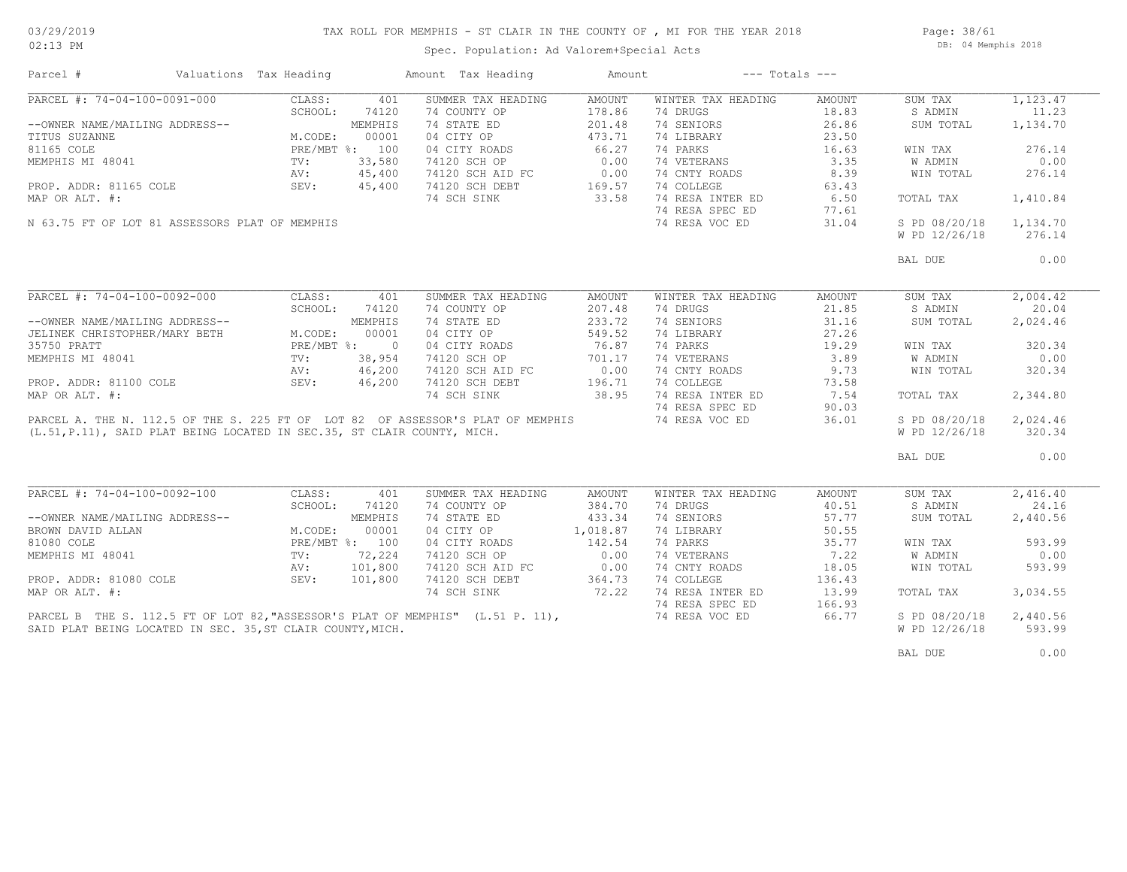Page: 38/61 DB: 04 Memphis 2018

| Parcel #                                                                                                                                     | Valuations Tax Heading                                                                        |              | Amount Tax Heading                                                 | Amount           |                                                | $---$ Totals $---$ |                    |                   |
|----------------------------------------------------------------------------------------------------------------------------------------------|-----------------------------------------------------------------------------------------------|--------------|--------------------------------------------------------------------|------------------|------------------------------------------------|--------------------|--------------------|-------------------|
| PARCEL #: 74-04-100-0091-000                                                                                                                 | CLASS:                                                                                        | 401          | SUMMER TAX HEADING                                                 | AMOUNT           | WINTER TAX HEADING                             | AMOUNT             | SUM TAX            | 1,123.47          |
|                                                                                                                                              | SCHOOL:                                                                                       | 74120        | 74 COUNTY OP                                                       | 178.86           | 74 DRUGS                                       | 18.83              | S ADMIN            | 11.23             |
| --OWNER NAME/MAILING ADDRESS--                                                                                                               |                                                                                               | MEMPHIS      | 74 STATE ED                                                        | 201.48           | 74 SENIORS                                     | 26.86              | SUM TOTAL          | 1,134.70          |
| TITUS SUZANNE                                                                                                                                | M.CODE: MEMPHIS<br>M.CODE: 00001<br>PRE/MBT %: 100<br>TV: 33,580<br>AV: 45,400<br>SEV: 45,400 |              | 04 CITY OP 473.71                                                  |                  | 74 LIBRARY                                     | 23.50              |                    |                   |
| 81165 COLE                                                                                                                                   |                                                                                               |              |                                                                    | 66.27            | 74 PARKS                                       | 16.63              | WIN TAX            | 276.14            |
| MEMPHIS MI 48041                                                                                                                             |                                                                                               |              | 04 CITY ROADS<br>74120 SCH OP                                      | 0.00             | 74 VETERANS                                    | 3.35               | W ADMIN            | 0.00              |
|                                                                                                                                              |                                                                                               |              |                                                                    |                  | 74 CNTY ROADS                                  | 8.39               | WIN TOTAL          | 276.14            |
|                                                                                                                                              |                                                                                               |              | 74120 SCH AID FC 0.00<br>74120 SCH DEBT 169.57                     |                  | 74 COLLEGE                                     | 63.43              |                    |                   |
| PROP. ADDR: 81165 COLE                                                                                                                       |                                                                                               |              |                                                                    |                  |                                                |                    |                    |                   |
| MAP OR ALT. #:                                                                                                                               |                                                                                               |              | 74 SCH SINK                                                        | 33.58            | 74 RESA INTER ED 6.50<br>74 RESA SPEC ED 77.61 |                    | TOTAL TAX          | 1,410.84          |
|                                                                                                                                              |                                                                                               |              |                                                                    |                  | 74 RESA SPEC ED                                | 77.61              |                    |                   |
| N 63.75 FT OF LOT 81 ASSESSORS PLAT OF MEMPHIS                                                                                               |                                                                                               |              |                                                                    |                  | 74 RESA VOC ED                                 | 31.04              | S PD 08/20/18      | 1,134.70          |
|                                                                                                                                              |                                                                                               |              |                                                                    |                  |                                                |                    | W PD 12/26/18      | 276.14            |
|                                                                                                                                              |                                                                                               |              |                                                                    |                  |                                                |                    | BAL DUE            | 0.00              |
|                                                                                                                                              |                                                                                               |              |                                                                    |                  |                                                |                    |                    |                   |
| PARCEL #: 74-04-100-0092-000                                                                                                                 | CLASS:                                                                                        | 401          | SUMMER TAX HEADING                                                 | AMOUNT           | WINTER TAX HEADING                             | AMOUNT             | SUM TAX            | 2,004.42          |
|                                                                                                                                              | SCHOOL:                                                                                       | 74120        | 74 COUNTY OP                                                       | 207.48           | 74 DRUGS                                       | 21.85              | S ADMIN            | 20.04             |
| --OWNER NAME/MAILING ADDRESS--                                                                                                               |                                                                                               | MEMPHIS      | 74 STATE ED                                                        | 233.72           | 74 SENIORS                                     | 31.16              | SUM TOTAL          | 2,024.46          |
| JELINEK CHRISTOPHER/MARY BETH                                                                                                                | M.CODE:                                                                                       | 00001        | 04 CITY OP                                                         | 549.52           | 74 LIBRARY                                     | 27.26              |                    |                   |
| 35750 PRATT                                                                                                                                  |                                                                                               | PRE/MBT %: 0 | 04 CITY ROADS                                                      | 76.87            | 74 PARKS                                       | 19.29              | WIN TAX            | 320.34            |
|                                                                                                                                              |                                                                                               |              | 74120 SCH OP                                                       | 701.17           | 74 VETERANS                                    | 3.89               | W ADMIN            | 0.00              |
| MEMPHIS MI 48041<br>PROP. ADDR: 81100 COLE 38, 954<br>PROP. ADDR: 81100 COLE 5EV: 46, 200                                                    |                                                                                               |              |                                                                    |                  |                                                |                    |                    |                   |
|                                                                                                                                              |                                                                                               |              | 74120 SCH AID FC<br>74120 SCH AID FC 0.00<br>74120 SCH DEBT 196.71 |                  | 74 CNTY ROADS<br>74 COLLEGE                    | 9.73               | WIN TOTAL          | 320.34            |
|                                                                                                                                              |                                                                                               |              | 74120 SCH DEBT                                                     | 196.71           |                                                | 73.58              |                    |                   |
| MAP OR ALT. #:                                                                                                                               |                                                                                               |              | 74 SCH SINK                                                        | 38.95            | 74 RESA INTER ED                               | 7.54               | TOTAL TAX          | 2,344.80          |
|                                                                                                                                              |                                                                                               |              |                                                                    |                  | 74 RESA SPEC ED                                | 90.03              |                    |                   |
| PARCEL A. THE N. 112.5 OF THE S. 225 FT OF LOT 82 OF ASSESSOR'S PLAT OF MEMPHIS                                                              |                                                                                               |              |                                                                    |                  | 74 RESA VOC ED                                 | 36.01              | S PD 08/20/18      | 2,024.46          |
| (L.51, P.11), SAID PLAT BEING LOCATED IN SEC.35, ST CLAIR COUNTY, MICH.                                                                      |                                                                                               |              |                                                                    |                  |                                                |                    | W PD 12/26/18      | 320.34            |
|                                                                                                                                              |                                                                                               |              |                                                                    |                  |                                                |                    | BAL DUE            | 0.00              |
|                                                                                                                                              |                                                                                               |              |                                                                    |                  |                                                |                    |                    |                   |
| PARCEL #: 74-04-100-0092-100                                                                                                                 | CLASS:<br>SCHOOL:                                                                             | 401          | SUMMER TAX HEADING                                                 | AMOUNT<br>384.70 | WINTER TAX HEADING<br>74 DRUGS                 | AMOUNT<br>40.51    | SUM TAX<br>S ADMIN | 2,416.40<br>24.16 |
|                                                                                                                                              |                                                                                               | 74120        | 74 COUNTY OP                                                       |                  |                                                |                    |                    |                   |
|                                                                                                                                              |                                                                                               |              | 74 STATE ED                                                        | 433.34           | 74 SENIORS                                     | 57.77              | SUM TOTAL          | 2,440.56          |
| --OWNER NAME/MAILING ADDRESS--<br>BROWN DAVID ALLAN M.CODE: 00001<br>81080 COLE PRE/MBT %: 100<br>MEMPHIS MI 48041 TV: 72,224<br>AV: 101,800 |                                                                                               |              | 04 CITY OP                                                         | 1,018.87         | 74 LIBRARY                                     | 50.55              |                    |                   |
|                                                                                                                                              |                                                                                               |              | 04 CITY ROADS                                                      | 142.54           | 74 PARKS                                       | 35.77              | WIN TAX            | 593.99            |
|                                                                                                                                              |                                                                                               |              | 74120 SCH OP                                                       | $0.00$<br>$0.00$ | 74 VETERANS                                    | 7.22               | W ADMIN            | 0.00              |
|                                                                                                                                              |                                                                                               |              | 74120 SCH AID FC                                                   |                  | 74 CNTY ROADS                                  | 18.05              | WIN TOTAL          | 593.99            |
| PROP. ADDR: 81080 COLE                                                                                                                       | SEV:                                                                                          | 101,800      | 74120 SCH DEBT                                                     | 364.73           | 74 COLLEGE                                     | 136.43             |                    |                   |
| MAP OR ALT. #:                                                                                                                               |                                                                                               |              | 74 SCH SINK                                                        | 72.22            | 74 RESA INTER ED                               | 13.99              | TOTAL TAX          | 3,034.55          |
|                                                                                                                                              |                                                                                               |              |                                                                    |                  | 74 RESA SPEC ED                                | 166.93             |                    |                   |
| PARCEL B THE S. 112.5 FT OF LOT 82, "ASSESSOR'S PLAT OF MEMPHIS" (L.51 P. 11),                                                               |                                                                                               |              |                                                                    |                  | 74 RESA VOC ED                                 | 66.77              | S PD 08/20/18      | 2,440.56          |
| SAID PLAT BEING LOCATED IN SEC. 35, ST CLAIR COUNTY, MICH.                                                                                   |                                                                                               |              |                                                                    |                  |                                                |                    | W PD 12/26/18      | 593.99            |
|                                                                                                                                              |                                                                                               |              |                                                                    |                  |                                                |                    | BAL DUE            | 0.00              |
|                                                                                                                                              |                                                                                               |              |                                                                    |                  |                                                |                    |                    |                   |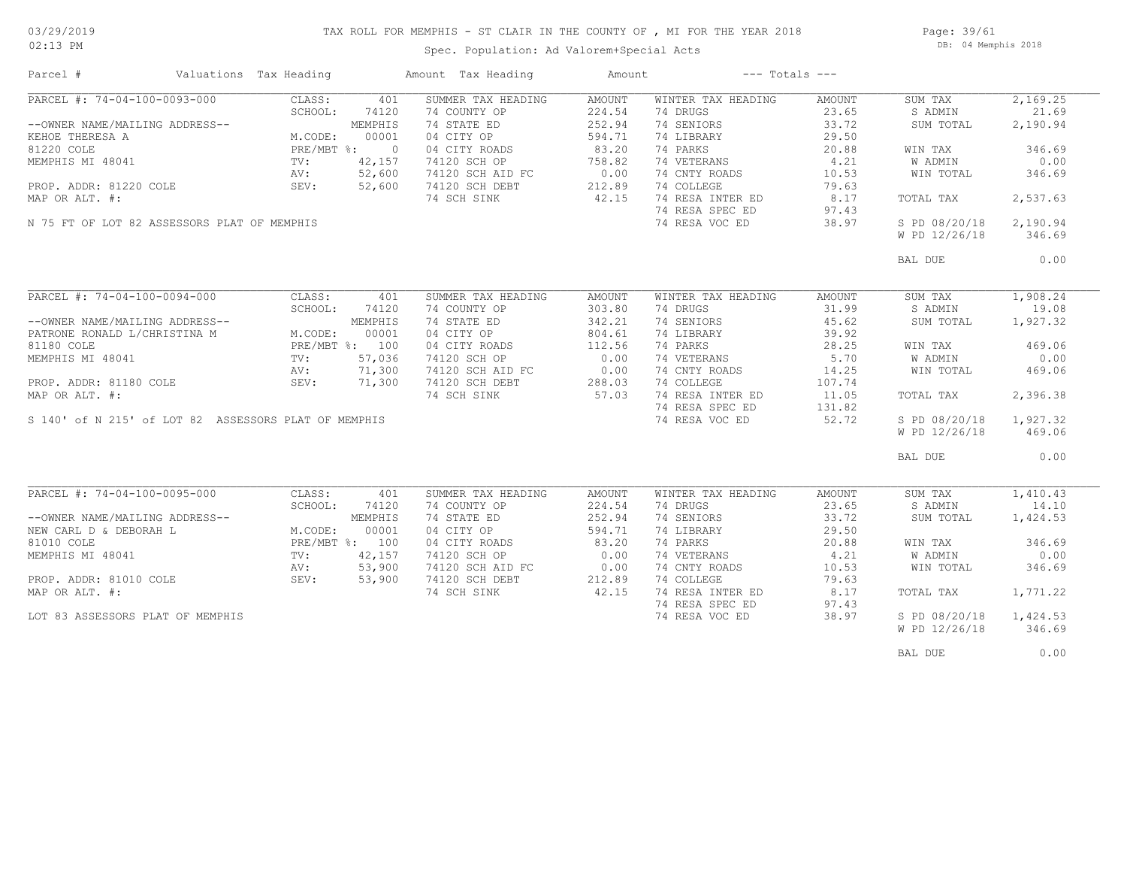### TAX ROLL FOR MEMPHIS - ST CLAIR IN THE COUNTY OF , MI FOR THE YEAR 2018

Spec. Population: Ad Valorem+Special Acts

Page: 39/61 DB: 04 Memphis 2018

| Parcel #                                                       | Valuations Tax Heading         | Amount Tax Heading                                                                      | Amount | $---$ Totals $---$    |                 |               |          |
|----------------------------------------------------------------|--------------------------------|-----------------------------------------------------------------------------------------|--------|-----------------------|-----------------|---------------|----------|
| PARCEL #: 74-04-100-0093-000                                   | CLASS:                         | 401<br>SUMMER TAX HEADING                                                               | AMOUNT | WINTER TAX HEADING    | AMOUNT          | SUM TAX       | 2,169.25 |
|                                                                | SCHOOL:<br>74120               | 74 COUNTY OP                                                                            | 224.54 | 74 DRUGS              | 23.65           | S ADMIN       | 21.69    |
| --OWNER NAME/MAILING ADDRESS--                                 | MEMPHIS                        | 74 STATE ED                                                                             | 252.94 | 74 SENIORS            | 33.72           | SUM TOTAL     | 2,190.94 |
| KEHOE THERESA A                                                | M.CODE:                        | 04 CITY OP<br>00001                                                                     | 594.71 | 74 LIBRARY            | 29.50           |               |          |
| 81220 COLE                                                     | PRE/MBT %: 0                   | 04 CITY ROADS                                                                           | 83.20  | 74 PARKS              | 20.88           | WIN TAX       | 346.69   |
| MEMPHIS MI 48041                                               | PRE/ME<br>TV:<br>AV:<br>42,157 | 74120 SCH OP                                                                            | 758.82 | 74 VETERANS           | 4.21            | W ADMIN       | 0.00     |
|                                                                | 52,600                         |                                                                                         |        | 74 CNTY ROADS         | 10.53           | WIN TOTAL     | 346.69   |
| PROP. ADDR: 81220 COLE                                         | SEV: 52,600                    | 74120 SCH AID FC<br>74120 SCH AID FC 0.00<br>74120 SCH DEBT 212.89<br>74 SCH SINK 42.15 |        | 74 COLLEGE            | 79.63           |               |          |
| MAP OR ALT. #:                                                 |                                |                                                                                         |        | 74 RESA INTER ED 8.17 |                 | TOTAL TAX     | 2,537.63 |
|                                                                |                                |                                                                                         |        | 74 RESA SPEC ED       | 97.43           |               |          |
| N 75 FT OF LOT 82 ASSESSORS PLAT OF MEMPHIS                    |                                |                                                                                         |        | 74 RESA VOC ED        | 38.97           | S PD 08/20/18 | 2,190.94 |
|                                                                |                                |                                                                                         |        |                       |                 | W PD 12/26/18 | 346.69   |
|                                                                |                                |                                                                                         |        |                       |                 |               |          |
|                                                                |                                |                                                                                         |        |                       |                 | BAL DUE       | 0.00     |
|                                                                |                                |                                                                                         |        |                       |                 |               |          |
| PARCEL #: 74-04-100-0094-000                                   | CLASS:                         | SUMMER TAX HEADING<br>401                                                               | AMOUNT | WINTER TAX HEADING    | AMOUNT          | SUM TAX       | 1,908.24 |
|                                                                | SCHOOL:<br>74120               | 74 COUNTY OP                                                                            | 303.80 | 74 DRUGS              | 31.99           | S ADMIN       | 19.08    |
|                                                                | MEMPHIS                        | 74 STATE ED                                                                             | 342.21 | 74 SENIORS            | 45.62           | SUM TOTAL     | 1,927.32 |
| --OWNER NAME/MAILING ADDRESS--<br>PATRONE RONALD L/CHRISTINA M | M.CODE:                        | 00001<br>04 CITY OP                                                                     | 804.61 | 74 LIBRARY            | 39.92           |               |          |
| 81180 COLE                                                     | PRE/MBT %: 100                 | 04 CITY ROADS                                                                           | 112.56 | 74 PARKS              | 28.25           | WIN TAX       | 469.06   |
| MEMPHIS MI 48041                                               | $\texttt{TV}$ :                | 57,036<br>74120 SCH OP                                                                  | 0.00   | 74 VETERANS           | 5.70            | W ADMIN       | 0.00     |
|                                                                | 71,300                         |                                                                                         |        | 74 CNTY ROADS         | 14.25           | WIN TOTAL     | 469.06   |
|                                                                | 71,300                         | 74120 SCH AID FC 0.00<br>74120 SCH DEBT 288.03<br>74 SCH SINK 57.03                     |        | 74 COLLEGE            |                 |               |          |
|                                                                |                                |                                                                                         |        |                       | 107.74<br>11.05 |               |          |
|                                                                |                                |                                                                                         |        | 74 RESA INTER ED      |                 | TOTAL TAX     | 2,396.38 |
|                                                                |                                |                                                                                         |        | 74 RESA SPEC ED       | 131.82          |               |          |
| S 140' of N 215' of LOT 82 ASSESSORS PLAT OF MEMPHIS           |                                |                                                                                         |        | 74 RESA VOC ED        | 52.72           | S PD 08/20/18 | 1,927.32 |
|                                                                |                                |                                                                                         |        |                       |                 | W PD 12/26/18 | 469.06   |
|                                                                |                                |                                                                                         |        |                       |                 | BAL DUE       | 0.00     |
|                                                                |                                |                                                                                         |        |                       |                 |               |          |
| $\overline{\text{PARCH}}$ #: 74-04-100-0095-000                | CLASS:                         | SUMMER TAX HEADING<br>401                                                               | AMOUNT | WINTER TAX HEADING    | AMOUNT          | SUM TAX       | 1,410.43 |
|                                                                | SCHOOL:                        | 74120<br>74 COUNTY OP                                                                   | 224.54 | 74 DRUGS              | 23.65           | S ADMIN       | 14.10    |
| --OWNER NAME/MAILING ADDRESS--                                 | MEMPHIS                        | 74 STATE ED                                                                             | 252.94 | 74 SENIORS            | 33.72           | SUM TOTAL     | 1,424.53 |
| NEW CARL D & DEBORAH L                                         | M.CODE:                        | 00001<br>04 CITY OP                                                                     | 594.71 | 74 LIBRARY            | 29.50           |               |          |
| 81010 COLE                                                     | PRE/MBT %: 100                 | 04 CITY ROADS                                                                           | 83.20  | 74 PARKS              | 20.88           | WIN TAX       | 346.69   |
| MEMPHIS MI 48041                                               | 42,157<br>$\text{TV}$ :        | 74120 SCH OP                                                                            | 0.00   | 74 VETERANS           | 4.21            | W ADMIN       | 0.00     |
|                                                                | AV:<br>53,900                  |                                                                                         |        | 74 CNTY ROADS         | 10.53           | WIN TOTAL     | 346.69   |
| PROP. ADDR: 81010 COLE                                         | SEV:<br>53,900                 | 74120 SCH AID FC 0.00<br>74120 SCH DEBT 212.89                                          |        | 74 COLLEGE            | 79.63           |               |          |
| MAP OR ALT. #:                                                 |                                | 74 SCH SINK                                                                             | 42.15  | 74 RESA INTER ED      |                 | TOTAL TAX     | 1,771.22 |
|                                                                |                                |                                                                                         |        |                       | 8.17            |               |          |
|                                                                |                                |                                                                                         |        | 74 RESA SPEC ED       | 97.43           |               |          |
| LOT 83 ASSESSORS PLAT OF MEMPHIS                               |                                |                                                                                         |        | 74 RESA VOC ED        | 38.97           | S PD 08/20/18 | 1,424.53 |
|                                                                |                                |                                                                                         |        |                       |                 | W PD 12/26/18 | 346.69   |
|                                                                |                                |                                                                                         |        |                       |                 | BAL DUE       | 0.00     |
|                                                                |                                |                                                                                         |        |                       |                 |               |          |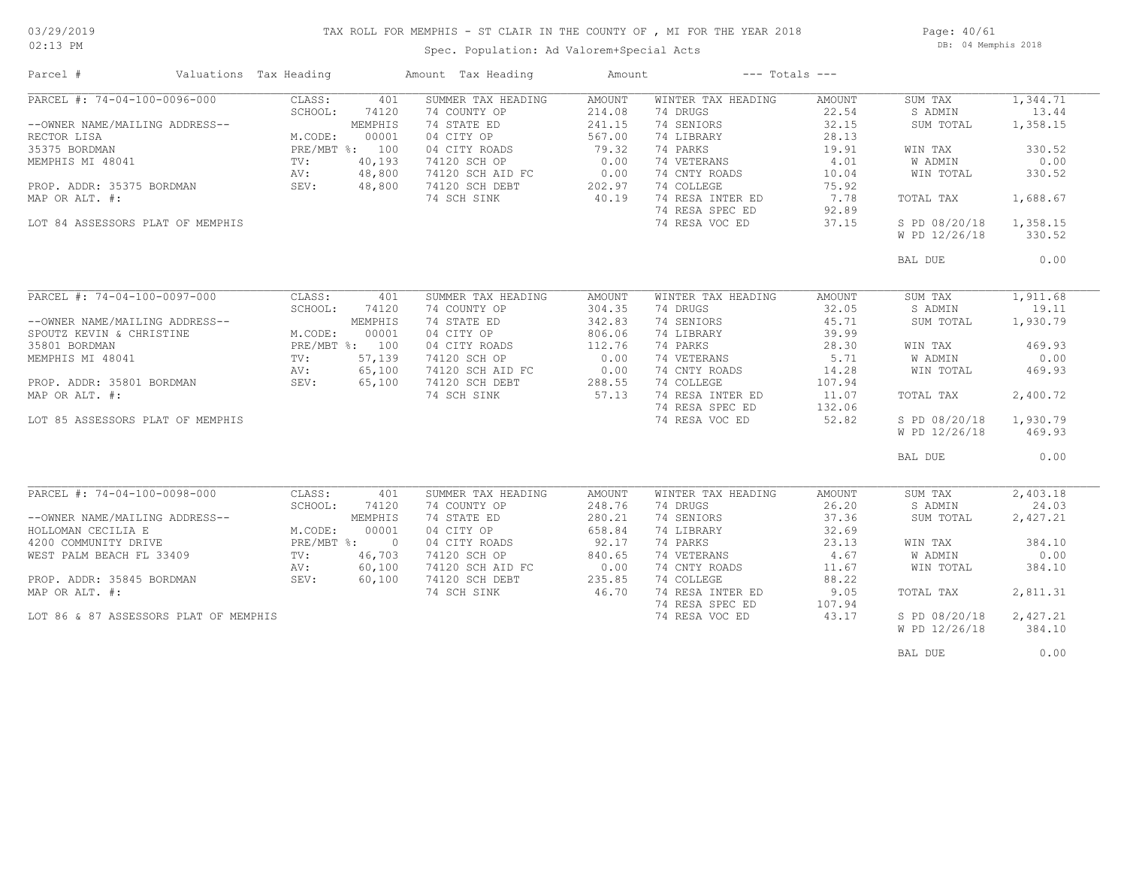### TAX ROLL FOR MEMPHIS - ST CLAIR IN THE COUNTY OF , MI FOR THE YEAR 2018

02:13 PM

### Spec. Population: Ad Valorem+Special Acts

Page: 40/61 DB: 04 Memphis 2018

| PARCEL #: 74-04-100-0096-000<br>CLASS:<br>401<br>SUMMER TAX HEADING<br>WINTER TAX HEADING<br>AMOUNT<br>AMOUNT<br>SUM TAX<br>SCHOOL:<br>74120<br>74 COUNTY OP<br>214.08<br>74 DRUGS<br>22.54<br>S ADMIN<br>MEMPHIS<br>74 STATE ED<br>74 SENIORS<br>32.15<br>1,358.15<br>--OWNER NAME/MAILING ADDRESS--<br>241.15<br>SUM TOTAL<br>M.CODE:<br>00001<br>04 CITY OP<br>567.00<br>74 LIBRARY<br>28.13<br>RECTOR LISA<br>PRE/MBT %: 100<br>74 PARKS<br>35375 BORDMAN<br>04 CITY ROADS<br>79.32<br>19.91<br>WIN TAX<br>330.52<br>40,193<br>0.00<br>74 VETERANS<br>4.01<br>0.00<br>MEMPHIS MI 48041<br>TV:<br>74120 SCH OP<br>W ADMIN<br>48,800<br>0.00<br>74120 SCH AID FC<br>74 CNTY ROADS<br>10.04<br>WIN TOTAL<br>330.52<br>AV:<br>48,800<br>202.97<br>74 COLLEGE<br>75.92<br>PROP. ADDR: 35375 BORDMAN<br>SEV:<br>74120 SCH DEBT<br>40.19<br>7.78<br>74 SCH SINK<br>74 RESA INTER ED<br>1,688.67<br>MAP OR ALT. #:<br>TOTAL TAX<br>74 RESA SPEC ED<br>92.89<br>74 RESA VOC ED<br>37.15<br>S PD 08/20/18<br>1,358.15<br>LOT 84 ASSESSORS PLAT OF MEMPHIS<br>W PD 12/26/18<br>330.52<br>BAL DUE<br>PARCEL #: 74-04-100-0097-000<br>CLASS:<br>401<br>SUMMER TAX HEADING<br>AMOUNT<br>WINTER TAX HEADING<br>AMOUNT<br>SUM TAX<br>304.35<br>74 DRUGS<br>32.05<br>S ADMIN<br>19.11<br>SCHOOL:<br>74120<br>74 COUNTY OP<br>--OWNER NAME/MAILING ADDRESS--<br>MEMPHIS<br>74 STATE ED<br>342.83<br>74 SENIORS<br>45.71<br>1,930.79<br>SUM TOTAL<br>04 CITY OP<br>806.06<br>74 LIBRARY<br>39.99<br>SPOUTZ KEVIN & CHRISTINE<br>M.CODE:<br>00001<br>PRE/MBT %: 100<br>112.76<br>74 PARKS<br>28.30<br>35801 BORDMAN<br>04 CITY ROADS<br>WIN TAX<br>469.93<br>MEMPHIS MI 48041<br>57,139<br>74120 SCH OP<br>0.00<br>74 VETERANS<br>5.71<br><b>W ADMIN</b><br>0.00<br>TV:<br>65,100<br>0.00<br>74 CNTY ROADS<br>14.28<br>469.93<br>74120 SCH AID FC<br>WIN TOTAL<br>AV:<br>74 COLLEGE<br>74120 SCH DEBT<br>PROP. ADDR: 35801 BORDMAN<br>SEV:<br>65,100<br>288.55<br>107.94<br>57.13<br>74 RESA INTER ED<br>2,400.72<br>MAP OR ALT. #:<br>74 SCH SINK<br>11.07<br>TOTAL TAX<br>74 RESA SPEC ED<br>132.06<br>74 RESA VOC ED<br>52.82<br>S PD 08/20/18<br>1,930.79<br>LOT 85 ASSESSORS PLAT OF MEMPHIS<br>W PD 12/26/18<br>469.93<br>0.00<br>BAL DUE<br>PARCEL #: 74-04-100-0098-000<br>2,403.18<br>CLASS:<br>401<br>SUMMER TAX HEADING<br>AMOUNT<br>WINTER TAX HEADING<br>AMOUNT<br>SUM TAX<br>SCHOOL:<br>74 COUNTY OP<br>74 DRUGS<br>24.03<br>74120<br>248.76<br>26.20<br>S ADMIN<br>74 SENIORS<br>--OWNER NAME/MAILING ADDRESS--<br>MEMPHIS<br>74 STATE ED<br>280.21<br>37.36<br>SUM TOTAL<br>2,427.21<br>M.CODE:<br>00001<br>04 CITY OP<br>658.84<br>74 LIBRARY<br>32.69<br>PRE/MBT %: 0<br>04 CITY ROADS<br>92.17<br>74 PARKS<br>23.13<br>WIN TAX<br>384.10<br>840.65<br>74 VETERANS<br>4.67<br>0.00<br>WEST PALM BEACH FL 33409<br>46,703<br>74120 SCH OP<br>TV:<br>W ADMIN<br>60,100<br>74120 SCH AID FC<br>0.00<br>74 CNTY ROADS<br>AV:<br>11.67<br>WIN TOTAL<br>384.10<br>235.85<br>74 COLLEGE<br>PROP. ADDR: 35845 BORDMAN<br>SEV:<br>60,100<br>74120 SCH DEBT<br>88.22<br>MAP OR ALT. #:<br>46.70<br>74 RESA INTER ED<br>9.05<br>74 SCH SINK<br>TOTAL TAX<br>2,811.31<br>74 RESA SPEC ED<br>107.94<br>2,427.21<br>LOT 86 & 87 ASSESSORS PLAT OF MEMPHIS<br>74 RESA VOC ED<br>43.17<br>S PD 08/20/18<br>W PD 12/26/18<br>384.10 | Parcel #             | Valuations Tax Heading | Amount Tax Heading | Amount | $---$ Totals $---$ |  |          |
|----------------------------------------------------------------------------------------------------------------------------------------------------------------------------------------------------------------------------------------------------------------------------------------------------------------------------------------------------------------------------------------------------------------------------------------------------------------------------------------------------------------------------------------------------------------------------------------------------------------------------------------------------------------------------------------------------------------------------------------------------------------------------------------------------------------------------------------------------------------------------------------------------------------------------------------------------------------------------------------------------------------------------------------------------------------------------------------------------------------------------------------------------------------------------------------------------------------------------------------------------------------------------------------------------------------------------------------------------------------------------------------------------------------------------------------------------------------------------------------------------------------------------------------------------------------------------------------------------------------------------------------------------------------------------------------------------------------------------------------------------------------------------------------------------------------------------------------------------------------------------------------------------------------------------------------------------------------------------------------------------------------------------------------------------------------------------------------------------------------------------------------------------------------------------------------------------------------------------------------------------------------------------------------------------------------------------------------------------------------------------------------------------------------------------------------------------------------------------------------------------------------------------------------------------------------------------------------------------------------------------------------------------------------------------------------------------------------------------------------------------------------------------------------------------------------------------------------------------------------------------------------------------------------------------------------------------------------------------------------------------------------------------------------------------------------------------------------------------------------------------------------------------------------------------------------------------------------------------------------------------------------------------------------------------------------------|----------------------|------------------------|--------------------|--------|--------------------|--|----------|
|                                                                                                                                                                                                                                                                                                                                                                                                                                                                                                                                                                                                                                                                                                                                                                                                                                                                                                                                                                                                                                                                                                                                                                                                                                                                                                                                                                                                                                                                                                                                                                                                                                                                                                                                                                                                                                                                                                                                                                                                                                                                                                                                                                                                                                                                                                                                                                                                                                                                                                                                                                                                                                                                                                                                                                                                                                                                                                                                                                                                                                                                                                                                                                                                                                                                                                                      |                      |                        |                    |        |                    |  | 1,344.71 |
|                                                                                                                                                                                                                                                                                                                                                                                                                                                                                                                                                                                                                                                                                                                                                                                                                                                                                                                                                                                                                                                                                                                                                                                                                                                                                                                                                                                                                                                                                                                                                                                                                                                                                                                                                                                                                                                                                                                                                                                                                                                                                                                                                                                                                                                                                                                                                                                                                                                                                                                                                                                                                                                                                                                                                                                                                                                                                                                                                                                                                                                                                                                                                                                                                                                                                                                      |                      |                        |                    |        |                    |  | 13.44    |
|                                                                                                                                                                                                                                                                                                                                                                                                                                                                                                                                                                                                                                                                                                                                                                                                                                                                                                                                                                                                                                                                                                                                                                                                                                                                                                                                                                                                                                                                                                                                                                                                                                                                                                                                                                                                                                                                                                                                                                                                                                                                                                                                                                                                                                                                                                                                                                                                                                                                                                                                                                                                                                                                                                                                                                                                                                                                                                                                                                                                                                                                                                                                                                                                                                                                                                                      |                      |                        |                    |        |                    |  |          |
|                                                                                                                                                                                                                                                                                                                                                                                                                                                                                                                                                                                                                                                                                                                                                                                                                                                                                                                                                                                                                                                                                                                                                                                                                                                                                                                                                                                                                                                                                                                                                                                                                                                                                                                                                                                                                                                                                                                                                                                                                                                                                                                                                                                                                                                                                                                                                                                                                                                                                                                                                                                                                                                                                                                                                                                                                                                                                                                                                                                                                                                                                                                                                                                                                                                                                                                      |                      |                        |                    |        |                    |  |          |
|                                                                                                                                                                                                                                                                                                                                                                                                                                                                                                                                                                                                                                                                                                                                                                                                                                                                                                                                                                                                                                                                                                                                                                                                                                                                                                                                                                                                                                                                                                                                                                                                                                                                                                                                                                                                                                                                                                                                                                                                                                                                                                                                                                                                                                                                                                                                                                                                                                                                                                                                                                                                                                                                                                                                                                                                                                                                                                                                                                                                                                                                                                                                                                                                                                                                                                                      |                      |                        |                    |        |                    |  |          |
|                                                                                                                                                                                                                                                                                                                                                                                                                                                                                                                                                                                                                                                                                                                                                                                                                                                                                                                                                                                                                                                                                                                                                                                                                                                                                                                                                                                                                                                                                                                                                                                                                                                                                                                                                                                                                                                                                                                                                                                                                                                                                                                                                                                                                                                                                                                                                                                                                                                                                                                                                                                                                                                                                                                                                                                                                                                                                                                                                                                                                                                                                                                                                                                                                                                                                                                      |                      |                        |                    |        |                    |  |          |
|                                                                                                                                                                                                                                                                                                                                                                                                                                                                                                                                                                                                                                                                                                                                                                                                                                                                                                                                                                                                                                                                                                                                                                                                                                                                                                                                                                                                                                                                                                                                                                                                                                                                                                                                                                                                                                                                                                                                                                                                                                                                                                                                                                                                                                                                                                                                                                                                                                                                                                                                                                                                                                                                                                                                                                                                                                                                                                                                                                                                                                                                                                                                                                                                                                                                                                                      |                      |                        |                    |        |                    |  |          |
|                                                                                                                                                                                                                                                                                                                                                                                                                                                                                                                                                                                                                                                                                                                                                                                                                                                                                                                                                                                                                                                                                                                                                                                                                                                                                                                                                                                                                                                                                                                                                                                                                                                                                                                                                                                                                                                                                                                                                                                                                                                                                                                                                                                                                                                                                                                                                                                                                                                                                                                                                                                                                                                                                                                                                                                                                                                                                                                                                                                                                                                                                                                                                                                                                                                                                                                      |                      |                        |                    |        |                    |  |          |
|                                                                                                                                                                                                                                                                                                                                                                                                                                                                                                                                                                                                                                                                                                                                                                                                                                                                                                                                                                                                                                                                                                                                                                                                                                                                                                                                                                                                                                                                                                                                                                                                                                                                                                                                                                                                                                                                                                                                                                                                                                                                                                                                                                                                                                                                                                                                                                                                                                                                                                                                                                                                                                                                                                                                                                                                                                                                                                                                                                                                                                                                                                                                                                                                                                                                                                                      |                      |                        |                    |        |                    |  |          |
|                                                                                                                                                                                                                                                                                                                                                                                                                                                                                                                                                                                                                                                                                                                                                                                                                                                                                                                                                                                                                                                                                                                                                                                                                                                                                                                                                                                                                                                                                                                                                                                                                                                                                                                                                                                                                                                                                                                                                                                                                                                                                                                                                                                                                                                                                                                                                                                                                                                                                                                                                                                                                                                                                                                                                                                                                                                                                                                                                                                                                                                                                                                                                                                                                                                                                                                      |                      |                        |                    |        |                    |  |          |
|                                                                                                                                                                                                                                                                                                                                                                                                                                                                                                                                                                                                                                                                                                                                                                                                                                                                                                                                                                                                                                                                                                                                                                                                                                                                                                                                                                                                                                                                                                                                                                                                                                                                                                                                                                                                                                                                                                                                                                                                                                                                                                                                                                                                                                                                                                                                                                                                                                                                                                                                                                                                                                                                                                                                                                                                                                                                                                                                                                                                                                                                                                                                                                                                                                                                                                                      |                      |                        |                    |        |                    |  |          |
|                                                                                                                                                                                                                                                                                                                                                                                                                                                                                                                                                                                                                                                                                                                                                                                                                                                                                                                                                                                                                                                                                                                                                                                                                                                                                                                                                                                                                                                                                                                                                                                                                                                                                                                                                                                                                                                                                                                                                                                                                                                                                                                                                                                                                                                                                                                                                                                                                                                                                                                                                                                                                                                                                                                                                                                                                                                                                                                                                                                                                                                                                                                                                                                                                                                                                                                      |                      |                        |                    |        |                    |  |          |
|                                                                                                                                                                                                                                                                                                                                                                                                                                                                                                                                                                                                                                                                                                                                                                                                                                                                                                                                                                                                                                                                                                                                                                                                                                                                                                                                                                                                                                                                                                                                                                                                                                                                                                                                                                                                                                                                                                                                                                                                                                                                                                                                                                                                                                                                                                                                                                                                                                                                                                                                                                                                                                                                                                                                                                                                                                                                                                                                                                                                                                                                                                                                                                                                                                                                                                                      |                      |                        |                    |        |                    |  |          |
|                                                                                                                                                                                                                                                                                                                                                                                                                                                                                                                                                                                                                                                                                                                                                                                                                                                                                                                                                                                                                                                                                                                                                                                                                                                                                                                                                                                                                                                                                                                                                                                                                                                                                                                                                                                                                                                                                                                                                                                                                                                                                                                                                                                                                                                                                                                                                                                                                                                                                                                                                                                                                                                                                                                                                                                                                                                                                                                                                                                                                                                                                                                                                                                                                                                                                                                      |                      |                        |                    |        |                    |  | 0.00     |
|                                                                                                                                                                                                                                                                                                                                                                                                                                                                                                                                                                                                                                                                                                                                                                                                                                                                                                                                                                                                                                                                                                                                                                                                                                                                                                                                                                                                                                                                                                                                                                                                                                                                                                                                                                                                                                                                                                                                                                                                                                                                                                                                                                                                                                                                                                                                                                                                                                                                                                                                                                                                                                                                                                                                                                                                                                                                                                                                                                                                                                                                                                                                                                                                                                                                                                                      |                      |                        |                    |        |                    |  |          |
|                                                                                                                                                                                                                                                                                                                                                                                                                                                                                                                                                                                                                                                                                                                                                                                                                                                                                                                                                                                                                                                                                                                                                                                                                                                                                                                                                                                                                                                                                                                                                                                                                                                                                                                                                                                                                                                                                                                                                                                                                                                                                                                                                                                                                                                                                                                                                                                                                                                                                                                                                                                                                                                                                                                                                                                                                                                                                                                                                                                                                                                                                                                                                                                                                                                                                                                      |                      |                        |                    |        |                    |  | 1,911.68 |
|                                                                                                                                                                                                                                                                                                                                                                                                                                                                                                                                                                                                                                                                                                                                                                                                                                                                                                                                                                                                                                                                                                                                                                                                                                                                                                                                                                                                                                                                                                                                                                                                                                                                                                                                                                                                                                                                                                                                                                                                                                                                                                                                                                                                                                                                                                                                                                                                                                                                                                                                                                                                                                                                                                                                                                                                                                                                                                                                                                                                                                                                                                                                                                                                                                                                                                                      |                      |                        |                    |        |                    |  |          |
|                                                                                                                                                                                                                                                                                                                                                                                                                                                                                                                                                                                                                                                                                                                                                                                                                                                                                                                                                                                                                                                                                                                                                                                                                                                                                                                                                                                                                                                                                                                                                                                                                                                                                                                                                                                                                                                                                                                                                                                                                                                                                                                                                                                                                                                                                                                                                                                                                                                                                                                                                                                                                                                                                                                                                                                                                                                                                                                                                                                                                                                                                                                                                                                                                                                                                                                      |                      |                        |                    |        |                    |  |          |
|                                                                                                                                                                                                                                                                                                                                                                                                                                                                                                                                                                                                                                                                                                                                                                                                                                                                                                                                                                                                                                                                                                                                                                                                                                                                                                                                                                                                                                                                                                                                                                                                                                                                                                                                                                                                                                                                                                                                                                                                                                                                                                                                                                                                                                                                                                                                                                                                                                                                                                                                                                                                                                                                                                                                                                                                                                                                                                                                                                                                                                                                                                                                                                                                                                                                                                                      |                      |                        |                    |        |                    |  |          |
|                                                                                                                                                                                                                                                                                                                                                                                                                                                                                                                                                                                                                                                                                                                                                                                                                                                                                                                                                                                                                                                                                                                                                                                                                                                                                                                                                                                                                                                                                                                                                                                                                                                                                                                                                                                                                                                                                                                                                                                                                                                                                                                                                                                                                                                                                                                                                                                                                                                                                                                                                                                                                                                                                                                                                                                                                                                                                                                                                                                                                                                                                                                                                                                                                                                                                                                      |                      |                        |                    |        |                    |  |          |
|                                                                                                                                                                                                                                                                                                                                                                                                                                                                                                                                                                                                                                                                                                                                                                                                                                                                                                                                                                                                                                                                                                                                                                                                                                                                                                                                                                                                                                                                                                                                                                                                                                                                                                                                                                                                                                                                                                                                                                                                                                                                                                                                                                                                                                                                                                                                                                                                                                                                                                                                                                                                                                                                                                                                                                                                                                                                                                                                                                                                                                                                                                                                                                                                                                                                                                                      |                      |                        |                    |        |                    |  |          |
|                                                                                                                                                                                                                                                                                                                                                                                                                                                                                                                                                                                                                                                                                                                                                                                                                                                                                                                                                                                                                                                                                                                                                                                                                                                                                                                                                                                                                                                                                                                                                                                                                                                                                                                                                                                                                                                                                                                                                                                                                                                                                                                                                                                                                                                                                                                                                                                                                                                                                                                                                                                                                                                                                                                                                                                                                                                                                                                                                                                                                                                                                                                                                                                                                                                                                                                      |                      |                        |                    |        |                    |  |          |
|                                                                                                                                                                                                                                                                                                                                                                                                                                                                                                                                                                                                                                                                                                                                                                                                                                                                                                                                                                                                                                                                                                                                                                                                                                                                                                                                                                                                                                                                                                                                                                                                                                                                                                                                                                                                                                                                                                                                                                                                                                                                                                                                                                                                                                                                                                                                                                                                                                                                                                                                                                                                                                                                                                                                                                                                                                                                                                                                                                                                                                                                                                                                                                                                                                                                                                                      |                      |                        |                    |        |                    |  |          |
|                                                                                                                                                                                                                                                                                                                                                                                                                                                                                                                                                                                                                                                                                                                                                                                                                                                                                                                                                                                                                                                                                                                                                                                                                                                                                                                                                                                                                                                                                                                                                                                                                                                                                                                                                                                                                                                                                                                                                                                                                                                                                                                                                                                                                                                                                                                                                                                                                                                                                                                                                                                                                                                                                                                                                                                                                                                                                                                                                                                                                                                                                                                                                                                                                                                                                                                      |                      |                        |                    |        |                    |  |          |
|                                                                                                                                                                                                                                                                                                                                                                                                                                                                                                                                                                                                                                                                                                                                                                                                                                                                                                                                                                                                                                                                                                                                                                                                                                                                                                                                                                                                                                                                                                                                                                                                                                                                                                                                                                                                                                                                                                                                                                                                                                                                                                                                                                                                                                                                                                                                                                                                                                                                                                                                                                                                                                                                                                                                                                                                                                                                                                                                                                                                                                                                                                                                                                                                                                                                                                                      |                      |                        |                    |        |                    |  |          |
|                                                                                                                                                                                                                                                                                                                                                                                                                                                                                                                                                                                                                                                                                                                                                                                                                                                                                                                                                                                                                                                                                                                                                                                                                                                                                                                                                                                                                                                                                                                                                                                                                                                                                                                                                                                                                                                                                                                                                                                                                                                                                                                                                                                                                                                                                                                                                                                                                                                                                                                                                                                                                                                                                                                                                                                                                                                                                                                                                                                                                                                                                                                                                                                                                                                                                                                      |                      |                        |                    |        |                    |  |          |
|                                                                                                                                                                                                                                                                                                                                                                                                                                                                                                                                                                                                                                                                                                                                                                                                                                                                                                                                                                                                                                                                                                                                                                                                                                                                                                                                                                                                                                                                                                                                                                                                                                                                                                                                                                                                                                                                                                                                                                                                                                                                                                                                                                                                                                                                                                                                                                                                                                                                                                                                                                                                                                                                                                                                                                                                                                                                                                                                                                                                                                                                                                                                                                                                                                                                                                                      |                      |                        |                    |        |                    |  |          |
|                                                                                                                                                                                                                                                                                                                                                                                                                                                                                                                                                                                                                                                                                                                                                                                                                                                                                                                                                                                                                                                                                                                                                                                                                                                                                                                                                                                                                                                                                                                                                                                                                                                                                                                                                                                                                                                                                                                                                                                                                                                                                                                                                                                                                                                                                                                                                                                                                                                                                                                                                                                                                                                                                                                                                                                                                                                                                                                                                                                                                                                                                                                                                                                                                                                                                                                      |                      |                        |                    |        |                    |  |          |
|                                                                                                                                                                                                                                                                                                                                                                                                                                                                                                                                                                                                                                                                                                                                                                                                                                                                                                                                                                                                                                                                                                                                                                                                                                                                                                                                                                                                                                                                                                                                                                                                                                                                                                                                                                                                                                                                                                                                                                                                                                                                                                                                                                                                                                                                                                                                                                                                                                                                                                                                                                                                                                                                                                                                                                                                                                                                                                                                                                                                                                                                                                                                                                                                                                                                                                                      |                      |                        |                    |        |                    |  |          |
|                                                                                                                                                                                                                                                                                                                                                                                                                                                                                                                                                                                                                                                                                                                                                                                                                                                                                                                                                                                                                                                                                                                                                                                                                                                                                                                                                                                                                                                                                                                                                                                                                                                                                                                                                                                                                                                                                                                                                                                                                                                                                                                                                                                                                                                                                                                                                                                                                                                                                                                                                                                                                                                                                                                                                                                                                                                                                                                                                                                                                                                                                                                                                                                                                                                                                                                      |                      |                        |                    |        |                    |  |          |
|                                                                                                                                                                                                                                                                                                                                                                                                                                                                                                                                                                                                                                                                                                                                                                                                                                                                                                                                                                                                                                                                                                                                                                                                                                                                                                                                                                                                                                                                                                                                                                                                                                                                                                                                                                                                                                                                                                                                                                                                                                                                                                                                                                                                                                                                                                                                                                                                                                                                                                                                                                                                                                                                                                                                                                                                                                                                                                                                                                                                                                                                                                                                                                                                                                                                                                                      |                      |                        |                    |        |                    |  |          |
|                                                                                                                                                                                                                                                                                                                                                                                                                                                                                                                                                                                                                                                                                                                                                                                                                                                                                                                                                                                                                                                                                                                                                                                                                                                                                                                                                                                                                                                                                                                                                                                                                                                                                                                                                                                                                                                                                                                                                                                                                                                                                                                                                                                                                                                                                                                                                                                                                                                                                                                                                                                                                                                                                                                                                                                                                                                                                                                                                                                                                                                                                                                                                                                                                                                                                                                      |                      |                        |                    |        |                    |  |          |
|                                                                                                                                                                                                                                                                                                                                                                                                                                                                                                                                                                                                                                                                                                                                                                                                                                                                                                                                                                                                                                                                                                                                                                                                                                                                                                                                                                                                                                                                                                                                                                                                                                                                                                                                                                                                                                                                                                                                                                                                                                                                                                                                                                                                                                                                                                                                                                                                                                                                                                                                                                                                                                                                                                                                                                                                                                                                                                                                                                                                                                                                                                                                                                                                                                                                                                                      |                      |                        |                    |        |                    |  |          |
|                                                                                                                                                                                                                                                                                                                                                                                                                                                                                                                                                                                                                                                                                                                                                                                                                                                                                                                                                                                                                                                                                                                                                                                                                                                                                                                                                                                                                                                                                                                                                                                                                                                                                                                                                                                                                                                                                                                                                                                                                                                                                                                                                                                                                                                                                                                                                                                                                                                                                                                                                                                                                                                                                                                                                                                                                                                                                                                                                                                                                                                                                                                                                                                                                                                                                                                      | HOLLOMAN CECILIA E   |                        |                    |        |                    |  |          |
|                                                                                                                                                                                                                                                                                                                                                                                                                                                                                                                                                                                                                                                                                                                                                                                                                                                                                                                                                                                                                                                                                                                                                                                                                                                                                                                                                                                                                                                                                                                                                                                                                                                                                                                                                                                                                                                                                                                                                                                                                                                                                                                                                                                                                                                                                                                                                                                                                                                                                                                                                                                                                                                                                                                                                                                                                                                                                                                                                                                                                                                                                                                                                                                                                                                                                                                      | 4200 COMMUNITY DRIVE |                        |                    |        |                    |  |          |
|                                                                                                                                                                                                                                                                                                                                                                                                                                                                                                                                                                                                                                                                                                                                                                                                                                                                                                                                                                                                                                                                                                                                                                                                                                                                                                                                                                                                                                                                                                                                                                                                                                                                                                                                                                                                                                                                                                                                                                                                                                                                                                                                                                                                                                                                                                                                                                                                                                                                                                                                                                                                                                                                                                                                                                                                                                                                                                                                                                                                                                                                                                                                                                                                                                                                                                                      |                      |                        |                    |        |                    |  |          |
|                                                                                                                                                                                                                                                                                                                                                                                                                                                                                                                                                                                                                                                                                                                                                                                                                                                                                                                                                                                                                                                                                                                                                                                                                                                                                                                                                                                                                                                                                                                                                                                                                                                                                                                                                                                                                                                                                                                                                                                                                                                                                                                                                                                                                                                                                                                                                                                                                                                                                                                                                                                                                                                                                                                                                                                                                                                                                                                                                                                                                                                                                                                                                                                                                                                                                                                      |                      |                        |                    |        |                    |  |          |
|                                                                                                                                                                                                                                                                                                                                                                                                                                                                                                                                                                                                                                                                                                                                                                                                                                                                                                                                                                                                                                                                                                                                                                                                                                                                                                                                                                                                                                                                                                                                                                                                                                                                                                                                                                                                                                                                                                                                                                                                                                                                                                                                                                                                                                                                                                                                                                                                                                                                                                                                                                                                                                                                                                                                                                                                                                                                                                                                                                                                                                                                                                                                                                                                                                                                                                                      |                      |                        |                    |        |                    |  |          |
|                                                                                                                                                                                                                                                                                                                                                                                                                                                                                                                                                                                                                                                                                                                                                                                                                                                                                                                                                                                                                                                                                                                                                                                                                                                                                                                                                                                                                                                                                                                                                                                                                                                                                                                                                                                                                                                                                                                                                                                                                                                                                                                                                                                                                                                                                                                                                                                                                                                                                                                                                                                                                                                                                                                                                                                                                                                                                                                                                                                                                                                                                                                                                                                                                                                                                                                      |                      |                        |                    |        |                    |  |          |
|                                                                                                                                                                                                                                                                                                                                                                                                                                                                                                                                                                                                                                                                                                                                                                                                                                                                                                                                                                                                                                                                                                                                                                                                                                                                                                                                                                                                                                                                                                                                                                                                                                                                                                                                                                                                                                                                                                                                                                                                                                                                                                                                                                                                                                                                                                                                                                                                                                                                                                                                                                                                                                                                                                                                                                                                                                                                                                                                                                                                                                                                                                                                                                                                                                                                                                                      |                      |                        |                    |        |                    |  |          |
|                                                                                                                                                                                                                                                                                                                                                                                                                                                                                                                                                                                                                                                                                                                                                                                                                                                                                                                                                                                                                                                                                                                                                                                                                                                                                                                                                                                                                                                                                                                                                                                                                                                                                                                                                                                                                                                                                                                                                                                                                                                                                                                                                                                                                                                                                                                                                                                                                                                                                                                                                                                                                                                                                                                                                                                                                                                                                                                                                                                                                                                                                                                                                                                                                                                                                                                      |                      |                        |                    |        |                    |  |          |
|                                                                                                                                                                                                                                                                                                                                                                                                                                                                                                                                                                                                                                                                                                                                                                                                                                                                                                                                                                                                                                                                                                                                                                                                                                                                                                                                                                                                                                                                                                                                                                                                                                                                                                                                                                                                                                                                                                                                                                                                                                                                                                                                                                                                                                                                                                                                                                                                                                                                                                                                                                                                                                                                                                                                                                                                                                                                                                                                                                                                                                                                                                                                                                                                                                                                                                                      |                      |                        |                    |        |                    |  |          |
|                                                                                                                                                                                                                                                                                                                                                                                                                                                                                                                                                                                                                                                                                                                                                                                                                                                                                                                                                                                                                                                                                                                                                                                                                                                                                                                                                                                                                                                                                                                                                                                                                                                                                                                                                                                                                                                                                                                                                                                                                                                                                                                                                                                                                                                                                                                                                                                                                                                                                                                                                                                                                                                                                                                                                                                                                                                                                                                                                                                                                                                                                                                                                                                                                                                                                                                      |                      |                        |                    |        |                    |  |          |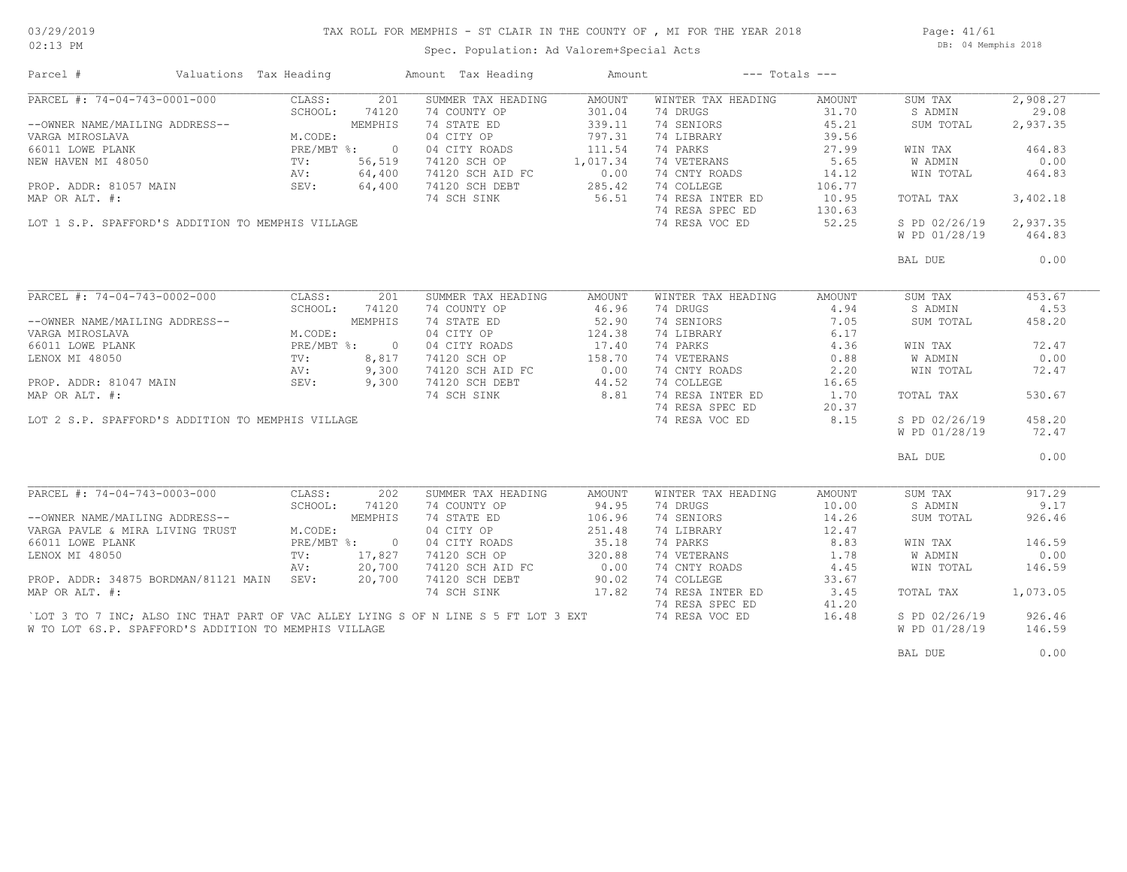### TAX ROLL FOR MEMPHIS - ST CLAIR IN THE COUNTY OF , MI FOR THE YEAR 2018

Page: 41/61 DB: 04 Memphis 2018

| Parcel #                                              | Valuations Tax Heading |                | Amount Tax Heading                                                                 | Amount                  |                                | $---$ Totals $---$ |                    |                   |
|-------------------------------------------------------|------------------------|----------------|------------------------------------------------------------------------------------|-------------------------|--------------------------------|--------------------|--------------------|-------------------|
| PARCEL #: 74-04-743-0001-000                          | CLASS:<br>SCHOOL:      | 201<br>74120   | SUMMER TAX HEADING<br>74 COUNTY OP                                                 | <b>AMOUNT</b><br>301.04 | WINTER TAX HEADING<br>74 DRUGS | AMOUNT<br>31.70    | SUM TAX<br>S ADMIN | 2,908.27<br>29.08 |
| --OWNER NAME/MAILING ADDRESS--                        |                        | MEMPHIS        | 74 STATE ED                                                                        | 339.11                  | 74 SENIORS                     | 45.21              | SUM TOTAL          | 2,937.35          |
| VARGA MIROSLAVA                                       | M.CODE:                |                | 04 CITY OP                                                                         | 797.31                  | 74 LIBRARY                     | 39.56              |                    |                   |
| 66011 LOWE PLANK                                      | PRE/MBT %:             | $\overline{0}$ | 04 CITY ROADS                                                                      | 111.54                  | 74 PARKS                       | 27.99              | WIN TAX            | 464.83            |
| NEW HAVEN MI 48050                                    | TV:                    | 56,519         | 74120 SCH OP                                                                       | 1,017.34                | 74 VETERANS                    | 5.65               | W ADMIN            | 0.00              |
|                                                       | AV:                    | 64,400         | 74120 SCH AID FC                                                                   | 0.00                    | 74 CNTY ROADS                  | 14.12              | WIN TOTAL          | 464.83            |
|                                                       |                        |                |                                                                                    |                         |                                |                    |                    |                   |
| PROP. ADDR: 81057 MAIN                                | SEV:                   | 64,400         | 74120 SCH DEBT                                                                     | 285.42                  | 74 COLLEGE                     | 106.77             |                    |                   |
| MAP OR ALT. #:                                        |                        |                | 74 SCH SINK                                                                        | 56.51                   | 74 RESA INTER ED               | 10.95              | TOTAL TAX          | 3,402.18          |
|                                                       |                        |                |                                                                                    |                         | 74 RESA SPEC ED                | 130.63             |                    | 2,937.35          |
| LOT 1 S.P. SPAFFORD'S ADDITION TO MEMPHIS VILLAGE     |                        |                |                                                                                    |                         | 74 RESA VOC ED                 | 52.25              | S PD 02/26/19      |                   |
|                                                       |                        |                |                                                                                    |                         |                                |                    | W PD 01/28/19      | 464.83            |
|                                                       |                        |                |                                                                                    |                         |                                |                    | BAL DUE            | 0.00              |
|                                                       |                        |                |                                                                                    |                         |                                |                    |                    |                   |
| PARCEL #: 74-04-743-0002-000                          | CLASS:                 | 201            | SUMMER TAX HEADING                                                                 | AMOUNT                  | WINTER TAX HEADING             | AMOUNT             | SUM TAX            | 453.67            |
|                                                       | SCHOOL:                | 74120          | 74 COUNTY OP                                                                       | 46.96                   | 74 DRUGS                       | 4.94               | S ADMIN            | 4.53              |
| --OWNER NAME/MAILING ADDRESS--                        |                        | MEMPHIS        | 74 STATE ED                                                                        | 52.90                   | 74 SENIORS                     | 7.05               | SUM TOTAL          | 458.20            |
| VARGA MIROSLAVA                                       | M.CODE:                |                | 04 CITY OP                                                                         | 124.38                  | 74 LIBRARY                     | 6.17               |                    |                   |
| 66011 LOWE PLANK                                      | $PRE/MBT$ %:           | $\overline{0}$ | 04 CITY ROADS                                                                      | 17.40                   | 74 PARKS                       | 4.36               | WIN TAX            | 72.47             |
| LENOX MI 48050                                        | TV:                    | 8,817          | 74120 SCH OP                                                                       | 158.70                  | 74 VETERANS                    | 0.88               | W ADMIN            | 0.00              |
|                                                       | AV:                    | 9,300          | 74120 SCH AID FC                                                                   | 0.00                    | 74 CNTY ROADS                  | 2.20               | WIN TOTAL          | 72.47             |
| PROP. ADDR: 81047 MAIN                                | SEV:                   | 9,300          | 74120 SCH DEBT                                                                     | 44.52                   | 74 COLLEGE                     | 16.65              |                    |                   |
| MAP OR ALT. #:                                        |                        |                | 74 SCH SINK                                                                        | 8.81                    | 74 RESA INTER ED               | 1.70               | TOTAL TAX          | 530.67            |
|                                                       |                        |                |                                                                                    |                         | 74 RESA SPEC ED                | 20.37              |                    |                   |
| LOT 2 S.P. SPAFFORD'S ADDITION TO MEMPHIS VILLAGE     |                        |                |                                                                                    |                         | 74 RESA VOC ED                 | 8.15               | S PD 02/26/19      | 458.20            |
|                                                       |                        |                |                                                                                    |                         |                                |                    |                    |                   |
|                                                       |                        |                |                                                                                    |                         |                                |                    | W PD 01/28/19      | 72.47             |
|                                                       |                        |                |                                                                                    |                         |                                |                    | BAL DUE            | 0.00              |
|                                                       |                        |                |                                                                                    |                         |                                |                    |                    |                   |
| PARCEL #: 74-04-743-0003-000                          | CLASS:                 | 202            | SUMMER TAX HEADING                                                                 | <b>AMOUNT</b>           | WINTER TAX HEADING             | AMOUNT             | SUM TAX            | 917.29            |
|                                                       | SCHOOL:                | 74120          | 74 COUNTY OP                                                                       | 94.95                   | 74 DRUGS                       | 10.00              | S ADMIN            | 9.17              |
| --OWNER NAME/MAILING ADDRESS--                        |                        | MEMPHIS        | 74 STATE ED                                                                        | 106.96                  | 74 SENIORS                     | 14.26              | SUM TOTAL          | 926.46            |
| VARGA PAVLE & MIRA LIVING TRUST                       | M.CODE:                |                | 04 CITY OP                                                                         | 251.48                  | 74 LIBRARY                     | 12.47              |                    |                   |
| 66011 LOWE PLANK                                      | PRE/MBT %:             | $\overline{0}$ | 04 CITY ROADS                                                                      | 35.18                   | 74 PARKS                       | 8.83               | WIN TAX            | 146.59            |
| LENOX MI 48050                                        | TV:                    | 17,827         | 74120 SCH OP                                                                       | 320.88                  | 74 VETERANS                    | 1.78               | <b>W ADMIN</b>     | 0.00              |
|                                                       | AV:                    | 20,700         | 74120 SCH AID FC                                                                   | 0.00                    | 74 CNTY ROADS                  | 4.45               | WIN TOTAL          | 146.59            |
| PROP. ADDR: 34875 BORDMAN/81121 MAIN                  | SEV:                   | 20,700         | 74120 SCH DEBT                                                                     | 90.02                   | 74 COLLEGE                     | 33.67              |                    |                   |
| MAP OR ALT. #:                                        |                        |                | 74 SCH SINK                                                                        | 17.82                   | 74 RESA INTER ED               | 3.45               | TOTAL TAX          | 1,073.05          |
|                                                       |                        |                |                                                                                    |                         | 74 RESA SPEC ED                | 41.20              |                    |                   |
|                                                       |                        |                | LOT 3 TO 7 INC; ALSO INC THAT PART OF VAC ALLEY LYING S OF N LINE S 5 FT LOT 3 EXT |                         | 74 RESA VOC ED                 | 16.48              | S PD 02/26/19      | 926.46            |
| W TO LOT 6S.P. SPAFFORD'S ADDITION TO MEMPHIS VILLAGE |                        |                |                                                                                    |                         |                                |                    | W PD 01/28/19      | 146.59            |
|                                                       |                        |                |                                                                                    |                         |                                |                    |                    |                   |
|                                                       |                        |                |                                                                                    |                         |                                |                    | BAL DUE            | 0.00              |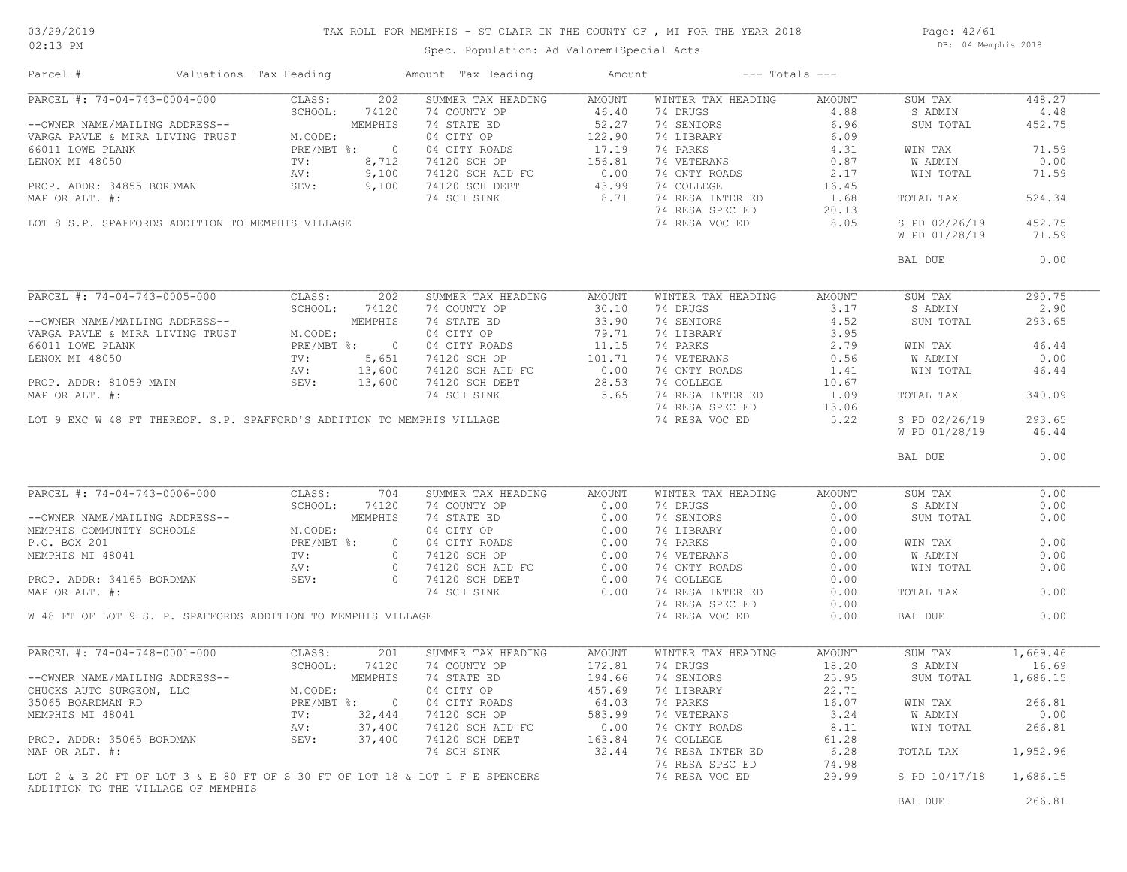### TAX ROLL FOR MEMPHIS - ST CLAIR IN THE COUNTY OF , MI FOR THE YEAR 2018

Page: 42/61 DB: 04 Memphis 2018

| Parcel #                                                                                                                                                                                                                                                                                                                                                                                                     | Valuations Tax Heading | Amount Tax Heading                                                                                                                                                                                     | Amount |                                                                                                                                            | $---$ Totals $---$ |                        |          |
|--------------------------------------------------------------------------------------------------------------------------------------------------------------------------------------------------------------------------------------------------------------------------------------------------------------------------------------------------------------------------------------------------------------|------------------------|--------------------------------------------------------------------------------------------------------------------------------------------------------------------------------------------------------|--------|--------------------------------------------------------------------------------------------------------------------------------------------|--------------------|------------------------|----------|
|                                                                                                                                                                                                                                                                                                                                                                                                              |                        |                                                                                                                                                                                                        |        |                                                                                                                                            |                    |                        | 448.27   |
|                                                                                                                                                                                                                                                                                                                                                                                                              |                        |                                                                                                                                                                                                        |        |                                                                                                                                            |                    |                        | 4.48     |
|                                                                                                                                                                                                                                                                                                                                                                                                              |                        |                                                                                                                                                                                                        |        |                                                                                                                                            |                    |                        | 452.75   |
|                                                                                                                                                                                                                                                                                                                                                                                                              |                        |                                                                                                                                                                                                        |        |                                                                                                                                            |                    |                        |          |
|                                                                                                                                                                                                                                                                                                                                                                                                              |                        |                                                                                                                                                                                                        |        |                                                                                                                                            |                    |                        | 71.59    |
|                                                                                                                                                                                                                                                                                                                                                                                                              |                        |                                                                                                                                                                                                        |        |                                                                                                                                            |                    |                        | 0.00     |
|                                                                                                                                                                                                                                                                                                                                                                                                              |                        |                                                                                                                                                                                                        |        |                                                                                                                                            |                    |                        | 71.59    |
|                                                                                                                                                                                                                                                                                                                                                                                                              |                        |                                                                                                                                                                                                        |        |                                                                                                                                            |                    |                        |          |
|                                                                                                                                                                                                                                                                                                                                                                                                              |                        |                                                                                                                                                                                                        |        |                                                                                                                                            |                    |                        | 524.34   |
|                                                                                                                                                                                                                                                                                                                                                                                                              |                        |                                                                                                                                                                                                        |        |                                                                                                                                            |                    |                        |          |
|                                                                                                                                                                                                                                                                                                                                                                                                              |                        |                                                                                                                                                                                                        |        |                                                                                                                                            |                    |                        |          |
|                                                                                                                                                                                                                                                                                                                                                                                                              |                        |                                                                                                                                                                                                        |        |                                                                                                                                            |                    | S PD 02/26/19          | 452.75   |
|                                                                                                                                                                                                                                                                                                                                                                                                              |                        |                                                                                                                                                                                                        |        |                                                                                                                                            |                    |                        | 71.59    |
|                                                                                                                                                                                                                                                                                                                                                                                                              |                        |                                                                                                                                                                                                        |        |                                                                                                                                            |                    | BAL DUE                | 0.00     |
| $\begin{tabular}{l c c c c c} \hline \texttt{PARC} & \texttt{#: } 74-04-743-0005-000 & \texttt{CLASS: } 202 & \texttt{SUMMER TAX HEDING} & \texttt{AMOMIT} & \texttt{NIMTER TAX HEDDING} & \texttt{AMOMIT} & \texttt{SUMW} & \texttt{SUM TAX} \\ -\texttt{OMNER NAMB/MALILING ADDRESS--} & \texttt{SEHODRESS--} & \texttt{MEMPHIS} & \texttt{14.5} & \texttt{74.5} & \texttt{30.10} & \texttt{74.5} & \text$ |                        |                                                                                                                                                                                                        |        |                                                                                                                                            |                    |                        |          |
|                                                                                                                                                                                                                                                                                                                                                                                                              |                        |                                                                                                                                                                                                        |        |                                                                                                                                            |                    |                        | 290.75   |
|                                                                                                                                                                                                                                                                                                                                                                                                              |                        |                                                                                                                                                                                                        |        |                                                                                                                                            |                    |                        | 2.90     |
|                                                                                                                                                                                                                                                                                                                                                                                                              |                        |                                                                                                                                                                                                        |        |                                                                                                                                            |                    |                        | 293.65   |
|                                                                                                                                                                                                                                                                                                                                                                                                              |                        |                                                                                                                                                                                                        |        |                                                                                                                                            |                    |                        |          |
|                                                                                                                                                                                                                                                                                                                                                                                                              |                        |                                                                                                                                                                                                        |        |                                                                                                                                            |                    |                        | 46.44    |
|                                                                                                                                                                                                                                                                                                                                                                                                              |                        |                                                                                                                                                                                                        |        |                                                                                                                                            |                    |                        | 0.00     |
|                                                                                                                                                                                                                                                                                                                                                                                                              |                        |                                                                                                                                                                                                        |        |                                                                                                                                            |                    |                        | 46.44    |
|                                                                                                                                                                                                                                                                                                                                                                                                              |                        |                                                                                                                                                                                                        |        |                                                                                                                                            |                    |                        |          |
|                                                                                                                                                                                                                                                                                                                                                                                                              |                        |                                                                                                                                                                                                        |        |                                                                                                                                            |                    |                        | 340.09   |
|                                                                                                                                                                                                                                                                                                                                                                                                              |                        |                                                                                                                                                                                                        |        |                                                                                                                                            |                    |                        |          |
|                                                                                                                                                                                                                                                                                                                                                                                                              |                        |                                                                                                                                                                                                        |        |                                                                                                                                            |                    |                        | 293.65   |
|                                                                                                                                                                                                                                                                                                                                                                                                              |                        |                                                                                                                                                                                                        |        |                                                                                                                                            |                    | W PD 01/28/19          | 46.44    |
|                                                                                                                                                                                                                                                                                                                                                                                                              |                        |                                                                                                                                                                                                        |        |                                                                                                                                            |                    |                        |          |
|                                                                                                                                                                                                                                                                                                                                                                                                              |                        |                                                                                                                                                                                                        |        |                                                                                                                                            |                    | BAL DUE                | 0.00     |
|                                                                                                                                                                                                                                                                                                                                                                                                              |                        |                                                                                                                                                                                                        |        |                                                                                                                                            |                    |                        |          |
| PARCEL #: 74-04-743-0006-000                                                                                                                                                                                                                                                                                                                                                                                 | CLASS: 704             | SUMMER TAX HEADING AMOUNT                                                                                                                                                                              |        | WINTER TAX HEADING AMOUNT                                                                                                                  |                    | SUM TAX                | 0.00     |
| PARCEL #: 74-04-743-0006-000<br>-OWNER NAME/MAILING ADDRESS--<br>MEMPHIS COMMUNITY SCHOOLS<br>P.O. BOX 201<br>MEMPHIS MI 48041<br>MEMPHIS MI 48041<br>MEMPHIS MI 48041<br>PROP. ADDR: 34165 BORDMAN<br>PROP. ADDR: 34165 BORDMAN<br>MEMPHIS MI                                                                                                                                                               |                        |                                                                                                                                                                                                        |        | 74 DRUGS                                                                                                                                   | 0.00               | S ADMIN                | 0.00     |
|                                                                                                                                                                                                                                                                                                                                                                                                              |                        |                                                                                                                                                                                                        |        | 74 SENIORS                                                                                                                                 | 0.00               | SUM TOTAL              | 0.00     |
|                                                                                                                                                                                                                                                                                                                                                                                                              |                        |                                                                                                                                                                                                        |        | 74 LIBRARY                                                                                                                                 | 0.00               |                        |          |
|                                                                                                                                                                                                                                                                                                                                                                                                              |                        |                                                                                                                                                                                                        |        | 74 PARKS                                                                                                                                   | 0.00               | WIN TAX                | 0.00     |
|                                                                                                                                                                                                                                                                                                                                                                                                              |                        |                                                                                                                                                                                                        |        | 74 PARKS U.UU<br>74 VETERANS 0.00<br>74 CNTY ROADS 0.00                                                                                    |                    |                        | 0.00     |
|                                                                                                                                                                                                                                                                                                                                                                                                              |                        |                                                                                                                                                                                                        |        |                                                                                                                                            |                    | W ADMIN                |          |
|                                                                                                                                                                                                                                                                                                                                                                                                              |                        |                                                                                                                                                                                                        |        |                                                                                                                                            |                    | WIN TOTAL              | 0.00     |
|                                                                                                                                                                                                                                                                                                                                                                                                              |                        |                                                                                                                                                                                                        |        | 74 COLLEGE                                                                                                                                 | 0.00               |                        |          |
|                                                                                                                                                                                                                                                                                                                                                                                                              |                        |                                                                                                                                                                                                        |        | 74 RESA INTER ED                                                                                                                           | 0.00               | TOTAL TAX              | 0.00     |
|                                                                                                                                                                                                                                                                                                                                                                                                              |                        |                                                                                                                                                                                                        |        | 74 RESA SPEC ED                                                                                                                            | 0.00               |                        |          |
| W 48 FT OF LOT 9 S. P. SPAFFORDS ADDITION TO MEMPHIS VILLAGE                                                                                                                                                                                                                                                                                                                                                 |                        |                                                                                                                                                                                                        |        | 74 RESA VOC ED                                                                                                                             | 0.00               | BAL DUE                | 0.00     |
|                                                                                                                                                                                                                                                                                                                                                                                                              |                        |                                                                                                                                                                                                        |        |                                                                                                                                            |                    |                        |          |
| PARCEL #: 74-04-748-0001-000                                                                                                                                                                                                                                                                                                                                                                                 | CLASS:<br>201          |                                                                                                                                                                                                        |        | WINTER TAX HEADING                                                                                                                         | AMOUNT             | SUM TAX                | 1,669.46 |
|                                                                                                                                                                                                                                                                                                                                                                                                              | SCHOOL:<br>74120       |                                                                                                                                                                                                        |        | 74 DRUGS                                                                                                                                   | 18.20              | S ADMIN                | 16.69    |
|                                                                                                                                                                                                                                                                                                                                                                                                              |                        |                                                                                                                                                                                                        |        | 74 SENIORS                                                                                                                                 | 25.95              | SUM TOTAL              | 1,686.15 |
|                                                                                                                                                                                                                                                                                                                                                                                                              |                        |                                                                                                                                                                                                        |        |                                                                                                                                            |                    |                        |          |
|                                                                                                                                                                                                                                                                                                                                                                                                              |                        |                                                                                                                                                                                                        |        |                                                                                                                                            |                    | WIN TAX                | 266.81   |
|                                                                                                                                                                                                                                                                                                                                                                                                              |                        |                                                                                                                                                                                                        |        | 74 LIBRAY<br>74 PARKS<br>74 VETERANS<br>74 VETERANS<br>74 VETERANS<br>74 PARKS<br>74 PARKS<br>74 PARKS<br>74 PARKS<br>74 PARKS<br>74 PARKS |                    | W ADMIN                | 0.00     |
|                                                                                                                                                                                                                                                                                                                                                                                                              |                        |                                                                                                                                                                                                        |        |                                                                                                                                            |                    | WIN TOTAL              | 266.81   |
|                                                                                                                                                                                                                                                                                                                                                                                                              |                        |                                                                                                                                                                                                        |        |                                                                                                                                            |                    |                        |          |
| --OWNER NAME/MAILING ADDRESS--<br>CHUCKS AUTO SURGEON, LLC<br>35065 BOARDMAN RD<br>MEMPHIS MI 48041<br>PROP. ADDR: 35065 BORDMAN<br>PROP. ADDR: 35065 BORDMAN<br>MAP OP AIT #:<br>MAP OP AIT #:<br>37,400<br>MAP OR ALT. #:                                                                                                                                                                                  |                        | SUMMER TAX HEADING 112.81 74<br>74 COUNTY OP 172.81 74<br>74 STATE ED 194.66 74<br>04 CITY OP 457.69 7<br>04 CITY ROADS 64.03 7<br>74120 SCH AID FC 0.00<br>74120 SCH DEBT 163.84<br>74 SCH SINK 32.44 |        |                                                                                                                                            |                    | TOTAL TAX              | 1,952.96 |
|                                                                                                                                                                                                                                                                                                                                                                                                              |                        |                                                                                                                                                                                                        |        |                                                                                                                                            | 6.28               |                        |          |
|                                                                                                                                                                                                                                                                                                                                                                                                              |                        |                                                                                                                                                                                                        |        |                                                                                                                                            |                    |                        |          |
| LOT 2 & E 20 FT OF LOT 3 & E 80 FT OF S 30 FT OF LOT 18 & LOT 1 F E SPENCERS<br>ADDITION TO THE VILLAGE OF MEMPHIS                                                                                                                                                                                                                                                                                           |                        |                                                                                                                                                                                                        |        | 74 VELENING CORRECTED 51.28<br>74 COLLEGE 61.28<br>74 RESA INTER ED 6.28<br>74 RESA SPEC ED 74.98<br>74 RESA SPEC ED 74.98                 |                    | S PD 10/17/18 1,686.15 |          |
|                                                                                                                                                                                                                                                                                                                                                                                                              |                        |                                                                                                                                                                                                        |        |                                                                                                                                            |                    | BAL DUE                | 266.81   |
|                                                                                                                                                                                                                                                                                                                                                                                                              |                        |                                                                                                                                                                                                        |        |                                                                                                                                            |                    |                        |          |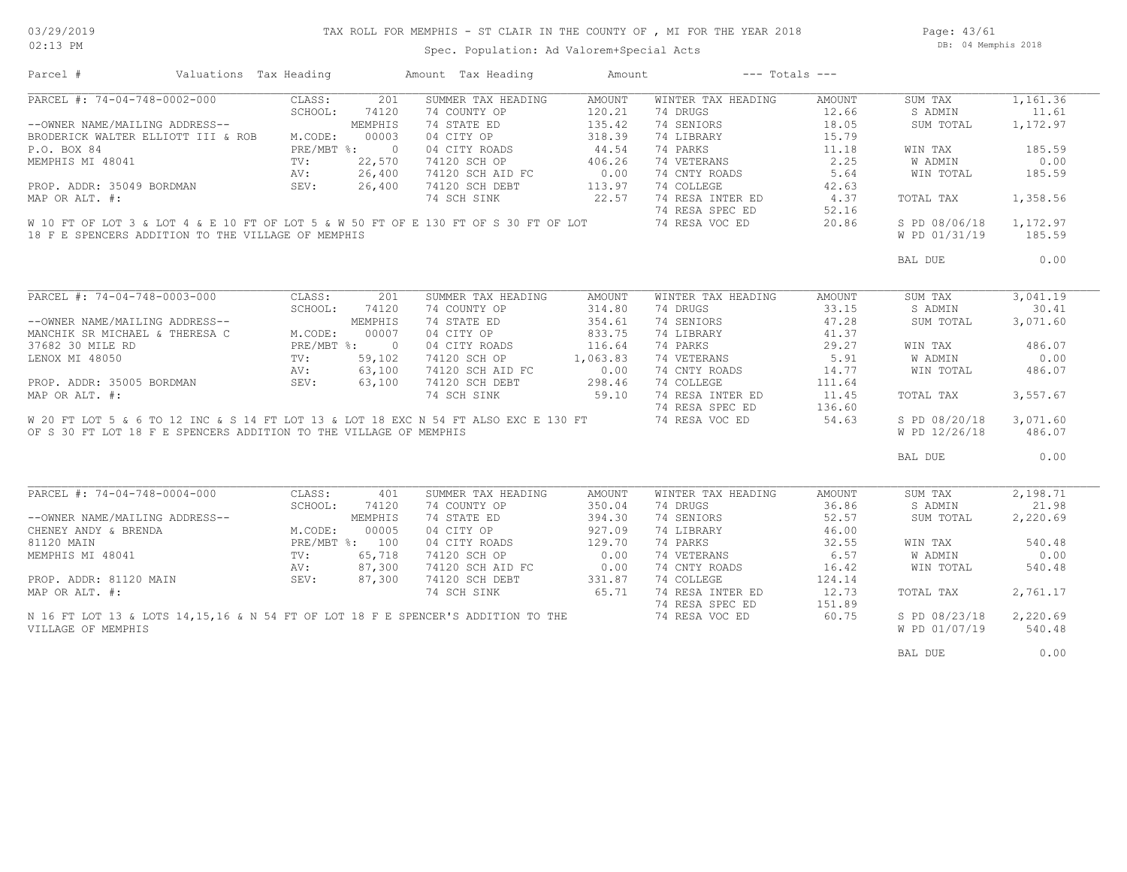### TAX ROLL FOR MEMPHIS - ST CLAIR IN THE COUNTY OF , MI FOR THE YEAR 2018

Page: 43/61 DB: 04 Memphis 2018

| PARCEL #: 74-04-748-0002-000<br>201<br>CLASS:<br>SUMMER TAX HEADING<br>AMOUNT<br>WINTER TAX HEADING<br>AMOUNT<br>SUM TAX<br>SCHOOL:<br>74120<br>74 COUNTY OP<br>120.21<br>74 DRUGS<br>12.66<br>S ADMIN<br>74 SENIORS<br>--OWNER NAME/MAILING ADDRESS--<br>MEMPHIS<br>74 STATE ED<br>135.42<br>18.05<br>SUM TOTAL<br>04 CITY OP<br>318.39<br>15.79<br>00003<br>74 LIBRARY<br>BRODERICK WALTER ELLIOTT III & ROB<br>M.CODE:<br>44.54<br>74 PARKS<br>11.18<br>P.O. BOX 84<br>$PRE/MBT$ $\frac{1}{6}$ : 0<br>04 CITY ROADS<br>WIN TAX<br>406.26<br>74 VETERANS<br>2.25<br>MEMPHIS MI 48041<br>TV:<br>22,570<br>74120 SCH OP<br>W ADMIN<br>0.00<br>26,400<br>74120 SCH AID FC<br>74 CNTY ROADS<br>5.64<br>WIN TOTAL<br>AV:<br>PROP. ADDR: 35049 BORDMAN<br>SEV:<br>26,400<br>74120 SCH DEBT<br>113.97<br>74 COLLEGE<br>42.63<br>22.57<br>74 RESA INTER ED<br>74 SCH SINK<br>4.37<br>MAP OR ALT. #:<br>TOTAL TAX<br>74 RESA SPEC ED<br>52.16<br>74 RESA VOC ED<br>W 10 FT OF LOT 3 & LOT 4 & E 10 FT OF LOT 5 & W 50 FT OF E 130 FT OF S 30 FT OF LOT<br>20.86<br>S PD 08/06/18<br>18 F E SPENCERS ADDITION TO THE VILLAGE OF MEMPHIS<br>W PD 01/31/19<br>BAL DUE<br>PARCEL #: 74-04-748-0003-000<br>CLASS:<br>201<br>SUMMER TAX HEADING<br>AMOUNT<br>WINTER TAX HEADING<br>AMOUNT<br>SUM TAX<br>SCHOOL:<br>314.80<br>74 DRUGS<br>33.15<br>74120<br>74 COUNTY OP<br>S ADMIN<br>--OWNER NAME/MAILING ADDRESS--<br>74 STATE ED<br>354.61<br>74 SENIORS<br>47.28<br>MEMPHIS<br>SUM TOTAL<br>833.75<br>MANCHIK SR MICHAEL & THERESA C<br>M.CODE:<br>00007<br>04 CITY OP<br>74 LIBRARY<br>41.37<br>PRE/MBT %: 0<br>116.64<br>74 PARKS<br>29.27<br>37682 30 MILE RD<br>04 CITY ROADS<br>WIN TAX<br>1,063.83<br>74 VETERANS<br>5.91<br>W ADMIN<br>LENOX MI 48050<br>TV:<br>59,102<br>74120 SCH OP<br>$0.00$<br>298.46<br>63,100<br>74 CNTY ROADS<br>14.77<br>AV:<br>74120 SCH AID FC<br>WIN TOTAL<br>PROP. ADDR: 35005 BORDMAN SEV:<br>74120 SCH DEBT<br>298.46<br>74 COLLEGE<br>63,100<br>111.64<br>74 RESA INTER ED<br>74 SCH SINK<br>59.10<br>11.45<br>MAP OR ALT. #:<br>TOTAL TAX<br>74 RESA SPEC ED<br>136.60<br>W 20 FT LOT 5 & 6 TO 12 INC & S 14 FT LOT 13 & LOT 18 EXC N 54 FT ALSO EXC E 130 FT<br>74 RESA VOC ED<br>54.63<br>S PD 08/20/18<br>OF S 30 FT LOT 18 F E SPENCERS ADDITION TO THE VILLAGE OF MEMPHIS<br>W PD 12/26/18<br>BAL DUE<br>PARCEL #: 74-04-748-0004-000<br>CLASS:<br>401<br>SUMMER TAX HEADING<br>WINTER TAX HEADING<br>AMOUNT<br>SUM TAX<br>AMOUNT<br>350.04<br>74 DRUGS<br>36.86<br>S ADMIN<br>SCHOOL:<br>74120<br>74 COUNTY OP<br>394.30<br>74 SENIORS<br>52.57<br>--OWNER NAME/MAILING ADDRESS--<br>MEMPHIS<br>74 STATE ED<br>SUM TOTAL<br>CHENEY ANDY & BRENDA<br>00005<br>927.09<br>74 LIBRARY<br>46.00<br>M.CODE:<br>04 CITY OP | 1,161.36          |
|----------------------------------------------------------------------------------------------------------------------------------------------------------------------------------------------------------------------------------------------------------------------------------------------------------------------------------------------------------------------------------------------------------------------------------------------------------------------------------------------------------------------------------------------------------------------------------------------------------------------------------------------------------------------------------------------------------------------------------------------------------------------------------------------------------------------------------------------------------------------------------------------------------------------------------------------------------------------------------------------------------------------------------------------------------------------------------------------------------------------------------------------------------------------------------------------------------------------------------------------------------------------------------------------------------------------------------------------------------------------------------------------------------------------------------------------------------------------------------------------------------------------------------------------------------------------------------------------------------------------------------------------------------------------------------------------------------------------------------------------------------------------------------------------------------------------------------------------------------------------------------------------------------------------------------------------------------------------------------------------------------------------------------------------------------------------------------------------------------------------------------------------------------------------------------------------------------------------------------------------------------------------------------------------------------------------------------------------------------------------------------------------------------------------------------------------------------------------------------------------------------------------------------------------------------------------------------------------------------------------------------------------------------------------------------------------------------------------------------------------------------|-------------------|
|                                                                                                                                                                                                                                                                                                                                                                                                                                                                                                                                                                                                                                                                                                                                                                                                                                                                                                                                                                                                                                                                                                                                                                                                                                                                                                                                                                                                                                                                                                                                                                                                                                                                                                                                                                                                                                                                                                                                                                                                                                                                                                                                                                                                                                                                                                                                                                                                                                                                                                                                                                                                                                                                                                                                                          | 11.61<br>1,172.97 |
|                                                                                                                                                                                                                                                                                                                                                                                                                                                                                                                                                                                                                                                                                                                                                                                                                                                                                                                                                                                                                                                                                                                                                                                                                                                                                                                                                                                                                                                                                                                                                                                                                                                                                                                                                                                                                                                                                                                                                                                                                                                                                                                                                                                                                                                                                                                                                                                                                                                                                                                                                                                                                                                                                                                                                          |                   |
|                                                                                                                                                                                                                                                                                                                                                                                                                                                                                                                                                                                                                                                                                                                                                                                                                                                                                                                                                                                                                                                                                                                                                                                                                                                                                                                                                                                                                                                                                                                                                                                                                                                                                                                                                                                                                                                                                                                                                                                                                                                                                                                                                                                                                                                                                                                                                                                                                                                                                                                                                                                                                                                                                                                                                          |                   |
|                                                                                                                                                                                                                                                                                                                                                                                                                                                                                                                                                                                                                                                                                                                                                                                                                                                                                                                                                                                                                                                                                                                                                                                                                                                                                                                                                                                                                                                                                                                                                                                                                                                                                                                                                                                                                                                                                                                                                                                                                                                                                                                                                                                                                                                                                                                                                                                                                                                                                                                                                                                                                                                                                                                                                          |                   |
|                                                                                                                                                                                                                                                                                                                                                                                                                                                                                                                                                                                                                                                                                                                                                                                                                                                                                                                                                                                                                                                                                                                                                                                                                                                                                                                                                                                                                                                                                                                                                                                                                                                                                                                                                                                                                                                                                                                                                                                                                                                                                                                                                                                                                                                                                                                                                                                                                                                                                                                                                                                                                                                                                                                                                          | 185.59            |
|                                                                                                                                                                                                                                                                                                                                                                                                                                                                                                                                                                                                                                                                                                                                                                                                                                                                                                                                                                                                                                                                                                                                                                                                                                                                                                                                                                                                                                                                                                                                                                                                                                                                                                                                                                                                                                                                                                                                                                                                                                                                                                                                                                                                                                                                                                                                                                                                                                                                                                                                                                                                                                                                                                                                                          | 0.00              |
|                                                                                                                                                                                                                                                                                                                                                                                                                                                                                                                                                                                                                                                                                                                                                                                                                                                                                                                                                                                                                                                                                                                                                                                                                                                                                                                                                                                                                                                                                                                                                                                                                                                                                                                                                                                                                                                                                                                                                                                                                                                                                                                                                                                                                                                                                                                                                                                                                                                                                                                                                                                                                                                                                                                                                          | 185.59            |
|                                                                                                                                                                                                                                                                                                                                                                                                                                                                                                                                                                                                                                                                                                                                                                                                                                                                                                                                                                                                                                                                                                                                                                                                                                                                                                                                                                                                                                                                                                                                                                                                                                                                                                                                                                                                                                                                                                                                                                                                                                                                                                                                                                                                                                                                                                                                                                                                                                                                                                                                                                                                                                                                                                                                                          |                   |
|                                                                                                                                                                                                                                                                                                                                                                                                                                                                                                                                                                                                                                                                                                                                                                                                                                                                                                                                                                                                                                                                                                                                                                                                                                                                                                                                                                                                                                                                                                                                                                                                                                                                                                                                                                                                                                                                                                                                                                                                                                                                                                                                                                                                                                                                                                                                                                                                                                                                                                                                                                                                                                                                                                                                                          | 1,358.56          |
|                                                                                                                                                                                                                                                                                                                                                                                                                                                                                                                                                                                                                                                                                                                                                                                                                                                                                                                                                                                                                                                                                                                                                                                                                                                                                                                                                                                                                                                                                                                                                                                                                                                                                                                                                                                                                                                                                                                                                                                                                                                                                                                                                                                                                                                                                                                                                                                                                                                                                                                                                                                                                                                                                                                                                          |                   |
|                                                                                                                                                                                                                                                                                                                                                                                                                                                                                                                                                                                                                                                                                                                                                                                                                                                                                                                                                                                                                                                                                                                                                                                                                                                                                                                                                                                                                                                                                                                                                                                                                                                                                                                                                                                                                                                                                                                                                                                                                                                                                                                                                                                                                                                                                                                                                                                                                                                                                                                                                                                                                                                                                                                                                          |                   |
|                                                                                                                                                                                                                                                                                                                                                                                                                                                                                                                                                                                                                                                                                                                                                                                                                                                                                                                                                                                                                                                                                                                                                                                                                                                                                                                                                                                                                                                                                                                                                                                                                                                                                                                                                                                                                                                                                                                                                                                                                                                                                                                                                                                                                                                                                                                                                                                                                                                                                                                                                                                                                                                                                                                                                          | 1,172.97          |
|                                                                                                                                                                                                                                                                                                                                                                                                                                                                                                                                                                                                                                                                                                                                                                                                                                                                                                                                                                                                                                                                                                                                                                                                                                                                                                                                                                                                                                                                                                                                                                                                                                                                                                                                                                                                                                                                                                                                                                                                                                                                                                                                                                                                                                                                                                                                                                                                                                                                                                                                                                                                                                                                                                                                                          | 185.59            |
|                                                                                                                                                                                                                                                                                                                                                                                                                                                                                                                                                                                                                                                                                                                                                                                                                                                                                                                                                                                                                                                                                                                                                                                                                                                                                                                                                                                                                                                                                                                                                                                                                                                                                                                                                                                                                                                                                                                                                                                                                                                                                                                                                                                                                                                                                                                                                                                                                                                                                                                                                                                                                                                                                                                                                          | 0.00              |
|                                                                                                                                                                                                                                                                                                                                                                                                                                                                                                                                                                                                                                                                                                                                                                                                                                                                                                                                                                                                                                                                                                                                                                                                                                                                                                                                                                                                                                                                                                                                                                                                                                                                                                                                                                                                                                                                                                                                                                                                                                                                                                                                                                                                                                                                                                                                                                                                                                                                                                                                                                                                                                                                                                                                                          |                   |
|                                                                                                                                                                                                                                                                                                                                                                                                                                                                                                                                                                                                                                                                                                                                                                                                                                                                                                                                                                                                                                                                                                                                                                                                                                                                                                                                                                                                                                                                                                                                                                                                                                                                                                                                                                                                                                                                                                                                                                                                                                                                                                                                                                                                                                                                                                                                                                                                                                                                                                                                                                                                                                                                                                                                                          | 3,041.19          |
|                                                                                                                                                                                                                                                                                                                                                                                                                                                                                                                                                                                                                                                                                                                                                                                                                                                                                                                                                                                                                                                                                                                                                                                                                                                                                                                                                                                                                                                                                                                                                                                                                                                                                                                                                                                                                                                                                                                                                                                                                                                                                                                                                                                                                                                                                                                                                                                                                                                                                                                                                                                                                                                                                                                                                          | 30.41             |
|                                                                                                                                                                                                                                                                                                                                                                                                                                                                                                                                                                                                                                                                                                                                                                                                                                                                                                                                                                                                                                                                                                                                                                                                                                                                                                                                                                                                                                                                                                                                                                                                                                                                                                                                                                                                                                                                                                                                                                                                                                                                                                                                                                                                                                                                                                                                                                                                                                                                                                                                                                                                                                                                                                                                                          | 3,071.60          |
|                                                                                                                                                                                                                                                                                                                                                                                                                                                                                                                                                                                                                                                                                                                                                                                                                                                                                                                                                                                                                                                                                                                                                                                                                                                                                                                                                                                                                                                                                                                                                                                                                                                                                                                                                                                                                                                                                                                                                                                                                                                                                                                                                                                                                                                                                                                                                                                                                                                                                                                                                                                                                                                                                                                                                          |                   |
|                                                                                                                                                                                                                                                                                                                                                                                                                                                                                                                                                                                                                                                                                                                                                                                                                                                                                                                                                                                                                                                                                                                                                                                                                                                                                                                                                                                                                                                                                                                                                                                                                                                                                                                                                                                                                                                                                                                                                                                                                                                                                                                                                                                                                                                                                                                                                                                                                                                                                                                                                                                                                                                                                                                                                          | 486.07            |
|                                                                                                                                                                                                                                                                                                                                                                                                                                                                                                                                                                                                                                                                                                                                                                                                                                                                                                                                                                                                                                                                                                                                                                                                                                                                                                                                                                                                                                                                                                                                                                                                                                                                                                                                                                                                                                                                                                                                                                                                                                                                                                                                                                                                                                                                                                                                                                                                                                                                                                                                                                                                                                                                                                                                                          | 0.00              |
|                                                                                                                                                                                                                                                                                                                                                                                                                                                                                                                                                                                                                                                                                                                                                                                                                                                                                                                                                                                                                                                                                                                                                                                                                                                                                                                                                                                                                                                                                                                                                                                                                                                                                                                                                                                                                                                                                                                                                                                                                                                                                                                                                                                                                                                                                                                                                                                                                                                                                                                                                                                                                                                                                                                                                          | 486.07            |
|                                                                                                                                                                                                                                                                                                                                                                                                                                                                                                                                                                                                                                                                                                                                                                                                                                                                                                                                                                                                                                                                                                                                                                                                                                                                                                                                                                                                                                                                                                                                                                                                                                                                                                                                                                                                                                                                                                                                                                                                                                                                                                                                                                                                                                                                                                                                                                                                                                                                                                                                                                                                                                                                                                                                                          |                   |
|                                                                                                                                                                                                                                                                                                                                                                                                                                                                                                                                                                                                                                                                                                                                                                                                                                                                                                                                                                                                                                                                                                                                                                                                                                                                                                                                                                                                                                                                                                                                                                                                                                                                                                                                                                                                                                                                                                                                                                                                                                                                                                                                                                                                                                                                                                                                                                                                                                                                                                                                                                                                                                                                                                                                                          | 3,557.67          |
|                                                                                                                                                                                                                                                                                                                                                                                                                                                                                                                                                                                                                                                                                                                                                                                                                                                                                                                                                                                                                                                                                                                                                                                                                                                                                                                                                                                                                                                                                                                                                                                                                                                                                                                                                                                                                                                                                                                                                                                                                                                                                                                                                                                                                                                                                                                                                                                                                                                                                                                                                                                                                                                                                                                                                          |                   |
|                                                                                                                                                                                                                                                                                                                                                                                                                                                                                                                                                                                                                                                                                                                                                                                                                                                                                                                                                                                                                                                                                                                                                                                                                                                                                                                                                                                                                                                                                                                                                                                                                                                                                                                                                                                                                                                                                                                                                                                                                                                                                                                                                                                                                                                                                                                                                                                                                                                                                                                                                                                                                                                                                                                                                          | 3,071.60          |
|                                                                                                                                                                                                                                                                                                                                                                                                                                                                                                                                                                                                                                                                                                                                                                                                                                                                                                                                                                                                                                                                                                                                                                                                                                                                                                                                                                                                                                                                                                                                                                                                                                                                                                                                                                                                                                                                                                                                                                                                                                                                                                                                                                                                                                                                                                                                                                                                                                                                                                                                                                                                                                                                                                                                                          |                   |
|                                                                                                                                                                                                                                                                                                                                                                                                                                                                                                                                                                                                                                                                                                                                                                                                                                                                                                                                                                                                                                                                                                                                                                                                                                                                                                                                                                                                                                                                                                                                                                                                                                                                                                                                                                                                                                                                                                                                                                                                                                                                                                                                                                                                                                                                                                                                                                                                                                                                                                                                                                                                                                                                                                                                                          | 486.07            |
|                                                                                                                                                                                                                                                                                                                                                                                                                                                                                                                                                                                                                                                                                                                                                                                                                                                                                                                                                                                                                                                                                                                                                                                                                                                                                                                                                                                                                                                                                                                                                                                                                                                                                                                                                                                                                                                                                                                                                                                                                                                                                                                                                                                                                                                                                                                                                                                                                                                                                                                                                                                                                                                                                                                                                          | 0.00              |
|                                                                                                                                                                                                                                                                                                                                                                                                                                                                                                                                                                                                                                                                                                                                                                                                                                                                                                                                                                                                                                                                                                                                                                                                                                                                                                                                                                                                                                                                                                                                                                                                                                                                                                                                                                                                                                                                                                                                                                                                                                                                                                                                                                                                                                                                                                                                                                                                                                                                                                                                                                                                                                                                                                                                                          | 2,198.71          |
|                                                                                                                                                                                                                                                                                                                                                                                                                                                                                                                                                                                                                                                                                                                                                                                                                                                                                                                                                                                                                                                                                                                                                                                                                                                                                                                                                                                                                                                                                                                                                                                                                                                                                                                                                                                                                                                                                                                                                                                                                                                                                                                                                                                                                                                                                                                                                                                                                                                                                                                                                                                                                                                                                                                                                          | 21.98             |
|                                                                                                                                                                                                                                                                                                                                                                                                                                                                                                                                                                                                                                                                                                                                                                                                                                                                                                                                                                                                                                                                                                                                                                                                                                                                                                                                                                                                                                                                                                                                                                                                                                                                                                                                                                                                                                                                                                                                                                                                                                                                                                                                                                                                                                                                                                                                                                                                                                                                                                                                                                                                                                                                                                                                                          | 2,220.69          |
|                                                                                                                                                                                                                                                                                                                                                                                                                                                                                                                                                                                                                                                                                                                                                                                                                                                                                                                                                                                                                                                                                                                                                                                                                                                                                                                                                                                                                                                                                                                                                                                                                                                                                                                                                                                                                                                                                                                                                                                                                                                                                                                                                                                                                                                                                                                                                                                                                                                                                                                                                                                                                                                                                                                                                          |                   |
| PRE/MBT %: 100<br>129.70<br>74 PARKS<br>32.55<br>81120 MAIN<br>04 CITY ROADS<br>WIN TAX                                                                                                                                                                                                                                                                                                                                                                                                                                                                                                                                                                                                                                                                                                                                                                                                                                                                                                                                                                                                                                                                                                                                                                                                                                                                                                                                                                                                                                                                                                                                                                                                                                                                                                                                                                                                                                                                                                                                                                                                                                                                                                                                                                                                                                                                                                                                                                                                                                                                                                                                                                                                                                                                  | 540.48            |
| 6.57<br>MEMPHIS MI 48041<br>65,718<br>74120 SCH OP<br>0.00<br>74 VETERANS<br>W ADMIN<br>$\texttt{TV}$ :                                                                                                                                                                                                                                                                                                                                                                                                                                                                                                                                                                                                                                                                                                                                                                                                                                                                                                                                                                                                                                                                                                                                                                                                                                                                                                                                                                                                                                                                                                                                                                                                                                                                                                                                                                                                                                                                                                                                                                                                                                                                                                                                                                                                                                                                                                                                                                                                                                                                                                                                                                                                                                                  | 0.00              |
| 0.00<br>74 CNTY ROADS<br>87,300<br>74120 SCH AID FC<br>16.42<br>WIN TOTAL<br>AV:                                                                                                                                                                                                                                                                                                                                                                                                                                                                                                                                                                                                                                                                                                                                                                                                                                                                                                                                                                                                                                                                                                                                                                                                                                                                                                                                                                                                                                                                                                                                                                                                                                                                                                                                                                                                                                                                                                                                                                                                                                                                                                                                                                                                                                                                                                                                                                                                                                                                                                                                                                                                                                                                         | 540.48            |
| SEV:<br>87,300<br>331.87<br>74 COLLEGE<br>PROP. ADDR: 81120 MAIN                                                                                                                                                                                                                                                                                                                                                                                                                                                                                                                                                                                                                                                                                                                                                                                                                                                                                                                                                                                                                                                                                                                                                                                                                                                                                                                                                                                                                                                                                                                                                                                                                                                                                                                                                                                                                                                                                                                                                                                                                                                                                                                                                                                                                                                                                                                                                                                                                                                                                                                                                                                                                                                                                         |                   |
| 74120 SCH DEBT<br>124.14                                                                                                                                                                                                                                                                                                                                                                                                                                                                                                                                                                                                                                                                                                                                                                                                                                                                                                                                                                                                                                                                                                                                                                                                                                                                                                                                                                                                                                                                                                                                                                                                                                                                                                                                                                                                                                                                                                                                                                                                                                                                                                                                                                                                                                                                                                                                                                                                                                                                                                                                                                                                                                                                                                                                 |                   |
| 65.71<br>MAP OR ALT. #:<br>74 SCH SINK<br>74 RESA INTER ED<br>12.73<br>TOTAL TAX                                                                                                                                                                                                                                                                                                                                                                                                                                                                                                                                                                                                                                                                                                                                                                                                                                                                                                                                                                                                                                                                                                                                                                                                                                                                                                                                                                                                                                                                                                                                                                                                                                                                                                                                                                                                                                                                                                                                                                                                                                                                                                                                                                                                                                                                                                                                                                                                                                                                                                                                                                                                                                                                         | 2,761.17          |
| 74 RESA SPEC ED<br>151.89                                                                                                                                                                                                                                                                                                                                                                                                                                                                                                                                                                                                                                                                                                                                                                                                                                                                                                                                                                                                                                                                                                                                                                                                                                                                                                                                                                                                                                                                                                                                                                                                                                                                                                                                                                                                                                                                                                                                                                                                                                                                                                                                                                                                                                                                                                                                                                                                                                                                                                                                                                                                                                                                                                                                |                   |
| N 16 FT LOT 13 & LOTS 14, 15, 16 & N 54 FT OF LOT 18 F E SPENCER'S ADDITION TO THE<br>74 RESA VOC ED<br>60.75<br>S PD 08/23/18                                                                                                                                                                                                                                                                                                                                                                                                                                                                                                                                                                                                                                                                                                                                                                                                                                                                                                                                                                                                                                                                                                                                                                                                                                                                                                                                                                                                                                                                                                                                                                                                                                                                                                                                                                                                                                                                                                                                                                                                                                                                                                                                                                                                                                                                                                                                                                                                                                                                                                                                                                                                                           | 2,220.69          |
| VILLAGE OF MEMPHIS<br>W PD 01/07/19                                                                                                                                                                                                                                                                                                                                                                                                                                                                                                                                                                                                                                                                                                                                                                                                                                                                                                                                                                                                                                                                                                                                                                                                                                                                                                                                                                                                                                                                                                                                                                                                                                                                                                                                                                                                                                                                                                                                                                                                                                                                                                                                                                                                                                                                                                                                                                                                                                                                                                                                                                                                                                                                                                                      | 540.48            |
| BAL DUE                                                                                                                                                                                                                                                                                                                                                                                                                                                                                                                                                                                                                                                                                                                                                                                                                                                                                                                                                                                                                                                                                                                                                                                                                                                                                                                                                                                                                                                                                                                                                                                                                                                                                                                                                                                                                                                                                                                                                                                                                                                                                                                                                                                                                                                                                                                                                                                                                                                                                                                                                                                                                                                                                                                                                  | 0.00              |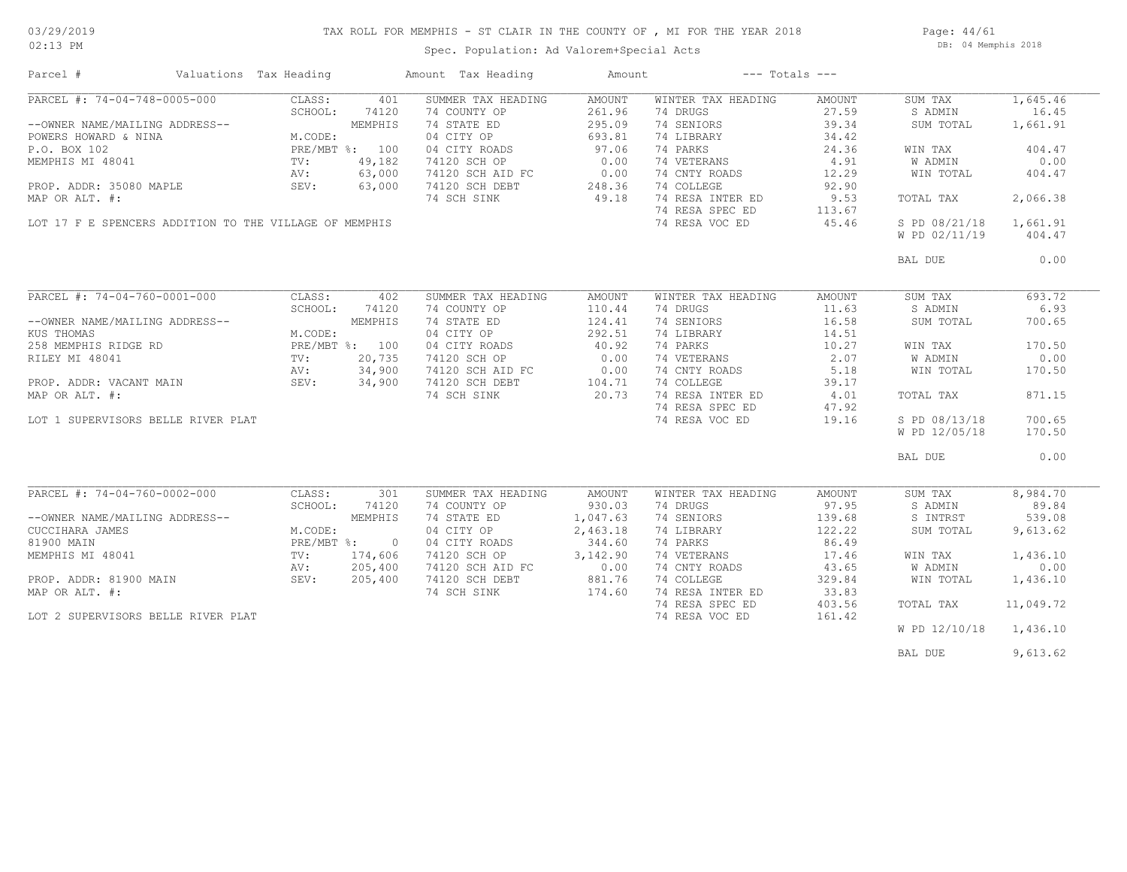### TAX ROLL FOR MEMPHIS - ST CLAIR IN THE COUNTY OF , MI FOR THE YEAR 2018

Spec. Population: Ad Valorem+Special Acts

Page: 44/61 DB: 04 Memphis 2018

| Parcel #                                                                                        | Valuations Tax Heading                                                        |                | Amount Tax Heading                                                                  | Amount            |                    | $---$ Totals $---$ |                        |           |
|-------------------------------------------------------------------------------------------------|-------------------------------------------------------------------------------|----------------|-------------------------------------------------------------------------------------|-------------------|--------------------|--------------------|------------------------|-----------|
| PARCEL #: 74-04-748-0005-000                                                                    | CLASS:                                                                        | 401            | SUMMER TAX HEADING                                                                  | AMOUNT            | WINTER TAX HEADING | AMOUNT             | SUM TAX                | 1,645.46  |
|                                                                                                 |                                                                               |                | 74 COUNTY OP                                                                        | 261.96            | 74 DRUGS           | 27.59              | S ADMIN                | 16.45     |
| --OWNER NAME/MAILING ADDRESS--                                                                  | DDRESS--<br>M.CODE:<br>PRE/MBT %: 100<br>TV: 49,182<br>AV: 63,00<br>SEV: 63,0 |                | 74 STATE ED                                                                         | 295.09            | 74 SENIORS         | 39.34              | SUM TOTAL              | 1,661.91  |
| POWERS HOWARD & NINA                                                                            |                                                                               |                | 04 CITY OP                                                                          | 693.81            | 74 LIBRARY         | 34.42              |                        |           |
| P.O. BOX 102                                                                                    |                                                                               |                | 04 CITY ROADS                                                                       | 97.06             | 74 PARKS           | 24.36              | WIN TAX                | 404.47    |
| MEMPHIS MI 48041                                                                                |                                                                               |                | 74120 SCH OP                                                                        | 0.00              | 74 VETERANS        | 4.91               | W ADMIN                | 0.00      |
|                                                                                                 |                                                                               |                |                                                                                     |                   | 74 CNTY ROADS      | 12.29              | WIN TOTAL              | 404.47    |
| PROP. ADDR: 35080 MAPLE                                                                         |                                                                               |                | 74120 SCH AID FC 0.00<br>74120 SCH DEBT 248.36<br>74 SCH SINK 49.18                 |                   | 74 COLLEGE         | 92.90              |                        |           |
| MAP OR ALT. #:                                                                                  |                                                                               |                |                                                                                     |                   | 74 RESA INTER ED   | 9.53               | TOTAL TAX              | 2,066.38  |
|                                                                                                 |                                                                               |                |                                                                                     |                   | 74 RESA SPEC ED    | 113.67             |                        |           |
| LOT 17 F E SPENCERS ADDITION TO THE VILLAGE OF MEMPHIS                                          |                                                                               |                |                                                                                     |                   | 74 RESA VOC ED     | 45.46              | S PD 08/21/18 1,661.91 |           |
|                                                                                                 |                                                                               |                |                                                                                     |                   |                    |                    | W PD 02/11/19          | 404.47    |
|                                                                                                 |                                                                               |                |                                                                                     |                   |                    |                    | BAL DUE                | 0.00      |
|                                                                                                 |                                                                               |                |                                                                                     |                   |                    |                    |                        |           |
| PARCEL #: 74-04-760-0001-000                                                                    | CLASS:                                                                        | 402            | SUMMER TAX HEADING                                                                  | AMOUNT            | WINTER TAX HEADING | AMOUNT             | SUM TAX                | 693.72    |
|                                                                                                 | SCHOOL:                                                                       | 74120          | 74 COUNTY OP                                                                        | 110.44            | 74 DRUGS           | 11.63              | S ADMIN                | 6.93      |
| --OWNER NAME/MAILING ADDRESS--                                                                  |                                                                               | MEMPHIS        | 74 STATE ED                                                                         | 124.41            | 74 SENIORS         | 16.58              | SUM TOTAL              | 700.65    |
| KUS THOMAS                                                                                      | M.CODE:                                                                       |                | 04 CITY OP                                                                          | 292.51            | 74 LIBRARY         | 14.51              |                        |           |
| 258 MEMPHIS RIDGE RD                                                                            |                                                                               | PRE/MBT %: 100 | 04 CITY ROADS                                                                       |                   | 74 PARKS           | 10.27              | WIN TAX                | 170.50    |
|                                                                                                 |                                                                               |                | 74120 SCH OP                                                                        | $40.92$<br>$0.00$ | 74 VETERANS        | 2.07               | W ADMIN                | 0.00      |
|                                                                                                 |                                                                               |                |                                                                                     |                   | 74 CNTY ROADS      | 5.18               | WIN TOTAL              | 170.50    |
|                                                                                                 |                                                                               |                | 74120 SCH CL<br>74120 SCH AID FC 0.00<br>74120 SCH DEBT 104.71<br>74 SCH SINK 20.73 |                   | 74 COLLEGE         |                    |                        |           |
|                                                                                                 |                                                                               |                |                                                                                     |                   | 74 RESA INTER ED   | 39.17<br>4.01      | TOTAL TAX              | 871.15    |
| PROP. ADDR: VACANT MAIN<br>MAP OR ALT. #:<br>MAP OR ALT. #:<br>MAP OR ALT. #:<br>MAP OR ALT. #: |                                                                               |                |                                                                                     |                   |                    |                    |                        |           |
|                                                                                                 |                                                                               |                |                                                                                     |                   | 74 RESA SPEC ED    | 47.92              |                        |           |
| LOT 1 SUPERVISORS BELLE RIVER PLAT                                                              |                                                                               |                |                                                                                     |                   | 74 RESA VOC ED     | 19.16              | S PD 08/13/18          | 700.65    |
|                                                                                                 |                                                                               |                |                                                                                     |                   |                    |                    | W PD 12/05/18          | 170.50    |
|                                                                                                 |                                                                               |                |                                                                                     |                   |                    |                    | BAL DUE                | 0.00      |
|                                                                                                 |                                                                               |                |                                                                                     |                   |                    |                    |                        |           |
| PARCEL #: 74-04-760-0002-000                                                                    | CLASS:                                                                        | 301            | SUMMER TAX HEADING                                                                  | AMOUNT            | WINTER TAX HEADING | AMOUNT             | SUM TAX                | 8,984.70  |
|                                                                                                 | SCHOOL:                                                                       | 74120          | 74 COUNTY OP                                                                        | 930.03            | 74 DRUGS           | 97.95              | S ADMIN                | 89.84     |
| --OWNER NAME/MAILING ADDRESS--                                                                  |                                                                               | MEMPHIS        | 74 STATE ED                                                                         | 1,047.63          | 74 SENIORS         | 139.68             | S INTRST               | 539.08    |
| CUCCIHARA JAMES                                                                                 | M.CODE:                                                                       |                | 04 CITY OP                                                                          | 2,463.18          | 74 LIBRARY         | 122.22             | SUM TOTAL              | 9,613.62  |
| 81900 MAIN                                                                                      |                                                                               | PRE/MBT %: 0   | 04 CITY ROADS                                                                       | 344.60            | 74 PARKS           | 86.49              |                        |           |
| MEMPHIS MI 48041                                                                                | TV:                                                                           | 174,606        | 74120 SCH OP                                                                        | 3,142.90          | 74 VETERANS        | 17.46              | WIN TAX                | 1,436.10  |
|                                                                                                 | AV:                                                                           | 205,400        | 74120 SCH AID FC                                                                    |                   | 74 CNTY ROADS      | 43.65              | W ADMIN                | 0.00      |
| PROP. ADDR: 81900 MAIN                                                                          | SEV: 205,400                                                                  |                | 74120 SCH DEBT                                                                      | $0.00$<br>881.76  | 74 COLLEGE         | 329.84             | WIN TOTAL              | 1,436.10  |
| MAP OR ALT. #:                                                                                  |                                                                               |                | 74 SCH SINK                                                                         | 174.60            | 74 RESA INTER ED   | 33.83              |                        |           |
|                                                                                                 |                                                                               |                |                                                                                     |                   | 74 RESA SPEC ED    | 403.56             | TOTAL TAX              | 11,049.72 |
| LOT 2 SUPERVISORS BELLE RIVER PLAT                                                              |                                                                               |                |                                                                                     |                   | 74 RESA VOC ED     | 161.42             |                        |           |
|                                                                                                 |                                                                               |                |                                                                                     |                   |                    |                    | W PD 12/10/18 1,436.10 |           |
|                                                                                                 |                                                                               |                |                                                                                     |                   |                    |                    | BAL DUE                | 9,613.62  |
|                                                                                                 |                                                                               |                |                                                                                     |                   |                    |                    |                        |           |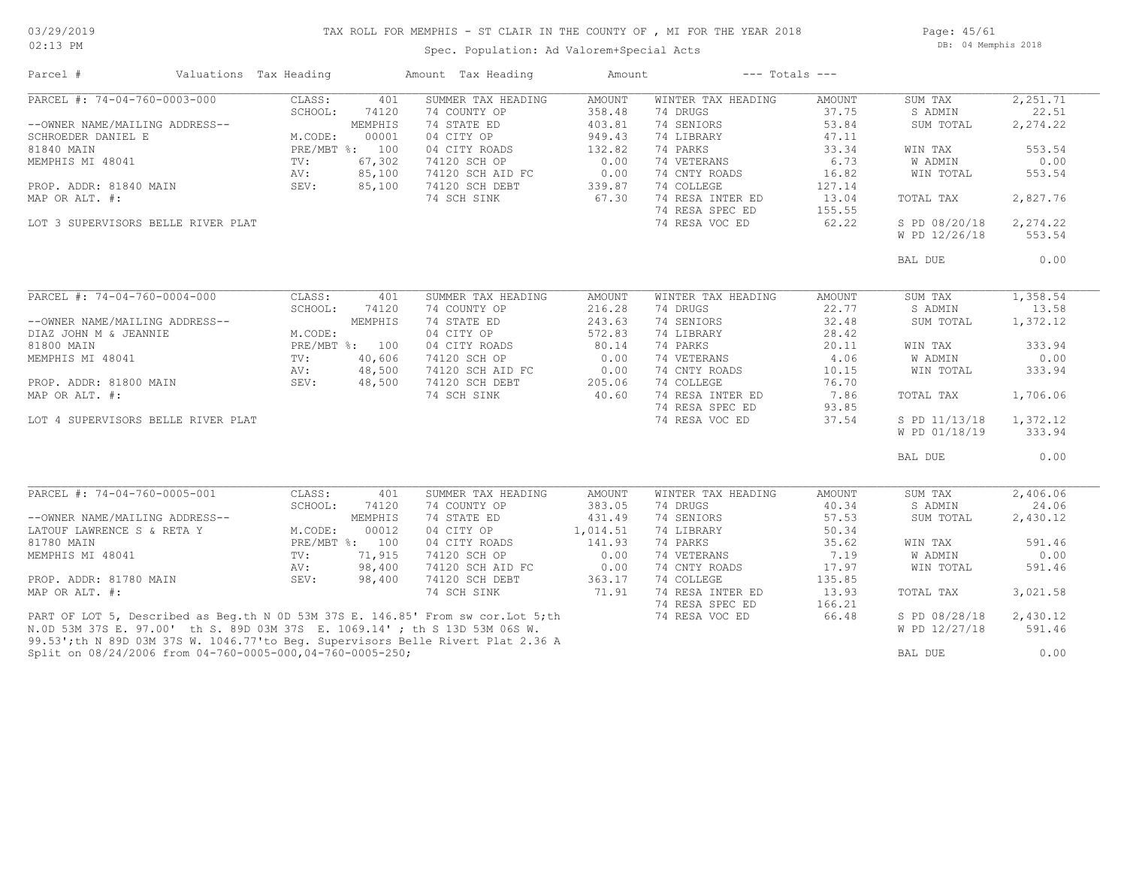### TAX ROLL FOR MEMPHIS - ST CLAIR IN THE COUNTY OF , MI FOR THE YEAR 2018

02:13 PM

### Spec. Population: Ad Valorem+Special Acts

Page: 45/61 DB: 04 Memphis 2018

| SUMMER TAX HEADING<br>WINTER TAX HEADING<br>CLASS:<br>401<br>AMOUNT<br>AMOUNT<br>SUM TAX<br>SCHOOL:<br>74120<br>74 COUNTY OP<br>358.48<br>74 DRUGS<br>37.75<br>S ADMIN<br>74 STATE ED<br>74 SENIORS<br>2,274.22<br>--OWNER NAME/MAILING ADDRESS--<br>MEMPHIS<br>403.81<br>53.84<br>SUM TOTAL<br>00001<br>04 CITY OP<br>949.43<br>74 LIBRARY<br>47.11<br>SCHROEDER DANIEL E<br>M.CODE:<br>81840 MAIN<br>PRE/MBT %: 100<br>04 CITY ROADS<br>132.82<br>74 PARKS<br>33.34<br>553.54<br>WIN TAX<br>67,302<br>0.00<br>74 VETERANS<br>6.73<br>0.00<br>MEMPHIS MI 48041<br>74120 SCH OP<br>W ADMIN<br>$\text{TV}$ :<br>85,100<br>0.00<br>74 CNTY ROADS<br>AV:<br>74120 SCH AID FC<br>16.82<br>WIN TOTAL<br>553.54<br>85,100<br>74120 SCH DEBT<br>339.87<br>74 COLLEGE<br>127.14<br>PROP. ADDR: 81840 MAIN<br>SEV:<br>2,827.76<br>74 SCH SINK<br>67.30<br>74 RESA INTER ED<br>13.04<br>MAP OR ALT. #:<br>TOTAL TAX<br>74 RESA SPEC ED<br>155.55<br>74 RESA VOC ED<br>62.22<br>S PD 08/20/18<br>2,274.22<br>LOT 3 SUPERVISORS BELLE RIVER PLAT<br>W PD 12/26/18<br>BAL DUE<br>PARCEL #: 74-04-760-0004-000<br>1,358.54<br>CLASS:<br>401<br>SUMMER TAX HEADING<br>AMOUNT<br>WINTER TAX HEADING<br>AMOUNT<br>SUM TAX<br>216.28<br>22.77<br>S ADMIN<br>SCHOOL:<br>74120<br>74 COUNTY OP<br>74 DRUGS<br>13.58<br>243.63<br>74 SENIORS<br>32.48<br>1,372.12<br>--OWNER NAME/MAILING ADDRESS--<br>MEMPHIS<br>74 STATE ED<br>SUM TOTAL<br>M.CODE:<br>04 CITY OP<br>572.83<br>74 LIBRARY<br>28.42<br>74 PARKS<br>PRE/MBT %: 100<br>04 CITY ROADS<br>80.14<br>20.11<br>WIN TAX<br>0.00<br>74 VETERANS<br>MEMPHIS MI 48041<br>TV:<br>40,606<br>74120 SCH OP<br>4.06<br>W ADMIN<br>48,500<br>$0.00$<br>0.00<br>205<br>74 CNTY ROADS<br>333.94<br>AV:<br>74120 SCH AID FC<br>10.15<br>WIN TOTAL<br>74 COLLEGE<br>PROP. ADDR: 81800 MAIN<br>SEV:<br>48,500<br>74120 SCH DEBT<br>76.70<br>40.60<br>74 RESA INTER ED<br>7.86<br>MAP OR ALT. #:<br>74 SCH SINK<br>TOTAL TAX<br>1,706.06<br>74 RESA SPEC ED<br>93.85<br>74 RESA VOC ED<br>37.54<br>1,372.12<br>LOT 4 SUPERVISORS BELLE RIVER PLAT<br>S PD 11/13/18<br>W PD 01/18/19<br>333.94<br>BAL DUE<br>PARCEL #: 74-04-760-0005-001<br>CLASS:<br>401<br>SUMMER TAX HEADING<br>AMOUNT<br>WINTER TAX HEADING<br>AMOUNT<br>SUM TAX<br>2,406.06<br>SCHOOL:<br>74120<br>74 COUNTY OP<br>383.05<br>74 DRUGS<br>40.34<br>S ADMIN<br>24.06<br>74 SENIORS<br>MEMPHIS<br>74 STATE ED<br>431.49<br>57.53<br>SUM TOTAL<br>--OWNER NAME/MAILING ADDRESS--<br>2,430.12<br>LATOUF LAWRENCE S & RETA Y<br>M.CODE:<br>00012<br>04 CITY OP<br>1,014.51<br>74 LIBRARY<br>50.34<br>141.93<br>74 PARKS<br>PRE/MBT %: 100<br>04 CITY ROADS<br>35.62<br>WIN TAX<br>71,915<br>0.00<br>74 VETERANS<br>7.19<br><b>W ADMIN</b><br>$\texttt{TV}:$<br>74120 SCH OP<br>98,400<br>74120 SCH AID FC<br>0.00<br>74 CNTY ROADS<br>17.97<br>AV:<br>WIN TOTAL<br>74 COLLEGE<br>PROP. ADDR: 81780 MAIN<br>SEV:<br>98,400<br>74120 SCH DEBT<br>363.17<br>135.85<br>71.91<br>74 RESA INTER ED<br>MAP OR ALT. #:<br>74 SCH SINK<br>13.93<br>TOTAL TAX<br>3,021.58<br>74 RESA SPEC ED<br>166.21<br>PART OF LOT 5, Described as Beq.th N 0D 53M 37S E. 146.85' From sw cor. Lot 5; th<br>74 RESA VOC ED<br>66.48<br>S PD 08/28/18<br>2,430.12<br>N.OD 53M 37S E. 97.00' th S. 89D 03M 37S E. 1069.14'; th S 13D 53M 06S W.<br>W PD 12/27/18<br>591.46<br>99.53';th N 89D 03M 37S W. 1046.77'to Beq. Supervisors Belle Rivert Plat 2.36 A<br>Split on 08/24/2006 from 04-760-0005-000,04-760-0005-250;<br>0.00<br>BAL DUE | Parcel #                     | Valuations Tax Heading | Amount Tax Heading | Amount | $---$ Totals $---$ |          |  |
|----------------------------------------------------------------------------------------------------------------------------------------------------------------------------------------------------------------------------------------------------------------------------------------------------------------------------------------------------------------------------------------------------------------------------------------------------------------------------------------------------------------------------------------------------------------------------------------------------------------------------------------------------------------------------------------------------------------------------------------------------------------------------------------------------------------------------------------------------------------------------------------------------------------------------------------------------------------------------------------------------------------------------------------------------------------------------------------------------------------------------------------------------------------------------------------------------------------------------------------------------------------------------------------------------------------------------------------------------------------------------------------------------------------------------------------------------------------------------------------------------------------------------------------------------------------------------------------------------------------------------------------------------------------------------------------------------------------------------------------------------------------------------------------------------------------------------------------------------------------------------------------------------------------------------------------------------------------------------------------------------------------------------------------------------------------------------------------------------------------------------------------------------------------------------------------------------------------------------------------------------------------------------------------------------------------------------------------------------------------------------------------------------------------------------------------------------------------------------------------------------------------------------------------------------------------------------------------------------------------------------------------------------------------------------------------------------------------------------------------------------------------------------------------------------------------------------------------------------------------------------------------------------------------------------------------------------------------------------------------------------------------------------------------------------------------------------------------------------------------------------------------------------------------------------------------------------------------------------------------------------------------------------------------------------------------------------------------------------------------------------------------------------------------------------------------------------------------------------------------------------------|------------------------------|------------------------|--------------------|--------|--------------------|----------|--|
|                                                                                                                                                                                                                                                                                                                                                                                                                                                                                                                                                                                                                                                                                                                                                                                                                                                                                                                                                                                                                                                                                                                                                                                                                                                                                                                                                                                                                                                                                                                                                                                                                                                                                                                                                                                                                                                                                                                                                                                                                                                                                                                                                                                                                                                                                                                                                                                                                                                                                                                                                                                                                                                                                                                                                                                                                                                                                                                                                                                                                                                                                                                                                                                                                                                                                                                                                                                                                                                                                                          | PARCEL #: 74-04-760-0003-000 |                        |                    |        |                    | 2,251.71 |  |
|                                                                                                                                                                                                                                                                                                                                                                                                                                                                                                                                                                                                                                                                                                                                                                                                                                                                                                                                                                                                                                                                                                                                                                                                                                                                                                                                                                                                                                                                                                                                                                                                                                                                                                                                                                                                                                                                                                                                                                                                                                                                                                                                                                                                                                                                                                                                                                                                                                                                                                                                                                                                                                                                                                                                                                                                                                                                                                                                                                                                                                                                                                                                                                                                                                                                                                                                                                                                                                                                                                          |                              |                        |                    |        |                    | 22.51    |  |
|                                                                                                                                                                                                                                                                                                                                                                                                                                                                                                                                                                                                                                                                                                                                                                                                                                                                                                                                                                                                                                                                                                                                                                                                                                                                                                                                                                                                                                                                                                                                                                                                                                                                                                                                                                                                                                                                                                                                                                                                                                                                                                                                                                                                                                                                                                                                                                                                                                                                                                                                                                                                                                                                                                                                                                                                                                                                                                                                                                                                                                                                                                                                                                                                                                                                                                                                                                                                                                                                                                          |                              |                        |                    |        |                    |          |  |
|                                                                                                                                                                                                                                                                                                                                                                                                                                                                                                                                                                                                                                                                                                                                                                                                                                                                                                                                                                                                                                                                                                                                                                                                                                                                                                                                                                                                                                                                                                                                                                                                                                                                                                                                                                                                                                                                                                                                                                                                                                                                                                                                                                                                                                                                                                                                                                                                                                                                                                                                                                                                                                                                                                                                                                                                                                                                                                                                                                                                                                                                                                                                                                                                                                                                                                                                                                                                                                                                                                          |                              |                        |                    |        |                    |          |  |
|                                                                                                                                                                                                                                                                                                                                                                                                                                                                                                                                                                                                                                                                                                                                                                                                                                                                                                                                                                                                                                                                                                                                                                                                                                                                                                                                                                                                                                                                                                                                                                                                                                                                                                                                                                                                                                                                                                                                                                                                                                                                                                                                                                                                                                                                                                                                                                                                                                                                                                                                                                                                                                                                                                                                                                                                                                                                                                                                                                                                                                                                                                                                                                                                                                                                                                                                                                                                                                                                                                          |                              |                        |                    |        |                    |          |  |
|                                                                                                                                                                                                                                                                                                                                                                                                                                                                                                                                                                                                                                                                                                                                                                                                                                                                                                                                                                                                                                                                                                                                                                                                                                                                                                                                                                                                                                                                                                                                                                                                                                                                                                                                                                                                                                                                                                                                                                                                                                                                                                                                                                                                                                                                                                                                                                                                                                                                                                                                                                                                                                                                                                                                                                                                                                                                                                                                                                                                                                                                                                                                                                                                                                                                                                                                                                                                                                                                                                          |                              |                        |                    |        |                    |          |  |
|                                                                                                                                                                                                                                                                                                                                                                                                                                                                                                                                                                                                                                                                                                                                                                                                                                                                                                                                                                                                                                                                                                                                                                                                                                                                                                                                                                                                                                                                                                                                                                                                                                                                                                                                                                                                                                                                                                                                                                                                                                                                                                                                                                                                                                                                                                                                                                                                                                                                                                                                                                                                                                                                                                                                                                                                                                                                                                                                                                                                                                                                                                                                                                                                                                                                                                                                                                                                                                                                                                          |                              |                        |                    |        |                    |          |  |
|                                                                                                                                                                                                                                                                                                                                                                                                                                                                                                                                                                                                                                                                                                                                                                                                                                                                                                                                                                                                                                                                                                                                                                                                                                                                                                                                                                                                                                                                                                                                                                                                                                                                                                                                                                                                                                                                                                                                                                                                                                                                                                                                                                                                                                                                                                                                                                                                                                                                                                                                                                                                                                                                                                                                                                                                                                                                                                                                                                                                                                                                                                                                                                                                                                                                                                                                                                                                                                                                                                          |                              |                        |                    |        |                    |          |  |
|                                                                                                                                                                                                                                                                                                                                                                                                                                                                                                                                                                                                                                                                                                                                                                                                                                                                                                                                                                                                                                                                                                                                                                                                                                                                                                                                                                                                                                                                                                                                                                                                                                                                                                                                                                                                                                                                                                                                                                                                                                                                                                                                                                                                                                                                                                                                                                                                                                                                                                                                                                                                                                                                                                                                                                                                                                                                                                                                                                                                                                                                                                                                                                                                                                                                                                                                                                                                                                                                                                          |                              |                        |                    |        |                    |          |  |
|                                                                                                                                                                                                                                                                                                                                                                                                                                                                                                                                                                                                                                                                                                                                                                                                                                                                                                                                                                                                                                                                                                                                                                                                                                                                                                                                                                                                                                                                                                                                                                                                                                                                                                                                                                                                                                                                                                                                                                                                                                                                                                                                                                                                                                                                                                                                                                                                                                                                                                                                                                                                                                                                                                                                                                                                                                                                                                                                                                                                                                                                                                                                                                                                                                                                                                                                                                                                                                                                                                          |                              |                        |                    |        |                    |          |  |
|                                                                                                                                                                                                                                                                                                                                                                                                                                                                                                                                                                                                                                                                                                                                                                                                                                                                                                                                                                                                                                                                                                                                                                                                                                                                                                                                                                                                                                                                                                                                                                                                                                                                                                                                                                                                                                                                                                                                                                                                                                                                                                                                                                                                                                                                                                                                                                                                                                                                                                                                                                                                                                                                                                                                                                                                                                                                                                                                                                                                                                                                                                                                                                                                                                                                                                                                                                                                                                                                                                          |                              |                        |                    |        |                    |          |  |
|                                                                                                                                                                                                                                                                                                                                                                                                                                                                                                                                                                                                                                                                                                                                                                                                                                                                                                                                                                                                                                                                                                                                                                                                                                                                                                                                                                                                                                                                                                                                                                                                                                                                                                                                                                                                                                                                                                                                                                                                                                                                                                                                                                                                                                                                                                                                                                                                                                                                                                                                                                                                                                                                                                                                                                                                                                                                                                                                                                                                                                                                                                                                                                                                                                                                                                                                                                                                                                                                                                          |                              |                        |                    |        |                    |          |  |
|                                                                                                                                                                                                                                                                                                                                                                                                                                                                                                                                                                                                                                                                                                                                                                                                                                                                                                                                                                                                                                                                                                                                                                                                                                                                                                                                                                                                                                                                                                                                                                                                                                                                                                                                                                                                                                                                                                                                                                                                                                                                                                                                                                                                                                                                                                                                                                                                                                                                                                                                                                                                                                                                                                                                                                                                                                                                                                                                                                                                                                                                                                                                                                                                                                                                                                                                                                                                                                                                                                          |                              |                        |                    |        |                    | 553.54   |  |
|                                                                                                                                                                                                                                                                                                                                                                                                                                                                                                                                                                                                                                                                                                                                                                                                                                                                                                                                                                                                                                                                                                                                                                                                                                                                                                                                                                                                                                                                                                                                                                                                                                                                                                                                                                                                                                                                                                                                                                                                                                                                                                                                                                                                                                                                                                                                                                                                                                                                                                                                                                                                                                                                                                                                                                                                                                                                                                                                                                                                                                                                                                                                                                                                                                                                                                                                                                                                                                                                                                          |                              |                        |                    |        |                    | 0.00     |  |
|                                                                                                                                                                                                                                                                                                                                                                                                                                                                                                                                                                                                                                                                                                                                                                                                                                                                                                                                                                                                                                                                                                                                                                                                                                                                                                                                                                                                                                                                                                                                                                                                                                                                                                                                                                                                                                                                                                                                                                                                                                                                                                                                                                                                                                                                                                                                                                                                                                                                                                                                                                                                                                                                                                                                                                                                                                                                                                                                                                                                                                                                                                                                                                                                                                                                                                                                                                                                                                                                                                          |                              |                        |                    |        |                    |          |  |
|                                                                                                                                                                                                                                                                                                                                                                                                                                                                                                                                                                                                                                                                                                                                                                                                                                                                                                                                                                                                                                                                                                                                                                                                                                                                                                                                                                                                                                                                                                                                                                                                                                                                                                                                                                                                                                                                                                                                                                                                                                                                                                                                                                                                                                                                                                                                                                                                                                                                                                                                                                                                                                                                                                                                                                                                                                                                                                                                                                                                                                                                                                                                                                                                                                                                                                                                                                                                                                                                                                          |                              |                        |                    |        |                    |          |  |
|                                                                                                                                                                                                                                                                                                                                                                                                                                                                                                                                                                                                                                                                                                                                                                                                                                                                                                                                                                                                                                                                                                                                                                                                                                                                                                                                                                                                                                                                                                                                                                                                                                                                                                                                                                                                                                                                                                                                                                                                                                                                                                                                                                                                                                                                                                                                                                                                                                                                                                                                                                                                                                                                                                                                                                                                                                                                                                                                                                                                                                                                                                                                                                                                                                                                                                                                                                                                                                                                                                          |                              |                        |                    |        |                    |          |  |
|                                                                                                                                                                                                                                                                                                                                                                                                                                                                                                                                                                                                                                                                                                                                                                                                                                                                                                                                                                                                                                                                                                                                                                                                                                                                                                                                                                                                                                                                                                                                                                                                                                                                                                                                                                                                                                                                                                                                                                                                                                                                                                                                                                                                                                                                                                                                                                                                                                                                                                                                                                                                                                                                                                                                                                                                                                                                                                                                                                                                                                                                                                                                                                                                                                                                                                                                                                                                                                                                                                          |                              |                        |                    |        |                    |          |  |
|                                                                                                                                                                                                                                                                                                                                                                                                                                                                                                                                                                                                                                                                                                                                                                                                                                                                                                                                                                                                                                                                                                                                                                                                                                                                                                                                                                                                                                                                                                                                                                                                                                                                                                                                                                                                                                                                                                                                                                                                                                                                                                                                                                                                                                                                                                                                                                                                                                                                                                                                                                                                                                                                                                                                                                                                                                                                                                                                                                                                                                                                                                                                                                                                                                                                                                                                                                                                                                                                                                          | DIAZ JOHN M & JEANNIE        |                        |                    |        |                    |          |  |
|                                                                                                                                                                                                                                                                                                                                                                                                                                                                                                                                                                                                                                                                                                                                                                                                                                                                                                                                                                                                                                                                                                                                                                                                                                                                                                                                                                                                                                                                                                                                                                                                                                                                                                                                                                                                                                                                                                                                                                                                                                                                                                                                                                                                                                                                                                                                                                                                                                                                                                                                                                                                                                                                                                                                                                                                                                                                                                                                                                                                                                                                                                                                                                                                                                                                                                                                                                                                                                                                                                          | 81800 MAIN                   |                        |                    |        |                    | 333.94   |  |
|                                                                                                                                                                                                                                                                                                                                                                                                                                                                                                                                                                                                                                                                                                                                                                                                                                                                                                                                                                                                                                                                                                                                                                                                                                                                                                                                                                                                                                                                                                                                                                                                                                                                                                                                                                                                                                                                                                                                                                                                                                                                                                                                                                                                                                                                                                                                                                                                                                                                                                                                                                                                                                                                                                                                                                                                                                                                                                                                                                                                                                                                                                                                                                                                                                                                                                                                                                                                                                                                                                          |                              |                        |                    |        |                    | 0.00     |  |
|                                                                                                                                                                                                                                                                                                                                                                                                                                                                                                                                                                                                                                                                                                                                                                                                                                                                                                                                                                                                                                                                                                                                                                                                                                                                                                                                                                                                                                                                                                                                                                                                                                                                                                                                                                                                                                                                                                                                                                                                                                                                                                                                                                                                                                                                                                                                                                                                                                                                                                                                                                                                                                                                                                                                                                                                                                                                                                                                                                                                                                                                                                                                                                                                                                                                                                                                                                                                                                                                                                          |                              |                        |                    |        |                    |          |  |
|                                                                                                                                                                                                                                                                                                                                                                                                                                                                                                                                                                                                                                                                                                                                                                                                                                                                                                                                                                                                                                                                                                                                                                                                                                                                                                                                                                                                                                                                                                                                                                                                                                                                                                                                                                                                                                                                                                                                                                                                                                                                                                                                                                                                                                                                                                                                                                                                                                                                                                                                                                                                                                                                                                                                                                                                                                                                                                                                                                                                                                                                                                                                                                                                                                                                                                                                                                                                                                                                                                          |                              |                        |                    |        |                    |          |  |
|                                                                                                                                                                                                                                                                                                                                                                                                                                                                                                                                                                                                                                                                                                                                                                                                                                                                                                                                                                                                                                                                                                                                                                                                                                                                                                                                                                                                                                                                                                                                                                                                                                                                                                                                                                                                                                                                                                                                                                                                                                                                                                                                                                                                                                                                                                                                                                                                                                                                                                                                                                                                                                                                                                                                                                                                                                                                                                                                                                                                                                                                                                                                                                                                                                                                                                                                                                                                                                                                                                          |                              |                        |                    |        |                    |          |  |
|                                                                                                                                                                                                                                                                                                                                                                                                                                                                                                                                                                                                                                                                                                                                                                                                                                                                                                                                                                                                                                                                                                                                                                                                                                                                                                                                                                                                                                                                                                                                                                                                                                                                                                                                                                                                                                                                                                                                                                                                                                                                                                                                                                                                                                                                                                                                                                                                                                                                                                                                                                                                                                                                                                                                                                                                                                                                                                                                                                                                                                                                                                                                                                                                                                                                                                                                                                                                                                                                                                          |                              |                        |                    |        |                    |          |  |
|                                                                                                                                                                                                                                                                                                                                                                                                                                                                                                                                                                                                                                                                                                                                                                                                                                                                                                                                                                                                                                                                                                                                                                                                                                                                                                                                                                                                                                                                                                                                                                                                                                                                                                                                                                                                                                                                                                                                                                                                                                                                                                                                                                                                                                                                                                                                                                                                                                                                                                                                                                                                                                                                                                                                                                                                                                                                                                                                                                                                                                                                                                                                                                                                                                                                                                                                                                                                                                                                                                          |                              |                        |                    |        |                    |          |  |
|                                                                                                                                                                                                                                                                                                                                                                                                                                                                                                                                                                                                                                                                                                                                                                                                                                                                                                                                                                                                                                                                                                                                                                                                                                                                                                                                                                                                                                                                                                                                                                                                                                                                                                                                                                                                                                                                                                                                                                                                                                                                                                                                                                                                                                                                                                                                                                                                                                                                                                                                                                                                                                                                                                                                                                                                                                                                                                                                                                                                                                                                                                                                                                                                                                                                                                                                                                                                                                                                                                          |                              |                        |                    |        |                    |          |  |
|                                                                                                                                                                                                                                                                                                                                                                                                                                                                                                                                                                                                                                                                                                                                                                                                                                                                                                                                                                                                                                                                                                                                                                                                                                                                                                                                                                                                                                                                                                                                                                                                                                                                                                                                                                                                                                                                                                                                                                                                                                                                                                                                                                                                                                                                                                                                                                                                                                                                                                                                                                                                                                                                                                                                                                                                                                                                                                                                                                                                                                                                                                                                                                                                                                                                                                                                                                                                                                                                                                          |                              |                        |                    |        |                    |          |  |
|                                                                                                                                                                                                                                                                                                                                                                                                                                                                                                                                                                                                                                                                                                                                                                                                                                                                                                                                                                                                                                                                                                                                                                                                                                                                                                                                                                                                                                                                                                                                                                                                                                                                                                                                                                                                                                                                                                                                                                                                                                                                                                                                                                                                                                                                                                                                                                                                                                                                                                                                                                                                                                                                                                                                                                                                                                                                                                                                                                                                                                                                                                                                                                                                                                                                                                                                                                                                                                                                                                          |                              |                        |                    |        |                    | 0.00     |  |
|                                                                                                                                                                                                                                                                                                                                                                                                                                                                                                                                                                                                                                                                                                                                                                                                                                                                                                                                                                                                                                                                                                                                                                                                                                                                                                                                                                                                                                                                                                                                                                                                                                                                                                                                                                                                                                                                                                                                                                                                                                                                                                                                                                                                                                                                                                                                                                                                                                                                                                                                                                                                                                                                                                                                                                                                                                                                                                                                                                                                                                                                                                                                                                                                                                                                                                                                                                                                                                                                                                          |                              |                        |                    |        |                    |          |  |
|                                                                                                                                                                                                                                                                                                                                                                                                                                                                                                                                                                                                                                                                                                                                                                                                                                                                                                                                                                                                                                                                                                                                                                                                                                                                                                                                                                                                                                                                                                                                                                                                                                                                                                                                                                                                                                                                                                                                                                                                                                                                                                                                                                                                                                                                                                                                                                                                                                                                                                                                                                                                                                                                                                                                                                                                                                                                                                                                                                                                                                                                                                                                                                                                                                                                                                                                                                                                                                                                                                          |                              |                        |                    |        |                    |          |  |
|                                                                                                                                                                                                                                                                                                                                                                                                                                                                                                                                                                                                                                                                                                                                                                                                                                                                                                                                                                                                                                                                                                                                                                                                                                                                                                                                                                                                                                                                                                                                                                                                                                                                                                                                                                                                                                                                                                                                                                                                                                                                                                                                                                                                                                                                                                                                                                                                                                                                                                                                                                                                                                                                                                                                                                                                                                                                                                                                                                                                                                                                                                                                                                                                                                                                                                                                                                                                                                                                                                          |                              |                        |                    |        |                    |          |  |
|                                                                                                                                                                                                                                                                                                                                                                                                                                                                                                                                                                                                                                                                                                                                                                                                                                                                                                                                                                                                                                                                                                                                                                                                                                                                                                                                                                                                                                                                                                                                                                                                                                                                                                                                                                                                                                                                                                                                                                                                                                                                                                                                                                                                                                                                                                                                                                                                                                                                                                                                                                                                                                                                                                                                                                                                                                                                                                                                                                                                                                                                                                                                                                                                                                                                                                                                                                                                                                                                                                          |                              |                        |                    |        |                    |          |  |
|                                                                                                                                                                                                                                                                                                                                                                                                                                                                                                                                                                                                                                                                                                                                                                                                                                                                                                                                                                                                                                                                                                                                                                                                                                                                                                                                                                                                                                                                                                                                                                                                                                                                                                                                                                                                                                                                                                                                                                                                                                                                                                                                                                                                                                                                                                                                                                                                                                                                                                                                                                                                                                                                                                                                                                                                                                                                                                                                                                                                                                                                                                                                                                                                                                                                                                                                                                                                                                                                                                          |                              |                        |                    |        |                    |          |  |
|                                                                                                                                                                                                                                                                                                                                                                                                                                                                                                                                                                                                                                                                                                                                                                                                                                                                                                                                                                                                                                                                                                                                                                                                                                                                                                                                                                                                                                                                                                                                                                                                                                                                                                                                                                                                                                                                                                                                                                                                                                                                                                                                                                                                                                                                                                                                                                                                                                                                                                                                                                                                                                                                                                                                                                                                                                                                                                                                                                                                                                                                                                                                                                                                                                                                                                                                                                                                                                                                                                          | 81780 MAIN                   |                        |                    |        |                    | 591.46   |  |
|                                                                                                                                                                                                                                                                                                                                                                                                                                                                                                                                                                                                                                                                                                                                                                                                                                                                                                                                                                                                                                                                                                                                                                                                                                                                                                                                                                                                                                                                                                                                                                                                                                                                                                                                                                                                                                                                                                                                                                                                                                                                                                                                                                                                                                                                                                                                                                                                                                                                                                                                                                                                                                                                                                                                                                                                                                                                                                                                                                                                                                                                                                                                                                                                                                                                                                                                                                                                                                                                                                          | MEMPHIS MI 48041             |                        |                    |        |                    | 0.00     |  |
|                                                                                                                                                                                                                                                                                                                                                                                                                                                                                                                                                                                                                                                                                                                                                                                                                                                                                                                                                                                                                                                                                                                                                                                                                                                                                                                                                                                                                                                                                                                                                                                                                                                                                                                                                                                                                                                                                                                                                                                                                                                                                                                                                                                                                                                                                                                                                                                                                                                                                                                                                                                                                                                                                                                                                                                                                                                                                                                                                                                                                                                                                                                                                                                                                                                                                                                                                                                                                                                                                                          |                              |                        |                    |        |                    | 591.46   |  |
|                                                                                                                                                                                                                                                                                                                                                                                                                                                                                                                                                                                                                                                                                                                                                                                                                                                                                                                                                                                                                                                                                                                                                                                                                                                                                                                                                                                                                                                                                                                                                                                                                                                                                                                                                                                                                                                                                                                                                                                                                                                                                                                                                                                                                                                                                                                                                                                                                                                                                                                                                                                                                                                                                                                                                                                                                                                                                                                                                                                                                                                                                                                                                                                                                                                                                                                                                                                                                                                                                                          |                              |                        |                    |        |                    |          |  |
|                                                                                                                                                                                                                                                                                                                                                                                                                                                                                                                                                                                                                                                                                                                                                                                                                                                                                                                                                                                                                                                                                                                                                                                                                                                                                                                                                                                                                                                                                                                                                                                                                                                                                                                                                                                                                                                                                                                                                                                                                                                                                                                                                                                                                                                                                                                                                                                                                                                                                                                                                                                                                                                                                                                                                                                                                                                                                                                                                                                                                                                                                                                                                                                                                                                                                                                                                                                                                                                                                                          |                              |                        |                    |        |                    |          |  |
|                                                                                                                                                                                                                                                                                                                                                                                                                                                                                                                                                                                                                                                                                                                                                                                                                                                                                                                                                                                                                                                                                                                                                                                                                                                                                                                                                                                                                                                                                                                                                                                                                                                                                                                                                                                                                                                                                                                                                                                                                                                                                                                                                                                                                                                                                                                                                                                                                                                                                                                                                                                                                                                                                                                                                                                                                                                                                                                                                                                                                                                                                                                                                                                                                                                                                                                                                                                                                                                                                                          |                              |                        |                    |        |                    |          |  |
|                                                                                                                                                                                                                                                                                                                                                                                                                                                                                                                                                                                                                                                                                                                                                                                                                                                                                                                                                                                                                                                                                                                                                                                                                                                                                                                                                                                                                                                                                                                                                                                                                                                                                                                                                                                                                                                                                                                                                                                                                                                                                                                                                                                                                                                                                                                                                                                                                                                                                                                                                                                                                                                                                                                                                                                                                                                                                                                                                                                                                                                                                                                                                                                                                                                                                                                                                                                                                                                                                                          |                              |                        |                    |        |                    |          |  |
|                                                                                                                                                                                                                                                                                                                                                                                                                                                                                                                                                                                                                                                                                                                                                                                                                                                                                                                                                                                                                                                                                                                                                                                                                                                                                                                                                                                                                                                                                                                                                                                                                                                                                                                                                                                                                                                                                                                                                                                                                                                                                                                                                                                                                                                                                                                                                                                                                                                                                                                                                                                                                                                                                                                                                                                                                                                                                                                                                                                                                                                                                                                                                                                                                                                                                                                                                                                                                                                                                                          |                              |                        |                    |        |                    |          |  |
|                                                                                                                                                                                                                                                                                                                                                                                                                                                                                                                                                                                                                                                                                                                                                                                                                                                                                                                                                                                                                                                                                                                                                                                                                                                                                                                                                                                                                                                                                                                                                                                                                                                                                                                                                                                                                                                                                                                                                                                                                                                                                                                                                                                                                                                                                                                                                                                                                                                                                                                                                                                                                                                                                                                                                                                                                                                                                                                                                                                                                                                                                                                                                                                                                                                                                                                                                                                                                                                                                                          |                              |                        |                    |        |                    |          |  |
|                                                                                                                                                                                                                                                                                                                                                                                                                                                                                                                                                                                                                                                                                                                                                                                                                                                                                                                                                                                                                                                                                                                                                                                                                                                                                                                                                                                                                                                                                                                                                                                                                                                                                                                                                                                                                                                                                                                                                                                                                                                                                                                                                                                                                                                                                                                                                                                                                                                                                                                                                                                                                                                                                                                                                                                                                                                                                                                                                                                                                                                                                                                                                                                                                                                                                                                                                                                                                                                                                                          |                              |                        |                    |        |                    |          |  |
|                                                                                                                                                                                                                                                                                                                                                                                                                                                                                                                                                                                                                                                                                                                                                                                                                                                                                                                                                                                                                                                                                                                                                                                                                                                                                                                                                                                                                                                                                                                                                                                                                                                                                                                                                                                                                                                                                                                                                                                                                                                                                                                                                                                                                                                                                                                                                                                                                                                                                                                                                                                                                                                                                                                                                                                                                                                                                                                                                                                                                                                                                                                                                                                                                                                                                                                                                                                                                                                                                                          |                              |                        |                    |        |                    |          |  |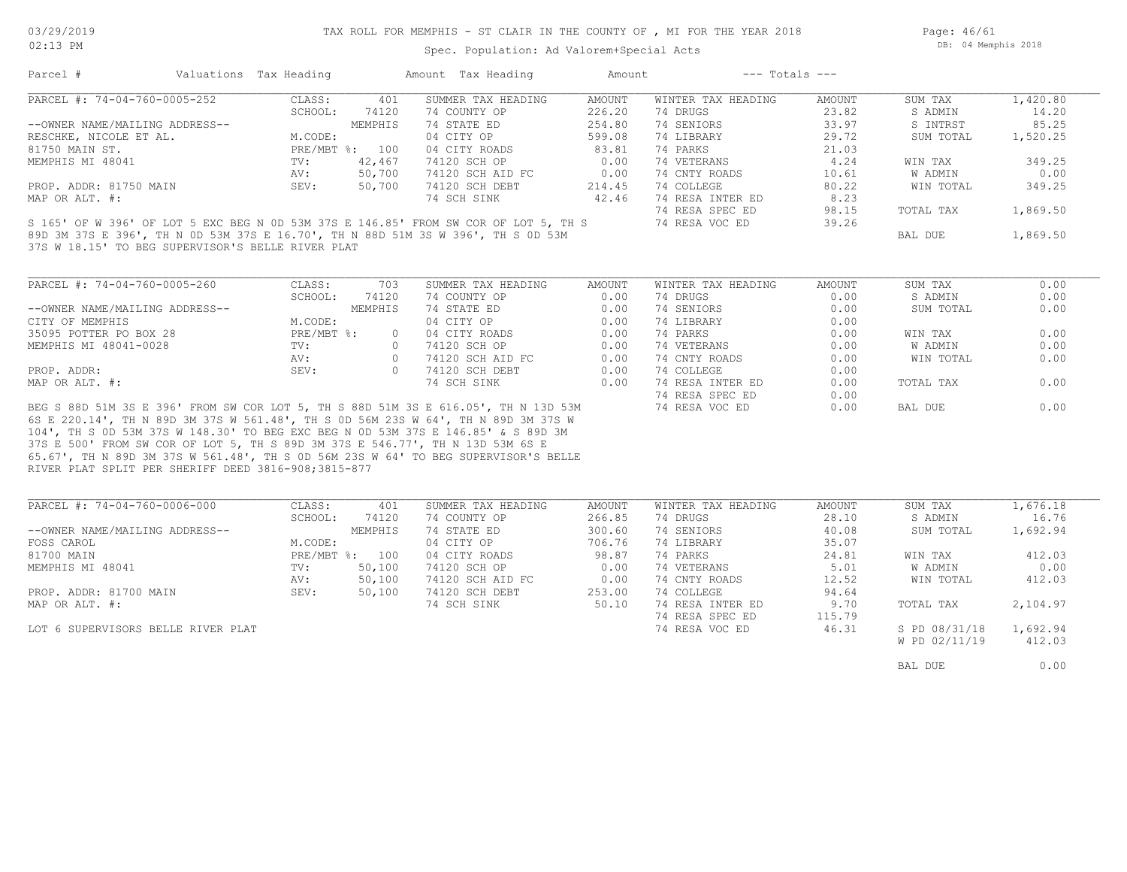Page: 46/61 DB: 04 Memphis 2018

Spec. Population: Ad Valorem+Special Acts

| Parcel #                                          | Valuations Tax Heading |                | Amount Tax Heading                                                                  | Amount |                    | $---$ Totals $---$ |           |          |
|---------------------------------------------------|------------------------|----------------|-------------------------------------------------------------------------------------|--------|--------------------|--------------------|-----------|----------|
| PARCEL #: 74-04-760-0005-252                      | CLASS:                 | 401            | SUMMER TAX HEADING                                                                  | AMOUNT | WINTER TAX HEADING | AMOUNT             | SUM TAX   | 1,420.80 |
|                                                   | SCHOOL:                | 74120          | 74 COUNTY OP                                                                        | 226.20 | 74 DRUGS           | 23.82              | S ADMIN   | 14.20    |
| --OWNER NAME/MAILING ADDRESS--                    |                        | MEMPHIS        | 74 STATE ED                                                                         | 254.80 | 74 SENIORS         | 33.97              | S INTRST  | 85.25    |
| RESCHKE, NICOLE ET AL.                            | M.CODE:                |                | 04 CITY OP                                                                          | 599.08 | 74 LIBRARY         | 29.72              | SUM TOTAL | 1,520.25 |
| 81750 MAIN ST.                                    |                        | PRE/MBT %: 100 | 04 CITY ROADS                                                                       | 83.81  | 74 PARKS           | 21.03              |           |          |
| MEMPHIS MI 48041                                  | TV:                    | 42,467         | 74120 SCH OP                                                                        | 0.00   | 74 VETERANS        | 4.24               | WIN TAX   | 349.25   |
|                                                   | AV:                    | 50,700         | 74120 SCH AID FC                                                                    | 0.00   | 74 CNTY ROADS      | 10.61              | W ADMIN   | 0.00     |
| PROP. ADDR: 81750 MAIN                            | SEV:                   | 50,700         | 74120 SCH DEBT                                                                      | 214.45 | 74 COLLEGE         | 80.22              | WIN TOTAL | 349.25   |
| MAP OR ALT. #:                                    |                        |                | 74 SCH SINK                                                                         | 42.46  | 74 RESA INTER ED   | 8.23               |           |          |
|                                                   |                        |                |                                                                                     |        | 74 RESA SPEC ED    | 98.15              | TOTAL TAX | 1,869.50 |
|                                                   |                        |                | S 165' OF W 396' OF LOT 5 EXC BEG N 0D 53M 37S E 146.85' FROM SW COR OF LOT 5, TH S |        | 74 RESA VOC ED     | 39.26              |           |          |
|                                                   |                        |                | 89D 3M 37S E 396', TH N OD 53M 37S E 16.70', TH N 88D 51M 3S W 396', TH S OD 53M    |        |                    |                    | BAL DUE   | 1,869.50 |
| 37S W 18.15' TO BEG SUPERVISOR'S BELLE RIVER PLAT |                        |                |                                                                                     |        |                    |                    |           |          |

| PARCEL #: 74-04-760-0005-260<br>CLASS: | 703     | SUMMER TAX HEADING | AMOUNT | WINTER TAX HEADING | AMOUNT | SUM TAX   | 0.00 |
|----------------------------------------|---------|--------------------|--------|--------------------|--------|-----------|------|
| SCHOOL:                                | 74120   | 74 COUNTY OP       | 0.00   | 74 DRUGS           | 0.00   | S ADMIN   | 0.00 |
| --OWNER NAME/MAILING ADDRESS--         | MEMPHIS | 74 STATE ED        | 0.00   | 74 SENIORS         | 0.00   | SUM TOTAL | 0.00 |
| M.CODE:<br>CITY OF MEMPHIS             |         | 04 CITY OP         | 0.00   | 74 LIBRARY         | 0.00   |           |      |
| 35095 POTTER PO BOX 28<br>PRE/MBT %:   |         | 04 CITY ROADS      | 0.00   | 74 PARKS           | 0.00   | WIN TAX   | 0.00 |
| MEMPHIS MI 48041-0028<br>TV:           |         | 74120 SCH OP       | 0.00   | 74 VETERANS        | 0.00   | W ADMIN   | 0.00 |
| AV:                                    |         | 74120 SCH AID FC   | 0.00   | 74 CNTY ROADS      | 0.00   | WIN TOTAL | 0.00 |
| SEV:<br>PROP. ADDR:                    |         | 74120 SCH DEBT     | 0.00   | 74 COLLEGE         | 0.00   |           |      |
| MAP OR ALT. #:                         |         | 74 SCH SINK        | 0.00   | 74 RESA INTER ED   | 0.00   | TOTAL TAX | 0.00 |
|                                        |         |                    |        | 74 RESA SPEC ED    | 0.00   |           |      |

RIVER PLAT SPLIT PER SHERIFF DEED 3816-908;3815-877 65.67', TH N 89D 3M 37S W 561.48', TH S 0D 56M 23S W 64' TO BEG SUPERVISOR'S BELLE 37S E 500' FROM SW COR OF LOT 5, TH S 89D 3M 37S E 546.77', TH N 13D 53M 6S E 104', TH S 0D 53M 37S W 148.30' TO BEG EXC BEG N 0D 53M 37S E 146.85' & S 89D 3M 6S E 220.14', TH N 89D 3M 37S W 561.48', TH S 0D 56M 23S W 64', TH N 89D 3M 37S W BEG S 88D 51M 3S E 396' FROM SW COR LOT 5, TH S 88D 51M 3S E 616.05', TH N 13D 53M 74 RESA VOC ED 0.00 BAL DUE 0.00

| PARCEL #: 74-04-760-0006-000       | CLASS:       | 401     | SUMMER TAX HEADING | AMOUNT | WINTER TAX HEADING | AMOUNT | SUM TAX       | 1,676.18 |
|------------------------------------|--------------|---------|--------------------|--------|--------------------|--------|---------------|----------|
|                                    | SCHOOL:      | 74120   | 74 COUNTY OP       | 266.85 | 74 DRUGS           | 28.10  | S ADMIN       | 16.76    |
| --OWNER NAME/MAILING ADDRESS--     |              | MEMPHIS | 74 STATE ED        | 300.60 | 74 SENIORS         | 40.08  | SUM TOTAL     | 1,692.94 |
| FOSS CAROL                         | M.CODE:      |         | 04 CITY OP         | 706.76 | 74 LIBRARY         | 35.07  |               |          |
| 81700 MAIN                         | $PRE/MBT$ %: | 100     | 04 CITY ROADS      | 98.87  | 74 PARKS           | 24.81  | WIN TAX       | 412.03   |
| MEMPHIS MI 48041                   | TV:          | 50,100  | 74120 SCH OP       | 0.00   | 74 VETERANS        | 5.01   | W ADMIN       | 0.00     |
|                                    | AV:          | 50,100  | 74120 SCH AID FC   | 0.00   | 74 CNTY ROADS      | 12.52  | WIN TOTAL     | 412.03   |
| PROP. ADDR: 81700 MAIN             | SEV:         | 50,100  | 74120 SCH DEBT     | 253.00 | 74 COLLEGE         | 94.64  |               |          |
| MAP OR ALT. #:                     |              |         | 74 SCH SINK        | 50.10  | 74 RESA INTER ED   | 9.70   | TOTAL TAX     | 2,104.97 |
|                                    |              |         |                    |        | 74 RESA SPEC ED    | 115.79 |               |          |
| LOT 6 SUPERVISORS BELLE RIVER PLAT |              |         |                    |        | 74 RESA VOC ED     | 46.31  | S PD 08/31/18 | 1,692.94 |
|                                    |              |         |                    |        |                    |        | W PD 02/11/19 | 412.03   |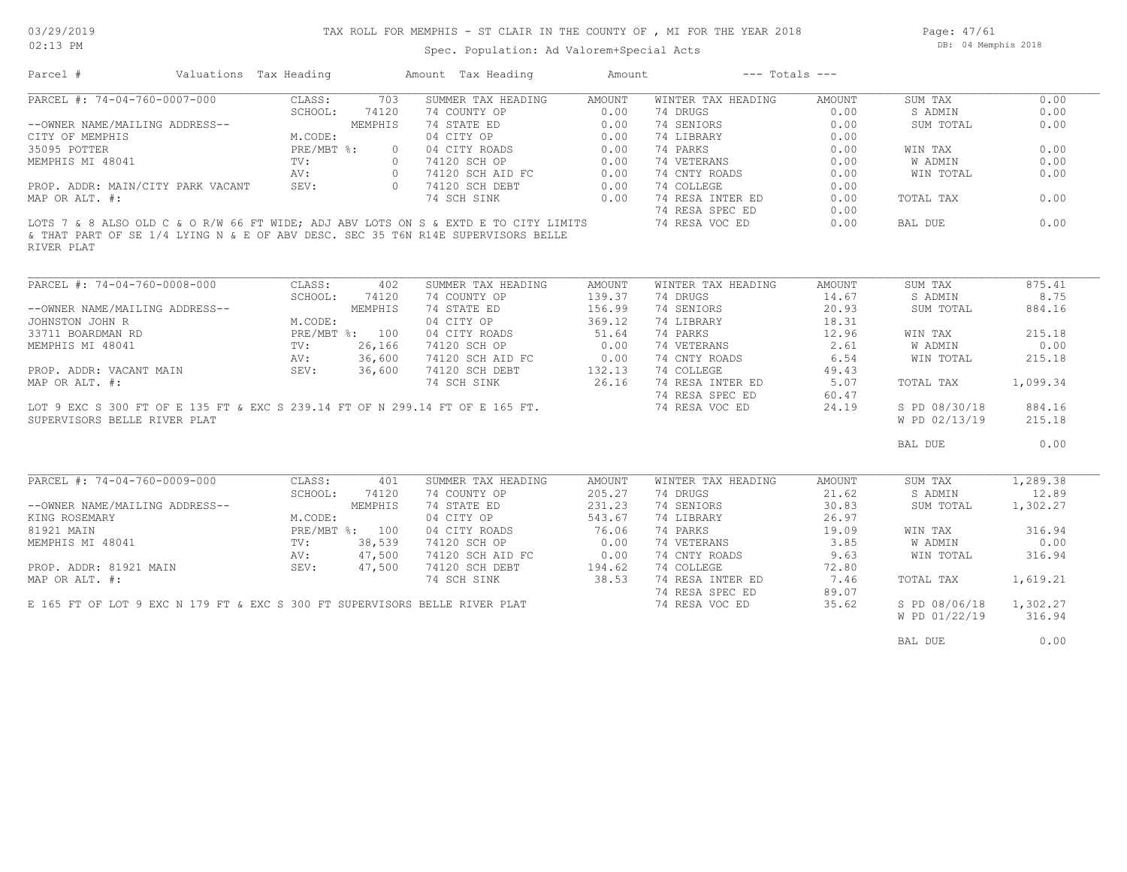02:13 PM

#### Spec. Population: Ad Valorem+Special Acts

Page: 47/61 DB: 04 Memphis 2018

| Parcel #                                                                                       | Valuations Tax Heading |               |                | Amount Tax Heading | Amount | $---$ Totals $---$ |        |               |          |
|------------------------------------------------------------------------------------------------|------------------------|---------------|----------------|--------------------|--------|--------------------|--------|---------------|----------|
| PARCEL #: 74-04-760-0007-000                                                                   |                        | CLASS:        | 703            | SUMMER TAX HEADING | AMOUNT | WINTER TAX HEADING | AMOUNT | SUM TAX       | 0.00     |
|                                                                                                |                        | SCHOOL:       | 74120          | 74 COUNTY OP       | 0.00   | 74 DRUGS           | 0.00   | S ADMIN       | 0.00     |
| --OWNER NAME/MAILING ADDRESS--                                                                 |                        |               | MEMPHIS        | 74 STATE ED        | 0.00   | 74 SENIORS         | 0.00   | SUM TOTAL     | 0.00     |
| CITY OF MEMPHIS                                                                                |                        | M.CODE:       |                | 04 CITY OP         | 0.00   | 74 LIBRARY         | 0.00   |               |          |
| 35095 POTTER                                                                                   |                        | PRE/MBT %:    | $\circ$        | 04 CITY ROADS      | 0.00   | 74 PARKS           | 0.00   | WIN TAX       | 0.00     |
| MEMPHIS MI 48041                                                                               |                        | $\text{TV}$ : | $\overline{0}$ | 74120 SCH OP       | 0.00   | 74 VETERANS        | 0.00   | W ADMIN       | 0.00     |
|                                                                                                |                        | AV:           | $\overline{0}$ | 74120 SCH AID FC   | 0.00   | 74 CNTY ROADS      | 0.00   | WIN TOTAL     | 0.00     |
| PROP. ADDR: MAIN/CITY PARK VACANT                                                              |                        | SEV:          |                | 0 74120 SCH DEBT   | 0.00   | 74 COLLEGE         | 0.00   |               |          |
| MAP OR ALT. #:                                                                                 |                        |               |                | 74 SCH SINK        | 0.00   | 74 RESA INTER ED   | 0.00   | TOTAL TAX     | 0.00     |
|                                                                                                |                        |               |                |                    |        | 74 RESA SPEC ED    | 0.00   |               |          |
| LOTS 7 & 8 ALSO OLD C & O R/W 66 FT WIDE; ADJ ABV LOTS ON S & EXTD E TO CITY LIMITS            |                        |               |                |                    |        | 74 RESA VOC ED     | 0.00   | BAL DUE       | 0.00     |
| & THAT PART OF SE 1/4 LYING N & E OF ABV DESC. SEC 35 T6N R14E SUPERVISORS BELLE<br>RIVER PLAT |                        |               |                |                    |        |                    |        |               |          |
|                                                                                                |                        |               |                |                    |        |                    |        |               |          |
| PARCEL #: 74-04-760-0008-000                                                                   |                        | CLASS:        | 402            | SUMMER TAX HEADING | AMOUNT | WINTER TAX HEADING | AMOUNT | SUM TAX       | 875.41   |
|                                                                                                |                        | SCHOOL:       | 74120          | 74 COUNTY OP       | 139.37 | 74 DRUGS           | 14.67  | S ADMIN       | 8.75     |
| --OWNER NAME/MAILING ADDRESS--                                                                 |                        |               | MEMPHIS        | 74 STATE ED        | 156.99 | 74 SENIORS         | 20.93  | SUM TOTAL     | 884.16   |
| JOHNSTON JOHN R                                                                                |                        | M.CODE:       |                | 04 CITY OP         | 369.12 | 74 LIBRARY         | 18.31  |               |          |
| 33711 BOARDMAN RD                                                                              |                        |               | PRE/MBT %: 100 | 04 CITY ROADS      | 51.64  | 74 PARKS           | 12.96  | WIN TAX       | 215.18   |
| MEMPHIS MI 48041                                                                               |                        | TV:           | 26,166         | 74120 SCH OP       | 0.00   | 74 VETERANS        | 2.61   | W ADMIN       | 0.00     |
|                                                                                                |                        | AV:           | 36,600         | 74120 SCH AID FC   | 0.00   | 74 CNTY ROADS      | 6.54   | WIN TOTAL     | 215.18   |
| PROP. ADDR: VACANT MAIN                                                                        | SEV:                   |               | 36,600         | 74120 SCH DEBT     | 132.13 | 74 COLLEGE         | 49.43  |               |          |
| MAP OR ALT. #:                                                                                 |                        |               |                | 74 SCH SINK        | 26.16  | 74 RESA INTER ED   | 5.07   | TOTAL TAX     | 1,099.34 |
|                                                                                                |                        |               |                |                    |        | 74 RESA SPEC ED    | 60.47  |               |          |
| LOT 9 EXC S 300 FT OF E 135 FT & EXC S 239.14 FT OF N 299.14 FT OF E 165 FT.                   |                        |               |                |                    |        | 74 RESA VOC ED     | 24.19  | S PD 08/30/18 | 884.16   |
| SUPERVISORS BELLE RIVER PLAT                                                                   |                        |               |                |                    |        |                    |        | W PD 02/13/19 | 215.18   |
|                                                                                                |                        |               |                |                    |        |                    |        | BAL DUE       | 0.00     |
|                                                                                                |                        |               |                |                    |        |                    |        |               |          |
| PARCEL #: 74-04-760-0009-000                                                                   |                        | CLASS:        | 401            | SUMMER TAX HEADING | AMOUNT | WINTER TAX HEADING | AMOUNT | SUM TAX       | 1,289.38 |
|                                                                                                |                        | SCHOOL:       | 74120          | 74 COUNTY OP       | 205.27 | 74 DRUGS           | 21.62  | S ADMIN       | 12.89    |
| --OWNER NAME/MAILING ADDRESS--                                                                 |                        |               | MEMPHIS        | 74 STATE ED        | 231.23 | 74 SENIORS         | 30.83  | SUM TOTAL     | 1,302.27 |
| KING ROSEMARY                                                                                  |                        | M.CODE:       |                | 04 CITY OP         | 543.67 | 74 LIBRARY         | 26.97  |               |          |
| 81921 MAIN                                                                                     |                        |               | PRE/MBT %: 100 | 04 CITY ROADS      | 76.06  | 74 PARKS           | 19.09  | WIN TAX       | 316.94   |
| MEMPHIS MI 48041                                                                               |                        | TV:           | 38,539         | 74120 SCH OP       | 0.00   | 74 VETERANS        | 3.85   | W ADMIN       | 0.00     |

W PD 01/22/19 316.94

74 RESA SPEC ED 89.07

AV: 47,500 74120 SCH AID FC 0.00 74 CNTY ROADS 9.63 WIN TOTAL 316.94

MAP OR ALT. #: TALTER ALT. #: 74 SCH SINK 38.53 74 RESA INTER ED 7.46 TOTAL TAX 1,619.21 PROP. ADDR: 81921 MAIN SEV: 47,500 74120 SCH DEBT 194.62 74 COLLEGE 72.80

E 165 FT OF LOT 9 EXC N 179 FT & EXC S 300 FT SUPERVISORS BELLE RIVER PLAT 74 RESA VOC ED 35.62 S PD 08/06/18 1,302.27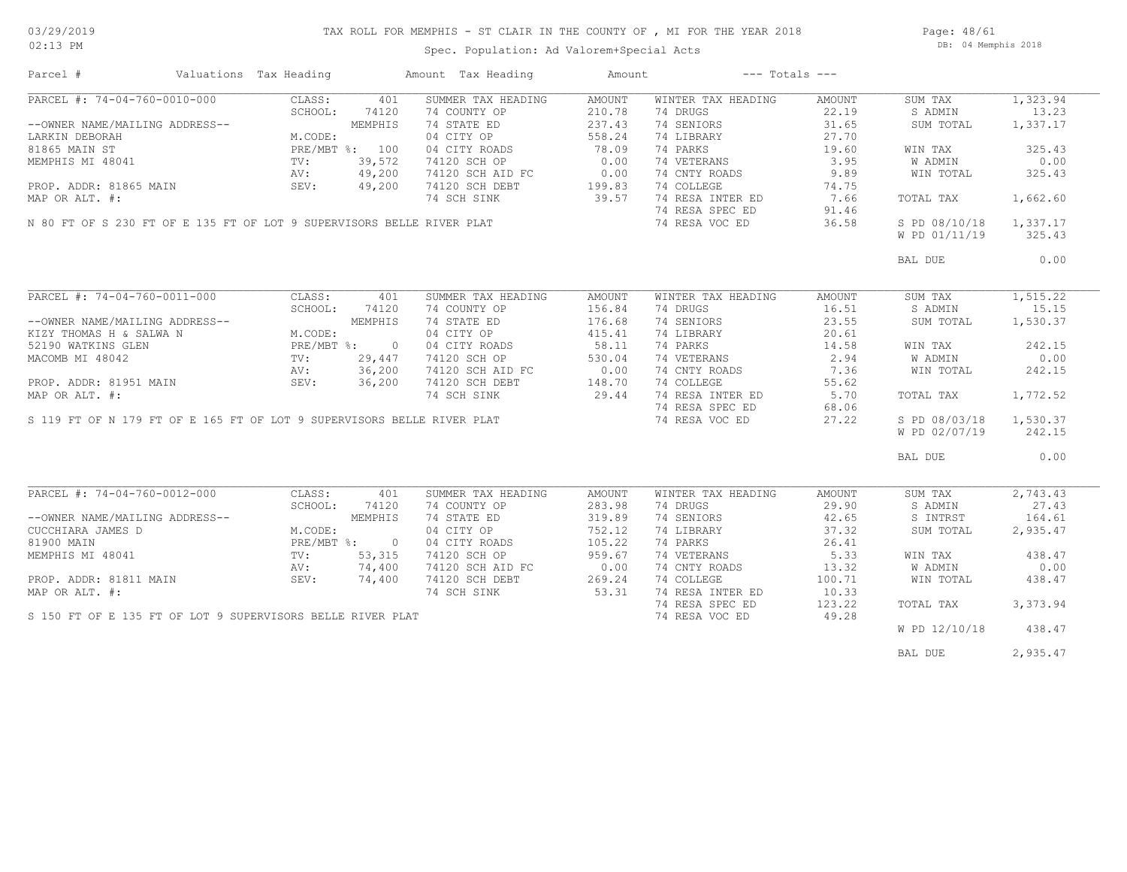Page: 48/61 DB: 04 Memphis 2018

| Parcel #                                                               | Valuations Tax Heading |         | Amount Tax Heading                             | Amount | $---$ Totals $---$ |        |               |          |
|------------------------------------------------------------------------|------------------------|---------|------------------------------------------------|--------|--------------------|--------|---------------|----------|
| PARCEL #: 74-04-760-0010-000                                           | CLASS:                 | 401     | SUMMER TAX HEADING                             | AMOUNT | WINTER TAX HEADING | AMOUNT | SUM TAX       | 1,323.94 |
|                                                                        | SCHOOL:                | 74120   | 74 COUNTY OP                                   | 210.78 | 74 DRUGS           | 22.19  | S ADMIN       | 13.23    |
| --OWNER NAME/MAILING ADDRESS--                                         |                        | MEMPHIS | 74 STATE ED                                    | 237.43 | 74 SENIORS         | 31.65  | SUM TOTAL     | 1,337.17 |
| LARKIN DEBORAH                                                         | M.CODE:                |         | 04 CITY OP                                     | 558.24 | 74 LIBRARY         | 27.70  |               |          |
| 81865 MAIN ST                                                          | PRE/MBT %: 100         |         | 04 CITY ROADS                                  | 78.09  | 74 PARKS           | 19.60  | WIN TAX       | 325.43   |
| MEMPHIS MI 48041                                                       | $\operatorname{TV}$ :  | 39,572  | 74120 SCH OP                                   | 0.00   | 74 VETERANS        | 3.95   | W ADMIN       | 0.00     |
|                                                                        | AV:                    | 49,200  | 74120 SCH AID FC                               | 0.00   | 74 CNTY ROADS      | 9.89   | WIN TOTAL     | 325.43   |
|                                                                        | SEV:                   |         | 74120 SCH DEBT                                 | 199.83 | 74 COLLEGE         |        |               |          |
| PROP. ADDR: 81865 MAIN                                                 |                        | 49,200  |                                                |        |                    | 74.75  |               |          |
| MAP OR ALT. #:                                                         |                        |         | 74 SCH SINK                                    | 39.57  | 74 RESA INTER ED   | 7.66   | TOTAL TAX     | 1,662.60 |
|                                                                        |                        |         |                                                |        | 74 RESA SPEC ED    | 91.46  |               |          |
| N 80 FT OF S 230 FT OF E 135 FT OF LOT 9 SUPERVISORS BELLE RIVER PLAT  |                        |         |                                                |        | 74 RESA VOC ED     | 36.58  | S PD 08/10/18 | 1,337.17 |
|                                                                        |                        |         |                                                |        |                    |        | W PD 01/11/19 | 325.43   |
|                                                                        |                        |         |                                                |        |                    |        | BAL DUE       | 0.00     |
|                                                                        |                        |         |                                                |        |                    |        |               |          |
| PARCEL #: 74-04-760-0011-000                                           | CLASS:                 | 401     | SUMMER TAX HEADING                             | AMOUNT | WINTER TAX HEADING | AMOUNT | SUM TAX       | 1,515.22 |
|                                                                        | SCHOOL:                | 74120   | 74 COUNTY OP                                   | 156.84 | 74 DRUGS           | 16.51  | S ADMIN       | 15.15    |
| --OWNER NAME/MAILING ADDRESS--                                         |                        | MEMPHIS | 74 STATE ED                                    | 176.68 | 74 SENIORS         | 23.55  | SUM TOTAL     | 1,530.37 |
| KIZY THOMAS H & SALWA N                                                | M.CODE:                |         | 04 CITY OP                                     | 415.41 | 74 LIBRARY         | 20.61  |               |          |
| 52190 WATKINS GLEN                                                     | PRE/MBT %: 0           |         | 04 CITY ROADS                                  | 58.11  | 74 PARKS           | 14.58  | WIN TAX       | 242.15   |
| MACOMB MI 48042                                                        | TV:                    | 29,447  | 74120 SCH OP                                   | 530.04 | 74 VETERANS        | 2.94   | W ADMIN       | 0.00     |
|                                                                        | AV: 36,200             |         |                                                |        | 74 CNTY ROADS      | 7.36   | WIN TOTAL     | 242.15   |
| PROP. ADDR: 81951 MAIN                                                 | SEV: 36,200            |         | 74120 SCH AID FC 0.00<br>74120 SCH DEBT 148.70 |        | 74 COLLEGE         | 55.62  |               |          |
|                                                                        |                        |         |                                                | 29.44  | 74 RESA INTER ED   | 5.70   | TOTAL TAX     | 1,772.52 |
| MAP OR ALT. #:                                                         |                        |         | 74 SCH SINK                                    |        |                    |        |               |          |
|                                                                        |                        |         |                                                |        | 74 RESA SPEC ED    | 68.06  |               |          |
| S 119 FT OF N 179 FT OF E 165 FT OF LOT 9 SUPERVISORS BELLE RIVER PLAT |                        |         |                                                |        | 74 RESA VOC ED     | 27.22  | S PD 08/03/18 | 1,530.37 |
|                                                                        |                        |         |                                                |        |                    |        | W PD 02/07/19 | 242.15   |
|                                                                        |                        |         |                                                |        |                    |        | BAL DUE       | 0.00     |
|                                                                        |                        |         |                                                |        |                    |        |               |          |
| PARCEL #: 74-04-760-0012-000                                           | CLASS:                 | 401     | SUMMER TAX HEADING                             | AMOUNT | WINTER TAX HEADING | AMOUNT | SUM TAX       | 2,743.43 |
|                                                                        | SCHOOL:                | 74120   | 74 COUNTY OP                                   | 283.98 | 74 DRUGS           | 29.90  | S ADMIN       | 27.43    |
| --OWNER NAME/MAILING ADDRESS--                                         |                        | MEMPHIS | 74 STATE ED                                    | 319.89 | 74 SENIORS         | 42.65  | S INTRST      | 164.61   |
| CUCCHIARA JAMES D                                                      | M.CODE:                |         | 04 CITY OP                                     | 752.12 | 74 LIBRARY         | 37.32  | SUM TOTAL     | 2,935.47 |
| 81900 MAIN                                                             | PRE/MBT %: 0           |         | 04 CITY ROADS                                  | 105.22 | 74 PARKS           | 26.41  |               |          |
| MEMPHIS MI 48041                                                       | $\text{TV}$ :          | 53,315  | 74120 SCH OP                                   | 959.67 | 74 VETERANS        | 5.33   | WIN TAX       | 438.47   |
|                                                                        | AV:                    | 74,400  | 74120 SCH AID FC                               | 0.00   | 74 CNTY ROADS      | 13.32  | W ADMIN       | 0.00     |
| PROP. ADDR: 81811 MAIN                                                 | SEV:                   | 74,400  | 74120 SCH DEBT                                 | 269.24 | 74 COLLEGE         | 100.71 | WIN TOTAL     | 438.47   |
| MAP OR ALT. #:                                                         |                        |         | 74 SCH SINK                                    | 53.31  | 74 RESA INTER ED   | 10.33  |               |          |
|                                                                        |                        |         |                                                |        | 74 RESA SPEC ED    | 123.22 | TOTAL TAX     | 3,373.94 |
| S 150 FT OF E 135 FT OF LOT 9 SUPERVISORS BELLE RIVER PLAT             |                        |         |                                                |        | 74 RESA VOC ED     | 49.28  |               |          |
|                                                                        |                        |         |                                                |        |                    |        | W PD 12/10/18 | 438.47   |
|                                                                        |                        |         |                                                |        |                    |        |               |          |
|                                                                        |                        |         |                                                |        |                    |        | BAL DUE       | 2,935.47 |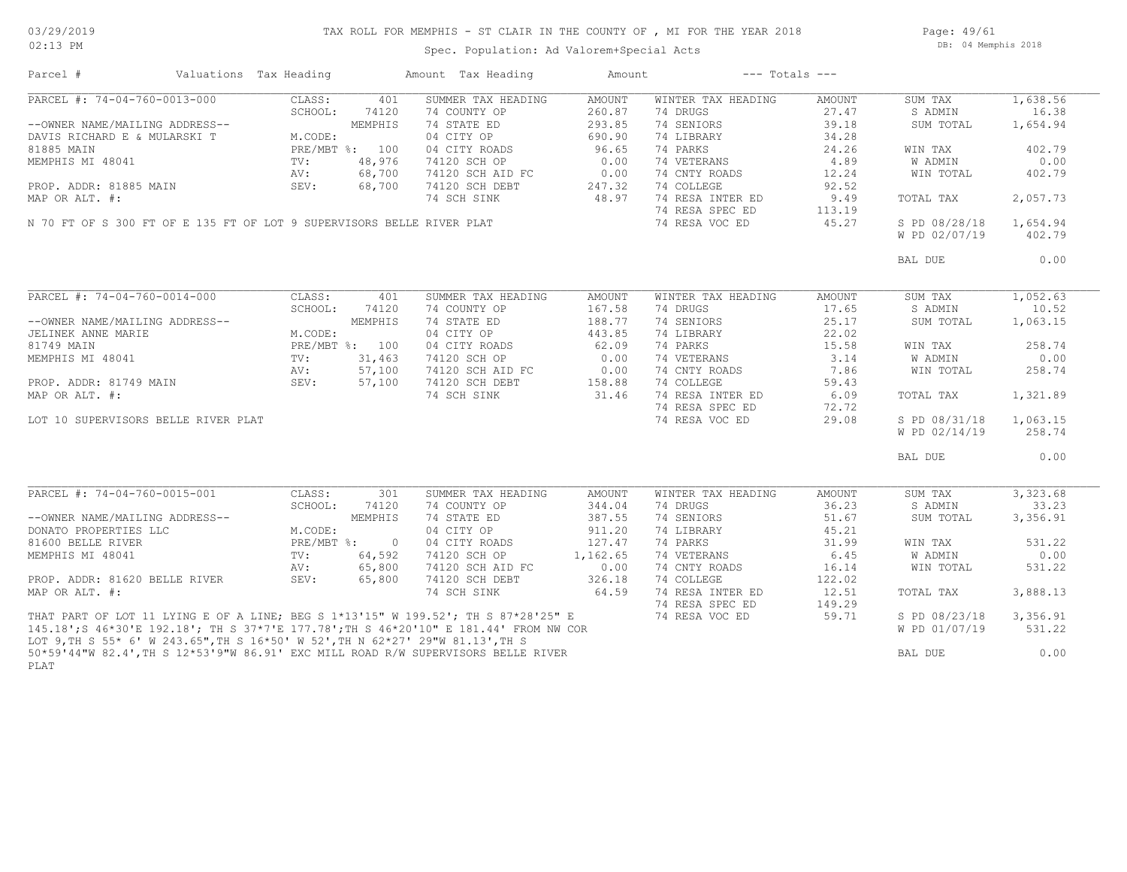## TAX ROLL FOR MEMPHIS - ST CLAIR IN THE COUNTY OF , MI FOR THE YEAR 2018

Spec. Population: Ad Valorem+Special Acts

Page: 49/61 DB: 04 Memphis 2018

| Parcel #                                                                       | Valuations Tax Heading |                 |                | Amount Tax Heading                                                                    | Amount         | $---$ Totals $---$          |               |               |          |
|--------------------------------------------------------------------------------|------------------------|-----------------|----------------|---------------------------------------------------------------------------------------|----------------|-----------------------------|---------------|---------------|----------|
| PARCEL #: 74-04-760-0013-000                                                   |                        | CLASS:          | 401            | SUMMER TAX HEADING                                                                    | AMOUNT         | WINTER TAX HEADING          | AMOUNT        | SUM TAX       | 1,638.56 |
|                                                                                |                        | SCHOOL:         | 74120          | 74 COUNTY OP                                                                          | 260.87         | 74 DRUGS                    | 27.47         | S ADMIN       | 16.38    |
| --OWNER NAME/MAILING ADDRESS--                                                 |                        |                 | MEMPHIS        | 74 STATE ED                                                                           | 293.85         | 74 SENIORS                  | 39.18         | SUM TOTAL     | 1,654.94 |
| DAVIS RICHARD E & MULARSKI T                                                   |                        | M.CODE:         |                | 04 CITY OP                                                                            | 690.90         | 74 LIBRARY                  | 34.28         |               |          |
| 81885 MAIN                                                                     |                        |                 | PRE/MBT %: 100 | 04 CITY ROADS                                                                         | 96.65          | 74 PARKS                    | 24.26         | WIN TAX       | 402.79   |
| MEMPHIS MI 48041                                                               |                        | $\text{TV}$ :   | 48,976         | 74120 SCH OP                                                                          | 0.00           | 74 VETERANS                 | 4.89          | W ADMIN       | 0.00     |
|                                                                                |                        |                 |                |                                                                                       |                |                             |               |               |          |
|                                                                                |                        | AV:             | 68,700         | 74120 SCH AID FC<br>74120 SCH DEBT                                                    | 0.00<br>247.32 | 74 CNTY ROADS<br>74 COLLEGE | 12.24         | WIN TOTAL     | 402.79   |
| PROP. ADDR: 81885 MAIN                                                         |                        | SEV:            | 68,700         |                                                                                       |                |                             | 92.52         |               |          |
| MAP OR ALT. #:                                                                 |                        |                 |                | 74 SCH SINK                                                                           | 48.97          | 74 RESA INTER ED            | 9.49          | TOTAL TAX     | 2,057.73 |
|                                                                                |                        |                 |                |                                                                                       |                | 74 RESA SPEC ED             | 113.19        |               |          |
|                                                                                |                        |                 |                | N 70 FT OF S 300 FT OF E 135 FT OF LOT 9 SUPERVISORS BELLE RIVER PLAT                 |                | 74 RESA VOC ED              | 45.27         | S PD 08/28/18 | 1,654.94 |
|                                                                                |                        |                 |                |                                                                                       |                |                             |               | W PD 02/07/19 | 402.79   |
|                                                                                |                        |                 |                |                                                                                       |                |                             |               | BAL DUE       | 0.00     |
|                                                                                |                        |                 |                |                                                                                       |                |                             |               |               |          |
| PARCEL #: 74-04-760-0014-000                                                   |                        | CLASS:          | 401            | SUMMER TAX HEADING                                                                    | <b>AMOUNT</b>  | WINTER TAX HEADING          | <b>AMOUNT</b> | SUM TAX       | 1,052.63 |
|                                                                                |                        | SCHOOL:         | 74120          | 74 COUNTY OP                                                                          | 167.58         | 74 DRUGS                    | 17.65         | S ADMIN       | 10.52    |
| --OWNER NAME/MAILING ADDRESS--                                                 |                        |                 | MEMPHIS        | 74 STATE ED                                                                           | 188.77         | 74 SENIORS                  | 25.17         | SUM TOTAL     | 1,063.15 |
| JELINEK ANNE MARIE                                                             |                        | M.CODE:         |                | 04 CITY OP                                                                            | 443.85         | 74 LIBRARY                  | 22.02         |               |          |
| 81749 MAIN                                                                     |                        |                 | PRE/MBT %: 100 | 04 CITY ROADS                                                                         | 62.09          | 74 PARKS                    | 15.58         | WIN TAX       | 258.74   |
| MEMPHIS MI 48041                                                               |                        | $\texttt{TV}$ : | 31,463         | 74120 SCH OP                                                                          | 0.00           | 74 VETERANS                 | 3.14          | W ADMIN       | 0.00     |
|                                                                                |                        | AV:             | 57,100         | 74120 SCH AID FC                                                                      | 0.00           | 74 CNTY ROADS               | 7.86          | WIN TOTAL     | 258.74   |
| PROP. ADDR: 81749 MAIN                                                         |                        | SEV:            | 57,100         | 74120 SCH DEBT                                                                        | 158.88         | 74 COLLEGE                  | 59.43         |               |          |
| MAP OR ALT. #:                                                                 |                        |                 |                | 74 SCH SINK                                                                           | 31.46          | 74 RESA INTER ED            | 6.09          | TOTAL TAX     | 1,321.89 |
|                                                                                |                        |                 |                |                                                                                       |                |                             |               |               |          |
|                                                                                |                        |                 |                |                                                                                       |                | 74 RESA SPEC ED             | 72.72         |               |          |
| LOT 10 SUPERVISORS BELLE RIVER PLAT                                            |                        |                 |                |                                                                                       |                | 74 RESA VOC ED              | 29.08         | S PD 08/31/18 | 1,063.15 |
|                                                                                |                        |                 |                |                                                                                       |                |                             |               | W PD 02/14/19 | 258.74   |
|                                                                                |                        |                 |                |                                                                                       |                |                             |               | BAL DUE       | 0.00     |
|                                                                                |                        |                 |                |                                                                                       |                |                             |               |               |          |
| PARCEL #: 74-04-760-0015-001                                                   |                        | CLASS:          | 301            | SUMMER TAX HEADING                                                                    | AMOUNT         | WINTER TAX HEADING          | AMOUNT        | SUM TAX       | 3,323.68 |
|                                                                                |                        | SCHOOL:         | 74120          | 74 COUNTY OP                                                                          | 344.04         | 74 DRUGS                    | 36.23         | S ADMIN       | 33.23    |
| --OWNER NAME/MAILING ADDRESS--                                                 |                        |                 | MEMPHIS        | 74 STATE ED                                                                           | 387.55         | 74 SENIORS                  | 51.67         | SUM TOTAL     | 3,356.91 |
| DONATO PROPERTIES LLC                                                          |                        | M.CODE:         |                | 04 CITY OP                                                                            | 911.20         | 74 LIBRARY                  | 45.21         |               |          |
| 81600 BELLE RIVER                                                              |                        |                 | PRE/MBT %: 0   | 04 CITY ROADS                                                                         | 127.47         | 74 PARKS                    | 31.99         | WIN TAX       | 531.22   |
| MEMPHIS MI 48041                                                               |                        | $\text{TV}$ :   | 64,592         | 74120 SCH OP                                                                          | 1,162.65       | 74 VETERANS                 | 6.45          | W ADMIN       | 0.00     |
|                                                                                |                        | AV:             | 65,800         | 74120 SCH AID FC                                                                      | 0.00           | 74 CNTY ROADS               | 16.14         | WIN TOTAL     | 531.22   |
| PROP. ADDR: 81620 BELLE RIVER                                                  |                        | SEV:            | 65,800         | 74120 SCH DEBT                                                                        | 326.18         | 74 COLLEGE                  | 122.02        |               |          |
| MAP OR ALT. #:                                                                 |                        |                 |                | 74 SCH SINK                                                                           | 64.59          | 74 RESA INTER ED            | 12.51         | TOTAL TAX     | 3,888.13 |
|                                                                                |                        |                 |                |                                                                                       |                | 74 RESA SPEC ED             | 149.29        |               |          |
|                                                                                |                        |                 |                | THAT PART OF LOT 11 LYING E OF A LINE; BEG S 1*13'15" W 199.52'; TH S 87*28'25" E     |                | 74 RESA VOC ED              | 59.71         | S PD 08/23/18 | 3,356.91 |
|                                                                                |                        |                 |                | 145.18'; S 46*30'E 192.18'; TH S 37*7'E 177.78'; TH S 46*20'10" E 181.44' FROM NW COR |                |                             |               | W PD 01/07/19 | 531.22   |
| LOT 9, TH S 55* 6' W 243.65", TH S 16*50' W 52', TH N 62*27' 29"W 81.13', TH S |                        |                 |                |                                                                                       |                |                             |               |               |          |
| PLAT                                                                           |                        |                 |                | 50*59'44"W 82.4', TH S 12*53'9"W 86.91' EXC MILL ROAD R/W SUPERVISORS BELLE RIVER     |                |                             |               | BAL DUE       | 0.00     |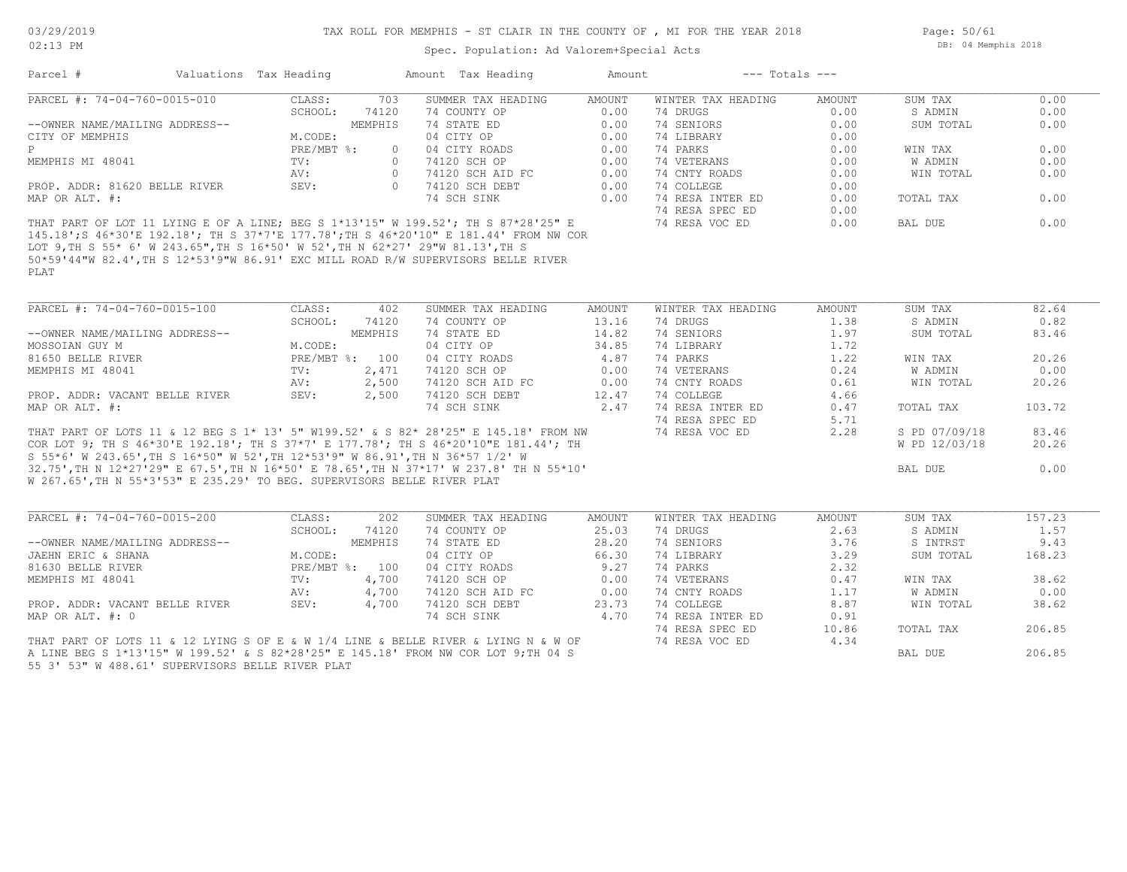#### TAX ROLL FOR MEMPHIS - ST CLAIR IN THE COUNTY OF , MI FOR THE YEAR 2018

Spec. Population: Ad Valorem+Special Acts

Page: 50/61 DB: 04 Memphis 2018

| Parcel #                       | Valuations Tax Heading |                  | Amount Tax Heading                                                                | Amount | $---$ Totals $---$ |        |           |      |
|--------------------------------|------------------------|------------------|-----------------------------------------------------------------------------------|--------|--------------------|--------|-----------|------|
| PARCEL #: 74-04-760-0015-010   | CLASS:                 | 703              | SUMMER TAX HEADING                                                                | AMOUNT | WINTER TAX HEADING | AMOUNT | SUM TAX   | 0.00 |
|                                | SCHOOL:                | 74120            | 74 COUNTY OP                                                                      | 0.00   | 74 DRUGS           | 0.00   | S ADMIN   | 0.00 |
| --OWNER NAME/MAILING ADDRESS-- |                        | MEMPHIS          | 74 STATE ED                                                                       | 0.00   | 74 SENIORS         | 0.00   | SUM TOTAL | 0.00 |
| CITY OF MEMPHIS                | M.CODE:                |                  | 04 CITY OP                                                                        | 0.00   | 74 LIBRARY         | 0.00   |           |      |
| P                              | $PRE/MBT$ %:           | $\Omega$         | 04 CITY ROADS                                                                     | 0.00   | 74 PARKS           | 0.00   | WIN TAX   | 0.00 |
| MEMPHIS MI 48041               | TV:                    | $\left( \right)$ | 74120 SCH OP                                                                      | 0.00   | 74 VETERANS        | 0.00   | W ADMIN   | 0.00 |
|                                | AV:                    |                  | 74120 SCH AID FC                                                                  | 0.00   | 74 CNTY ROADS      | 0.00   | WIN TOTAL | 0.00 |
| PROP. ADDR: 81620 BELLE RIVER  | SEV:                   |                  | 74120 SCH DEBT                                                                    | 0.00   | 74 COLLEGE         | 0.00   |           |      |
| MAP OR ALT. #:                 |                        |                  | 74 SCH SINK                                                                       | 0.00   | 74 RESA INTER ED   | 0.00   | TOTAL TAX | 0.00 |
|                                |                        |                  |                                                                                   |        | 74 RESA SPEC ED    | 0.00   |           |      |
|                                |                        |                  | THAT PART OF LOT 11 LYING E OF A LINE; BEG S 1*13'15" W 199.52'; TH S 87*28'25" E |        | 74 RESA VOC ED     | 0.00   | BAL DUE   |      |

PLAT 50\*59'44"W 82.4',TH S 12\*53'9"W 86.91' EXC MILL ROAD R/W SUPERVISORS BELLE RIVER LOT 9,TH S 55\* 6' W 243.65",TH S 16\*50' W 52',TH N 62\*27' 29"W 81.13',TH S 145.18';S 46\*30'E 192.18'; TH S 37\*7'E 177.78';TH S 46\*20'10" E 181.44' FROM NW COR

| PARCEL #: 74-04-760-0015-100                                                        | CLASS:     | 402     | SUMMER TAX HEADING | AMOUNT | WINTER TAX HEADING | AMOUNT | SUM TAX       | 82.64  |
|-------------------------------------------------------------------------------------|------------|---------|--------------------|--------|--------------------|--------|---------------|--------|
|                                                                                     | SCHOOL:    | 74120   | 74 COUNTY OP       | 13.16  | 74 DRUGS           | 1.38   | S ADMIN       | 0.82   |
| --OWNER NAME/MAILING ADDRESS--                                                      |            | MEMPHIS | 74 STATE ED        | 14.82  | 74 SENIORS         | 1.97   | SUM TOTAL     | 83.46  |
| MOSSOIAN GUY M                                                                      | M.CODE:    |         | 04 CITY OP         | 34.85  | 74 LIBRARY         | 1.72   |               |        |
| 81650 BELLE RIVER                                                                   | PRE/MBT %: | 100     | 04 CITY ROADS      | 4.87   | 74 PARKS           | 1.22   | WIN TAX       | 20.26  |
| MEMPHIS MI 48041                                                                    | TV:        | 2,471   | 74120 SCH OP       | 0.00   | 74 VETERANS        | 0.24   | W ADMIN       | 0.00   |
|                                                                                     | AV:        | 2,500   | 74120 SCH AID FC   | 0.00   | 74 CNTY ROADS      | 0.61   | WIN TOTAL     | 20.26  |
| PROP. ADDR: VACANT BELLE RIVER                                                      | SEV:       | 2,500   | 74120 SCH DEBT     | 12.47  | 74 COLLEGE         | 4.66   |               |        |
| MAP OR ALT. #:                                                                      |            |         | 74 SCH SINK        | 2.47   | 74 RESA INTER ED   | 0.47   | TOTAL TAX     | 103.72 |
|                                                                                     |            |         |                    |        | 74 RESA SPEC ED    | 5.71   |               |        |
| THAT PART OF LOTS 11 & 12 BEG S 1* 13' 5" W199.52' & S 82* 28'25" E 145.18' FROM NW |            |         |                    |        | 74 RESA VOC ED     | 2.28   | S PD 07/09/18 | 83.46  |
| COR LOT 9; TH S 46*30'E 192.18'; TH S 37*7' E 177.78'; TH S 46*20'10"E 181.44'; TH  |            |         |                    |        |                    |        | W PD 12/03/18 | 20.26  |
| S 55*6' W 243.65', TH S 16*50" W 52', TH 12*53'9" W 86.91', TH N 36*57 1/2' W       |            |         |                    |        |                    |        |               |        |
| 32.75',TH N 12*27'29" E 67.5',TH N 16*50' E 78.65',TH N 37*17' W 237.8' TH N 55*10' |            |         |                    |        |                    |        | BAL DUE       | 0.00   |
| W 267.65', TH N 55*3'53" E 235.29' TO BEG. SUPERVISORS BELLE RIVER PLAT             |            |         |                    |        |                    |        |               |        |

| PARCEL #: 74-04-760-0015-200                                                       | CLASS:     | 202     | SUMMER TAX HEADING | AMOUNT | WINTER TAX HEADING | AMOUNT | SUM TAX   | 157.23 |
|------------------------------------------------------------------------------------|------------|---------|--------------------|--------|--------------------|--------|-----------|--------|
|                                                                                    | SCHOOL:    | 74120   | 74 COUNTY OP       | 25.03  | 74 DRUGS           | 2.63   | S ADMIN   | 1.57   |
| --OWNER NAME/MAILING ADDRESS--                                                     |            | MEMPHIS | 74 STATE ED        | 28.20  | 74 SENIORS         | 3.76   | S INTRST  | 9.43   |
| JAEHN ERIC & SHANA                                                                 | M.CODE:    |         | 04 CITY OP         | 66.30  | 74 LIBRARY         | 3.29   | SUM TOTAL | 168.23 |
| 81630 BELLE RIVER                                                                  | PRE/MBT %: | 100     | 04 CITY ROADS      |        | 74 PARKS           | 2.32   |           |        |
| MEMPHIS MI 48041                                                                   | TV:        | 4,700   | 74120 SCH OP       | 0.00   | 74 VETERANS        | 0.47   | WIN TAX   | 38.62  |
|                                                                                    | AV:        | 4,700   | 74120 SCH AID FC   | 0.00   | 74 CNTY ROADS      | 1.17   | W ADMIN   | 0.00   |
| PROP. ADDR: VACANT BELLE RIVER                                                     | SEV:       | 4,700   | 74120 SCH DEBT     | 23.73  | 74 COLLEGE         | 8.87   | WIN TOTAL | 38.62  |
| MAP OR ALT. #: 0                                                                   |            |         | 74 SCH SINK        | 4.70   | 74 RESA INTER ED   | 0.91   |           |        |
|                                                                                    |            |         |                    |        | 74 RESA SPEC ED    | 10.86  | TOTAL TAX | 206.85 |
| THAT PART OF LOTS 11 & 12 LYING S OF E & W 1/4 LINE & BELLE RIVER & LYING N & W OF |            |         |                    |        | 74 RESA VOC ED     | 4.34   |           |        |
| A LINE BEG S 1*13'15" W 199.52' & S 82*28'25" E 145.18' FROM NW COR LOT 9;TH 04 S  |            |         |                    |        |                    |        | BAL DUE   | 206.85 |

55 3' 53" W 488.61' SUPERVISORS BELLE RIVER PLAT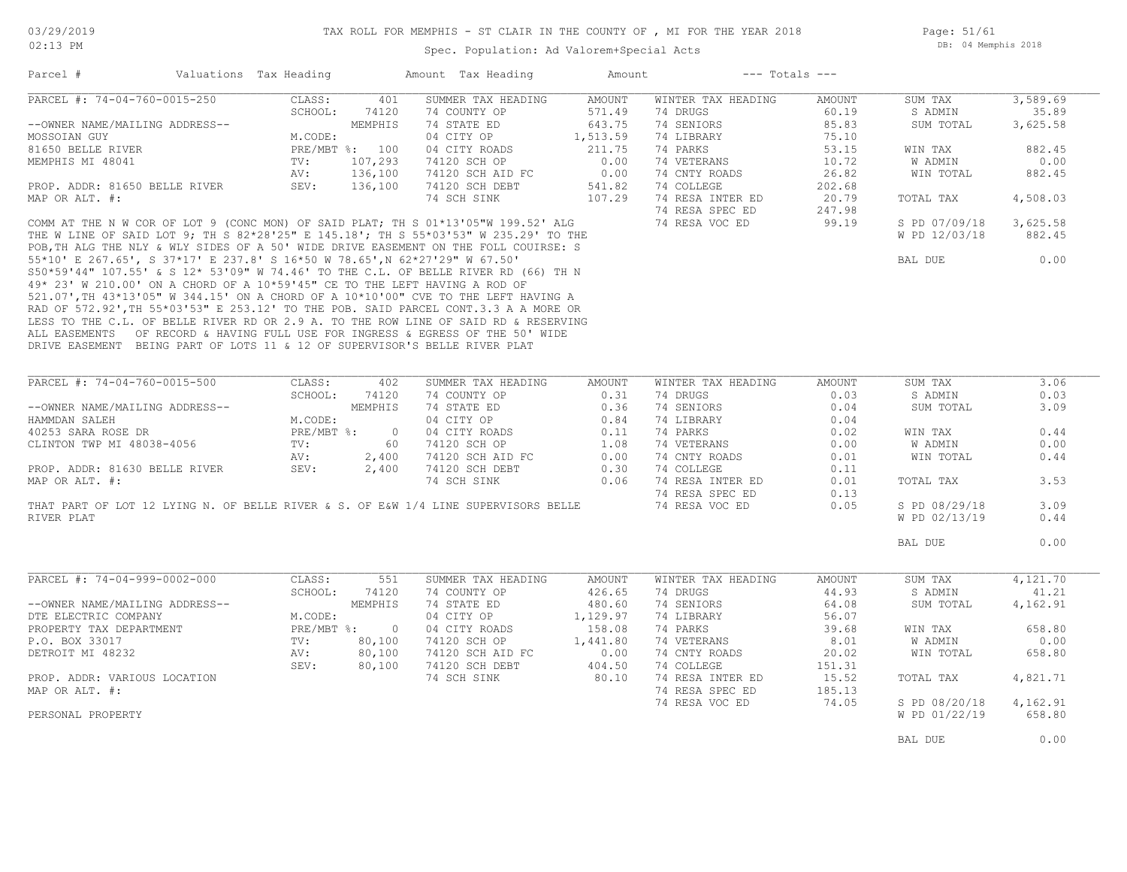Spec. Population: Ad Valorem+Special Acts

Page: 51/61 DB: 04 Memphis 2018

| PARCEL #: 74-04-760-0015-250<br>CLASS:<br>401<br>SUMMER TAX HEADING<br>AMOUNT<br>WINTER TAX HEADING<br>SUM TAX<br>3,589.69<br>AMOUNT<br>35.89<br>SCHOOL: 74120<br>74 COUNTY OP<br>571.49<br>74 DRUGS<br>60.19<br>S ADMIN<br>643.75<br>--OWNER NAME/MAILING ADDRESS--<br>MEMPHIS<br>74 STATE ED<br>74 SENIORS<br>85.83<br>SUM TOTAL<br>3,625.58<br>M.CODE:<br>04 CITY OP<br>1,513.59<br>74 LIBRARY<br>75.10<br>211.75<br>74 PARKS<br>882.45<br>PRE/MBT %: 100<br>04 CITY ROADS<br>53.15<br>WIN TAX<br>107,293<br>74 VETERANS<br>TV:<br>74120 SCH OP<br>0.00<br>10.72<br>W ADMIN<br>0.00<br>136,100<br>74120 SCH AID FC<br>0.00<br>74 CNTY ROADS<br>26.82<br>882.45<br>AV:<br>WIN TOTAL<br>202.68<br>20.79<br>TOTAL TAX<br>4,508.03<br>247.98<br>99.19<br>S PD 07/09/18<br>3,625.58<br>ROP. ADDR: 81650 BELLE RIVER<br>COMM ALT. #:<br>COMM AT THE N W COR OF LOT 9 (CONC MON) OF SAID PLAT, TH S 01*13'05"W 199.52' ALG<br>THE W LINE OF SAID LOT 9; TH S 82*28'25" E 145.18', TH S 55*03'53" W 235.29' TO THE<br>POR.TH ALG<br>W PD 12/03/18<br>882.45<br>0.00<br>BAL DUE<br>LESS TO THE C.L. OF BELLE RIVER RD OR 2.9 A. TO THE ROW LINE OF SAID RD & RESERVING<br>ALL EASEMENTS OF RECORD & HAVING FULL USE FOR INGRESS & EGRESS OF THE 50' WIDE<br>DRIVE EASEMENT BEING PART OF LOTS 11 & 12 OF SUPERVISOR'S BELLE RIVER PLAT<br>PARCEL #: 74-04-760-0015-500<br>SUM TAX<br>3.06<br>CLASS:<br>402<br>SUMMER TAX HEADING<br>AMOUNT<br>WINTER TAX HEADING<br>AMOUNT<br>0.31<br>0.03<br>0.03<br>SCHOOL: 74120<br>74 COUNTY OP<br>74 DRUGS<br>S ADMIN<br>74 SENIORS<br>--OWNER NAME/MAILING ADDRESS--<br>MEMPHIS<br>74 STATE ED 0.36<br>04 CITY OP 0.84<br>04 CITY OP 0.84<br>04 CITY ROADS 0.11<br>74120 SCH OP 1.08<br>74120 SCH DEET 0.00<br>74120 SCH DEET 0.30<br>0.04<br>SUM TOTAL<br>3.09<br>M.CODE:<br>74 LIBRARY<br>0.04<br>HAMMDAN SALEH<br>PRE/MBT %: 0<br>74 PARKS<br>0.44<br>40253 SARA ROSE DR<br>0.02<br>WIN TAX<br>60<br>0.00<br>CLINTON TWP MI 48038-4056<br>TV:<br>74 VETERANS<br>0.00<br>W ADMIN<br>AV:<br>2,400<br>74 CNTY ROADS<br>0.01<br>WIN TOTAL<br>0.44<br>2,400<br>74 COLLEGE<br>PROP. ADDR: 81630 BELLE RIVER<br>SEV:<br>0.11<br>74 SCH SINK 0.06<br>74 RESA INTER ED<br>TOTAL TAX<br>3.53<br>MAP OR ALT. #:<br>0.01<br>74 RESA SPEC ED<br>0.13<br>THAT PART OF LOT 12 LYING N. OF BELLE RIVER & S. OF E&W 1/4 LINE SUPERVISORS BELLE<br>3.09<br>74 RESA VOC ED<br>0.05<br>S PD 08/29/18<br>RIVER PLAT<br>W PD 02/13/19<br>0.44<br>0.00<br>BAL DUE<br>PARCEL #: 74-04-999-0002-000<br>4,121.70<br>CLASS:<br>551<br>SUMMER TAX HEADING<br>AMOUNT<br>WINTER TAX HEADING<br>AMOUNT<br>SUM TAX<br>SCHOOL:<br>426.65<br>74 DRUGS<br>44.93<br>74120<br>74 COUNTY OP<br>S ADMIN<br>41.21<br>--OWNER NAME/MAILING ADDRESS--<br>MEMPHIS<br>74 STATE ED<br>480.60<br>74 SENIORS<br>64.08<br>SUM TOTAL<br>4,162.91<br>1,129.97<br>74 LIBRARY<br>M.CODE:<br>04 CITY OP<br>56.07<br>PROPERTY TAX DEPARTMENT<br>PRE/MBT %: 0<br>04 CITY ROADS<br>158.08<br>74 PARKS<br>39.68<br>658.80<br>WIN TAX<br>74120 SCH OP<br>1,441.80<br>74 VETERANS<br>8.01<br>0.00<br>TV:<br>80,100<br>W ADMIN<br>80,100<br>74120 SCH AID FC<br>74 CNTY ROADS<br>DETROIT MI 48232<br>0.00<br>20.02<br>WIN TOTAL<br>658.80<br>AV:<br>SEV:<br>74 COLLEGE<br>80,100<br>74120 SCH DEBT<br>404.50<br>151.31<br>74 SCH SINK<br>80.10<br>74 RESA INTER ED<br>4,821.71<br>PROP. ADDR: VARIOUS LOCATION<br>15.52<br>TOTAL TAX<br>MAP OR ALT. #:<br>74 RESA SPEC ED<br>185.13<br>74 RESA VOC ED<br>74.05<br>S PD 08/20/18<br>4,162.91<br>W PD 01/22/19<br>658.80<br>PERSONAL PROPERTY | Parcel #             | Valuations Tax Heading |  | Amount Tax Heading | Amount | $---$ Totals $---$ |  |
|--------------------------------------------------------------------------------------------------------------------------------------------------------------------------------------------------------------------------------------------------------------------------------------------------------------------------------------------------------------------------------------------------------------------------------------------------------------------------------------------------------------------------------------------------------------------------------------------------------------------------------------------------------------------------------------------------------------------------------------------------------------------------------------------------------------------------------------------------------------------------------------------------------------------------------------------------------------------------------------------------------------------------------------------------------------------------------------------------------------------------------------------------------------------------------------------------------------------------------------------------------------------------------------------------------------------------------------------------------------------------------------------------------------------------------------------------------------------------------------------------------------------------------------------------------------------------------------------------------------------------------------------------------------------------------------------------------------------------------------------------------------------------------------------------------------------------------------------------------------------------------------------------------------------------------------------------------------------------------------------------------------------------------------------------------------------------------------------------------------------------------------------------------------------------------------------------------------------------------------------------------------------------------------------------------------------------------------------------------------------------------------------------------------------------------------------------------------------------------------------------------------------------------------------------------------------------------------------------------------------------------------------------------------------------------------------------------------------------------------------------------------------------------------------------------------------------------------------------------------------------------------------------------------------------------------------------------------------------------------------------------------------------------------------------------------------------------------------------------------------------------------------------------------------------------------------------------------------------------------------------------------------------------------------------------------------------------------------------------------------------------------------------------------------------------------------------------------------------------------------------------------------------------------------------------------------|----------------------|------------------------|--|--------------------|--------|--------------------|--|
|                                                                                                                                                                                                                                                                                                                                                                                                                                                                                                                                                                                                                                                                                                                                                                                                                                                                                                                                                                                                                                                                                                                                                                                                                                                                                                                                                                                                                                                                                                                                                                                                                                                                                                                                                                                                                                                                                                                                                                                                                                                                                                                                                                                                                                                                                                                                                                                                                                                                                                                                                                                                                                                                                                                                                                                                                                                                                                                                                                                                                                                                                                                                                                                                                                                                                                                                                                                                                                                                                                                                                                    |                      |                        |  |                    |        |                    |  |
|                                                                                                                                                                                                                                                                                                                                                                                                                                                                                                                                                                                                                                                                                                                                                                                                                                                                                                                                                                                                                                                                                                                                                                                                                                                                                                                                                                                                                                                                                                                                                                                                                                                                                                                                                                                                                                                                                                                                                                                                                                                                                                                                                                                                                                                                                                                                                                                                                                                                                                                                                                                                                                                                                                                                                                                                                                                                                                                                                                                                                                                                                                                                                                                                                                                                                                                                                                                                                                                                                                                                                                    |                      |                        |  |                    |        |                    |  |
|                                                                                                                                                                                                                                                                                                                                                                                                                                                                                                                                                                                                                                                                                                                                                                                                                                                                                                                                                                                                                                                                                                                                                                                                                                                                                                                                                                                                                                                                                                                                                                                                                                                                                                                                                                                                                                                                                                                                                                                                                                                                                                                                                                                                                                                                                                                                                                                                                                                                                                                                                                                                                                                                                                                                                                                                                                                                                                                                                                                                                                                                                                                                                                                                                                                                                                                                                                                                                                                                                                                                                                    |                      |                        |  |                    |        |                    |  |
|                                                                                                                                                                                                                                                                                                                                                                                                                                                                                                                                                                                                                                                                                                                                                                                                                                                                                                                                                                                                                                                                                                                                                                                                                                                                                                                                                                                                                                                                                                                                                                                                                                                                                                                                                                                                                                                                                                                                                                                                                                                                                                                                                                                                                                                                                                                                                                                                                                                                                                                                                                                                                                                                                                                                                                                                                                                                                                                                                                                                                                                                                                                                                                                                                                                                                                                                                                                                                                                                                                                                                                    | MOSSOIAN GUY         |                        |  |                    |        |                    |  |
|                                                                                                                                                                                                                                                                                                                                                                                                                                                                                                                                                                                                                                                                                                                                                                                                                                                                                                                                                                                                                                                                                                                                                                                                                                                                                                                                                                                                                                                                                                                                                                                                                                                                                                                                                                                                                                                                                                                                                                                                                                                                                                                                                                                                                                                                                                                                                                                                                                                                                                                                                                                                                                                                                                                                                                                                                                                                                                                                                                                                                                                                                                                                                                                                                                                                                                                                                                                                                                                                                                                                                                    | 81650 BELLE RIVER    |                        |  |                    |        |                    |  |
|                                                                                                                                                                                                                                                                                                                                                                                                                                                                                                                                                                                                                                                                                                                                                                                                                                                                                                                                                                                                                                                                                                                                                                                                                                                                                                                                                                                                                                                                                                                                                                                                                                                                                                                                                                                                                                                                                                                                                                                                                                                                                                                                                                                                                                                                                                                                                                                                                                                                                                                                                                                                                                                                                                                                                                                                                                                                                                                                                                                                                                                                                                                                                                                                                                                                                                                                                                                                                                                                                                                                                                    | MEMPHIS MI 48041     |                        |  |                    |        |                    |  |
|                                                                                                                                                                                                                                                                                                                                                                                                                                                                                                                                                                                                                                                                                                                                                                                                                                                                                                                                                                                                                                                                                                                                                                                                                                                                                                                                                                                                                                                                                                                                                                                                                                                                                                                                                                                                                                                                                                                                                                                                                                                                                                                                                                                                                                                                                                                                                                                                                                                                                                                                                                                                                                                                                                                                                                                                                                                                                                                                                                                                                                                                                                                                                                                                                                                                                                                                                                                                                                                                                                                                                                    |                      |                        |  |                    |        |                    |  |
|                                                                                                                                                                                                                                                                                                                                                                                                                                                                                                                                                                                                                                                                                                                                                                                                                                                                                                                                                                                                                                                                                                                                                                                                                                                                                                                                                                                                                                                                                                                                                                                                                                                                                                                                                                                                                                                                                                                                                                                                                                                                                                                                                                                                                                                                                                                                                                                                                                                                                                                                                                                                                                                                                                                                                                                                                                                                                                                                                                                                                                                                                                                                                                                                                                                                                                                                                                                                                                                                                                                                                                    |                      |                        |  |                    |        |                    |  |
|                                                                                                                                                                                                                                                                                                                                                                                                                                                                                                                                                                                                                                                                                                                                                                                                                                                                                                                                                                                                                                                                                                                                                                                                                                                                                                                                                                                                                                                                                                                                                                                                                                                                                                                                                                                                                                                                                                                                                                                                                                                                                                                                                                                                                                                                                                                                                                                                                                                                                                                                                                                                                                                                                                                                                                                                                                                                                                                                                                                                                                                                                                                                                                                                                                                                                                                                                                                                                                                                                                                                                                    |                      |                        |  |                    |        |                    |  |
|                                                                                                                                                                                                                                                                                                                                                                                                                                                                                                                                                                                                                                                                                                                                                                                                                                                                                                                                                                                                                                                                                                                                                                                                                                                                                                                                                                                                                                                                                                                                                                                                                                                                                                                                                                                                                                                                                                                                                                                                                                                                                                                                                                                                                                                                                                                                                                                                                                                                                                                                                                                                                                                                                                                                                                                                                                                                                                                                                                                                                                                                                                                                                                                                                                                                                                                                                                                                                                                                                                                                                                    |                      |                        |  |                    |        |                    |  |
|                                                                                                                                                                                                                                                                                                                                                                                                                                                                                                                                                                                                                                                                                                                                                                                                                                                                                                                                                                                                                                                                                                                                                                                                                                                                                                                                                                                                                                                                                                                                                                                                                                                                                                                                                                                                                                                                                                                                                                                                                                                                                                                                                                                                                                                                                                                                                                                                                                                                                                                                                                                                                                                                                                                                                                                                                                                                                                                                                                                                                                                                                                                                                                                                                                                                                                                                                                                                                                                                                                                                                                    |                      |                        |  |                    |        |                    |  |
|                                                                                                                                                                                                                                                                                                                                                                                                                                                                                                                                                                                                                                                                                                                                                                                                                                                                                                                                                                                                                                                                                                                                                                                                                                                                                                                                                                                                                                                                                                                                                                                                                                                                                                                                                                                                                                                                                                                                                                                                                                                                                                                                                                                                                                                                                                                                                                                                                                                                                                                                                                                                                                                                                                                                                                                                                                                                                                                                                                                                                                                                                                                                                                                                                                                                                                                                                                                                                                                                                                                                                                    |                      |                        |  |                    |        |                    |  |
|                                                                                                                                                                                                                                                                                                                                                                                                                                                                                                                                                                                                                                                                                                                                                                                                                                                                                                                                                                                                                                                                                                                                                                                                                                                                                                                                                                                                                                                                                                                                                                                                                                                                                                                                                                                                                                                                                                                                                                                                                                                                                                                                                                                                                                                                                                                                                                                                                                                                                                                                                                                                                                                                                                                                                                                                                                                                                                                                                                                                                                                                                                                                                                                                                                                                                                                                                                                                                                                                                                                                                                    |                      |                        |  |                    |        |                    |  |
|                                                                                                                                                                                                                                                                                                                                                                                                                                                                                                                                                                                                                                                                                                                                                                                                                                                                                                                                                                                                                                                                                                                                                                                                                                                                                                                                                                                                                                                                                                                                                                                                                                                                                                                                                                                                                                                                                                                                                                                                                                                                                                                                                                                                                                                                                                                                                                                                                                                                                                                                                                                                                                                                                                                                                                                                                                                                                                                                                                                                                                                                                                                                                                                                                                                                                                                                                                                                                                                                                                                                                                    |                      |                        |  |                    |        |                    |  |
|                                                                                                                                                                                                                                                                                                                                                                                                                                                                                                                                                                                                                                                                                                                                                                                                                                                                                                                                                                                                                                                                                                                                                                                                                                                                                                                                                                                                                                                                                                                                                                                                                                                                                                                                                                                                                                                                                                                                                                                                                                                                                                                                                                                                                                                                                                                                                                                                                                                                                                                                                                                                                                                                                                                                                                                                                                                                                                                                                                                                                                                                                                                                                                                                                                                                                                                                                                                                                                                                                                                                                                    |                      |                        |  |                    |        |                    |  |
|                                                                                                                                                                                                                                                                                                                                                                                                                                                                                                                                                                                                                                                                                                                                                                                                                                                                                                                                                                                                                                                                                                                                                                                                                                                                                                                                                                                                                                                                                                                                                                                                                                                                                                                                                                                                                                                                                                                                                                                                                                                                                                                                                                                                                                                                                                                                                                                                                                                                                                                                                                                                                                                                                                                                                                                                                                                                                                                                                                                                                                                                                                                                                                                                                                                                                                                                                                                                                                                                                                                                                                    |                      |                        |  |                    |        |                    |  |
|                                                                                                                                                                                                                                                                                                                                                                                                                                                                                                                                                                                                                                                                                                                                                                                                                                                                                                                                                                                                                                                                                                                                                                                                                                                                                                                                                                                                                                                                                                                                                                                                                                                                                                                                                                                                                                                                                                                                                                                                                                                                                                                                                                                                                                                                                                                                                                                                                                                                                                                                                                                                                                                                                                                                                                                                                                                                                                                                                                                                                                                                                                                                                                                                                                                                                                                                                                                                                                                                                                                                                                    |                      |                        |  |                    |        |                    |  |
|                                                                                                                                                                                                                                                                                                                                                                                                                                                                                                                                                                                                                                                                                                                                                                                                                                                                                                                                                                                                                                                                                                                                                                                                                                                                                                                                                                                                                                                                                                                                                                                                                                                                                                                                                                                                                                                                                                                                                                                                                                                                                                                                                                                                                                                                                                                                                                                                                                                                                                                                                                                                                                                                                                                                                                                                                                                                                                                                                                                                                                                                                                                                                                                                                                                                                                                                                                                                                                                                                                                                                                    |                      |                        |  |                    |        |                    |  |
|                                                                                                                                                                                                                                                                                                                                                                                                                                                                                                                                                                                                                                                                                                                                                                                                                                                                                                                                                                                                                                                                                                                                                                                                                                                                                                                                                                                                                                                                                                                                                                                                                                                                                                                                                                                                                                                                                                                                                                                                                                                                                                                                                                                                                                                                                                                                                                                                                                                                                                                                                                                                                                                                                                                                                                                                                                                                                                                                                                                                                                                                                                                                                                                                                                                                                                                                                                                                                                                                                                                                                                    |                      |                        |  |                    |        |                    |  |
|                                                                                                                                                                                                                                                                                                                                                                                                                                                                                                                                                                                                                                                                                                                                                                                                                                                                                                                                                                                                                                                                                                                                                                                                                                                                                                                                                                                                                                                                                                                                                                                                                                                                                                                                                                                                                                                                                                                                                                                                                                                                                                                                                                                                                                                                                                                                                                                                                                                                                                                                                                                                                                                                                                                                                                                                                                                                                                                                                                                                                                                                                                                                                                                                                                                                                                                                                                                                                                                                                                                                                                    |                      |                        |  |                    |        |                    |  |
|                                                                                                                                                                                                                                                                                                                                                                                                                                                                                                                                                                                                                                                                                                                                                                                                                                                                                                                                                                                                                                                                                                                                                                                                                                                                                                                                                                                                                                                                                                                                                                                                                                                                                                                                                                                                                                                                                                                                                                                                                                                                                                                                                                                                                                                                                                                                                                                                                                                                                                                                                                                                                                                                                                                                                                                                                                                                                                                                                                                                                                                                                                                                                                                                                                                                                                                                                                                                                                                                                                                                                                    |                      |                        |  |                    |        |                    |  |
|                                                                                                                                                                                                                                                                                                                                                                                                                                                                                                                                                                                                                                                                                                                                                                                                                                                                                                                                                                                                                                                                                                                                                                                                                                                                                                                                                                                                                                                                                                                                                                                                                                                                                                                                                                                                                                                                                                                                                                                                                                                                                                                                                                                                                                                                                                                                                                                                                                                                                                                                                                                                                                                                                                                                                                                                                                                                                                                                                                                                                                                                                                                                                                                                                                                                                                                                                                                                                                                                                                                                                                    |                      |                        |  |                    |        |                    |  |
|                                                                                                                                                                                                                                                                                                                                                                                                                                                                                                                                                                                                                                                                                                                                                                                                                                                                                                                                                                                                                                                                                                                                                                                                                                                                                                                                                                                                                                                                                                                                                                                                                                                                                                                                                                                                                                                                                                                                                                                                                                                                                                                                                                                                                                                                                                                                                                                                                                                                                                                                                                                                                                                                                                                                                                                                                                                                                                                                                                                                                                                                                                                                                                                                                                                                                                                                                                                                                                                                                                                                                                    |                      |                        |  |                    |        |                    |  |
|                                                                                                                                                                                                                                                                                                                                                                                                                                                                                                                                                                                                                                                                                                                                                                                                                                                                                                                                                                                                                                                                                                                                                                                                                                                                                                                                                                                                                                                                                                                                                                                                                                                                                                                                                                                                                                                                                                                                                                                                                                                                                                                                                                                                                                                                                                                                                                                                                                                                                                                                                                                                                                                                                                                                                                                                                                                                                                                                                                                                                                                                                                                                                                                                                                                                                                                                                                                                                                                                                                                                                                    |                      |                        |  |                    |        |                    |  |
|                                                                                                                                                                                                                                                                                                                                                                                                                                                                                                                                                                                                                                                                                                                                                                                                                                                                                                                                                                                                                                                                                                                                                                                                                                                                                                                                                                                                                                                                                                                                                                                                                                                                                                                                                                                                                                                                                                                                                                                                                                                                                                                                                                                                                                                                                                                                                                                                                                                                                                                                                                                                                                                                                                                                                                                                                                                                                                                                                                                                                                                                                                                                                                                                                                                                                                                                                                                                                                                                                                                                                                    |                      |                        |  |                    |        |                    |  |
|                                                                                                                                                                                                                                                                                                                                                                                                                                                                                                                                                                                                                                                                                                                                                                                                                                                                                                                                                                                                                                                                                                                                                                                                                                                                                                                                                                                                                                                                                                                                                                                                                                                                                                                                                                                                                                                                                                                                                                                                                                                                                                                                                                                                                                                                                                                                                                                                                                                                                                                                                                                                                                                                                                                                                                                                                                                                                                                                                                                                                                                                                                                                                                                                                                                                                                                                                                                                                                                                                                                                                                    |                      |                        |  |                    |        |                    |  |
|                                                                                                                                                                                                                                                                                                                                                                                                                                                                                                                                                                                                                                                                                                                                                                                                                                                                                                                                                                                                                                                                                                                                                                                                                                                                                                                                                                                                                                                                                                                                                                                                                                                                                                                                                                                                                                                                                                                                                                                                                                                                                                                                                                                                                                                                                                                                                                                                                                                                                                                                                                                                                                                                                                                                                                                                                                                                                                                                                                                                                                                                                                                                                                                                                                                                                                                                                                                                                                                                                                                                                                    |                      |                        |  |                    |        |                    |  |
|                                                                                                                                                                                                                                                                                                                                                                                                                                                                                                                                                                                                                                                                                                                                                                                                                                                                                                                                                                                                                                                                                                                                                                                                                                                                                                                                                                                                                                                                                                                                                                                                                                                                                                                                                                                                                                                                                                                                                                                                                                                                                                                                                                                                                                                                                                                                                                                                                                                                                                                                                                                                                                                                                                                                                                                                                                                                                                                                                                                                                                                                                                                                                                                                                                                                                                                                                                                                                                                                                                                                                                    |                      |                        |  |                    |        |                    |  |
|                                                                                                                                                                                                                                                                                                                                                                                                                                                                                                                                                                                                                                                                                                                                                                                                                                                                                                                                                                                                                                                                                                                                                                                                                                                                                                                                                                                                                                                                                                                                                                                                                                                                                                                                                                                                                                                                                                                                                                                                                                                                                                                                                                                                                                                                                                                                                                                                                                                                                                                                                                                                                                                                                                                                                                                                                                                                                                                                                                                                                                                                                                                                                                                                                                                                                                                                                                                                                                                                                                                                                                    |                      |                        |  |                    |        |                    |  |
|                                                                                                                                                                                                                                                                                                                                                                                                                                                                                                                                                                                                                                                                                                                                                                                                                                                                                                                                                                                                                                                                                                                                                                                                                                                                                                                                                                                                                                                                                                                                                                                                                                                                                                                                                                                                                                                                                                                                                                                                                                                                                                                                                                                                                                                                                                                                                                                                                                                                                                                                                                                                                                                                                                                                                                                                                                                                                                                                                                                                                                                                                                                                                                                                                                                                                                                                                                                                                                                                                                                                                                    |                      |                        |  |                    |        |                    |  |
|                                                                                                                                                                                                                                                                                                                                                                                                                                                                                                                                                                                                                                                                                                                                                                                                                                                                                                                                                                                                                                                                                                                                                                                                                                                                                                                                                                                                                                                                                                                                                                                                                                                                                                                                                                                                                                                                                                                                                                                                                                                                                                                                                                                                                                                                                                                                                                                                                                                                                                                                                                                                                                                                                                                                                                                                                                                                                                                                                                                                                                                                                                                                                                                                                                                                                                                                                                                                                                                                                                                                                                    |                      |                        |  |                    |        |                    |  |
|                                                                                                                                                                                                                                                                                                                                                                                                                                                                                                                                                                                                                                                                                                                                                                                                                                                                                                                                                                                                                                                                                                                                                                                                                                                                                                                                                                                                                                                                                                                                                                                                                                                                                                                                                                                                                                                                                                                                                                                                                                                                                                                                                                                                                                                                                                                                                                                                                                                                                                                                                                                                                                                                                                                                                                                                                                                                                                                                                                                                                                                                                                                                                                                                                                                                                                                                                                                                                                                                                                                                                                    |                      |                        |  |                    |        |                    |  |
|                                                                                                                                                                                                                                                                                                                                                                                                                                                                                                                                                                                                                                                                                                                                                                                                                                                                                                                                                                                                                                                                                                                                                                                                                                                                                                                                                                                                                                                                                                                                                                                                                                                                                                                                                                                                                                                                                                                                                                                                                                                                                                                                                                                                                                                                                                                                                                                                                                                                                                                                                                                                                                                                                                                                                                                                                                                                                                                                                                                                                                                                                                                                                                                                                                                                                                                                                                                                                                                                                                                                                                    |                      |                        |  |                    |        |                    |  |
|                                                                                                                                                                                                                                                                                                                                                                                                                                                                                                                                                                                                                                                                                                                                                                                                                                                                                                                                                                                                                                                                                                                                                                                                                                                                                                                                                                                                                                                                                                                                                                                                                                                                                                                                                                                                                                                                                                                                                                                                                                                                                                                                                                                                                                                                                                                                                                                                                                                                                                                                                                                                                                                                                                                                                                                                                                                                                                                                                                                                                                                                                                                                                                                                                                                                                                                                                                                                                                                                                                                                                                    |                      |                        |  |                    |        |                    |  |
|                                                                                                                                                                                                                                                                                                                                                                                                                                                                                                                                                                                                                                                                                                                                                                                                                                                                                                                                                                                                                                                                                                                                                                                                                                                                                                                                                                                                                                                                                                                                                                                                                                                                                                                                                                                                                                                                                                                                                                                                                                                                                                                                                                                                                                                                                                                                                                                                                                                                                                                                                                                                                                                                                                                                                                                                                                                                                                                                                                                                                                                                                                                                                                                                                                                                                                                                                                                                                                                                                                                                                                    |                      |                        |  |                    |        |                    |  |
|                                                                                                                                                                                                                                                                                                                                                                                                                                                                                                                                                                                                                                                                                                                                                                                                                                                                                                                                                                                                                                                                                                                                                                                                                                                                                                                                                                                                                                                                                                                                                                                                                                                                                                                                                                                                                                                                                                                                                                                                                                                                                                                                                                                                                                                                                                                                                                                                                                                                                                                                                                                                                                                                                                                                                                                                                                                                                                                                                                                                                                                                                                                                                                                                                                                                                                                                                                                                                                                                                                                                                                    |                      |                        |  |                    |        |                    |  |
|                                                                                                                                                                                                                                                                                                                                                                                                                                                                                                                                                                                                                                                                                                                                                                                                                                                                                                                                                                                                                                                                                                                                                                                                                                                                                                                                                                                                                                                                                                                                                                                                                                                                                                                                                                                                                                                                                                                                                                                                                                                                                                                                                                                                                                                                                                                                                                                                                                                                                                                                                                                                                                                                                                                                                                                                                                                                                                                                                                                                                                                                                                                                                                                                                                                                                                                                                                                                                                                                                                                                                                    |                      |                        |  |                    |        |                    |  |
|                                                                                                                                                                                                                                                                                                                                                                                                                                                                                                                                                                                                                                                                                                                                                                                                                                                                                                                                                                                                                                                                                                                                                                                                                                                                                                                                                                                                                                                                                                                                                                                                                                                                                                                                                                                                                                                                                                                                                                                                                                                                                                                                                                                                                                                                                                                                                                                                                                                                                                                                                                                                                                                                                                                                                                                                                                                                                                                                                                                                                                                                                                                                                                                                                                                                                                                                                                                                                                                                                                                                                                    |                      |                        |  |                    |        |                    |  |
|                                                                                                                                                                                                                                                                                                                                                                                                                                                                                                                                                                                                                                                                                                                                                                                                                                                                                                                                                                                                                                                                                                                                                                                                                                                                                                                                                                                                                                                                                                                                                                                                                                                                                                                                                                                                                                                                                                                                                                                                                                                                                                                                                                                                                                                                                                                                                                                                                                                                                                                                                                                                                                                                                                                                                                                                                                                                                                                                                                                                                                                                                                                                                                                                                                                                                                                                                                                                                                                                                                                                                                    |                      |                        |  |                    |        |                    |  |
|                                                                                                                                                                                                                                                                                                                                                                                                                                                                                                                                                                                                                                                                                                                                                                                                                                                                                                                                                                                                                                                                                                                                                                                                                                                                                                                                                                                                                                                                                                                                                                                                                                                                                                                                                                                                                                                                                                                                                                                                                                                                                                                                                                                                                                                                                                                                                                                                                                                                                                                                                                                                                                                                                                                                                                                                                                                                                                                                                                                                                                                                                                                                                                                                                                                                                                                                                                                                                                                                                                                                                                    |                      |                        |  |                    |        |                    |  |
|                                                                                                                                                                                                                                                                                                                                                                                                                                                                                                                                                                                                                                                                                                                                                                                                                                                                                                                                                                                                                                                                                                                                                                                                                                                                                                                                                                                                                                                                                                                                                                                                                                                                                                                                                                                                                                                                                                                                                                                                                                                                                                                                                                                                                                                                                                                                                                                                                                                                                                                                                                                                                                                                                                                                                                                                                                                                                                                                                                                                                                                                                                                                                                                                                                                                                                                                                                                                                                                                                                                                                                    |                      |                        |  |                    |        |                    |  |
|                                                                                                                                                                                                                                                                                                                                                                                                                                                                                                                                                                                                                                                                                                                                                                                                                                                                                                                                                                                                                                                                                                                                                                                                                                                                                                                                                                                                                                                                                                                                                                                                                                                                                                                                                                                                                                                                                                                                                                                                                                                                                                                                                                                                                                                                                                                                                                                                                                                                                                                                                                                                                                                                                                                                                                                                                                                                                                                                                                                                                                                                                                                                                                                                                                                                                                                                                                                                                                                                                                                                                                    |                      |                        |  |                    |        |                    |  |
|                                                                                                                                                                                                                                                                                                                                                                                                                                                                                                                                                                                                                                                                                                                                                                                                                                                                                                                                                                                                                                                                                                                                                                                                                                                                                                                                                                                                                                                                                                                                                                                                                                                                                                                                                                                                                                                                                                                                                                                                                                                                                                                                                                                                                                                                                                                                                                                                                                                                                                                                                                                                                                                                                                                                                                                                                                                                                                                                                                                                                                                                                                                                                                                                                                                                                                                                                                                                                                                                                                                                                                    | DTE ELECTRIC COMPANY |                        |  |                    |        |                    |  |
|                                                                                                                                                                                                                                                                                                                                                                                                                                                                                                                                                                                                                                                                                                                                                                                                                                                                                                                                                                                                                                                                                                                                                                                                                                                                                                                                                                                                                                                                                                                                                                                                                                                                                                                                                                                                                                                                                                                                                                                                                                                                                                                                                                                                                                                                                                                                                                                                                                                                                                                                                                                                                                                                                                                                                                                                                                                                                                                                                                                                                                                                                                                                                                                                                                                                                                                                                                                                                                                                                                                                                                    |                      |                        |  |                    |        |                    |  |
|                                                                                                                                                                                                                                                                                                                                                                                                                                                                                                                                                                                                                                                                                                                                                                                                                                                                                                                                                                                                                                                                                                                                                                                                                                                                                                                                                                                                                                                                                                                                                                                                                                                                                                                                                                                                                                                                                                                                                                                                                                                                                                                                                                                                                                                                                                                                                                                                                                                                                                                                                                                                                                                                                                                                                                                                                                                                                                                                                                                                                                                                                                                                                                                                                                                                                                                                                                                                                                                                                                                                                                    | P.O. BOX 33017       |                        |  |                    |        |                    |  |
|                                                                                                                                                                                                                                                                                                                                                                                                                                                                                                                                                                                                                                                                                                                                                                                                                                                                                                                                                                                                                                                                                                                                                                                                                                                                                                                                                                                                                                                                                                                                                                                                                                                                                                                                                                                                                                                                                                                                                                                                                                                                                                                                                                                                                                                                                                                                                                                                                                                                                                                                                                                                                                                                                                                                                                                                                                                                                                                                                                                                                                                                                                                                                                                                                                                                                                                                                                                                                                                                                                                                                                    |                      |                        |  |                    |        |                    |  |
|                                                                                                                                                                                                                                                                                                                                                                                                                                                                                                                                                                                                                                                                                                                                                                                                                                                                                                                                                                                                                                                                                                                                                                                                                                                                                                                                                                                                                                                                                                                                                                                                                                                                                                                                                                                                                                                                                                                                                                                                                                                                                                                                                                                                                                                                                                                                                                                                                                                                                                                                                                                                                                                                                                                                                                                                                                                                                                                                                                                                                                                                                                                                                                                                                                                                                                                                                                                                                                                                                                                                                                    |                      |                        |  |                    |        |                    |  |
|                                                                                                                                                                                                                                                                                                                                                                                                                                                                                                                                                                                                                                                                                                                                                                                                                                                                                                                                                                                                                                                                                                                                                                                                                                                                                                                                                                                                                                                                                                                                                                                                                                                                                                                                                                                                                                                                                                                                                                                                                                                                                                                                                                                                                                                                                                                                                                                                                                                                                                                                                                                                                                                                                                                                                                                                                                                                                                                                                                                                                                                                                                                                                                                                                                                                                                                                                                                                                                                                                                                                                                    |                      |                        |  |                    |        |                    |  |
|                                                                                                                                                                                                                                                                                                                                                                                                                                                                                                                                                                                                                                                                                                                                                                                                                                                                                                                                                                                                                                                                                                                                                                                                                                                                                                                                                                                                                                                                                                                                                                                                                                                                                                                                                                                                                                                                                                                                                                                                                                                                                                                                                                                                                                                                                                                                                                                                                                                                                                                                                                                                                                                                                                                                                                                                                                                                                                                                                                                                                                                                                                                                                                                                                                                                                                                                                                                                                                                                                                                                                                    |                      |                        |  |                    |        |                    |  |
|                                                                                                                                                                                                                                                                                                                                                                                                                                                                                                                                                                                                                                                                                                                                                                                                                                                                                                                                                                                                                                                                                                                                                                                                                                                                                                                                                                                                                                                                                                                                                                                                                                                                                                                                                                                                                                                                                                                                                                                                                                                                                                                                                                                                                                                                                                                                                                                                                                                                                                                                                                                                                                                                                                                                                                                                                                                                                                                                                                                                                                                                                                                                                                                                                                                                                                                                                                                                                                                                                                                                                                    |                      |                        |  |                    |        |                    |  |
|                                                                                                                                                                                                                                                                                                                                                                                                                                                                                                                                                                                                                                                                                                                                                                                                                                                                                                                                                                                                                                                                                                                                                                                                                                                                                                                                                                                                                                                                                                                                                                                                                                                                                                                                                                                                                                                                                                                                                                                                                                                                                                                                                                                                                                                                                                                                                                                                                                                                                                                                                                                                                                                                                                                                                                                                                                                                                                                                                                                                                                                                                                                                                                                                                                                                                                                                                                                                                                                                                                                                                                    |                      |                        |  |                    |        |                    |  |
|                                                                                                                                                                                                                                                                                                                                                                                                                                                                                                                                                                                                                                                                                                                                                                                                                                                                                                                                                                                                                                                                                                                                                                                                                                                                                                                                                                                                                                                                                                                                                                                                                                                                                                                                                                                                                                                                                                                                                                                                                                                                                                                                                                                                                                                                                                                                                                                                                                                                                                                                                                                                                                                                                                                                                                                                                                                                                                                                                                                                                                                                                                                                                                                                                                                                                                                                                                                                                                                                                                                                                                    |                      |                        |  |                    |        |                    |  |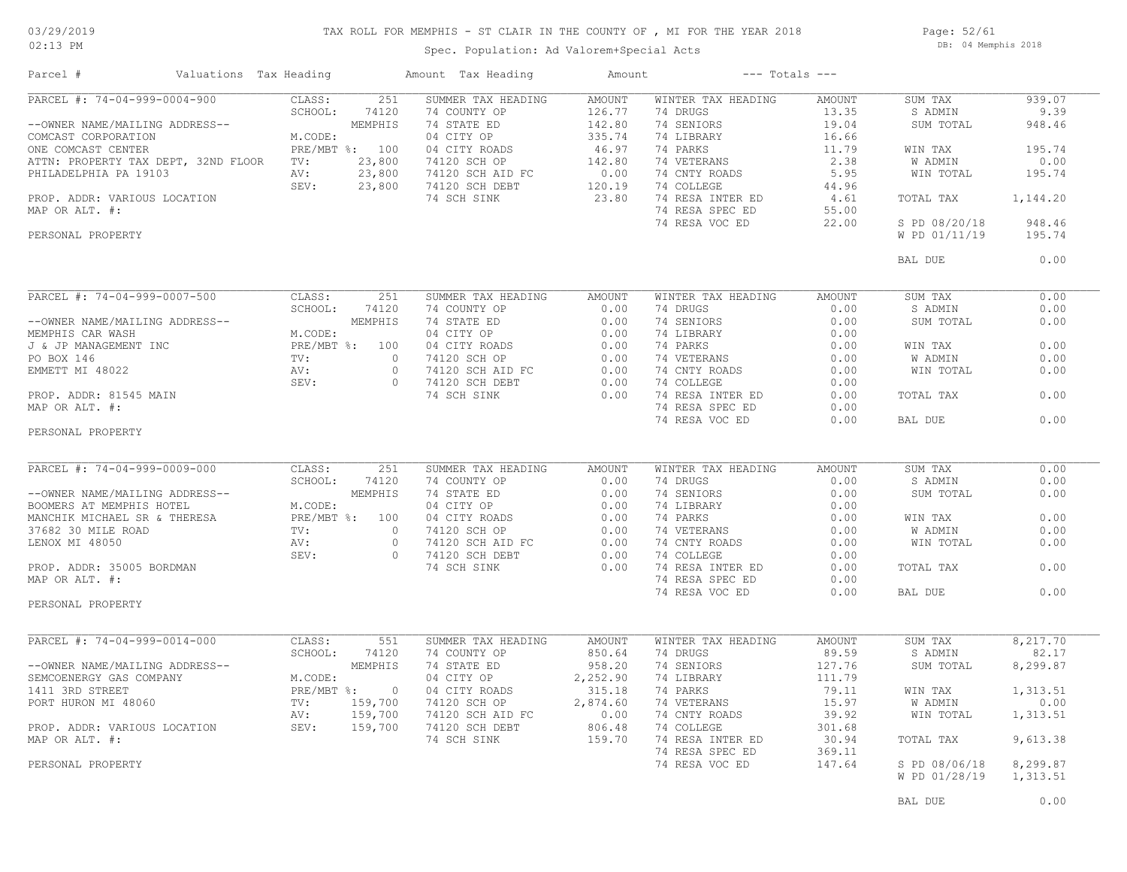### TAX ROLL FOR MEMPHIS - ST CLAIR IN THE COUNTY OF , MI FOR THE YEAR 2018

02:13 PM

### Spec. Population: Ad Valorem+Special Acts

Page: 52/61 DB: 04 Memphis 2018

| Parcel #                                                                                                                                                                                            | Valuations Tax Heading                                                                                                                                                                                                                                                                                                                                                                                                                                     |                                                   | Amount Tax Heading        | Amount                     |                                                  | $---$ Totals $---$ |                |          |
|-----------------------------------------------------------------------------------------------------------------------------------------------------------------------------------------------------|------------------------------------------------------------------------------------------------------------------------------------------------------------------------------------------------------------------------------------------------------------------------------------------------------------------------------------------------------------------------------------------------------------------------------------------------------------|---------------------------------------------------|---------------------------|----------------------------|--------------------------------------------------|--------------------|----------------|----------|
| PARCEL #: $74-04-999-0004-900$                                                                                                                                                                      |                                                                                                                                                                                                                                                                                                                                                                                                                                                            | CLASS:                                            | 251<br>SUMMER TAX HEADING | AMOUNT                     | WINTER TAX HEADING                               | AMOUNT             | SUM TAX        | 939.07   |
|                                                                                                                                                                                                     |                                                                                                                                                                                                                                                                                                                                                                                                                                                            | SCHOOL:                                           | 74120<br>74 COUNTY OP     | 126.77                     | 74 DRUGS                                         | 13.35              | S ADMIN        | 9.39     |
| --OWNER NAME/MAILING ADDRESS--                                                                                                                                                                      |                                                                                                                                                                                                                                                                                                                                                                                                                                                            | ADDRESS--<br>M.CODE:<br>M.CODE:<br>PRE/MBT %: 100 | 74 STATE ED               | 142.80                     | 74 SENIORS                                       | 19.04              | SUM TOTAL      | 948.46   |
| COMCAST CORPORATION                                                                                                                                                                                 |                                                                                                                                                                                                                                                                                                                                                                                                                                                            |                                                   | 04 CITY OP                | 335.74                     | 74 LIBRARY                                       | 16.66              |                |          |
| ONE COMCAST CENTER                                                                                                                                                                                  |                                                                                                                                                                                                                                                                                                                                                                                                                                                            |                                                   | 04 CITY ROADS             | 46.97                      | 74 PARKS                                         | 11.79              | WIN TAX        | 195.74   |
| ATTN: PROPERTY TAX DEPT, 32ND FLOOR TV:                                                                                                                                                             |                                                                                                                                                                                                                                                                                                                                                                                                                                                            | 23,800                                            | 74120 SCH OP              | 142.80                     | 74 VETERANS                                      | 2.38               | W ADMIN        | 0.00     |
| PHILADELPHIA PA 19103                                                                                                                                                                               |                                                                                                                                                                                                                                                                                                                                                                                                                                                            | 23,800                                            | 74120 SCH AID FC          |                            | 74 CNTY ROADS                                    | 5.95               | WIN TOTAL      | 195.74   |
|                                                                                                                                                                                                     | $\frac{AV}{SEV}$ :<br>CATION                                                                                                                                                                                                                                                                                                                                                                                                                               | SEV:                                              | 23,800 74120 SCH DEBT     | $0.00$<br>120.19<br>120.19 | 74 COLLEGE                                       | 44.96              |                |          |
| PROP. ADDR: VARIOUS LOCATION                                                                                                                                                                        |                                                                                                                                                                                                                                                                                                                                                                                                                                                            |                                                   | 74 SCH SINK               | 23.80                      | 74 RESA INTER ED                                 | 4.61               | TOTAL TAX      | 1,144.20 |
| MAP OR ALT. #:                                                                                                                                                                                      |                                                                                                                                                                                                                                                                                                                                                                                                                                                            |                                                   |                           |                            | 74 RESA SPEC ED                                  | 55.00              |                |          |
|                                                                                                                                                                                                     |                                                                                                                                                                                                                                                                                                                                                                                                                                                            |                                                   |                           |                            |                                                  | 22.00              | S PD 08/20/18  | 948.46   |
|                                                                                                                                                                                                     |                                                                                                                                                                                                                                                                                                                                                                                                                                                            |                                                   |                           |                            | 74 RESA VOC ED                                   |                    |                |          |
| PERSONAL PROPERTY                                                                                                                                                                                   |                                                                                                                                                                                                                                                                                                                                                                                                                                                            |                                                   |                           |                            |                                                  |                    | W PD 01/11/19  | 195.74   |
|                                                                                                                                                                                                     |                                                                                                                                                                                                                                                                                                                                                                                                                                                            |                                                   |                           |                            |                                                  |                    | BAL DUE        | 0.00     |
|                                                                                                                                                                                                     | $\begin{tabular}{ll} \multicolumn{2}{c}{\texttt{CIASs:}}\\ \multicolumn{2}{c}{\texttt{CIASs:}}\\ \multicolumn{2}{c}{\texttt{SCHOOL:}} & 741\\ \multicolumn{2}{c}{\texttt{MEMPH1}}\\ \multicolumn{2}{c}{\texttt{NECODE:}}\\ \multicolumn{2}{c}{\texttt{NECDE:}}\\ \multicolumn{2}{c}{\texttt{NEC}} & \multicolumn{2}{c}{\texttt{PRE/MBT 8:}} & 100\\ \multicolumn{2}{c}{\texttt{TV:}}\\ \multicolumn{2}{c}{\texttt{AV:}} & 0\\ \multicolumn{2}{c}{\texttt{$ |                                                   |                           |                            |                                                  |                    |                |          |
| PARCEL #: 74-04-999-0007-500                                                                                                                                                                        |                                                                                                                                                                                                                                                                                                                                                                                                                                                            |                                                   | SUMMER TAX HEADING        | AMOUNT                     | WINTER TAX HEADING                               | AMOUNT             | SUM TAX        | 0.00     |
|                                                                                                                                                                                                     |                                                                                                                                                                                                                                                                                                                                                                                                                                                            |                                                   | 74 COUNTY OP              | 0.00                       | 74 DRUGS                                         | 0.00               | S ADMIN        | 0.00     |
| --OWNER NAME/MAILING ADDRESS--                                                                                                                                                                      |                                                                                                                                                                                                                                                                                                                                                                                                                                                            |                                                   |                           |                            | 74 SENIORS                                       | 0.00               | SUM TOTAL      | 0.00     |
| MEMPHIS CAR WASH                                                                                                                                                                                    |                                                                                                                                                                                                                                                                                                                                                                                                                                                            |                                                   |                           |                            | 74 LIBRARY                                       | 0.00               |                |          |
|                                                                                                                                                                                                     |                                                                                                                                                                                                                                                                                                                                                                                                                                                            |                                                   |                           |                            |                                                  |                    |                | 0.00     |
| J & JP MANAGEMENT INC                                                                                                                                                                               |                                                                                                                                                                                                                                                                                                                                                                                                                                                            |                                                   |                           |                            |                                                  |                    | WIN TAX        |          |
| PO BOX 146                                                                                                                                                                                          |                                                                                                                                                                                                                                                                                                                                                                                                                                                            |                                                   |                           |                            | 74 PARKS<br>74 VETERANS 0.00<br>74 VETERANS 0.00 |                    | W ADMIN        | 0.00     |
| EMMETT MI 48022                                                                                                                                                                                     |                                                                                                                                                                                                                                                                                                                                                                                                                                                            |                                                   |                           | 0.00                       | 74 CNTY ROADS<br>74 COLLEGE                      | 0.00               | WIN TOTAL      | 0.00     |
|                                                                                                                                                                                                     |                                                                                                                                                                                                                                                                                                                                                                                                                                                            |                                                   |                           | 0.00                       | 74 COLLEGE                                       | 0.00               |                |          |
| PROP. ADDR: 81545 MAIN                                                                                                                                                                              |                                                                                                                                                                                                                                                                                                                                                                                                                                                            |                                                   | 74 SCH SINK               | 0.00                       | 74 RESA INTER ED                                 | 0.00               | TOTAL TAX      | 0.00     |
| MAP OR ALT. #:                                                                                                                                                                                      |                                                                                                                                                                                                                                                                                                                                                                                                                                                            |                                                   |                           |                            | 74 RESA SPEC ED                                  | 0.00               |                |          |
|                                                                                                                                                                                                     |                                                                                                                                                                                                                                                                                                                                                                                                                                                            |                                                   |                           |                            | 74 RESA VOC ED                                   | 0.00               | BAL DUE        | 0.00     |
| PERSONAL PROPERTY                                                                                                                                                                                   |                                                                                                                                                                                                                                                                                                                                                                                                                                                            |                                                   |                           |                            |                                                  |                    |                |          |
|                                                                                                                                                                                                     |                                                                                                                                                                                                                                                                                                                                                                                                                                                            |                                                   |                           |                            |                                                  |                    |                |          |
| PARCEL #: 74-04-999-0009-000                                                                                                                                                                        |                                                                                                                                                                                                                                                                                                                                                                                                                                                            | CLASS:                                            | SUMMER TAX HEADING<br>251 | AMOUNT                     | WINTER TAX HEADING                               | AMOUNT             | SUM TAX        | 0.00     |
|                                                                                                                                                                                                     |                                                                                                                                                                                                                                                                                                                                                                                                                                                            | SCHOOL:<br>74120                                  | 74 COUNTY OP 0.00         |                            | 74 DRUGS                                         | 0.00               | S ADMIN        | 0.00     |
|                                                                                                                                                                                                     |                                                                                                                                                                                                                                                                                                                                                                                                                                                            |                                                   |                           |                            | 74 SENIORS                                       | 0.00               | SUM TOTAL      | 0.00     |
|                                                                                                                                                                                                     |                                                                                                                                                                                                                                                                                                                                                                                                                                                            |                                                   |                           |                            | 74 LIBRARY                                       | 0.00               |                |          |
|                                                                                                                                                                                                     |                                                                                                                                                                                                                                                                                                                                                                                                                                                            |                                                   |                           |                            | 74 PARKS                                         | 0.00               | WIN TAX        | 0.00     |
|                                                                                                                                                                                                     |                                                                                                                                                                                                                                                                                                                                                                                                                                                            |                                                   |                           |                            | 74 VETERANS                                      | 0.00               | <b>W ADMIN</b> | 0.00     |
|                                                                                                                                                                                                     |                                                                                                                                                                                                                                                                                                                                                                                                                                                            |                                                   |                           |                            |                                                  | 0.00               | WIN TOTAL      | 0.00     |
|                                                                                                                                                                                                     |                                                                                                                                                                                                                                                                                                                                                                                                                                                            |                                                   |                           |                            | 74 CNTY ROADS                                    |                    |                |          |
| PROP. ADDR: 35005 BORDMAN                                                                                                                                                                           |                                                                                                                                                                                                                                                                                                                                                                                                                                                            |                                                   |                           |                            | 74 COLLEGE                                       | 0.00               |                |          |
|                                                                                                                                                                                                     |                                                                                                                                                                                                                                                                                                                                                                                                                                                            |                                                   | 74 SCH SINK               | 0.00                       | 74 RESA INTER ED                                 | 0.00               | TOTAL TAX      | 0.00     |
| MAP OR ALT. #:                                                                                                                                                                                      |                                                                                                                                                                                                                                                                                                                                                                                                                                                            |                                                   |                           |                            | 74 RESA SPEC ED                                  | 0.00               |                |          |
|                                                                                                                                                                                                     |                                                                                                                                                                                                                                                                                                                                                                                                                                                            |                                                   |                           |                            | 74 RESA VOC ED                                   | 0.00               | BAL DUE        | 0.00     |
| PERSONAL PROPERTY                                                                                                                                                                                   |                                                                                                                                                                                                                                                                                                                                                                                                                                                            |                                                   |                           |                            |                                                  |                    |                |          |
| PARCEL #: 74-04-999-0014-000                                                                                                                                                                        |                                                                                                                                                                                                                                                                                                                                                                                                                                                            | CLASS:                                            | 551<br>SUMMER TAX HEADING | AMOUNT                     | WINTER TAX HEADING                               | AMOUNT             | SUM TAX        | 8,217.70 |
|                                                                                                                                                                                                     |                                                                                                                                                                                                                                                                                                                                                                                                                                                            | SCHOOL:<br>74120                                  | 74 COUNTY OP              | 850.64                     | 74 DRUGS                                         | 89.59              | S ADMIN        | 82.17    |
|                                                                                                                                                                                                     |                                                                                                                                                                                                                                                                                                                                                                                                                                                            |                                                   |                           |                            |                                                  |                    |                |          |
|                                                                                                                                                                                                     |                                                                                                                                                                                                                                                                                                                                                                                                                                                            |                                                   | 74 STATE ED               | 958.20                     | 74 SENIORS                                       | 127.76             | SUM TOTAL      | 8,299.87 |
|                                                                                                                                                                                                     |                                                                                                                                                                                                                                                                                                                                                                                                                                                            |                                                   | 04 CITY OP                | 2,252.90                   | 74 LIBRARY                                       | 111.79             |                |          |
|                                                                                                                                                                                                     |                                                                                                                                                                                                                                                                                                                                                                                                                                                            |                                                   | 04 CITY ROADS             |                            | 74 PARKS                                         | 79.11              | WIN TAX        | 1,313.51 |
|                                                                                                                                                                                                     |                                                                                                                                                                                                                                                                                                                                                                                                                                                            |                                                   | 74120 SCH OP              | $315.18$<br>2.874.60       | 74 VETERANS                                      | 15.97              | W ADMIN        | 0.00     |
|                                                                                                                                                                                                     |                                                                                                                                                                                                                                                                                                                                                                                                                                                            |                                                   | 74120 SCH AID FC 0.00     |                            | 74 CNTY ROADS                                    | 39.92              | WIN TOTAL      | 1,313.51 |
| --OWNER NAME/MAILING ADDRESS--<br>SEMCOENERGY GAS COMPANY M.CODE:<br>1411 3RD STREET PRE/MBT %: 0<br>PORT HURON MI 48060 TV: 159,700<br>PROP. ADDR: VARIOUS LOCATION SEV: 159,700<br>MAP OR ALT. #: |                                                                                                                                                                                                                                                                                                                                                                                                                                                            |                                                   | 74120 SCH DEBT            | 806.48                     | 74 COLLEGE                                       | 301.68             |                |          |
| MAP OR ALT. #:                                                                                                                                                                                      |                                                                                                                                                                                                                                                                                                                                                                                                                                                            |                                                   | 74 SCH SINK               | 159.70                     | 74 RESA INTER ED                                 | 30.94              | TOTAL TAX      | 9,613.38 |
|                                                                                                                                                                                                     |                                                                                                                                                                                                                                                                                                                                                                                                                                                            |                                                   |                           |                            | 74 RESA SPEC ED                                  | 369.11             |                |          |
| PERSONAL PROPERTY                                                                                                                                                                                   |                                                                                                                                                                                                                                                                                                                                                                                                                                                            |                                                   |                           |                            | 74 RESA VOC ED                                   | 147.64             | S PD 08/06/18  | 8,299.87 |
|                                                                                                                                                                                                     |                                                                                                                                                                                                                                                                                                                                                                                                                                                            |                                                   |                           |                            |                                                  |                    |                |          |
|                                                                                                                                                                                                     |                                                                                                                                                                                                                                                                                                                                                                                                                                                            |                                                   |                           |                            |                                                  |                    | W PD 01/28/19  | 1,313.51 |
|                                                                                                                                                                                                     |                                                                                                                                                                                                                                                                                                                                                                                                                                                            |                                                   |                           |                            |                                                  |                    |                |          |
|                                                                                                                                                                                                     |                                                                                                                                                                                                                                                                                                                                                                                                                                                            |                                                   |                           |                            |                                                  |                    | BAL DUE        | 0.00     |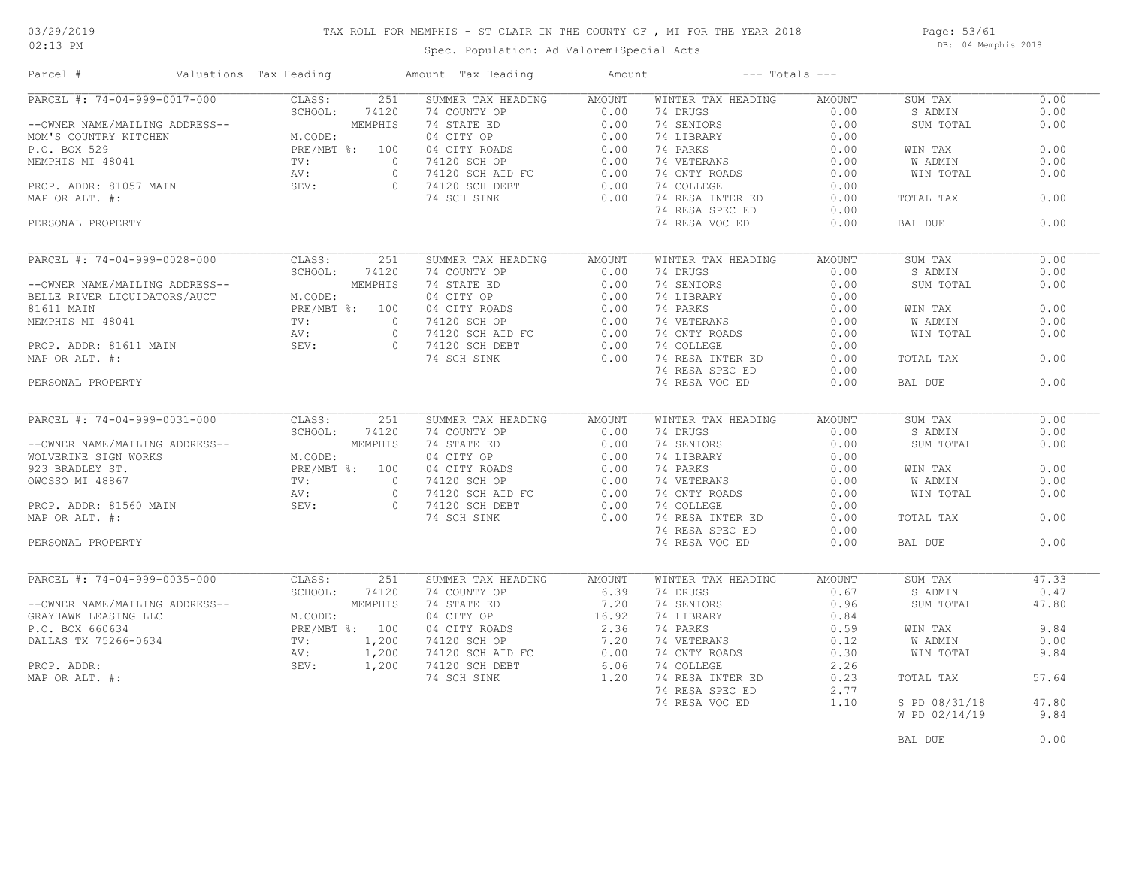### TAX ROLL FOR MEMPHIS - ST CLAIR IN THE COUNTY OF , MI FOR THE YEAR 2018

Spec. Population: Ad Valorem+Special Acts

Page: 53/61 DB: 04 Memphis 2018

| Parcel #                                                                                                                                                                                                                                                                   | Valuations Tax Heading                                    |                                                             |                | Amount Tax Heading                                                                                                                   | Amount                      |                    | $---$ Totals $---$ |                |       |
|----------------------------------------------------------------------------------------------------------------------------------------------------------------------------------------------------------------------------------------------------------------------------|-----------------------------------------------------------|-------------------------------------------------------------|----------------|--------------------------------------------------------------------------------------------------------------------------------------|-----------------------------|--------------------|--------------------|----------------|-------|
| ADDRESS--<br>MEMPHI,<br>ADDRESS--<br>MEMPHI,<br>ADDRESS--<br>MEMPHI,<br>MEMPHI,<br>MEMPHI,<br>MEMPHIS MI 48041<br>TV:<br>2000<br>NEMPHIS MI 48041<br>TV:<br>2000<br>NEMPHIS MI 48041<br>TV:<br>2000<br>NEMPHIS MI 48041<br>TV:<br>2000<br>NEMPHIS MI 5EV:<br>2000<br>NEMPH |                                                           |                                                             |                | SUMMER TAX HEADING                                                                                                                   | <b>AMOUNT</b>               | WINTER TAX HEADING | <b>AMOUNT</b>      | SUM TAX        | 0.00  |
|                                                                                                                                                                                                                                                                            |                                                           |                                                             |                | 74 COUNTY OP                                                                                                                         | 0.00                        | 74 DRUGS           | 0.00               | S ADMIN        | 0.00  |
|                                                                                                                                                                                                                                                                            |                                                           |                                                             |                | 74 COUNTI OF<br>74 STATE ED<br>04 CITY CP<br>04 CITY ROADS<br>74120 SCH AID FC<br>74120 SCH AID FC<br>74120 SCH DEBT<br>74.2011 CINE | 0.00                        | 74 SENIORS         | 0.00               | SUM TOTAL      | 0.00  |
|                                                                                                                                                                                                                                                                            |                                                           |                                                             |                |                                                                                                                                      | 0.00                        | 74 LIBRARY         | 0.00               |                |       |
|                                                                                                                                                                                                                                                                            |                                                           |                                                             |                |                                                                                                                                      | 0.00                        | 74 PARKS           | 0.00               | WIN TAX        | 0.00  |
|                                                                                                                                                                                                                                                                            |                                                           |                                                             |                |                                                                                                                                      | 0.00                        | 74 VETERANS        | 0.00               | W ADMIN        | 0.00  |
|                                                                                                                                                                                                                                                                            |                                                           |                                                             |                |                                                                                                                                      | 0.00                        | 74 CNTY ROADS      | 0.00               | WIN TOTAL      | 0.00  |
|                                                                                                                                                                                                                                                                            |                                                           |                                                             |                |                                                                                                                                      | 0.00                        | 74 COLLEGE         | 0.00               |                |       |
|                                                                                                                                                                                                                                                                            |                                                           |                                                             |                | 74 SCH SINK                                                                                                                          | 0.00                        | 74 RESA INTER ED   | 0.00               | TOTAL TAX      | 0.00  |
|                                                                                                                                                                                                                                                                            |                                                           |                                                             |                |                                                                                                                                      |                             | 74 RESA SPEC ED    | 0.00               |                |       |
|                                                                                                                                                                                                                                                                            |                                                           |                                                             |                |                                                                                                                                      |                             | 74 RESA VOC ED     | 0.00               | BAL DUE        | 0.00  |
|                                                                                                                                                                                                                                                                            |                                                           |                                                             |                |                                                                                                                                      |                             |                    |                    |                |       |
| PARCEL #: 74-04-999-0028-000                                                                                                                                                                                                                                               |                                                           | CLASS:                                                      | 251            | SUMMER TAX HEADING                                                                                                                   | AMOUNT                      | WINTER TAX HEADING | <b>AMOUNT</b>      | SUM TAX        | 0.00  |
|                                                                                                                                                                                                                                                                            |                                                           | SCHOOL:                                                     | 74120          | 74 COUNTY OP                                                                                                                         | 0.00                        | 74 DRUGS           | 0.00               | S ADMIN        | 0.00  |
|                                                                                                                                                                                                                                                                            |                                                           |                                                             | MEMPHIS        |                                                                                                                                      |                             |                    | 0.00               |                | 0.00  |
| --OWNER NAME/MAILING ADDRESS--<br>--OWNER NAME/MAILING ADDRESS--<br>BELLE RIVER LIQUIDATORS/AUCT<br>81611 MAIN                                                                                                                                                             |                                                           |                                                             |                | 74 STATE ED                                                                                                                          | 0.00                        | 74 SENIORS         |                    | SUM TOTAL      |       |
|                                                                                                                                                                                                                                                                            |                                                           | M.CODE:                                                     |                | 04 CITY OP                                                                                                                           | 0.00                        | 74 LIBRARY         | 0.00               |                |       |
| 81611 MAIN                                                                                                                                                                                                                                                                 |                                                           |                                                             | PRE/MBT %: 100 | 04 CITY ROADS                                                                                                                        | 0.00                        | 74 PARKS           | 0.00               | WIN TAX        | 0.00  |
| MEMPHIS MI 48041                                                                                                                                                                                                                                                           |                                                           | TV:                                                         | $\circ$        | 74120 SCH OP                                                                                                                         | 0.00                        | 74 VETERANS        | 0.00               | <b>W ADMIN</b> | 0.00  |
| PROP. ADDR: 81611 MAIN $\begin{array}{ccc} AV: & & AV: \\ & SEV: & & SEV. \end{array}$                                                                                                                                                                                     |                                                           |                                                             | $\circ$        | 74120 SCH AID FC<br>74120 SCH DEBT                                                                                                   | 0.00                        | 74 CNTY ROADS      | 0.00               | WIN TOTAL      | 0.00  |
|                                                                                                                                                                                                                                                                            |                                                           |                                                             | $\Omega$       | 74120 SCH DEBT                                                                                                                       | 0.00                        | 74 COLLEGE         | 0.00               |                |       |
|                                                                                                                                                                                                                                                                            |                                                           |                                                             |                | 74 SCH SINK                                                                                                                          | 0.00                        | 74 RESA INTER ED   | 0.00               | TOTAL TAX      | 0.00  |
|                                                                                                                                                                                                                                                                            |                                                           |                                                             |                |                                                                                                                                      |                             | 74 RESA SPEC ED    | 0.00               |                |       |
| PERSONAL PROPERTY                                                                                                                                                                                                                                                          |                                                           |                                                             |                |                                                                                                                                      |                             | 74 RESA VOC ED     | 0.00               | BAL DUE        | 0.00  |
|                                                                                                                                                                                                                                                                            |                                                           |                                                             |                |                                                                                                                                      |                             |                    |                    |                |       |
| PARCEL #: 74-04-999-0031-000                                                                                                                                                                                                                                               |                                                           | CLASS:                                                      | 251            | SUMMER TAX HEADING                                                                                                                   | <b>AMOUNT</b>               | WINTER TAX HEADING | <b>AMOUNT</b>      | SUM TAX        | 0.00  |
|                                                                                                                                                                                                                                                                            |                                                           | SCHOOL: 7412<br>MEMPHIS<br>M.CODE:<br>PRE/MBT %: 100<br>TV: |                | 74 COUNTY OP                                                                                                                         | 0.00                        | 74 DRUGS           | 0.00               | S ADMIN        | 0.00  |
| --OWNER NAME/MAILING ADDRESS--                                                                                                                                                                                                                                             |                                                           |                                                             |                | 74 STATE ED                                                                                                                          | 0.00                        | 74 SENIORS         | 0.00               | SUM TOTAL      | 0.00  |
| WOLVERINE SIGN WORKS                                                                                                                                                                                                                                                       |                                                           |                                                             |                | $\frac{1}{2}$<br>04 CITY OP                                                                                                          | 0.00                        | 74 LIBRARY         | 0.00               |                |       |
| 923 BRADLEY ST.                                                                                                                                                                                                                                                            |                                                           |                                                             |                | 04 CITY ROADS                                                                                                                        | 0.00                        | 74 PARKS           | 0.00               | WIN TAX        | 0.00  |
|                                                                                                                                                                                                                                                                            |                                                           |                                                             |                | 74120 SCH OP                                                                                                                         | 0.00                        | 74 VETERANS        | 0.00               | W ADMIN        | 0.00  |
|                                                                                                                                                                                                                                                                            |                                                           |                                                             | $\circ$        |                                                                                                                                      |                             | 74 CNTY ROADS      | 0.00               | WIN TOTAL      | 0.00  |
| 923 BRADLEY ST.<br>OWOSSO MI 48867 TV:<br>PROP. ADDR: 81560 MAIN SEV:<br>MAP OR ALT. #:                                                                                                                                                                                    |                                                           |                                                             | $\Omega$       | 74120 SCH AID FC 0.00<br>74120 SCH DEBT 0.00<br>74120 SCH DEBT                                                                       | 0.00                        | 74 COLLEGE         | 0.00               |                |       |
|                                                                                                                                                                                                                                                                            |                                                           |                                                             |                | 74 SCH SINK                                                                                                                          | 0.00                        | 74 RESA INTER ED   | 0.00               | TOTAL TAX      | 0.00  |
|                                                                                                                                                                                                                                                                            |                                                           |                                                             |                |                                                                                                                                      |                             |                    |                    |                |       |
|                                                                                                                                                                                                                                                                            |                                                           |                                                             |                |                                                                                                                                      |                             | 74 RESA SPEC ED    | 0.00               |                | 0.00  |
| PERSONAL PROPERTY                                                                                                                                                                                                                                                          |                                                           |                                                             |                |                                                                                                                                      |                             | 74 RESA VOC ED     | 0.00               | BAL DUE        |       |
| PARCEL #: 74-04-999-0035-000                                                                                                                                                                                                                                               |                                                           | CLASS:                                                      | 251            | SUMMER TAX HEADING                                                                                                                   | AMOUNT                      | WINTER TAX HEADING | <b>AMOUNT</b>      | SUM TAX        | 47.33 |
|                                                                                                                                                                                                                                                                            |                                                           | SCHOOL:                                                     | 74120          | 74 COUNTY OP                                                                                                                         | 6.39                        | 74 DRUGS           | 0.67               | S ADMIN        | 0.47  |
| --OWNER NAME/MAILING ADDRESS--                                                                                                                                                                                                                                             | ADDRESS--<br>M.COI<br>PRE/1<br>TV:<br>NV:<br>SEV:<br>SEV: |                                                             | MEMPHIS        | 74 STATE ED                                                                                                                          | 7.20                        | 74 SENIORS         | 0.96               | SUM TOTAL      | 47.80 |
|                                                                                                                                                                                                                                                                            |                                                           |                                                             |                |                                                                                                                                      | $7.20$<br>$16.92$<br>$2.36$ |                    |                    |                |       |
| GRAYHAWK LEASING LLC                                                                                                                                                                                                                                                       |                                                           | M.CODE:                                                     |                | 04 CITY OP                                                                                                                           |                             | 74 LIBRARY         | 0.84               |                |       |
| P.O. BOX 660634                                                                                                                                                                                                                                                            |                                                           | PRE/MBT %: 100                                              |                | 04 CITY ROADS                                                                                                                        |                             | 74 PARKS           | 0.59               | WIN TAX        | 9.84  |
| DALLAS TX 75266-0634                                                                                                                                                                                                                                                       |                                                           |                                                             | 1,200          | 74120 SCH OP                                                                                                                         | 7.20                        | 74 VETERANS        | 0.12               | W ADMIN        | 0.00  |
|                                                                                                                                                                                                                                                                            |                                                           |                                                             | 1,200          | 74120 SCH AID FC                                                                                                                     | 0.00                        | 74 CNTY ROADS      | 0.30               | WIN TOTAL      | 9.84  |
| PROP. ADDR:                                                                                                                                                                                                                                                                |                                                           | SEV:                                                        | 1,200          | 74120 SCH DEBT                                                                                                                       | 6.06                        | 74 COLLEGE         | 2.26               |                |       |
| MAP OR ALT. #:                                                                                                                                                                                                                                                             |                                                           |                                                             |                | 74 SCH SINK                                                                                                                          | 1,20                        | 74 RESA INTER ED   | 0.23               | TOTAL TAX      | 57.64 |
|                                                                                                                                                                                                                                                                            |                                                           |                                                             |                |                                                                                                                                      |                             | 74 RESA SPEC ED    | 2.77               |                |       |
|                                                                                                                                                                                                                                                                            |                                                           |                                                             |                |                                                                                                                                      |                             | 74 RESA VOC ED     | 1.10               | S PD 08/31/18  | 47.80 |
|                                                                                                                                                                                                                                                                            |                                                           |                                                             |                |                                                                                                                                      |                             |                    |                    | W PD 02/14/19  | 9.84  |
|                                                                                                                                                                                                                                                                            |                                                           |                                                             |                |                                                                                                                                      |                             |                    |                    |                |       |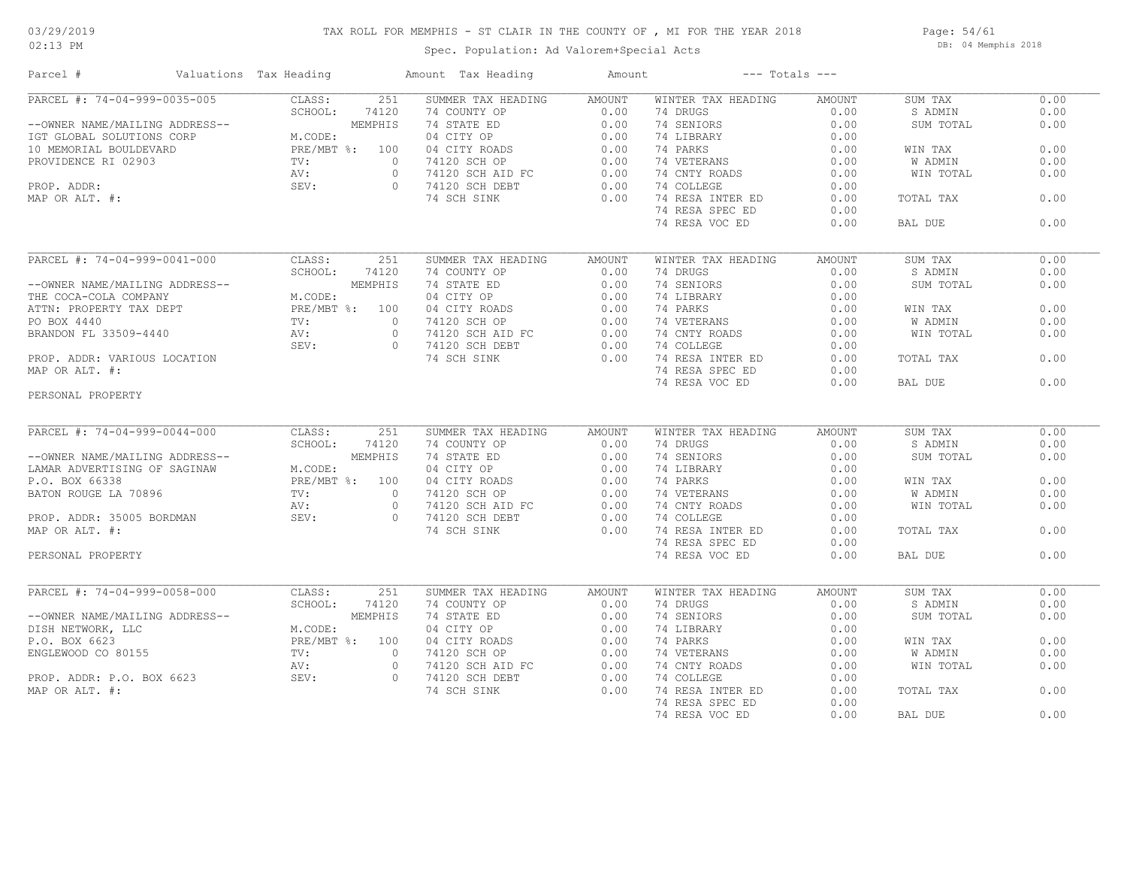### TAX ROLL FOR MEMPHIS - ST CLAIR IN THE COUNTY OF , MI FOR THE YEAR 2018

Spec. Population: Ad Valorem+Special Acts

Page: 54/61 DB: 04 Memphis 2018

| Parcel #                                                                                                                                                                                                                                                                             | Valuations Tax Heading |                  | Amount Tax Heading                                                                                                                                                                                                                         | Amount | $---$ Totals $---$                                 |        |           |      |
|--------------------------------------------------------------------------------------------------------------------------------------------------------------------------------------------------------------------------------------------------------------------------------------|------------------------|------------------|--------------------------------------------------------------------------------------------------------------------------------------------------------------------------------------------------------------------------------------------|--------|----------------------------------------------------|--------|-----------|------|
| PARCEL #: 74-04-999-0035-005                                                                                                                                                                                                                                                         |                        | CLASS:           | 251<br>SUMMER TAX HEADING AMOUNT                                                                                                                                                                                                           |        | WINTER TAX HEADING                                 | AMOUNT | SUM TAX   | 0.00 |
|                                                                                                                                                                                                                                                                                      |                        | 74120<br>SCHOOL: |                                                                                                                                                                                                                                            |        |                                                    |        | S ADMIN   | 0.00 |
|                                                                                                                                                                                                                                                                                      |                        |                  | 20 74 CONTY OP 0.00 74 DERICING AMOUNT<br>120 74 CONTY OP 0.00 74 SENIORS 0.00<br>11S 74 STATE ED 0.00 74 SENIORS 0.00<br>04 CITY ROADS 0.00 74 LIBRARY 0.00<br>074120 SCH OP 0.00 74 VETERANS 0.00<br>074120 SCH AID FC 0.00 74 COLLEGE   |        |                                                    |        | SUM TOTAL | 0.00 |
|                                                                                                                                                                                                                                                                                      |                        |                  |                                                                                                                                                                                                                                            |        |                                                    |        |           |      |
|                                                                                                                                                                                                                                                                                      |                        |                  |                                                                                                                                                                                                                                            |        |                                                    |        | WIN TAX   | 0.00 |
|                                                                                                                                                                                                                                                                                      |                        |                  |                                                                                                                                                                                                                                            |        |                                                    |        | W ADMIN   | 0.00 |
|                                                                                                                                                                                                                                                                                      |                        |                  |                                                                                                                                                                                                                                            |        |                                                    |        | WIN TOTAL | 0.00 |
|                                                                                                                                                                                                                                                                                      |                        |                  |                                                                                                                                                                                                                                            |        |                                                    |        |           |      |
|                                                                                                                                                                                                                                                                                      |                        |                  |                                                                                                                                                                                                                                            |        |                                                    |        | TOTAL TAX | 0.00 |
|                                                                                                                                                                                                                                                                                      |                        |                  |                                                                                                                                                                                                                                            |        | 74 RESA SPEC ED                                    | 0.00   |           |      |
|                                                                                                                                                                                                                                                                                      |                        |                  |                                                                                                                                                                                                                                            |        | 74 RESA VOC ED                                     | 0.00   | BAL DUE   | 0.00 |
|                                                                                                                                                                                                                                                                                      |                        |                  |                                                                                                                                                                                                                                            |        |                                                    |        |           |      |
| PARCEL #: 74-04-999-0041-000                                                                                                                                                                                                                                                         |                        | CLASS:           | 251<br>SUMMER TAX HEADING                                                                                                                                                                                                                  | AMOUNT | WINTER TAX HEADING                                 | AMOUNT | SUM TAX   | 0.00 |
|                                                                                                                                                                                                                                                                                      |                        |                  |                                                                                                                                                                                                                                            |        |                                                    |        | S ADMIN   | 0.00 |
|                                                                                                                                                                                                                                                                                      |                        |                  |                                                                                                                                                                                                                                            |        |                                                    |        | SUM TOTAL | 0.00 |
|                                                                                                                                                                                                                                                                                      |                        |                  |                                                                                                                                                                                                                                            |        |                                                    |        |           |      |
|                                                                                                                                                                                                                                                                                      |                        |                  |                                                                                                                                                                                                                                            |        |                                                    |        | WIN TAX   | 0.00 |
|                                                                                                                                                                                                                                                                                      |                        |                  |                                                                                                                                                                                                                                            |        |                                                    |        | W ADMIN   | 0.00 |
|                                                                                                                                                                                                                                                                                      |                        |                  | --OWNER NAME/MAILING ADDRESS--<br>CHOOL: 74120 74 COUNTY OP 0.00 74 DRUGS 0.00<br>THE CCA-COLA COMPANY M.CODE: MEMPHIS 74 STATE ED 0.00 74 DRUGS 0.00<br>THE CCA-COLA COMPANY M.CODE: 04 CITY OP 0.00 74 LIBRARY 0.00<br>PROP. ADDR:       |        |                                                    |        | WIN TOTAL | 0.00 |
|                                                                                                                                                                                                                                                                                      |                        |                  |                                                                                                                                                                                                                                            |        |                                                    |        |           |      |
|                                                                                                                                                                                                                                                                                      |                        |                  |                                                                                                                                                                                                                                            |        |                                                    |        | TOTAL TAX | 0.00 |
| MAP OR ALT. #:                                                                                                                                                                                                                                                                       |                        |                  |                                                                                                                                                                                                                                            |        | 74 RESA SPEC ED                                    | 0.00   |           |      |
|                                                                                                                                                                                                                                                                                      |                        |                  |                                                                                                                                                                                                                                            |        | 74 RESA VOC ED                                     | 0.00   | BAL DUE   | 0.00 |
| PERSONAL PROPERTY                                                                                                                                                                                                                                                                    |                        |                  |                                                                                                                                                                                                                                            |        |                                                    |        |           |      |
|                                                                                                                                                                                                                                                                                      |                        |                  |                                                                                                                                                                                                                                            |        |                                                    |        |           |      |
|                                                                                                                                                                                                                                                                                      |                        |                  |                                                                                                                                                                                                                                            |        |                                                    |        |           |      |
| PARCEL #: 74-04-999-0044-000                                                                                                                                                                                                                                                         |                        | CLASS:           | SUMMER TAX HEADING<br>251                                                                                                                                                                                                                  | AMOUNT | WINTER TAX HEADING                                 | AMOUNT | SUM TAX   | 0.00 |
|                                                                                                                                                                                                                                                                                      |                        |                  |                                                                                                                                                                                                                                            |        |                                                    |        | S ADMIN   | 0.00 |
|                                                                                                                                                                                                                                                                                      |                        |                  |                                                                                                                                                                                                                                            |        |                                                    |        | SUM TOTAL | 0.00 |
|                                                                                                                                                                                                                                                                                      |                        |                  |                                                                                                                                                                                                                                            |        |                                                    |        |           |      |
|                                                                                                                                                                                                                                                                                      |                        |                  |                                                                                                                                                                                                                                            |        |                                                    |        | WIN TAX   | 0.00 |
|                                                                                                                                                                                                                                                                                      |                        |                  |                                                                                                                                                                                                                                            |        |                                                    |        | W ADMIN   | 0.00 |
|                                                                                                                                                                                                                                                                                      |                        |                  |                                                                                                                                                                                                                                            |        |                                                    |        | WIN TOTAL | 0.00 |
|                                                                                                                                                                                                                                                                                      |                        |                  | PARCEL #: 74-04-999-0044-000<br>--OWNER NAME/MAILING ADDRESS--<br>LAMAR ADVERTISING OF SAGINAN<br>P.O. BOX 66338<br>PRE/MBT %: 100 04 CITY ROADS<br>PRE/MBT %: 100 04 CITY ROADS<br>PRE/MBT %: 100 04 CITY ROADS<br>PRE/MBT %: 100 04 CITY |        |                                                    |        |           |      |
|                                                                                                                                                                                                                                                                                      |                        |                  |                                                                                                                                                                                                                                            |        |                                                    |        | TOTAL TAX | 0.00 |
|                                                                                                                                                                                                                                                                                      |                        |                  |                                                                                                                                                                                                                                            |        | 74 RESA SPEC ED                                    | 0.00   |           |      |
| PERSONAL PROPERTY                                                                                                                                                                                                                                                                    |                        |                  |                                                                                                                                                                                                                                            |        | 74 RESA VOC ED                                     | 0.00   | BAL DUE   | 0.00 |
|                                                                                                                                                                                                                                                                                      |                        |                  |                                                                                                                                                                                                                                            |        |                                                    |        |           |      |
| PARCEL #: 74-04-999-0058-000<br>ULASS: 25<br>ULASS: 25<br>ULASS: 25<br>ULASS: 25<br>ULASS: 25<br>SCHOOL: 74120<br>MEMPHIS<br>P.O. BOX 6623<br>ENGLEWOOD CO 80155<br>PRE/MBT %: 100<br>PROP. ADDR: P.O. BOX 6623<br>PRE/MBT %: 0<br>NV: 0<br>NV: 0<br>AV: 0<br>AV: 0<br>AP OR ALT. #: |                        |                  | SUMMER TAX HEADING                                                                                                                                                                                                                         | AMOUNT | WINTER TAX HEADING                                 | AMOUNT | SUM TAX   | 0.00 |
|                                                                                                                                                                                                                                                                                      |                        |                  | 74 COUNTY OP 0.00<br>74 COUNTY OP<br>74 STATE ED<br>04 CITY OP<br>04 CITY ROADS<br>04 CITY ROADS<br>74120 SCH OP<br>74120 SCH AID FC<br>74120 SCH DEBT<br>0.00<br>74120 SCH DEBT<br>0.00<br>74 SCH SINK<br>0.00<br>74 SCH DEBT<br>0.00     |        | 74 DRUGS                                           | 0.00   | S ADMIN   | 0.00 |
|                                                                                                                                                                                                                                                                                      |                        |                  |                                                                                                                                                                                                                                            |        | 74 SENIORS                                         | 0.00   | SUM TOTAL | 0.00 |
|                                                                                                                                                                                                                                                                                      |                        |                  |                                                                                                                                                                                                                                            |        | 74 LIBRARY                                         | 0.00   |           |      |
|                                                                                                                                                                                                                                                                                      |                        |                  |                                                                                                                                                                                                                                            |        | 74 PARKS                                           | 0.00   | WIN TAX   | 0.00 |
|                                                                                                                                                                                                                                                                                      |                        |                  |                                                                                                                                                                                                                                            |        | 74 LIKKS<br>74 VETERANS 0.00<br>74 CNTY ROADS 0.00 |        | W ADMIN   | 0.00 |
|                                                                                                                                                                                                                                                                                      |                        |                  |                                                                                                                                                                                                                                            |        |                                                    |        | WIN TOTAL | 0.00 |
|                                                                                                                                                                                                                                                                                      |                        |                  |                                                                                                                                                                                                                                            |        | 74 COLLEGE                                         | 0.00   |           |      |
|                                                                                                                                                                                                                                                                                      |                        |                  |                                                                                                                                                                                                                                            |        | 74 RESA INTER ED                                   | 0.00   | TOTAL TAX | 0.00 |
|                                                                                                                                                                                                                                                                                      |                        |                  |                                                                                                                                                                                                                                            |        | 74 RESA SPEC ED                                    | 0.00   |           |      |
|                                                                                                                                                                                                                                                                                      |                        |                  |                                                                                                                                                                                                                                            |        | 74 RESA VOC ED                                     | 0.00   | BAL DUE   | 0.00 |
|                                                                                                                                                                                                                                                                                      |                        |                  |                                                                                                                                                                                                                                            |        |                                                    |        |           |      |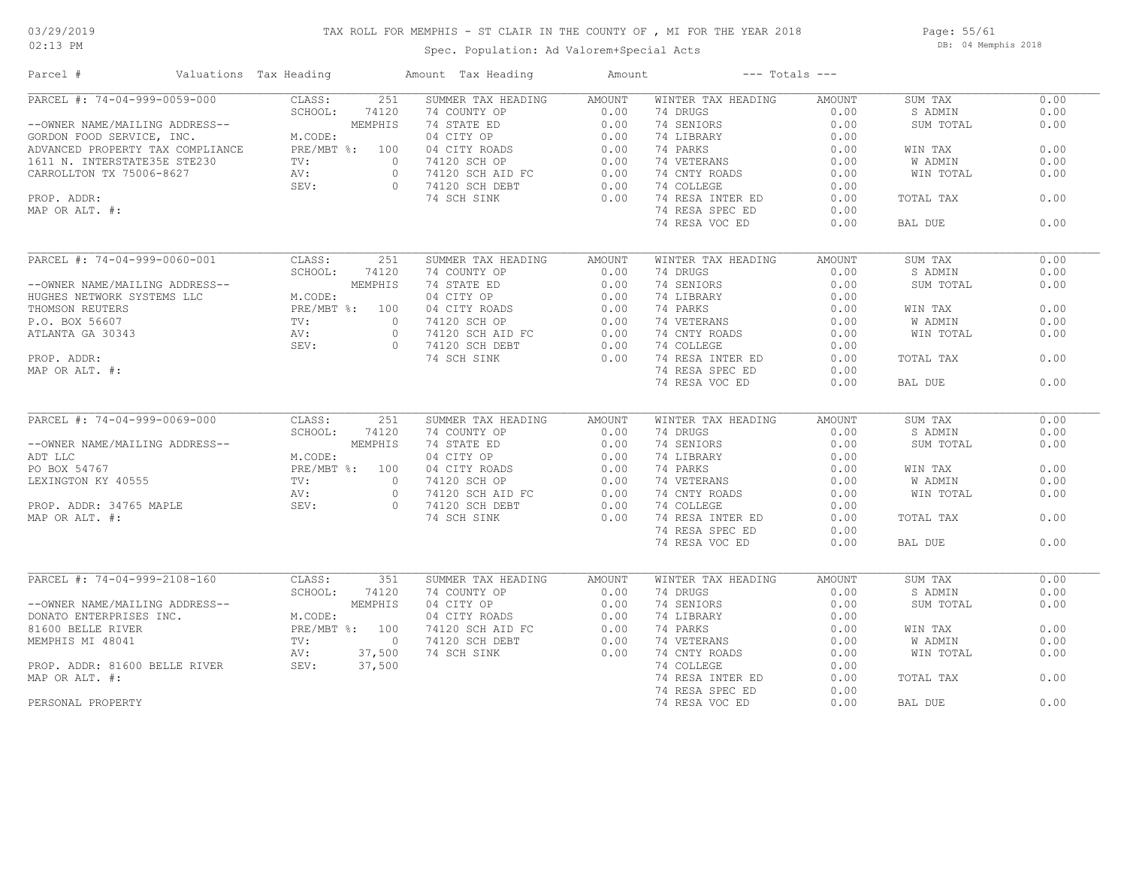### 02:13 PM

## TAX ROLL FOR MEMPHIS - ST CLAIR IN THE COUNTY OF , MI FOR THE YEAR 2018

Spec. Population: Ad Valorem+Special Acts

Page: 55/61 DB: 04 Memphis 2018

| Parcel #                         | Valuations Tax Heading |                | Amount Tax Heading | Amount |                    | $---$ Totals $---$ |           |      |
|----------------------------------|------------------------|----------------|--------------------|--------|--------------------|--------------------|-----------|------|
| PARCEL #: 74-04-999-0059-000     | CLASS:                 | 251            | SUMMER TAX HEADING | AMOUNT | WINTER TAX HEADING | AMOUNT             | SUM TAX   | 0.00 |
|                                  | SCHOOL:                | 74120          | 74 COUNTY OP       | 0.00   | 74 DRUGS           | 0.00               | S ADMIN   | 0.00 |
| --OWNER NAME/MAILING ADDRESS--   |                        | MEMPHIS        | 74 STATE ED        | 0.00   | 74 SENIORS         | 0.00               | SUM TOTAL | 0.00 |
| GORDON FOOD SERVICE, INC.        | M.CODE:                |                | 04 CITY OP         | 0.00   | 74 LIBRARY         | 0.00               |           |      |
| ADVANCED PROPERTY TAX COMPLIANCE |                        | PRE/MBT %: 100 | 04 CITY ROADS      | 0.00   | 74 PARKS           | 0.00               | WIN TAX   | 0.00 |
| 1611 N. INTERSTATE35E STE230     | $\text{TV}$ :          | $\circ$        | 74120 SCH OP       | 0.00   | 74 VETERANS        | 0.00               | W ADMIN   | 0.00 |
| CARROLLTON TX 75006-8627         | AV:                    | $\circ$        | 74120 SCH AID FC   | 0.00   | 74 CNTY ROADS      | 0.00               | WIN TOTAL | 0.00 |
|                                  | SEV:                   | $\Omega$       | 74120 SCH DEBT     | 0.00   | 74 COLLEGE         | 0.00               |           |      |
| PROP. ADDR:                      |                        |                | 74 SCH SINK        | 0.00   | 74 RESA INTER ED   | 0.00               | TOTAL TAX | 0.00 |
| MAP OR ALT. #:                   |                        |                |                    |        | 74 RESA SPEC ED    | 0.00               |           |      |
|                                  |                        |                |                    |        | 74 RESA VOC ED     | 0.00               | BAL DUE   | 0.00 |
|                                  |                        |                |                    |        |                    |                    |           |      |
| PARCEL #: 74-04-999-0060-001     | CLASS:                 | 251            | SUMMER TAX HEADING | AMOUNT | WINTER TAX HEADING | AMOUNT             | SUM TAX   | 0.00 |
|                                  | SCHOOL:                | 74120          | 74 COUNTY OP       | 0.00   | 74 DRUGS           | 0.00               | S ADMIN   | 0.00 |
| --OWNER NAME/MAILING ADDRESS--   |                        | MEMPHIS        | 74 STATE ED        | 0.00   | 74 SENIORS         | 0.00               | SUM TOTAL | 0.00 |
| HUGHES NETWORK SYSTEMS LLC       | M.CODE:                |                | 04 CITY OP         | 0.00   | 74 LIBRARY         | 0.00               |           |      |
| THOMSON REUTERS                  |                        | PRE/MBT %: 100 | 04 CITY ROADS      | 0.00   | 74 PARKS           | 0.00               | WIN TAX   | 0.00 |
| P.O. BOX 56607                   | $\text{TV}$ :          | $\bigcirc$     | 74120 SCH OP       | 0.00   | 74 VETERANS        | 0.00               | W ADMIN   | 0.00 |
| ATLANTA GA 30343                 | AV:                    | $\circ$        | 74120 SCH AID FC   | 0.00   | 74 CNTY ROADS      | 0.00               | WIN TOTAL | 0.00 |
|                                  | SEV:                   | $\Omega$       | 74120 SCH DEBT     | 0.00   | 74 COLLEGE         | 0.00               |           |      |
| PROP. ADDR:                      |                        |                | 74 SCH SINK        | 0.00   | 74 RESA INTER ED   | 0.00               | TOTAL TAX | 0.00 |
| MAP OR ALT. #:                   |                        |                |                    |        | 74 RESA SPEC ED    | 0.00               |           |      |
|                                  |                        |                |                    |        | 74 RESA VOC ED     | 0.00               | BAL DUE   | 0.00 |
| PARCEL #: 74-04-999-0069-000     |                        |                |                    |        |                    |                    |           | 0.00 |
|                                  | CLASS:                 | 251            | SUMMER TAX HEADING | AMOUNT | WINTER TAX HEADING | AMOUNT             | SUM TAX   |      |
|                                  | SCHOOL:                | 74120          | 74 COUNTY OP       | 0.00   | 74 DRUGS           | 0.00               | S ADMIN   | 0.00 |
| --OWNER NAME/MAILING ADDRESS--   |                        | MEMPHIS        | 74 STATE ED        | 0.00   | 74 SENIORS         | 0.00               | SUM TOTAL | 0.00 |
| ADT LLC                          | M.CODE:                |                | 04 CITY OP         | 0.00   | 74 LIBRARY         | 0.00               |           |      |
| PO BOX 54767                     |                        | PRE/MBT %: 100 | 04 CITY ROADS      | 0.00   | 74 PARKS           | 0.00               | WIN TAX   | 0.00 |
| LEXINGTON KY 40555               | TV:                    | $\circ$        | 74120 SCH OP       | 0.00   | 74 VETERANS        | 0.00               | W ADMIN   | 0.00 |
|                                  | AV:                    | $\circ$        | 74120 SCH AID FC   | 0.00   | 74 CNTY ROADS      | 0.00               | WIN TOTAL | 0.00 |
| PROP. ADDR: 34765 MAPLE          | SEV:                   | $\bigcirc$     | 74120 SCH DEBT     | 0.00   | 74 COLLEGE         | 0.00               |           |      |
| MAP OR ALT. #:                   |                        |                | 74 SCH SINK        | 0.00   | 74 RESA INTER ED   | 0.00               | TOTAL TAX | 0.00 |
|                                  |                        |                |                    |        | 74 RESA SPEC ED    | 0.00               |           |      |
|                                  |                        |                |                    |        | 74 RESA VOC ED     | 0.00               | BAL DUE   | 0.00 |
| PARCEL #: 74-04-999-2108-160     | CLASS:                 | 351            | SUMMER TAX HEADING | AMOUNT | WINTER TAX HEADING | AMOUNT             | SUM TAX   | 0.00 |
|                                  | SCHOOL:                | 74120          | 74 COUNTY OP       | 0.00   | 74 DRUGS           | 0.00               | S ADMIN   | 0.00 |
| --OWNER NAME/MAILING ADDRESS--   |                        | MEMPHIS        | 04 CITY OP         | 0.00   | 74 SENIORS         | 0.00               | SUM TOTAL | 0.00 |
|                                  |                        |                |                    |        |                    |                    |           |      |
| DONATO ENTERPRISES INC.          | M.CODE:                |                | 04 CITY ROADS      | 0.00   | 74 LIBRARY         | 0.00               |           |      |
| 81600 BELLE RIVER                |                        | PRE/MBT %: 100 | 74120 SCH AID FC   | 0.00   | 74 PARKS           | 0.00               | WIN TAX   | 0.00 |
| MEMPHIS MI 48041                 | TV:                    | $\overline{0}$ | 74120 SCH DEBT     | 0.00   | 74 VETERANS        | 0.00               | W ADMIN   | 0.00 |
|                                  | AV:                    | 37,500         | 74 SCH SINK        | 0.00   | 74 CNTY ROADS      | 0.00               | WIN TOTAL | 0.00 |
| PROP. ADDR: 81600 BELLE RIVER    | SEV:                   | 37,500         |                    |        | 74 COLLEGE         | 0.00               |           |      |
| MAP OR ALT. #:                   |                        |                |                    |        | 74 RESA INTER ED   | 0.00               | TOTAL TAX | 0.00 |
|                                  |                        |                |                    |        | 74 RESA SPEC ED    | 0.00               |           |      |
| PERSONAL PROPERTY                |                        |                |                    |        | 74 RESA VOC ED     | 0.00               | BAL DUE   | 0.00 |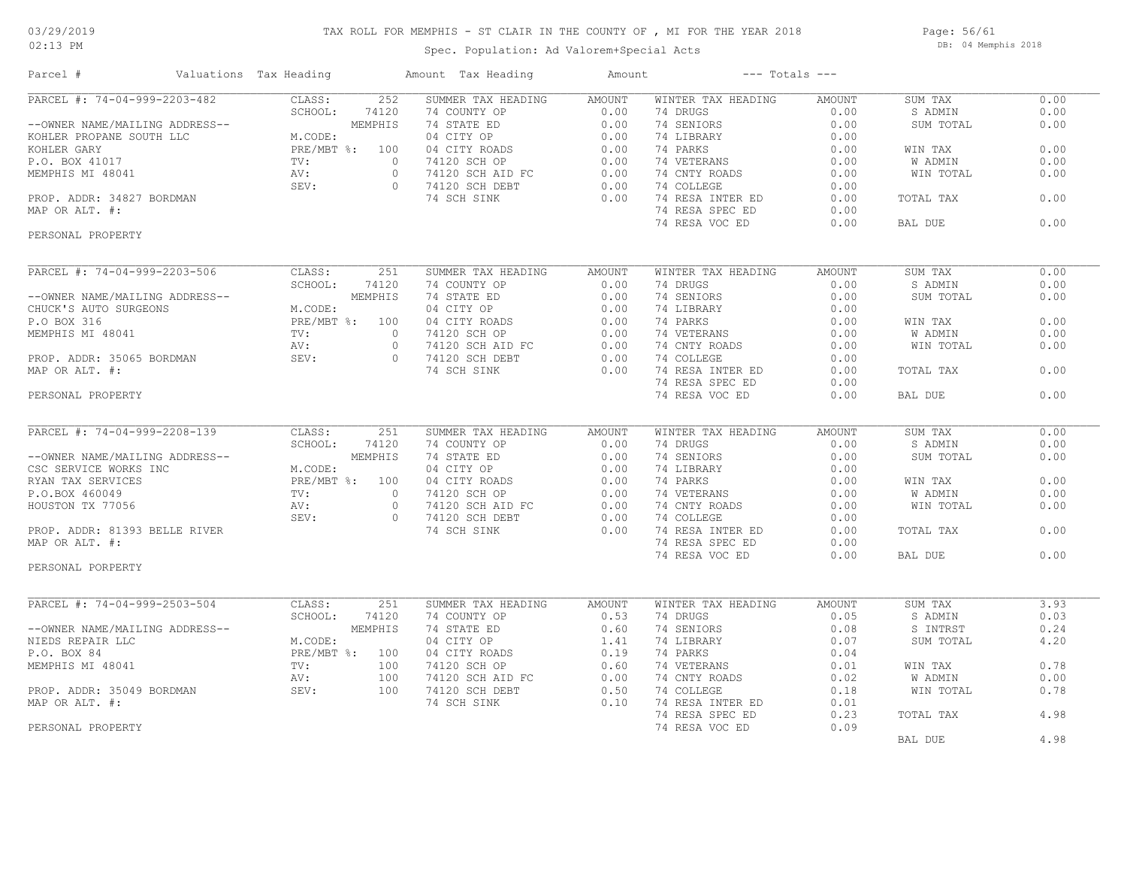### TAX ROLL FOR MEMPHIS - ST CLAIR IN THE COUNTY OF , MI FOR THE YEAR 2018

02:13 PM

### Spec. Population: Ad Valorem+Special Acts

Page: 56/61 DB: 04 Memphis 2018

| Parcel #                                                                                                                                                                 | Valuations Tax Heading                                          |                  | Amount Tax Heading                                                                                                                                                                      |                                                                                                                                                                         | Amount      | $---$ Totals $---$                      |        |                |      |
|--------------------------------------------------------------------------------------------------------------------------------------------------------------------------|-----------------------------------------------------------------|------------------|-----------------------------------------------------------------------------------------------------------------------------------------------------------------------------------------|-------------------------------------------------------------------------------------------------------------------------------------------------------------------------|-------------|-----------------------------------------|--------|----------------|------|
| PARCEL #: 74-04-999-2203-482                                                                                                                                             |                                                                 | CLASS:           | 252<br>SUMMER TAX HEADING                                                                                                                                                               | <b>AMOUNT</b>                                                                                                                                                           |             | WINTER TAX HEADING                      | AMOUNT | SUM TAX        | 0.00 |
|                                                                                                                                                                          |                                                                 | SCHOOL:<br>74120 | 74 COUNTY OP                                                                                                                                                                            | 0.00                                                                                                                                                                    | 74 DRUGS    |                                         | 0.00   | S ADMIN        | 0.00 |
| --OWNER NAME/MAILING ADDRESS--<br>KOHLER PROPANE SOUTH LLC<br>M.CODE:<br>KOHLER GARY<br>P.O. BOX 41017<br>MEMPHIS MI 48041<br>PROP. ADDR: 34827 BORDMAN<br>MAP OR ALT #. |                                                                 |                  |                                                                                                                                                                                         | 74 COUNTY OP 0.00<br>74 STATE ED 0.00<br>04 CITY OP 0.00<br>04 CITY ROADS 0.00<br>74120 SCH OP 0.00<br>74120 SCH AID FC 0.00<br>74120 SCH DEBT 0.00<br>74 SCH SINK 0.00 | 74 SENIORS  |                                         | 0.00   | SUM TOTAL      | 0.00 |
|                                                                                                                                                                          |                                                                 |                  |                                                                                                                                                                                         |                                                                                                                                                                         | 74 LIBRARY  |                                         | 0.00   |                |      |
|                                                                                                                                                                          |                                                                 |                  |                                                                                                                                                                                         |                                                                                                                                                                         | 74 PARKS    |                                         | 0.00   | WIN TAX        | 0.00 |
|                                                                                                                                                                          |                                                                 |                  | 74120 SCH OP                                                                                                                                                                            |                                                                                                                                                                         | 74 VETERANS |                                         | 0.00   | <b>W ADMIN</b> | 0.00 |
|                                                                                                                                                                          |                                                                 |                  | $\overline{0}$                                                                                                                                                                          |                                                                                                                                                                         |             | 74 CNTY ROADS                           | 0.00   | WIN TOTAL      | 0.00 |
|                                                                                                                                                                          |                                                                 |                  | 0 74120 SCH DEBT                                                                                                                                                                        | 0.00                                                                                                                                                                    | 74 COLLEGE  |                                         | 0.00   |                |      |
|                                                                                                                                                                          |                                                                 |                  |                                                                                                                                                                                         | 0.00                                                                                                                                                                    |             | 74 RESA INTER ED                        | 0.00   | TOTAL TAX      | 0.00 |
| MAP OR ALT. #:                                                                                                                                                           |                                                                 |                  |                                                                                                                                                                                         |                                                                                                                                                                         |             | 74 RESA SPEC ED                         | 0.00   |                |      |
|                                                                                                                                                                          |                                                                 |                  |                                                                                                                                                                                         |                                                                                                                                                                         |             | 74 RESA VOC ED                          | 0.00   | BAL DUE        | 0.00 |
| PERSONAL PROPERTY                                                                                                                                                        |                                                                 |                  |                                                                                                                                                                                         |                                                                                                                                                                         |             |                                         |        |                |      |
| ULASS:<br>SCHOOL: 7412<br>UURESS--<br>UURESS--<br>UURESS--<br>MEMPHIS MI 48041<br>PROP. ADDR: 35065 BORDMAN<br>POR ALT. #:<br>(SONAL PROPERTY                            |                                                                 |                  | SUMMER TAX HEADING                                                                                                                                                                      | <b>AMOUNT</b>                                                                                                                                                           |             | WINTER TAX HEADING                      | AMOUNT | SUM TAX        | 0.00 |
|                                                                                                                                                                          |                                                                 |                  |                                                                                                                                                                                         |                                                                                                                                                                         | 74 DRUGS    |                                         | 0.00   | S ADMIN        | 0.00 |
|                                                                                                                                                                          |                                                                 |                  | 4120 74 COUNTY OP<br>4PHIS 74 STATE ED 0.00<br>04 CITY OP 0.00<br>100 04 CITY ROADS 0.00<br>0 74120 SCH OP 0.00<br>0 74120 SCH AID FC 0.00<br>0 74120 SCH DEBT 0.00<br>74 SCH SINK 0.00 |                                                                                                                                                                         | 74 SENIORS  |                                         | 0.00   | SUM TOTAL      | 0.00 |
|                                                                                                                                                                          |                                                                 |                  |                                                                                                                                                                                         |                                                                                                                                                                         | 74 LIBRARY  |                                         | 0.00   |                |      |
|                                                                                                                                                                          |                                                                 |                  |                                                                                                                                                                                         |                                                                                                                                                                         | 74 PARKS    |                                         | 0.00   | WIN TAX        | 0.00 |
|                                                                                                                                                                          |                                                                 |                  |                                                                                                                                                                                         |                                                                                                                                                                         | 74 VETERANS |                                         | 0.00   | W ADMIN        | 0.00 |
|                                                                                                                                                                          |                                                                 |                  |                                                                                                                                                                                         |                                                                                                                                                                         |             | 74 CNTY ROADS                           | 0.00   | WIN TOTAL      | 0.00 |
|                                                                                                                                                                          |                                                                 |                  |                                                                                                                                                                                         |                                                                                                                                                                         | 74 COLLEGE  |                                         | 0.00   |                |      |
|                                                                                                                                                                          |                                                                 |                  |                                                                                                                                                                                         |                                                                                                                                                                         |             | 74 RESA INTER ED                        |        |                | 0.00 |
|                                                                                                                                                                          |                                                                 |                  |                                                                                                                                                                                         |                                                                                                                                                                         |             |                                         | 0.00   | TOTAL TAX      |      |
|                                                                                                                                                                          |                                                                 |                  |                                                                                                                                                                                         |                                                                                                                                                                         |             | 74 RESA SPEC ED                         | 0.00   |                |      |
|                                                                                                                                                                          |                                                                 |                  |                                                                                                                                                                                         |                                                                                                                                                                         |             | 74 RESA VOC ED                          | 0.00   | BAL DUE        | 0.00 |
|                                                                                                                                                                          |                                                                 |                  |                                                                                                                                                                                         |                                                                                                                                                                         |             |                                         |        |                |      |
| PARCEL #: 74-04-999-2208-139                                                                                                                                             |                                                                 |                  | SUMMER TAX HEADING                                                                                                                                                                      | AMOUNT                                                                                                                                                                  |             | WINTER TAX HEADING                      | AMOUNT | SUM TAX        | 0.00 |
|                                                                                                                                                                          |                                                                 |                  |                                                                                                                                                                                         |                                                                                                                                                                         | 74 DRUGS    |                                         | 0.00   | S ADMIN        | 0.00 |
| --OWNER NAME/MAILING ADDRESS--                                                                                                                                           |                                                                 |                  |                                                                                                                                                                                         |                                                                                                                                                                         | 74 SENIORS  |                                         | 0.00   | SUM TOTAL      | 0.00 |
| CSC SERVICE WORKS INC                                                                                                                                                    |                                                                 |                  |                                                                                                                                                                                         |                                                                                                                                                                         | 74 LIBRARY  |                                         | 0.00   |                |      |
| RYAN TAX SERVICES                                                                                                                                                        |                                                                 |                  |                                                                                                                                                                                         |                                                                                                                                                                         | 74 PARKS    |                                         | 0.00   | WIN TAX        | 0.00 |
|                                                                                                                                                                          |                                                                 |                  |                                                                                                                                                                                         |                                                                                                                                                                         |             |                                         |        |                |      |
| P.O.BOX 460049                                                                                                                                                           |                                                                 |                  |                                                                                                                                                                                         |                                                                                                                                                                         |             |                                         | 0.00   | W ADMIN        | 0.00 |
| HOUSTON TX 77056                                                                                                                                                         |                                                                 |                  |                                                                                                                                                                                         |                                                                                                                                                                         |             | 74 VETERANS<br>74 CNTY ROADS<br>74 COTT | 0.00   | WIN TOTAL      | 0.00 |
|                                                                                                                                                                          |                                                                 |                  |                                                                                                                                                                                         |                                                                                                                                                                         | 74 COLLEGE  |                                         | 0.00   |                |      |
| PROP. ADDR: 81393 BELLE RIVER                                                                                                                                            |                                                                 |                  |                                                                                                                                                                                         |                                                                                                                                                                         |             | 74 RESA INTER ED                        | 0.00   | TOTAL TAX      | 0.00 |
| MAP OR ALT. #:                                                                                                                                                           |                                                                 |                  |                                                                                                                                                                                         |                                                                                                                                                                         |             | 74 RESA SPEC ED                         | 0.00   |                |      |
|                                                                                                                                                                          |                                                                 |                  |                                                                                                                                                                                         |                                                                                                                                                                         |             | 74 RESA VOC ED                          | 0.00   | BAL DUE        | 0.00 |
| PERSONAL PORPERTY                                                                                                                                                        |                                                                 |                  |                                                                                                                                                                                         |                                                                                                                                                                         |             |                                         |        |                |      |
| PARCEL #: 74-04-999-2503-504                                                                                                                                             |                                                                 | CLASS:           | 251<br>SUMMER TAX HEADING                                                                                                                                                               | $\begin{tabular}{c} \texttt{.DTNG} & AMOUNT \\ 0.53 & 0.60 \\ 0.60 & 1.7 \\ \texttt{.0ADS} & 1.7 \\ \texttt{.H OP} & 0 \\ \texttt{.CH AID FC} \\ \hline \end{tabular}$  |             | WINTER TAX HEADING                      | AMOUNT | SUM TAX        | 3.93 |
|                                                                                                                                                                          |                                                                 | SCHOOL:<br>74120 | 74 COUNTY OP                                                                                                                                                                            |                                                                                                                                                                         | 74 DRUGS    |                                         | 0.05   | S ADMIN        | 0.03 |
| --OWNER NAME/MAILING ADDRESS--                                                                                                                                           | NG ADDRESS--<br>MEMPHIS<br>M.CODE:<br>PRE/MBT %: 100<br>TV: 100 |                  | 74 STATE ED                                                                                                                                                                             |                                                                                                                                                                         | 74 SENIORS  |                                         | 0.08   | S INTRST       | 0.24 |
| NIEDS REPAIR LLC                                                                                                                                                         |                                                                 |                  | 04 CITY OP                                                                                                                                                                              |                                                                                                                                                                         | 74 LIBRARY  |                                         | 0.07   | SUM TOTAL      | 4.20 |
| P.O. BOX 84                                                                                                                                                              |                                                                 |                  | 04 CITY ROADS                                                                                                                                                                           |                                                                                                                                                                         | 74 PARKS    |                                         | 0.04   |                |      |
| MEMPHIS MI 48041                                                                                                                                                         |                                                                 |                  | 74120 SCH OP                                                                                                                                                                            |                                                                                                                                                                         | 74 VETERANS |                                         | 0.01   | WIN TAX        | 0.78 |
|                                                                                                                                                                          | AV:                                                             |                  | 74120 SCH AID FC<br>100                                                                                                                                                                 |                                                                                                                                                                         |             | 74 CNTY ROADS                           | 0.02   | W ADMIN        | 0.00 |
| PROP. ADDR: 35049 BORDMAN                                                                                                                                                | $AV:$<br>SEV:                                                   |                  | 100                                                                                                                                                                                     |                                                                                                                                                                         | 74 COLLEGE  |                                         | 0.18   | WIN TOTAL      | 0.78 |
|                                                                                                                                                                          |                                                                 |                  | 74120 SCH DEBT                                                                                                                                                                          |                                                                                                                                                                         |             |                                         |        |                |      |
| MAP OR ALT. #:                                                                                                                                                           |                                                                 |                  | 74 SCH SINK                                                                                                                                                                             | 0.10                                                                                                                                                                    |             | 74 RESA INTER ED                        | 0.01   |                |      |
|                                                                                                                                                                          |                                                                 |                  |                                                                                                                                                                                         |                                                                                                                                                                         |             | 74 RESA SPEC ED                         | 0.23   | TOTAL TAX      | 4.98 |
| PERSONAL PROPERTY                                                                                                                                                        |                                                                 |                  |                                                                                                                                                                                         |                                                                                                                                                                         |             | 74 RESA VOC ED                          | 0.09   |                |      |
|                                                                                                                                                                          |                                                                 |                  |                                                                                                                                                                                         |                                                                                                                                                                         |             |                                         |        | BAL DUE        | 4.98 |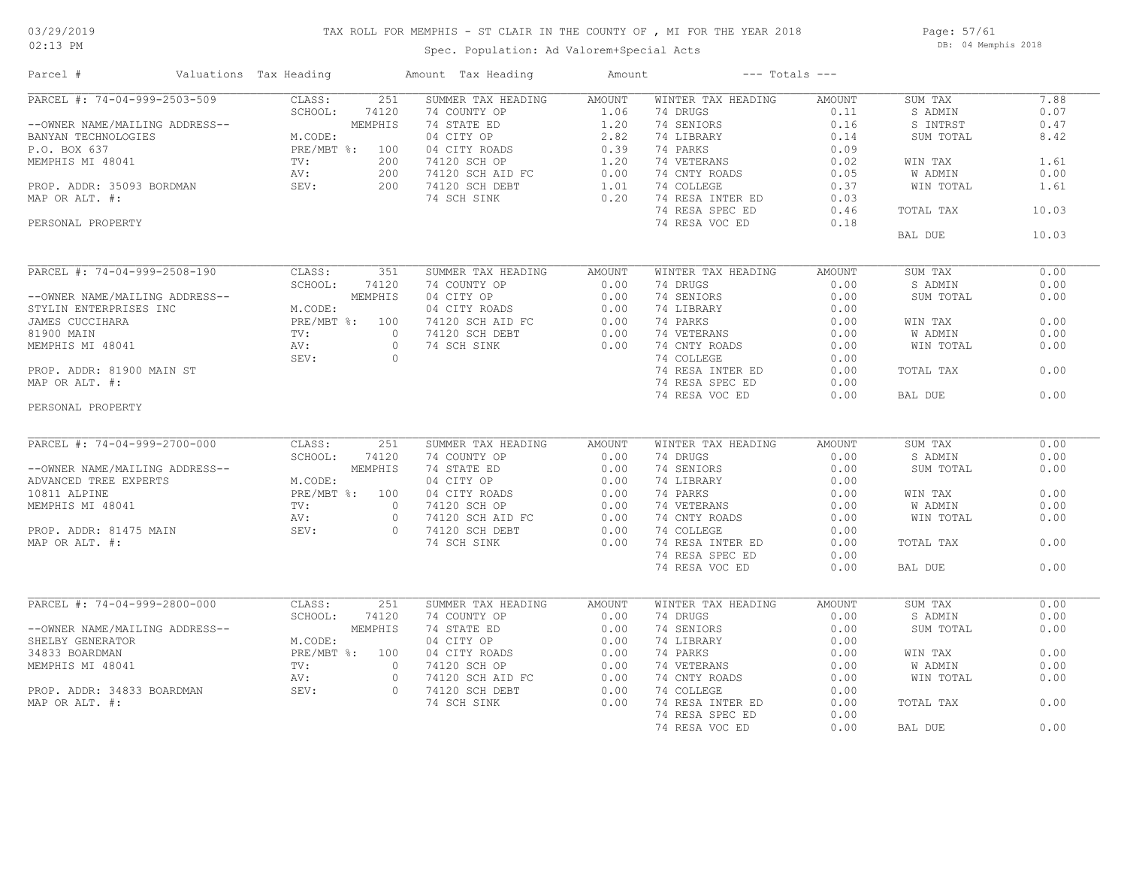## TAX ROLL FOR MEMPHIS - ST CLAIR IN THE COUNTY OF , MI FOR THE YEAR 2018

Spec. Population: Ad Valorem+Special Acts

Page: 57/61 DB: 04 Memphis 2018

| Parcel #                                 | Valuations Tax Heading    |          | Amount Tax Heading                                | Amount         |                    | $---$ Totals $---$ |                |       |
|------------------------------------------|---------------------------|----------|---------------------------------------------------|----------------|--------------------|--------------------|----------------|-------|
| PARCEL #: 74-04-999-2503-509             | CLASS:                    | 251      | SUMMER TAX HEADING                                | <b>AMOUNT</b>  | WINTER TAX HEADING | <b>AMOUNT</b>      | SUM TAX        | 7.88  |
|                                          | SCHOOL:                   | 74120    | 74 COUNTY OP                                      | 1.06           | 74 DRUGS           | 0.11               | S ADMIN        | 0.07  |
| --OWNER NAME/MAILING ADDRESS--           |                           | MEMPHIS  | 74 STATE ED                                       | 1.20           | 74 SENIORS         | 0.16               | S INTRST       | 0.47  |
| BANYAN TECHNOLOGIES                      | M.CODE:                   |          | 04 CITY OP                                        | 2.82           | 74 LIBRARY         | 0.14               | SUM TOTAL      | 8.42  |
| P.O. BOX 637                             | PRE/MBT %: 100            |          | 04 CITY ROADS                                     | 0.39           | 74 PARKS           | 0.09               |                |       |
| MEMPHIS MI 48041                         | TV:                       | 200      | 74120 SCH OP                                      | 1.20           | 74 VETERANS        | 0.02               | WIN TAX        | 1.61  |
|                                          | AV:                       | 200      | 74120 SCH AID FC                                  | 0.00           | 74 CNTY ROADS      | 0.05               | W ADMIN        | 0.00  |
| PROP. ADDR: 35093 BORDMAN                | SEV:                      | 200      | 74120 SCH DEBT                                    | 1.01           | 74 COLLEGE         | 0.37               | WIN TOTAL      | 1.61  |
| MAP OR ALT. #:                           |                           |          | 74 SCH SINK                                       | 0.20           | 74 RESA INTER ED   | 0.03               |                |       |
|                                          |                           |          |                                                   |                | 74 RESA SPEC ED    | 0.46               | TOTAL TAX      | 10.03 |
| PERSONAL PROPERTY                        |                           |          |                                                   |                | 74 RESA VOC ED     | 0.18               |                |       |
|                                          |                           |          |                                                   |                |                    |                    | BAL DUE        | 10.03 |
| PARCEL #: 74-04-999-2508-190             | CLASS:                    | 351      | SUMMER TAX HEADING                                |                | WINTER TAX HEADING | <b>AMOUNT</b>      | SUM TAX        | 0.00  |
|                                          | SCHOOL:                   | 74120    | 74 COUNTY OP                                      | AMOUNT<br>0.00 | 74 DRUGS           | 0.00               | S ADMIN        | 0.00  |
| --OWNER NAME/MAILING ADDRESS--           |                           | MEMPHIS  | 04 CITY OP                                        | 0.00           | 74 SENIORS         | 0.00               | SUM TOTAL      | 0.00  |
|                                          |                           |          |                                                   |                |                    |                    |                |       |
| STYLIN ENTERPRISES INC                   | M.CODE:<br>PRE/MBT %: 100 |          | 04 CITY ROADS                                     | 0.00           | 74 LIBRARY         | 0.00<br>0.00       |                | 0.00  |
| JAMES CUCCIHARA                          |                           | $\circ$  | 74120 SCH AID FC                                  | 0.00           | 74 PARKS           |                    | WIN TAX        |       |
| 81900 MAIN                               | TV:                       |          | 74120 SCH DEBT                                    | 0.00           | 74 VETERANS        | 0.00               | <b>W ADMIN</b> | 0.00  |
| MEMPHIS MI 48041                         | AV:                       | $\circ$  | 74 SCH SINK                                       | 0.00           | 74 CNTY ROADS      | 0.00               | WIN TOTAL      | 0.00  |
|                                          | SEV:                      | $\circ$  |                                                   |                | 74 COLLEGE         | 0.00               |                |       |
| PROP. ADDR: 81900 MAIN ST                |                           |          |                                                   |                | 74 RESA INTER ED   | 0.00               | TOTAL TAX      | 0.00  |
| MAP OR ALT. #:                           |                           |          |                                                   |                | 74 RESA SPEC ED    | 0.00               |                |       |
|                                          |                           |          |                                                   |                | 74 RESA VOC ED     | 0.00               | BAL DUE        | 0.00  |
| PERSONAL PROPERTY                        |                           |          |                                                   |                |                    |                    |                |       |
|                                          |                           |          |                                                   |                |                    |                    |                |       |
| PARCEL #: 74-04-999-2700-000             | CLASS:                    | 251      | SUMMER TAX HEADING                                | <b>AMOUNT</b>  | WINTER TAX HEADING | <b>AMOUNT</b>      | SUM TAX        | 0.00  |
|                                          | SCHOOL:                   | 74120    | 74 COUNTY OP                                      | 0.00           | 74 DRUGS           | 0.00               | S ADMIN        | 0.00  |
| --OWNER NAME/MAILING ADDRESS--           |                           | MEMPHIS  | 74 STATE ED                                       | 0.00           | 74 SENIORS         | 0.00               | SUM TOTAL      | 0.00  |
| ADVANCED TREE EXPERTS                    | M.CODE:                   |          | 04 CITY OP                                        | 0.00           | 74 LIBRARY         | 0.00               |                |       |
| 10811 ALPINE                             | PRE/MBT %: 100            |          | 04 CITY ROADS<br>74120 SCH OP<br>74120 SCH AID FC | 0.00           | 74 PARKS           | 0.00               | WIN TAX        | 0.00  |
| MEMPHIS MI 48041                         | TV:                       | $\circ$  |                                                   | 0.00           | 74 VETERANS        | 0.00               | W ADMIN        | 0.00  |
|                                          | AV:                       | $\circ$  |                                                   | 0.00           | 74 CNTY ROADS      | 0.00               | WIN TOTAL      | 0.00  |
| PROP. ADDR: 81475 MAIN<br>MAP OR ALT. #: | SEV:                      | $\Omega$ | 74120 SCH DEBT                                    | 0.00           | 74 COLLEGE         | 0.00               |                |       |
|                                          |                           |          | 74 SCH SINK                                       | 0.00           | 74 RESA INTER ED   | 0.00               | TOTAL TAX      | 0.00  |
|                                          |                           |          |                                                   |                | 74 RESA SPEC ED    | 0.00               |                |       |
|                                          |                           |          |                                                   |                | 74 RESA VOC ED     | 0.00               | BAL DUE        | 0.00  |
|                                          |                           |          |                                                   |                |                    |                    |                |       |
| PARCEL #: 74-04-999-2800-000             | CLASS:                    | 251      | SUMMER TAX HEADING                                | <b>AMOUNT</b>  | WINTER TAX HEADING | <b>AMOUNT</b>      | SUM TAX        | 0.00  |
|                                          | SCHOOL:                   | 74120    | 74 COUNTY OP                                      | 0.00           | 74 DRUGS           | 0.00               | S ADMIN        | 0.00  |
| --OWNER NAME/MAILING ADDRESS--           |                           | MEMPHIS  | 74 STATE ED                                       | 0.00           | 74 SENIORS         | 0.00               | SUM TOTAL      | 0.00  |
| SHELBY GENERATOR                         | M.CODE:                   |          | 04 CITY OP                                        | 0.00           | 74 LIBRARY         | 0.00               |                |       |
| 34833 BOARDMAN                           | PRE/MBT %: 100            |          | 04 CITY ROADS                                     | 0.00           | 74 PARKS           | 0.00               | WIN TAX        | 0.00  |
| MEMPHIS MI 48041                         | TV:                       | $\circ$  | 74120 SCH OP                                      | 0.00           | 74 VETERANS        | 0.00               | W ADMIN        | 0.00  |
|                                          | AV:                       | $\circ$  | 74120 SCH AID FC                                  | 0.00           | 74 CNTY ROADS      | 0.00               | WIN TOTAL      | 0.00  |
| PROP. ADDR: 34833 BOARDMAN               | SEV:                      | $\circ$  | 74120 SCH DEBT                                    | 0.00           | 74 COLLEGE         | 0.00               |                |       |
| MAP OR ALT. #:                           |                           |          | 74 SCH SINK                                       | 0.00           | 74 RESA INTER ED   | 0.00               | TOTAL TAX      | 0.00  |
|                                          |                           |          |                                                   |                | 74 RESA SPEC ED    | 0.00               |                |       |
|                                          |                           |          |                                                   |                | 74 RESA VOC ED     | 0.00               | BAL DUE        | 0.00  |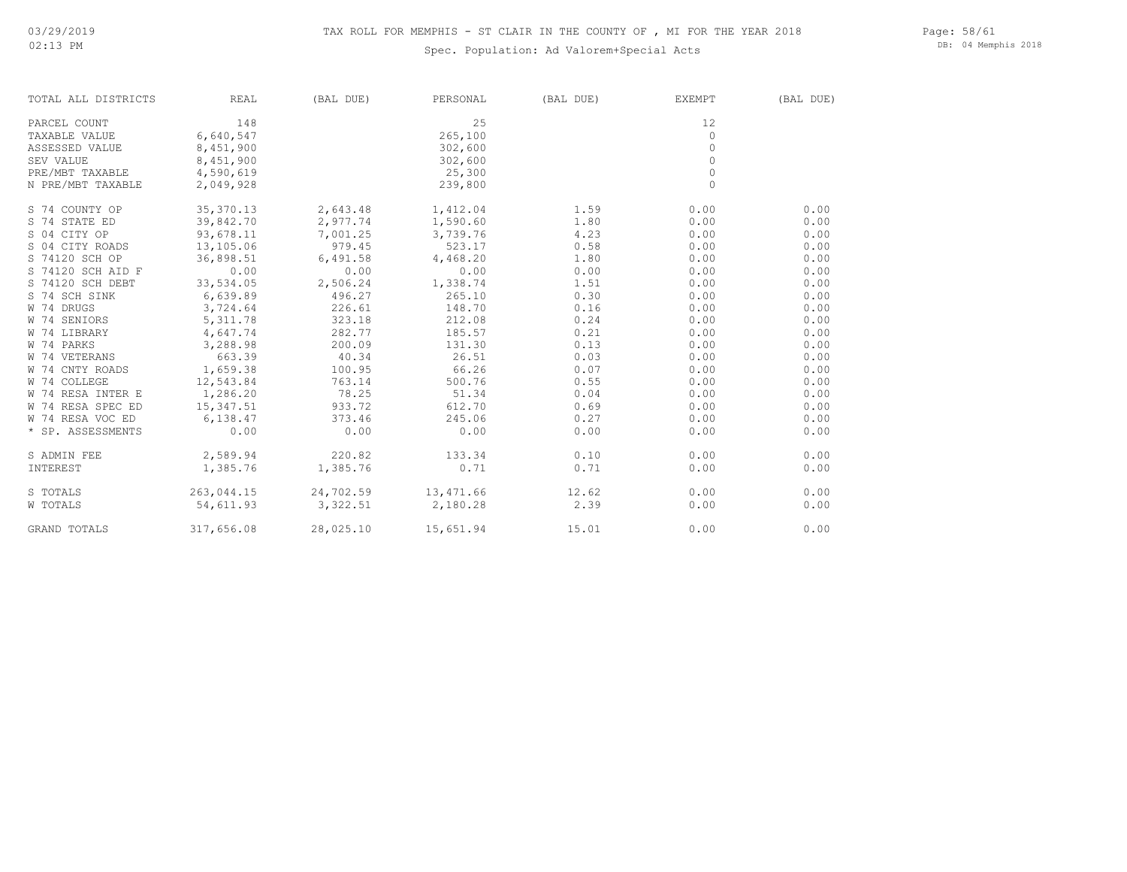### Spec. Population: Ad Valorem+Special Acts

Page: 58/61 DB: 04 Memphis 2018

| TOTAL ALL DISTRICTS | REAL       | (BAL DUE) | PERSONAL            | (BAL DUE) | EXEMPT  | (BAL DUE) |
|---------------------|------------|-----------|---------------------|-----------|---------|-----------|
| PARCEL COUNT        | 148        |           | 25                  |           | 12      |           |
| TAXABLE VALUE       | 6,640,547  |           | 265,100             |           | $\circ$ |           |
| ASSESSED VALUE      | 8,451,900  |           | 302,600             |           | $\circ$ |           |
| SEV VALUE           | 8,451,900  |           | 302,600             |           | 0       |           |
| PRE/MBT TAXABLE     | 4,590,619  |           | 25,300              |           | $\circ$ |           |
| N PRE/MBT TAXABLE   | 2,049,928  |           | 239,800             |           | $\circ$ |           |
| S 74 COUNTY OP      | 35, 370.13 | 2,643.48  | 1,412.04            | 1.59      | 0.00    | 0.00      |
| S 74 STATE ED       | 39,842.70  | 2,977.74  | 1,590.60            | 1.80      | 0.00    | 0.00      |
| S 04 CITY OP        | 93,678.11  | 7,001.25  | 3,739.76            | 4.23      | 0.00    | 0.00      |
| S 04 CITY ROADS     | 13,105.06  | 979.45    | 523.17              | 0.58      | 0.00    | 0.00      |
| S 74120 SCH OP      | 36,898.51  | 6,491.58  | 4,468.20            | 1.80      | 0.00    | 0.00      |
| S 74120 SCH AID F   | 0.00       | 0.00      | 0.00                | 0.00      | 0.00    | 0.00      |
| S 74120 SCH DEBT    | 33,534.05  | 2,506.24  | 1,338.74            | 1.51      | 0.00    | 0.00      |
| S 74 SCH SINK       | 6,639.89   | 496.27    | 265.10              | 0.30      | 0.00    | 0.00      |
| W 74 DRUGS          | 3,724.64   | 226.61    | 148.70              | 0.16      | 0.00    | 0.00      |
| W 74 SENIORS        | 5, 311.78  | 323.18    | 212.08              | 0.24      | 0.00    | 0.00      |
| W 74 LIBRARY        | 4,647.74   | 282.77    | 185.57              | 0.21      | 0.00    | 0.00      |
| W 74 PARKS          | 3,288.98   | 200.09    | 131.30              | 0.13      | 0.00    | 0.00      |
| W 74 VETERANS       | 663.39     | 40.34     | 26.51               | 0.03      | 0.00    | 0.00      |
| W 74 CNTY ROADS     | 1,659.38   | 100.95    | 66.26               | 0.07      | 0.00    | 0.00      |
| W 74 COLLEGE        | 12,543.84  | 763.14    | 500.76              | 0.55      | 0.00    | 0.00      |
| W 74 RESA INTER E   | 1,286.20   | 78.25     | 51.34               | 0.04      | 0.00    | 0.00      |
| W 74 RESA SPEC ED   | 15,347.51  | 933.72    | 612.70              | 0.69      | 0.00    | 0.00      |
| W 74 RESA VOC ED    | 6,138.47   | 373.46    | 245.06              | 0.27      | 0.00    | 0.00      |
| * SP. ASSESSMENTS   | 0.00       | 0.00      | 0.00                | 0.00      | 0.00    | 0.00      |
| S ADMIN FEE         | 2,589.94   | 220.82    | 133.34              | 0.10      | 0.00    | 0.00      |
| INTEREST            | 1,385.76   | 1,385.76  | 0.71                | 0.71      | 0.00    | 0.00      |
| S TOTALS            | 263,044.15 |           | 24,702.59 13,471.66 | 12.62     | 0.00    | 0.00      |
| W TOTALS            | 54,611.93  | 3,322.51  | 2,180.28            | 2.39      | 0.00    | 0.00      |
| <b>GRAND TOTALS</b> | 317,656.08 | 28,025.10 | 15,651.94           | 15.01     | 0.00    | 0.00      |

GRAND TOTALS 317,656.08 28,025.10 15,651.94 15.01 0.00 0.00 0.00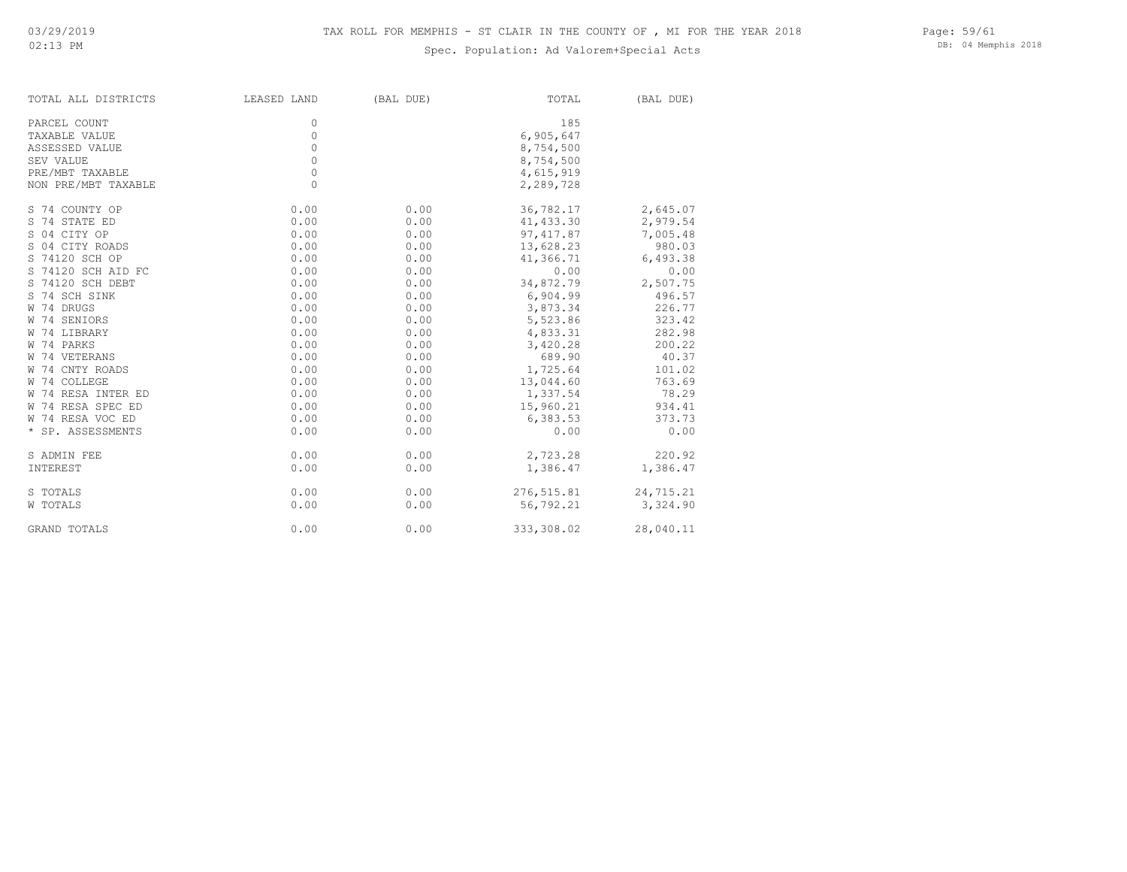### Spec. Population: Ad Valorem+Special Acts

Page: 59/61 DB: 04 Memphis 2018

| TOTAL ALL DISTRICTS | LEASED LAND | (BAL DUE) | TOTAL      | (BAL DUE) |
|---------------------|-------------|-----------|------------|-----------|
| PARCEL COUNT        | 0           |           | 185        |           |
| TAXABLE VALUE       | 0           |           | 6,905,647  |           |
| ASSESSED VALUE      | 0           |           | 8,754,500  |           |
| SEV VALUE           | $\Omega$    |           | 8,754,500  |           |
| PRE/MBT TAXABLE     | 0           |           | 4,615,919  |           |
| NON PRE/MBT TAXABLE | $\Omega$    |           | 2,289,728  |           |
| S 74 COUNTY OP      | 0.00        | 0.00      | 36,782.17  | 2,645.07  |
| S 74 STATE ED       | 0.00        | 0.00      | 41,433.30  | 2,979.54  |
| S 04 CITY OP        | 0.00        | 0.00      | 97,417.87  | 7,005.48  |
| S 04 CITY ROADS     | 0.00        | 0.00      | 13,628.23  | 980.03    |
| S 74120 SCH OP      | 0.00        | 0.00      | 41,366.71  | 6,493.38  |
| S 74120 SCH AID FC  | 0.00        | 0.00      | 0.00       | 0.00      |
| S 74120 SCH DEBT    | 0.00        | 0.00      | 34,872.79  | 2,507.75  |
| S 74 SCH SINK       | 0.00        | 0.00      | 6,904.99   | 496.57    |
| W 74 DRUGS          | 0.00        | 0.00      | 3,873.34   | 226.77    |
| W 74 SENIORS        | 0.00        | 0.00      | 5,523.86   | 323.42    |
| W 74 LIBRARY        | 0.00        | 0.00      | 4,833.31   | 282.98    |
| W 74 PARKS          | 0.00        | 0.00      | 3,420.28   | 200.22    |
| W 74 VETERANS       | 0.00        | 0.00      | 689.90     | 40.37     |
| W 74 CNTY ROADS     | 0.00        | 0.00      | 1,725.64   | 101.02    |
| W 74 COLLEGE        | 0.00        | 0.00      | 13,044.60  | 763.69    |
| W 74 RESA INTER ED  | 0.00        | 0.00      | 1,337.54   | 78.29     |
| W 74 RESA SPEC ED   | 0.00        | 0.00      | 15,960.21  | 934.41    |
| W 74 RESA VOC ED    | 0.00        | 0.00      | 6,383.53   | 373.73    |
| * SP. ASSESSMENTS   | 0.00        | 0.00      | 0.00       | 0.00      |
| S ADMIN FEE         | 0.00        | 0.00      | 2,723.28   | 220.92    |
| INTEREST            | 0.00        | 0.00      | 1,386.47   | 1,386.47  |
| S TOTALS            | 0.00        | 0.00      | 276,515.81 | 24,715.21 |
| W TOTALS            | 0.00        | 0.00      | 56,792.21  | 3,324.90  |
| GRAND TOTALS        | 0.00        | 0.00      | 333,308.02 | 28,040.11 |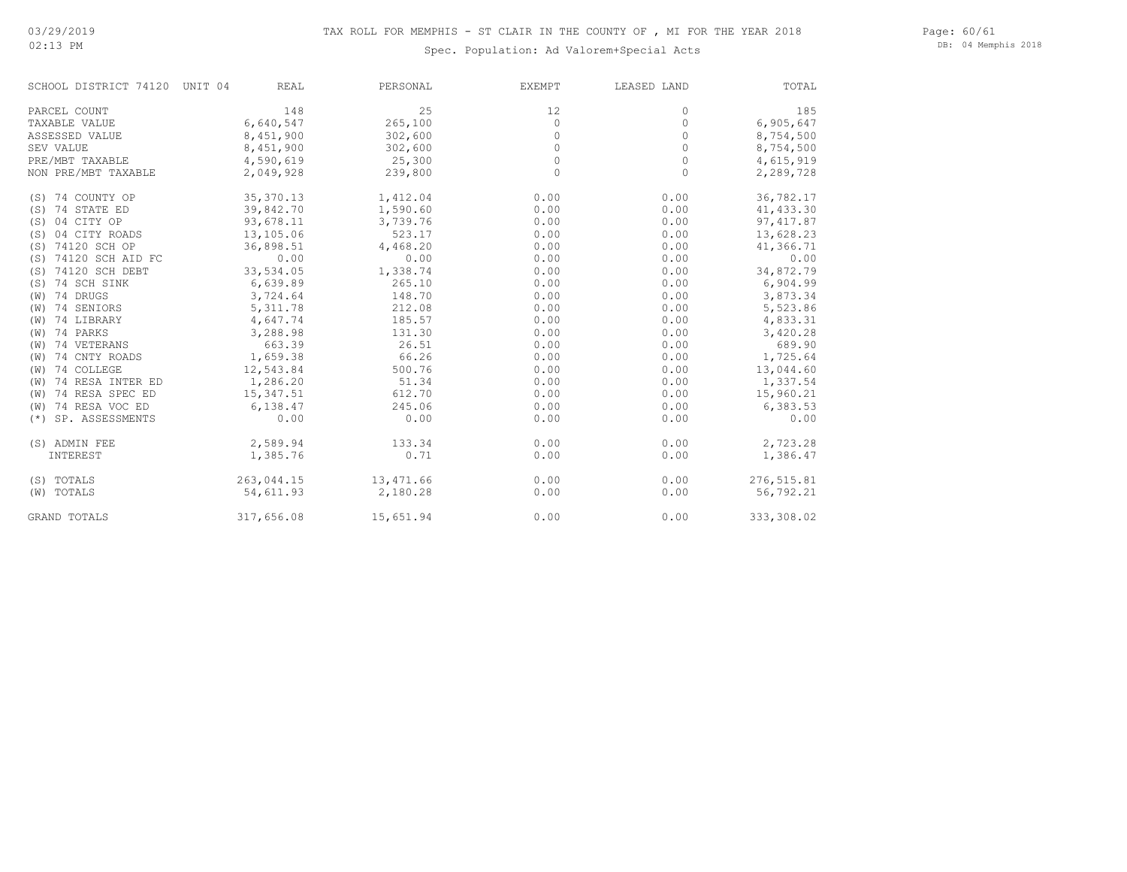#### Page: 60/61 DB: 04 Memphis 2018

| SCHOOL DISTRICT 74120 UNIT 04 |            | <b>REAL</b><br>PERSONAL | <b>EXEMPT</b> | LEASED LAND | TOTAL      |
|-------------------------------|------------|-------------------------|---------------|-------------|------------|
| PARCEL COUNT                  |            | 25<br>148               | 12            | 0           | 185        |
| TAXABLE VALUE                 | 6,640,547  | 265,100                 | 0             | $\circ$     | 6,905,647  |
| ASSESSED VALUE                | 8,451,900  | 302,600                 | 0             | 0           | 8,754,500  |
| SEV VALUE                     | 8,451,900  | 302,600                 | 0             | $\circ$     | 8,754,500  |
| PRE/MBT TAXABLE               | 4,590,619  | 25,300                  | 0             | $\circ$     | 4,615,919  |
| NON PRE/MBT TAXABLE           | 2,049,928  | 239,800                 | 0             | $\circ$     | 2,289,728  |
| (S) 74 COUNTY OP              | 35,370.13  | 1,412.04                | 0.00          | 0.00        | 36,782.17  |
| (S) 74 STATE ED               | 39,842.70  | 1,590.60                | 0.00          | 0.00        | 41, 433.30 |
| (S) 04 CITY OP                | 93,678.11  | 3,739.76                | 0.00          | 0.00        | 97, 417.87 |
| 04 CITY ROADS<br>(S)          | 13,105.06  | 523.17                  | 0.00          | 0.00        | 13,628.23  |
| (S) 74120 SCH OP              | 36,898.51  | 4,468.20                | 0.00          | 0.00        | 41,366.71  |
| 74120 SCH AID FC<br>(S)       |            | 0.00<br>0.00            | 0.00          | 0.00        | 0.00       |
| 74120 SCH DEBT<br>(S)         | 33,534.05  | 1,338.74                | 0.00          | 0.00        | 34,872.79  |
| 74 SCH SINK<br>(S)            | 6,639.89   | 265.10                  | 0.00          | 0.00        | 6,904.99   |
| 74 DRUGS<br>(W)               | 3,724.64   | 148.70                  | 0.00          | 0.00        | 3,873.34   |
| 74 SENIORS<br>(W)             | 5, 311.78  | 212.08                  | 0.00          | 0.00        | 5,523.86   |
| 74 LIBRARY<br>(W)             | 4,647.74   | 185.57                  | 0.00          | 0.00        | 4,833.31   |
| 74 PARKS<br>(W)               | 3,288.98   | 131.30                  | 0.00          | 0.00        | 3,420.28   |
| 74 VETERANS<br>(W)            | 663.39     | 26.51                   | 0.00          | 0.00        | 689.90     |
| 74 CNTY ROADS<br>(W)          | 1,659.38   | 66.26                   | 0.00          | 0.00        | 1,725.64   |
| 74 COLLEGE<br>(W)             | 12,543.84  | 500.76                  | 0.00          | 0.00        | 13,044.60  |
| 74 RESA INTER ED<br>(W)       | 1,286.20   | 51.34                   | 0.00          | 0.00        | 1,337.54   |
| 74 RESA SPEC ED<br>(W)        | 15,347.51  | 612.70                  | 0.00          | 0.00        | 15,960.21  |
| 74 RESA VOC ED<br>(W)         | 6,138.47   | 245.06                  | 0.00          | 0.00        | 6,383.53   |
| SP. ASSESSMENTS<br>$(*)$      |            | 0.00<br>0.00            | 0.00          | 0.00        | 0.00       |
| (S) ADMIN FEE                 | 2,589.94   | 133.34                  | 0.00          | 0.00        | 2,723.28   |
| INTEREST                      | 1,385.76   | 0.71                    | 0.00          | 0.00        | 1,386.47   |
| (S) TOTALS                    | 263,044.15 | 13,471.66               | 0.00          | 0.00        | 276,515.81 |
| (W) TOTALS                    | 54,611.93  | 2,180.28                | 0.00          | 0.00        | 56,792.21  |
| <b>GRAND TOTALS</b>           | 317,656.08 | 15,651.94               | 0.00          | 0.00        | 333,308.02 |